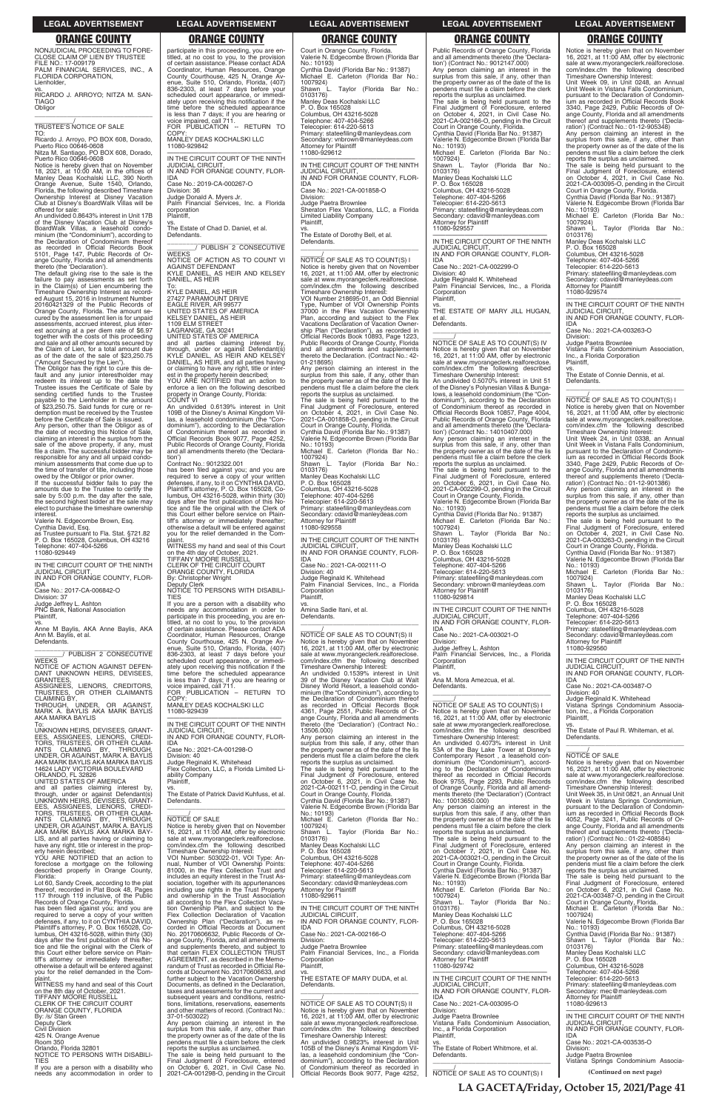NONJUDICIAL PROCEEDING TO FORE-CLOSE CLAIM OF LIEN BY TRUSTEE FILE NO.: 17-009179 PALM FINANCIAL SERVICES, INC., A FLORIDA CORPORATION,

Lienholder, vs. RICARDO J. ARROYO; NITZA M. SAN-

TIAGO Obligor \_\_\_\_\_\_\_\_\_\_\_\_\_\_\_\_\_\_\_\_\_\_\_\_\_\_\_\_\_\_\_\_\_

\_\_\_\_\_\_\_\_\_\_\_/ TRUSTEE'S NOTICE OF SALE TO:

Ricardo J. Arroyo, PO BOX 608, Dorado, Puerto Rico 00646-0608 Nitza M. Santiago, PO BOX 608, Dorado,

Puerto Rico 00646-0608 Notice is hereby given that on November 18, 2021, at 10:00 AM, in the offices of Manley Deas Kochalski LLC, 390 North Orange Avenue, Suite 1540, Orlando, Florida, the following described Timeshare Ownership Interest at Disney Vacation Club at Disney's BoardWalk Villas will be offered for sale:

An undivided 0.8643% interest in Unit 17B of the Disney Vacation Club at Disney's BoardWalk Villas, a leasehold condo-minium (the "Condominium"), according to the Declaration of Condominium thereof as recorded in Official Records Book 5101, Page 147, Public Records of Orange County, Florida and all amendments thereto (the 'Declaration').

If the successful bidder fails to pay the amounts due to the Trustee to certify the sale by 5:00 p.m. the day after the sale, the second highest bidder at the sale may elect to purchase the timeshare ownership interest

The default giving rise to the sale is the failure to pay assessments as set forth in the Claim(s) of Lien encumbering the Timeshare Ownership Interest as recorded August 15, 2016 in Instrument Number 20160421329 of the Public Records of Orange County, Florida. The amount se-cured by the assessment lien is for unpaid assessments, accrued interest, plus interest accruing at a per diem rate of \$6.97 together with the costs of this proceeding and sale and all other amounts secured by the Claim of Lien, for a total amount due as of the date of the sale of \$23,250.75 ("Amount Secured by the Lien").

Ann M. Baylis, et al. Defendants.

\_\_\_\_\_\_\_\_\_\_\_\_\_\_\_\_\_\_\_\_\_\_\_\_\_\_\_\_\_\_\_ \_\_\_\_\_\_\_\_/ PUBLISH 2 CONSECUTIVE WEEKS NOTICE OF ACTION AGAINST DEFEN-DANT UNKNOWN HEIRS, DEVISEES, **GRANTEES** 

ASSIGNEES, LIENORS, CREDITORS, TRUSTEES, OR OTHER CLAIMANTS CLAIMING BY, THROUGH, UNDER, OR AGAINST,<br>MARK-A. BAYLIS-AKA-MARK-BAYLIS

The Obligor has the right to cure this de-fault and any junior interestholder may redeem its interest up to the date the Trustee issues the Certificate of Sale by sending certified funds to the Trustee payable to the Lienholder in the amount of \$23,250.75. Said funds for cure or redemption must be received by the Trustee before the Certificate of Sale is issued.

Any person, other than the Obligor as of the date of recording this Notice of Sale, claiming an interest in the surplus from the sale of the above property, if any, must file a claim. The successful bidder may be responsible for any and all unpaid condominium assessments that come due up to the time of transfer of title, including those owed by the Obligor or prior owner.

Valerie N. Edgecombe Brown, Esq.

Cynthia David, Esq. as Trustee pursuant to Fla. Stat. §721.82 P. O. Box 165028, Columbus, OH 43216 Telephone: 407-404-5266 11080-929449

—————————————————— IN THE CIRCUIT COURT OF THE NINTH JUDICIAL CIRCU IN AND FOR ORANGE COUNTY, FLOR-

IDA Case No.: 2017-CA-006842-O Division: 37

Judge Jeffrey L. Ashton PNC Bank, National Association Plaintiff,

vs. Anne M Baylis, AKA Anne Baylis, AKA

AKA MARKA BAYLIS To: UNKNOWN HEIRS, DEVISEES, GRANT-

EES, ASSIGNEES, LIENORS, CREDI-TORS, TRUSTEES, OR OTHER CLAIM-ANTS CLAIMING BY, THROUGH,<br>UNDER, OR AGAINST, MARK A. BAYLIS<br>AKA MARK BAYLIS AKA MARKA BAYLIS 14624 LADY VICTORIA BOULEVARD

ORLANDO, FL 32826 UNITED STATES OF AMERICA

and all parties claiming interest by,<br>through, under or against Defendant(s)<br>UNKNOWN HEIRS, DEVISEES, GRANT-<br>EES, ASSIGNEES, UENORS, CREDI-<br>TORS, TRUSTEES, OR OTHER CLAIM-<br>ANTS CLAIMING BY, THROUGH,

participate in this proceeding, you are en-titled, at no cost to you, to the provision of certain assistance. Please contact ADA Coordinator, Human Resources, Orange County Courthouse, 425 N. Orange Avenue, Suite 510, Orlando, Florida, (407) 836-2303, at least 7 days before your scheduled court appearance, or immedi-

ately upon receiving this notification if the<br>time before the scheduled appearance<br>is less than 7 days; if you are hearing or<br>voice impaired, call 711.<br>FOR PUBLICATION -- RETURN TO

vs. The Estate of Dorothy Bell, et al. Defendants.  $\overline{\phantom{a}}$  , and the set of the set of the set of the set of the set of the set of the set of the set of the set of the set of the set of the set of the set of the set of the set of the set of the set of the set of the s

MANLEY DEAS KOCHALSKI LLC

11080-929842

—————————————————— IN THE CIRCUIT COURT OF THE NINTH JUDICIAL CIRCUIT, IN AND FOR ORANGE COUNTY, FLOR-

IDA

Division: 36

Case No.: 2019-CA-000267-O

Judge Donald A. Myers Jr.

Palm Financial Services, Inc. a Florida

corporation Plaintiff,

vs. The Estate of Chad D. Daniel, et al.

Defendants.

**WEEKS** 

\_\_\_\_\_\_\_\_\_\_\_\_\_\_\_\_\_\_\_\_\_\_\_\_\_\_\_\_\_\_\_ \_\_\_\_\_\_\_\_/ PUBLISH 2 CONSECUTIVE

NOTICE OF ACTION AS TO COUNT VI

AGAINST DEFENDANT

KYLE DANIEL, AS HEIR AND KELSEY DANIEL, AS HEIR

To: KYLE DANIEL, AS HEIR

27427 PARAMOUNT DRIVE EAGLE RIVER, AR 99577 UNITED STATES OF AMERICA KELSEY DANIEL, AS HEIR 1109 ELM STREET LAGRANGE, GA 30241 UNITED STATES OF AMERICA

COPY

—————————————————— IN THE CIRCUIT COURT OF THE NINTH JUDICIAL CIRCUIT, IN AND FOR ORANGE COUNTY, FLOR-

IDA Case No.: 2021-CA-002111-O Division: 40 Judge Reginald K. Whitehead Palm Financial Services, Inc., a Florida **Corporation** 

Defendants.  $\overline{\phantom{a}}$  , and the set of the set of the set of the set of the set of the set of the set of the set of the set of the set of the set of the set of the set of the set of the set of the set of the set of the set of the s

and all parties claiming interest by, through, under or against Defendant(s) KYLE DANIEL, AS HEIR AND KELSEY DANIEL, AS HEIR, and all parties having

or claiming to have any right, title or inter-est in the property herein described; YOU ARE NOTIFIED that an action to enforce a lien on the following described property in Orange County, Florida: COUNT VI An undivided 0.6139% interest in Unit

> $\frac{1}{\text{NOTICE}}$  OF SALE AS TO COUNT(S) II Notice is hereby given that on November 16, 2021, at 11:00 AM, offer by electronic sale at www.myorangeclerk.realforeclose. com/index.cfm the following described Timeshare Ownership Interest: An undivided 0.1539% interest in Unit 39 of the Disney Vacation Club at Walt Disney World Resort, a leasehold condominium (the "Condominium"), according to the Declaration of Condominium thereof as recorded in Official Records Book 4361, Page 2551, Public Records of Orange County, Florida and all amendments thereto (the 'Declaration') (Contract No.: 13506.000) Any person claiming an interest in the surplus from this sale, if any, other than the property owner as of the date of the lis

109B of the Disney's Animal Kingdom Vil-las, a leasehold condominium (the "Condominium"), according to the Declaration of Condominium thereof as recorded in Official Records Book 9077, Page 4252, Public Records of Orange County, Florida and all amendments thereto (the 'Declara-

has been filed against you; and you are<br>required to serve a copy of your written<br>defenses, if any, to it on CYNTHIA DAVID,<br>Plaintiff's attorney, P. O. Box 165028, Co-<br>lumbus, OH 43216-5028, within thirty (30)

tion')

Contract No.: 9012322.001

days after the first publication of this Notice and file the original with the Clerk of this Court either before service on Plaintiff's attorney or immediately thereafter; otherwise a default will be entered against you for the relief demanded in the Com-

Public Records of Orange County, Florida and all amendments thereto (the 'Declaration') (Contract No.: 9012147.000) Any person claiming an interest in the surplus from this sale, if any, other than the property owner as of the date of the lis pendens must file a claim before the clerk reports the surplus as unclaimed. The sale is being held pursuant to the Final Judgment of Foreclosure, entered on October 4, 2021, in Civil Case No. 2021-CA-002166-O, pending in the Circuit Court in Orange County, Florida. Cynthia David (Florida Bar No.: 91387) Valerie N. Edgecombe Brown (Florida Bar No.: 10193) Michael E. Carleton (Florida Bar No.: 1007924) L. Taylor (Florida Bar No.: Shawn L<br>0103176) Manley Deas Kochalski LLC P. O. Box 165028 Columbus, OH 43216-5028 Telephone: 407-404-5266 Telecopier: 614-220-5613 Primary: stateefiling@manleydeas.com Secondary: cdavid@manleydeas.com Attorney for Plaintiff 11080-929557 —————————————————— IN THE CIRCUIT COURT OF THE NINTH JUDICIAL CIRCUIT, IN AND FOR ORANGE COUNTY, FLOR-IDA Case No.: 2021-CA-002299-O Division: 40 Judge Reginald K. Whitehead Palm Financial Services, Inc., a Florida Corporation Plaintiff, vs. THE ESTATE OF MARY JILL HUGAN, et al. Defendants.  $\overline{a_1}$  ,  $\overline{a_2}$  ,  $\overline{a_3}$  ,  $\overline{a_4}$  ,  $\overline{a_5}$  ,  $\overline{a_6}$  ,  $\overline{a_7}$  ,  $\overline{a_8}$  ,  $\overline{a_9}$  ,  $\overline{a_9}$  ,  $\overline{a_9}$  ,  $\overline{a_9}$  ,  $\overline{a_9}$  ,  $\overline{a_9}$  ,  $\overline{a_9}$  ,  $\overline{a_9}$  ,  $\overline{a_9}$  , \_\_\_\_\_\_/ NOTICE OF SALE AS TO COUNT(S) IV Notice is hereby given that on November 16, 2021, at 11:00 AM, offer by electronic sale at www.myorangeclerk.realforeclose. com/index.cfm the following described Timeshare Ownership Interest: An undivided 0.5070% interest in Unit 51 of the Disney's Polynesian Villas & Bunga-lows, a leasehold condominium (the "Con-dominium"), according to the Declaration of Condominium thereof as recorded in Official Records Book 10857, Page 4004, Public Records of Orange County, Florida and all amendments thereto (the 'Declaration') (Contract No.: 14010407.000) Any person claiming an interest in the surplus from this sale, if any, other than the property owner as of the date of the lis pendens must file a claim before the clerk reports the surplus as unclaimed. The sale is being held pursuant to the Final Judgment of Foreclosure, entered on October 6, 2021, in Civil Case No. 2021-CA-002299-O, pending in the Circuit Court in Orange County, Florida. Valerie N. Edgecombe Brown (Florida Bar No.: 10193) Cynthia David (Florida Bar No.: 91387) Michael E. Carleton (Florida Bar No.:

plaint. WITNESS my hand and seal of this Court on the 4th day of October, 2021. TIFFANY MOORE RUSSELL

### CLERK OF THE CIRCUIT COURT ORANGE COUNTY, FLORIDA By: Christopher Wright

### Deputy Clerk NOTICE TO PERSONS WITH DISABILI-TIES

If you are a person with a disability who needs any accommodation in order to participate in this proceeding, you are en-titled, at no cost to you, to the provision of certain assistance. Please contact ADA Coordinator, Human Resources, Orange County Courthouse, 425 N. Orange Av-enue, Suite 510, Orlando, Florida, (407) 836-2303, at least 7 days before your scheduled court appearance, or immedi-ately upon receiving this notification if the time before the scheduled appearance

is less than 7 days; if you are hearing or voice impaired, call 711. FOR PUBLICATION – RETURN TO COPY MANLEY DEAS KOCHALSKI LLC 11080-929439

—————————————————— IN THE CIRCUIT COURT OF THE NINTH JUDICIAL CIRCUIT, IN AND FOR ORANGE COUNTY, FLOR-IDA

Case No.: 2021-CA-001298-O

Flex Collection, LLC, a Florida Limited Liability Company Plaintiff,

Division: 40 Judge Reginald K. Whitehead vs. The Estate of Patrick David Kuhfuss, et al.

Defendants. \_\_\_\_\_\_\_\_\_\_\_\_\_\_\_\_\_\_\_\_\_\_\_\_\_\_\_\_\_\_\_\_\_

Court in Orange County, Florida. Valerie N. Edgecombe Brown (Florida Bar No.: 10193) ynthia David (Florida Bar No.: 91387)<br>ichael F. Carleton (Florida Bar No.: E. Carleton (Florida Bar 1007924) L. Taylor (Florida Bar No.: 0103176) Manley Deas Kochalski LLC P. O. Box 165028 Columbus, OH 43216-5028 Telephone: 407-404-5266 Telecopier: 614-220-5613 Primary: stateefiling@manleydeas.com Secondary: vnbrown@manleydeas.com Attorney for Plaintiff 11080-929612 —————————————————— IN THE CIRCUIT COURT OF THE NINTH

JUDICIAL CIRCUIT, IN AND FOR ORANGE COUNTY, FLOR-IDA Case No.: 2021-CA-001858-O Division: Judge Paetra Brownlee Sheraton Flex Vacations, LLC, a Florida Limited Liability Company Plaintiff,

\_\_\_\_\_\_/ NOTICE OF SALE AS TO COUNT(S) I Notice is hereby given that on November 16, 2021, at 11:00 AM, offer by electronic sale at www.myorangeclerk.realforeclose. com/index.cfm the following described Timeshare Ownership Interest: VOI Number 218695-01, an Odd Biennial Number of VOI Ownership Points 37000 in the Flex Vacation Ownership Plan, according and subject to the Flex Vacations Declaration of Vacation Ownership Plan ("Declaration"), as recorded in Official Records Book 10893, Page 1223, Public Records of Orange County, Florida and all amendments and supplements thereto the Declaration. (Contract No.: 42- 01-218695) Any person claiming an interest in the surplus from this sale, if any, other than the property owner as of the date of the lis

Defendants. \_\_\_\_\_\_\_\_\_\_\_\_\_\_\_\_\_\_\_\_\_\_\_\_\_\_\_\_\_\_\_\_\_ \_\_\_\_\_\_/ NOTICE OF SALE AS TO COUNT(S) I Notice is hereby given that on November 16, 2021, at 11:00 AM, offer by electronic sale at www.myorangeclerk.realforeclose. com/index.cfm the following described Timeshare Ownership Interest: Unit Week 24, in Unit 0338, an Annual Unit Week in Vistana Falls Condominium, pursuant to the Declaration of Condominium as recorded in Official Records Book 3340, Page 2429, Public Records of Orange County, Florida and all amendments thereof and supplements thereto ('Declaration') (Contract No.: 01-12-901386) Any person claiming an interest in the surplus from this sale, if any, other than the property owner as of the date of the lis pendens must file a claim before the clerk reports the surplus as unclaimed. The sale is being held pursuant to the Final Judgment of Foreclosure, entered on October 4, 2021, in Civil Case No. 2021-CA-003263-O, pending in the Circuit Court in Orange County, Florida. Cynthia David (Florida Bar No.: 91387) Valerie N. Edgecombe Brown (Florida Bar No.: 10193) Michael E. Carleton (Florida Bar No.: 1007924) Shawn L. Taylor (Florida Bar No.: 0103176) Manley Deas Kochalski LLC P. O. Box 165028 Columbus, OH 43216-5028 Telephone: 407-404-5266 Telecopier: 614-220-5613 Primary: stateefiling@manleydeas.com Secondary: cdavid@manleydeas.com Attorney for Plaintiff 11080-929560 —————————————————— IN THE CIRCUIT COURT OF THE NINTH JUDICIAL CIRCUIT, IN AND FOR ORANGE COUNTY, FLOR-IDA Case No.: 2021-CA-003487-O Division: 40 Judge Reginald K. Whitehead Vistana Springs Condominium Association, Inc., a Florida Corporation Plaintiff,

vs. The Estate of Paul R. Whiteman, et al. Defendants.  $\overline{\phantom{a}}$  , and the set of the set of the set of the set of the set of the set of the set of the set of the set of the set of the set of the set of the set of the set of the set of the set of the set of the set of the s

### NOTICE OF SALE

NOTICE OF SALE<br>Notice is hereby given that on November<br>16, 2021, at 11:00 AM, offer by electronic<br>sale at www.myorangeclerk.realforeclose.<br>com/index.cfm the following described Timeshare Ownership Interest:

pendens must file a claim before the clerk reports the surplus as unclaimed. The sale is being held pursuant to the Final Judgment of Foreclosure, entered on October 4, 2021, in Civil Case No. 2021-CA-001858-O, pending in the Circuit Court in Orange County, Florida. Cynthia David (Florida Bar No.: 91387) Valerie N. Edgecombe Brown (Florida Bar No.: 10193) Michael E. Carleton (Florida Bar No.:  $1007924)$ Shawn L. Taylor (Florida Bar No.: 0103176) Manley Deas Kochalski LLC P. O. Box 165028

Columbus, OH 43216-5028 Telephone: 407-404-5266 Telecopier: 614-220-5613 Primary: stateefiling@manleydeas.com Secondary: cdavid@manleydeas.com Attorney for Plaintiff 11080-929558

Plaintiff,

vs. Amina Sadie Itani, et al.

pendens must file a claim before the clerk reports the surplus as unclaimed. The sale is being held pursuant to the Final Judgment of Foreclosure, entered on October 6, 2021, in Civil Case No. 2021-CA-002111-O, pending in the Circuit Court in Orange County, Florida. Cynthia David (Florida Bar No.: 91387)

Valerie N. Edgecombe Brown (Florida Bar No.: 10193)

| TORS, TRUSTEES, OR OTHER CLAIM-                |                                              | No.: 10193)                                | surplus from this sale, if any, other than   | jum as recorded in Official Records Book     |
|------------------------------------------------|----------------------------------------------|--------------------------------------------|----------------------------------------------|----------------------------------------------|
| ANTS CLAIMING BY. THROUGH.                     | <b>NOTICE OF SALE</b>                        | Michael E. Carleton (Florida Bar No.:      | the property owner as of the date of the lis | 4052, Page 3241, Public Records of Or-       |
| UNDER, OR AGAINST, MARK A. BAYLIS              | Notice is hereby given that on November      | 1007924)                                   | pendens must file a claim before the clerk   | ange County, Florida and all amendments      |
| AKA MARK BAYLIS AKA MARKA BAY-                 | 16, 2021, at 11:00 AM, offer by electronic   | Shawn L.<br>Taylor (Florida Bar No.:       | reports the surplus as unclaimed.            | thereof and supplements thereto ('Decla-     |
| LIS, and all parties having or claiming to     | sale at www.myorangeclerk.realforeclose.     | 0103176)                                   | The sale is being held pursuant to the       | ration') (Contract No.: 01-22-408584)        |
| have any right, title or interest in the prop- | com/index.cfm the following described        | Manley Deas Kochalski LLC                  | Final Judgment of Foreclosure, entered       | Any person claiming an interest in the       |
| erty herein described:                         | Timeshare Ownership Interest:                | P. O. Box 165028                           | on October 7, 2021, in Civil Case No.        | surplus from this sale, if any, other than   |
| YOU ARE NOTIFIED that an action to             | VOI Number: 503022-01, VOI Type: An-         | Columbus, OH 43216-5028                    | 2021-CA-003021-O, pending in the Circuit     | the property owner as of the date of the lis |
| foreclose a mortgage on the following          | nual, Number of VOI Ownership Points:        | Telephone: 407-404-5266                    | Court in Orange County, Florida.             | pendens must file a claim before the clerk   |
| described property in Orange County,           | 81000, in the Flex Collection Trust and      | Telecopier: 614-220-5613                   | Cynthia David (Florida Bar No.: 91387)       | reports the surplus as unclaimed.            |
| Florida:                                       | includes an equity interest in the Trust As- | Primary: stateefiling@manleydeas.com       | Valerie N. Edgecombe Brown (Florida Bar      | The sale is being held pursuant to the       |
| Lot 60, Sandy Creek, according to the plat     | sociation, together with its appurtenances   | Secondary: cdavid@manleydeas.com           | No.: 10193)                                  | Final Judgment of Foreclosure, entered       |
| thereof, recorded in Plat Book 48, Pages       | including use rights in the Trust Property   | Attorney for Plaintiff                     | Michael E. Carleton (Florida Bar No.:        | on October 6, 2021, in Civil Case No.        |
| 117 through 119 inclusive, of the Public       | and ownership in the Trust Association       | 11080-929611                               | 1007924)                                     | 2021-CA-003487-O, pending in the Circuit     |
| Records of Orange County, Florida.             | all according to the Flex Collection Vaca-   |                                            | Shawn L. Taylor (Florida Bar No.:            | Court in Orange County, Florida.             |
| has been filed against you; and you are        | tion Ownership Plan, and subject to the      | IN THE CIRCUIT COURT OF THE NINTH          | 0103176)                                     | Michael E. Carleton (Florida Bar No.:        |
| required to serve a copy of your written       | Flex Collection Declaration of Vacation      | JUDICIAL CIRCUIT,                          | Manley Deas Kochalski LLC                    | 1007924)                                     |
| defenses, if any, to it on CYNTHIA DAVID,      | Ownership Plan ("Declaration"), as re-       | IN AND FOR ORANGE COUNTY, FLOR-            | P. O. Box 165028                             | Valerie N. Edgecombe Brown (Florida Bar      |
| Plaintiff's attorney, P. O. Box 165028, Co-    | corded in Official Records at Document       | <b>IDA</b>                                 | Columbus, OH 43216-5028                      | No.: 10193)                                  |
| lumbus, OH 43216-5028, within thirty (30)      | No. 20170606632. Public Records of Or-       | Case No.: 2021-CA-002166-O                 | Telephone: 407-404-5266                      | Cynthia David (Florida Bar No.: 91387)       |
| days after the first publication of this No-   | ange County, Florida, and all amendments     | Division:                                  | Telecopier: 614-220-5613                     | Shawn L. Taylor (Florida Bar No.:            |
| tice and file the original with the Clerk of   | and supplements thereto, and subject to      | Judge Paetra Brownlee                      | Primary: stateefiling@manleydeas.com         | 0103176)                                     |
| this Court either before service on Plain-     | that certain FLEX COLLECTION TRUST           | Palm Financial Services, Inc., a Florida   | Secondary: cdavid@manleydeas.com             | Manley Deas Kochalski LLC                    |
| tiff's attorney or immediately thereafter;     | AGREEMENT, as described in the Memo-         | Corporation                                | Attorney for Plaintiff                       | P. O. Box 165028                             |
| otherwise a default will be entered against    | randum of Trust as recorded in Official Re-  | Plaintiff.                                 | 11080-929742                                 | Columbus, OH 43216-5028                      |
| you for the relief demanded in the Com-        | cords at Document No. 20170606633, and       | VS.                                        |                                              | Telephone: 407-404-5266                      |
| plaint.                                        | further subject to the Vacation Ownership    | THE ESTATE OF MARY DUDA, et al.            | IN THE CIRCUIT COURT OF THE NINTH            | Telecopier: 614-220-5613                     |
| WITNESS my hand and seal of this Court         | Documents, as defined in the Declaration,    | Defendants.                                | <b>JUDICIAL CIRCUIT.</b>                     | Primary: stateefiling@manleydeas.com         |
| on the 8th day of October, 2021.               | taxes and assessments for the current and    |                                            | IN AND FOR ORANGE COUNTY, FLOR-              | Secondary: mec@manleydeas.com                |
| <b>TIFFANY MOORE RUSSELL</b>                   | subsequent years and conditions, restric-    |                                            | <b>IDA</b>                                   | <b>Attorney for Plaintiff</b>                |
| CLERK OF THE CIRCUIT COURT                     | tions, limitations, reservations, easements  | NOTICE OF SALE AS TO COUNT(S) II           | Case No.: 2021-CA-003095-O                   | 11080-929613                                 |
| ORANGE COUNTY, FLORIDA                         | and other matters of record. (Contract No.:  | Notice is hereby given that on November    | Division:                                    |                                              |
| By: /s/ Stan Green                             | 37-01-503022)                                | 16, 2021, at 11:00 AM, offer by electronic | Judge Paetra Brownlee                        | IN THE CIRCUIT COURT OF THE NINTH            |
| <b>Deputy Clerk</b>                            | Any person claiming an interest in the       | sale at www.myorangeclerk.realforeclose.   | Vistana Falls Condominium Association,       | <b>JUDICIAL CIRCUIT.</b>                     |
| Civil Division                                 | surplus from this sale, if any, other than   | com/index.cfm the following described      | Inc., a Florida Corporation                  | IN AND FOR ORANGE COUNTY, FLOR-              |
| 425 N. Orange Avenue                           | the property owner as of the date of the lis | Timeshare Ownership Interest:              | Plaintiff.                                   | <b>IDA</b>                                   |
| <b>Room 350</b>                                | pendens must file a claim before the clerk   | An undivided 0.9823% interest in Unit      | VS.                                          | Case No.: 2021-CA-003535-O                   |
| Orlando, Florida 32801                         | reports the surplus as unclaimed.            | 105B of the Disney's Animal Kingdom Vil-   | The Estate of Robert Whitmore, et al.        | Division:                                    |
| NOTICE TO PERSONS WITH DISABILI-               | The sale is being held pursuant to the       | las, a leasehold condominium (the "Con-    | Defendants.                                  | Judge Paetra Brownlee                        |
| <b>TIES</b>                                    | Final Judgment of Foreclosure, entered       | dominium"), according to the Declaration   |                                              | Vistana Springs Condominium Associa-         |
| If you are a person with a disability who      | on October 6, 2021, in Civil Case No.        | of Condominium thereof as recorded in      |                                              | (Continued on next page)                     |
| needs any accommodation in order to            | 2021-CA-001298-O, pending in the Circuit     | Official Records Book 9077, Page 4252,     | NOTICE OF SALE AS TO COUNT(S) I              |                                              |

1007924) Shawn L. Taylor (Florida Bar No.:

0103176) Manley Deas Kochalski LLC P. O. Box 165028 Columbus, OH 43216-5028

Telephone: 407-404-5266

Telecopier: 614-220-5613 Primary: stateefiling@manleydeas.com Secondary: vnbrown@manleydeas.com Attorney for Plaintiff 11080-929814

—————————————————— IN THE CIRCUIT COURT OF THE NINTH JUDICIAL CIRCUIT, IN AND FOR ORANGE COUNTY, FLOR-IDA

Case No.: 2021-CA-003021-O Division:

Judge Jeffrey L. Ashton Palm Financial Services, Inc., a Florida Corporation Plaintiff,

vs. Ana M. Mora Amezcua, et al. Defendants.

 $\overline{a_1}$  ,  $\overline{a_2}$  ,  $\overline{a_3}$  ,  $\overline{a_4}$  ,  $\overline{a_5}$  ,  $\overline{a_6}$  ,  $\overline{a_7}$  ,  $\overline{a_8}$  ,  $\overline{a_9}$  ,  $\overline{a_9}$  ,  $\overline{a_9}$  ,  $\overline{a_9}$  ,  $\overline{a_9}$  ,  $\overline{a_9}$  ,  $\overline{a_9}$  ,  $\overline{a_9}$  ,  $\overline{a_9}$  ,

\_\_\_\_\_\_/ NOTICE OF SALE AS TO COUNT(S) I Notice is hereby given that on November 16, 2021, at 11:00 AM, offer by electronic sale at www.myorangeclerk.realforeclose com/index.cfm the following described Timeshare Ownership Interest: An undivided 0.4073% interest in Unit

53A of the Bay Lake Tower at Disney's Contemporary Resort , a leasehold con-dominium (the "Condominium"), accord-ing to the Declaration of Condominium thereof as recorded in Official Records Book 9755, Page 2293, Public Records of Orange County, Florida and all amend-ments thereto (the 'Declaration') (Contract No.: 10013650.000)

Any person claiming an interest in the surplus from this sale, if any, other than the property owner as of the date of the lis

Notice is hereby given that on November 16, 2021, at 11:00 AM, offer by electronic sale at www.myorangeclerk.realforeclose. com/index.cfm the following described Timeshare Ownership Interest:

Unit Week 09, in Unit 0248, an Annual Unit Week in Vistana Falls Condominium, pursuant to the Declaration of Condominium as recorded in Official Records Book 3340, Page 2429, Public Records of Or-ange County, Florida and all amendments thereof and supplements thereto ('Decla-ration') (Contract No.: 01-12-905348) Any person claiming an interest in the

surplus from this sale, if any, other than the property owner as of the date of the lis pendens must file a claim before the clerk reports the surplus as unclaimed.

The sale is being held pursuant to the Final Judgment of Foreclosure, entered on October 4, 2021, in Civil Case No. 2021-CA-003095-O, pending in the Circuit Court in Orange County, Florida. Cynthia David (Florida Bar No.: 91387)

Valerie N. Edgecombe Brown (Florida Bar No.: 10193) Michael E. Carleton (Florida Bar No.:

1007924) Shawn L. Taylor (Florida Bar No.: 0103176)

Manley Deas Kochalski LLC P. O. Box 165028 Columbus, OH 43216-5028

Telephone: 407-404-5266

Telecopier: 614-220-5613

Primary: stateefiling@manleydeas.com Secondary: cdavid@manleydeas.com Attorney for Plaintiff 11080-929574

—————————————————— IN THE CIRCUIT COURT OF THE NINTH JUDICIAL CIRCUIT, IN AND FOR ORANGE COUNTY, FLOR-

IDA Case No.: 2021-CA-003263-O Division:

Judge Paetra Brownlee Vistana Falls Condominium Association, Inc., a Florida Corporation Plaintiff,

vs. The Estate of Connie Dennis, et al.

Unit Week 35, in Unit 0821, an Annual Unit Week in Vistana Springs Condominium, pursuant to the Declaration of Condomin-ium as recorded in Official Records Book 4052, Page 3241, Public Records of Or-

### **LEGAL ADVERTISEMENT LEGAL ADVERTISEMENT LEGAL ADVERTISEMENT LEGAL ADVERTISEMENT LEGAL ADVERTISEMENT**

# **ORANGE COUNTY ORANGE COUNTY ORANGE COUNTY ORANGE COUNTY ORANGE COUNTY**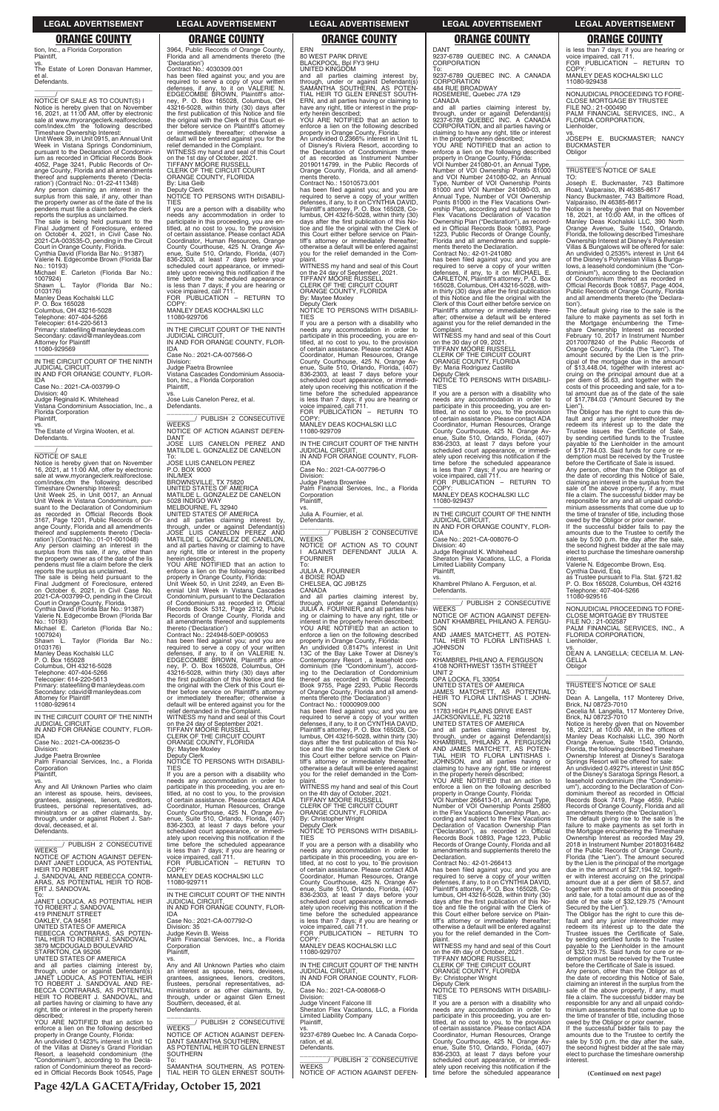ERN 80 WEST PARK DRIVE

BLACKPOOL, Bpl FY3 9HU UNITED KINGDOM and all parties claiming interest by, through, under or against Defendant(s) SAMANTHA SOUTHERN, AS POTEN-TIAL HEIR TO GLEN ERNEST SOUTH-ERN, and all parties having or claiming to have any right, title or interest in the property herein described;

YOU ARE NOTIFIED that an action to enforce a lien on the following described property in Orange County, Florida: An undivided 0.2366% interest in Unit 1L

has been filed against you; and you are<br>required to serve a copy of your written<br>defenses, if any, to it on CYNTHIA DAVID,<br>Plaintiff's attorney, P. O. Box 165028, Co-<br>lumbus, OH 43216-5028, within thirty (30)<br>days after th tice and file the original with the Clerk of this Court either before service on Plaintiff's attorney or immediately thereafter; otherwise a default will be entered against you for the relief demanded in the Com-

plaint. WITNESS my hand and seal of this Court on the 24 day of September, 2021. TIFFANY MOORE RUSSELL CLERK OF THE CIRCUIT COURT ORANGE COUNTY, FLORIDA By: Maytee Moxley Deputy Clerk

of Disney's Riviera Resort, according to the Declaration of Condominium thereof as recorded as Instrument Number 20190114799, in the Public Records of Orange County, Florida, and all amend-ments thereto. Contract No.: 15010573.001

COPY MANLEY DEAS KOCHALSKI LLC 11080-929709

and all parties claiming interest by, through, under or against Defendant(s) JULIA A. FOURNIER, and all parties having or claiming to have any right, title or interest in the property herein described; YOU ARE NOTIFIED that an action to enforce a lien on the following described property in Orange County, Florida:<br>An undivided 0.8147% interest in Unit An undivided 0.8147% interest in Unit 13C of the Bay Lake Tower at Disney's Contemporary Resort , a leasehold con-dominium (the "Condominium"), according to the Declaration of Condominium thereof as recorded in Official Records Book 9755, Page 2293, Public Records of Orange County, Florida and all amendments thereto (the 'Declaration') Contract No.: 10000909.000

NOTICE TO PERSONS WITH DISABILI-TIES

has been filed against you; and you are required to serve a copy of your written defenses, if any, to it on CYNTHIA DAVID, Plaintiff's attorney, P. O. Box 165028, Co-lumbus, OH 43216-5028, within thirty (30) days after the first publication of this Notice and file the original with the Clerk of this Court either before service on Plaintiff's attorney or immediately thereafter; otherwise a default will be entered against you for the relief demanded in the Com-.<br>nlaint

If you are a person with a disability who needs any accommodation in order to participate in this proceeding, you are en-titled, at no cost to you, to the provision of certain assistance. Please contact ADA Coordinator, Human Resources, Orange County Courthouse, 425 N. Orange Av-enue, Suite 510, Orlando, Florida, (407) 836-2303, at least 7 days before your scheduled court appearance, or immediately upon receiving this notification if the time before the scheduled appearance is less than 7 days; if you are hearing or voice impaired, call 711. FOR PUBLICATION – RETURN TO

WITNESS my hand and seal of this Court on the 4th day of October, 2021. TIFFANY MOORE RUSSELL CLERK OF THE CIRCUIT COURT ORANGE COUNTY, FLORIDA

—————————————————— IN THE CIRCUIT COURT OF THE NINTH JUDICIAL CIRCUIT, IN AND FOR ORANGE COUNTY, FLOR-

IDA Case No.: 2021-CA-007796-O

Division: Judge Paetra Brownlee Palm Financial Services, Inc., a Florida **Corporation** Plaintiff,

vs. Julia A. Fournier, et al.

Defendants. \_\_\_\_\_\_\_\_\_\_\_\_\_\_\_\_\_\_\_\_\_\_\_\_\_\_\_\_\_\_\_ \_\_\_\_\_\_\_\_/ PUBLISH 2 CONSECUTIVE

WEEKS NOTICE OF ACTION AS TO COUNT AGAINST DEFENDANT JULIA A. FOURNIER

To: JULIA A. FOURNIER 4 BOISE ROAD CHELSEA, QC J9B1Z5

tion, Inc., a Florida Corporation **Plaintiff** 

CANADA

vs. The Estate of Loren Donavan Hammer, et al. Defendants.

 $\overline{\phantom{a}}$  , and the set of the set of the set of the set of the set of the set of the set of the set of the set of the set of the set of the set of the set of the set of the set of the set of the set of the set of the s

 $\frac{1}{\text{NOTICE}}$  OF SALE AS TO COUNT(S) I Notice is hereby given that on November 16, 2021, at 11:00 AM, offer by electronic sale at www.myorangeclerk.realforeclose. com/index.cfm the following described Timeshare Ownership Interest:

reports the surplus as unclaimed. The sale is being held pursuant to the<br>Final Judgment of Foreclosure, entered<br>on October 4, 2021, in Civil Case No.<br>2021-CA-003535-O, pending in the Circuit<br>Court in Orange County, Florida.<br>Cynthia David (Florida Bar No.:

0103176) Manley Deas Kochalski LLC

Florida Corporation **Plaintiff** 

NOTICE OF SALE<br>Notice is hereby given that on November<br>16, 2021, at 11:00 AM, offer by electronic<br>sale at www.myorangeclerk.realforeclose.<br>com/index.cfm the following described Timeshare Ownership Interest:

—————————————————— IN THE CIRCUIT COURT OF THE NINTH JUDICIAL CIRCUIT, IN AND FOR ORANGE COUNTY, FLOR-

Deputy Clerk NOTICE TO PERSONS WITH DISABILI-TIES

If you are a person with a disability who needs any accommodation in order to participate in this proceeding, you are en-titled, at no cost to you, to the provision of certain assistance. Please contact ADA Coordinator, Human Resources, Orange County Courthouse, 425 N. Orange Av-enue, Suite 510, Orlando, Florida, (407) 836-2303, at least 7 days before your<br>scheduled court appearance, or immedi-<br>ately upon receiving this notification if the<br>time before the scheduled appearance<br>is less than 7 days; if you are hearing or<br>voice impaired, cal

Unit Week 39, in Unit 0915, an Annual Unit Week in Vistana Springs Condominium, pursuant to the Declaration of Condominium as recorded in Official Records Book 4052, Page 3241, Public Records of Orange County, Florida and all amendments thereof and supplements thereto ('Declaration') (Contract No.: 01-22-411348) Any person claiming an interest in the surplus from this sale, if any, other than the property owner as of the date of the lis pendens must file a claim before the clerk

> COPY MANLEY DEAS KOCHALSKI LLC 11080-929706

MATILDE L. GONZALEZ DE CANELON 5028 INDIGO WAY MELBOURNE, FL 32940 UNITED STATES OF AMERICA

Valerie N. Edgecombe Brown (Florida Bar

No.: 10193) Michael E. Carleton (Florida Bar No.:

1007924) Shawn L. Taylor (Florida Bar No.:

P. O. Box 165028

Columbus, OH 43216-5028 Telephone: 407-404-5266

Telecopier: 614-220-5613 Primary: stateefiling@manleydeas.com Secondary: cdavid@manleydeas.com Attorney for Plaintiff 11080-929569

—————————————————— IN THE CIRCUIT COURT OF THE NINTH JUDICIAL CIRCUIT, IN AND FOR ORANGE COUNTY, FLOR-

IDA Case No.: 2021-CA-003799-O Division: 40 Judge Reginald K. Whitehead Vistana Condominium Association, Inc., a

vs. The Estate of Virgina Wooten, et al. Defendants.

### $\overline{\text{NOTICF}}$  OF SALE

\_\_\_\_\_\_\_\_\_\_\_\_\_\_\_\_\_\_\_\_\_\_\_\_\_\_\_\_\_\_\_\_\_

Unit Week 25, in Unit 0017, an Annual Unit Week in Vistana Condominium, pursuant to the Declaration of Condominium as recorded in Official Records Book 3167, Page 1201, Public Records of Orange County, Florida and all amendments thereof and supplements thereto ('Decla-ration') (Contract No.: 01-01-001048)

DANT 9237-6789 QUEBEC INC. A CANADA **CORPORATION** 

ROSEMERE, Quebec J7A 1Z9 **CANADA** 

Any person claiming an interest in the surplus from this sale, if any, other than the property owner as of the date of the lis pendens must file a claim before the clerk reports the surplus as unclaimed.

and all parties claiming interest by,<br>through, under or against Defendant(s)<br>9237-6789 QUEBEC INC. A CANADA<br>CORPORATION, and all parties having or<br>claiming to have any right, title or interest in the property herein described; YOU ARE NOTIFIED that an action to

The sale is being held pursuant to the Final Judgment of Foreclosure, entered on October 6, 2021, in Civil Case No. 2021-CA-003799-O, pending in the Circuit Court in Orange County, Florida. Cynthia David (Florida Bar No.: 91387)

Valerie N. Edgecombe Brown (Florida Bar No.: 10193) Michael E. Carleton (Florida Bar No.:

1007924) Shawn L. Taylor (Florida Bar No.:

0103176)

Manley Deas Kochalski LLC P. O. Box 165028

Columbus, OH 43216-5028 Telephone: 407-404-5266 Telecopier: 614-220-5613 Primary: stateefiling@manleydeas.com Secondary: cdavid@manleydeas.com Attorney for Plaintiff 11080-929614

ORANGE COUNTY, FLORIDA By: Maria Rodriguez Castillo

IDA Case No.: 2021-CA-006235-O

Division: Judge Paetra Brownlee Palm Financial Services, Inc., a Florida

Corporation Plaintiff,

vs. Any and All Unknown Parties who claim an interest as spouse, heirs, devisees, grantees, assignees, lienors, trustees, personal representatives, ad-ministrators or as other claimants, by, COPY MANLEY DEAS KOCHALSKI LLC

Judge Reginald K. Whitehead Sheraton Flex Vacations, LLC, a Florida Limited Liability Company Plaintiff,

**JOHNSON** To:

# 3964, Public Records of Orange County, Florida and all amendments thereto (the

—————————————————— NONJUDICIAL PROCEEDING TO FORE-CLOSE MORTGAGE BY TRUSTEE FILE NO.: 21-000490 PALM FINANCIAL SERVICES, INC., A

'Declaration') Contract No.: 4030309.001 has been filed against you; and you are required to serve a copy of your written defenses, if any, to it on VALERIE N. EDGECOMBE BROWN, Plaintiff's attorney, P. O. Box 165028, Columbus, OH 43216-5028, within thirty (30) days after the first publication of this Notice and file the original with the Clerk of this Court either before service on Plaintiff's attorney or immediately thereafter; otherwise default will be entered against you for the relief demanded in the Complaint.

WITNESS my hand and seal of this Court on the 1st day of October, 2021. TIFFANY MOORE RUSSELL

CLERK OF THE CIRCUIT COURT ORANGE COUNTY, FLORIDA By: Lisa Geib

—————————————————— IN THE CIRCUIT COURT OF THE NINTH JUDICIAL CIRCUIT, IN AND FOR ORANGE COUNTY, FLOR-IDA

Case No.: 2021-CA-007566-O Division:

Judge Paetra Brownlee Vistana Cascades Condominium Association, Inc., a Florida Corporation

> GELLA **Obligor**

Plaintiff, vs. Jose Luis Canelon Perez, et al. Defendants.

\_\_\_\_\_\_\_\_\_\_\_\_\_\_\_\_\_\_\_\_\_\_\_\_\_\_\_\_\_\_\_ \_\_\_\_\_\_\_\_/ PUBLISH 2 CONSECUTIVE **WEEKS** NOTICE OF ACTION AGAINST DEFEN-

DANT JOSE LUIS CANELON PEREZ AND MATILDE L. GONZALEZ DE CANELON

To: JOSE LUIS CANELON PEREZ P.O. BOX 9000

INL/MEX BROWNSVILLE, TX 75820 UNITED STATES OF AMERICA

and all parties claiming interest by, through, under or against Defendant(s) JOSE LUIS CANELON PEREZ AND MATILDE L. GONZALEZ DE CANELON, and all parties having or claiming to have any right, title or interest in the property herein described; YOU ARE NOTIFIED that an action to

enforce a lien on the following described property in Orange County, Florida: Unit Week 50, in Unit 2249, an Even Biennial Unit Week in Vistana Cascades Condominium, pursuant to the Declaration of Condominium as recorded in Official Records Book 5312, Page 2312, Public Records of Orange County, Florida and all amendments thereof and supplements

thereto ('Declaration') Contract No.: 224948-50EP-009053 has been filed against you; and you are required to serve a copy of your written defenses, if any, to it on VALERIE N.<br>EDGECOMBE BROWN, Plaintiff's attor-<br>ney, P. O. Box 165028, Columbus, OH<br>43216-5028, within thirty (30) days after<br>the first publication of this Notice and file the original with the Clerk of this Court either before service on Plaintiff's attorney or immediately thereafter; otherwise a default will be entered against you for the relief demanded in the Complaint. WITNESS my hand and seal of this Court on the 24 day of September 2021. TIFFANY MOORE RUSSELL CLERK OF THE CIRCUIT COURT

ORANGE COUNTY, FLORIDA By: Maytee Moxley Deputy Clerk NOTICE TO PERSONS WITH DISABILI-

TIES<br>If you are a person with a disability who

If you are a person with a disability who needs any accommodation in order to participate in this proceeding, you are en-titled, at no cost to you, to the provision of certain assistance. Please contact ADA Coordinator, Human Resources, Orange County Courthouse, 425 N. Orange Av-

| trustees, personal representatives, ad-                                           | Coordinator, Human Resources, Orange                                             | CLERK OF THE CIRCUIT COURT                    | Number of VOI Ownership Points 25800          | Records of Orange County, Florida and all                                              |
|-----------------------------------------------------------------------------------|----------------------------------------------------------------------------------|-----------------------------------------------|-----------------------------------------------|----------------------------------------------------------------------------------------|
| ministrators or as other claimants, by,                                           | County Courthouse, 425 N. Orange Av-                                             | ORANGE COUNTY, FLORIDA                        | in the Flex Vacations Ownership Plan, ac-     | amendments thereto (the 'Declaration').                                                |
| through, under or against Robert J. San-                                          | enue, Suite 510, Orlando, Florida, (407)                                         | By: Christopher Wright                        | cording and subject to the Flex Vacations     | The default giving rise to the sale is the                                             |
| doval, deceased, et al.                                                           | 836-2303, at least 7 days before your                                            | Deputy Clerk                                  | Declaration of Vacation Ownership Plan        | failure to make payments as set forth in                                               |
| Defendants.                                                                       | scheduled court appearance, or immedi-                                           | NOTICE TO PERSONS WITH DISABILI-              | ("Declaration"), as recorded in Official      | the Mortgage encumbering the Timeshare                                                 |
|                                                                                   | ately upon receiving this notification if the                                    | <b>TIES</b>                                   | Records Book 10893, Page 1223, Public         | Ownership Interest as recorded May 29                                                  |
| PUBLISH 2 CONSECUTIVE                                                             | time before the scheduled appearance                                             | If you are a person with a disability who     | Records of Orange County, Florida and all     | 2018 in Instrument Number 20180316482                                                  |
| <b>WEEKS</b>                                                                      | is less than 7 days; if you are hearing or                                       | needs any accommodation in order to           | amendments and supplements thereto the        | of the Public Records of Orange County,                                                |
| NOTICE OF ACTION AGAINST DEFEN-                                                   | voice impaired, call 711.                                                        | participate in this proceeding, you are en-   | Declaration.                                  | Florida (the "Lien"). The amount secured                                               |
| DANT JANET LODUCA, AS POTENTIAL                                                   | FOR PUBLICATION - RETURN TO                                                      | titled, at no cost to you, to the provision   | Contract No.: 42-01-266413                    | by the Lien is the principal of the mortgage                                           |
| <b>HEIR TO ROBERT</b>                                                             | COPY:                                                                            | of certain assistance. Please contact ADA     | has been filed against you; and you are       | due in the amount of \$27,194.92, togeth-                                              |
| J. SANDOVAL AND REBECCA CONTR-                                                    | MANLEY DEAS KOCHALSKI LLC                                                        | Coordinator, Human Resources, Orange          | required to serve a copy of your written      | er with interest accruing on the principal                                             |
| ARAS, AS POTENTIAL HEIR TO ROB-                                                   | 11080-929711                                                                     | County Courthouse, 425 N. Orange Av-          | defenses, if any, to it on CYNTHIA DAVID,     | amount due at a per diem of \$8.57, and                                                |
| ERT J. SANDOVAL                                                                   |                                                                                  | enue, Suite 510, Orlando, Florida, (407)      | Plaintiff's attorney, P. O. Box 165028, Co-   | together with the costs of this proceeding                                             |
| To:                                                                               | IN THE CIRCUIT COURT OF THE NINTH                                                | 836-2303, at least 7 days before your         | lumbus, OH 43216-5028, within thirty (30)     | and sale, for a total amount due as of the                                             |
| JANET LODUCA, AS POTENTIAL HEIR                                                   | <b>JUDICIAL CIRCUIT</b>                                                          | scheduled court appearance, or immedi-        | days after the first publication of this No-  | date of the sale of \$32,129.75 ("Amount"                                              |
| TO ROBERT J. SANDOVAL                                                             | IN AND FOR ORANGE COUNTY, FLOR-                                                  | ately upon receiving this notification if the | tice and file the original with the Clerk of  | Secured by the Lien").                                                                 |
| <b>419 PINENUT STREET</b>                                                         | <b>IDA</b>                                                                       | time before the scheduled appearance          | this Court either before service on Plain-    | The Obligor has the right to cure this de-                                             |
| OAKLEY, CA 94561                                                                  | Case No.: 2021-CA-007792-O                                                       | is less than 7 days; if you are hearing or    | tiff's attorney or immediately thereafter;    | fault and any junior interestholder may                                                |
| UNITED STATES OF AMERICA                                                          | Division: 35                                                                     | voice impaired, call 711.                     | otherwise a default will be entered against   | redeem its interest up to the date the                                                 |
| REBECCA CONTRARAS. AS POTEN-                                                      | Judge Kevin B. Weiss                                                             | FOR PUBLICATION - RETURN TO                   | you for the relief demanded in the Com-       | Trustee issues the Certificate of Sale,                                                |
| TIAL HEIR TO ROBERT J. SANDOVAL                                                   | Palm Financial Services, Inc., a Florida                                         | COPY:                                         | plaint.                                       | by sending certified funds to the Trustee                                              |
| 3879 MCDOUGALD BOULEVARD                                                          | Corporation                                                                      | MANLEY DEAS KOCHALSKI LLC                     | WITNESS my hand and seal of this Court        | payable to the Lienholder in the amount                                                |
| STARKTON, CA 95206                                                                | Plaintiff,                                                                       | 11080-929707                                  | on the 4th day of October, 2021.              | of \$32,129.75. Said funds for cure or re-                                             |
| UNITED STATES OF AMERICA                                                          |                                                                                  |                                               | <b>TIFFANY MOORE RUSSELL</b>                  | demption must be received by the Trustee                                               |
| and all parties claiming interest by,                                             | VS.<br>Any and All Unknown Parties who claim                                     | IN THE CIRCUIT COURT OF THE NINTH             | CLERK OF THE CIRCUIT COURT                    | before the Certificate of Sale is issued.                                              |
| through, under or against Defendant(s)                                            | an interest as spouse, heirs, devisees,                                          | <b>JUDICIAL CIRCUIT</b>                       | ORANGE COUNTY, FLORIDA                        |                                                                                        |
| JANET LODUCA, AS POTENTIAL HEIR                                                   | grantees, assignees, lienors, creditors,                                         | IN AND FOR ORANGE COUNTY, FLOR-               | By: Christopher Wright                        | Any person, other than the Obligor as of<br>the date of recording this Notice of Sale, |
| TO ROBERT J. SANDOVAL AND RE-                                                     | trustees, personal representatives, ad-                                          | IDA                                           | Deputy Clerk                                  | claiming an interest in the surplus from the                                           |
| BECCA CONTRARAS, AS POTENTIAL                                                     |                                                                                  | Case No.: 2021-CA-008068-O                    | NOTICE TO PERSONS WITH DISABILI-              | sale of the above property, if any, must                                               |
| HEIR TO ROBERT J. SANDOVAL, and                                                   | ministrators or as other claimants, by,<br>through, under or against Glen Ernest | Division:                                     | <b>TIES</b>                                   | file a claim. The successful bidder may be                                             |
| all parties having or claiming to have any                                        | Southern, deceased, et al.                                                       | Judge Vincent Falcone III                     | If you are a person with a disability who     | responsible for any and all unpaid condo-                                              |
| right, title or interest in the property herein                                   | Defendants.                                                                      | Sheraton Flex Vacations, LLC, a Florida       | needs any accommodation in order to           | minium assessments that come due up to                                                 |
| described:                                                                        |                                                                                  | <b>Limited Liability Company</b>              | participate in this proceeding, you are en-   | the time of transfer of title, including those                                         |
| YOU ARE NOTIFIED that an action to                                                | PUBLISH 2 CONSECUTIVE                                                            | Plaintiff.                                    | titled, at no cost to you, to the provision   | owed by the Obligor or prior owner.                                                    |
| enforce a lien on the following described                                         | <b>WEEKS</b>                                                                     |                                               | of certain assistance. Please contact ADA     | If the successful bidder fails to pay the                                              |
| property in Orange County, Florida:                                               | NOTICE OF ACTION AGAINST DEFEN-                                                  | 9237-6789 Quebec Inc. A Canada Corpo-         | Coordinator, Human Resources, Orange          | amounts due to the Trustee to certify the                                              |
| An undivided 0.1423% interest in Unit 1C                                          | DANT SAMANTHA SOUTHERN.                                                          |                                               | County Courthouse, 425 N. Orange Av-          |                                                                                        |
|                                                                                   | AS POTENTIAL HEIR TO GLEN ERNEST                                                 | ration, et al.<br>Defendants.                 | enue, Suite 510, Orlando, Florida, (407)      | sale by 5:00 p.m. the day after the sale,<br>the second highest bidder at the sale may |
| of the Villas at Disney's Grand Floridian<br>Resort, a leasehold condominium (the | <b>SOUTHERN</b>                                                                  |                                               |                                               | elect to purchase the timeshare ownership                                              |
| "Condominium"), according to the Decla-                                           | To:                                                                              | PUBLISH 2 CONSECUTIVE                         | 836-2303, at least 7 days before your         | interest.                                                                              |
| ration of Condominium thereof as record-                                          | SAMANTHA SOUTHERN. AS POTEN-                                                     | <b>WEEKS</b>                                  | scheduled court appearance, or immedi-        |                                                                                        |
|                                                                                   | TIAL HEIR TO GLEN ERNEST SOUTH-                                                  | NOTICE OF ACTION AGAINST DEFEN-               | ately upon receiving this notification if the |                                                                                        |
| ed in Official Records Book 10545, Page                                           |                                                                                  |                                               | time before the scheduled appearance          | (Continued on next page)                                                               |

To: 9237-6789 QUEBEC INC. A CANADA CORPORATION 484 RUE BROADWAY

enforce a lien on the following described property in Orange County, Florida: VOI Number 241080-01, an Annual Type,

Number of VOI Ownership Points 81000 and VOI Number 241080-02, an Annual Type, Number of VOI Ownership Points 81000 and VOI Number 241080-03, an Annual Type, Number of VOI Ownership Points 81000 in the Flex Vacations Ownership Plan, according and subject to the Flex Vacations Declaration of Vacation Ownership Plan ("Declaration"), as recorded in Official Records Book 10893, Page 1223, Public Records of Orange County, Florida and all amendments and supplements thereto the Declaration. Contract No.: 42-01-241080

has been filed against you; and you are required to serve a copy of your written defenses, if any, to it on MICHAEL E. CARLETON, Plaintiff's attorney, P. O. Box 165028, Columbus, OH 43216-5028, within thirty (30) days after the first publication of this Notice and file the original with the Clerk of this Court either before service on Plaintiff's attorney or immediately thereafter; otherwise a default will be entered against you for the relief demanded in the

Complaint. WITNESS my hand and seal of this Court on the 30 day of 09, 2021. TIFFANY MOORE RUSSELL CLERK OF THE CIRCUIT COURT

Deputy Clerk NOTICE TO PERSONS WITH DISABILI-TIES

If you are a person with a disability who needs any accommodation in order to participate in this proceeding, you are en-titled, at no cost to you, to the provision of certain assistance. Please contact ADA Coordinator, Human Resources, Orange County Courthouse, 425 N. Orange Av-enue, Suite 510, Orlando, Florida, (407) 836-2303, at least 7 days before your scheduled court appearance, or immediately upon receiving this notification if the time before the scheduled appearance is less than 7 days; if you are hearing or voice impaired, call 711. FOR PUBLICATION – RETURN TO

11080-929437 —————————————————— IN THE CIRCUIT COURT OF THE NINTH

JUDICIAL CIRCUIT, IN AND FOR ORANGE COUNTY, FLOR-

IDA Case No.: 2021-CA-008076-O Division: 40

vs.

**SON** 

**SON** 

Khambrel Philano A. Ferguson, et al. **Defendants** \_\_\_\_\_\_\_\_\_\_\_\_\_\_\_\_\_\_\_\_\_\_\_\_\_\_\_\_\_\_\_ \_\_\_\_\_\_\_\_/ PUBLISH 2 CONSECUTIVE WEEKS

NOTICE OF ACTION AGAINST DEFEN-DANT KHAMBREL PHILANO A. FERGU-

AND JAMES MATCHETT, AS POTEN-TIAL HEIR TO FLORA LINTISHAS I.

UNIT 2<br>OPA LOCKA, FL 33054<br>UNITED STATES OF AMERICA<br>JAMES MATCHETT, AS POTENTIAL<br>HEIR TO FLORA LINTISHAS I. JOHN-

and all parties claiming interest by,<br>through, under or against Defendant(s)<br>KHAMBREL PHILANO A. FERGUSON<br>AND JAMES MATCHETT, AS POTEN-<br>TIAL HEIR TO FLORA LINTISHAS I.

KHAMBREL PHILANO A. FERGUSON 4108 NORTHWEST 135TH STREET

11783 HIGH PLAINS DRIVE EAST JACKSONVILLE, FL 32218 UNITED STATES OF AMERICA

JOHNSON, and all parties having or claiming to have any right, title or interest in the property herein described; YOU ARE NOTIFIED that an action to enforce a lien on the following described property in Orange County, Florida: VOI Number 266413-01, an Annual Type, Number of VOI Ownership Points 25800 in the Flex Vacations Ownership Plan, acis less than 7 days; if you are hearing or voice impaired, call 711. FOR PUBLICATION – RETURN TO COPY:

MANLEY DEAS KOCHALSKI LLC

11080-929438

FLORIDA CORPORATION,

Lienholder, vs.

JOSEPH E. BUCKMASTER; NANCY BUCKMASTER

Obligor

\_\_\_\_\_\_\_\_\_\_\_\_\_\_\_\_\_\_\_\_\_\_\_\_\_\_\_\_\_\_\_\_\_ \_\_\_\_\_\_\_\_\_\_\_/ TRUSTEE'S NOTICE OF SALE

TO:

Joseph E. Buckmaster, 743 Baltimore Road, Valparaiso, IN 46385-8617 Nancy Buckmaster, 743 Baltimore Road, Valparaiso, IN 46385-8617

Notice is hereby given that on November 18, 2021, at 10:00 AM, in the offices of Manley Deas Kochalski LLC, 390 North Orange Avenue, Suite 1540, Orlando, Florida, the following described Timeshare Ownership Interest at Disney's Polynesian Villas & Bungalows will be offered for sale: An undivided 0.2535% interest in Unit 64 of the Disney's Polynesian Villas & Bungalows, a leasehold condominium (the "Condominium"), according to the Declaration of Condominium thereof as recorded in Official Records Book 10857, Page 4004, Public Records of Orange County, Florida and all amendments thereto (the 'Declara-

tion').

The default giving rise to the sale is the

failure to make payments as set forth in<br>the Mortgage encumbering the Time-<br>share Ownership Interest as recorded<br>February 10, 2017 in Instrument Number<br>20170078240 of the Public Records of<br>Orange County, Florida (the "Lien

cipal of the mortgage due in the amount of \$13,448.04, together with interest accruing on the principal amount due at a per diem of \$6.63, and together with the costs of this proceeding and sale, for a to-tal amount due as of the date of the sale of \$17,784.03 ("Amount Secured by the Lien"). The Obligor has the right to cure this default and any junior interestholder may redeem its interest up to the date the Trustee issues the Certificate of Sale, by sending certified funds to the Trustee payable to the Lienholder in the amount of \$17,784.03. Said funds for cure or redemption must be received by the Trustee before the Certificate of Sale is issued. Any person, other than the Obligor as of the date of recording this Notice of Sale, claiming an interest in the surplus from the sale of the above property, if any, must file a claim. The successful bidder may be responsible for any and all unpaid condominium assessments that come due up to the time of transfer of title, including those owed by the Obligor or prior owner. If the successful bidder fails to pay the amounts due to the Trustee to certify the sale by 5:00 p.m. the day after the sale, the second highest bidder at the sale may elect to purchase the timeshare ownership

interest.

Valerie N. Edgecombe Brown, Esq. Cynthia David, Esq. as Trustee pursuant to Fla. Stat. §721.82 P. O. Box 165028, Columbus, OH 43216

Telephone: 407-404-5266 11080-929516

—————————————————— NONJUDICIAL PROCEEDING TO FORE-CLOSE MORTGAGE BY TRUSTEE FILE NO.: 21-002587 PALM FINANCIAL SERVICES, INC., A

FLORIDA CORPORATION,

Lienholder,

vs. DEAN A. LANGELLA; CECELIA M. LAN-

\_\_\_\_\_\_\_\_\_\_\_\_\_\_\_\_\_\_\_\_\_\_\_\_\_\_\_\_\_\_\_\_\_ \_\_\_\_\_\_\_\_\_\_\_/ TRUSTEE'S NOTICE OF SALE

TO:

Dean A. Langella, 117 Monterey Drive, Brick, NJ 08723-7010 Cecelia M. Langella, 117 Monterey Drive, Brick, NJ 08723-7010 Notice is hereby given that on November 18, 2021, at 10:00 AM, in the offices of Manley Deas Kochalski LLC, 390 North Orange Avenue, Suite 1540, Orlando, Florida, the following described Timeshare Ownership Interest at Disney's Saratoga Springs Resort will be offered for sale: An undivided 0.4927% interest in Unit 85C of the Disney's Saratoga Springs Resort, a leasehold condominium (the "Condominium"), according to the Declaration of Condominium thereof as recorded in Official Records Book 7419, Page 4659, Public

### **LEGAL ADVERTISEMENT LEGAL ADVERTISEMENT LEGAL ADVERTISEMENT LEGAL ADVERTISEMENT LEGAL ADVERTISEMENT**

### **ORANGE COUNTY ORANGE COUNTY ORANGE COUNTY ORANGE COUNTY ORANGE COUNTY**

**Page 42/LA GACETA/Friday, October 15, 2021**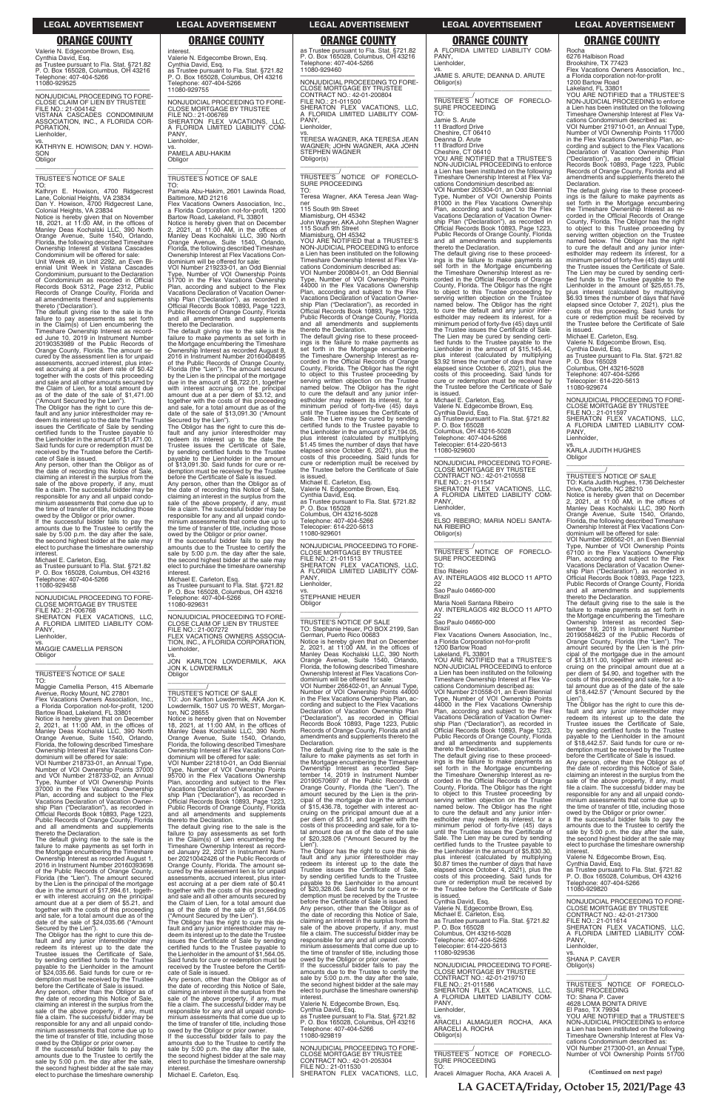interest.

Valerie N. Edgecombe Brown, Esq. Cynthia David, Esq. as Trustee pursuant to Fla. Stat. §721.82 P. O. Box 165028, Columbus, OH 43216

Telephone: 407-404-5266

PANY, Lienholder.

11080-929755

—————————————————— NONJUDICIAL PROCEEDING TO FORE-CLOSE MORTGAGE BY TRUSTEE

FILE NO.: 21-006769

SHERATON FLEX VACATIONS, LLC, A FLORIDA LIMITED LIABILITY COM-

vs. PAMELA ABU-HAKIM

Obligor

\_\_\_\_\_\_\_\_\_\_\_\_\_\_\_\_\_\_\_\_\_\_\_\_\_\_\_\_\_\_\_\_\_ \_\_\_\_\_\_\_\_\_\_\_/ TRUSTEE'S NOTICE OF SALE

TO:

Pamela Abu-Hakim, 2601 Lawinda Road, Baltimore, MD 21216 Flex Vacations Owners Association, Inc., a Florida Corporation not-for-profit, 1200

Bartow Road, Lakeland, FL 33801 Notice is hereby given that on December 2, 2021, at 11:00 AM, in the offices of Manley Deas Kochalski LLC, 390 North Orange Avenue, Suite 1540, Orlando,

Florida, the following described Timeshare Ownership Interest at Flex Vacations Con-dominium will be offered for sale:

The Obligor has the right to cure this de-fault and any junior interestholder may redeem its interest up to the date the Trustee issues the Certificate of Sale, by sending certified funds to the Trustee

VOI Number 219233-01, an Odd Biennial Type, Number of VOI Ownership Points 51700 in the Flex Vacations Ownership

Plan, according and subject to the Flex Vacations Declaration of Vacation Owner-ship Plan ("Declaration"), as recorded in Official Records Book 10893, Page 1223,

Public Records of Orange County, Florida and all amendments and supplements

thereto the Declaration.

The default giving rise to the sale is the failure to make payments as set forth in the Mortgage encumbering the Timeshare Ownership Interest as recorded August 8, 2016 in Instrument Number 20160408495

of the Public Records of Orange County, Florida (the "Lien"). The amount secured by the Lien is the principal of the mortgage due in the amount of \$8,722.01, together with interest accruing on the principal amount due at a per diem of \$3.12, and together with the costs of this proceeding and sale, for a total amount due as of the date of the sale of \$13,091.30 ("Amount

Secured by the Lien").

the second highest bidder at the sale may elect to purchase the timeshare ownership

interest.

Michael E. Carleton, Esq. as Trustee pursuant to Fla. Stat. §721.82 P. O. Box 165028, Columbus, OH 43216

Telephone: 407-404-5266

11080-929631

—————————————————— NONJUDICIAL PROCEEDING TO FORE-CLOSE CLAIM OF LIEN BY TRUSTEE FILE NO.: 21-007272 FLEX VACATIONS OWNERS ASSOCIA-TION, INC., A FLORIDA CORPORATION,

Lienholder,

vs. JON KARLTON LOWDERMILK, AKA JON K. LOWDERMILK

Obligor

\_\_\_\_\_\_\_\_\_\_\_\_\_\_\_\_\_\_\_\_\_\_\_\_\_\_\_\_\_\_\_\_\_ \_\_\_\_\_\_\_\_\_\_\_/ TRUSTEE'S NOTICE OF SALE TO: Jon Karlton Lowdermilk, AKA Jon K. Lowdermilk, 1507 US 70 WEST, Morgan-<br>ton, NC 28655 ton, NC 28655 Notice is hereby given that on November 18, 2021, at 11:00 AM, in the offices of Manley Deas Kochalski LLC, 390 North Orange Avenue, Suite 1540, Orlando,

Notice is hereby given that on November<br>18, 2021, at 11:00 AM, in the offices of<br>Manley Deas Kochalski LLC, 390 North<br>Orange Avenue, Suite 1540, Orlando,<br>Florida, the following described Timeshare Ownership Interest at Vistana Cascades Condominium will be offered for sale: Unit Week 49, in Unit 2292, an Even Biennial Unit Week in Vistana Cascades Condominium, pursuant to the Declaration of Condominium as recorded in Official Records Book 5312, Page 2312, Public Records of Orange County, Florida and all amendments thereof and supplements thereto ('Declaration').

Florida, the following described Timeshare Ownership Interest at Flex Vacations Con-dominium will be offered for sale:

VOI Number 221810-01, an Odd Biennial Type, Number of VOI Ownership Points 95700 in the Flex Vacations Ownership

Plan, according and subject to the Flex Vacations Declaration of Vacation Owner-ship Plan ("Declaration"), as recorded in Official Records Book 10893, Page 1223,

Public Records of Orange County, Florida and all amendments and supplements thereto the Declaration.

PANY, Lienholder,

> The default giving rise to the sale is the failure to pay assessments as set forth in the Claim(s) of Lien encumbering the<br>Timeshare Ownership Interest as record-Timeshare Ownership Interest as record-ed January 22, 2021 in Instrument Number 20210042426 of the Public Records of Orange County, Florida. The amount se-cured by the assessment lien is for unpaid assessments, accrued interest, plus interest accruing at a per diem rate of \$0.41 together with the costs of this proceeding and sale and all other amounts secured by the Claim of Lien, for a total amount due as of the date of the sale of \$1,564.05

vs. MAGGIE CAMELLIA PERSON **Obligor** 

> ("Amount Secured by the Lien"). The Obligor has the right to cure this de-fault and any junior interestholder may redeem its interest up to the date the Trustee issues the Certificate of Sale by sending certified funds to the Trustee payable to the Lienholder in the amount of \$1,564.05. Said funds for cure or redemption must be received by the Trustee before the Certificate of Sale is issued.

> Any person, other than the Obligor as of the date of recording this Notice of Sale, claiming an interest in the surplus from the sale of the above property, if any, must file a claim. The successful bidder may be responsible for any and all unpaid condominium assessments that come due up to the time of transfer of title, including those

owed by the Obligor or prior owner. If the successful bidder fails to pay the amounts due to the Trustee to certify the sale by 5:00 p.m. the day after the sale, the second highest bidder at the sale may elect to purchase the timeshare ownership interest.

Michael E. Carleton, Esq.

Valerie N. Edgecombe Brown, Esq. Cynthia David, Esq. as Trustee pursuant to Fla. Stat. §721.82 P. O. Box 165028, Columbus, OH 43216 Telephone: 407-404-5266 11080-929525

—————————————————— NONJUDICIAL PROCEEDING TO FORE-CLOSE CLAIM OF LIEN BY TRUSTEE FILE NO.: 21-004142 VISTANA CASCADES CONDOMINIUM ASSOCIATION, INC., A FLORIDA COR-PORATION, Lienholder,

vs. KATHRYN E. HOWISON; DAN Y. HOWI-SON **Obligor** \_\_\_\_\_\_\_\_\_\_\_\_\_\_\_\_\_\_\_\_\_\_\_\_\_\_\_\_\_\_\_\_\_

# \_\_\_\_\_\_\_\_\_\_\_/ TRUSTEE'S NOTICE OF SALE

TO: Kathryn E. Howison, 4700 Ridgecrest Lane, Colonial Heights, VA 23834 Dan Y. Howison, 4700 Ridgecrest Lane, Colonial Heights, VA 23834

> the Trustee before the Certificate of Sale is issued. Michael E. Carleton, Esq. Valerie N. Edgecombe Brown, Esq. Cynthia David, Esq. as Trustee pursuant to Fla. Stat. §721.82 Columbus, OH 43216-5028 Telephone: 407-404-5266 Telecopier: 614-220-5613 11080-929601

The default giving rise to the sale is the failure to pay assessments as set forth in the Claim(s) of Lien encumbering the Timeshare Ownership Interest as record-ed June 10, 2019 in Instrument Number 20190353989 of the Public Records of Orange County, Florida. The amount se-cured by the assessment lien is for unpaid assessments, accrued interest, plus interest accruing at a per diem rate of \$0.42 together with the costs of this proceeding and sale and all other amounts secured by the Claim of Lien, for a total amount due as of the date of the sale of \$1,471.00

> cruing on the principal amount due at a per diem of \$5.51, and together with the costs of this proceeding and sale, for a total amount due as of the date of the sale of \$20,328.06 ("Amount Secured by the Lien")

("Amount Secured by the Lien"). The Obligor has the right to cure this de-fault and any junior interestholder may redeem its interest up to the date the Trustee issues the Certificate of Sale by sending certified funds to the Trustee payable to the Lienholder in the amount of \$1,471.00. Said funds for cure or redemption must be received by the Trustee before the Certificate of Sale is issued.

payable to the Lienholder in the amount of \$13,091.30. Said funds for cure or re-demption must be received by the Trustee before the Certificate of Sale is issued. Any person, other than the Obligor as of the date of recording this Notice of Sale, claiming an interest in the surplus from the sale of the above property, if any, must file a claim. The successful bidder may be responsible for any and all unpaid condominium assessments that come due up to the time of transfer of title, including those owed by the Obligor or prior owner. If the successful bidder fails to pay the amounts due to the Trustee to certify the sale by 5:00 p.m. the day after the sale P. O. Box 165028

Any person, other than the Obligor as of the date of recording this Notice of Sale, claiming an interest in the surplus from the sale of the above property, if any, must file a claim. The successful bidder may be responsible for any and all unpaid condo-minium assessments that come due up to the time of transfer of title, including those

owed by the Obligor or prior owner. If the successful bidder fails to pay the amounts due to the Trustee to certify the sale by 5:00 p.m. the day after the sale, the second highest bidder at the sale may elect to purchase the timeshare ownership interest.

PANY Lienholder,

\_\_\_\_\_\_\_\_\_\_\_/<br>TRUSTEE'S NOTICE OF FORECLO-<br>SURE PROCEEDING TO: Jamie S. Arute

Michael E. Carleton, Esq. as Trustee pursuant to Fla. Stat. §721.82 P. O. Box 165028, Columbus, OH 43216 Telephone: 407-404-5266 11080-929458

—————————————————— NONJUDICIAL PROCEEDING TO FORE-CLOSE MORTGAGE BY TRUSTEE FILE NO.: 21-006768 SHERATON FLEX VACATIONS, LLC, A FLORIDA LIMITED LIABILITY COM-

\_\_\_\_\_\_\_\_\_\_\_\_\_\_\_\_\_\_\_\_\_\_\_\_\_\_\_\_\_\_\_\_\_

\_\_\_\_\_\_\_\_\_\_\_/ TRUSTEE'S NOTICE OF SALE TO:

Maggie Camellia Person, 415 Albemarle Avenue, Rocky Mount, NC 27801 Flex Vacations Owners Association, Inc., a Florida Corporation not-for-profit, 1200 Bartow Road, Lakeland, FL 33801 Notice is hereby given that on December 2, 2021, at 11:00 AM, in the offices of Manley Deas Kochalski LLC, 390 North Orange Avenue, Suite 1540, Orlando, Florida, the following described Timeshare Ownership Interest at Flex Vacations Con-dominium will be offered for sale:

\_\_\_\_\_\_\_\_\_\_\_\_/<br>TRUSTEE'S NOTICE OF FORECLO-<br>SURE PROCEEDING TO:

VOI Number 218733-01, an Annual Type, Number of VOI Ownership Points 37000 and VOI Number 218733-02, an Annual Type, Number of VOI Ownership Points 37000 in the Flex Vacations Ownership Plan, according and subject to the Flex Vacations Declaration of Vacation Ownership Plan ("Declaration"), as recorded in Official Records Book 10893, Page 1223,

Public Records of Orange County, Florida and all amendments and supplements thereto the Declaration.

The default giving rise to the sale is the failure to make payments as set forth in the Mortgage encumbering the Timeshare Ownership Interest as recorded August 1, 2016 in Instrument Number 20160393698 of the Public Records of Orange County, Florida (the "Lien"). The amount secured by the Lien is the principal of the mortgage due in the amount of \$17,994.61, together with interest accruing on the principal amount due at a per diem of \$5.21, and together with the costs of this proceeding and sale, for a total amount due as of the date of the sale of \$24,035.66 ("Amount Secured by the Lien").

The Obligor has the right to cure this de-fault and any junior interestholder may redeem its interest up to the date the Trustee issues the Certificate of Sale, by sending certified funds to the Trustee payable to the Lienholder in the amount of \$24,035.66. Said funds for cure or redemption must be received by the Trustee before the Certificate of Sale is issued.

Any person, other than the Obligor as of the date of recording this Notice of Sale, claiming an interest in the surplus from the sale of the above property, if any, must file a claim. The successful bidder may be responsible for any and all unpaid condominium assessments that come due up to the time of transfer of title, including those owed by the Obligor or prior owner.

If the successful bidder fails to pay the amounts due to the Trustee to certify the sale by 5:00 p.m. the day after the sale, the second highest bidder at the sale may elect to purchase the timeshare ownership

as Trustee pursuant to Fla. Stat. §721.82 P. O. Box 165028, Columbus, OH 43216 Telephone: 407-404-5266 11080-929460

—————————————————— NONJUDICIAL PROCEEDING TO FORE-CLOSE MORTGAGE BY TRUSTEE CONTRACT NO.: 42-01-200804 FILE NO.: 21-011500 SHERATON FLEX VACATIONS, LLC, A FLORIDA LIMITED LIABILITY COM-PANY, Lienholder,

vs. TERESA WAGNER, AKA TERESA JEAN WAGNER; JOHN WAGNER, AKA JOHN STEPHEN WAGNER Obligor(s) \_\_\_\_\_\_\_\_\_\_\_\_\_\_\_\_\_\_\_\_\_\_\_\_\_\_\_\_\_\_\_\_\_

\_\_\_\_\_\_\_\_\_\_\_/ TRUSTEE'S NOTICE OF FORECLO-SURE PROCEEDING

TO: Teresa Wagner, AKA Teresa Jean Wagner 115 South 9th Street Miamisburg, OH 45342

John Wagner, AKA John Stephen Wagner 115 South 9th Street Miamisburg, OH 45342 YOU ARE NOTIFIED that a TRUSTEE'S NON-JUDICIAL PROCEEDING to enforce a Lien has been instituted on the following

Timeshare Ownership Interest at Flex Va-cations Condominium described as: VOI Number 200804-01, an Odd Biennial Type, Number of VOI Ownership Points 44000 in the Flex Vacations Ownership Plan, according and subject to the Flex Vacations Declaration of Vacation Owner-ship Plan ("Declaration"), as recorded in Official Records Book 10893, Page 1223, Public Records of Orange County, Florida and all amendments and supplements thereto the Declaration.

The default giving rise to these proceed-ings is the failure to make payments as set forth in the Mortgage encumbering the Timeshare Ownership Interest as re-corded in the Official Records of Orange County, Florida. The Obligor has the right to object to this Trustee proceeding by serving written objection on the Trustee named below. The Obligor has the right to cure the default and any junior inter-estholder may redeem its interest, for a minimum period of forty-five (45) days until the Trustee issues the Certificate of Sale. The Lien may be cured by sending certified funds to the Trustee payable to the Lienholder in the amount of \$7,194.05, plus interest (calculated by multiplying \$1.45 times the number of days that have elapsed since October 6, 2021), plus the costs of this proceeding. Said funds for cure or redemption must be received by

> **(Continued on next page)** before the Certificate of Sale is issued. Any person, other than the Obligor as of the date of recording this Notice of Sale, claiming an interest in the surplus from the sale of the above property, if any, must file a claim. The successful bidder may be responsible for any and all unpaid condo-minium assessments that come due up to the time of transfer of title, including those owed by the Obligor or prior owner. If the successful bidder fails to pay the amounts due to the Trustee to certify the sale by 5:00 p.m. the day after the sale, the second highest bidder at the sale may elect to purchase the timeshare ownership Valerie N. Edgecombe Brown, Esq. Cynthia David, Esq. as Trustee pursuant to Fla. Stat. §721.82 P. O. Box 165028, Columbus, OH 43216 Telephone: 407-404-5266 —————————————————— NONJUDICIAL PROCEEDING TO FORE-CLOSE MORTGAGE BY TRUSTEE CONTRACT NO.: 42-01-217300 FILE NO.: 21-011614 SHERATON FLEX VACATIONS, LLC, A FLORIDA LIMITED LIABILITY COM-\_\_\_\_\_\_\_\_\_\_\_\_\_\_\_\_\_\_\_\_\_\_\_\_\_\_\_\_\_\_\_\_\_ \_\_\_\_\_\_\_\_\_\_\_/ TRUSTEE'S NOTICE OF FORECLO-El Paso, TX 79934 YOU ARE NOTIFIED that a TRUSTEE'S NON-JUDICIAL PROCEEDING to enforce a Lien has been instituted on the following Timeshare Ownership Interest at Flex Vacations Condominium described as: VOI Number 217300-01, an Annual Type, Number of VOI Ownership Points 51700

—————————————————— NONJUDICIAL PROCEEDING TO FORE-CLOSE MORTGAGE BY TRUSTEE FILE NO.: 21-011513 SHERATON FLEX VACATIONS, LLC, A FLORIDA LIMITED LIABILITY COM-A FLC<br>PANY, Lienholder,

Obligor

vs. STEPHANIE HEUER \_\_\_\_\_\_\_\_\_\_\_\_\_\_\_\_\_\_\_\_\_\_\_\_\_\_\_\_\_\_\_\_\_ \_\_\_\_\_\_\_\_\_\_\_/ TRUSTEE'S NOTICE OF SALE

TO: Stephanie Heuer, PO BOX 2199, San German, Puerto Rico 00683 Notice is hereby given that on December 2, 2021, at 11:00 AM, in the offices of Manley Deas Kochalski LLC, 390 North Orange Avenue, Suite 1540, Orlando, Florida, the following described Timeshare Ownership Interest at Flex Vacations Condominium will be offered for sale: VOI Number 266402-01, an Annual Type, Number of VOI Ownership Points 44000

in the Flex Vacations Ownership Plan, ac-cording and subject to the Flex Vacations Declaration of Vacation Ownership Plan

("Declaration"), as recorded in Official Records Book 10893, Page 1223, Public Records of Orange County, Florida and all amendments and supplements thereto the Declaration. The default giving rise to the sale is the

failure to make payments as set forth in the Mortgage encumbering the Timeshare Ownership Interest as recorded Sep-tember 14, 2019 in Instrument Number 20190570697 of the Public Records of Orange County, Florida (the "Lien"). The amount secured by the Lien is the prin-cipal of the mortgage due in the amount of \$15,436.78, together with interest ac-

The Obligor has the right to cure this de-fault and any junior interestholder may redeem its interest up to the date the Trustee issues the Certificate of Sale, by sending certified funds to the Trustee payable to the Lienholder in the amount of \$20,328.06. Said funds for cure or re-demption must be received by the Trustee before the Certificate of Sale is issued. Any person, other than the Obligor as of the date of recording this Notice of Sale, claiming an interest in the surplus from the sale of the above property, if any, must file a claim. The successful bidder may be responsible for any and all unpaid condominium assessments that come due up to the time time of transfer of title, including those owed by the Obligor or prior owner.

If the successful bidder fails to pay the amounts due to the Trustee to certify the sale by 5:00 p.m. the day after the sale, the second highest bidder at the sale may elect to purchase the timeshare ownership interest.

Valerie N. Edgecombe Brown, Esq. Cynthia David, Esq. as Trustee pursuant to Fla. Stat. §721.82 P. O. Box 165028, Columbus, OH 43216 Telephone: 407-404-5266 11080-929819

—————————————————— NONJUDICIAL PROCEEDING TO FORE-CLOSE MORTGAGE BY TRUSTEE CONTRACT NO.: 42-01-205304 FILE NO.: 21-011530 SHERATON FLEX VACATIONS, LLC,

# A FLORIDA LIMITED LIABILITY COM-

vs. JAMIE S. ARUTE; DEANNA D. ARUTE Obligor(s) \_\_\_\_\_\_\_\_\_\_\_\_\_\_\_\_\_\_\_\_\_\_\_\_\_\_\_\_\_\_\_\_\_

11 Bradford Drive Cheshire, CT 06410 Deanna D. Arute

11 Bradford Drive

Cheshire, CT 06410 YOU ARE NOTIFIED that a TRUSTEE'S NON-JUDICIAL PROCEEDING to enforce

a Lien has been instituted on the following Timeshare Ownership Interest at Flex Vacations Condominium described as:

VOI Number 205304-01, an Odd Biennial Type, Number of VOI Ownership Points 81000 in the Flex Vacations Ownership Plan, according and subject to the Flex Vacations Declaration of Vacation Ownership Plan ("Declaration"), as recorded in Official Records Book 10893, Page 1223, Public Records of Orange County, Florida and all amendments and supplements

thereto the Declaration. The default giving rise to these proceed-ings is the failure to make payments as set forth in the Mortgage encumbering the Timeshare Ownership Interest as re-corded in the Official Records of Orange County, Florida. The Obligor has the right to object to this Trustee proceeding by serving written objection on the Trustee named below. The Obligor has the right to cure the default and any junior inter-estholder may redeem its interest, for a minimum period of forty-five (45) days until the Trustee issues the Certificate of Sale. The Lien may be cured by sending certified funds to the Trustee payable to the<br>Lienholder in the amount of \$15,145.44, plus interest (calculated by multiplying \$3.92 times the number of days that have elapsed since October 6, 2021), plus the costs of this proceeding. Said funds for cure or redemption must be received by the Trustee before the Certificate of Sale is issued.

Michael E. Carleton, Esq. Valerie N. Edgecombe Brown, Esq. Cynthia David, Esq. as Trustee pursuant to Fla. Stat. §721.82 P. O. Box 165028 Columbus, OH 43216-5028 Telephone: 407-404-5266 Telecopier: 614-220-5613 11080-929600

—————————————————— NONJUDICIAL PROCEEDING TO FORE-CLOSE MORTGAGE BY TRUSTEE CONTRACT NO.: 42-01-210558 FILE NO.: 21-011547 SHERATON FLEX VACATIONS, LLC, FLORIDA LIMITED LIABILITY COM-A FLC<br>PANY, Lienholder,

vs. ELSO RIBEIRO; MARIA NOELI SANTA-NA RIBEIRO Obligor(s) \_\_\_\_\_\_\_\_\_\_\_\_\_\_\_\_\_\_\_\_\_\_\_\_\_\_\_\_\_\_\_\_\_

Elso Ribeiro AV. INTERLAGOS 492 BLOCO 11 APTO

Sao Paulo 04660-000

22 Brazil

Maria Noeli Santana Ribeiro

AV. INTERLAGOS 492 BLOCO 11 APTO 22 Sao Paulo 04660-000

Brazil Flex Vacations Owners Association, Inc., a Florida Corporation not-for-profit

1200 Bartow Road Lakeland, FL 33801 YOU ARE NOTIFIED that a TRUSTEE'S NON-JUDICIAL PROCEEDING to enforce a Lien has been instituted on the following Timeshare Ownership Interest at Flex Vacations Condominium described as: VOI Number 210558-01, an Even Biennial

Type, Number of VOI Ownership Points 44000 in the Flex Vacations Ownership Plan, according and subject to the Flex Vacations Declaration of Vacation Ownership Plan ("Declaration"), as recorded in Official Records Book 10893, Page 1223, Public Records of Orange County, Florida and all amendments and supplements thereto the Declaration. Rocha 6276 Halbison Road Brookshire, TX 77423

Flex Vacations Owners Association, Inc., a Florida corporation not-for-profit

1200 Bartow Road

Lakeland, FL 33801 YOU ARE NOTIFIED that a TRUSTEE'S NON-JUDICIAL PROCEEDING to enforce a Lien has been instituted on the following Timeshare Ownership Interest at Flex Va-cations Condominium described as:

VOI Number 219710-01, an Annual Type, Number of VOI Ownership Points 117000 in the Flex Vacations Ownership Plan, according and subject to the Flex Vacations<br>Declaration of Vacation Ownership Plan<br>("Declaration"), as recorded in Official<br>Records Book 10893, Page 1223, Public<br>Records of Orange County, Florida and all<br>amendments and suppl Declaration.

The default giving rise to these proceed-ings is the failure to make payments as set forth in the Mortgage encumbering the Timeshare Ownership Interest as re-corded in the Official Records of Orange County, Florida. The Obligor has the right to object to this Trustee proceeding by serving written objection on the Trustee named below. The Obligor has the right to cure the default and any junior inter-estholder may redeem its interest, for a minimum period of forty-five (45) days until the Trustee issues the Certificate of Sale. The Lien may be cured by sending certified funds to the Trustee payable to the Lienholder in the amount of \$25,651.75, plus interest (calculated by multiplying \$6.93 times the number of days that have elapsed since October 7, 2021), plus the costs of this proceeding. Said funds for cure or redemption must be received by the Trustee before the Certificate of Sale is issued.

The default giving rise to these proceed-ings is the failure to make payments as set forth in the Mortgage encumbering the Timeshare Ownership Interest as recorded in the Official Records of Orange County, Florida. The Obligor has the right to object to this Trustee proceeding by serving written objection on the Trustee named below. The Obligor has the right to cure the default and any junior inter-estholder may redeem its interest, for a minimum period of forty-five (45) days until the Trustee issues the Certificate of Sale. The Lien may be cured by sending certified funds to the Trustee payable to the Lienholder in the amount of \$5,830.30, plus interest (calculated by multiplying \$0.87 times the number of days that have elapsed since October 4, 2021), plus the costs of this proceeding. Said funds for cure or redemption must be received by the Trustee before the Certificate of Sale is issued. Cynthia David, Esq. Valerie N. Edgecombe Brown, Esq. Michael E. Carleton, Esq. as Trustee pursuant to Fla. Stat. §721.82 P. O. Box 165028 Columbus, OH 43216-5028 Telephone: 407-404-5266 Telecopier: 614-220-5613 11080-929536 —————————————————— NONJUDICIAL PROCEEDING TO FORE-CLOSE MORTGAGE BY TRUSTEE CONTRACT NO.: 42-01-219710 FILE NO.: 21-011586 SHERATON FLEX VACATIONS, LLC, A FLORIDA LIMITED LIABILITY COM-A FLU<br>PANY, Lienholder, vs. ARACELI ALMAGUER ROCHA, AKA ARACELI A. ROCHA Obligor(s) \_\_\_\_\_\_\_\_\_\_\_\_\_\_\_\_\_\_\_\_\_\_\_\_\_\_\_\_\_\_\_\_\_ \_\_\_\_\_\_\_\_\_\_\_/<br>TRUSTEE'S NOTICE OF FORECLO-<br>SURE PROCEEDING TO: Araceli Almaguer Rocha, AKA Araceli A. interest. 11080-929820 A FLO<br>PANY, Lienholder, vs. SHANA P. CAVER Obligor(s) SURE PROCEEDING TO: Shana P. Caver 4628 LOMA BONITA DRIVE

Michael E. Carleton, Esq. Valerie N. Edgecombe Brown, Esq. Cynthia David, Esq. as Trustee pursuant to Fla. Stat. §721.82 P. O. Box 165028 Columbus, OH 43216-5028 Telephone: 407-404-5266 Telecopier: 614-220-5613 11080-929674

—————————————————— NONJUDICIAL PROCEEDING TO FORE-CLOSE MORTGAGE BY TRUSTEE FILE NO.: 21-011597 SHERATON FLEX VACATIONS, LLC, A FLORIDA LIMITED LIABILITY COM-

PANY, Lienholder,

vs. KARLA JUDITH HUGHES Obligor

\_\_\_\_\_\_\_\_\_\_\_\_\_\_\_\_\_\_\_\_\_\_\_\_\_\_\_\_\_\_\_\_\_ \_\_\_\_\_\_\_\_\_\_\_/ TRUSTEE'S NOTICE OF SALE TO: Karla Judith Hughes, 1736 Delchester

Drive, Charlotte, NC 28210 Notice is hereby given that on December 2, 2021, at 11:00 AM, in the offices of Manley Deas Kochalski LLC, 390 North Orange Avenue, Suite 1540, Orlando, Florida, the following described Timeshare

Ownership Interest at Flex Vacations Con-dominium will be offered for sale: VOI Number 266562-01, an Even Biennial Type, Number of VOI Ownership Points 67100 in the Flex Vacations Ownership Plan, according and subject to the Flex Vacations Declaration of Vacation Owner-ship Plan ("Declaration"), as recorded in Official Records Book 10893, Page 1223, Public Records of Orange County, Florida and all amendments and supplements thereto the Declaration.

The default giving rise to the sale is the failure to make payments as set forth in the Mortgage encumbering the Timeshare Ownership Interest as recorded Sep-tember 19, 2019 in Instrument Number 20190584623 of the Public Records of Orange County, Florida (the "Lien"). The amount secured by the Lien is the prin-cipal of the mortgage due in the amount of \$13,811.00, together with interest ac-cruing on the principal amount due at a per diem of \$4.90, and together with the costs of this proceeding and sale, for a to-tal amount due as of the date of the sale of \$18,442.57 ("Amount Secured by the

Lien"). The Obligor has the right to cure this default and any junior interestholder may redeem its interest up to the date the Trustee issues the Certificate of Sale, by sending certified funds to the Trustee payable to the Lienholder in the amount of \$18,442.57. Said funds for cure or re-demption must be received by the Trustee

### **LEGAL ADVERTISEMENT LEGAL ADVERTISEMENT LEGAL ADVERTISEMENT LEGAL ADVERTISEMENT LEGAL ADVERTISEMENT**

**LA GACETA/Friday, October 15, 2021/Page 43**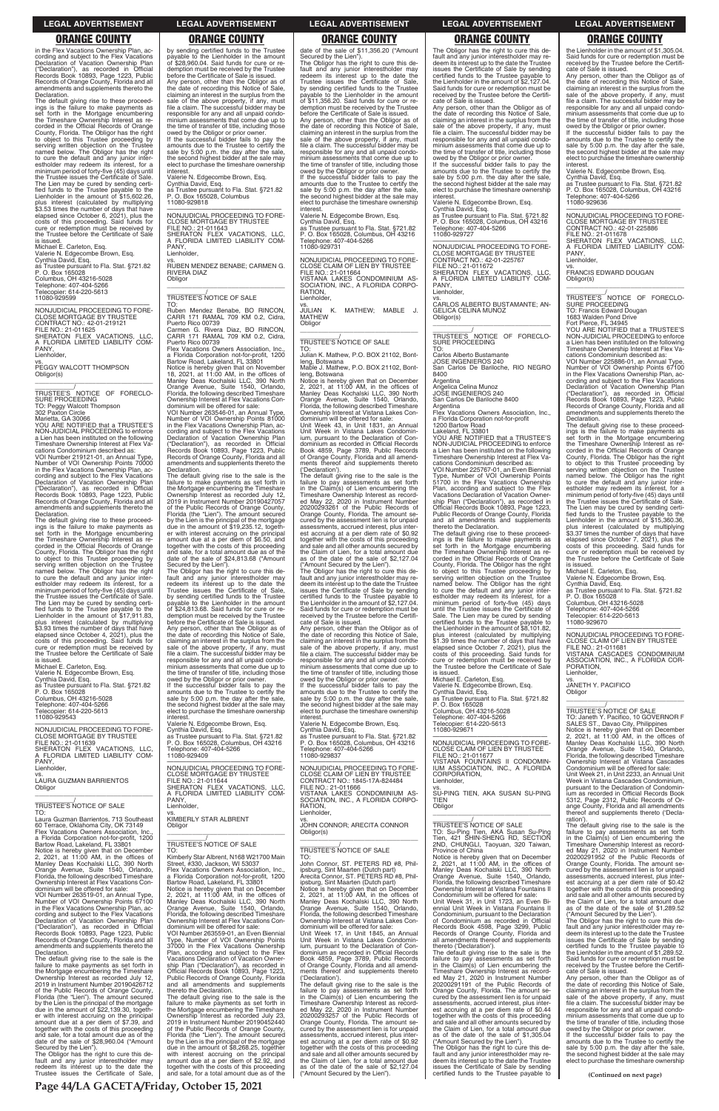**(Continued on next page)**

in the Flex Vacations Ownership Plan, according and subject to the Flex Vacations Declaration of Vacation Ownership Plan ("Declaration"), as recorded in Official Records Book 10893, Page 1223, Public Records of Orange County, Florida and all amendments and supplements thereto the Declaration.

The default giving rise to these proceed-ings is the failure to make payments as set forth in the Mortgage encumbering the Timeshare Ownership Interest as re-corded in the Official Records of Orange County, Florida. The Obligor has the right to object to this Trustee proceeding by serving written objection on the Trustee named below. The Obligor has the right to cure the default and any junior inter-estholder may redeem its interest, for a minimum period of forty-five (45) days until the Trustee issues the Certificate of Sale. The Lien may be cured by sending certified funds to the Trustee payable to the<br>Lienholder in the amount of \$15,602.26, plus interest (calculated by multiplying \$3.53 times the number of days that have elapsed since October 6, 2021), plus the costs of this proceeding. Said funds for cure or redemption must be received by the Trustee before the Certificate of Sale is issued.

VOI Number 219121-01, an Annual Type, Number of VOI Ownership Points 70000 in the Flex Vacations Ownership Plan, according and subject to the Flex Vacations Declaration of Vacation Ownership Plan ("Declaration"), as recorded in Official Records Book 10893, Page 1223, Public Records of Orange County, Florida and all amendments and supplements thereto the Declaration.

Michael E. Carleton, Esq. Valerie N. Edgecombe Brown, Esq. Cynthia David, Esq. symma David, Esq.<br>as Trustee pursuant to Fla. Stat. §721.82<br>P. O. Box 165028 P. O. Box 165028 Columbus, OH 43216-5028 Telephone: 407-404-5266 Telecopier: 614-220-5613 11080-929599

—————————————————— NONJUDICIAL PROCEEDING TO FORE-CLOSE MORTGAGE BY TRUSTEE CONTRACT NO.: 42-01-219121 FILE NO.: 21-011625 SHERATON FLEX VACATIONS, LLC, **FLORIDA LIMITED LIABILITY COM-**A FLC Lienholder,

vs. PEGGY WALCOTT THOMPSON Obligor(s) \_\_\_\_\_\_\_\_\_\_\_\_\_\_\_\_\_\_\_\_\_\_\_\_\_\_\_\_\_\_\_\_\_

\_\_\_\_\_\_\_\_\_\_\_/ TRUSTEE'S NOTICE OF FORECLO-SURE PROCEEDING TO: Peggy Walcott Thompson

302 Paxton Circle

Marietta, GA 30066 YOU ARE NOTIFIED that a TRUSTEE'S NON-JUDICIAL PROCEEDING to enforce a Lien has been instituted on the following Timeshare Ownership Interest at Flex Vacations Condominium described as:

The default giving rise to these proceedings is the failure to make payments as set forth in the Mortgage encumbering the Timeshare Ownership Interest as recorded in the Official Records of Orange County, Florida. The Obligor has the right to object to this Trustee proceeding by serving written objection on the Trustee named below. The Obligor has the right to cure the default and any junior inter-estholder may redeem its interest, for a minimum period of forty-five (45) days until the Trustee issues the Certificate of Sale. The Lien may be cured by sending certified funds to the Trustee payable to the<br>Lienholder in the amount of \$17,911.83, plus interest (calculated by multiplying \$3.93 times the number of days that have elapsed since October 4, 2021), plus the costs of this proceeding. Said funds for cure or redemption must be received by the Trustee before the Certificate of Sale is issued.

Michael E. Carleton, Esq. Valerie N. Edgecombe Brown, Esq. Cynthia David, Esq.

as Trustee pursuant to Fla. Stat. §721.82 P. O. Box 165028 Columbus, OH 43216-5028 Telephone: 407-404-5266 Telecopier: 614-220-5613 11080-929543

—————————————————— NONJUDICIAL PROCEEDING TO FORE-CLOSE MORTGAGE BY TRUSTEE FILE NO.: 21-011639 SHERATON FLEX VACATIONS, LLC, A FLORIDA LIMITED LIABILITY COM-PANY Lienholder,

vs. LAURA GUZMAN BARRIENTOS Obligor

\_\_\_\_\_\_\_\_\_\_\_\_\_\_\_\_\_\_\_\_\_\_\_\_\_\_\_\_\_\_\_\_\_

("Declaration"), as recorded in Official<br>Records Book 10893, Page 1223, Public Records of Orange County, Florida and all amendments and supplements thereto the Declaration.

\_\_\_\_\_\_\_\_\_\_\_/ TRUSTEE'S NOTICE OF SALE TO:

Laura Guzman Barrientos, 713 Southeast 60 Terrace, Oklahoma City, OK 73149 Flex Vacations Owners Association, Inc. a Florida Corporation not-for-profit, 1200 Bartow Road, Lakeland, FL 33801 Notice is hereby given that on December 2, 2021, at 11:00 AM, in the offices of Manley Deas Kochalski LLC, 390 North Orange Avenue, Suite 1540, Orlando, Florida, the following described Timeshare Ownership Interest at Flex Vacations Condominium will be offered for sale:

VOI Number 263519-01, an Annual Type, Number of VOI Ownership Points 67100 in the Flex Vacations Ownership Plan, according and subject to the Flex Vacations Declaration of Vacation Ownership Plan ("Declaration"), as recorded in Official Records Book 10893, Page 1223, Public Records of Orange County, Florida and all amendments and supplements thereto the Declaration.

The default giving rise to the sale is the failure to make payments as set forth in the Mortgage encumbering the Timeshare Ownership Interest as recorded July 12, 2019 in Instrument Number 20190426712 of the Public Records of Orange County, Florida (the "Lien"). The amount secured by the Lien is the principal of the mortgage due in the amount of \$22,139.30, together with interest accruing on the principal amount due at a per diem of \$7.39, and together with the costs of this proceeding and sale, for a total amount due as of the date of the sale of \$28,960.04 ("Amount

Secured by the Lien"). The Obligor has the right to cure this de-fault and any junior interestholder may redeem its interest up to the date the Trustee issues the Certificate of Sale, thereto the Declaration.<br>The default giving rise to the sale is the<br>failure to make payments as set forth in<br>the Mortgage encumbering the Timeshare<br>Ownership Interest as recorded July 23,<br>2019 in Instrument Number 20190452 of the Public Records of Orange County, Florida (the "Lien"). The amount secured by the Lien is the principal of the mortgage due in the amount of \$8,268.25, together with interest accruing on the principal amount due at a per diem of \$2.92, and together with the costs of this proceeding and sale, for a total amount due as of the

payable to the Lienholder in the amount of \$28,960.04. Said funds for cure or redemption must be received by the Trustee before the Certificate of Sale is issued. Any person, other than the Obligor as of the date of recording this Notice of Sale, claiming an interest in the surplus from the sale of the above property, if any, must file a claim. The successful bidder may be responsible for any and all unpaid condominium assessments that come due up to the time of transfer of title, including those owed by the Obligor or prior owner. If the successful bidder fails to pay the

amounts due to the Trustee to certify the sale by 5:00 p.m. the day after the sale, the second highest bidder at the sale may elect to purchase the timeshare ownership interest.

Valerie N. Edgecombe Brown, Esq. Cynthia David, Esq. as Trustee pursuant to Fla. Stat. §721.82 P. O. Box 165028, Columbus

11080-929818

—————————————————— NONJUDICIAL PROCEEDING TO FORE-CLOSE MORTGAGE BY TRUSTEE FILE NO.: 21-011643 SHERATON FLEX VACATIONS, LLC, A FLORIDA LIMITED LIABILITY COM-PANY Lienholder, vs.

RUBEN MENDEZ BENABE; CARMEN G. RIVERA DIAZ **Obligor** \_\_\_\_\_\_\_\_\_\_\_\_\_\_\_\_\_\_\_\_\_\_\_\_\_\_\_\_\_\_\_\_\_

\_\_\_\_\_\_\_\_\_\_\_/ TRUSTEE'S NOTICE OF SALE

TO: Ruben Mendez Benabe, BO RINCON, CARR 171 RAMAL 709 KM 0.2, Cidra, Puerto Rico 00739 Carmen G. Rivera Diaz, BO RINCON, CARR 171 RAMAL 709 KM 0.2, Cidra,

Puerto Rico 00739 Flex Vacations Owners Association, Inc., a Florida Corporation not-for-profit, 1200

Bartow Road, Lakeland, FL 33801 Notice is hereby given that on November 18, 2021, at 11:00 AM, in the offices of Manley Deas Kochalski LLC, 390 North Orange Avenue, Suite 1540, Orlando, Florida, the following described Timeshare Ownership Interest at Flex Vacations Con-dominium will be offered for sale: VOI Number 263546-01, an Annual Type, Number of VOI Ownership Points 81000 in the Flex Vacations Ownership Plan, according and subject to the Flex Vacations Declaration of Vacation Ownership Plan ("Declaration"), as recorded in Official

The default giving rise to the sale is the failure to make payments as set forth in the Mortgage encumbering the Timeshare Ownership Interest as recorded July 12, 2019 in Instrument Number 20190427057 of the Public Records of Orange County, Florida (the "Lien"). The amount secured by the Lien is the principal of the mortgage due in the amount of \$19,235.12, together with interest accruing on the principal amount due at a per diem of \$6.50, and together with the costs of this proceeding and sale, for a total amount due as of the date of the sale of \$24,813.68 ("Amount

Secured by the Lien"). The Obligor has the right to cure this default and any junior interestholder may redeem its interest up to the date the Trustee issues the Certificate of Sale, by sending certified funds to the Trustee payable to the Lienholder in the amount of \$24,813.68. Said funds for cure or re-demption must be received by the Trustee before the Certificate of Sale is issued.

The Obligor has the right to cure this default and any junior interestholder may re-deem its interest up to the date the Trustee issues the Certificate of Sale by sending certified funds to the Trustee payable to the Lienholder in the amount of \$2,127.04. Said funds for cure or redemption must be received by the Trustee before the Certificate of Sale is issued.

Any person, other than the Obligor as of the date of recording this Notice of Sale, claiming an interest in the surplus from the sale of the above property, if any, must file a claim. The successful bidder may be responsible for any and all unpaid condo-minium assessments that come due up to the time of transfer of title, including those owed by the Obligor or prior owner.

If the successful bidder fails to pay the amounts due to the Trustee to certify the sale by 5:00 p.m. the day after the sale, the second highest bidder at the sale may elect to purchase the timeshare ownership interest.

Valerie N. Edgecombe Brown, Esq. Cynthia David, Esq. as Trustee pursuant to Fla. Stat. §721.82 P. O. Box 165028, Columbus, OH 43216 Telephone: 407-404-5266 11080-929409

—————————————————— NONJUDICIAL PROCEEDING TO FORE-CLOSE MORTGAGE BY TRUSTEE FILE NO.: 21-011644 SHERATON FLEX VACATIONS, LLC, A FLORIDA LIMITED LIABILITY COM-PANY Lienholder, vs.

KIMBERLY STAR ALBRENT Obligor

\_\_\_\_\_\_\_\_\_\_\_\_\_\_\_\_\_\_\_\_\_\_\_\_\_\_\_\_\_\_\_\_\_

### \_\_\_\_\_\_\_\_\_\_\_/ TRUSTEE'S NOTICE OF SALE TO:

Kimberly Star Albrent, N168 W21700 Main Street, #330, Jackson, WI 53037 Flex Vacations Owners Association, Inc. a Florida Corporation not-for-profit, 1200 Bartow Road, Lakeland, FL 33801 Notice is hereby given that on December 2, 2021, at 11:00 AM, in the offices of Manley Deas Kochalski LLC, 390 North Orange Avenue, Suite 1540, Orlando, Florida, the following described Timeshare Ownership Interest at Flex Vacations Condominium will be offered for sale:

Valerie N. Edgecombe Brown, Esq. Cynthia David, Esq. as Trustee pursuant to Fla. Stat. §721.82 P. O. Box 165028 Columbus, OH 43216-5028 Telephone: 407-404-5266 copier: 614-220-5613

—————————————————— NONJUDICIAL PROCEEDING TO FORE-CLOSE CLAIM OF LIEN BY TRUSTEE FILE NO.: 21-011677 VISTANA FOUNTAINS II CONDOMIN-IUM ASSOCIATION, INC., A FLORIDA CORPORATION, Lienholder,

VOI Number 263559-01, an Even Biennial Type, Number of VOI Ownership Points 37000 in the Flex Vacations Ownership Plan, according and subject to the Flex Vacations Declaration of Vacation Ownership Plan ("Declaration"), as recorded in Official Records Book 10893, Page 1223, Public Records of Orange County, Florida and all amendments and supplements

date of the sale of \$11,356.20 ("Amount Secured by the Lien"). The Obligor has the right to cure this de-

fault and any junior interestholder may redeem its interest up to the date the Trustee issues the Certificate of Sale, by sending certified funds to the Trustee payable to the Lienholder in the amount of \$11,356.20. Said funds for cure or redemption must be received by the Trustee before the Certificate of Sale is issued. Any person, other than the Obligor as of

the date of recording this Notice of Sale, claiming an interest in the surplus from the sale of the above property, if any, must file a claim. The successful bidder may be responsible for any and all unpaid condominium assessments that come due up to the time of transfer of title, including those

> VOI Number 225886-01, an Annual Type, Number of VOI Ownership Points 67100 in the Flex Vacations Ownership Plan, according and subject to the Flex Vacations Declaration of Vacation Ownership Plan ("Declaration"), as recorded in Official Records Book 10893, Page 1223, Public Records of Orange County, Florida and all amendments and supplements thereto the **Declaration**

owed by the Obligor or prior owner. If the successful bidder fails to pay the amounts due to the Trustee to certify the sale by 5:00 p.m. the day after the sale, the second highest bidder at the sale may elect to purchase the timeshare ownership interest. Valerie N. Edgecombe Brown, Esq.

Cynthia David, Esq. as Trustee pursuant to Fla. Stat. §721.82 P. O. Box 165028, Columbus, OH 43216 Telephone: 407-404-5266 11080-929731

—————————————————— NONJUDICIAL PROCEEDING TO FORE-CLOSE CLAIM OF LIEN BY TRUSTEE FILE NO.: 21-011664 VISTANA LAKES CONDOMINIUM AS-SOCIATION, INC., A FLORIDA CORPO-RATION, Lienholder,

vs. JULIAN K. MATHEW; MABLE J. MATHEW **Obligor** \_\_\_\_\_\_\_\_\_\_\_\_\_\_\_\_\_\_\_\_\_\_\_\_\_\_\_\_\_\_\_\_\_

\_\_\_\_\_\_\_\_\_\_\_/ TRUSTEE'S NOTICE OF SALE

TO:

Julian K. Mathew, P.O. BOX 21102, Bontleng, Botswana Mable J. Mathew, P.O. BOX 21102, Bontleng, Botswana

Notice is hereby given that on December 2, 2021, at 11:00 AM, in the offices of Manley Deas Kochalski LLC, 390 North Orange Avenue, Suite 1540, Orlando, Florida, the following described Timeshare Ownership Interest at Vistana Lakes Con-

dominium will be offered for sale: Unit Week 43, in Unit 1831, an Annual Unit Week in Vistana Lakes Condominium, pursuant to the Declaration of Con-dominium as recorded in Official Records Book 4859, Page 3789, Public Records of Orange County, Florida and all amend-ments thereof and supplements thereto ('Declaration').

The default giving rise to the sale is the failure to pay assessments as set forth in the Claim(s) of Lien encumbering the Timeshare Ownership Interest as record-ed May 22, 2020 in Instrument Number 20200293261 of the Public Records of Orange County, Florida. The amount secured by the assessment lien is for unpaid assessments, accrued interest, plus interest accruing at a per diem rate of \$0.92 together with the costs of this proceeding and sale and all other amounts secured by the Claim of Lien, for a total amount due as of the date of the sale of \$2,127.04

("Amount Secured by the Lien"). The Obligor has the right to cure this de-fault and any junior interestholder may redeem its interest up to the date the Trustee issues the Certificate of Sale by sending certified funds to the Trustee payable to the Lienholder in the amount of \$2,127.04. Said funds for cure or redemption must be received by the Trustee before the Certifi-cate of Sale is issued.

Any person, other than the Obligor as of the date of recording this Notice of Sale, claiming an interest in the surplus from the sale of the above property, if any, must file a claim. The successful bidder may be responsible for any and all unpaid condo-minium assessments that come due up to the time of transfer of title, including those owed by the Obligor or prior owner.

If the successful bidder fails to pay the amounts due to the Trustee to certify the sale by 5:00 p.m. the day after the sale. the second highest bidder at the sale may elect to purchase the timeshare ownership interest.

Valerie N. Edgecombe Brown, Esq. Cynthia David, Esq. as Trustee pursuant to Fla. Stat. §721.82 P. O. Box 165028, Columbus, OH 43216 Telephone: 407-404-5266 11080-929837

—————————————————— NONJUDICIAL PROCEEDING TO FORE-CLOSE CLAIM OF LIEN BY TRUSTEE CONTRACT NO.: 1845-17A-824484 FILE NO.: 21-011666 VISTANA LAKES CONDOMINIUM AS-SOCIATION, INC., A FLORIDA CORPO-RATION, Lienholder,

vs. JOHN CONNOR; ARECITA CONNOR Obligor(s) \_\_\_\_\_\_\_\_\_\_\_\_\_\_\_\_\_\_\_\_\_\_\_\_\_\_\_\_\_\_\_\_\_ \_\_\_\_\_\_\_\_\_\_\_/ TRUSTEE'S NOTICE OF SALE TO: John Connor, ST. PETERS RD #8, Phil-ipsburg, Sint Maarten (Dutch part) Arecita Connor, ST. PETERS RD #8, Phil-ipsburg, Sint Maarten (Dutch part) Notice is hereby given that on December 2, 2021, at 11:00 AM, in the offices of Manley Deas Kochalski LLC, 390 North Orange Avenue, Suite 1540, Orlando, Florida, the following described Timeshare Ownership Interest at Vistana Lakes Condominium will be offered for sale: Unit Week 17, in Unit 1845, an Annual Unit Week in Vistana Lakes Condomin-ium, pursuant to the Declaration of Condominium as recorded in Official Records Book 4859, Page 3789, Public Records of Orange County, Florida and all amend-ments thereof and supplements thereto ('Declaration'). The default giving rise to the sale is the failure to pay assessments as set forth in the Claim(s) of Lien encumbering the Timeshare Ownership Interest as recorded May 22, 2020 in Instrument Number 20200293257 of the Public Records of Orange County, Florida. The amount secured by the assessment lien is for unpaid assessments, accrued interest, plus interest accruing at a per diem rate of \$0.92 together with the costs of this proceeding and sale and all other amounts secured by the Claim of Lien, for a total amount due as of the date of the sale of \$2,127.04 ("Amount Secured by the Lien").

### by sending certified funds to the Trustee **ORANGE COUNTY ORANGE COUNTY ORANGE COUNTY ORANGE COUNTY ORANGE COUNTY**

Any person, other than the Obligor as of the date of recording this Notice of Sale, claiming an interest in the surplus from the sale of the above property, if any, must file a claim. The successful bidder may be responsible for any and all unpaid condominium assessments that come due up to the time of transfer of title, including those owed by the Obligor or prior owner. If the successful bidder fails to pay the

amounts due to the Trustee to certify the sale by 5:00 p.m. the day after the sale, the second highest bidder at the sale may elect to purchase the timeshare ownership interest.

Valerie N. Edgecombe Brown, Esq.

Cynthia David, Esq. as Trustee pursuant to Fla. Stat. §721.82 P. O. Box 165028, Columbus, OH 43216 Telephone: 407-404-5266 11080-929727

—————————————————— NONJUDICIAL PROCEEDING TO FORE-CLOSE MORTGAGE BY TRUSTEE CONTRACT NO.: 42-01-225767

FILE NO.: 21-011672 SHERATON FLEX VACATIONS, LLC, A FLORIDA LIMITED LIABILITY COM-PANY Lienholder,

vs.

CARLOS ALBERTO BUSTAMANTE; AN-GELICA CELINA MUNOZ Obligor(s) \_\_\_\_\_\_\_\_\_\_\_\_\_\_\_\_\_\_\_\_\_\_\_\_\_\_\_\_\_\_\_\_\_

\_\_\_\_\_\_\_\_\_\_\_/ TRUSTEE'S NOTICE OF FORECLO-SURE PROCEEDING TO:

Carlos Alberto Bustamante

JOSE INGENIEROS 240 San Carlos De Bariloche, RIO NEGRO 8400

Argentina Angelica Celina Munoz JOSE INGENIEROS 240 San Carlos De Bariloche 8400

Argentina Flex Vacations Owners Association, Inc., a Florida Corporation not-for-profit

1200 Bartow Road

Lakeland, FL 33801 YOU ARE NOTIFIED that a TRUSTEE'S NON-JUDICIAL PROCEEDING to enforce a Lien has been instituted on the following Timeshare Ownership Interest at Flex Vacations Condominium described as:

VOI Number 225767-01, an Even Biennial Type, Number of VOI Ownership Points 51700 in the Flex Vacations Ownership Plan, according and subject to the Flex Vacations Declaration of Vacation Ownership Plan ("Declaration"), as recorded in Official Records Book 10893, Page 1223, Public Records of Orange County, Florida and all amendments and supplements thereto the Declaration.

The default giving rise to these proceed-ings is the failure to make payments as set forth in the Mortgage encumbering the Timeshare Ownership Interest as re-corded in the Official Records of Orange County, Florida. The Obligor has the right to object to this Trustee proceeding by serving written objection on the Trustee named below. The Obligor has the right to cure the default and any junior inter-estholder may redeem its interest, for a minimum period of forty-five (45) days until the Trustee issues the Certificate of Sale. The Lien may be cured by sending certified funds to the Trustee payable to the Lienholder in the amount of \$8,101.82, plus interest (calculated by multiplying \$1.39 times the number of days that have elapsed since October 7, 2021), costs of this proceeding. Said funds for cure or redemption must be received by the Trustee before the Certificate of Sale

is issued. Michael E. Carleton, Esq.

11080-929671

vs. SU-PING TIEN, AKA SUSAN SU-PING TIEN

\_\_\_\_\_\_\_\_\_\_\_\_\_\_\_\_\_\_\_\_\_\_\_\_\_\_\_\_\_\_\_\_\_

**Obligor** 

\_\_\_\_\_\_\_\_\_\_\_/ TRUSTEE'S NOTICE OF SALE TO: Su-Ping Tien, AKA Susan Su-Ping Tien, 421 SHIN-SHENG RD, SECTION 2ND, CHUNGLI, Taoyuan, 320 Taiwan, Province of China Notice is hereby given that on December 2, 2021, at 11:00 AM, in the offices of Manley Deas Kochalski LLC, 390 North Orange Avenue, Suite 1540, Orlando, Florida, the following described Timeshare Ownership Interest at Vistana Fountains II Condominium will be offered for sale: Unit Week 31, in Unit 1723, an Even Bi-ennial Unit Week in Vistana Fountains II Condominium, pursuant to the Declaration of Condominium as recorded in Official Records Book 4598, Page 3299, Public Records of Orange County, Florida and all amendments thereof and supplements thereto ('Declaration'). The default giving rise to the sale is the failure to pay assessments as set forth in the Claim(s) of Lien encumbering the Timeshare Ownership Interest as record-ed May 21, 2020 in Instrument Number 20200291191 of the Public Records of Orange County, Florida. The amount se-cured by the assessment lien is for unpaid assessments, accrued interest, plus interest accruing at a per diem rate of \$0.44 together with the costs of this proceeding and sale and all other amounts secured by the Claim of Lien, for a total amount due as of the date of the sale of \$1,305.04 ("Amount Secured by the Lien"). The Obligor has the right to cure this default and any junior interestholder may redeem its interest up to the date the Trustee issues the Certificate of Sale by sending certified funds to the Trustee payable to

the Lienholder in the amount of \$1,305.04. Said funds for cure or redemption must be received by the Trustee before the Certificate of Sale is issued.

Any person, other than the Obligor as of the date of recording this Notice of Sale, claiming an interest in the surplus from the sale of the above property, if any, must file a claim. The successful bidder may be responsible for any and all unpaid condominium assessments that come due up to the time of transfer of title, including those

owed by the Obligor or prior owner. If the successful bidder fails to pay the amounts due to the Trustee to certify the sale by 5:00 p.m. the day after the sale. the second highest bidder at the sale may elect to purchase the timeshare ownership interest. Valerie N. Edgecombe Brown, Esq. Cynthia David, Esq. as Trustee pursuant to Fla. Stat. §721.82

P. O. Box 165028, Columbus, OH 43216 Telephone: 407-404-5266

11080-929636

—————————————————— NONJUDICIAL PROCEEDING TO FORE-CLOSE MORTGAGE BY TRUSTEE CONTRACT NO.: 42-01-225886 FILE NO.: 21-011678 SHERATON FLEX VACATIONS, LLC, A FLORIDA LIMITED LIABILITY COM-PANY,

Lienholder,

vs. FRANCIS EDWARD DOUGAN

Obligor(s)

\_\_\_\_\_\_\_\_\_\_\_\_\_\_\_\_\_\_\_\_\_\_\_\_\_\_\_\_\_\_\_\_\_ \_\_\_\_\_\_\_\_\_\_\_/ TRUSTEE'S NOTICE OF FORECLO-

SURE PROCEEDING TO: Francis Edward Dougan 1683 Walden Pond Drive

Fort Pierce, FL 34945 YOU ARE NOTIFIED that a TRUSTEE'S NON-JUDICIAL PROCEEDING to enforce a Lien has been instituted on the following Timeshare Ownership Interest at Flex Vacations Condominium described as:

The default giving rise to these proceedings is the failure to make payments as set forth in the Mortgage encumbering the Timeshare Ownership Interest as recorded in the Official Records of Orange County, Florida. The Obligor has the right to object to this Trustee proceeding by serving written objection on the Trustee named below. The Obligor has the right to cure the default and any junior inter-estholder may redeem its interest, for a minimum period of forty-five (45) days until the Trustee issues the Certificate of Sale. The Lien may be cured by sending certified funds to the Trustee payable to the<br>Lienholder in the amount of \$15,360.36, plus interest (calculated by multiplying \$3.37 times the number of days that have elapsed since October 7, 2021), plus the costs of this proceeding. Said funds for cure or redemption must be received by the Trustee before the Certificate of Sale is issued.

Michael E. Carleton, Esq. Valerie N. Edgecombe Brown, Esq. Cynthia David, Esq. as Trustee pursuant to Fla. Stat. §721.82 P. O. Box 165028 Columbus, OH 43216-5028

Telephone: 407-404-5266 Telecopier: 614-220-5613 11080-929670

—————————————————— NONJUDICIAL PROCEEDING TO FORE-CLOSE CLAIM OF LIEN BY TRUSTEE FILE NO.: 21-011681 VISTANA CASCADES CONDOMINIUM ASSOCIATION, INC., A FLORIDA COR-PORATION,

Lienholder,

vs. JANETH Y. PACIFICO **Obligor** \_\_\_\_\_\_\_\_\_\_\_\_\_\_\_\_\_\_\_\_\_\_\_\_\_\_\_\_\_\_\_\_\_

\_\_\_\_\_\_\_\_\_\_\_/ TRUSTEE'S NOTICE OF SALE TO: Janeth Y. Pacifico, 10 GOVERNOR F SALES ST., Davao City, Philippines Notice is hereby given that on December 2, 2021, at 11:00 AM, in the offices of Manley Deas Kochalski LLC, 390 North Orange Avenue, Suite 1540, Orlando, Florida, the following described Timeshare Ownership Interest at Vistana Cascades Condominium will be offered for sale: Unit Week 21, in Unit 2233, an Annual Unit

Week in Vistana Cascades Condominium, pursuant to the Declaration of Condominium as recorded in Official Records Book 5312, Page 2312, Public Records of Or-ange County, Florida and all amendments thereof and supplements thereto ('Decla-

ration'). The default giving rise to the sale is the failure to pay assessments as set forth in the Claim(s) of Lien encumbering the Timeshare Ownership Interest as recorded May 21, 2020 in Instrument Number 20200291952 of the Public Records of Orange County, Florida. The amount secured by the assessment lien is for unpaid assessments, accrued interest, plus inter-est accruing at a per diem rate of \$0.42 together with the costs of this proceeding and sale and all other amounts secured by the Claim of Lien, for a total amount due as of the date of the sale of \$1,289.52 ("Amount Secured by the Lien").

The Obligor has the right to cure this default and any junior interestholder may redeem its interest up to the date the Trustee issues the Certificate of Sale by sending certified funds to the Trustee payable to the Lienholder in the amount of \$1,289.52. Said funds for cure or redemption must be received by the Trustee before the Certificate of Sale is issued.

Any person, other than the Obligor as of the date of recording this Notice of Sale, claiming an interest in the surplus from the sale of the above property, if any, must file a claim. The successful bidder may be responsible for any and all unpaid condominium assessments that come due up to the time of transfer of title, including those

owed by the Obligor or prior owner. If the successful bidder fails to pay the amounts due to the Trustee to certify the sale by 5:00 p.m. the day after the sale, the second highest bidder at the sale may elect to purchase the timeshare ownership

### **LEGAL ADVERTISEMENT LEGAL ADVERTISEMENT LEGAL ADVERTISEMENT LEGAL ADVERTISEMENT LEGAL ADVERTISEMENT**

**Page 44/LA GACETA/Friday, October 15, 2021**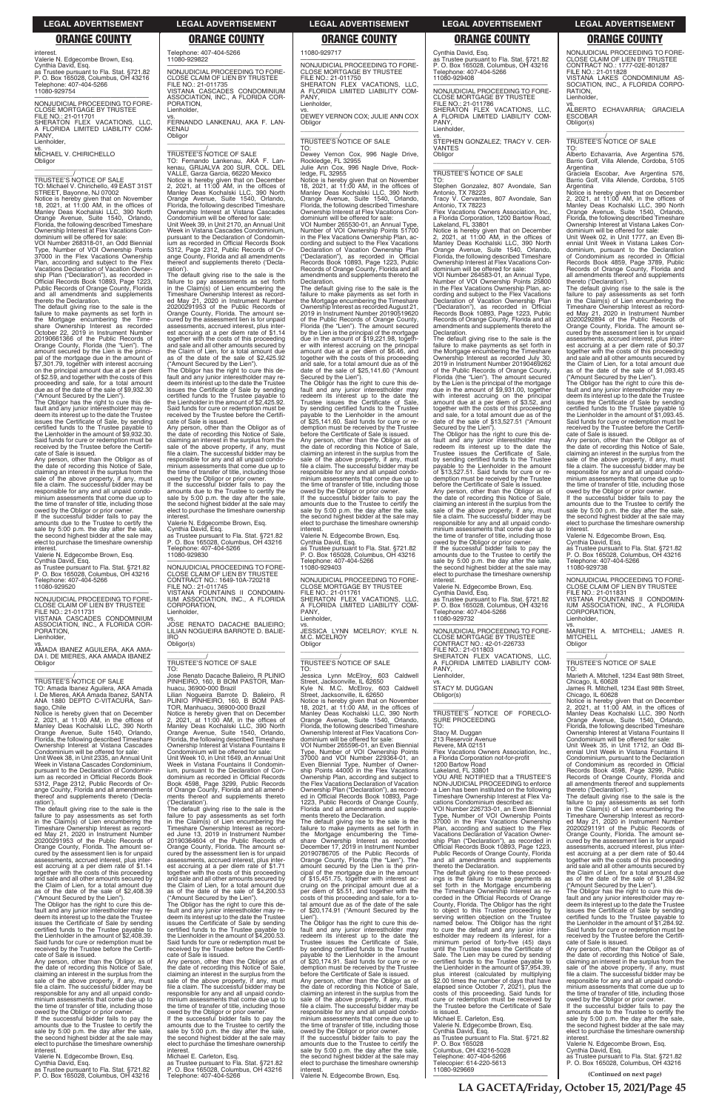**(Continued on next page)**

interest. Valerie N. Edgecombe Brown, Esq. Cynthia David, Esq. as Trustee pursuant to Fla. Stat. §721.82 P. O. Box 165028, Columbus, OH 43216 Telephone: 407-404-5266 11080-929754

**Obligor** \_\_\_\_\_\_\_\_\_\_\_\_\_\_\_\_\_\_\_\_\_\_\_\_\_\_\_\_\_\_\_\_\_

—————————————————— NONJUDICIAL PROCEEDING TO FORE-CLOSE MORTGAGE BY TRUSTEE **FILE NO** : 21-011701 SHERATON FLEX VACATIONS, LLC, A FLORIDA LIMITED LIABILITY COM-PANY, Lienholder,

vs. MICHAEL V. CHIRICHELLO

Notice is hereby given that on November<br>18, 2021, at 11:00 AM, in the offices of<br>Manley Deas Kochalski LLC, 390 North<br>Orange Avenue, Suite 1540, Orlando,<br>Florida, the following described Timeshare<br>Ownership Interest at Fle dominium will be offered for sale:

\_\_\_\_\_\_\_\_\_\_\_/ TRUSTEE'S NOTICE OF SALE TO: Michael V. Chirichello, 49 EAST 31ST STREET, Bayonne, NJ 07002

VOI Number 268318-01, an Odd Biennial Number of VOI Ownership Points 37000 in the Flex Vacations Ownership Plan, according and subject to the Flex Vacations Declaration of Vacation Owner-ship Plan ("Declaration"), as recorded in Official Records Book 10893, Page 1223, Public Records of Orange County, Florida and all amendments and supplements thereto the Declaration.

amounts due to the Trustee to certify the sale by 5:00 p.m. the day after the sale the second highest bidder at the sale may elect to purchase the timeshare ownership **interest** 

The default giving rise to the sale is the failure to make payments as set forth in the Mortgage encumbering the Time-share Ownership Interest as recorded October 22, 2019 in Instrument Number 20190661366 of the Public Records of Orange County, Florida (the "Lien"). The amount secured by the Lien is the principal of the mortgage due in the amount of \$7,301.79, together with interest accruing on the principal amount due at a per diem of \$2.59, and together with the costs of this proceeding and sale, for a total amount due as of the date of the sale of \$9,932.30

("Amount Secured by the Lien"). The Obligor has the right to cure this de-fault and any junior interestholder may redeem its interest up to the date the Trustee issues the Certificate of Sale, by sending certified funds to the Trustee payable to the Lienholder in the amount of \$9,932.30. Said funds for cure or redemption must be received by the Trustee before the Certifi-cate of Sale is issued.

Any person, other than the Obligor as of the date of recording this Notice of Sale, claiming an interest in the surplus from the sale of the above property, if any, must file a claim. The successful bidder may be responsible for any and all unpaid condo-minium assessments that come due up to the time of transfer of title, including those owed by the Obligor or prior owner. If the successful bidder fails to pay the

The Obligor has the right to cure this default and any junior interestholder may re-deem its interest up to the date the Trustee issues the Certificate of Sale by sending certified funds to the Trustee payable to the Lienholder in the amount of \$2,408.39. Said funds for cure or redemption must be received by the Trustee before the Certifi-cate of Sale is issued.

Valerie N. Edgecombe Brown, Esq.

Telephone: 407-404-5266 11080-020822

Cynthia David, Esq. as Trustee pursuant to Fla. Stat. §721.82 P. O. Box 165028, Columbus, OH 43216 Telephone: 407-404-5266 11080-929520

—————————————————— NONJUDICIAL PROCEEDING TO FORE-CLOSE CLAIM OF LIEN BY TRUSTEE<br>FILE NO.: 21-011731<br>VISTANA CASCADES CONDOMINIUM<br>ASSOCIATION, INC., A FLORIDA COR-PORATION,

Lienholder,

vs. AMADA IBANEZ AGUILERA, AKA AMA-DA I. DE MIERES, AKA AMADA IBANEZ Obligor \_\_\_\_\_\_\_\_\_\_\_\_\_\_\_\_\_\_\_\_\_\_\_\_\_\_\_\_\_\_\_\_\_

\_\_\_\_\_\_\_\_\_\_\_/ TRUSTEE'S NOTICE OF SALE

TO: Amada Ibanez Aguilera, AKA Amada I. De Mieres, AKA Amada Ibanez, SANTA ANA 1880 DEPTO C-VITACURA, Santiago, Chile

Notice is hereby given that on December 2, 2021, at 11:00 AM, in the offices of Manley Deas Kochalski LLC, 390 North Orange Avenue, Suite 1540, Orlando, Florida, the following described Timeshare Ownership Interest at Vistana Cascades Condominium will be offered for sale:

Unit Week 38, in Unit 2335, an Annual Unit Week in Vistana Cascades Condominium, pursuant to the Declaration of Condominium as recorded in Official Records Book 5312, Page 2312, Public Records of Orange County, Florida and all amendments thereof and supplements thereto ('Declaration').

The default giving rise to the sale is the

failure to pay assessments as set forth in the Claim(s) of Lien encumbering the Timeshare Ownership Interest as recorded May 21, 2020 in Instrument Number 20200291953 of the Public Records of Orange County, Florida. The amount secured by the assessment lien is for unpaid assessments, accrued interest, plus interest accruing at a per diem rate of \$1.14 together with the costs of this proceeding and sale and all other amounts secured by the Claim of Lien, for a total amount due as of the date of the sale of \$2,408.39 ("Amount Secured by the Lien").

Notice is hereby given that on December<br>2, 2021, at 11:00 AM, in the offices of<br>Manley Deas Kochalski LLC, 390 North<br>Orange Avenue, Suite 1540, Orlando,<br>Florida, the following described Timeshare Ownership Interest at Vistana Fountains II Condominium will be offered for sale: Unit Week 10, in Unit 1649, an Annual Unit Week in Vistana Fountains II Condominium, pursuant to the Declaration of Condominium as recorded in Official Records Book 4598, Page 3299, Public Records of Orange County, Florida and all amendments thereof and supplements thereto

Any person, other than the Obligor as of the date of recording this Notice of Sale, claiming an interest in the surplus from the sale of the above property, if any, must file a claim. The successful bidder may be responsible for any and all unpaid condominium assessments that come due up to the time of transfer of title, including those owed by the Obligor or prior owner.

If the successful bidder fails to pay the amounts due to the Trustee to certify the sale by 5:00 p.m. the day after the sale, the second highest bidder at the sale may elect to purchase the timeshare ownership interest.

Valerie N. Edgecombe Brown, Esq.

Cynthia David, Esq. as Trustee pursuant to Fla. Stat. §721.82 P. O. Box 165028, Columbus, OH 43216

—————————————————— NONJUDICIAL PROCEEDING TO FORE-CLOSE CLAIM OF LIEN BY TRUSTEE FILE NO.: 21-011735 VISTANA CASCADES CONDOMINIUM ASSOCIATION, INC., A FLORIDA COR-

PORATION, Lienholder,

**KENAU Obligor** 

vs. FERNANDO LANKENAU, AKA F. LAN-

\_\_\_\_\_\_\_\_\_\_\_\_\_\_\_\_\_\_\_\_\_\_\_\_\_\_\_\_\_\_\_\_\_ \_\_\_\_\_\_\_\_\_\_\_/ TRUSTEE'S NOTICE OF SALE

TO: Fernando Lankenau, AKA F. Lan-kenau, GRIJALVA 200 SUR, COL. DEL VALLE, Garza Garcia, 66220 Mexico Notice is hereby given that on December 2, 2021, at 11:00 AM, in the offices of Manley Deas Kochalski LLC, 390 North Orange Avenue, Suite 1540, Orlando, Florida, the following described Timeshare Ownership Interest at Vistana Cascades Condominium will be offered for sale: Unit Week 39, in Unit 2170, an Annual Unit Week in Vistana Cascades Condominium, pursuant to the Declaration of Condominium as recorded in Official Records Book 5312, Page 2312, Public Records of Orange County, Florida and all amendments thereof and supplements thereto ('Decla-

ration').

The default giving rise to the sale is the failure to pay assessments as set forth in the Claim(s) of Lien encumbering the

> the date of recording this Notice of Sale,<br>claiming an interest in the surplus from the<br>sale of the above property, if any, must<br>file a claim. The successful bidder may be responsible for any and all unpaid condo-minium assessments that come due up to the time of transfer of title, including those

> Notice is hereby given that on November<br>18, 2021, at 11:00 AM, in the offices of<br>Manley Deas Kochalski LLC, 390 North<br>Orange Avenue, Suite 1540, Orlando,<br>Florida, the following described Timeshare<br>Ownership Interest at Fle dominium will be offered for sale:

Timeshare Ownership Interest as record-ed May 21, 2020 in Instrument Number 20200291953 of the Public Records of Orange County, Florida. The amount secured by the assessment lien is for unpaid assessments, accrued interest, plus interest accruing at a per diem rate of \$1.14 together with the costs of this proceeding and sale and all other amounts secured by the Claim of Lien, for a total amount due as of the date of the sale of \$2,425.92 ("Amount Secured by the Lien"). The Obligor has the right to cure this default and any junior interestholder may re-deem its interest up to the date the Trustee issues the Certificate of Sale by sending certified funds to the Trustee payable to the Lienholder in the amount of \$2,425.92. Said funds for cure or redemption must be received by the Trustee before the Certifi-cate of Sale is issued. Any person, other than the Obligor as of the date of recording this Notice of Sale, claiming an interest in the surplus from the sale of the above property, if any, must file a claim. The successful bidder may be responsible for any and all unpaid condominium assessments that come due up to the time of transfer of title, including those owed by the Obligor or prior owner. If the successful bidder fails to pay the amounts due to the Trustee to certify the sale by 5:00 p.m. the day after the sale, the second highest bidder at the sale may elect to purchase the timeshare ownership

The default giving rise to the sale is the failure to make payments as set forth in the Mortgage encumbering the Time-share Ownership Interest as recorded December 17, 2019 in Instrument Number 20190786705 of the Public Records of Orange County, Florida (the "Lien"). The amount secured by the Lien is the principal of the mortgage due in the amount of \$15,451.75, together with interest accruing on the principal amount due at a per diem of \$5.51, and together with the costs of this proceeding and sale, for a to-tal amount due as of the date of the sale of \$20,174.91 ("Amount Secured by the  $\sum_{n=1}^{\infty}$ 

interest.

Valerie N. Edgecombe Brown, Esq. Cynthia David, Esq. as Trustee pursuant to Fla. Stat. §721.82 P. O. Box 165028, Columbus, OH 43216

Telephone: 407-404-5266 11080-929830

—————————————————— NONJUDICIAL PROCEEDING TO FORE-CLOSE CLAIM OF LIEN BY TRUSTEE CONTRACT NO.: 1649-10A-720218 FILE NO.: 21-011745 VISTANA FOUNTAINS II CONDOMIN-IUM ASSOCIATION, INC., A FLORIDA CORPORATION, Lienholder, vs. JOSE RENATO DACACHE BALIEIRO; LILIAN NOGUEIRA BARROTE D. BALIE-IRO Obligor(s) \_\_\_\_\_\_\_\_\_\_\_\_\_\_\_\_\_\_\_\_\_\_\_\_\_\_\_\_\_\_\_\_\_

\_\_\_\_\_\_\_\_\_\_\_/ TRUSTEE'S NOTICE OF SALE

TO:

Jose Renato Dacache Balieiro, R PLINIO PINHEIRO, 160, B BOM PASTOR, Man-huacu, 36900-000 Brazil Lilian Nogueira Barrote D. Balieiro, R PLINIO PINHEIRO, 160, B BOM PAS-TOR, Manhuacu, 36900-000 Brazil

('Declaration').

The default giving rise to the sale is the

failure to pay assessments as set forth in the Claim(s) of Lien encumbering the Timeshare Ownership Interest as record-ed June 13, 2019 in Instrument Number 20190364604 of the Public Records of Orange County, Florida. The amount secured by the assessment lien is for unpaid assessments, accrued interest, plus interest accruing at a per diem rate of \$1.71 together with the costs of this proceeding and sale and all other amounts secured by the Claim of Lien, for a total amount due as of the date of the sale of \$4,200.53 ("Amount Secured by the Lien").

PANY Lienholder,

\_\_\_\_\_\_\_\_\_\_\_/<br>TRUSTEE'S NOTICE OF FORECLO-<br>SURE PROCEEDING TO:

The Obligor has the right to cure this default and any junior interestholder may re-deem its interest up to the date the Trustee issues the Certificate of Sale by sending certified funds to the Trustee payable to the Lienholder in the amount of \$4,200.53. Said funds for cure or redemption must be received by the Trustee before the Certifi-cate of Sale is issued.

Any person, other than the Obligor as of the date of recording this Notice of Sale, claiming an interest in the surplus from the sale of the above property, if any, must file a claim. The successful bidder may be responsible for any and all unpaid condominium assessments that come due up to the time of transfer of title, including those owed by the Obligor or prior owner.

If the successful bidder fails to pay the amounts due to the Trustee to certify the sale by 5:00 p.m. the day after the sale, the second highest bidder at the sale may elect to purchase the timeshare ownership<br>interest

interest. Michael E. Carleton, Esq. as Trustee pursuant to Fla. Stat. §721.82 P. O. Box 165028, Columbus, OH 43216 Telephone: 407-404-5266

TO: Alberto Echavarria, Ave Argentina 576, Barrio Golf, Villa Allende, Cordoba, 5105 **Argentina** 

11080-929717

—————————————————— NONJUDICIAL PROCEEDING TO FORE-CLOSE MORTGAGE BY TRUSTEE FILE NO.: 21-011750 SHERATON FLEX VACATIONS, LLC, A FLORIDA LIMITED LIABILITY COM-PANY, Lienholder,

vs. DEWEY VERNON COX; JULIE ANN COX Obligor \_\_\_\_\_\_\_\_\_\_\_\_\_\_\_\_\_\_\_\_\_\_\_\_\_\_\_\_\_\_\_\_\_

# \_\_\_\_\_\_\_\_\_\_\_/ TRUSTEE'S NOTICE OF SALE

TO: Dewey Vernon Cox, 996 Nagle Drive, Rockledge, FL 32955 Julie Ann Cox, 996 Nagle Drive, Rock-

ledge, FL 32955 Notice is hereby given that on November 18, 2021, at 11:00 AM, in the offices of Manley Deas Kochalski LLC, 390 North Orange Avenue, Suite 1540, Orlando, Florida, the following described Timeshare Ownership Interest at Flex Vacations Condominium will be offered for sale:

> Any person, other than the Obligor as of the date of recording this Notice of Sale, claiming an interest in the surplus from the<br>sale of the above property, if any, must<br>file a claim. The successful bidder may be responsible for any and all unpaid condominium assessments that come due up to the time of transfer of title, including those

VOI Number 265530-01, an Annual Type, Number of VOI Ownership Points 51700 in the Flex Vacations Ownership Plan, according and subject to the Flex Vacations Declaration of Vacation Ownership Plan<br>
("Declaration"), as recorded in Official ("Declaration"), as recorded in Official Records Book 10893, Page 1223, Public Records of Orange County, Florida and all amendments and supplements thereto the Declaration.

> owed by the Obligor or prior owner. If the successful bidder fails to pay the amounts due to the Trustee to certify the sale by 5:00 p.m. the day after the sale. the second highest bidder at the sale may elect to purchase the timeshare ownership **interest**

The default giving rise to the sale is the failure to make payments as set forth in the Mortgage encumbering the Timeshare Ownership Interest as recorded August 21, 2019 in Instrument Number 20190519620 of the Public Records of Orange County, Florida (the "Lien"). The amount secured by the Lien is the principal of the mortgage due in the amount of \$19,221.98, together with interest accruing on the principal amount due at a per diem of \$6.46, and together with the costs of this proceeding nd sale, for a total amount due as of th date of the sale of \$25,141.60 ("Amount Secured by the Lien").

> Notice is hereby given that on December<br>2, 2021, at 11:00 AM, in the offices of<br>Manley Deas Kochalski LLC, 390 North<br>Orange Avenue, Suite 1540, Orlando,<br>Florida, the following described Timeshare Ownership Interest at Vistana Fountains II Condominium will be offered for sale:

The Obligor has the right to cure this de-fault and any junior interestholder may redeem its interest up to the date the Trustee issues the Certificate of Sale, by sending certified funds to the Trustee payable to the Lienholder in the amount of \$25,141.60. Said funds for cure or re-demption must be received by the Trustee before the Certificate of Sale is issued. Any person, other than the Obligor as of

owed by the Obligor or prior owner. If the successful bidder fails to pay the amounts due to the Trustee to certify the sale by 5:00 p.m. the day after the sale the second highest bidder at the sale may elect to purchase the timeshare ownership

interest. Valerie N. Edgecombe Brown, Esq. Cynthia David, Esq. as Trustee pursuant to Fla. Stat. §721.82 P. O. Box 165028, Columbus, OH 43216 Telephone: 407-404-5266 11080-929403

—————————————————— NONJUDICIAL PROCEEDING TO FORE-CLOSE MORTGAGE BY TRUSTEE FILE NO.: 21-011761 SHERATON FLEX VACATIONS, LLC, A FLORIDA LIMITED LIABILITY COM-PANY, Lienholder,

vs. JESSICA LYNN MCELROY; KYLE N. M.C. MCELROY **Obligor** \_\_\_\_\_\_\_\_\_\_\_\_\_\_\_\_\_\_\_\_\_\_\_\_\_\_\_\_\_\_\_\_\_

# \_\_\_\_\_\_\_\_\_\_\_/ TRUSTEE'S NOTICE OF SALE

TO: Jessica Lynn McElroy, 603 Caldwell Street, Jacksonville, IL 62650 Kyle N. M.C. McElroy, 603 Caldwell Street, Jacksonville, IL 62650

VOI Number 265596-01, an Even Biennial Type, Number of VOI Ownership Points 37000 and VOI Number 229364-01, an Even Biennial Type, Number of Owner-ship Points 44000 in the Flex Vacations Ownership Plan, according and subject to the Flex Vacations Declaration of Vacation Ownership Plan ("Declaration"), as record-ed in Official Records Book 10893, Page 1223, Public Records of Orange County, Florida and all amendments and supple-

ments thereto the Declaratio

The Obligor has the right to cure this default and any junior interestholder may redeem its interest up to the date the Trustee issues the Certificate of Sale, by sending certified funds to the Trustee payable to the Lienholder in the amount of \$20,174.91. Said funds for cure or redemption must be received by the Trustee before the Certificate of Sale is issued. Any person, other than the Obligor as of the date of recording this Notice of Sale, claiming an interest in the surplus from the sale of the above property, if any, must file a claim. The successful bidder may be responsible for any and all unpaid condominium assessments that come due up to the time of transfer of title, including those owed by the Obligor or prior owner. If the successful bidder fails to pay the

amounts due to the Trustee to certify the sale by 5:00 p.m. the day after the sale the second highest bidder at the sale may elect to purchase the timeshare ownership interest.

Valerie N. Edgecombe Brown, Esq.

Cynthia David, Esq.

as Trustee pursuant to Fla. Stat. §721.82 P. O. Box 165028, Columbus, OH 43216 Telephone: 407-404-5266

11080-929408

—————————————————— NONJUDICIAL PROCEEDING TO FORE-

CLOSE MORTGAGE BY TRUSTEE FILE NO.: 21-011786 SHERATON FLEX VACATIONS, LLC, A FLORIDA LIMITED LIABILITY COM-

PANY, Lienholder,

vs. STEPHEN GONZALEZ; TRACY V. CER-

VANTES Obligor

Lakeland, FL 33801

\_\_\_\_\_\_\_\_\_\_\_\_\_\_\_\_\_\_\_\_\_\_\_\_\_\_\_\_\_\_\_\_\_ \_\_\_\_\_\_\_\_\_\_\_/ TRUSTEE'S NOTICE OF SALE

TO:

Stephen Gonzalez, 807 Avondale, San Antonio, TX 78223 Tracy V. Cervantes, 807 Avondale, San Antonio, TX 78223 Flex Vacations Owners Association, Inc. a Florida Corporation, 1200 Bartow Road,

Notice is hereby given that on December<br>2, 2021, at 11:00 AM, in the offices of<br>Manley Deas Kochalski LLC, 390 North<br>Orange Avenue, Suite 1540, Orlando,<br>Florida, the following described Timeshare

Ownership Interest at Flex Vacations Condominium will be offered for sale: VOI Number 264583-01, an Annual Type, Number of VOI Ownership Points 25800 in the Flex Vacations Ownership Plan, according and subject to the Flex Vacations Declaration of Vacation Ownership Plan ("Declaration"), as recorded in Official Records Book 10893, Page 1223, Public Records of Orange County, Florida and all amendments and supplements thereto the

Declaration.

The default giving rise to the sale is the failure to make payments as set forth in the Mortgage encumbering the Timeshare Ownership Interest as recorded July 30, 2019 in Instrument Number 20190469262 of the Public Records of Orange County, Florida (the "Lien"). The amount secured by the Lien is the principal of the mortgage due in the amount of \$9,931.00, together with interest accruing on the principal amount due at a per diem of \$3.52, and together with the costs of this proceeding and sale, for a total amount due as of the date of the sale of \$13,527.51 ("Amount Secured by the Lien"). The Obligor has the right to cure this de-fault and any junior interestholder may redeem its interest up to the date the Trustee issues the Certificate of Sale, by sending certified funds to the Trustee payable to the Lienholder in the amount of \$13,527.51. Said funds for cure or redemption must be received by the Trustee before the Certificate of Sale is issued. Any person, other than the Obligor as of the date of recording this Notice of Sale, claiming an interest in the surplus from the sale of the above property, if any, must file a claim. The successful bidder may be responsible for any and all unpaid condominium assessments that come due up to the time of transfer of title, including those owed by the Obligor or prior owner. If the successful bidder fails to pay the amounts due to the Trustee to certify the sale by 5:00 p.m. the day after the sale, the second highest bidder at the sale may elect to purchase the timeshare ownership

interest.

Valerie N. Edgecombe Brown, Esq. Cynthia David, Esq. as Trustee pursuant to Fla. Stat. §721.82 P. O. Box 165028, Columbus, OH 43216

Telephone: 407-404-5266 11080-929732

—————————————————— NONJUDICIAL PROCEEDING TO FORE-CLOSE MORTGAGE BY TRUSTEE CONTRACT NO.: 42-01-226733

FILE NO.: 21-011803 SHERATON FLEX VACATIONS, LLC, A FLORIDA LIMITED LIABILITY COM-

vs. STACY M. DUGGAN Obligor(s) \_\_\_\_\_\_\_\_\_\_\_\_\_\_\_\_\_\_\_\_\_\_\_\_\_\_\_\_\_\_\_\_\_

Stacy M. Duggan 213 Reservoir Avenue

Revere, MA 02151 Flex Vacations Owners Association, Inc., a Florida Corporation not-for-profit

1200 Bartow Road Lakeland, FL 33801 YOU ARE NOTIFIED that a TRUSTEE'S

NON-JUDICIAL PROCEEDING to enforce a Lien has been instituted on the following Timeshare Ownership Interest at Flex Va-

cations Condominium described as: VOI Number 226733-01, an Even Biennial

Type, Number of VOI Ownership Points 37000 in the Flex Vacations Ownership Plan, according and subject to the Flex Vacations Declaration of Vacation Ownership Plan ("Declaration"), as recorded in Official Records Book 10893, Page 1223, Public Records of Orange County, Florida and all amendments and supplements thereto the Declaration.

The default giving rise to these proceed-ings is the failure to make payments as set forth in the Mortgage encumbering the Timeshare Ownership Interest as recorded in the Official Records of Orange County, Florida. The Obligor has the right to object to this Trustee proceeding by serving written objection on the Trustee named below. The Obligor has the right to cure the default and any junior inter-estholder may redeem its interest, for a minimum period of forty-five (45) days until the Trustee issues the Certificate of Sale. The Lien may be cured by sending certified funds to the Trustee payable to the Lienholder in the amount of \$7,954.39, plus interest (calculated by multiplying \$2.00 times the number of days that have elapsed since October 7, 2021), plus the costs of this proceeding. Said funds for cure or redemption must be received by the Trustee before the Certificate of Sale<br>is issued is issued. Michael E. Carleton, Esq. Valerie N. Edgecombe Brown, Esq. Cynthia David, Esq. as Trustee pursuant to Fla. Stat. §721.82 P. O. Box 165028 Columbus, OH 43216-5028 Telephone: 407-404-5266 Telecopier: 614-220-5613 11080-929669

——————————————————

NONJUDICIAL PROCEEDING TO FORE-CLOSE CLAIM OF LIEN BY TRUSTEE CONTRACT NO.: 1777-02E-801287 FILE NO.: 21-011828 VISTANA LAKES CONDOMINIUM AS-SOCIATION, INC., A FLORIDA CORPO-RATION,

Lienholder, vs. ALBERTO ECHAVARRIA; GRACIELA ESCOBAR Obligor(s)

\_\_\_\_\_\_\_\_\_\_\_\_\_\_\_\_\_\_\_\_\_\_\_\_\_\_\_\_\_\_\_\_\_

\_\_\_\_\_\_\_\_\_\_\_/ TRUSTEE'S NOTICE OF SALE

Graciela Escobar, Ave Argentina 576, Barrio Golf, Villa Allende, Cordoba, 5105 Argentina

Notice is hereby given that on December 2, 2021, at 11:00 AM, in the offices of Manley Deas Kochalski LLC, 390 North Orange Avenue, Suite 1540, Orlando, Florida, the following described Timeshare Ownership Interest at Vistana Lakes Condominium will be offered for sale:

Unit Week 02, in Unit 1777, an Even Biennial Unit Week in Vistana Lakes Condominium, pursuant to the Declaration of Condominium as recorded in Official Records Book 4859, Page 3789, Public Records of Orange County, Florida and all amendments thereof and supplements thereto ('Declaration').

The default giving rise to the sale is the failure to pay assessments as set forth<br>Timeshare Ownership Interest as record-<br>ed May 21, 2020 in Instrument Number<br>20200292894 of the Public Records of Orange County, Florida. The amount se-cured by the assessment lien is for unpaid assessments, accrued interest, plus interest accruing at a per diem rate of \$0.37 together with the costs of this proceeding and sale and all other amounts secured by the Claim of Lien, for a total amount due as of the date of the sale of \$1,093.45

("Amount Secured by the Lien"). The Obligor has the right to cure this default and any junior interestholder may redeem its interest up to the date the Trustee issues the Certificate of Sale by sending certified funds to the Trustee payable to the Lienholder in the amount of \$1,093.45. Said funds for cure or redemption must be received by the Trustee before the Certificate of Sale is issued.

Valerie N. Edgecombe Brown, Esq.

Cynthia David, Esq. as Trustee pursuant to Fla. Stat. §721.82 P. O. Box 165028, Columbus, OH 43216

Telephone: 407-404-5266 11080-929738 —————————————————— NONJUDICIAL PROCEEDING TO FORE-CLOSE CLAIM OF LIEN BY TRUSTEE FILE NO.: 21-011831 VISTANA FOUNTAINS II CONDOMIN-IUM ASSOCIATION, INC., A FLORIDA **CORPORATION** Lienholder,

vs. MARIETH A. MITCHELL; JAMES R.

**Obligor** 

MITCHELL \_\_\_\_\_\_\_\_\_\_\_\_\_\_\_\_\_\_\_\_\_\_\_\_\_\_\_\_\_\_\_\_\_

\_\_\_\_\_\_\_\_\_\_\_/ TRUSTEE'S NOTICE OF SALE

TO:

Marieth A. Mitchell, 1234 East 98th Street, Chicago, IL 60628 James R. Mitchell, 1234 East 98th Street, Chicago, IL 60628

Unit Week 35, in Unit 1712, an Odd Biennial Unit Week in Vistana Fountains II Condominium, pursuant to the Declaration of Condominium as recorded in Official Records Book 4598, Page 3299, Public Records of Orange County, Florida and all amendments thereof and supplements thereto ('Declaration').

The default giving rise to the sale is the failure to pay assessments as set forth in the Claim(s) of Lien encumbering the Timeshare Ownership Interest as recorded May 21, 2020 in Instrument Number 20200291191 of the Public Records of Orange County, Florida. The amount se-cured by the assessment lien is for unpaid assessments, accrued interest, plus interest accruing at a per diem rate of \$0.44 together with the costs of this proceeding and sale and all other amounts secured by the Claim of Lien, for a total amount due as of the date of the sale of \$1,284.92 ("Amount Secured by the Lien"). The Obligor has the right to cure this de-fault and any junior interestholder may re-deem its interest up to the date the Trustee issues the Certificate of Sale by sending certified funds to the Trustee payable to the Lienholder in the amount of \$1,284.92. Said funds for cure or redemption must be received by the Trustee before the Certificate of Sale is issued. Any person, other than the Obligor as of the date of recording this Notice of Sale, claiming an interest in the surplus from the sale of the above property, if any, must file a claim. The successful bidder may be responsible for any and all unpaid condominium assessments that come due up to the time of transfer of title, including those owed by the Obligor or prior owner. If the successful bidder fails to pay the amounts due to the Trustee to certify the sale by 5:00 p.m. the day after the sale, the second highest bidder at the sale may elect to purchase the timeshare ownership interest. Valerie N. Edgecombe Brown, Esq.

Cynthia David, Esq. as Trustee pursuant to Fla. Stat. §721.82 P. O. Box 165028, Columbus, OH 43216

**LA GACETA/Friday, October 15, 2021/Page 45**

### **LEGAL ADVERTISEMENT LEGAL ADVERTISEMENT LEGAL ADVERTISEMENT LEGAL ADVERTISEMENT LEGAL ADVERTISEMENT**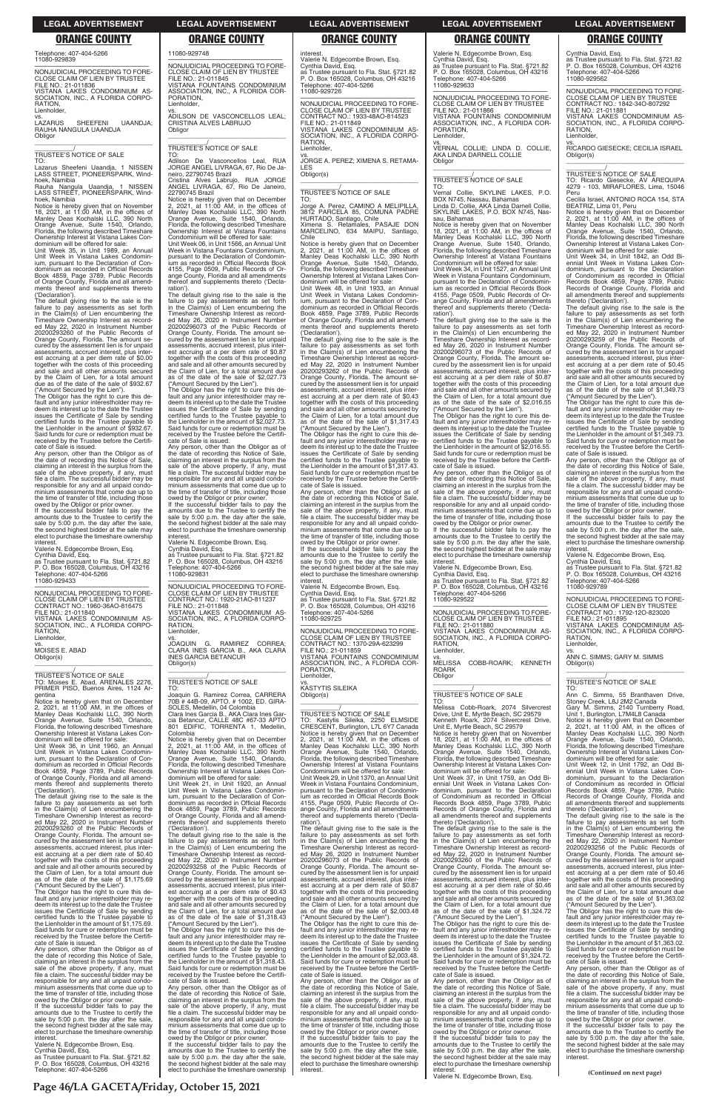**Page 46/LA GACETA/Friday, October 15, 2021**

—————————————————— NONJUDICIAL PROCEEDING TO FORE-CLOSE CLAIM OF LIEN BY TRUSTEE CONTRACT NO.: 1842-34O-807292 FILE NO.: 21-011881 VISTANA LAKES CONDOMINIUM AS-SOCIATION, INC., A FLORIDA CORPO-RATION, **Lienholder** 

Cynthia David, Esq. as Trustee pursuant to Fla. Stat. §721.82 P. O. Box 165028, Columbus, OH 43216 Telephone: 407-404-5266 11080-929562

vs. RICARDO GIESECKE; CECILIA ISRAEL Obligor(s) \_\_\_\_\_\_\_\_\_\_\_\_\_\_\_\_\_\_\_\_\_\_\_\_\_\_\_\_\_\_\_\_\_

# \_\_\_\_\_\_\_\_\_\_\_/ TRUSTEE'S NOTICE OF SALE

TO: Ricardo Giesecke, AV AREQUIPA 4279 - 103, MIRAFLORES, Lima, 15046 Peru Cecilia Israel, ANTONIO ROCA 154, STA

BEATRIZ, Lima 01, Peru Notice is hereby given that on December 2, 2021, at 11:00 AM, in the offices of Manley Deas Kochalski LLC, 390 North

Orange Avenue, Suite 1540, Orlando, Florida, the following described Timeshare Ownership Interest at Vistana Lakes Condominium will be offered for sale: Unit Week 34, in Unit 1842, an Odd Bi-

ennial Unit Week in Vistana Lakes Con-dominium, pursuant to the Declaration of Condominium as recorded in Official Records Book 4859, Page 3789, Public Records of Orange County, Florida and all amendments thereof and supplements

thereto ('Declaration'). The default giving rise to the sale is the failure to pay assessments as set forth in the Claim(s) of Lien encumbering the Timeshare Ownership Interest as record-ed May 22, 2020 in Instrument Number 20200293259 of the Public Records of Orange County, Florida. The amount se-cured by the assessment lien is for unpaid assessments, accrued interest, plus inter-est accruing at a per diem rate of \$0.45 together with the costs of this proceeding and sale and all other amounts secured by the Claim of Lien, for a total amount due as of the date of the sale of \$1,349.73

("Amount Secured by the Lien"). The Obligor has the right to cure this de-fault and any junior interestholder may redeem its interest up to the date the Trustee issues the Certificate of Sale by sending certified funds to the Trustee payable to the Lienholder in the amount of \$1,349.73. Said funds for cure or redemption must be received by the Trustee before the Certifi-

cate of Sale is issued. Any person, other than the Obligor as of the date of recording this Notice of Sale, claiming an interest in the surplus from the sale of the above property, if any, must file a claim. The successful bidder may be responsible for any and all unpaid condo-minium assessments that come due up to the time of transfer of title, including those

owed by the Obligor or prior owner. If the successful bidder fails to pay the amounts due to the Trustee to certify the sale by 5:00 p.m. the day after the sale, the second highest bidder at the sale may elect to purchase the timeshare ownership interest.

Valerie N. Edgecombe Brown, Esq. Cynthia David, Esq.

as Trustee pursuant to Fla. Stat. §721.82 P. O. Box 165028, Columbus, OH 43216 Telephone: 407-404-5266 11080-929789

vs.<br>LAZARUS SHEEFENI UAANDJA; RAUHA NANGULA UAANDJA **Obligor** \_\_\_\_\_\_\_\_\_\_\_\_\_\_\_\_\_\_\_\_\_\_\_\_\_\_\_\_\_\_\_\_\_

> —————————————————— NONJUDICIAL PROCEEDING TO FORE-CLOSE CLAIM OF LIEN BY TRUSTEE CONTRACT NO.: 1792-12O-823020 FILE NO.: 21-011895

VISTANA LAKES CONDOMINIUM AS-SOCIATION, INC., A FLORIDA CORPO-RATION, Lienholder,

 $\overline{\phantom{a}}$  , and the set of the set of the set of the set of the set of the set of the set of the set of the set of the set of the set of the set of the set of the set of the set of the set of the set of the set of the s

vs. ANN C. SIMMS; GARY M. SIMMS Obligor(s)

# \_\_\_\_\_\_\_\_\_\_\_/ TRUSTEE'S NOTICE OF SALE

TO: Ann C. Simms, 55 Branthaven Drive, Stoney Creek, L8J 2M2 Canada Gary M. Simms, 2140 Turnberry Road, Unit 1, Burlington, L7M4L8 Canada

Notice is hereby given that on December 2, 2021, at 11:00 AM, in the offices of Manley Deas Kochalski LLC, 390 North Orange Avenue, Suite 1540, Orlando, Florida, the following described Timeshare Ownership Interest at Vistana Lakes Con-

dominium will be offered for sale: Unit Week 12, in Unit 1792, an Odd Bi-ennial Unit Week in Vistana Lakes Condominium, pursuant to the Declaration of Condominium as recorded in Official Records Book 4859, Page 3789, Public Records of Orange County, Florida and all amendments thereof and supplements

thereto ('Declaration'). The default giving rise to the sale is the failure to pay assessments as set forth in the Claim(s) of Lien encumbering the Timeshare Ownership Interest as record-ed May 22, 2020 in Instrument Number 20200293256 of the Public Records of Orange County, Florida. The amount se-cured by the assessment lien is for unpaid assessments, accrued interest, plus interest accruing at a per diem rate of \$0.46 together with the costs of this proceeding and sale and all other amounts secured by the Claim of Lien, for a total amount due as of the date of the sale of \$1,363.02 ("Amount Secured by the Lien"). The Obligor has the right to cure this de-fault and any junior interestholder may re-deem its interest up to the date the Trustee issues the Certificate of Sale by sending certified funds to the Trustee payable to the Lienholder in the amount of \$1,363.02. Said funds for cure or redemption must be received by the Trustee before the Certifi-cate of Sale is issued. Any person, other than the Obligor as of the date of recording this Notice of Sale, claiming an interest in the surplus from the sale of the above property, if any, must file a claim. The successful bidder may be responsible for any and all unpaid condominium assessments that come due up to the time of transfer of title, including those owed by the Obligor or prior owner. If the successful bidder fails to pay the amounts due to the Trustee to certify the sale by 5:00 p.m. the day after the sale, the second highest bidder at the sale may elect to purchase the timeshare ownership interest.

Telephone: 407-404-5266 11080-929839

—————————————————— NONJUDICIAL PROCEEDING TO FORE-CLOSE CLAIM OF LIEN BY TRUSTEE FILE NO.: 21-011836 VISTANA LAKES CONDOMINIUM AS-SOCIATION, INC., A FLORIDA CORPO-RATION, Lienholder,

> $\overline{\phantom{a}}$  , and the set of the set of the set of the set of the set of the set of the set of the set of the set of the set of the set of the set of the set of the set of the set of the set of the set of the set of the s \_\_\_\_\_\_\_\_\_\_\_/ TRUSTEE'S NOTICE OF SALE

# \_\_\_\_\_\_\_\_\_\_\_/ TRUSTEE'S NOTICE OF SALE

TO:

Lazarus Sheefeni Uaandja, 1 NISSEN LASS STREET, PIONEERSPARK, Windhoek, Namibia

Rauha Nangula Uaandja, 1 NISSEN LASS STREET, PIONEERSPARK, Windhoek, Namibia

Notice is hereby given that on November 18, 2021, at 11:00 AM, in the offices of Manley Deas Kochalski LLC, 390 North Orange Avenue, Suite 1540, Orlando, Florida, the following described Timeshare Ownership Interest at Vistana Lakes Con-

dominium will be offered for sale: Unit Week 35, in Unit 1989, an Annual Unit Week in Vistana Lakes Condominium, pursuant to the Declaration of Con-dominium as recorded in Official Records Book 4859, Page 3789, Public Records of Orange County, Florida and all amend-ments thereof and supplements thereto ('Declaration').

The default giving rise to the sale is the failure to pay assessments as set forth in the Claim(s) of Lien encumbering the Timeshare Ownership Interest as record-ed May 22, 2020 in Instrument Number 20200293260 of the Public Records of Orange County, Florida. The amount se-cured by the assessment lien is for unpaid assessments, accrued interest, plus interest accruing at a per diem rate of \$0.00 together with the costs of this proceeding and sale and all other amounts secured by the Claim of Lien, for a total amount due as of the date of the sale of \$932.67 ("Amount Secured by the Lien").

> —————————————————— NONJUDICIAL PROCEEDING TO FORE**interest**

JOAQUIN G. RAMIREZ CORREA; CLARA INES GARCIA B., AKA CLARA INES GARCIA BETANCUR Obligor(s)  $\overline{\phantom{a}}$  , and the set of the set of the set of the set of the set of the set of the set of the set of the set of the set of the set of the set of the set of the set of the set of the set of the set of the set of the s

The Obligor has the right to cure this de-fault and any junior interestholder may re-deem its interest up to the date the Trustee issues the Certificate of Sale by sending certified funds to the Trustee payable to the Lienholder in the amount of \$932.67. Said funds for cure or redemption must be received by the Trustee before the Certifi-cate of Sale is issued.

Any person, other than the Obligor as of the date of recording this Notice of Sale, claiming an interest in the surplus from the sale of the above property, if any, must file a claim. The successful bidder may be responsible for any and all unpaid condominium assessments that come due up to the time of transfer of title, including those owed by the Obligor or prior owner.

If the successful bidder fails to pay the amounts due to the Trustee to certify the sale by 5:00 p.m. the day after the sale, the second highest bidder at the sale may elect to purchase the timeshare ownership interest.

Valerie N. Edgecombe Brown, Esq. Cynthia David, Esq. as Trustee pursuant to Fla. Stat. §721.82 P. O. Box 165028, Columbus, OH 43216 Telephone: 407-404-5266 11080-929433

interest Valerie N. Edgecombe Brown, Esq. Cynthia David, Esq.

—————————————————— NONJUDICIAL PROCEEDING TO FORE-CLOSE CLAIM OF LIEN BY TRUSTEE CONTRACT NO.: 1960-36AO-816475 FILE NO.: 21-011840 VISTANA LAKES CONDOMINIUM AS-SOCIATION, INC., A FLORIDA CORPO-RATION, Lienholder,

vs. MOISES E. ABAD Obligor(s)

\_\_\_\_\_\_\_\_\_\_\_\_\_\_\_\_\_\_\_\_\_\_\_\_\_\_\_\_\_\_\_\_\_

TO:<br>Jorge<br>3812 A. Perez, CAMINO A MELIPILLA 3812 PARCELA 85, COMUNA PADRE HURTADO, Santiago, Chile Ximena S. Retamales, PASAJE DON MARCELINO, 634 MAIPU, Santiago, Chile

\_\_\_\_\_\_\_\_\_\_\_/ TRUSTEE'S NOTICE OF SALE TO: Moises E. Abad, ARENALES 2276, PRIMER PISO, Buenos Aires, 1124 Argentina

Notice is hereby given that on December 2, 2021, at 11:00 AM, in the offices of Manley Deas Kochalski LLC, 390 North Orange Avenue, Suite 1540, Orlando, Florida, the following described Timeshare Ownership Interest at Vistana Lakes Con-

dominium will be offered for sale: Unit Week 36, in Unit 1960, an Annual Unit Week in Vistana Lakes Condominium, pursuant to the Declaration of Con-dominium as recorded in Official Records Book 4859, Page 3789, Public Records of Orange County, Florida and all amend-ments thereof and supplements thereto ('Declaration').

The default giving rise to the sale is the failure to pay assessments as set forth in the Claim(s) of Lien encumbering the

Timeshare Ownership Interest as record-ed May 22, 2020 in Instrument Number 20200293260 of the Public Records of Orange County, Florida. The amount se-cured by the assessment lien is for unpaid assessments, accrued interest, plus interest accruing at a per diem rate of \$0.40 together with the costs of this proceeding and sale and all other amounts secured by the Claim of Lien, for a total amount due as of the date of the sale of \$1,175.69 ("Amount Secured by the Lien").

The Obligor has the right to cure this de-fault and any junior interestholder may re-deem its interest up to the date the Trustee issues the Certificate of Sale by sending certified funds to the Trustee payable to the Lienholder in the amount of \$1,175.69. Said funds for cure or redemption must be received by the Trustee before the Certifi-cate of Sale is issued.

Any person, other than the Obligor as of the date of recording this Notice of Sale, claiming an interest in the surplus from the sale of the above property, if any, must file a claim. The successful bidder may be responsible for any and all unpaid condominium assessments that come due up to the time of transfer of title, including those owed by the Obligor or prior owner.

If the successful bidder fails to pay the amounts due to the Trustee to certify the sale by 5:00 p.m. the day after the sale, the second highest bidder at the sale may elect to purchase the timeshare ownership interest.

Valerie N. Edgecombe Brown, Esq. Cynthia David, Esq. as Trustee pursuant to Fla. Stat. §721.82

P. O. Box 165028, Columbus, OH 43216 Telephone: 407-404-5266

ereto ('Declaration').

11080-929748

Valerie N. Edgecombe Brown, Esq. Cynthia David, Esq. as Trustee pursuant to Fla. Stat. §721.82 P. O. Box 165028, Columbus, OH 43216 Telephone: 407-404-5266 Telephone: 407<br>11080-929633

—————————————————— NONJUDICIAL PROCEEDING TO FORE-CLOSE CLAIM OF LIEN BY TRUSTEE FILE NO.: 21-011845 VISTANA FOUNTAINS CONDOMINIUM ASSOCIATION, INC., A FLORIDA COR-

PORATION, Lienholder,

vs. ADILSON DE VASCONCELLOS LEAL; CRISTINA ALVES LABRUJO

Obligor

TO: Adilson De Vasconcellos Leal, RUA JORGE ANGEL LIVRAGA, 67, Rio De Janeiro, 22790745 Brazil Cristina Alves Labrujo, RUA JORGE ANGEL LIVRAGA, 67, Rio De Janeiro,

22790745 Brazil

Notice is hereby given that on December 2, 2021, at 11:00 AM, in the offices of Manley Deas Kochalski LLC, 390 North Orange Avenue, Suite 1540, Orlando,

Florida, the following described Timeshare Ownership Interest at Vistana Fountains Condominium will be offered for sale: Unit Week 06, in Unit 1566, an Annual Unit Week in Vistana Fountains Condominium, pursuant to the Declaration of Condominium as recorded in Official Records Book 4155, Page 0509, Public Records of Or-ange County, Florida and all amendments thereof and supplements thereto ('Declaration'). The default giving rise to the sale is the failure to pay assessments as set forth in the Claim(s) of Lien encumbering the Timeshare Ownership Interest as recorded May 26, 2020 in Instrument Number 20200296073 of the Public Records of Orange County, Florida. The amount secured by the assessment lien is for unpaid assessments, accrued interest, plus inter-est accruing at a per diem rate of \$0.87 together with the costs of this proceeding and sale and all other amounts secured by the Claim of Lien, for a total amount due as of the date of the sale of \$2,027.73 ("Amount Secured by the Lien"). The Obligor has the right to cure this default and any junior interestholder may re-deem its interest up to the date the Trustee issues the Certificate of Sale by sending certified funds to the Trustee payable to the Lienholder in the amount of \$2,027.73. Said funds for cure or redemption must be received by the Trustee before the Certifi-

> TO: Melissa Cobb-Roark, 2074 Silvercrest Drive, Unit E, Myrtle Beach, SC 29579 Kenneth Roark, 2074 Silvercrest Drive,<br>Unit E, Myrtle Beach, SC 29579<br>Notice is hereby given that on November<br>18, 2021, at 11:00 AM, in the offices of<br>Manley Deas Kochalski LLC, 390 North<br>Orange Avenue, Suite 1540, Orlando

Unit Week 37, in Unit 1759, an Odd Bi-ennial Unit Week in Vistana Lakes Con-dominium, pursuant to the Declaration of Condominium as recorded in Official Records Book 4859, Page 3789, Public Records of Orange County, Florida and ants thereof an

cate of Sale is issued.

Any person, other than the Obligor as of the date of recording this Notice of Sale, claiming an interest in the surplus from the sale of the above property, if any, must file a claim. The successful bidder may be responsible for any and all unpaid condominium assessments that come due up to the time of transfer of title, including those owed by the Obligor or prior owner. If the successful bidder fails to pay the amounts due to the Trustee to certify the sale by 5:00 p.m. the day after the sale, the second highest bidder at the sale may elect to purchase the timeshare ownership interest. Valerie N. Edgecombe Brown, Esq. Cynthia David, Esq. as Trustee pursuant to Fla. Stat. §721.82 P. O. Box 165028, Columbus, OH 43216

> Any person, other than the Obligor as of the date of recording this Notice of Sale, claiming an interest in the surplus from the sale of the above property, if any, must file a claim. The successful bidder may be responsible for any and all unpaid condo-minium assessments that come due up to the time of transfer of title, including those

Telephone: 407-404-5266

11080-929831

CLOSE CLAIM OF LIEN BY TRUSTEE CONTRACT NO.: 1920-21AO-811237 FILE NO.: 21-011848 VISTANA LAKES CONDOMINIUM AS-SOCIATION, INC., A FLORIDA CORPO-RATION, ienholder, vs.

\_\_\_\_\_\_\_\_\_\_\_/ TRUSTEE'S NOTICE OF SALE

TO: Joaquin G. Ramirez Correa, CARRERA

70B # 44B-09, APTO. # 1002, ED. GIRA-SOLES, Medellin, 04 Colombia Clara Ines Garcia B., AKA Clara Ines Gar-

cia Betancur, CALLE 48C #67-33 APTO 801 EDIFIC, TORRENTA 1, Medellin, Colombia

Notice is hereby given that on December 2, 2021, at 11:00 AM, in the offices of Manley Deas Kochalski LLC, 390 North Orange Avenue, Suite 1540, Orlando, Florida, the following described Timeshare Ownership Interest at Vistana Lakes Con-

dominium will be offered for sale: Unit Week 21, in Unit 1920, an Annual Unit Week in Vistana Lakes Condominium, pursuant to the Declaration of Con-dominium as recorded in Official Records Book 4859, Page 3789, Public Records of Orange County, Florida and all amend-ments thereof and supplements thereto ('Declaration'). The default giving rise to the sale is the failure to pay assessments as set forth in the Claim(s) of Lien encumbering the Timeshare Ownership Interest as record-ed May 22, 2020 in Instrument Number 20200293258 of the Public Records of Orange County, Florida. The amount se-cured by the assessment lien is for unpaid assessments, accrued interest, plus interest accruing at a per diem rate of \$0.43 together with the costs of this proceeding and sale and all other amounts secured by the Claim of Lien, for a total amount due as of the date of the sale of \$1,318.43 ("Amount Secured by the Lien"). The Obligor has the right to cure this de-fault and any junior interestholder may re-deem its interest up to the date the Trustee issues the Certificate of Sale by sending certified funds to the Trustee payable to the Lienholder in the amount of \$1,318.43. Said funds for cure or redemption must be received by the Trustee before the Certificate of Sale is issued. Any person, other than the Obligor as of the date of recording this Notice of Sale, claiming an interest in the surplus from the sale of the above property, if any, must file a claim. The successful bidder may be responsible for any and all unpaid condominium assessments that come due up to the time of transfer of title, including those owed by the Obligor or prior owner. If the successful bidder fails to pay the amounts due to the Trustee to certify the sale by 5:00 p.m. the day after the sale, the second highest bidder at the sale may elect to purchase the timeshare ownership

as Trustee pursuant to Fla. Stat. §721.82 P. O. Box 165028, Columbus, OH 43216 Telephone: 407-404-5266 11080-929726

—————————————————— NONJUDICIAL PROCEEDING TO FORE-CLOSE CLAIM OF LIEN BY TRUSTEE CONTRACT NO.: 1933-48AO-814523 FILE NO.: 21-011849 VISTANA LAKES CONDOMINIUM AS-SOCIATION, INC., A FLORIDA CORPO-RATION, Lienholder,

vs. JORGE A. PEREZ; XIMENA S. RETAMA-LES

Obligor(s) \_\_\_\_\_\_\_\_\_\_\_\_\_\_\_\_\_\_\_\_\_\_\_\_\_\_\_\_\_\_\_\_\_

# \_\_\_\_\_\_\_\_\_\_\_/ TRUSTEE'S NOTICE OF SALE

Notice is hereby given that on December 2, 2021, at 11:00 AM, in the offices of Manley Deas Kochalski LLC, 390 North Orange Avenue, Suite 1540, Orlando, Florida, the following described Timeshare Ownership Interest at Vistana Lakes Con-

dominium will be offered for sale: Unit Week 48, in Unit 1933, an Annual Unit Week in Vistana Lakes Condominium, pursuant to the Declaration of Con-dominium as recorded in Official Records Book 4859, Page 3789, Public Records of Orange County, Florida and all amend-ments thereof and supplements thereto ('Declaration').

The default giving rise to the sale is the failure to pay assessments as set forth in the Claim(s) of Lien encumbering the Timeshare Ownership Interest as record-ed May 22, 2020 in Instrument Number 20200293262 of the Public Records of Orange County, Florida. The amount se-cured by the assessment lien is for unpaid assessments, accrued interest, plus interest accruing at a per diem rate of \$0.43 together with the costs of this proceeding and sale and all other amounts secured by the Claim of Lien, for a total amount due as of the date of the sale of \$1,317.43 ("Amount Secured by the Lien").

The Obligor has the right to cure this de-fault and any junior interestholder may re-deem its interest up to the date the Trustee issues the Certificate of Sale by sending certified funds to the Trustee payable to the Lienholder in the amount of \$1,317.43. Said funds for cure or redemption must be received by the Trustee before the Certifi-cate of Sale is issued.

Any person, other than the Obligor as of the date of recording this Notice of Sale, claiming an interest in the surplus from the sale of the above property, if any, must file a claim. The successful bidder may be responsible for any and all unpaid condominium assessments that come due up to the time of transfer of title, including those owed by the Obligor or prior owner.

If the successful bidder fails to pay the amounts due to the Trustee to certify the sale by 5:00 p.m. the day after the sale, the second highest bidder at the sale may elect to purchase the timeshare ownership

Valerie N. Edgecombe Brown, Esq. Cynthia David, Esq. as Trustee pursuant to Fla. Stat. §721.82 P. O. Box 165028, Columbus, OH 43216 Telephone: 407-404-5266 11080-929725

—————————————————— NONJUDICIAL PROCEEDING TO FORE-CLOSE CLAIM OF LIEN BY TRUSTEE CONTRACT NO.: 1370-29A-623299 FILE NO.: 21-011859 VISTANA FOUNTAINS CONDOMINIUM ASSOCIATION, INC., A FLORIDA COR-ORATION, Lienholder,

vs. KASTYTIS SILEIKA Obligor(s)

\_\_\_\_\_\_\_\_\_\_\_\_\_\_\_\_\_\_\_\_\_\_\_\_\_\_\_\_\_\_\_\_\_

# \_\_\_\_\_\_\_\_\_\_\_/ TRUSTEE'S NOTICE OF SALE

TO: Kastytis Sileika, 2250 ELMSIDE CRESCENT, Burlington, L7L 6Y7 Canada Notice is hereby given that on December 2, 2021, at 11:00 AM, in the offices of Manley Deas Kochalski LLC, 390 North Orange Avenue, Suite 1540, Orlando, Florida, the following described Timeshare Ownership Interest at Vistana Fountains Condominium will be offered for sale: Unit Week 29, in Unit 1370, an Annual Unit Week in Vistana Fountains Condominium, pursuant to the Declaration of Condominium as recorded in Official Records Book 4155, Page 0509, Public Records of Or-ange County, Florida and all amendments thereof and supplements thereto ('Declaration'). The default giving rise to the sale is the failure to pay assessments as set forth in the Claim(s) of Lien encumbering the Timeshare Ownership Interest as recorded May 26, 2020 in Instrument Number 20200296073 of the Public Records of Orange County, Florida. The amount secured by the assessment lien is for unpaid assessments, accrued interest, plus inter-est accruing at a per diem rate of \$0.87 together with the costs of this proceeding and sale and all other amounts secured by the Claim of Lien, for a total amount due as of the date of the sale of \$2,003.48 ("Amount Secured by the Lien"). The Obligor has the right to cure this default and any junior interestholder may re-deem its interest up to the date the Trustee issues the Certificate of Sale by sending certified funds to the Trustee payable to the Lienholder in the amount of \$2,003.48. Said funds for cure or redemption must be received by the Trustee before the Certifi-cate of Sale is issued. Any person, other than the Obligor as of the date of recording this Notice of Sale, claiming an interest in the surplus from the sale of the above property, if any, must file a claim. The successful bidder may be responsible for any and all unpaid condominium assessments that come due up to the time of transfer of title, including those owed by the Obligor or prior owner. If the successful bidder fails to pay the amounts due to the Trustee to certify the sale by 5:00 p.m. the day after the sale, the second highest bidder at the sale may elect to purchase the timeshare ownership interest.

—————————————————— NONJUDICIAL PROCEEDING TO FORE-CLOSE CLAIM OF LIEN BY TRUSTEE FILE NO.: 21-011866 VISTANA FOUNTAINS CONDOMINIUM ASSOCIATION, INC., A FLORIDA COR-PORATION, Lienholder,

vs. VERNAL COLLIE; LINDA D. COLLIE, AKA LINDA DARNELL COLLIE Obligor \_\_\_\_\_\_\_\_\_\_\_\_\_\_\_\_\_\_\_\_\_\_\_\_\_\_\_\_\_\_\_\_\_

# \_\_\_\_\_\_\_\_\_\_\_/ TRUSTEE'S NOTICE OF SALE

TO: Vernal Collie, SKYLINE LAKES, P.O. BOX N745, Nassau, Bahamas Linda D. Collie, AKA Linda Darnell Collie, SKYLINE LAKES, P.O. BOX N745, Nassau, Bahamas

Notice is hereby given that on November 18, 2021, at 11:00 AM, in the offices of Manley Deas Kochalski LLC, 390 North Orange Avenue, Suite 1540, Orlando, Florida, the following described Timeshare Ownership Interest at Vistana Fountains

Condominium will be offered for sale: Unit Week 34, in Unit 1527, an Annual Unit Week in Vistana Fountains Condominium, pursuant to the Declaration of Condomin ium as recorded in Official Records Book 4155, Page 0509, Public Records of Orange County, Florida and all amendments thereof and supplements thereto ('Declaration').

The default giving rise to the sale is the failure to pay assessments as set forth in the Claim(s) of Lien encumbering the Timeshare Ownership Interest as record-ed May 26, 2020 in Instrument Number 20200296073 of the Public Records of Orange County, Florida. The amount se-cured by the assessment lien is for unpaid assessments, accrued interest, plus interest accruing at a per diem rate of \$0.87 together with the costs of this proceeding and sale and all other amounts secured by the Claim of Lien, for a total amount due as of the date of the sale of \$2,016.55 ("Amount Secured by the Lien").

The Obligor has the right to cure this de-fault and any junior interestholder may redeem its interest up to the date the Trustee issues the Certificate of Sale by sending certified funds to the Trustee payable to the Lienholder in the amount of \$2,016.55. Said funds for cure or redemption must be received by the Trustee before the Certificate of Sale is issued.

Any person, other than the Obligor as of the date of recording this Notice of Sale, claiming an interest in the surplus from the sale of the above property, if any, must file a claim. The successful bidder may be responsible for any and all unpaid condominium assessments that come due up to the time of transfer of title, including those owed by the Obligor or prior owner.

If the successful bidder fails to pay the amounts due to the Trustee to certify the sale by 5:00 p.m. the day after the sale, the second highest bidder at the sale may elect to purchase the timeshare ownership interest.

Valerie N. Edgecombe Brown, Esq. Cynthia David, Esq. as Trustee pursuant to Fla. Stat. §721.82 P. O. Box 165028, Columbus, OH 43216 Telephone: 407-404-5266 11080-929522

—————————————————— NONJUDICIAL PROCEEDING TO FORE-CLOSE CLAIM OF LIEN BY TRUSTEE FILE NO.: 21-011880 VISTANA LAKES CONDOMINIUM AS-SOCIATION, INC., A FLORIDA CORPO-

RATION, Lienholder,

vs. MELISSA COBB-ROARK; KENNETH ROARK Obligor \_\_\_\_\_\_\_\_\_\_\_\_\_\_\_\_\_\_\_\_\_\_\_\_\_\_\_\_\_\_\_\_\_

# \_\_\_\_\_\_\_\_\_\_\_/ TRUSTEE'S NOTICE OF SALE

Florida, the following described Timeshare Ownership Interest at Vistana Lakes Con-dominium will be offered for sale:

The default giving rise to the sale is the failure to pay assessments as set forth in the Claim(s) of Lien encumbering the Timeshare Ownership Interest as recorded May 22, 2020 in Instrument Number 20200293260 of the Public Records of Orange County, Florida. The amount secured by the assessment lien is for unpaid assessments, accrued interest, plus inter-est accruing at a per diem rate of \$0.46 together with the costs of this proceeding and sale and all other amounts secured by the Claim of Lien, for a total amount due as of the date of the sale of \$1,324.72 ("Amount Secured by the Lien"). The Obligor has the right to cure this de-

fault and any junior interestholder may re-deem its interest up to the date the Trustee issues the Certificate of Sale by sending certified funds to the Trustee payable to the Lienholder in the amount of \$1,324.72. Said funds for cure or redemption must be received by the Trustee before the Certifi-cate of Sale is issued.

owed by the Obligor or prior owner. If the successful bidder fails to pay the amounts due to the Trustee to certify the sale by 5:00 p.m. the day after the sale, the second highest bidder at the sale may elect to purchase the timeshare ownership interest. Valerie N. Edgecombe Brown, Esq. **(Continued on next page)**

### **LEGAL ADVERTISEMENT LEGAL ADVERTISEMENT LEGAL ADVERTISEMENT LEGAL ADVERTISEMENT LEGAL ADVERTISEMENT**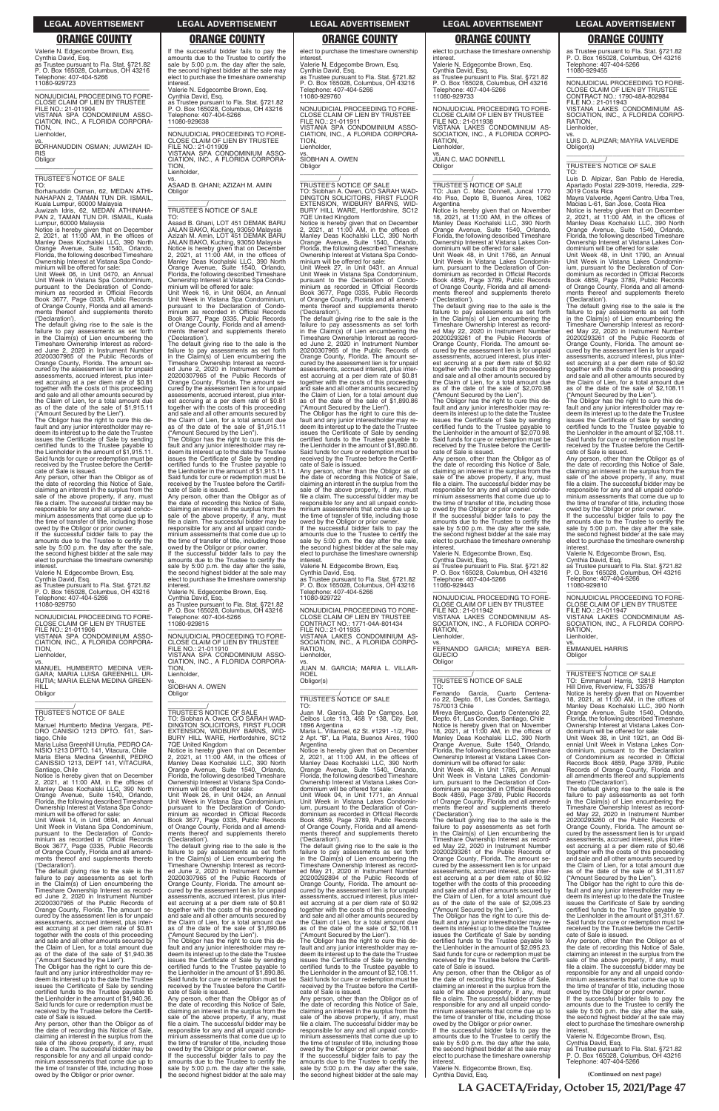**(Continued on next page)**

Valerie N. Edgecombe Brown, Esq. Cynthia David, Esq. as Trustee pursuant to Fla. Stat. §721.82 P. O. Box 165028, Columbus, OH 43216 Telephone: 407-404-5266 11080-929723

### **Obligor** \_\_\_\_\_\_\_\_\_\_\_\_\_\_\_\_\_\_\_\_\_\_\_\_\_\_\_\_\_\_\_\_\_

TO: Borhanuddin Osman, 62, MEDAN ATHI-NAHAPAN 2, TAMAN TUN DR. ISMAIL,<br>Kuala Lumpur, 60000 Malaysia<br>Juwizah Idris, 62, MEDAN ATHINAHA-<br>PAN 2, TAMAN TUN DR. ISMAIL, Kuala

### —————————————————— NONJUDICIAL PROCEEDING TO FORE-CLOSE CLAIM OF LIEN BY TRUSTEE FILE NO.: 21-011904 VISTANA SPA CONDOMINIUM ASSO-CIATION, INC., A FLORIDA CORPORA-TION, Lienholder,

vs. BORHANUDDIN OSMAN; JUWIZAH ID-RIS

\_\_\_\_\_\_\_\_\_\_\_/ TRUSTEE'S NOTICE OF SALE

Lumpur, 60000 Malaysia Notice is hereby given that on December 2, 2021, at 11:00 AM, in the offices of Manley Deas Kochalski LLC, 390 North

Orange Avenue, Suite 1540, Orlando, Florida, the following described Timeshare Ownership Interest at Vistana Spa Condominium will be offered for sale:

Unit Week 06, in Unit 0470, an Annual Unit Week in Vistana Spa Condominium, pursuant to the Declaration of Condominium as recorded in Official Records Book 3677, Page 0335, Public Records of Orange County, Florida and all amend-ments thereof and supplements thereto ('Declaration').

—————————————————— NONJUDICIAL PROCEEDING TO FORE-CLOSE CLAIM OF LIEN BY TRUSTEE FILE NO.: 21-011906 VISTANA SPA CONDOMINIUM ASSO-CIATION, INC., A FLORIDA CORPORA-TION, **Lienholder** 

The default giving rise to the sale is the failure to pay assessments as set forth in the Claim(s) of Lien encumbering the Timeshare Ownership Interest as recorded June 2, 2020 in Instrument Number 20200307965 of the Public Records of Orange County, Florida. The amount se-cured by the assessment lien is for unpaid assessments, accrued interest, plus interest accruing at a per diem rate of \$0.81 together with the costs of this proceeding and sale and all other amounts secured by the Claim of Lien, for a total amount due as of the date of the sale of \$1,915.11 ("Amount Secured by the Lien").

The Obligor has the right to cure this de-fault and any junior interestholder may re-deem its interest up to the date the Trustee issues the Certificate of Sale by sending certified funds to the Trustee payable to the Lienholder in the amount of \$1,915.11. Said funds for cure or redemption must be received by the Trustee before the Certifi-cate of Sale is issued.

Any person, other than the Obligor as of the date of recording this Notice of Sale, claiming an interest in the surplus from the sale of the above property, if any, must file a claim. The successful bidder may be responsible for any and all unpaid condominium assessments that come due up to the time of transfer of title, including those owed by the Obligor or prior owner.

cate of Sale is issued. Any person, other than the Obligor as of the date of recording this Notice of Sale, claiming an interest in the surplus from the sale of the above property, if any, must file a claim. The successful bidder may be responsible for any and all unpaid condo-minium assessments that come due up to the time of transfer of title, including those owed by the Obligor or prior owner

If the successful bidder fails to pay the amounts due to the Trustee to certify the sale by 5:00 p.m. the day after the sale, the second highest bidder at the sale may elect to purchase the timeshare ownership

interest. Valerie N. Edgecombe Brown, Esq. Cynthia David, Esq. as Trustee pursuant to Fla. Stat. §721.82 P. O. Box 165028, Columbus, OH 43216 Telephone: 407-404-5266 11080-929750

 $\overline{\phantom{a}}$  ,  $\overline{\phantom{a}}$  ,  $\overline{\phantom{a}}$  ,  $\overline{\phantom{a}}$  ,  $\overline{\phantom{a}}$  ,  $\overline{\phantom{a}}$  ,  $\overline{\phantom{a}}$  ,  $\overline{\phantom{a}}$  ,  $\overline{\phantom{a}}$  ,  $\overline{\phantom{a}}$  ,  $\overline{\phantom{a}}$  ,  $\overline{\phantom{a}}$  ,  $\overline{\phantom{a}}$  ,  $\overline{\phantom{a}}$  ,  $\overline{\phantom{a}}$  ,  $\overline{\phantom{a}}$ \_\_\_\_\_\_\_\_\_\_\_/ TRUSTEE'S NOTICE OF SALE

vs. MANUEL HUMBERTO MEDINA VER-GARA; MARIA LUISA GREENHILL UR-RUTIA; MARIA ELENA MEDINA GREEN-HILL Obligor

\_\_\_\_\_\_\_\_\_\_\_\_\_\_\_\_\_\_\_\_\_\_\_\_\_\_\_\_\_\_\_\_\_

\_\_\_\_\_\_\_\_\_\_\_/ TRUSTEE'S NOTICE OF SALE

TO: Manuel Humberto Medina Vergara, PE-DRO CANISIO 1213 DPTO. 141, Santiago, Chile

Maria Luisa Greenhill Urrutia, PEDRO CA-NISIO 1213 DPTO. 141, Vitacura, Chile Maria Elena Medina Greenhill, PEDRO CANISSIO 1213, DEPT 141, VITACURA,

Santiago, Chile Notice is hereby given that on December 2, 2021, at 11:00 AM, in the offices of Manley Deas Kochalski LLC, 390 North Orange Avenue, Suite 1540, Orlando, Florida, the following described Timeshare Ownership Interest at Vistana Spa Condo-minium will be offered for sale:

Any person, other than the Obligor as of the date of recording this Notice of Sale, claiming an interest in the surplus from the sale of the above property, if any, must file a claim. The successful bidder may be responsible for any and all unpaid condominium assessments that come due up to the time of transfer of title, including those owed by the Obligor or prior owner. If the successful bidder fails to pay the amounts due to the Trustee to certify the sale by 5:00 p.m. the day after the sale, the second highest bidder at the sale may elect to purchase the timeshare ownership

Unit Week 14, in Unit 0694, an Annual Unit Week in Vistana Spa Condominium, pursuant to the Declaration of Condominium as recorded in Official Records Book 3677, Page 0335, Public Records of Orange County, Florida and all amendments thereof and supplements thereto ('Declaration').

The default giving rise to the sale is the failure to pay assessments as set forth in the Claim(s) of Lien encumbering the Timeshare Ownership Interest as recorded June 2, 2020 in Instrument Number 20200307965 of the Public Records of Orange County, Florida. The amount secured by the assessment lien is for unpaid assessments, accrued interest, plus inter-est accruing at a per diem rate of \$0.81 together with the costs of this proceeding and sale and all other amounts secured b the Claim of Lien, for a total amount as of the date of the sale of \$1,940.36

("Amount Secured by the Lien"). The Obligor has the right to cure this default and any junior interestholder may re-deem its interest up to the date the Trustee issues the Certificate of Sale by sending certified funds to the Trustee payable to the Lienholder in the amount of \$1,940.36. Said funds for cure or redemption must be received by the Trustee before the Certifi-

The default giving rise to the sale is the failure to pay assessments as set forth in the Claim(s) of Lien encumbering the Timeshare Ownership Interest as record-ed June 2, 2020 in Instrument Number 20200307965 of the Public Records of Orange County, Florida. The amount se-cured by the assessment lien is for unpaid assessments, accrued interest, plus interest accruing at a per diem rate of \$0.81 together with the costs of this proceeding and sale and all other amounts secured by the Claim of Lien, for a total amount due as of the date of the sale of \$1,890.86 ("Amount Secured by the Lien").

elect to purchase the timeshare ownership **interest** 

If the successful bidder fails to pay the amounts due to the Trustee to certify the sale by 5:00 p.m. the day after the sale, the second highest bidder at the sale may elect to purchase the timeshare ownership

> vs. SIOBHAN A. OWEN **Obligor**

Valerie N. Edgecombe Brown, Esq. Cynthia David, Esq. as Trustee pursuant to Fla. Stat. §721.82 P. O. Box 165028, Columbus, OH 43216

Telephone: 407-404-5266 11080-929638

**interest** 

—————————————————— NONJUDICIAL PROCEEDING TO FORE-CLOSE CLAIM OF LIEN BY TRUSTEE FILE NO.: 21-011909 VISTANA SPA CONDOMINIUM ASSO-CIATION, INC., A FLORIDA CORPORA-

TION, Lienholder,

vs. ASAAD B. GHANI; AZIZAH M. AMIN

Obligor

TO: Asaad B. Ghani, LOT 451 DEMAK BARU JALAN BAKO, Kuching, 93050 Malaysia Azizah M. Amin, LOT 451 DEMAK BARU JALAN BAKO, Kuching, 93050 Malaysia

Notice is hereby given that on December 2, 2021, at 11:00 AM, in the offices of Manley Deas Kochalski LLC, 390 North

Orange Avenue, Suite 1540, Orlando, Florida, the following described Timeshare Ownership Interest at Vistana Spa Condo-

minium will be offered for sale:

Unit Week 16, in Unit 0604, an Annual Unit Week in Vistana Spa Condominium, pursuant to the Declaration of Condominium as recorded in Official Records Book 3677, Page 0335, Public Records of Orange County, Florida and all amendments thereof and supplements thereto

> the date of recording this Notice of Sale,<br>claiming an interest in the surplus from the<br>sale of the above property, if any, must<br>file a claim. The successful bidder may be responsible for any and all unpaid condo-minium assessments that come due up to the time of transfer of title, including those owed by the Obligor or prior owner. If the successful bidder fails to pay the

> amounts due to the Trustee to certify the sale by 5:00 p.m. the day after the sale, the second highest bidder at the sale may elect to purchase the timeshare ownership interest

('Declaration').

The default giving rise to the sale is the failure to pay assessments as set forth in the Claim(s) of Lien encumbering the Timeshare Ownership Interest as record-<br>ed June 2, 2020 in Instrument Number ed June 2, 2020 in Instrument Number 20200307965 of the Public Records of Orange County, Florida. The amount se-cured by the assessment lien is for unpaid assessments, accrued interest, plus inter-

> CLOSE CLAIM OF LIEN BY TRUSTEE CONTRACT NO.: 1771-04A-801434 VISTANA LAKES CONDOMINIUM AS-SOCIATION, INC., A FLORIDA CORPO-Lienholder

> vs. JUAN M. GARCIA; MARIA L. VILLAR-**ROEL**

1896 Argentina Maria L. Villarroel, 62 St. #1291 -1/2, Piso 2 Apt. "B", La Plata, Buenos Aires, 1900 **Argentina** 

est accruing at a per diem rate of \$0.81 together with the costs of this proceeding and sale and all other amounts secured by the Claim of Lien, for a total amount due as of the date of the sale of \$1,915.11 ("Amount Secured by the Lien"). The Obligor has the right to cure this de-fault and any junior interestholder may re-deem its interest up to the date the Trustee

issues the Certificate of Sale by sending certified funds to the Trustee payable to the Lienholder in the amount of \$1,915.11. Said funds for cure or redemption must be received by the Trustee before the Certifi-

cate of Sale is issued.

vs. JUAN C. MAC DONNELL **Obligor** 

P. O. Box 165028, Columbus, OH 43216 Telephone: 407-404-5266 11080-929815

—————————————————— NONJUDICIAL PROCEEDING TO FORE-CLOSE CLAIM OF LIEN BY TRUSTEE FILE NO.: 21-011910 VISTANA SPA CONDOMINIUM ASSO-CIATION, INC., A FLORIDA CORPORA-TION, Lienholder,

Notice is hereby given that on November<br>18, 2021, at 11:00 AM, in the offices of<br>Manley Deas Kochalski LLC, 390 North<br>Orange Avenue, Suite 1540, Orlando,<br>Florida, the following described Timeshare<br>Ownership Interest at Vis dominium will be offered for sale:

vs. SIOBHAN A. OWEN Obligor \_\_\_\_\_\_\_\_\_\_\_\_\_\_\_\_\_\_\_\_\_\_\_\_\_\_\_\_\_\_\_\_\_

\_\_\_\_\_\_\_\_\_\_\_/ TRUSTEE'S NOTICE OF SALE TO: Siobhan A. Owen, C/O SARAH WAD-DINGTON SOLICITORS, FIRST FLOOR EXTENSION, WIDBURY BARNS, WID-BURY HILL WARE, Hertfordshire, SC12 7QE United Kingdom

Notice is hereby given that on December 2, 2021, at 11:00 AM, in the offices of Manley Deas Kochalski LLC, 390 North Orange Avenue, Suite 1540, Orlando, Florida, the following described Timeshare Ownership Interest at Vistana Spa Condominium will be offered for sale:

The default giving rise to the sale is the failure to pay assessments as set forth in the Claim(s) of Lien encumbering the Timeshare Ownership Interest as recorded May 22, 2020 in Instrument Number 20200293261 of the Public Records of Orange County, Florida. The amount secured by the assessment lien is for unpaid assessments, accrued interest, plus interest accruing at a per diem rate of \$0.92 together with the costs of this proceeding and sale and all other amounts secured by the Claim of Lien, for a total amount due as of the date of the sale of \$2,070.98 ("Amount Secured by the Lien").

Unit Week 26, in Unit 0424, an Annual Unit Week in Vistana Spa Condominium, pursuant to the Declaration of Condo-minium as recorded in Official Records Book 3677, Page 0335, Public Records

of Orange County, Florida and all amend-ments thereof and supplements thereto ('Declaration').

If the successful bidder fails to pay the amounts due to the Trustee to certify the sale by 5:00 p.m. the day after the sale, the second highest bidder at the sale may elect to purchase the timeshare ownership u.<br>interest

VISTANA LAKES CONDOMINIUM AS-SOCIATION, INC., A FLORIDA CORPO-RATION, Lienholder

The Obligor has the right to cure this de-fault and any junior interestholder may redeem its interest up to the date the Trustee issues the Certificate of Sale by sending certified funds to the Trustee payable to the Lienholder in the amount of \$1,890.86. Said funds for cure or redemption must be received by the Trustee before the Certificate of Sale is issued.

Any person, other than the Obligor as of the date of recording this Notice of Sale, claiming an interest in the surplus from the sale of the above property, if any, must file a claim. The successful bidder may be responsible for any and all unpaid condominium assessments that come due up to the time of transfer of title, including those

The Obligor has the right to cure this default and any junior interestholder may re-deem its interest up to the date the Trustee issues the Certificate of Sale by sending certified funds to the Trustee payable to the Lienholder in the amount of \$2,095.23. Said funds for cure or redemption must be received by the Trustee before the Certifi-cate of Sale is issued.

owed by the Obligor or prior owner. If the successful bidder fails to pay the amounts due to the Trustee to certify the sale by 5:00 p.m. the day after the sale the second highest bidder at the sale may

—————————————————— NONJUDICIAL PROCEEDING TO FORE-CLOSE CLAIM OF LIEN BY TRUSTEE CONTRACT NO.: 1790-48A-802984 FILE NO.: 21-011943 VISTANA LAKES CONDOMINIUM AS-SOCIATION, INC., A FLORIDA CORPO-**RATION** Lienholder

interest. Valerie N. Edgecombe Brown, Esq. Cynthia David, Esq. as Trustee pursuant to Fla. Stat. §721.82 11080-929722

Valerie N. Edgecombe Brown, Esq. Cynthia David, Esq. as Trustee pursuant to Fla. Stat. §721.82 P. O. Box 165028, Columbus, OH 43216 Telephone: 407-404-5266 11080-929760

—————————————————— NONJUDICIAL PROCEEDING TO FORE-CLOSE CLAIM OF LIEN BY TRUSTEE FILE NO.: 21-011911 VISTANA SPA CONDOMINIUM ASSO-CIATION, INC., A FLORIDA CORPORA-TION, Lienholder,

> Notice is hereby given that on December<br>2, 2021, at 11:00 AM, in the offices of<br>Manley Deas Kochalski LLC, 390 North<br>Orange Avenue, Suite 1540, Orlando,<br>Florida, the following described Timeshare<br>Ownership Interest at Vist dominium will be offered for sale:

\_\_\_\_\_\_\_\_\_\_\_\_\_\_\_\_\_\_\_\_\_\_\_\_\_\_\_\_\_\_\_\_\_

# \_\_\_\_\_\_\_\_\_\_\_/ TRUSTEE'S NOTICE OF SALE

TO: Siobhan A. Owen, C/O SARAH WAD-DINGTON SOLICITORS, FIRST FLOOR EXTENSION, WIDBURY BARNS, WID-BURY HILL WARE, Hertfordshire, SC12

7QE United Kingdom Notice is hereby given that on December 2, 2021, at 11:00 AM, in the offices of Manley Deas Kochalski LLC, 390 North Orange Avenue, Suite 1540, Orlando, Florida, the following described Timeshare Ownership Interest at Vistana Spa Condo-minium will be offered for sale: Unit Week 27, in Unit 0431, an Annual

Unit Week in Vistana Spa Condominium, pursuant to the Declaration of Condominium as recorded in Official Records Book 3677, Page 0335, Public Records of Orange County, Florida and all amendments thereof and supplements thereto ('Declaration'). The default giving rise to the sale is the

> If the successful bidder fails to pay the amounts due to the Trustee to certify the sale by 5:00 p.m. the day after the sale, the second highest bidder at the sale may elect to purchase the timeshare ownership nterest

NONJUDICIAL PROCEEDING TO FORE-CLOSE CLAIM OF LIEN BY TRUSTEE FILE NO.: 21-011947 VISTANA LAKES CONDOMINIUM AS-SOCIATION, INC., A FLORIDA CORPO-RATION, Lienholder

failure to pay assessments as set forth in the Claim(s) of Lien encumbering the Timeshare Ownership Interest as recorded June 2, 2020 in Instrument Number 20200307965 of the Public Records of Orange County, Florida. The amount secured by the assessment lien is for unpaid assessments, accrued interest, plus interest accruing at a per diem rate of \$0.81 together with the costs of this proceeding and sale and all other amounts secured by the Claim of Lien, for a total amount due as of the date of the sale of \$1,890.86

("Amount Secured by the Lien"). The Obligor has the right to cure this default and any junior interestholder may re-deem its interest up to the date the Trustee issues the Certificate of Sale by sending certified funds to the Trustee payable to the Lienholder in the amount of \$1,890.86. Said funds for cure or redemption must be received by the Trustee before the Certifi-cate of Sale is issued. Any person, other than the Obligor as of

Valerie N. Edgecombe Brown, Esq. Cynthia David, Esq. as Trustee pursuant to Fla. Stat. §721.82 P. O. Box 165028, Columbus, OH 43216 Telephone: 407-404-5266

—————————————————— NONJUDICIAL PROCEEDING TO FORE-FILE NO.: 21-011935 RATION,

> Obligor(s) \_\_\_\_\_\_\_\_\_\_\_\_\_\_\_\_\_\_\_\_\_\_\_\_\_\_\_\_\_\_\_\_\_

# \_\_\_\_\_\_\_\_\_\_\_/ TRUSTEE'S NOTICE OF SALE

TO: Juan M. Garcia, Club De Campos, Los Ceibos Lote 113, 458 Y 138, City Bell,

Notice is hereby given that on December 2, 2021, at 11:00 AM, in the offices of Manley Deas Kochalski LLC, 390 North Orange Avenue, Suite 1540, Orlando, Florida, the following described Timeshare Ownership Interest at Vistana Lakes Con-

dominium will be offered for sale: Unit Week 04, in Unit 1771, an Annual Unit Week in Vistana Lakes Condominium, pursuant to the Declaration of Con-dominium as recorded in Official Records

Book 4859, Page 3789, Public Records of Orange County, Florida and all amend-ments thereof and supplements thereto ('Declaration').

The default giving rise to the sale is the failure to pay assessments as set forth in the Claim(s) of Lien encumbering the Timeshare Ownership Interest as record-ed May 21, 2020 in Instrument Number 20200292894 of the Public Records of Orange County, Florida. The amount se-cured by the assessment lien is for unpaid assessments, accrued interest, plus interest accruing at a per diem rate of \$0.92 together with the costs of this proceeding and sale and all other amounts secured by the Claim of Lien, for a total amount due as of the date of the sale of \$2,108.11

("Amount Secured by the Lien"). The Obligor has the right to cure this de-fault and any junior interestholder may redeem its interest up to the date the Trustee issues the Certificate of Sale by sending certified funds to the Trustee payable to the Lienholder in the amount of \$2,108.11. Said funds for cure or redemption must be received by the Trustee before the Certificate of Sale is issued.

Any person, other than the Obligor as of the date of recording this Notice of Sale, claiming an interest in the surplus from the sale of the above property, if any, must file a claim. The successful bidder may be responsible for any and all unpaid condominium assessments that come due up to the time of transfer of title, including those

owed by the Obligor or prior owner. If the successful bidder fails to pay the amounts due to the Trustee to certify the sale by 5:00 p.m. the day after the sale, the second highest bidder at the sale may

elect to purchase the timeshare ownership interest.

Valerie N. Edgecombe Brown, Esq. Cynthia David, Esq. as Trustee pursuant to Fla. Stat. §721.82 P. O. Box 165028, Columbus, OH 43216 Telephone: 407-404-5266 11080-929733

—————————————————— NONJUDICIAL PROCEEDING TO FORE-CLOSE CLAIM OF LIEN BY TRUSTEE  $FII F NO.21-011938$ VISTANA LAKES CONDOMINIUM AS-SOCIATION, INC., A FLORIDA CORPO-RATION, Lienholder,

\_\_\_\_\_\_\_\_\_\_\_\_\_\_\_\_\_\_\_\_\_\_\_\_\_\_\_\_\_\_\_\_\_

# \_\_\_\_\_\_\_\_\_\_\_/ TRUSTEE'S NOTICE OF SALE

TO: Juan C. Mac Donnell, Juncal 1770 4to Piso, Depto B, Buenos Aires, 1062 Argentina

Unit Week 48, in Unit 1766, an Annual Unit Week in Vistana Lakes Condominium, pursuant to the Declaration of Condominium as recorded in Official Records Book 4859, Page 3789, Public Records of Orange County, Florida and all amendments thereof and supplements thereto ('Declaration').

The Obligor has the right to cure this de-fault and any junior interestholder may re-deem its interest up to the date the Trustee issues the Certificate of Sale by sending certified funds to the Trustee payable to the Lienholder in the amount of \$2,070.98. Said funds for cure or redemption must be received by the Trustee before the Certifi-cate of Sale is issued.

Any person, other than the Obligor as of the date of recording this Notice of Sale, claiming an interest in the surplus from the sale of the above property, if any, must file a claim. The successful bidder may be responsible for any and all unpaid condominium assessments that come due up to the time of transfer of title, including those owed by the Obligor or prior owner.

Valerie N. Edgecombe Brown, Esq. Cynthia David, Esq. as Trustee pursuant to Fla. Stat. §721.82

P. O. Box 165028, Columbus, OH 43216 Telephone: 407-404-5266 11080-929443

# —————————————————— NONJUDICIAL PROCEEDING TO FORE-CLOSE CLAIM OF LIEN BY TRUSTEE FILE NO.: 21-011942

vs. FERNANDO GARCIA; MIREYA BER-GUECIO **Obligor** \_\_\_\_\_\_\_\_\_\_\_\_\_\_\_\_\_\_\_\_\_\_\_\_\_\_\_\_\_\_\_\_\_

### \_\_\_\_\_\_\_\_\_\_\_/ TRUSTEE'S NOTICE OF SALE TO:

Fernando Garcia, Cuarto Centena-rio 22, Depto. 61, Las Condes, Santiago, 7570013 Chile

Mireya Berguecio, Cuarto Centenario 22, Depto. 61, Las Condes, Santiago, Chile Notice is hereby given that on November 18, 2021, at 11:00 AM, in the offices of Manley Deas Kochalski LLC, 390 North Orange Avenue, Suite 1540, Orlando, Florida, the following described Timeshare Ownership Interest at Vistana Lakes Condominium will be offered for sale:

Unit Week 48, in Unit 1785, an Annual Unit Week in Vistana Lakes Condominium, pursuant to the Declaration of Condominium as recorded in Official Records Book 4859, Page 3789, Public Records of Orange County, Florida and all amend-ments thereof and supplements thereto ('Declaration').

The default giving rise to the sale is the failure to pay assessments as set forth in the Claim(s) of Lien encumbering the Timeshare Ownership Interest as recorded May 22, 2020 in Instrument Number 20200293261 of the Public Records of Orange County, Florida. The amount secured by the assessment lien is for unpaid assessments, accrued interest, plus interest accruing at a per diem rate of \$0.92 together with the costs of this proceeding and sale and all other amounts secured by the Claim of Lien, for a total amount due as of the date of the sale of \$2,095.23 ("Amount Secured by the Lien").

Any person, other than the Obligor as of the date of recording this Notice of Sale, claiming an interest in the surplus from the sale of the above property, if any, must file a claim. The successful bidder may be responsible for any and all unpaid condominium assessments that come due up to the time of transfer of title, including those owed by the Obligor or prior owner.

If the successful bidder fails to pay the amounts due to the Trustee to certify the sale by 5:00 p.m. the day after the sale, the second highest bidder at the sale may elect to purchase the timeshare ownership interest.

Valerie N. Edgecombe Brown, Esq. Cynthia David, Esq.

as Trustee pursuant to Fla. Stat. §721.82 P. O. Box 165028, Columbus, OH 43216 Telephone: 407-404-5266 11080-929455

vs. LUIS D. ALPIZAR; MAYRA VALVERDE Obligor(s) \_\_\_\_\_\_\_\_\_\_\_\_\_\_\_\_\_\_\_\_\_\_\_\_\_\_\_\_\_\_\_\_\_

\_\_\_\_\_\_\_\_\_\_\_/ TRUSTEE'S NOTICE OF SALE

TO: Luis D. Alpizar, San Pablo de Heredia, Apartado Postal 229-3019, Heredia, 229- 3019 Costa Rica

Mayra Valverde, Agerri Centro, Urba Tres, Macias L-61, San Jose, Costa Rica

Unit Week 48, in Unit 1790, an Annual Unit Week in Vistana Lakes Condominium, pursuant to the Declaration of Condominium as recorded in Official Records Book 4859, Page 3789, Public Records of Orange County, Florida and all amendments thereof and supplements thereto ('Declaration').

The default giving rise to the sale is the failure to pay assessments as set forth in the Claim(s) of Lien encumbering the Timeshare Ownership Interest as recorded May 22, 2020 in Instrument Number 20200293261 of the Public Records of Orange County, Florida. The amount se-cured by the assessment lien is for unpaid assessments, accrued interest, plus interest accruing at a per diem rate of \$0.92 together with the costs of this proceeding and sale and all other amounts secured by the Claim of Lien, for a total amount due as of the date of the sale of \$2,108.11 ("Amount Secured by the Lien").

The Obligor has the right to cure this de-fault and any junior interestholder may re-deem its interest up to the date the Trustee issues the Certificate of Sale by sending certified funds to the Trustee payable to the Lienholder in the amount of \$2,108.11. Said funds for cure or redemption must be received by the Trustee before the Certificate of Sale is issued.

Any person, other than the Obligor as of the date of recording this Notice of Sale, claiming an interest in the surplus from the sale of the above property, if any, must file a claim. The successful bidder may be responsible for any and all unpaid condominium assessments that come due up to the time of transfer of title, including those owed by the Obligor or prior owner.

Valerie N. Edgecombe Brown, Esq.

Cynthia David, Esq. as Trustee pursuant to Fla. Stat. §721.82 P. O. Box 165028, Columbus, OH 43216 Telephone: 407-404-5266 11080-929810

NON IUDICIAL PROCEEDING TO FORE-

vs. EMMANUEL HARRIS **Obligor** \_\_\_\_\_\_\_\_\_\_\_\_\_\_\_\_\_\_\_\_\_\_\_\_\_\_\_\_\_\_\_\_\_

\_\_\_\_\_\_\_\_\_\_\_/ TRUSTEE'S NOTICE OF SALE TO: Emmanuel Harris, 12818 Hampton Hill Drive, Riverview, FL 33578

Notice is hereby given that on November 18, 2021, at 11:00 AM, in the offices of Manley Deas Kochalski LLC, 390 North Orange Avenue, Suite 1540, Orlando, Florida, the following described Timeshare Ownership Interest at Vistana Lakes Condominium will be offered for sale: Unit Week 38, in Unit 1921, an Odd Bi-

ennial Unit Week in Vistana Lakes Condominium, pursuant to the Declaration of Condominium as recorded in Official Records Book 4859, Page 3789, Public Records of Orange County, Florida and all amendments thereof and supplements thereto ('Declaration').

The default giving rise to the sale is the failure to pay assessments as set forth in the Claim(s) of Lien encumbering the Timeshare Ownership Interest as record-ed May 22, 2020 in Instrument Number 20200293260 of the Public Records of Orange County, Florida. The amount se-cured by the assessment lien is for unpaid assessments, accrued interest, plus interest accruing at a per diem rate of \$0.46 together with the costs of this proceeding and sale and all other amounts secured by the Claim of Lien, for a total amount due as of the date of the sale of \$1,311.67 ("Amount Secured by the Lien"). The Obligor has the right to cure this de-fault and any junior interestholder may redeem its interest up to the date the Trustee issues the Certificate of Sale by sending certified funds to the Trustee payable the Lienholder in the amount of \$1,311.67. Said funds for cure or redemption must be received by the Trustee before the Certificate of Sale is issued. Any person, other than the Obligor as of the date of recording this Notice of Sale, claiming an interest in the surplus from the sale of the above property, if any, must file a claim. The successful bidder may be responsible for any and all unpaid condominium assessments that come due up to the time of transfer of title, including those owed by the Obligor or prior owner. If the successful bidder fails to pay the amounts due to the Trustee to certify the sale by 5:00 p.m. the day after the sale, the second highest bidder at the sale may elect to purchase the timeshare ownership

interest. Valerie N. Edgecombe Brown, Esq. Cynthia David, Esq. as Trustee pursuant to Fla. Stat. §721.82 P. O. Box 165028, Columbus, OH 43216 Telephone: 407-404-5266

### **LEGAL ADVERTISEMENT LEGAL ADVERTISEMENT LEGAL ADVERTISEMENT LEGAL ADVERTISEMENT LEGAL ADVERTISEMENT**

### **ORANGE COUNTY ORANGE COUNTY ORANGE COUNTY ORANGE COUNTY ORANGE COUNTY**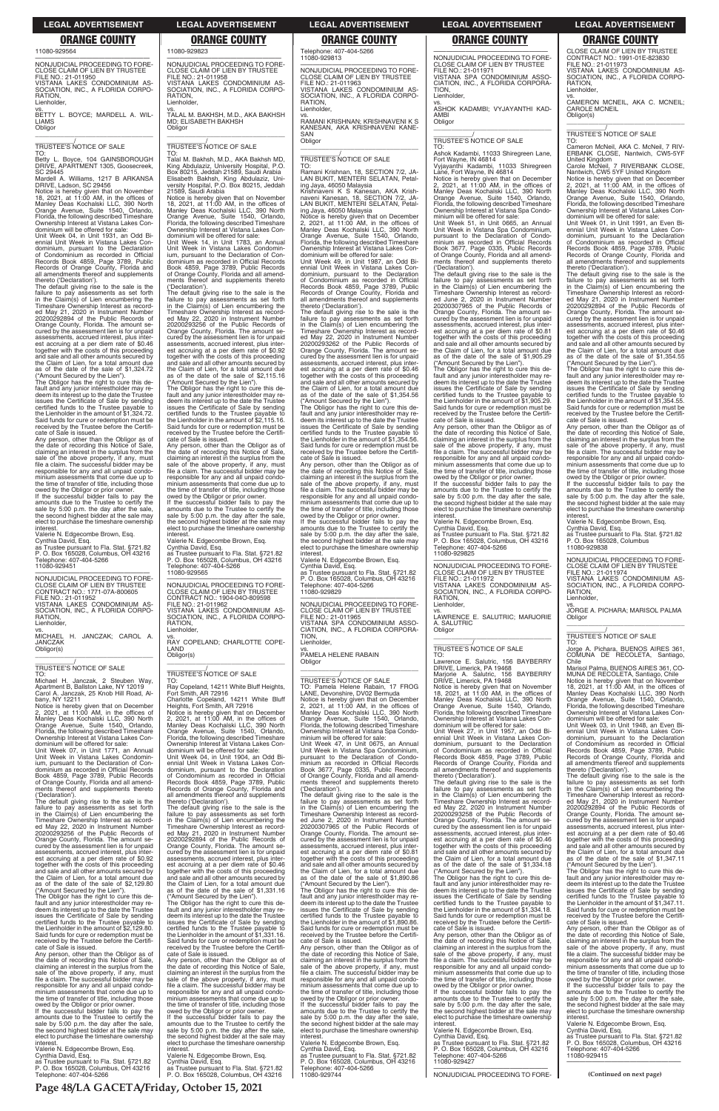11080-929564

—————————————————— NONJUDICIAL PROCEEDING TO FORE-CLOSE CLAIM OF LIEN BY TRUSTEE FILE NO.: 21-011950 VISTANA LAKES CONDOMINIUM AS-SOCIATION, INC., A FLORIDA CORPO-RATION, **Lienholder** 

vs. BETTY L. BOYCE; MARDELL A. WIL-**LIAMS** Obligor \_\_\_\_\_\_\_\_\_\_\_\_\_\_\_\_\_\_\_\_\_\_\_\_\_\_\_\_\_\_\_\_\_

\_\_\_\_\_\_\_\_\_\_\_/ TRUSTEE'S NOTICE OF SALE

TO: Betty L. Boyce, 104 GAINSBOROUGH DRIVE, APARTMENT 1305, Goosecreek, SC 29445

Mardell A. Williams, 1217 B ARKANSA DRIVE, Ladson, SC 29456

Notice is hereby given that on November 18, 2021, at 11:00 AM, in the offices of Manley Deas Kochalski LLC, 390 North Orange Avenue, Suite 1540, Orlando, Florida, the following described Timeshare Ownership Interest at Vistana Lakes Condominium will be offered for sale:

Unit Week 04, in Unit 1931, an Odd Bi-ennial Unit Week in Vistana Lakes Condominium, pursuant to the Declaration of Condominium as recorded in Official Records Book 4859, Page 3789, Public Records of Orange County, Florida and all amendments thereof and supplements thereto ('Declaration').

If the successful bidder fails to pay the amounts due to the Trustee to certify the sale by 5:00 p.m. the day after the sale, the second highest bidder at the sale may elect to purchase the timeshare ownership interest

The default giving rise to the sale is the failure to pay assessments as set forth in the Claim(s) of Lien encumbering the Timeshare Ownership Interest as recorded May 21, 2020 in Instrument Number 20200292894 of the Public Records of Orange County, Florida. The amount secured by the assessment lien is for unpaid assessments, accrued interest, plus interest accruing at a per diem rate of \$0.46 together with the costs of this proceeding and sale and all other amounts secured by the Claim of Lien, for a total amount due as of the date of the sale of \$1,324.72 ("Amount Secured by the Lien").

Notice is hereby given that on December<br>2, 2021, at 11:00 AM, in the offices of<br>Manley Deas Kochalski LLC, 390 North<br>Orange Avenue, Suite 1540, Orlando,<br>Florida, the following described Timeshare<br>Ownership Interest at Vist dominium will be offered for sale:

The Obligor has the right to cure this de-fault and any junior interestholder may re-deem its interest up to the date the Trustee issues the Certificate of Sale by sending certified funds to the Trustee payable to the Lienholder in the amount of \$1,324.72. Said funds for cure or redemption must be received by the Trustee before the Certifi-cate of Sale is issued.

Any person, other than the Obligor as of the date of recording this Notice of Sale, claiming an interest in the surplus from the sale of the above property, if any, must file a claim. The successful bidder may be responsible for any and all unpaid condominium assessments that come due up to the time of transfer of title, including those owed by the Obligor or prior owner.

Valerie N. Edgecombe Brown, Esq. Cynthia David, Esq. as Trustee pursuant to Fla. Stat. §721.82 P. O. Box 165028, Columbus, OH 43216

Telephone: 407-404-5266 11080-929451

—————————————————— NONJUDICIAL PROCEEDING TO FORE-CLOSE CLAIM OF LIEN BY TRUSTEE CONTRACT NO.: 1771-07A-800605 FILE NO.: 21-011952 VISTANA LAKES CONDOMINIUM AS-SOCIATION, INC., A FLORIDA CORPO-**RATION** Lienholder,

vs. MICHAEL H. JANCZAK; CAROL A. JANCZAK Obligor(s) \_\_\_\_\_\_\_\_\_\_\_\_\_\_\_\_\_\_\_\_\_\_\_\_\_\_\_\_\_\_\_\_\_

\_\_\_\_\_\_\_\_\_\_\_/ TRUSTEE'S NOTICE OF SALE

TO: Michael H. Janczak, 2 Steuben Way, Apartment B, Ballston Lake, NY 12019 Carol A. Janczak, 25 Knob Hill Road, Al-bany, NY 12211

Unit Week 07, in Unit 1771, an Annual Unit Week in Vistana Lakes Condominium, pursuant to the Declaration of Condominium as recorded in Official Records Book 4859, Page 3789, Public Records of Orange County, Florida and all amendments thereof and supplements thereto ('Declaration').

sale by 5:00 p.m. the day after the sale, the second bighest bidder at the sale may the second highest bidder at the sale may elect to purchase the timeshare ownership interest.

Notice is hereby given that on December<br>2, 2021, at 11:00 AM, in the offices of<br>Manley Deas Kochalski LLC, 390 North<br>Orange Avenue, Suite 1540, Orlando,<br>Florida, the following described Timeshare Ownership Interest at Vistana Lakes Condominium will be offered for sale:

The default giving rise to the sale is the failure to pay assessments as set forth in the Claim(s) of Lien encumbering the Timeshare Ownership Interest as recorded May 22, 2020 in Instrument Number 20200293256 of the Public Records of Orange County, Florida. The amount secured by the assessment lien is for unpaid assessments, accrued interest, plus interest accruing at a per diem rate of \$0.92 together with the costs of this proceeding and sale and all other amounts secured by the Claim of Lien, for a total amount due as of the date of the sale of \$2,129.80 ("Amount Secured by the Lien"). The Obligor has the right to cure this de-fault and any junior interestholder may re-deem its interest up to the date the Trustee issues the Certificate of Sale by sending certified funds to the Trustee payable to the Lienholder in the amount of \$2,129.80. Said funds for cure or redemption must be received by the Trustee before the Certifi-cate of Sale is issued. Any person, other than the Obligor as of the date of recording this Notice of Sale, claiming an interest in the surplus from the sale of the above property, if any, must file a claim. The successful bidder may be responsible for any and all unpaid condominium assessments that come due up to the time of transfer of title, including those owed by the Obligor or prior owner. If the successful bidder fails to pay the amounts due to the Trustee to certify the sale by 5:00 p.m. the day after the sale, the second highest bidder at the sale may elect to purchase the timeshare ownership interest. Valerie N. Edgecombe Brown, Esq. Cynthia David, Esq. as Trustee pursuant to Fla. Stat. §721.82 P. O. Box 165028, Columbus, OH 43216 Telephone: 407-404-5266

vs. RAMANI KRISHNAN; KRISHNAVENI K S KANESAN, AKA KRISHNAVENI KANE-SAN **Obligor** 

vs. TALAL M. BAKHSH, M.D., AKA BAKHSH MD; ELISABETH BAKHSH **Obligor** \_\_\_\_\_\_\_\_\_\_\_\_\_\_\_\_\_\_\_\_\_\_\_\_\_\_\_\_\_\_\_\_\_

\_\_\_\_\_\_\_\_\_\_\_/ TRUSTEE'S NOTICE OF SALE

TO: Talal M. Bakhsh, M.D., AKA Bakhsh MD, King Abdulaziz, University Hospital, P.O. Box 80215, Jeddah 21589, Saudi Arabia Elisabeth Bakhsh, King Abdulaziz, Uni-versity Hospital, P.O. Box 80215, Jeddah 21589, Saudi Arabia

Notice is hereby given that on November 18, 2021, at 11:00 AM, in the offices of Manley Deas Kochalski LLC, 390 North Orange Avenue, Suite 1540, Orlando, Florida, the following described Timeshare Ownership Interest at Vistana Lakes Con-

dominium will be offered for sale: Unit Week 14, in Unit 1783, an Annual Unit Week in Vistana Lakes Condominium, pursuant to the Declaration of Con-dominium as recorded in Official Records Book 4859, Page 3789, Public Records of Orange County, Florida and all amend-ments thereof and supplements thereto ('Declaration').

The default giving rise to the sale is the failure to pay assessments as set forth in the Claim(s) of Lien encumbering the Timeshare Ownership Interest as record-ed May 22, 2020 in Instrument Number 20200293256 of the Public Records of Orange County, Florida. The amount se-cured by the assessment lien is for unpaid assessments, accrued interest, plus interest accruing at a per diem rate of \$0.92 together with the costs of this proceeding and sale and all other amounts secured by the Claim of Lien, for a total amount due as of the date of the sale of \$2,115.16 ("Amount Secured by the Lien").

> vs. PAMELA HELENE RABAIN **Obligor**

The Obligor has the right to cure this de-fault and any junior interestholder may redeem its interest up to the date the Trustee issues the Certificate of Sale by sending certified funds to the Trustee payable to the Lienholder in the amount of \$2,115.16. Said funds for cure or redemption must be received by the Trustee before the Certificate of Sale is issued.

Any person, other than the Obligor as of the date of recording this Notice of Sale, claiming an interest in the surplus from the sale of the above property, if any, must file a claim. The successful bidder may be responsible for any and all unpaid condominium assessments that come due up to the time of transfer of title, including those owed by the Obligor or prior owner. If the successful bidder fails to pay the amounts due to the Trustee to certify the

> amounts due to the Trustee to certify the sale by 5:00 p.m. the day after the sale, the second highest bidder at the sale may elect to purchase the timeshare ownership interest

Valerie N. Edgecombe Brown, Esq. Cynthia David, Esq. as Trustee pursuant to Fla. Stat. §721.82 P. O. Box 165028, Columbus, OH 43216 Telephone: 407-404-5266 11080-929565

—————————————————— NONJUDICIAL PROCEEDING TO FORE-CLOSE CLAIM OF LIEN BY TRUSTEE FILE NO.: 21-011971 VISTANA SPA CONDOMINIUM ASSO-CIATION, INC., A FLORIDA CORPORA-TION, Lienholder

—————————————————— NONJUDICIAL PROCEEDING TO FORE-CLOSE CLAIM OF LIEN BY TRUSTEE CONTRACT NO.: 1904-04O-809598 FILE NO.: 21-011962 VISTANA LAKES CONDOMINIUM AS-SOCIATION, INC., A FLORIDA CORPO-RATION, Lienholder, vs. RAY COPELAND; CHARLOTTE COPE-

LAND Obligor(s) \_\_\_\_\_\_\_\_\_\_\_\_\_\_\_\_\_\_\_\_\_\_\_\_\_\_\_\_\_\_\_\_\_

# \_\_\_\_\_\_\_\_\_\_\_/ TRUSTEE'S NOTICE OF SALE

TO: Ray Copeland, 14211 White Bluff Heights, Fort Smith, AR 72916 Charlotte Copeland, 14211 White Bluff Heights, Fort Smith, AR 72916

Unit Week 04, in Unit 1904, an Odd Biennial Unit Week in Vistana Lakes Condominium, pursuant to the Declaration of Condominium as recorded in Official Records Book 4859, Page 3789, Public Records of Orange County, Florida and all amendments thereof and supplements thereto ('Declaration').

owed by the Obligor or prior owner. If the successful bidder fails to pay the amounts due to the Trustee to certify the sale by 5:00 p.m. the day after the sale. the second highest bidder at the sale may elect to purchase the timeshare ownership **interest** 

The default giving rise to the sale is the failure to pay assessments as set forth in the Claim(s) of Lien encumbering the Timeshare Ownership Interest as record-ed May 21, 2020 in Instrument Number 20200292894 of the Public Records of Orange County, Florida. The amount se-cured by the assessment lien is for unpaid assessments, accrued interest, plus interest accruing at a per diem rate of \$0.46 together with the costs of this proceeding and sale and all other amounts secured by the Claim of Lien, for a total amount due as of the date of the sale of \$1,331.16 ("Amount Secured by the Lien"). The Obligor has the right to cure this de-fault and any junior interestholder may redeem its interest up to the date the Trustee issues the Certificate of Sale by sending certified funds to the Trustee payable to the Lienholder in the amount of \$1,331.16. Said funds for cure or redemption must be received by the Trustee before the Certificate of Sale is issued. Any person, other than the Obligor as of the date of recording this Notice of Sale, claiming an interest in the surplus from the sale of the above property, if any, must file a claim. The successful bidder may be responsible for any and all unpaid condominium assessments that come due up to the time of transfer of title, including those owed by the Obligor or prior owner. If the successful bidder fails to pay the amounts due to the Trustee to certify the sale by 5:00 p.m. the day after the sale, the second highest bidder at the sale may elect to purchase the timeshare ownership

The default giving rise to the sale is the failure to pay assessments as set forth in the Claim(s) of Lien encumbering the Timeshare Ownership Interest as recorded May 22, 2020 in Instrument Number 20200293258 of the Public Records of

The Obligor has the right to cure this default and any junior interestholder may re-deem its interest up to the date the Trustee issues the Certificate of Sale by sending certified funds to the Trustee payable to the Lienholder in the amount of \$1,334.18. Said funds for cure or redemption must be received by the Trustee before the Certifi-cate of Sale is issued.

### interest.

Valerie N. Edgecombe Brown, Esq. Cynthia David, Esq. as Trustee pursuant to Fla. Stat. §721.82 P. O. Box 165028, Columbus, OH 43216

Telephone: 407-404-5266 11080-929813

—————————————————— NONJUDICIAL PROCEEDING TO FORE-CLOSE CLAIM OF LIEN BY TRUSTEE FILE NO.: 21-011963 VISTANA LAKES CONDOMINIUM AS-SOCIATION, INC., A FLORIDA CORPO-**RATION** Lienholder,

\_\_\_\_\_\_\_\_\_\_\_\_\_\_\_\_\_\_\_\_\_\_\_\_\_\_\_\_\_\_\_\_\_

\_\_\_\_\_\_\_\_\_\_\_/ TRUSTEE'S NOTICE OF SALE

TO: Ramani Krishnan, 18, SECTION 7/2, JA-LAN BUKIT, MENTERI SELATAN, Petaling Jaya, 46050 Malaysia

Krishnaveni K S Kanesan, AKA Krishnaveni Kanesan, 18, SECTION 7/2, JA-LAN BUKIT, MENTERI SELATAN, Petaling Jaya, 46050 Malaysia

Notice is hereby given that on December 2, 2021, at 11:00 AM, in the offices of Manley Deas Kochalski LLC, 390 North Orange Avenue, Suite 1540, Orlando, Florida, the following described Timeshare Ownership Interest at Vistana Lakes Condominium will be offered for sale: Unit Week 49, in Unit 1987, an Odd Biennial Unit Week in Vistana Lakes Condominium, pursuant to the Declaration of Condominium as recorded in Official Records Book 4859, Page 3789, Public Records of Orange County, Florida and all amendments thereof and supplements

> —————————————————— NONJUDICIAL PROCEEDING TO FORE-CLOSE CLAIM OF LIEN BY TRUSTEE FILE NO.: 21-011974 VISTANA LAKES CONDOMINIUM AS-SOCIATION, INC., A FLORIDA CORPO-RATION, Lienholder

thereto ('Declaration'). The default giving rise to the sale is the failure to pay assessments as set forth in the Claim(s) of Lien encumbering the Timeshare Ownership Interest as record-ed May 22, 2020 in Instrument Number 20200293262 of the Public Records of Orange County, Florida. The amount se-cured by the assessment lien is for unpaid assessments, accrued interest, plus interest accruing at a per diem rate of \$0.46 together with the costs of this proceeding and sale and all other amounts secured by the Claim of Lien, for a total amount due as of the date of the sale of \$1,354.56

("Amount Secured by the Lien"). The Obligor has the right to cure this de-fault and any junior interestholder may redeem its interest up to the date the Trustee issues the Certificate of Sale by sending certified funds to the Trustee payable to the Lienholder in the amount of \$1,354.56. Said funds for cure or redemption must be received by the Trustee before the Certificate of Sale is issued.

Any person, other than the Obligor as of the date of recording this Notice of Sale, claiming an interest in the surplus from the sale of the above property, if any, must file a claim. The successful bidder may be responsible for any and all unpaid condo-minium assessments that come due up to the time of transfer of title, including those owed by the Obligor or prior owner. If the successful bidder fails to pay the

> amounts due to the Trustee to certify the sale by 5:00 p.m. the day after the sale, the second highest bidder at the sale may elect to purchase the timeshare ownership interest

amounts due to the Trustee to certify the sale by 5:00 p.m. the day after the sale, the second highest bidder at the sale may elect to purchase the timeshare ownership interest.

Valerie N. Edgecombe Brown, Esq. Cynthia David, Esq.

as Trustee pursuant to Fla. Stat. §721.82 P. O. Box 165028, Columbus, OH 43216 Telephone: 407-404-5266 11080-929829

—————————————————— NONJUDICIAL PROCEEDING TO FORE-CLOSE CLAIM OF LIEN BY TRUSTEE FILE NO.: 21-011965 VISTANA SPA CONDOMINIUM ASSO-CIATION, INC., A FLORIDA CORPORA-TION, Lienholder,

\_\_\_\_\_\_\_\_\_\_\_\_\_\_\_\_\_\_\_\_\_\_\_\_\_\_\_\_\_\_\_\_\_ \_\_\_\_\_\_\_\_\_\_\_/ TRUSTEE'S NOTICE OF SALE TO: Pamela Helene Rabain, 17 FROG LANE, Devonshire, DV02 Bermuda Notice is hereby given that on December 2, 2021, at 11:00 AM, in the offices of Manley Deas Kochalski LLC, 390 North Orange Avenue, Suite 1540, Orlando, Florida, the following described Timeshare Ownership Interest at Vistana Spa Condo-minium will be offered for sale:

Unit Week 47, in Unit 0675, an Annual Unit Week in Vistana Spa Condominium, pursuant to the Declaration of Condominium as recorded in Official Records Book 3677, Page 0335, Public Records of Orange County, Florida and all amendments thereof and supplements thereto ('Declaration'). The default giving rise to the sale is the

failure to pay assessments as set forth in the Claim(s) of Lien encumbering the Timeshare Ownership Interest as record-ed June 2, 2020 in Instrument Number

20200307965 of the Public Records of Orange County, Florida. The amount secured by the assessment lien is for unpaid assessments, accrued interest, plus inter-est accruing at a per diem rate of \$0.81 together with the costs of this proceeding and sale and all other amounts secured by the Claim of Lien, for a total amount due as of the date of the sale of \$1,890.86 ("Amount Secured by the Lien"). The Obligor has the right to cure this de-

fault and any junior interestholder may re-deem its interest up to the date the Trustee issues the Certificate of Sale by sending certified funds to the Trustee payable to the Lienholder in the amount of \$1,890.86. Said funds for cure or redemption must be received by the Trustee before the Certifi-

cate of Sale is issued. Any person, other than the Obligor as of the date of recording this Notice of Sale, claiming an interest in the surplus from the sale of the above property, if any, must file a claim. The successful bidder may be responsible for any and all unpaid condo-minium assessments that come due up to the time of transfer of title, including those owed by the Obligor or prior owner. If the successful bidder fails to pay the

Valerie N. Edgecombe Brown, Esq. Cynthia David, Esq. as Trustee pursuant to Fla. Stat. §721.82 P. O. Box 165028, Columbus, OH 43216

Telephone: 407-404-5266 11080-929744

11080-929823 —————————————————— NONJUDICIAL PROCEEDING TO FORE-CLOSE CLAIM OF LIEN BY TRUSTEE FILE NO.: 21-011958 VISTANA LAKES CONDOMINIUM AS-SOCIATION, INC., A FLORIDA CORPO-RATION, **Lienholder ORANGE COUNTY ORANGE COUNTY ORANGE COUNTY ORANGE COUNTY ORANGE COUNTY**

vs. ASHOK KADAMBI; VYJAYANTHI KAD-AMBI **Obligor** \_\_\_\_\_\_\_\_\_\_\_\_\_\_\_\_\_\_\_\_\_\_\_\_\_\_\_\_\_\_\_\_\_

\_\_\_\_\_\_\_\_\_\_\_/ TRUSTEE'S NOTICE OF SALE

TO: Ashok Kadambi, 11033 Shiregreen Lane, Fort Wayne, IN 46814 Vyjayanthi Kadambi, 11033 Shiregreen Lane, Fort Wayne, IN 46814

Notice is hereby given that on December 2, 2021, at 11:00 AM, in the offices of Manley Deas Kochalski LLC, 390 North Orange Avenue, Suite 1540, Orlando, Florida, the following described Timeshare Ownership Interest at Vistana Spa Condominium will be offered for sale:

Unit Week 51, in Unit 0665, an Annual Unit Week in Vistana Spa Condominium, pursuant to the Declaration of Condo-minium as recorded in Official Records Book 3677, Page 0335, Public Records of Orange County, Florida and all amend-ments thereof and supplements thereto ('Declaration').

The default giving rise to the sale is the failure to pay assessments as set forth in the Claim(s) of Lien encumbering the Timeshare Ownership Interest as record-ed June 2, 2020 in Instrument Number 20200307965 of the Public Records of Orange County, Florida. The amount se-cured by the assessment lien is for unpaid assessments, accrued interest, plus interest accruing at a per diem rate of \$0.81 together with the costs of this proceeding and sale and all other amounts secured by the Claim of Lien, for a total amount due as of the date of the sale of \$1,905.29

("Amount Secured by the Lien"). The Obligor has the right to cure this de-fault and any junior interestholder may redeem its interest up to the date the Trustee issues the Certificate of Sale by sending certified funds to the Trustee payable to the Lienholder in the amount of \$1,905.29. Said funds for cure or redemption must be received by the Trustee before the Certificate of Sale is issued.

Any person, other than the Obligor as of the date of recording this Notice of Sale, claiming an interest in the surplus from the sale of the above property, if any, must file a claim. The successful bidder may be responsible for any and all unpaid condo-minium assessments that come due up to the time of transfer of title, including those

Valerie N. Edgecombe Brown, Esq. Cynthia David, Esq.

as Trustee pursuant to Fla. Stat. §721.82 P. O. Box 165028, Columbus, OH 43216 Telephone: 407-404-5266 11080-929825

—————————————————— NONJUDICIAL PROCEEDING TO FORE-CLOSE CLAIM OF LIEN BY TRUSTEE FILE NO.: 21-011972 VISTANA LAKES CONDOMINIUM AS-SOCIATION, INC., A FLORIDA CORPO-RATION, Lienholder,

vs. LAWRENCE E. SALUTRIC; MARJORIE SALUTRIC Obligor \_\_\_\_\_\_\_\_\_\_\_\_\_\_\_\_\_\_\_\_\_\_\_\_\_\_\_\_\_\_\_\_\_

# \_\_\_\_\_\_\_\_\_\_\_/ TRUSTEE'S NOTICE OF SALE

TO: Lawrence E. Salutric, 156 BAYBERRY DRIVE, Limerick, PA 19468 Marjorie A. Salutric, 156 BAYBERRY DRIVE, Limerick, PA 19468

Notice is hereby given that on November 18, 2021, at 11:00 AM, in the offices of Manley Deas Kochalski LLC, 390 North Orange Avenue, Suite 1540, Orlando, Florida, the following described Timeshare Ownership Interest at Vistana Lakes Condominium will be offered for sale:

Unit Week 27, in Unit 1957, an Odd Bi-ennial Unit Week in Vistana Lakes Condominium, pursuant to the Declaration of Condominium as recorded in Official Records Book 4859, Page 3789, Public Records of Orange County, Florida and all amendments thereof and supplements thereto ('Declaration').

Orange County, Florida. The amount secured by the assessment lien is for unpaid assessments, accrued interest, plus interest accruing at a per diem rate of \$0.46 together with the costs of this proceeding and sale and all other amounts secured by the Claim of Lien, for a total amount due of the date of the sale of  $$1,334.18$ ("Amount Secured by the Lien").

Any person, other than the Obligor as of the date of recording this Notice of Sale, claiming an interest in the surplus from the sale of the above property, if any, must file a claim. The successful bidder may be responsible for any and all unpaid condominium assessments that come due up to the time of transfer of title, including those owed by the Obligor or prior owner.

If the successful bidder fails to pay the amounts due to the Trustee to certify the sale by 5:00 p.m. the day after the sale, the second highest bidder at the sale may elect to purchase the timeshare ownership

interest. Valerie N. Edgecombe Brown, Esq.

Cynthia David, Esq. as Trustee pursuant to Fla. Stat. §721.82 P. O. Box 165028, Columbus, OH 43216 Telephone: 407-404-5266 11080-929427

—————————————————— NONJUDICIAL PROCEEDING TO FORE-

CLOSE CLAIM OF LIEN BY TRUSTEE CONTRACT NO.: 1991-01E-823830  $FII F NO.21-011973$ VISTANA LAKES CONDOMINIUM AS-SOCIATION, INC., A FLORIDA CORPO-RATION, Lienholder,

vs. CAMERON MCNEIL, AKA C. MCNEIL; CAROLE MCNEIL Obligor(s) \_\_\_\_\_\_\_\_\_\_\_\_\_\_\_\_\_\_\_\_\_\_\_\_\_\_\_\_\_\_\_\_\_

\_\_\_\_\_\_\_\_\_\_\_/ TRUSTEE'S NOTICE OF SALE

TO: Cameron McNeil, AKA C. McNeil, 7 RIV-ERBANK CLOSE, Nantwich, CW5-5YF

United Kingdom Carole McNeil, 7 RIVERBANK CLOSE,

Nantwich, CW5 5YF United Kingdom Notice is hereby given that on December 2, 2021, at 11:00 AM, in the offices of Manley Deas Kochalski LLC, 390 North Orange Avenue, Suite 1540, Orlando, Florida, the following described Timeshare Ownership Interest at Vistana Lakes Con-

dominium will be offered for sale: Unit Week 01, in Unit 1991, an Even Biennial Unit Week in Vistana Lakes Condominium, pursuant to the Declaration of Condominium as recorded in Official Records Book 4859, Page 3789, Public Records of Orange County, Florida and all amendments thereof and supplements thereto ('Declaration').

The default giving rise to the sale is the failure to pay assessments as set forth in the Claim(s) of Lien encumbering the Timeshare Ownership Interest as record-ed May 21, 2020 in Instrument Number 20200292894 of the Public Records of Orange County, Florida. The amount se-cured by the assessment lien is for unpaid assessments, accrued interest, plus interest accruing at a per diem rate of \$0.46 together with the costs of this proceeding and sale and all other amounts secured by the Claim of Lien, for a total amount due as of the date of the sale of \$1,354.55 ("Amount Secured by the Lien").

The Obligor has the right to cure this de-fault and any junior interestholder may redeem its interest up to the date the Trustee issues the Certificate of Sale by sending certified funds to the Trustee payable to the Lienholder in the amount of \$1,354.55. Said funds for cure or redemption must be received by the Trustee before the Certificate of Sale is issued.

Any person, other than the Obligor as of the date of recording this Notice of Sale, claiming an interest in the surplus from the<br>sale of the above property, if any, must sale of the above property, if any, must file a claim. The successful bidder may be responsible for any and all unpaid condominium assessments that come due up to the time of transfer of title, including those

owed by the Obligor or prior owner. If the successful bidder fails to pay the amounts due to the Trustee to certify the sale by 5:00 p.m. the day after the sale, the second highest bidder at the sale may elect to purchase the timeshare ownership interest.

Valerie N. Edgecombe Brown, Esq. Cynthia David, Esq. as Trustee pursuant to Fla. Stat. §721.82 P. O. Box 165028, Columbus

11080-929838

vs. JORGE A. PICHARA; MARISOL PALMA **Obligor** \_\_\_\_\_\_\_\_\_\_\_\_\_\_\_\_\_\_\_\_\_\_\_\_\_\_\_\_\_\_\_\_\_

# \_\_\_\_\_\_\_\_\_\_\_/ TRUSTEE'S NOTICE OF SALE

TO: Jorge A. Pichara, BUENOS AIRES 361, COMUNA DE RECOLETA, Santiago, Chile

Marisol Palma, BUENOS AIRES 361, CO-MUNA DE RECOLETA, Santiago, Chile Notice is hereby given that on November 18, 2021, at 11:00 AM, in the offices of Manley Deas Kochalski LLC, 390 North Orange Avenue, Suite 1540, Orlando, Florida, the following described Timeshare Ownership Interest at Vistana Lakes Con-dominium will be offered for sale: Unit Week 03, in Unit 1948, an Even Bi-

ennial Unit Week in Vistana Lakes Con-dominium, pursuant to the Declaration of Condominium as recorded in Official Records Book 4859, Page 3789, Public Records of Orange County, Florida and all amendments thereof and supplements thereto ('Declaration'). The default giving rise to the sale is the failure to pay assessments as set forth in the Claim(s) of Lien encumbering the Timeshare Ownership Interest as record-

ed May 21, 2020 in Instrument Number 20200292894 of the Public Records of Orange County, Florida. The amount secured by the assessment lien is for unpaid assessments, accrued interest, plus inter-est accruing at a per diem rate of \$0.46 together with the costs of this proceeding and sale and all other amounts secured by the Claim of Lien, for a total amount due as of the date of the sale of \$1,347.11

("Amount Secured by the Lien"). The Obligor has the right to cure this default and any junior interestholder may re-deem its interest up to the date the Trustee issues the Certificate of Sale by sending certified funds to the Trustee payable to the Lienholder in the amount of \$1,347.11. Said funds for cure or redemption must be received by the Trustee before the Certifi-

cate of Sale is issued. Any person, other than the Obligor as of the date of recording this Notice of Sale, claiming an interest in the surplus from the sale of the above property, if any, must file a claim. The successful bidder may be responsible for any and all unpaid condo-minium assessments that come due up to the time of transfer of title, including those owed by the Obligor or prior owner. If the successful bidder fails to pay the

Valerie N. Edgecombe Brown, Esq. Cynthia David, Esq. as Trustee pursuant to Fla. Stat. §721.82 P. O. Box 165028, Columbus, OH 43216 Telephone: 407-404-5266 11080-929415 ——————————————————

**(Continued on next page)**

**Page 48/LA GACETA/Friday, October 15, 2021**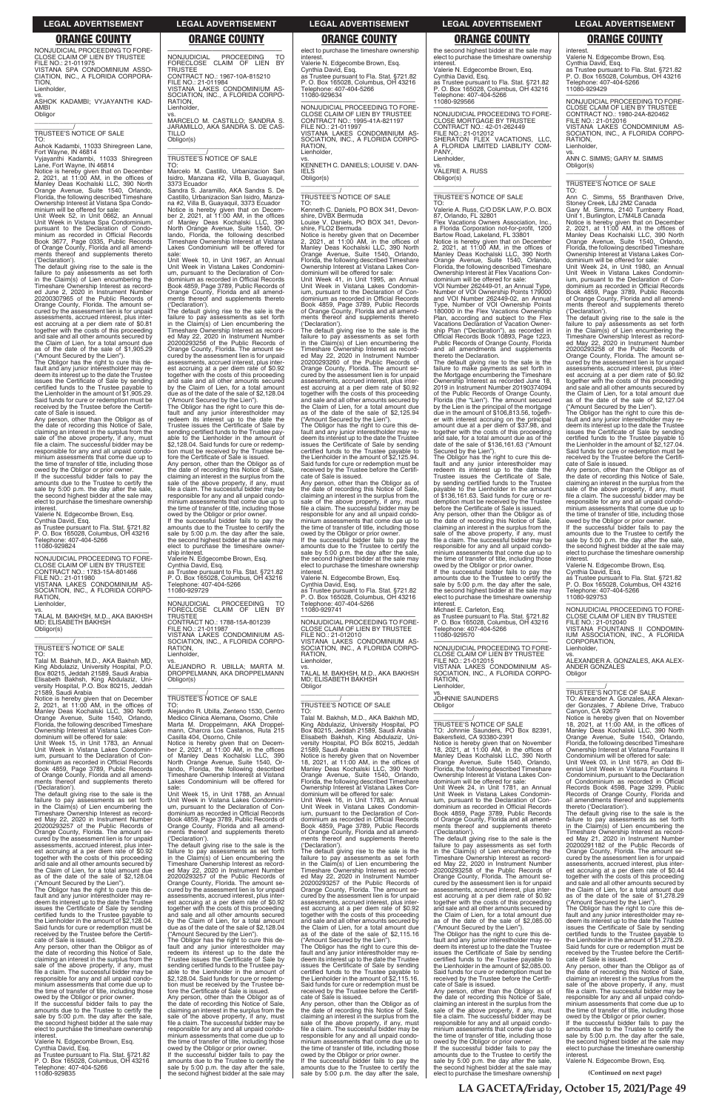NONJUDICIAL PROCEEDING TO FORE-CLOSE CLAIM OF LIEN BY TRUSTEE FILE NO.: 21-011975 VISTANA SPA CONDOMINIUM ASSO-CIATION, INC., A FLORIDA CORPORA-

TION, Lienholder,

vs. ASHOK KADAMBI; VYJAYANTHI KAD-AMBI Obligor \_\_\_\_\_\_\_\_\_\_\_\_\_\_\_\_\_\_\_\_\_\_\_\_\_\_\_\_\_\_\_\_\_

\_\_\_\_\_\_\_\_\_\_\_/ TRUSTEE'S NOTICE OF SALE

TO: Ashok Kadambi, 11033 Shiregreen Lane,

Note Wayne, IN 46814<br>Fort Wayne, IN 46814<br>Vyjayanthi Kadambi, 11033 Shiregreen

Vyjayanthi Kadambi, 11033 Shiregreen Lane, Fort Wayne, IN 46814 Notice is hereby given that on December 2, 2021, at 11:00 AM, in the offices of Manley Deas Kochalski LLC, 390 North Orange Avenue, Suite 1540, Orlando, Florida, the following described Timeshare Ownership Interest at Vistana Spa Condo-minium will be offered for sale:

Unit Week 52, in Unit 0662, an Annual Unit Week in Vistana Spa Condominium, pursuant to the Declaration of Condominium as recorded in Official Records Book 3677, Page 0335, Public Records of Orange County, Florida and all amendments thereof and supplements thereto

owed by the Obligor or prior owner. If the successful bidder fails to pay the amounts due to the Trustee to certify the sale by 5:00 p.m. the day after the sale, the second highest bidder at the sale may elect to purchase the timeshare ownership interest

('Declaration'). The default giving rise to the sale is the failure to pay assessments as set forth in the Claim(s) of Lien encumbering the Timeshare Ownership Interest as recorded June 2, 2020 in Instrument Number 20200307965 of the Public Records of Orange County, Florida. The amount secured by the assessment lien is for unpaid assessments, accrued interest, plus inter-est accruing at a per diem rate of \$0.81 together with the costs of this proceeding and sale and all other amounts secured by the Claim of Lien, for a total amount due as of the date of the sale of \$1,905.29

—————————————————— NONJUDICIAL PROCEEDING TO FORE-CLOSE CLAIM OF LIEN BY TRUSTEE CONTRACT NO.: 1783-15A-801466 FILE NO.: 21-011980 VISTANA LAKES CONDOMINIUM AS-SOCIATION, INC., A FLORIDA CORPO-RATION, **Lienholder** 

("Amount Secured by the Lien"). The Obligor has the right to cure this default and any junior interestholder may redeem its interest up to the date the Trustee issues the Certificate of Sale by sending certified funds to the Trustee payable to the Lienholder in the amount of \$1,905.29. Said funds for cure or redemption must be received by the Trustee before the Certifi-

cate of Sale is issued. Any person, other than the Obligor as of the date of recording this Notice of Sale, claiming an interest in the surplus from the sale of the above property, if any, must file a claim. The successful bidder may be responsible for any and all unpaid condo-minium assessments that come due up to the time of transfer of title, including those

Valerie N. Edgecombe Brown, Esq.

Cynthia David, Esq. as Trustee pursuant to Fla. Stat. §721.82 P. O. Box 165028, Columbus, OH 43216 Telephone: 407-404-5266 11080-929824

—————————————————— NONJUDICIAL PROCEEDING TO FORECLOSE CLAIM OF LIEN BY TRUSTEE CONTRACT NO.: 1967-10A-815210 FILE NO.: 21-011984 VISTANA LAKES CONDOMINIUM AS-SOCIATION, INC., A FLORIDA CORPO-RATION, Lienholder.

vs. TALAL M. BAKHSH, M.D., AKA BAKHSH MD; ELISABETH BAKHSH Obligor(s) \_\_\_\_\_\_\_\_\_\_\_\_\_\_\_\_\_\_\_\_\_\_\_\_\_\_\_\_\_\_\_\_\_

\_\_\_\_\_\_\_\_\_\_\_/ TRUSTEE'S NOTICE OF SALE

TO: Talal M. Bakhsh, M.D., AKA Bakhsh MD, King Abdulaziz, University Hospital, P.O. Box 80215, Jeddah 21589, Saudi Arabia Elisabeth Bakhsh, King Abdulaziz, Uni-versity Hospital, P.O. Box 80215, Jeddah 21589, Saudi Arabia

3373 Ecuador<br>Sandra S. Jar dion<br>Jaramillo, AKA Sandra S. De Castillo, Urbanizacion San Isidro, Manzana #2, Villa B, Guayaquil, 3373 Ecuador Notice is hereby given that on Decem-ber 2, 2021, at 11:00 AM, in the offices of Manley Deas Kochalski LLC, 390 North Orange Avenue, Suite 1540, Orlando, Florida, the following described Timeshare Ownership Interest at Vistana Lakes Condominium will be offered for sale:

Notice is hereby given that on December 2, 2021, at 11:00 AM, in the offices of Manley Deas Kochalski LLC, 390 North Orange Avenue, Suite 1540, Orlando, Florida, the following described Timeshare Ownership Interest at Vistana Lakes Con-

dominium will be offered for sale: Unit Week 15, in Unit 1783, an Annual Unit Week in Vistana Lakes Condominium, pursuant to the Declaration of Con-dominium as recorded in Official Records Book 4859, Page 3789, Public Records of Orange County, Florida and all amend-ments thereof and supplements thereto ('Declaration').

The default giving rise to the sale is the failure to pay assessments as set forth in the Claim(s) of Lien encumbering the Timeshare Ownership Interest as record-ed May 22, 2020 in Instrument Number

20200293257 of the Public Records of Orange County, Florida. The amount se-cured by the assessment lien is for unpaid assessments, accrued interest, plus interest accruing at a per diem rate of \$0.92 together with the costs of this proceeding and sale and all other amounts secured by the Claim of Lien, for a total amount due as of the date of the sale of \$2,128.04 ("Amount Secured by the Lien").

The Obligor has the right to cure this de-fault and any junior interestholder may redeem its interest up to the date the Trustee issues the Certificate of Sale by sending certified funds to the Trustee payable the Lienholder in the amount of \$2,128.04. Said funds for cure or redemption must be received by the Trustee before the Certificate of Sale is issued.

Any person, other than the Obligor as of the date of recording this Notice of Sale, claiming an interest in the surplus from the sale of the above property, if any, must file a claim. The successful bidder may be responsible for any and all unpaid condominium assessments that come due up to the time of transfer of title, including those owed by the Obligor or prior owner.

If the successful bidder fails to pay the amounts due to the Trustee to certify the sale by 5:00 p.m. the day after the sale, the second highest bidder at the sale may the second highest bidder at the sale may elect to purchase the timeshare ownership interest.

Valerie N. Edgecombe Brown, Esq. Cynthia David, Esq. as Trustee pursuant to Fla. Stat. §721.82 P. O. Box 165028, Columbus, OH 43216 Telephone: 407-404-5266 11080-929835

vs. MARCELO M. CASTILLO; SANDRA S. JARAMILLO, AKA SANDRA S. DE CAS-TILLO Obligor(s)

\_\_\_\_\_\_\_\_\_\_\_\_\_\_\_\_\_\_\_\_\_\_\_\_\_\_\_\_\_\_\_\_\_

# \_\_\_\_\_\_\_\_\_\_\_/ TRUSTEE'S NOTICE OF SALE

TO: Marcelo M. Castillo, Urbanizacion San Isidro, Manzana #2, Villa B, Guayaquil,

Unit Week 10, in Unit 1967, an Annual Unit Week in Vistana Lakes Condominium, pursuant to the Declaration of Con-dominium as recorded in Official Records Book 4859, Page 3789, Public Records of Orange County, Florida and all amendthereof and supplements thereto ('Declaration').

The default giving rise to the sale is the failure to pay assessments as set forth in the Claim(s) of Lien encumbering the Timeshare Ownership Interest as recorded May 22, 2020 in Instrument Number 20200293256 of the Public Records of Orange County, Florida. The amount se-cured by the assessment lien is for unpaid assessments, accrued interest, plus interest accruing at a per diem rate of \$0.92 together with the costs of this proceeding and sale and all other amounts secured by the Claim of Lien, for a total amount due as of the date of the sale of \$2,128.04 ("Amount Secured by the Lien").

> —————————————————— NONJUDICIAL PROCEEDING TO FORE-CLOSE CLAIM OF LIEN BY TRUSTEE FILE NO.: 21-012010 VISTANA LAKES CONDOMINIUM AS-SOCIATION, INC., A FLORIDA CORPO-RATION, Lienholder

The Obligor has the right to cure this de-fault and any junior interestholder may redeem its interest up to the date the Trustee issues the Certificate of Sale by sending certified funds to the Trustee pay-able to the Lienholder in the amount of \$2,128.04. Said funds for cure or redemption must be received by the Trustee be-fore the Certificate of Sale is issued.

Any person, other than the Obligor as of the date of recording this Notice of Sale, claiming an interest in the surplus from the sale of the above property, if any, must file a claim. The successful bidder may be responsible for any and all unpaid condominium assessments that come due up to the time of transfer of title, including those owed by the Obligor or prior owner.

If the successful bidder fails to pay the amounts due to the Trustee to certify the sale by 5:00 p.m. the day after the sale, the second highest bidder at the sale may elect to purchase the timeshare owner-ship interest.

Valerie N. Edgecombe Brown, Esq.

Week 16, in Unit 1783, an Annual Unit Week in Vistana Lakes Condominium, pursuant to the Declaration of Con-dominium as recorded in Official Records Book 4859, Page 3789, Public Records of Orange County, Florida and all amend-ments thereof and supplements thereto ('Declaration'). The default giving rise to the sale is the failure to pay assessments as set forth in the Claim(s) of Lien encumbering the Timeshare Ownership Interest as record-ed May 22, 2020 in Instrument Number 20200293257 of the Public Records of Orange County, Florida. The amount se-cured by the assessment lien is for unpaid assessments, accrued interest, plus interest accruing at a per diem rate of \$0.92 together with the costs of this proceeding and sale and all other amounts secured by the Claim of Lien, for a total amount due as of the date of the sale of \$2,115.16 ("Amount Secured by the Lien"). The Obligor has the right to cure this de-fault and any junior interestholder may redeem its interest up to the date the Trustee issues the Certificate of Sale by sending certified funds to the Trustee payable to the Lienholder in the amount of \$2,115.16. Said funds for cure or redemption must be received by the Trustee before the Certificate of Sale is issued. Any person, other than the Obligor as of the date of recording this Notice of Sale, claiming an interest in the surplus from the sale of the above property, if any, must file a claim. The successful bidder may be responsible for any and all unpaid condominium assessments that come due up to the time of transfer of title, including those owed by the Obligor or prior owner. If the successful bidder fails to pay the amounts due to the Trustee to certify the sale by 5:00 p.m. the day after the sale,

the second highest bidder at the sale may elect to purchase the timeshare ownership **interest** 

Cynthia David, Esq. as Trustee pursuant to Fla. Stat. §721.82 P. O. Box 165028, Columbus, OH 43216 Telephone: 407-404-5266 11080-929729

—————————————————— NONJUDICIAL PROCEEDING TO FORECLOSE CLAIM OF LIEN BY

PANY Lienholder, vs. VALERIE A. RUSS

TRUSTEE CONTRACT NO.: 1788-15A-801239 FILE NO.: 21-011987 VISTANA LAKES CONDOMINIUM AS-SOCIATION, INC., A FLORIDA CORPO-RATION, Lienholder,

vs. ALEJANDRO R. UBILLA; MARTA M. DROPPELMANN, AKA DROPPELMANN Obligor(s) \_\_\_\_\_\_\_\_\_\_\_\_\_\_\_\_\_\_\_\_\_\_\_\_\_\_\_\_\_\_\_\_\_

# \_\_\_\_\_\_\_\_\_\_\_/ TRUSTEE'S NOTICE OF SALE

TO: Alejandro R. Ubilla, Zenteno 1530, Centro Medico Clinica Alemana, Osorno, Chile Marta M. Droppelmann, AKA Droppelmann, Charcra Los Castanos, Ruta 215

Casilla 404, Osorno, Chile Notice is hereby given that on Decem-ber 2, 2021, at 11:00 AM, in the offices of Manley Deas Kochalski LLC, 390 North Orange Avenue, Suite 1540, Orlando, Florida, the following described Timeshare Ownership Interest at Vistana Lakes Condominium will be offered for sale:

owed by the Obligor or prior owner. If the successful bidder fails to pay the amounts due to the Trustee to certify the sale by 5:00 p.m. the day after the sale, the second highest bidder at the sale may elect to purchase the timeshare ownership<br>interest

Unit Week 15, in Unit 1788, an Annual Unit Week in Vistana Lakes Condominium, pursuant to the Declaration of Con-dominium as recorded in Official Records Book 4859, Page 3789, Public Records of Orange County, Florida and all amendments thereof and supplements thereto ('Declaration'). The default giving rise to the sale is the failure to pay assessments as set forth in the Claim(s) of Lien encumbering the Timeshare Ownership Interest as recorded May 22, 2020 in Instrument Number 20200293257 of the Public Records of Orange County, Florida. The amount secured by the assessment lien is for unpaid assessments, accrued interest, plus interest accruing at a per diem rate of \$0.92 together with the costs of this proceeding and sale and all other amounts secured by the Claim of Lien, for a total amount due as of the date of the sale of \$2,128.04 ("Amount Secured by the Lien"). The Obligor has the right to cure this de-fault and any junior interestholder may redeem its interest up to the date the Trustee issues the Certificate of Sale by sending certified funds to the Trustee pay-able to the Lienholder in the amount of \$2,128.04. Said funds for cure or redemption must be received by the Trustee be-fore the Certificate of Sale is issued. Any person, other than the Obligor as of the date of recording this Notice of Sale, claiming an interest in the surplus from the sale of the above property, if any, must file a claim. The successful bidder may be responsible for any and all unpaid condominium assessments that come due up to the time of transfer of title, including those are time or transfer or the, including<br>owed by the Obligor or prior owner. If the successful bidder fails to pay the amounts due to the Trustee to certify the sale by 5:00 p.m. the day after the sale, the second highest bidder at the sale may

Bakersfield, CA 93380-2391<br>Notice is hereby given that on November<br>18, 2021, at 11:00 AM, in the offices of<br>Manley Deas Kochalski LLC, 390 North<br>Orange Avenue, Suite 1540, Orlando,<br>Florida, the following described Timeshar Ownership Interest at Vistana Lakes Con-dominium will be offered for sale:

The default giving rise to the sale is the failure to pay assessments as set forth in the Claim(s) of Lien encumbering the Timeshare Ownership Interest as recorded May 22, 2020 in Instrument Number 20200293258 of the Public Records of Orange County, Florida. The amount secured by the assessment lien is for unpaid assessments, accrued interest, plus inter-est accruing at a per diem rate of \$0.92 together with the costs of this proceeding and sale and all other amounts secured by the Claim of Lien, for a total amount due as of the date of the sale of \$2,085.00

elect to purchase the timeshare ownership interest.

Valerie N. Edgecombe Brown, Esq. Cynthia David, Esq. as Trustee pursuant to Fla. Stat. §721.82 P. O. Box 165028, Columbus, OH 43216 Telephone: 407-404-5266 11080-929634

—————————————————— NONJUDICIAL PROCEEDING TO FORE-CLOSE CLAIM OF LIEN BY TRUSTEE CONTRACT NO.: 1980-24A-820462<br>FILE NO.: 21-012016<br>VISTANA LAKES CONDOMINIUM AS<br>SOCIATION, INC., A FLORIDA CORPO-RATION, Lienholder,

—————————————————— NONJUDICIAL PROCEEDING TO FORE-CLOSE CLAIM OF LIEN BY TRUSTEE CONTRACT NO.: 1995-41A-821197 FILE NO.: 21-011997 VISTANA LAKES CONDOMINIUM AS-SOCIATION, INC., A FLORIDA CORPO-**RATION** Lienholder,

vs. KENNETH C. DANIELS; LOUISE V. DAN-IELS

Obligor(s) \_\_\_\_\_\_\_\_\_\_\_\_\_\_\_\_\_\_\_\_\_\_\_\_\_\_\_\_\_\_\_\_\_

# \_\_\_\_\_\_\_\_\_\_\_/ TRUSTEE'S NOTICE OF SALE

TO: Kenneth C. Daniels, PO BOX 341, Devonshire, DVBX Bermuda Louise V. Daniels, PO BOX 341, Devon-

shire, FLO2 Bermuda Notice is hereby given that on December 2, 2021, at 11:00 AM, in the offices of Manley Deas Kochalski LLC, 390 North Orange Avenue, Suite 1540, Orlando,

Florida, the following described Timeshare Ownership Interest at Vistana Lakes Condominium will be offered for sale: Unit Week 41, in Unit 1995, an Annual Unit Week in Vistana Lakes Condomin-

ium, pursuant to the Declaration of Condominium as recorded in Official Records Book 4859, Page 3789, Public Records of Orange County, Florida and all amend-ments thereof and supplements thereto ('Declaration').

The default giving rise to the sale is the failure to pay assessments as set forth in the Claim(s) of Lien encumbering the Timeshare Ownership Interest as record-ed May 22, 2020 in Instrument Number 20200293260 of the Public Records of Orange County, Florida. The amount secured by the assessment lien is for unpaid assessments, accrued interest, plus interest accruing at a per diem rate of \$0.92 together with the costs of this proceeding and sale and all other amounts secured by the Claim of Lien, for a total amount due as of the date of the sale of \$2,125.94 ("Amount Secured by the Lien").

The Obligor has the right to cure this de-fault and any junior interestholder may re-deem its interest up to the date the Trustee issues the Certificate of Sale by sending certified funds to the Trustee payable to the Lienholder in the amount of \$2,125.94. Said funds for cure or redemption must be received by the Trustee before the Certifi-cate of Sale is issued.

> Notice is hereby given that on November<br>18, 2021, at 11:00 AM, in the offices of<br>Manley Deas Kochalski LLC, 390 North<br>Orange Avenue, Suite 1540, Orlando,<br>Florida, the following described Timeshare Ownership Interest at Vistana Fountains II Condominium will be offered for sale: Unit Week 03, in Unit 1679, an Odd Biennial Unit Week in Vistana Fountains II Condominium, pursuant to the Declaration of Condominium as recorded in Official Records Book 4598, Page 3299, Public Records of Orange County, Florida and all amendments thereof and supplements

Any person, other than the Obligor as of the date of recording this Notice of Sale, claiming an interest in the surplus from the sale of the above property, if any, must file a claim. The successful bidder may be responsible for any and all unpaid condominium assessments that come due up to the time of transfer of title, including those owed by the Obligor or prior owner.

If the successful bidder fails to pay the amounts due to the Trustee to certify the sale by 5:00 p.m. the day after the sale, the second highest bidder at the sale may elect to purchase the timeshare ownership interest.

> owed by the Obligor or prior owner. If the successful bidder fails to pay the amounts due to the Trustee to certify the sale by 5:00 p.m. the day after the sale, the second highest bidder at the sale may elect to purchase the timeshare ownership interest

Valerie N. Edgecombe Brown, Esq. Cynthia David, Esq. as Trustee pursuant to Fla. Stat. §721.82

P. O. Box 165028, Columbus, OH 43216 elephone: 407-404-5266 11080-929741

vs. TALAL M. BAKHSH, M.D., AKA BAKHSH MD; ELISABETH BAKHSH **Obligor** \_\_\_\_\_\_\_\_\_\_\_\_\_\_\_\_\_\_\_\_\_\_\_\_\_\_\_\_\_\_\_\_\_

# \_\_\_\_\_\_\_\_\_\_\_/ TRUSTEE'S NOTICE OF SALE

TO: Talal M. Bakhsh, M.D., AKA Bakhsh MD, King Abdulaziz, University Hospital, PO Box 80215, Jeddah 21589, Saudi Arabia Elisabeth Bakhsh, King Abdulaziz, Uni-versity Hospital, PO Box 80215, Jeddah 21589, Saudi Arabia

Notice is hereby given that on November 18, 2021, at 11:00 AM, in the offices of Manley Deas Kochalski LLC, 390 North Orange Avenue, Suite 1540, Orlando, Florida, the following described Timeshare Ownership Interest at Vistana Lakes Condominium will be offered for sale:

Valerie N. Edgecombe Brown, Esq. Cynthia David, Esq. as Trustee pursuant to Fla. Stat. §721.82 P. O. Box 165028, Columbus, OH 43216 Telephone: 407-404-5266

11080-929566 —————————————————— NONJUDICIAL PROCEEDING TO FORE-CLOSE MORTGAGE BY TRUSTEE CONTRACT NO.: 42-01-262449 FILE NO.: 21-012012 SHERATON FLEX VACATIONS, LLC, A FLORIDA LIMITED LIABILITY COM-

### Obligor(s) \_\_\_\_\_\_\_\_\_\_\_\_\_\_\_\_\_\_\_\_\_\_\_\_\_\_\_\_\_\_\_\_\_

### \_\_\_\_\_\_\_\_\_\_\_/ TRUSTEE'S NOTICE OF SALE TO:

Valerie A. Russ, C/O DSK LAW, P.O. BOX 87, Orlando, FL 32801

Flex Vacations Owners Association, Inc., a Florida Corporation not-for-profit, 1200 Bartow Road, Lakeland, FL 33801

Notice is hereby given that on December 2, 2021, at 11:00 AM, in the offices of Manley Deas Kochalski LLC, 390 North Orange Avenue, Suite 1540, Orlando, Florida, the following described Timeshare Ownership Interest at Flex Vacations Con-

dominium will be offered for sale: VOI Number 262449-01, an Annual Type, Number of VOI Ownership Points 179000 and VOI Number 262449-02, an Annual Type, Number of VOI Ownership Points 180000 in the Flex Vacations Ownership Plan, according and subject to the Flex Vacations Declaration of Vacation Ownership Plan ("Declaration"), as recorded in Official Records Book 10893, Page 1223, Public Records of Orange County, Florida and all amendments and supplements thereto the Declaration.

The default giving rise to the sale is the failure to make payments as set forth in the Mortgage encumbering the Timeshare Ownership Interest as recorded June 18, 2019 in Instrument Number 20190374094 of the Public Records of Orange County, Florida (the "Lien"). The amount secured by the Lien is the principal of the mortgage due in the amount of \$106,813.56, togeth-er with interest accruing on the principal amount due at a per diem of \$37.98, and together with the costs of this proceeding and sale, for a total amount due as of the date of the sale of \$136,161.63 ("Amount

Secured by the Lien"). The Obligor has the right to cure this default and any junior interestholder may redeem its interest up to the date the Trustee issues the Certificate of Sale, by sending certified funds to the Trustee payable to the Lienholder in the amount stable to the Elemental in the amount demption must be received by the Trustee

before the Certificate of Sale is issued. Any person, other than the Obligor as of the date of recording this Notice of Sale,<br>claiming an interest in the surplus from the<br>sale of the above property, if any, must<br>file a claim. The successful bidder may be responsible for any and all unpaid condo-minium assessments that come due up to the time of transfer of title, including those

interest. Michael E. Carleton, Esq. as Trustee pursuant to Fla. Stat. §721.82 P. O. Box 165028, Columbus, OH 43216 Telephone: 407-404-5266 11080-929570

—————————————————— NONJUDICIAL PROCEEDING TO FORE-CLOSE CLAIM OF LIEN BY TRUSTEE FILE NO.: 21-012015 VISTANA LAKES CONDOMINIUM AS-SOCIATION, INC., A FLORIDA CORPO-**RATION** Lienholder,

vs. JOHNNIE SAUNDERS **Obligor** \_\_\_\_\_\_\_\_\_\_\_\_\_\_\_\_\_\_\_\_\_\_\_\_\_\_\_\_\_\_\_\_\_

\_\_\_\_\_\_\_\_\_\_\_/ TRUSTEE'S NOTICE OF SALE TO: Johnnie Saunders, PO Box 82391,

Unit Week 24, in Unit 1781, an Annual Unit Week in Vistana Lakes Condomin-ium, pursuant to the Declaration of Condominium as recorded in Official Records

Book 4859, Page 3789, Public Records of Orange County, Florida and all amendments thereof and supplements thereto ('Declaration').

("Amount Secured by the Lien"). The Obligor has the right to cure this default and any junior interestholder may re-deem its interest up to the date the Trustee issues the Certificate of Sale by sending certified funds to the Trustee payable to the Lienholder in the amount of \$2,085.00. Said funds for cure or redemption must be received by the Trustee before the Certifi-

cate of Sale is issued. Any person, other than the Obligor as of the date of recording this Notice of Sale, claiming an interest in the surplus from the sale of the above property, if any, must file a claim. The successful bidder may be responsible for any and all unpaid condo-minium assessments that come due up to the time of transfer of title, including those

owed by the Obligor or prior owner. If the successful bidder fails to pay the amounts due to the Trustee to certify the sale by 5:00 p.m. the day after the sale, the second highest bidder at the sale may elect to purchase the timeshare ownership

interest. Valerie N. Edgecombe Brown, Esq. Cynthia David, Esq. as Trustee pursuant to Fla. Stat. §721.82 P. O. Box 165028, Columbus, OH 43216 Telephone: 407-404-5266 11080-929429

vs. ANN C. SIMMS; GARY M. SIMMS Obligor(s) \_\_\_\_\_\_\_\_\_\_\_\_\_\_\_\_\_\_\_\_\_\_\_\_\_\_\_\_\_\_\_\_\_

# \_\_\_\_\_\_\_\_\_\_\_/ TRUSTEE'S NOTICE OF SALE

TO: Ann C. Simms, 55 Branthaven Drive, Stoney Creek, L8J 2M2 Canada Gary M. Simms, 2140 Turnberry Road, Unit 1, Burlington, L7M4L8 Canada

Notice is hereby given that on December 2, 2021, at 11:00 AM, in the offices of Manley Deas Kochalski LLC, 390 North Orange Avenue, Suite 1540, Orlando, Florida, the following described Timeshare Ownership Interest at Vistana Lakes Con-

dominium will be offered for sale: Unit Week 24, in Unit 1980, an Annual Unit Week in Vistana Lakes Condominium, pursuant to the Declaration of Con-dominium as recorded in Official Records Book 4859, Page 3789, Public Records of Orange County, Florida and all amend-ments thereof and supplements thereto ('Declaration').

The default giving rise to the sale is the failure to pay assessments as set forth in the Claim(s) of Lien encumbering the Timeshare Ownership Interest as record-ed May 22, 2020 in Instrument Number 20200293258 of the Public Records of Orange County, Florida. The amount se-cured by the assessment lien is for unpaid assessments, accrued interest, plus interest accruing at a per diem rate of \$0.92 together with the costs of this proceeding and sale and all other amounts secured by the Claim of Lien, for a total amount due as of the date of the sale of \$2,127.04

("Amount Secured by the Lien"). The Obligor has the right to cure this de-fault and any junior interestholder may redeem its interest up to the date the Trustee issues the Certificate of Sale by sending certified funds to the Trustee payable to the Lienholder in the amount of \$2,127.04. Said funds for cure or redemption must be received by the Trustee before the Certificate of Sale is issued.

Any person, other than the Obligor as of the date of recording this Notice of Sale, claiming an interest in the surplus from the sale of the above property, if any, must file a claim. The successful bidder may be responsible for any and all unpaid condominium assessments that come due up to the time of transfer of title, including those owed by the Obligor or prior owner. If the successful bidder fails to pay the amounts due to the Trustee to certify the

sale by 5:00 p.m. the day after the sale, the second highest bidder at the sale may elect to purchase the timeshare ownership

interest.

Valerie N. Edgecombe Brown, Esq. Cynthia David, Esq. as Trustee pursuant to Fla. Stat. §721.82 P. O. Box 165028, Columbus, OH 43216 Telephone: 407-404-5266

11080-929753

—————————————————— NONJUDICIAL PROCEEDING TO FORE-CLOSE CLAIM OF LIEN BY TRUSTEE FILE NO.: 21-012040 VISTANA FOUNTAINS II CONDOMIN-IUM ASSOCIATION, INC., A FLORIDA

CORPORATION, Lienholder,

vs. ALEXANDER A. GONZALES, AKA ALEX-ANDER GONZALES

Obligor

\_\_\_\_\_\_\_\_\_\_\_\_\_\_\_\_\_\_\_\_\_\_\_\_\_\_\_\_\_\_\_\_\_ \_\_\_\_\_\_\_\_\_\_\_/ TRUSTEE'S NOTICE OF SALE

TO: Alexander A. Gonzales, AKA Alexan-der Gonzales, 7 Abilene Drive, Trabuco

Canyon, CA 92679

thereto ('Declaration').

The default giving rise to the sale is the failure to pay assessments as set forth in the Claim(s) of Lien encumbering the Timeshare Ownership Interest as record-ed May 21, 2020 in Instrument Number 20200291182 of the Public Records of Orange County, Florida. The amount se-cured by the assessment lien is for unpaid assessments, accrued interest, plus interest accruing at a per diem rate of \$0.44 together with the costs of this proceeding and sale and all other amounts secured by the Claim of Lien, for a total amount due as of the date of the sale of \$1,278.29 ("Amount Secured by the Lien").

The Obligor has the right to cure this de-fault and any junior interestholder may redeem its interest up to the date the Trustee issues the Certificate of Sale by sending certified funds to the Trustee payable to the Lienholder in the amount of \$1,278.29. Said funds for cure or redemption must be received by the Trustee before the Certificate of Sale is issued.

Any person, other than the Obligor as of the date of recording this Notice of Sale, claiming an interest in the surplus from the sale of the above property, if any, must file a claim. The successful bidder may be responsible for any and all unpaid condo-minium assessments that come due up to the time of transfer of title, including those

Valerie N. Edgecombe Brown, Esq.

**LA GACETA/Friday, October 15, 2021/Page 49**

**(Continued on next page)**

### **LEGAL ADVERTISEMENT LEGAL ADVERTISEMENT LEGAL ADVERTISEMENT LEGAL ADVERTISEMENT LEGAL ADVERTISEMENT**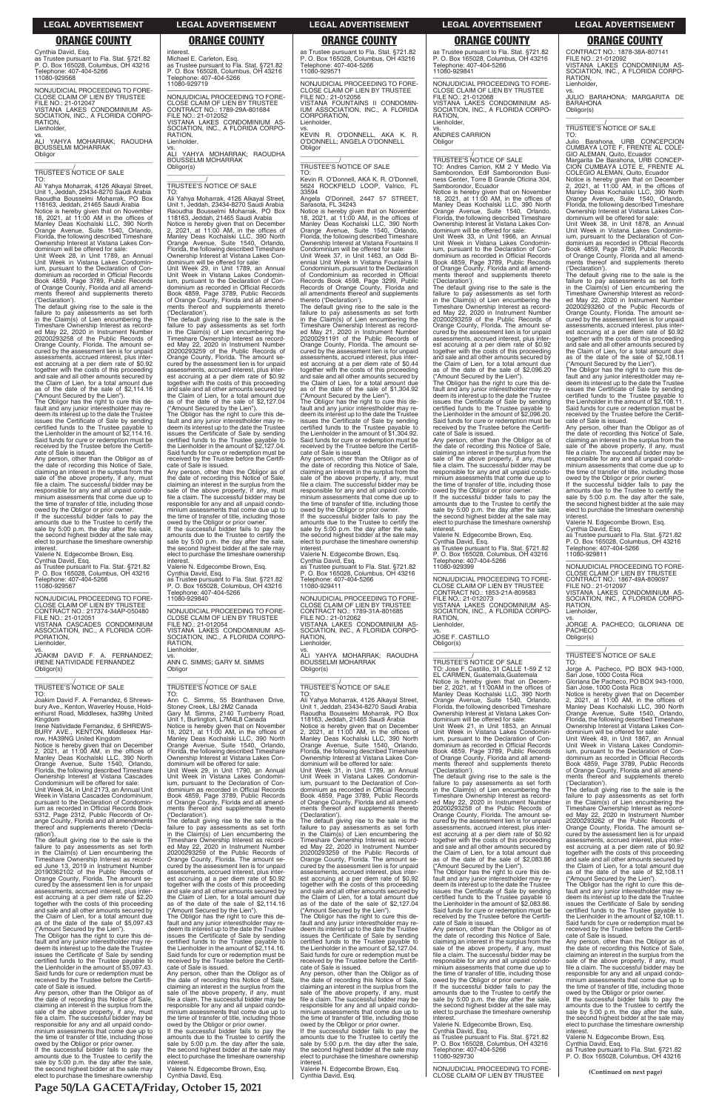Cynthia David, Esq.

as Trustee pursuant to Fla. Stat. §721.82 P. O. Box 165028, Columbus, OH 43216 Telephone: 407-404-5266 11080-929568

—————————————————— NONJUDICIAL PROCEEDING TO FORE-CLOSE CLAIM OF LIEN BY TRUSTEE FILE NO.: 21-012047 VISTANA LAKES CONDOMINIUM AS-SOCIATION, INC., A FLORIDA CORPO-RATION, Lienholder,

### vs. ALI YAHYA MOHARRAK; RAOUDHA BOUSSELMI MOHARRAK **Obligor** \_\_\_\_\_\_\_\_\_\_\_\_\_\_\_\_\_\_\_\_\_\_\_\_\_\_\_\_\_\_\_\_\_

# \_\_\_\_\_\_\_\_\_\_\_/ TRUSTEE'S NOTICE OF SALE

TO: Ali Yahya Moharrak, 4126 Alkayal Street, Unit 1, Jeddah, 23434-8270 Saudi Arabia Raoudha Bousselmi Moharrak, PO Box 118163, Jeddah, 21465 Saudi Arabia

Notice is hereby given that on November 18, 2021, at 11:00 AM in the offices of Manley Deas Kochalski LLC, 390 North Orange Avenue, Suite 1540, Orlando, Florida, the following described Timeshare Ownership Interest at Vistana Lakes Con-

dominium will be offered for sale: Unit Week 28, in Unit 1789, an Annual Unit Week in Vistana Lakes Condominium, pursuant to the Declaration of Con-dominium as recorded in Official Records Book 4859, Page 3789, Public Records of Orange County, Florida and all amend-ments thereof and supplements thereto ('Declaration').

Valerie N. Edgecombe Brown, Esq. Cynthia David, Esq. as Trustee pursuant to Fla. Stat. §721.82 P. O. Box 165028, Columbus, OH 43216 Telephone: 407-404-5266 Telephone: 40<br>11080-929567

The default giving rise to the sale is the failure to pay assessments as set forth in the Claim(s) of Lien encumbering the Timeshare Ownership Interest as record-ed May 22, 2020 in Instrument Number 20200293258 of the Public Records of Orange County, Florida. The amount se-cured by the assessment lien is for unpaid assessments, accrued interest, plus interest accruing at a per diem rate of \$0.92 together with the costs of this proceeding and sale and all other amounts secured by the Claim of Lien, for a total amount due as of the date of the sale of \$2,114.16 ("Amount Secured by the Lien").

vs.<br>JOAKIM DAVID F. A. FERNANDEZ;<br>IRENE.NATIVIDADE.FERNANDEZ Obligor(s) \_\_\_\_\_\_\_\_\_\_\_\_\_\_\_\_\_\_\_\_\_\_\_\_\_\_\_\_\_\_\_\_\_

The Obligor has the right to cure this de-fault and any junior interestholder may re-deem its interest up to the date the Trustee issues the Certificate of Sale by sending certified funds to the Trustee payable to the Lienholder in the amount of \$2,114.16. Said funds for cure or redemption must be received by the Trustee before the Certificate of Sale is issued.

Any person, other than the Obligor as of the date of recording this Notice of Sale, claiming an interest in the surplus from the sale of the above property, if any, must file a claim. The successful bidder may be responsible for any and all unpaid condominium assessments that come due up to the time of transfer of title, including those owed by the Obligor or prior owner.

If the successful bidder fails to pay the amounts due to the Trustee to certify the sale by 5:00 p.m. the day after the sale, the second highest bidder at the sale may elect to purchase the timeshare ownership interest.

—————————————————— NONJUDICIAL PROCEEDING TO FORE-CLOSE CLAIM OF LIEN BY TRUSTEE CONTRACT NO.: 217374-34AP-050480 FILE NO.: 21-012051 VISTANA CASCADES CONDOMINIUM **RATION** Lienholder,

ASSOCIATION, INC., A FLORIDA COR-PORATION, Lienholder,

# \_\_\_\_\_\_\_\_\_\_\_/ TRUSTEE'S NOTICE OF SALE

TO: Joakim David F. A. Fernandez, 6 Shrewsbury Ave., Kenton, Waverley House, Hold-enhurst Road, Middlesex, ha39hg United Kingdom

Irene Natividade Fernandez, 6 SHREWS-BURY AVE., KENTON, Middlesex Har-row, HA39NG United Kingdom

Notice is hereby given that on December 2, 2021, at 11:00 AM, in the offices of Manley Deas Kochalski LLC, 390 North Orange Avenue, Suite 1540, Orlando, Florida, the following described Timeshare Ownership Interest at Vistana Cascades Condominium will be offered for sale:

Unit Week 34, in Unit 2173, an Annual Unit Week in Vistana Cascades Condominium, pursuant to the Declaration of Condomin-ium as recorded in Official Records Book 5312, Page 2312, Public Records of Orange County, Florida and all amendments thereof and supplements thereto ('Declaration'). The default giving rise to the sale is the failure to pay assessments as set forth in the Claim(s) of Lien encumbering the Timeshare Ownership Interest as record-ed June 13, 2019 in Instrument Number 20190362102 of the Public Records of Orange County, Florida. The amount se-cured by the assessment lien is for unpaid assessments, accrued interest, plus interest accruing at a per diem rate of \$2.20 together with the costs of this proceeding and sale and all other amounts secured by the Claim of Lien, for a total amount due as of the date of the sale of \$5,097.43 ("Amount Secured by the Lien"). The Obligor has the right to cure this de-fault and any junior interestholder may re-deem its interest up to the date the Trustee issues the Certificate of Sale by sending certified funds to the Trustee payable to the Lienholder in the amount of \$5,097.43. Said funds for cure or redemption must be received by the Trustee before the Certifi-cate of Sale is issued. Any person, other than the Obligor as of the date of recording this Notice of Sale, claiming an interest in the surplus from the sale of the above property, if any, must file a claim. The successful bidder may be responsible for any and all unpaid condominium assessments that come due up to the time of transfer of title, including those owed by the Obligor or prior owner. If the successful bidder fails to pay the amounts due to the Trustee to certify the sale by 5:00 p.m. the day after the sale, the second highest bidder at the sale may elect to purchase the timeshare ownership

ments thereof<br>('Declaration'). The default giving rise to the sale is the failure to pay assessments as set forth in the Claim(s) of Lien encumbering the

interest.

Michael E. Carleton, Esq. as Trustee pursuant to Fla. Stat. §721.82 P. O. Box 165028, Columbus, OH 43216

Telephone: 407-404-5266 11080-929719

 $FII F NO.21-012052$ 

—————————————————— NONJUDICIAL PROCEEDING TO FORE-CLOSE CLAIM OF LIEN BY TRUSTEE CONTRACT NO.: 1789-29A-801684

VISTANA LAKES CONDOMINIUM AS-SOCIATION, INC., A FLORIDA CORPO-

vs. ALI YAHYA MOHARRAK; RAOUDHA BOUSSELMI MOHARRAK

Obligor(s)

\_\_\_\_\_\_\_\_\_\_\_\_\_\_\_\_\_\_\_\_\_\_\_\_\_\_\_\_\_\_\_\_\_ \_\_\_\_\_\_\_\_\_\_\_/ TRUSTEE'S NOTICE OF SALE

TO:

Ali Yahya Moharrak, 4126 Alkayal Street, Unit 1, Jeddah, 23434-8270 Saudi Arabia Raoudha Bousselmi Moharrak, PO Box 118163, Jeddah, 21465 Saudi Arabia Notice is hereby given that on December

2, 2021, at 11:00 AM, in the offices of Manley Deas Kochalski LLC, 390 North Orange Avenue, Suite 1540, Orlando,

Florida, the following described Timeshare Ownership Interest at Vistana Lakes Con-dominium will be offered for sale:

Unit Week 29, in Unit 1789, an Annual Unit Week in Vistana Lakes Condomin-ium, pursuant to the Declaration of Con-

dominium as recorded in Official Records Book 4859, Page 3789, Public Records of Orange County, Florida and all amendments thereof and supplements thereto

('Declaration').

The default giving rise to the sale is the failure to pay assessments as set forth in the Claim(s) of Lien encumbering the Timeshare Ownership Interest as record-

ed May 22, 2020 in Instrument Number 20200293259 of the Public Records of Orange County, Florida. The amount secured by the assessment lien is for unpaid assessments, accrued interest, plus interest accruing at a per diem rate of \$0.92 together with the costs of this proceeding and sale and all other amounts secured by the Claim of Lien, for a total amount due as of the date of the sale of \$2,127.04 ("Amount Secured by the Lien"). The Obligor has the right to cure this default and any junior interestholder may re-deem its interest up to the date the Trustee issues the Certificate of Sale by sending

certified funds to the Trustee payable to the Lienholder in the amount of \$2,127.04. Said funds for cure or redemption must be received by the Trustee before the Certifi-cate of Sale is issued. Any person, other than the Obligor as of the date of recording this Notice of Sale, claiming an interest in the surplus from the sale of the above property, if any, must file a claim. The successful bidder may be responsible for any and all unpaid condominium assessments that come due up to the time of transfer of title, including those owed by the Obligor or prior owner. If the successful bidder fails to pay the amounts due to the Trustee to certify the sale by 5:00 p.m. the day after the sale, the second highest bidder at the sale may elect to purchase the timeshare ownership interest. Valerie N. Edgecombe Brown, Esq. Cynthia David, Esq. as Trustee pursuant to Fla. Stat. §721.82 P. O. Box 165028, Columbus, OH 43216

> If the successful bidder fails to pay the amounts due to the Trustee to certify the sale by 5:00 p.m. the day after the sale, the second highest bidder at the sale may elect to purchase the timeshare ownership **interest**

as Trustee pursuant to Fla. Stat. §721.82 P. O. Box 165028, Columbus, OH 43216 Telephone: 407-404-5266 1 elephone: 40.<br>11080-929841

Telephone: 407-404-5266 11080-929840

—————————————————— NONJUDICIAL PROCEEDING TO FORE-CLOSE CLAIM OF LIEN BY TRUSTEE FILE NO.: 21-012054 VISTANA LAKES CONDOMINIUM AS-SOCIATION, INC., A FLORIDA CORPO- \_\_\_\_\_\_\_\_\_\_\_/<br>TRUSTEE'S NOTICE OF SALE<br>TO: Andres Carrion, KM 2 Y Medio Via Samborondon, Edif Samborondon Busi-ness Center, Torre B Grande Oficina 304, Samborondor, Ecuador

RATION, Lienholder,

**Obligor** 

vs. ANN C. SIMMS; GARY M. SIMMS

dominium will be offered for sale: Unit Week 33, in Unit 1966, an Annual Unit Week in Vistana Lakes Condominium, pursuant to the Declaration of Con-dominium as recorded in Official Records Book 4859, Page 3789, Public Records of Orange County, Florida and all amend-ments thereof and supplements thereto ments thereof<br>('Declaration').

\_\_\_\_\_\_\_\_\_\_\_\_\_\_\_\_\_\_\_\_\_\_\_\_\_\_\_\_\_\_\_\_\_ \_\_\_\_\_\_\_\_\_\_\_/ TRUSTEE'S NOTICE OF SALE

TO: Ann C. Simms, 55 Branthaven Drive, Stoney Creek, L8J 2M2 Canada Gary M. Simms, 2140 Turnberry Road, Unit 1, Burlington, L7M4L8 Canada

Notice is hereby given that on November 18, 2021, at 11:00 AM, in the offices of Manley Deas Kochalski LLC, 390 North Orange Avenue, Suite 1540, Orlando, Florida, the following described Timeshare Ownership Interest at Vistana Lakes Condominium will be offered for sale: Unit Week 29, in Unit 1790, an Annual Unit Week in Vistana Lakes Condomin-

ium, pursuant to the Declaration of Con-dominium as recorded in Official Records Book 4859, Page 3789, Public Records of Orange County, Florida and all amend-ments thereof and supplements thereto

Timeshare Ownership Interest as record-ed May 22, 2020 in Instrument Number 20200293259 of the Public Records of Orange County, Florida. The amount se-cured by the assessment lien is for unpaid assessments, accrued interest, plus interest accruing at a per diem rate of \$0.92 together with the costs of this proceeding and sale and all other amounts secured by the Claim of Lien, for a total amount due as of the date of the sale of \$2,114.16 ("Amount Secured by the Lien").

The Obligor has the right to cure this de-fault and any junior interestholder may re-deem its interest up to the date the Trustee issues the Certificate of Sale by sending certified funds to the Trustee payable to the Lienholder in the amount of \$2,114.16. Said funds for cure or redemption must be received by the Trustee before the Certifi-cate of Sale is issued.

Any person, other than the Obligor as of the date of recording this Notice of Sale, claiming an interest in the surplus from the sale of the above property, if any, must file a claim. The successful bidder may be responsible for any and all unpaid condominium assessments that come due up to the time of transfer of title, including those owed by the Obligor or prior owner.

If the successful bidder fails to pay the amounts due to the Trustee to certify the sale by 5:00 p.m. the day after the sale, the second highest bidder at the sale may elect to purchase the timeshare ownership interest.

Valerie N. Edgecombe Brown, Esq. Cynthia David, Esq.

as Trustee pursuant to Fla. Stat. §721.82 P. O. Box 165028, Columbus, OH 43216 Telephone: 407-404-5266 11080-929571

—————————————————— NONJUDICIAL PROCEEDING TO FORE-CLOSE CLAIM OF LIEN BY TRUSTEE FILE NO.: 21-012056 VISTANA FOUNTAINS II CONDOMIN-IUM ASSOCIATION, INC., A FLORIDA CORPORATION, Lienholder. vs.

KEVIN R. O'DONNELL, AKA K. R. O'DONNELL; ANGELA O'DONNELL **Obligor** \_\_\_\_\_\_\_\_\_\_\_\_\_\_\_\_\_\_\_\_\_\_\_\_\_\_\_\_\_\_\_\_\_

### \_\_\_\_\_\_\_\_\_\_\_/ TRUSTEE'S NOTICE OF SALE TO:

Kevin R. O'Donnell, AKA K. R. O'Donnell, 5624 ROCKFIELD LOOP, Valrico, FL 33594

Angela O'Donnell, 2447 57 STREET, Sarasota, FL 34243 Notice is hereby given that on November 18, 2021, at 11:00 AM, in the offices of Manley Deas Kochalski LLC, 390 North

Orange Avenue, Suite 1540, Orlando, Florida, the following described Timeshare Ownership Interest at Vistana Fountains II Condominium will be offered for sale: Unit Week 37, in Unit 1463, an Odd Bi-ennial Unit Week in Vistana Fountains II

Condominium, pursuant to the Declaration of Condominium as recorded in Official Records Book 4598, Page 3299, Public Records of Orange County, Florida and all amendments thereof and supplements thereto ('Declaration').

> VISTANA LAKES CONDOMINIUM AS-SOCIATION, INC., A FLORIDA CORPO-RATION, Lienholder.

The default giving rise to the sale is the failure to pay assessments as set forth in the Claim(s) of Lien encumbering the Timeshare Ownership Interest as record-ed May 21, 2020 in Instrument Number 20200291191 of the Public Records of Orange County, Florida. The amount se-cured by the assessment lien is for unpaid assessments, accrued interest, plus interest accruing at a per diem rate of \$0.44 together with the costs of this proceeding and sale and all other amounts secured by the Claim of Lien, for a total amount due as of the date of the sale of \$1,304.92 ("Amount Secured by the Lien").

> vs. JORGE A. PACHECO; GLORIANA DE **PACHECO**

The Obligor has the right to cure this de-fault and any junior interestholder may re-deem its interest up to the date the Trustee issues the Certificate of Sale by sending certified funds to the Trustee payable to the Lienholder in the amount of \$1,304.92. Said funds for cure or redemption must be received by the Trustee before the Certifi-cate of Sale is issued.

Any person, other than the Obligor as of the date of recording this Notice of Sale, claiming an interest in the surplus from the sale of the above property, if any, must file a claim. The successful bidder may be responsible for any and all unpaid condominium assessments that come due up to the time of transfer of title, including those owed by the Obligor or prior owner.

If the successful bidder fails to pay the amounts due to the Trustee to certify the sale by 5:00 p.m. the day after the sale, the second highest bidder at the sale may elect to purchase the timeshare ownership interest.

Valerie N. Edgecombe Brown, Esq. Cynthia David, Esq. as Trustee pursuant to Fla. Stat. §721.82 P. O. Box 165028, Columbus, OH 43216 Telephone: 407-404-5266 11080-929411

—————————————————— NONJUDICIAL PROCEEDING TO FORE-CLOSE CLAIM OF LIEN BY TRUSTEE CONTRACT NO.: 1789-31A-801685 FILE NO.: 21-012062 VISTANA LAKES CONDOMINIUM AS-SOCIATION, INC., A FLORIDA CORPO-**RATION** Lienholder,

vs. ALI YAHYA MOHARRAK; RAOUDHA BOUSSELMI MOHARRAK Obligor(s) \_\_\_\_\_\_\_\_\_\_\_\_\_\_\_\_\_\_\_\_\_\_\_\_\_\_\_\_\_\_\_\_\_

# \_\_\_\_\_\_\_\_\_\_\_/ TRUSTEE'S NOTICE OF SALE

TO: Ali Yahya Moharrak, 4126 Alkayal Street, Unit 1, Jeddah, 23434-8270 Saudi Arabia Raoudha Bousselmi Moharrak, PO Box 118163, Jeddah, 21465 Saudi Arabia Notice is hereby given that on December 2, 2021, at 11:00 AM, in the offices of Manley Deas Kochalski LLC, 390 North Orange Avenue, Suite 1540, Orlando, Florida, the following described Timeshare Ownership Interest at Vistana Lakes Con-

dominium will be offered for sale: Unit Week 31, in Unit 1789, an Annual Unit Week in Vistana Lakes Condomin-

ium, pursuant to the Declaration of Condominium as recorded in Official Records Book 4859, Page 3789, Public Records of Orange County, Florida and all amend-ments thereof and supplements thereto ('Declaration').

The default giving rise to the sale is the failure to pay assessments as set forth in the Claim(s) of Lien encumbering the Timeshare Ownership Interest as record-ed May 22, 2020 in Instrument Number 20200293259 of the Public Records of Orange County, Florida. The amount se-cured by the assessment lien is for unpaid assessments, accrued interest, plus interest accruing at a per diem rate of \$0.92 together with the costs of this proceeding and sale and all other amounts secured by the Claim of Lien, for a total amount due as of the date of the sale of \$2,127.04 ("Amount Secured by the Lien").

The Obligor has the right to cure this de-fault and any junior interestholder may re-deem its interest up to the date the Trustee issues the Certificate of Sale by sending certified funds to the Trustee payable to the Lienholder in the amount of \$2,127.04. Said funds for cure or redemption must be received by the Trustee before the Certifi-cate of Sale is issued.

Any person, other than the Obligor as of the date of recording this Notice of Sale, claiming an interest in the surplus from the sale of the above property, if any, must file a claim. The successful bidder may be responsible for any and all unpaid condominium assessments that come due up to the time of transfer of title, including those owed by the Obligor or prior owner.

Valerie N. Edgecombe Brown, Esq. Cynthia David, Esq.

—————————————————— NONJUDICIAL PROCEEDING TO FORE-CLOSE CLAIM OF LIEN BY TRUSTEE FILE NO.: 21-012068 VISTANA LAKES CONDOMINIUM AS-SOCIATION, INC., A FLORIDA CORPO-**RATION** Lienholder vs.

ANDRES CARRION Obligor

\_\_\_\_\_\_\_\_\_\_\_\_\_\_\_\_\_\_\_\_\_\_\_\_\_\_\_\_\_\_\_\_\_

Notice is hereby given that on November 18, 2021, at 11:00 AM, in the offices of Manley Deas Kochalski LLC, 390 North Orange Avenue, Suite 1540, Orlando, Florida, the following described Timeshare Ownership Interest at Vistana Lakes Con-

The default giving rise to the sale is the failure to pay assessments as set forth in the Claim(s) of Lien encumbering the Timeshare Ownership Interest as record-ed May 22, 2020 in Instrument Number 20200293259 of the Public Records of Orange County, Florida. The amount se-cured by the assessment lien is for unpaid assessments, accrued interest, plus interest accruing at a per diem rate of \$0.92 together with the costs of this proceeding and sale and all other amounts secured by the Claim of Lien, for a total amount due as of the date of the sale of \$2,096.20 ("Amount Secured by the Lien").

The Obligor has the right to cure this de-fault and any junior interestholder may redeem its interest up to the date the Trustee issues the Certificate of Sale by sending certified funds to the Trustee payable to the Lienholder in the amount of \$2,096.20. Said funds for cure or redemption must be received by the Trustee before the Certifi-cate of Sale is issued.

Any person, other than the Obligor as of the date of recording this Notice of Sale, claiming an interest in the surplus from the sale of the above property, if any, must file a claim. The successful bidder may be responsible for any and all unpaid condominium assessments that come due up to the time of transfer of title, including those owed by the Obligor or prior owner.

If the successful bidder fails to pay the amounts due to the Trustee to certify the sale by 5:00 p.m. the day after the sale, the second highest bidder at the sale may elect to purchase the timeshare ownership interest.

Valerie N. Edgecombe Brown, Esq. Cynthia David, Esq. as Trustee pursuant to Fla. Stat. §721.82 P. O. Box 165028, Columbus, OH 43216 Telephone: 407-404-5266 11080-929399

—————————————————— NONJUDICIAL PROCEEDING TO FORE-CLOSE CLAIM OF LIEN BY TRUSTEE CONTRACT NO.: 1853-21A-809583 FILE NO.: 21-012073 VISTANA LAKES CONDOMINIUM AS-SOCIATION, INC., A FLORIDA CORPO-**RATION** Lienholder,

vs. JOSE F. CASTILLO Obligor(s)

### \_\_\_\_\_\_\_\_\_\_\_\_\_\_\_\_\_\_\_\_\_\_\_\_\_\_\_\_\_\_\_\_\_

\_\_\_\_\_\_\_\_\_\_\_/ TRUSTEE'S NOTICE OF SALE TO: Jose F. Castillo, 31 CALLE 1-59 Z 12 EL CARMEN, Guatemala,Guatemala Notice is hereby given that on Decem-ber 2, 2021, at 11:00AM in the offices of Manley Deas Kochalski LLC, 390 North Orange Avenue, Suite 1540, Orlando, Florida, the following described Timeshare Ownership Interest at Vistana Lakes Con-dominium will be offered for sale:

Unit Week 21, in Unit 1853, an Annual Unit Week in Vistana Lakes Condomin-ium, pursuant to the Declaration of Condominium as recorded in Official Records Book 4859, Page 3789, Public Records of Orange County, Florida and all amendments thereof and supplements thereto

('Declaration'). The default giving rise to the sale is the failure to pay assessments as set forth in the Claim(s) of Lien encumbering the Timeshare Ownership Interest as recorded May 22, 2020 in Instrument Number 20200293258 of the Public Records of Orange County, Florida. The amount secured by the assessment lien is for unpaid assessments, accrued interest, plus inter-est accruing at a per diem rate of \$0.92 together with the costs of this proceeding and sale and all other amounts secured by the Claim of Lien, for a total amount due as of the date of the sale of \$2,083.86 ("Amount Secured by the Lien"). The Obligor has the right to cure this default and any junior interestholder may re-deem its interest up to the date the Trustee issues the Certificate of Sale by sending certified funds to the Trustee payable to the Lienholder in the amount of \$2,083.86. Said funds for cure or redemption must be received by the Trustee before the Certifi-cate of Sale is issued. Any person, other than the Obligor as of the date of recording this Notice of Sale, claiming an interest in the surplus from the sale of the above property, if any, must file a claim. The successful bidder may be responsible for any and all unpaid condominium assessments that come due up to the time of transfer of title, including those owed by the Obligor or prior owner. If the successful bidder fails to pay the amounts due to the Trustee to certify the sale by 5:00 p.m. the day after the sale, the second highest bidder at the sale may elect to purchase the timeshare ownership

interest. Valerie N. Edgecombe Brown, Esq.

Cynthia David, Esq. as Trustee pursuant to Fla. Stat. §721.82 P. O. Box 165028, Columbus, OH 43216 Telephone: 407-404-5266 11080-929730

—————————————————— NONJUDICIAL PROCEEDING TO FORE-CLOSE CLAIM OF LIEN BY TRUSTEE

CONTRACT NO.: 1878-38A-807141 FILE NO.: 21-012092 VISTANA LAKES CONDOMINIUM AS-SOCIATION, INC., A FLORIDA CORPO-RATION,

### Lienholder, vs.

JULIO BARAHONA; MARGARITA DE BARAHONA Obligor(s) \_\_\_\_\_\_\_\_\_\_\_\_\_\_\_\_\_\_\_\_\_\_\_\_\_\_\_\_\_\_\_\_\_

\_\_\_\_\_\_\_\_\_\_\_/ TRUSTEE'S NOTICE OF SALE

TO:

Julio Barahona, URB CONCEPCION CUMBAYA LOTE F, FRENTE AL COLE-GIO ALEMAN, Quito, Ecuador Margarita De Barahona, URB CONCEP-CION CUMBAYA LOTE E, FRENTE AL

COLEGIO ALEMAN, Quito, Ecuador Notice is hereby given that on December 2, 2021, at 11:00 AM, in the offices of

Manley Deas Kochalski LLC, 390 North Orange Avenue, Suite 1540, Orlando, Florida, the following described Timeshare Ownership Interest at Vistana Lakes Con-dominium will be offered for sale: Unit Week 38, in Unit 1878, an Annual

Unit Week in Vistana Lakes Condomin-ium, pursuant to the Declaration of Con-dominium as recorded in Official Records Book 4859, Page 3789, Public Records of Orange County, Florida and all amend-ments thereof and supplements thereto

('Declaration'). The default giving rise to the sale is the failure to pay assessments as set forth in the Claim(s) of Lien encumbering the Timeshare Ownership Interest as record-ed May 22, 2020 in Instrument Number 20200293260 of the Public Records of Orange County, Florida. The amount se-cured by the assessment lien is for unpaid assessments, accrued interest, plus inter-est accruing at a per diem rate of \$0.92 together with the costs of this proceeding and sale and all other amounts secured by the Claim of Lien, for a total amount due as of the date of the sale of \$2,108.11

("Amount Secured by the Lien"). The Obligor has the right to cure this de-fault and any junior interestholder may redeem its interest up to the date the Trustee issues the Certificate of Sale by sending certified funds to the Trustee payable to the Lienholder in the amount of \$2,108.11. Said funds for cure or redemption must be received by the Trustee before the Certifi-

cate of Sale is issued. Any person, other than the Obligor as of the date of recording this Notice of Sale, claiming an interest in the surplus from the sale of the above property, if any, must file a claim. The successful bidder may be responsible for any and all unpaid condo-minium assessments that come due up to the time of transfer of title, including those

owed by the Obligor or prior owner. If the successful bidder fails to pay the amounts due to the Trustee to certify the sale by 5:00 p.m. the day after the sale, the second highest bidder at the sale may elect to purchase the timeshare ownership interest.

Valerie N. Edgecombe Brown, Esq. Cynthia David, Esq.

as Trustee pursuant to Fla. Stat. §721.82 P. O. Box 165028, Columbus, OH 43216 Telephone: 407-404-5266 11080-929811

—————————————————— NONJUDICIAL PROCEEDING TO FORE-CLOSE CLAIM OF LIEN BY TRUSTEE CONTRACT NO.: 1867-49A-809097 FILE NO.: 21-012097

Obligor(s) \_\_\_\_\_\_\_\_\_\_\_\_\_\_\_\_\_\_\_\_\_\_\_\_\_\_\_\_\_\_\_\_\_

### \_\_\_\_\_\_\_\_\_\_\_/ TRUSTEE'S NOTICE OF SALE TO:

Jorge A. Pacheco, PO BOX 943-1000, San Jose, 1000 Costa Rica Gloriana De Pacheco, PO BOX 943-1000,

San Jose, 1000 Costa Rica Notice is hereby given that on December 2, 2021, at 11:00 AM, in the offices of Manley Deas Kochalski LLC, 390 North Orange Avenue, Suite 1540, Orlando, Florida, the following described Timeshare Ownership Interest at Vistana Lakes Con-dominium will be offered for sale: Unit Week 49, in Unit 1867, an Annual

Unit Week in Vistana Lakes Condomin-ium, pursuant to the Declaration of Con-dominium as recorded in Official Records Book 4859, Page 3789, Public Records of Orange County, Florida and all amend-ments thereof and supplements thereto

('Declaration'). The default giving rise to the sale is the failure to pay assessments as set forth in the Claim(s) of Lien encumbering the Timeshare Ownership Interest as record-ed May 22, 2020 in Instrument Number 20200293262 of the Public Records of Orange County, Florida. The amount se-cured by the assessment lien is for unpaid assessments, accrued interest, plus inter-est accruing at a per diem rate of \$0.92 together with the costs of this proceeding and sale and all other amounts secured by the Claim of Lien, for a total amount due as of the date of the sale of \$2,108.11 ("Amount Secured by the Lien"). The Obligor has the right to cure this de-fault and any junior interestholder may redeem its interest up to the date the Trustee issues the Certificate of Sale by sending certified funds to the Trustee payable to the Lienholder in the amount of \$2,108.11. Said funds for cure or redemption must be received by the Trustee before the Certificate of Sale is issued. Any person, other than the Obligor as of the date of recording this Notice of Sale, claiming an interest in the surplus from the sale of the above property, if any, must file a claim. The successful bidder may be responsible for any and all unpaid condo-minium assessments that come due up to the time of transfer of title, including those owed by the Obligor or prior owner. If the successful bidder fails to pay the amounts due to the Trustee to certify the sale by 5:00 p.m. the day after the sale, the second highest bidder at the sale may elect to purchase the timeshare ownership interest. Valerie N. Edgecombe Brown, Esq. Cynthia David, Esq.

as Trustee pursuant to Fla. Stat. §721.82 P. O. Box 165028, Columbus, OH 43216

**Page 50/LA GACETA/Friday, October 15, 2021**

### **ORANGE COUNTY ORANGE COUNTY ORANGE COUNTY ORANGE COUNTY ORANGE COUNTY**

**(Continued on next page)**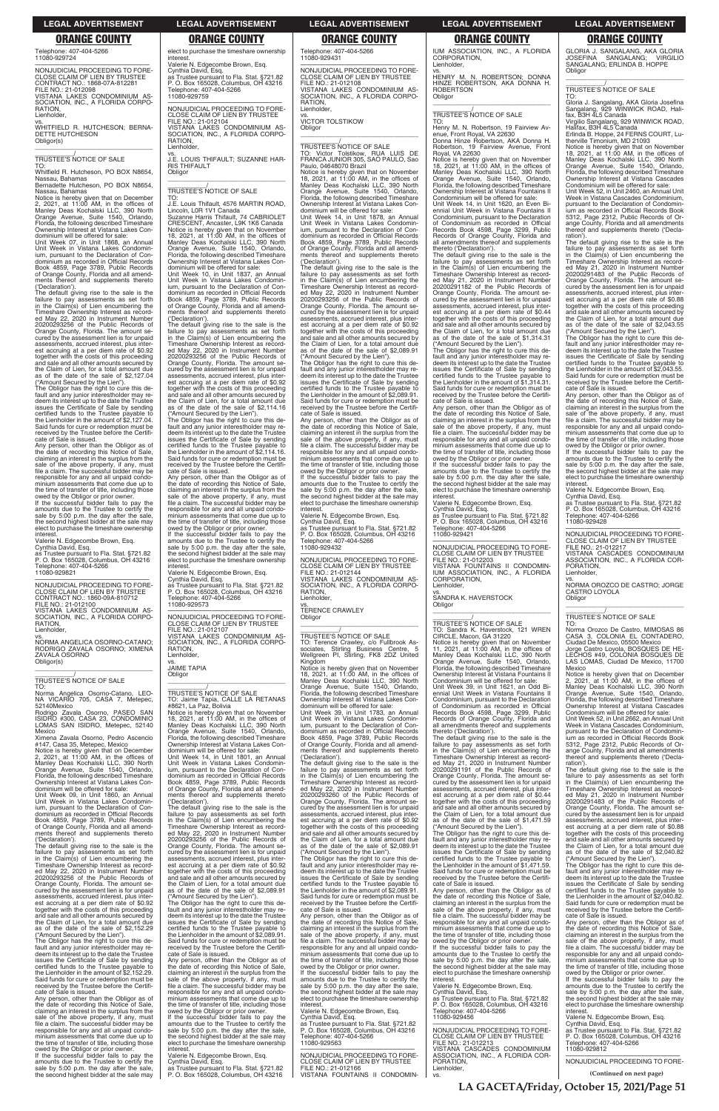Telephone: 407-404-5266 11080-929724

RATION, Lienholder,

—————————————————— NONJUDICIAL PROCEEDING TO FORE-CLOSE CLAIM OF LIEN BY TRUSTEE CONTRACT NO.: 1868-07A-812281 FILE NO.: 21-012098 VISTANA LAKES CONDOMINIUM AS-SOCIATION, INC., A FLORIDA CORPO-

vs. WHITFIELD R. HUTCHESON; BERNA-DETTE HUTCHESON

Obligor(s)

\_\_\_\_\_\_\_\_\_\_\_\_\_\_\_\_\_\_\_\_\_\_\_\_\_\_\_\_\_\_\_\_\_

\_\_\_\_\_\_\_\_\_\_\_/ TRUSTEE'S NOTICE OF SALE

TO: Whitfield R. Hutcheson, PO BOX N8654, Nassau, Bahamas Bernadette Hutcheson, PO BOX N8654,

Nassau, Bahamas Notice is hereby given that on December 2, 2021, at 11:00 AM, in the offices of Manley Deas Kochalski LLC, 390 North Orange Avenue, Suite 1540, Orlando, Florida, the following described Timeshare Ownership Interest at Vistana Lakes Con-

dominium will be offered for sale: Unit Week 07, in Unit 1868, an Annual Unit Week in Vistana Lakes Condominium, pursuant to the Declaration of Con-dominium as recorded in Official Records Book 4859, Page 3789, Public Records of Orange County, Florida and all amend-ments thereof and supplements thereto ('Declaration').

The default giving rise to the sale is the failure to pay assessments as set forth in the Claim(s) of Lien encumbering the Timeshare Ownership Interest as record-ed May 22, 2020 in Instrument Number 20200293256 of the Public Records of Orange County, Florida. The amount se-cured by the assessment lien is for unpaid assessments, accrued interest, plus interest accruing at a per diem rate of \$0.92 together with the costs of this proceeding and sale and all other amounts secured by the Claim of Lien, for a total amount due as of the date of the sale of \$2,127.04 ("Amount Secured by the Lien").

Rodrigo Zavala Osorno, PASEO SAN ISIDRO #300, CASA 23, CONDOMINIO LOMAS SAN ISIDRO, Metepec, 52140 **Mexico** 

The Obligor has the right to cure this de-fault and any junior interestholder may redeem its interest up to the date the Trustee issues the Certificate of Sale by sending certified funds to the Trustee payable to the Lienholder in the amount of \$2,127.04. Said funds for cure or redemption must be received by the Trustee before the Certificate of Sale is issued.

Any person, other than the Obligor as of the date of recording this Notice of Sale, claiming an interest in the surplus from the sale of the above property, if any, must file a claim. The successful bidder may be responsible for any and all unpaid condominium assessments that come due up to the time of transfer of title, including those

owed by the Obligor or prior owner. If the successful bidder fails to pay the amounts due to the Trustee to certify the sale by 5:00 p.m. the day after the sale, the second highest bidder at the sale may elect to purchase the timeshare ownership interest.

Valerie N. Edgecombe Brown, Esq. Cynthia David, Esq.

as Trustee pursuant to Fla. Stat. §721.82 P. O. Box 165028, Columbus, OH 43216 Telephone: 407-404-5266 11080-929821

—————————————————— NONJUDICIAL PROCEEDING TO FORE-CLOSE CLAIM OF LIEN BY TRUSTEE CONTRACT NO.: 1860-09A-810712 FILE NO.: 21-012100 VISTANA LAKES CONDOMINIUM AS-SOCIATION, INC., A FLORIDA CORPO-RATION,

RIS THIFAULT Obligor

Lienholder,

 $\overline{\phantom{a}}$  ,  $\overline{\phantom{a}}$  ,  $\overline{\phantom{a}}$  ,  $\overline{\phantom{a}}$  ,  $\overline{\phantom{a}}$  ,  $\overline{\phantom{a}}$  ,  $\overline{\phantom{a}}$  ,  $\overline{\phantom{a}}$  ,  $\overline{\phantom{a}}$  ,  $\overline{\phantom{a}}$  ,  $\overline{\phantom{a}}$  ,  $\overline{\phantom{a}}$  ,  $\overline{\phantom{a}}$  ,  $\overline{\phantom{a}}$  ,  $\overline{\phantom{a}}$  ,  $\overline{\phantom{a}}$ \_\_\_\_\_\_\_\_\_\_\_/ TRUSTEE'S NOTICE OF SALE

Suzanne Harris Thifault, 74 CABRIOLET CRESCENT, Ancaster, L9K 1K6 Canada Notice is hereby given that on November 18, 2021, at 11:00 AM, in the offices of Manley Deas Kochalski LLC, 390 North Orange Avenue, Suite 1540, Orlando, Florida, the following described Timeshare Ownership Interest at Vistana Lakes Condominium will be offered for sale: Unit Week 10, in Unit 1837, an Annual Unit Week in Vistana Lakes Condominium, pursuant to the Declaration of Condominium as recorded in Official Records Book 4859, Page 3789, Public Records of Orange County, Florida and all amend-ments thereof and supplements thereto ('Declaration'). The default giving rise to the sale is the failure to pay assessments as set forth failure to pay assessments as set forth in the Claim(s) of Lien encumbering the Timeshare Ownership Interest as recorded May 22, 2020 in Instrument Number 20200293256 of the Public Records of Orange County, Florida. The amount secured by the assessment lien is for unpaid assessments, accrued interest, plus interest accruing at a per diem rate of \$0.92 together with the costs of this proceeding and sale and all other amounts secured by the Claim of Lien, for a total amount due as of the date of the sale of \$2,114.16 ("Amount Secured by the Lien"). The Obligor has the right to cure this default and any junior interestholder may re-deem its interest up to the date the Trustee issues the Certificate of Sale by sending certified funds to the Trustee payable to the Lienholder in the amount of \$2,114.16. Said funds for cure or redemption must be received by the Trustee before the Certifi-cate of Sale is issued. Any person, other than the Obligor as of the date of recording this Notice of Sale, claiming an interest in the surplus from the sale of the above property, if any, must file a claim. The successful bidder may be responsible for any and all unpaid condominium assessments that come due up to the time of transfer of title, including those owed by the Obligor or prior owner. If the successful bidder fails to pay the amounts due to the Trustee to certify the sale by 5:00 p.m. the day after the sale, the second highest bidder at the sale may elect to purchase the timeshare ownership

vs. NORMA ANGELICA OSORNO-CATANO; RODRIGO ZAVALA OSORNO; XIMENA ZAVALA OSORNO Obligor(s) \_\_\_\_\_\_\_\_\_\_\_\_\_\_\_\_\_\_\_\_\_\_\_\_\_\_\_\_\_\_\_\_\_

\_\_\_\_\_\_\_\_\_\_\_/ TRUSTEE'S NOTICE OF SALE

TO: Norma Angelica Osorno-Catano, LEO-NA VICARIO 705, CASA 7, Metepec, 52140Mexico

Ximena Zavala Osorno, Pedro Ascencio #147, Casa 35, Metepec, Mexico Notice is hereby given that on December<br>2, 2021, at 11:00 AM, in the offices of<br>Manley Deas Kochalski LLC, 390 North<br>Orange Avenue, Suite 1540, Orlando,<br>Florida, the following described Timeshare Ownership Interest at Vistana Lakes Con-

dominium will be offered for sale: Unit Week 09, in Unit 1860, an Annual Unit Week in Vistana Lakes Condominium, pursuant to the Declaration of Con-dominium as recorded in Official Records

Book 4859, Page 3789, Public Records of Orange County, Florida and all amend-ments thereof and supplements thereto ('Declaration').

The default giving rise to the sale is the failure to pay assessments as set forth in the Claim(s) of Lien encumbering the Timeshare Ownership Interest as record-ed May 22, 2020 in Instrument Number 20200293256 of the Public Records of Orange County, Florida. The amount se-cured by the assessment lien is for unpaid assessments, accrued interest, plus interest accruing at a per diem rate of \$0.92 together with the costs of this proceeding and sale and all other amounts secured by the Claim of Lien, for a total amount due as of the date of the sale of \$2,152.29 ("Amount Secured by the Lien").

RATION, Lienholder. vs. JAIME TAPIA **Obligor** 

Notice is hereby given that on November<br>18, 2021, at 11:00 AM, in the offices of<br>Manley Deas Kochalski LLC, 390 North<br>Orange Avenue, Suite 1540, Orlando,<br>Florida, the following described Timeshare Ownership Interest at Vistana Lakes Condominium will be offered for sale: Unit Week 14, in Unit 1801, an Annual Unit Week in Vistana Lakes Condominium, pursuant to the Declaration of Con-dominium as recorded in Official Records Book 4859, Page 3789, Public Records of Orange County, Florida and all amend-ments thereof and supplements thereto

The Obligor has the right to cure this de-fault and any junior interestholder may redeem its interest up to the date the Trustee issues the Certificate of Sale by sending certified funds to the Trustee payable to the Lienholder in the amount of \$2,152.29. Said funds for cure or redemption must be received by the Trustee before the Certificate of Sale is issued.

Any person, other than the Obligor as of the date of recording this Notice of Sale, claiming an interest in the surplus from the sale of the above property, if any, must file a claim. The successful bidder may be responsible for any and all unpaid condominium assessments that come due up to the time of transfer of title, including those

owed by the Obligor or prior owner. If the successful bidder fails to pay the amounts due to the Trustee to certify the sale by 5:00 p.m. the day after the sale, the second highest bidder at the sale may

elect to purchase the timeshare ownership

interest.

Valerie N. Edgecombe Brown, Esq. Cynthia David, Esq. as Trustee pursuant to Fla. Stat. §721.82 P. O. Box 165028, Columbus, OH 43216 Telephone: 407-404-5266

11080-929759

—————————————————— NONJUDICIAL PROCEEDING TO FORE-CLOSE CLAIM OF LIEN BY TRUSTEE FILE NO.: 21-012104 VISTANA LAKES CONDOMINIUM AS-SOCIATION, INC., A FLORIDA CORPO-

RATION, Lienholder,

vs. J.E. LOUIS THIFAULT; SUZANNE HAR-

TO: J.E. Louis Thifault, 4576 MARTIN ROAD,

Lincoln, L0R 1V1 Canada

If the successful bidder fails to pay the amounts due to the Trustee to certify the sale by 5:00 p.m. the day after the sale, the second highest bidder at the sale may elect to purchase the timeshare ownership

Unit Week 39, in Unit 1783, an Annual Unit Week in Vistana Lakes Condomindominium as recorded in Official Records Book 4859, Page 3789, Public Records ments thereof and supplements thereto

The Obligor has the right to cure this default and any junior interestholder may re-deem its interest up to the date the Trustee issues the Certificate of Sale by sending certified funds to the Trustee payable to the Lienholder in the amount of \$2,089.91. Said funds for cure or redemption must be received by the Trustee before the Certificate of Sale is issued.

interest.

Valerie N. Edgecombe Brown, Esq. Cynthia David, Esq. as Trustee pursuant to Fla. Stat. §721.82 P. O. Box 165028, Columbus, OH 43216

Henry M. N. Robertson, 19 Fairview Avenue, Front Royal, VA 22630 Donna Hinze Robertson, AKA Donna H. Robertson, 19 Fairview Avenue, Front Robertson, 19 F<br>Royal, VA 22630

Telephone: 407-404-5266

11080-929573

—————————————————— NONJUDICIAL PROCEEDING TO FORE-CLOSE CLAIM OF LIEN BY TRUSTEE FILE NO.: 21-012107 VISTANA LAKES CONDOMINIUM AS-SOCIATION, INC., A FLORIDA CORPO-

Notice is hereby given that on November<br>18, 2021, at 11:00 AM, in the offices of<br>Manley Deas Kochalski LLC, 390 North<br>Orange Avenue, Suite 1540, Orlando,<br>Florida, the following described Timeshare Ownership Interest at Vistana Fountains II

\_\_\_\_\_\_\_\_\_\_\_\_\_\_\_\_\_\_\_\_\_\_\_\_\_\_\_\_\_\_\_\_\_ \_\_\_\_\_\_\_\_\_\_\_/ TRUSTEE'S NOTICE OF SALE TO: Jaime Tapia, CALLE LA RETANAS

#8621, La Paz, Bolivia

owed by the Obligor or prior owner. If the successful bidder fails to pay the amounts due to the Trustee to certify the sale by 5:00 p.m. the day after the sale, the second highest bidder at the sale may elect to purchase the timeshare ownership **interest** 

('Declaration'). The default giving rise to the sale is the failure to pay assessments as set forth in the Claim(s) of Lien encumbering the Timeshare Ownership Interest as record-ed May 22, 2020 in Instrument Number 20200293256 of the Public Records of Orange County, Florida. The amount se-cured by the assessment lien is for unpaid assessments, accrued interest, plus interest accruing at a per diem rate of \$0.92 together with the costs of this proceeding and sale and all other amounts secured by the Claim of Lien, for a total amount due as of the date of the sale of \$2,089.91 ("Amount Secured by the Lien").

The Obligor has the right to cure this de-fault and any junior interestholder may redeem its interest up to the date the Trustee issues the Certificate of Sale by sending certified funds to the Trustee payable to the Lienholder in the amount of \$2,089.91. Said funds for cure or redemption must be received by the Trustee before the Certificate of Sale is issued.

Any person, other than the Obligor as of the date of recording this Notice of Sale, claiming an interest in the surplus from the sale of the above property, if any, must file a claim. The successful bidder may be responsible for any and all unpaid condominium assessments that come due up to the time of transfer of title, including those

owed by the Obligor or prior owner. If the successful bidder fails to pay the amounts due to the Trustee to certify the sale by 5:00 p.m. the day after the sale, the second highest bidder at the sale may elect to purchase the timeshare ownership

owed by the Obligor or prior owner. If the successful bidder fails to pay the amounts due to the Trustee to certify to sale by 5:00 p.m. the day after the sale. the second highest bidder at the sale may elect to purchase the timeshare ownership interest.

Valerie N. Edgecombe Brown, Esq. Cynthia David, Esq.

as Trustee pursuant to Fla. Stat. §721.82 P. O. Box 165028, Columbus, OH 43216

Telephone: 407-404-5266 11080-929431

GLORIA J. SANGALANG, AKA GLORIA<br>JOSEFINA SANGALANG; VIRGILIO JOSEFINA SANGALANG; SANGALANG; ERLINDA B. HOPPE Obligor

—————————————————— NONJUDICIAL PROCEEDING TO FORE-CLOSE CLAIM OF LIEN BY TRUSTEE FILE NO.: 21-012108 VISTANA LAKES CONDOMINIUM AS-SOCIATION, INC., A FLORIDA CORPO-**RATION** Lienholder,

vs. VICTOR TOLSTIKOW **Obligor** \_\_\_\_\_\_\_\_\_\_\_\_\_\_\_\_\_\_\_\_\_\_\_\_\_\_\_\_\_\_\_\_\_

\_\_\_\_\_\_\_\_\_\_\_/ TRUSTEE'S NOTICE OF SALE TO: Victor Tolstikow, RUA LUIS DE FRANCA JUNIOR 305, SAO PAULO, Sao Paulo, 04648070 Brazil Notice is hereby given that on November 18, 2021, at 11:00 AM, in the offices of Manley Deas Kochalski LLC, 390 North

Orange Avenue, Suite 1540, Orlando, Florida, the following described Timeshare Ownership Interest at Vistana Lakes Condominium will be offered for sale: Unit Week 14, in Unit 1878, an Annual Unit Week in Vistana Lakes Condominium, pursuant to the Declaration of Condominium as recorded in Official Records Book 4859, Page 3789, Public Records of Orange County, Florida and all amendments thereof and supplements thereto

> the date of recording this Notice of Sale,<br>claiming an interest in the surplus from the<br>sale of the above property, if any, must<br>file a claim. The successful bidder may be responsible for any and all unpaid condo-minium assessments that come due up to the time of transfer of title, including those

('Declaration'). The default giving rise to the sale is the failure to pay assessments as set forth failure to pay assessments as set forth in the Claim(s) of Lien encumbering the Timeshare Ownership Interest as recorded May 22, 2020 in Instrument Number 20200293256 of the Public Records of Orange County, Florida. The amount secured by the assessment lien is for unpaid assessments, accrued interest, plus interest accruing at a per diem rate of \$0.92 together with the costs of this proceeding and sale and all other amounts secured by the Claim of Lien, for a total amount due as of the date of the sale of \$2,089.91 ("Amount Secured by the Lien").

The Obligor has the right to cure this de-fault and any junior interestholder may re-deem its interest up to the date the Trustee issues the Certificate of Sale by sending certified funds to the Trustee payable to the Lienholder in the amount of \$2,089.91. Said funds for cure or redemption must be received by the Trustee before the Certifi-cate of Sale is issued.

Any person, other than the Obligor as of the date of recording this Notice of Sale, claiming an interest in the surplus from the sale of the above property, if any, must file a claim. The successful bidder may be responsible for any and all unpaid condominium assessments that come due up to the time of transfer of title, including those owed by the Obligor or prior owner.

interest. Valerie N. Edgecombe Brown, Esq. Cynthia David, Esq. as Trustee pursuant to Fla. Stat. §721.82 P. O. Box 165028, Columbus, OH 43216 Telephone: 407-404-5266 11080-929432

—————————————————— NONJUDICIAL PROCEEDING TO FORE-CLOSE CLAIM OF LIEN BY TRUSTEE VISTANA LAKES CONDOMINIUM AS-SOCIATION, INC., A FLORIDA CORPO-

FILE NO.: 21-012144 RATION, Lienholder vs. TERENCE CRAWLEY **Obligor** \_\_\_\_\_\_\_\_\_\_\_\_\_\_\_\_\_\_\_\_\_\_\_\_\_\_\_\_\_\_\_\_\_

\_\_\_\_\_\_\_\_\_\_\_/ TRUSTEE'S NOTICE OF SALE TO: Terence Crawley, c/o Fullbrook As-sociates, Stirling Business Centre, 5 Wellgreen PI, Stirling, FK8 2DZ United Kingdom

Notice is hereby given that on November 18, 2021, at 11:00 AM, in the offices of Manley Deas Kochalski LLC, 390 North Orange Avenue, Suite 1540, Orlando, Florida, the following described Timeshare Ownership Interest at Vistana Lakes Condominium will be offered for sale:

ium, pursuant to the Declaration of Conof Orange County, Florida and all amend-('Declaration').

The default giving rise to the sale is the

failure to pay assessments as set forth in the Claim(s) of Lien encumbering the Timeshare Ownership Interest as recorded May 22, 2020 in Instrument Number 20200293260 of the Public Records of Orange County, Florida. The amount se-cured by the assessment lien is for unpaid assessments, accrued interest, plus inter-

est accruing at a per diem rate of \$0.92 together with the costs of this proceeding and sale and all other amounts secured by the Claim of Lien, for a total amount due as of the date of the sale of \$2,089.91 ("Amount Secured by the Lien").

Any person, other than the Obligor as of the date of recording this Notice of Sale, claiming an interest in the surplus from the sale of the above property, if any, must file a claim. The successful bidder may be responsible for any and all unpaid condominium assessments that come due up to the time of transfer of title, including those owed by the Obligor or prior owner.

If the successful bidder fails to pay the amounts due to the Trustee to certify the sale by 5:00 p.m. the day after the sale, the second highest bidder at the sale may elect to purchase the timeshare ownership interest. Valerie N. Edgecombe Brown, Esq.

Cynthia David, Esq. as Trustee pursuant to Fla. Stat. §721.82 P. O. Box 165028, Columbus, OH 43216 Telephone: 407-404-5266 11080-929563

—————————————————— NONJUDICIAL PROCEEDING TO FORE-CLOSE CLAIM OF LIEN BY TRUSTEE FILE NO.: 21-012166 VISTANA FOUNTAINS II CONDOMIN-

IUM ASSOCIATION, INC., A FLORIDA CORPORATION, Lienholder,

vs. HENRY M. N. ROBERTSON; DONNA HINZE ROBERTSON, AKA DONNA H. ROBERTSON Obligor

 $\overline{\phantom{a}}$  , and the set of the set of the set of the set of the set of the set of the set of the set of the set of the set of the set of the set of the set of the set of the set of the set of the set of the set of the s

### \_\_\_\_\_\_\_\_\_\_\_/ TRUSTEE'S NOTICE OF SALE TO:

Condominium will be offered for sale: Unit Week 14, in Unit 1620, an Even Biennial Unit Week in Vistana Fountains II Condominium, pursuant to the Declaration of Condominium as recorded in Official Records Book 4598, Page 3299, Public Records of Orange County, Florida and all amendments thereof and supplements thereto ('Declaration').

The default giving rise to the sale is the failure to pay assessments as set forth in the Claim(s) of Lien encumbering the Timeshare Ownership Interest as record-ed May 21, 2020 in Instrument Number 20200291182 of the Public Records of Orange County, Florida. The amount se-cured by the assessment lien is for unpaid assessments, accrued interest, plus interest accruing at a per diem rate of \$0.44 together with the costs of this proceeding and sale and all other amounts secured by the Claim of Lien, for a total amount due as of the date of the sale of \$1,314.31 ("Amount Secured by the Lien").

The Obligor has the right to cure this de-fault and any junior interestholder may redeem its interest up to the date the Trustee issues the Certificate of Sale by sending certified funds to the Trustee payable to the Lienholder in the amount of \$1,314.31. Said funds for cure or redemption must be received by the Trustee before the Certificate of Sale is issued.

Any person, other than the Obligor as of the date of recording this Notice of Sale, claiming an interest in the surplus from the sale of the above property, if any, must file a claim. The successful bidder may be responsible for any and all unpaid condo-minium assessments that come due up to the time of transfer of title, including those

Valerie N. Edgecombe Brown, Esq. Cynthia David, Esq.

as Trustee pursuant to Fla. Stat. §721.82 P. O. Box 165028, Columbus, OH 43216 elephone: 407-404-5266 11080-929421

—————————————————— NONJUDICIAL PROCEEDING TO FORE-CLOSE CLAIM OF LIEN BY TRUSTEE FILE NO.: 21-012203 VISTANA FOUNTAINS II CONDOMIN-IUM ASSOCIATION, INC., A FLORIDA

CORPORATION, Lienholder,

vs. SANDRA K. HAVERSTOCK **Obligor** \_\_\_\_\_\_\_\_\_\_\_\_\_\_\_\_\_\_\_\_\_\_\_\_\_\_\_\_\_\_\_\_\_

# \_\_\_\_\_\_\_\_\_\_\_/ TRUSTEE'S NOTICE OF SALE

TO: Sandra K. Haverstock, 121 WREN CIRCLE, Macon, GA 31220 Notice is hereby given that on November 11, 2021, at 11:00 AM, in the offices of Manley Deas Kochalski LLC, 390 North Orange Avenue, Suite 1540, Orlando, Florida, the following described Timeshare Ownership Interest at Vistana Fountains II Condominium will be offered for sale:

Unit Week 39, in Unit 1621, an Odd Bi-ennial Unit Week in Vistana Fountains II Condominium, pursuant to the Declaration of Condominium as recorded in Official Records Book 4598, Page 3299, Public Records of Orange County, Florida and all amendments thereof and supplements

thereto ('Declaration'). The default giving rise to the sale is the failure to pay assessments as set forth in the Claim(s) of Lien encumbering the Timeshare Ownership Interest as recorded May 21, 2020 in Instrument Number 20200291191 of the Public Records of Orange County, Florida. The amount secured by the assessment lien is for unpaid assessments, accrued interest, plus interest accruing at a per diem rate of \$0.44 together with the costs of this proceeding and sale and all other amounts secured by the Claim of Lien, for a total amount due

as of the date of the sale of \$1,471.59

("Amount Secured by the Lien"). The Obligor has the right to cure this default and any junior interestholder may redeem its interest up to the date the Trustee issues the Certificate of Sale by sending certified funds to the Trustee payable to the Lienholder in the amount of \$1,471.59. Said funds for cure or redemption must be received by the Trustee before the Certifi-

cate of Sale is issued. Any person, other than the Obligor as of the date of recording this Notice of Sale,<br>claiming an interest in the surplus from the<br>sale of the above property, if any, must<br>file a claim. The successful bidder may be responsible for any and all unpaid condo-minium assessments that come due up to the time of transfer of title, including those

interest. Valerie N. Edgecombe Brown, Esq.

Cynthia David, Esq. as Trustee pursuant to Fla. Stat. §721.82 P. O. Box 165028, Columbus, OH 43216 Telephone: 407-404-5266 11080-929456

—————————————————— NONJUDICIAL PROCEEDING TO FORE-CLOSE CLAIM OF LIEN BY TRUSTEE FILE NO.: 21-012213 VISTANA CASCADES CONDOMINIUM ASSOCIATION, INC., A FLORIDA COR-PORATION, Lienholder,

vs.

\_\_\_\_\_\_\_\_\_\_\_\_\_\_\_\_\_\_\_\_\_\_\_\_\_\_\_\_\_\_\_\_\_

\_\_\_\_\_\_\_\_\_\_\_/ TRUSTEE'S NOTICE OF SALE

TO: Gloria J. Sangalang, AKA Gloria Josefina Sangalang, 929 WINWICK ROAD, Hali-

fax, B3H 4L5 Canada<br>Virgilio Sangalang, 929 WINWICK ROAD,<br>Halifax, B3H 4L5 Canada<br>Erlinda B. Hoppe, 24 FERNS COURT, Lu-<br>therville Timonium, MD 21093<br>Notice is hereby given that on November<br>18, 2021, at 11:00 AM, in the off

Florida, the following described Timeshare Ownership Interest at Vistana Cascades Condominium will be offered for sale:

Unit Week 52, in Unit 2460, an Annual Unit Week in Vistana Cascades Condominium, pursuant to the Declaration of Condominium as recorded in Official Records Book 5312, Page 2312, Public Records of Or-ange County, Florida and all amendments thereof and supplements thereto ('Declaration').

The default giving rise to the sale is the failure to pay assessments as set forth in the Claim(s) of Lien encumbering the Timeshare Ownership Interest as recorded May 21, 2020 in Instrument Number 20200291483 of the Public Records of Orange County, Florida. The amount secured by the assessment lien is for unpaid assessments, accrued interest, plus inter-est accruing at a per diem rate of \$0.88 together with the costs of this proceeding and sale and all other amounts secured by the Claim of Lien, for a total amount due as of the date of the sale of \$2,043.55

("Amount Secured by the Lien"). The Obligor has the right to cure this default and any junior interestholder may redeem its interest up to the date the Trustee issues the Certificate of Sale by sending certified funds to the Trustee payable to the Lienholder in the amount of \$2,043.55. Said funds for cure or redemption must be received by the Trustee before the Certifi-cate of Sale is issued. Any person, other than the Obligor as of

owed by the Obligor or prior owner. If the successful bidder fails to pay the amounts due to the Trustee to certify the sale by 5:00 p.m. the day after the sale, the second highest bidder at the sale may elect to purchase the timeshare ownership interest.

Valerie N. Edgecombe Brown, Esq.

Cynthia David, Esq. as Trustee pursuant to Fla. Stat. §721.82 P. O. Box 165028, Columbus, OH 43216 Telephone: 407-404-5266 11080-929428

# —————————————————— NONJUDICIAL PROCEEDING TO FORE-CLOSE CLAIM OF LIEN BY TRUSTEE FILE NO.: 21-012217

VISTANA CASCADES CONDOMINIUM ASSOCIATION, INC., A FLORIDA COR-PORATION, Lienholder,

vs. NORMA OROZCO DE CASTRO; JORGE CASTRO LOYOLA Obligor \_\_\_\_\_\_\_\_\_\_\_\_\_\_\_\_\_\_\_\_\_\_\_\_\_\_\_\_\_\_\_\_\_

# \_\_\_\_\_\_\_\_\_\_\_/ TRUSTEE'S NOTICE OF SALE

TO: Norma Orozco De Castro, MIMOSAS 86 CASA 3, COLONIA EL CONTADERO, Ciudad De Mexico, 05500 Mexico Jorge Castro Loyola, BOSQUES DE HE-LECHOS #49, COLONIA BOSQUES DE LAS LOMAS, Ciudad De Mexico, 11700 Mexico

Notice is hereby given that on December 2, 2021, at 11:00 AM, in the offices of Manley Deas Kochalski LLC, 390 North Orange Avenue, Suite 1540, Orlando, Florida, the following described Timeshare Ownership Interest at Vistana Cascades

Condominium will be offered for sale: Unit Week 52, in Unit 2662, an Annual Unit Week in Vistana Cascades Condominium, pursuant to the Declaration of Condomin-ium as recorded in Official Records Book 5312, Page 2312, Public Records of Orange County, Florida and all amendments thereof and supplements thereto ('Declaration').

The default giving rise to the sale is the failure to pay assessments as set forth in the Claim(s) of Lien encumbering the Timeshare Ownership Interest as record-ed May 21, 2020 in Instrument Number 20200291483 of the Public Records of Orange County, Florida. The amount se-cured by the assessment lien is for unpaid assessments, accrued interest, plus interest accruing at a per diem rate of \$0.88 together with the costs of this proceeding and sale and all other amounts secured by the Claim of Lien, for a total amount due as of the date of the sale of \$2,040.82 ("Amount Secured by the Lien"). The Obligor has the right to cure this de-fault and any junior interestholder may redeem its interest up to the date the Trustee issues the Certificate of Sale by sending certified funds to the Trustee payable to the Lienholder in the amount of \$2,040.82. Said funds for cure or redemption must be received by the Trustee before the Certificate of Sale is issued. Any person, other than the Obligor as of the date of recording this Notice of Sale, claiming an interest in the surplus from the sale of the above property, if any, must file a claim. The successful bidder may be responsible for any and all unpaid condominium assessments that come due up to the time of transfer of title, including those owed by the Obligor or prior owner. If the successful bidder fails to pay the amounts due to the Trustee to certify the sale by 5:00 p.m. the day after the sale, the second highest bidder at the sale may elect to purchase the timeshare ownership interest. Valerie N. Edgecombe Brown, Esq. Cynthia David, Esq. as Trustee pursuant to Fla. Stat. §721.82 P. O. Box 165028, Columbus, OH 43216 Telephone: 407-404-5266 11080-929812

—————————————————— NONJUDICIAL PROCEEDING TO FORE-

**(Continued on next page)**

**LA GACETA/Friday, October 15, 2021/Page 51**

### **LEGAL ADVERTISEMENT LEGAL ADVERTISEMENT LEGAL ADVERTISEMENT LEGAL ADVERTISEMENT LEGAL ADVERTISEMENT**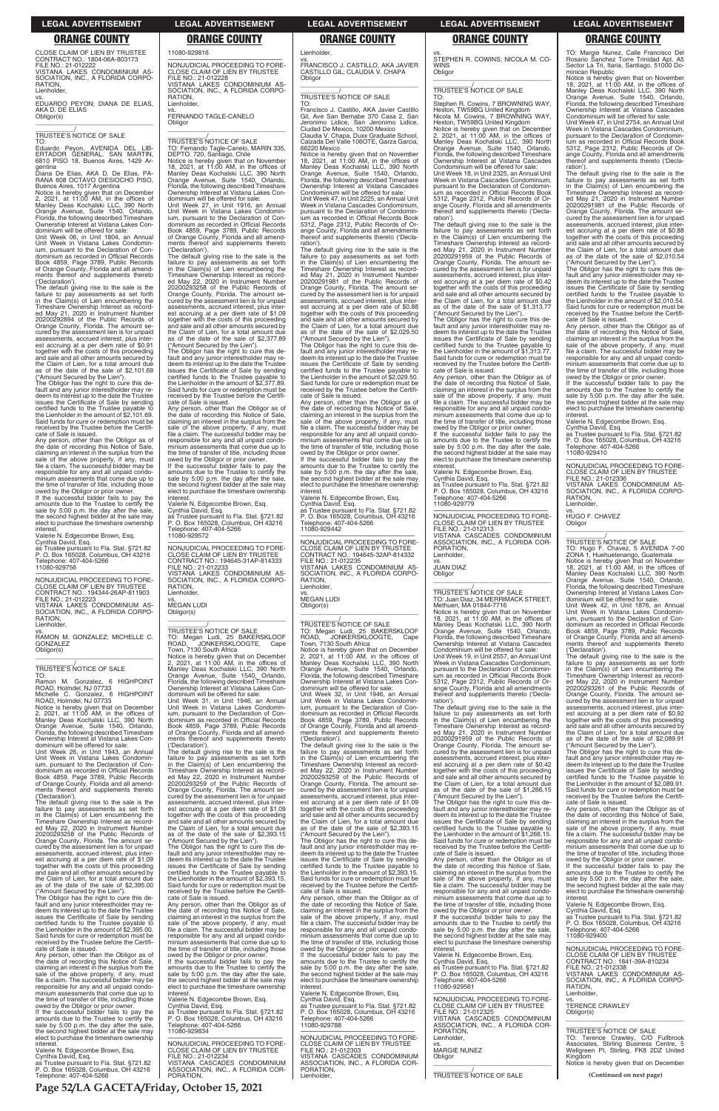**Page 52/LA GACETA/Friday, October 15, 2021**

RATION, **Lienholder** 

CLOSE CLAIM OF LIEN BY TRUSTEE CONTRACT NO.: 1804-06A-803173 FILE NO.: 21-012222 VISTANA LAKES CONDOMINIUM AS-SOCIATION, INC., A FLORIDA CORPO-

TO:<br>Eduardo Pevon. Eduardo Peyon, AVENIDA DEL LIB-ERTADOR GENERAL, SAN MARTIN, 6810 PISO 18, Buenos Aires, 1429 Ar-

vs. EDUARDO PEYON; DIANA DE ELIAS, AKA D. DE ELIAS Obligor(s) \_\_\_\_\_\_\_\_\_\_\_\_\_\_\_\_\_\_\_\_\_\_\_\_\_\_\_\_\_\_\_\_\_

\_\_\_\_\_\_\_\_\_\_\_/ TRUSTEE'S NOTICE OF SALE

gentina Diana De Elias, AKA D. De Elias, PA-RANA 608 OCTAVO DIESIOCHO PISO,

Buenos Aires, 1017 Argentina Notice is hereby given that on December 2, 2021, at 11:00 AM, in the offices of Manley Deas Kochalski LLC, 390 North Orange Avenue, Suite 1540, Orlando, Florida, the following described Timeshare Ownership Interest at Vistana Lakes Condominium will be offered for sale:

Unit Week 06, in Unit 1804, an Annual Unit Week in Vistana Lakes Condominium, pursuant to the Declaration of Condominium as recorded in Official Records Book 4859, Page 3789, Public Records of Orange County, Florida and all amendments thereof and supplements thereto ('Declaration').

owed by the Obligor or prior owner. If the successful bidder fails to pay the amounts due to the Trustee to certify the sale by 5:00 p.m. the day after the sale, the second highest bidder at the sale may elect to purchase the timeshare ownership **interest** 

The default giving rise to the sale is the failure to pay assessments as set forth<br>in the Claim(s) of Lien encumbering the<br>Timeshare Ownership Interest as recorded May 21, 2020 in Instrument Number<br>202002928894 of the Public Records of<br>Orange County, Florida. The a assessments, accrued interest, plus interest accruing at a per diem rate of \$0.91 together with the costs of this proceeding and sale and all other amounts secured by the Claim of Lien, for a total amount due as of the date of the sale of \$2,101.69

—————————————————— NONJUDICIAL PROCEEDING TO FORE-CLOSE CLAIM OF LIEN BY TRUSTEE CONTRACT NO.: 194344-26AP-811903<br>FILE NO.: 21-012223<br>VISTANA LAKES CONDOMINIUM AS-<br>SOCIATION, INC., A FLORIDA CORPO-

RATION, **Lienholder** 

Notice is hereby given that on December<br>2, 2021, at 11:00 AM, in the offices of<br>Manley Deas Kochalski LLC, 390 North<br>Orange Avenue, Suite 1540, Orlando,<br>Florida, the following described Timeshare Ownership Interest at Vistana Lakes Condominium will be offered for sale:

("Amount Secured by the Lien"). The Obligor has the right to cure this de-fault and any junior interestholder may redeem its interest up to the date the Trustee issues the Certificate of Sale by sending certified funds to the Trustee payable to the Lienholder in the amount of \$2,101.69. Said funds for cure or redemption must be received by the Trustee before the Certificate of Sale is issued.

Any person, other than the Obligor as of the date of recording this Notice of Sale, claiming an interest in the surplus from the sale of the above property, if any, must file a claim. The successful bidder may be responsible for any and all unpaid condo-minium assessments that come due up to the time of transfer of title, including those

Valerie N. Edgecombe Brown, Esq.

Cynthia David, Esq. as Trustee pursuant to Fla. Stat. §721.82 P. O. Box 165028, Columbus, OH 43216 Telephone: 407-404-5266 11080-929756

vs. FERNANDO TAGLE-CANELO Obligor  $\overline{\phantom{a}}$  ,  $\overline{\phantom{a}}$  ,  $\overline{\phantom{a}}$  ,  $\overline{\phantom{a}}$  ,  $\overline{\phantom{a}}$  ,  $\overline{\phantom{a}}$  ,  $\overline{\phantom{a}}$  ,  $\overline{\phantom{a}}$  ,  $\overline{\phantom{a}}$  ,  $\overline{\phantom{a}}$  ,  $\overline{\phantom{a}}$  ,  $\overline{\phantom{a}}$  ,  $\overline{\phantom{a}}$  ,  $\overline{\phantom{a}}$  ,  $\overline{\phantom{a}}$  ,  $\overline{\phantom{a}}$ 

vs. RAMON M. GONZALEZ; MICHELLE C. GONZALEZ Obligor(s) \_\_\_\_\_\_\_\_\_\_\_\_\_\_\_\_\_\_\_\_\_\_\_\_\_\_\_\_\_\_\_\_\_

Notice is hereby given that on November<br>18, 2021, at 11:00 AM, in the offices of<br>Manley Deas Kochalski LLC, 390 North<br>Orange Avenue, Suite 1540, Orlando,<br>Florida, the following described Timeshare<br>Ownership Interest at Vis dominium will be offered for sale:

# \_\_\_\_\_\_\_\_\_\_\_/ TRUSTEE'S NOTICE OF SALE

TO: Ramon M. Gonzalez, 6 HIGHPOINT ROAD, Holmdel, NJ 07733 Michelle C. Gonzalez, 6 HIGHPOINT ROAD, Holmdel, NJ 07733

Unit Week 26, in Unit 1943, an Annual Unit Week in Vistana Lakes Condominium, pursuant to the Declaration of Condominium as recorded in Official Records Book 4859, Page 3789, Public Records of Orange County, Florida and all amendments thereof and supplements thereto ('Declaration').

—————————————————— NONJUDICIAL PROCEEDING TO FORE-CLOSE CLAIM OF LIEN BY TRUSTEE CONTRACT NO.: 194645-31AP-814333 FILE NO.: 21-012233 VISTANA LAKES CONDOMINIUM AS-SOCIATION, INC., A FLORIDA CORPO-RATION, Lienholder

The default giving rise to the sale is the failure to pay assessments as set forth in the Claim(s) of Lien encumbering the Timeshare Ownership Interest as recorded May 22, 2020 in Instrument Number 20200293258 of the Public Records of Orange County, Florida. The amount secured by the assessment lien is for unpaid assessments, accrued interest, plus interest accruing at a per diem rate of \$1.09 together with the costs of this proceeding and sale and all other amounts secured by the Claim of Lien, for a total amount due as of the date of the sale of \$2,395.00 ("Amount Secured by the Lien"). The Obligor has the right to cure this default and any junior interestholder may redeem its interest up to the date the Trustee issues the Certificate of Sale by sending certified funds to the Trustee payable to the Lienholder in the amount of \$2,395.00. Said funds for cure or redemption must be received by the Trustee before the Certificate of Sale is issued. Any person, other than the Obligor as of the date of recording this Notice of Sale, claiming an interest in the surplus from the sale of the above property, if any, must file a claim. The successful bidder may be responsible for any and all unpaid condo-minium assessments that come due up to the time of transfer of title, including those owed by the Obligor or prior owner If the successful bidder fails to pay the amounts due to the Trustee to certify the sale by 5:00 p.m. the day after the sale, the second highest bidder at the sale may elect to purchase the timeshare ownership interest. Valerie N. Edgecombe Brown, Esq. Cynthia David, Esq. as Trustee pursuant to Fla. Stat. §721.82 P. O. Box 165028, Columbus, OH 43216 Telephone: 407-404-5266

11080-929816

—————————————————— NONJUDICIAL PROCEEDING TO FORE-CLOSE CLAIM OF LIEN BY TRUSTEE FILE NO.: 21-012228 VISTANA LAKES CONDOMINIUM AS-SOCIATION, INC., A FLORIDA CORPO-**RATION** Lienholder,

# \_\_\_\_\_\_\_\_\_\_\_/ TRUSTEE'S NOTICE OF SALE TO: Fernando Tagle-Canelo, MARIN 335, DEPTO. 720, Santiago, Chile

Unit Week 27, in Unit 1916, an Annual Unit Week in Vistana Lakes Condomin-ium, pursuant to the Declaration of Condominium as recorded in Official Records Book 4859, Page 3789, Public Records of Orange County, Florida and all amendments thereof and supplements thereto ('Declaration').

> Any person, other than the Obligor as of the date of recording this Notice of Sale,<br>claiming an interest in the surplus from the<br>sale of the above property, if any, must<br>file a claim. The successful bidder may be responsible for any and all unpaid condominium assessments that come due up to the time of transfer of title, including those

The default giving rise to the sale is the failure to pay assessments as set forth in the Claim(s) of Lien encumbering the Timeshare Ownership Interest as recorded May 22, 2020 in Instrument Number 20200293258 of the Public Records of Orange County, Florida. The amount se-cured by the assessment lien is for unpaid assessments, accrued interest, plus interest accruing at a per diem rate of \$1.09 together with the costs of this proceeding and sale and all other amounts secured by the Claim of Lien, for a total amount due as of the date of the sale of \$2,377.89

("Amount Secured by the Lien"). The Obligor has the right to cure this default and any junior interestholder may redeem its interest up to the date the Trustee issues the Certificate of Sale by sending certified funds to the Trustee payable to the Lienholder in the amount of \$2,377.89. Said funds for cure or redemption must be received by the Trustee before the Certificate of Sale is issued.

> The default giving rise to the sale is the failure to pay assessments as set forth in the Claim(s) of Lien encumbering the Timeshare Ownership Interest as record-ed May 22, 2020 in Instrument Number 20200293259 of the Public Records of Orange County, Florida. The amount se-cured by the assessment lien is for unpaid assessments, accrued interest, plus interest accruing at a per diem rate of \$1.09 together with the costs of this proceeding<br>and sale and all other amounts secured by and sale and all other amounts secured by the Claim of Lien, for a total amount due as of the date of the sale of \$2,393.15 ("Amount Secured by the Lien"). The Obligor has the right to cure this default and any junior interestholder may redeem its interest up to the date the Trustee issues the Certificate of Sale by sending certified funds to the Trustee payable to the Lienholder in the amount of \$2,393.15. Said funds for cure or redemption must be received by the Trustee before the Certificate of Sale is issued. Any person, other than the Obligor as of the date of recording this Notice of Sale,<br>claiming an interest in the surplus from the<br>sale of the above property, if any, must<br>file a claim. The successful bidder may be responsible for any and all unpaid condominium assessments that come due up to the time of transfer of title, including those owed by the Obligor or prior owner. If the successful bidder fails to pay the amounts due to the Trustee to certify the sale by 5:00 p.m. the day after the sale, the second highest bidder at the sale may elect to purchase the timeshare ownership interest. Valerie N. Edgecombe Brown, Esq. Cynthia David, Esq. as Trustee pursuant to Fla. Stat. §721.82 P. O. Box 165028, Columbus, OH 43216 Telephone: 407-404-5266 11080-929788 —————————————————— NONJUDICIAL PROCEEDING TO FORE-CLOSE CLAIM OF LIEN BY TRUSTEE FILE NO.: 21-012303 VISTANA CASCADES CONDOMINIUM ASSOCIATION, INC., A FLORIDA COR-PORATION, Lienholder, **Obligor**

Any person, other than the Obligor as of the date of recording this Notice of Sale, claiming an interest in the surplus from the sale of the above property, if any, must file a claim. The successful bidder may be responsible for any and all unpaid condominium assessments that come due up to the time of transfer of title, including those

owed by the Obligor or prior owner. If the successful bidder fails to pay the amounts due to the Trustee to certify the sale by 5:00 p.m. the day after the sale, the second highest bidder at the sale may elect to purchase the timeshare ownership interest.

Valerie N. Edgecombe Brown, Esq.

Cynthia David, Esq. as Trustee pursuant to Fla. Stat. §721.82 P. O. Box 165028, Columbus, OH 43216 Telephone: 407-404-5266 11080-929572

vs. MEGAN LUDI Obligor(s)

### \_\_\_\_\_\_\_\_\_\_\_\_\_\_\_\_\_\_\_\_\_\_\_\_\_\_\_\_\_\_\_\_\_ \_\_\_\_\_\_\_\_\_\_\_/ TRUSTEE'S NOTICE OF SALE TO: Megan Ludi, 25 BAKERSKLOOF ROAD, JONKERSKLOOGTE, Cape

Notice is hereby given that on December<br>2, 2021, at 11:00 AM, in the offices of<br>Manley Deas Kochalski LLC, 390 North<br>Orange Avenue, Suite 1540, Orlando,<br>Florida, the following described Timeshare Ownership Interest at Vistana Cascades Condominium will be offered for sale:

Town, 7130 South Africa Notice is hereby given that on December 2, 2021, at 11:00 AM, in the offices of Manley Deas Kochalski LLC, 390 North Orange Avenue, Suite 1540, Orlando, Florida, the following described Timeshare Ownership Interest at Vistana Lakes Condominium will be offered for sale: Unit Week 31, in Unit 1946, an Annual Unit Week in Vistana Lakes Condomin-ium, pursuant to the Declaration of Con-

dominium as recorded in Official Records Book 4859, Page 3789, Public Records of Orange County, Florida and all amendments thereof and supplements thereto ('Declaration').

vs. JUAN DIAZ **Obligor** 

The default giving rise to the sale is the failure to pay assessments as set forth in the Claim(s) of Lien encumbering the Timeshare Ownership Interest as recorded May 22, 2020 in Instrument Number 20200293259 of the Public Records of Orange County, Florida. The amount secured by the assessment lien is for unpaid assessments, accrued interest, plus interest accruing at a per diem rate of \$1.09 together with the costs of this proceeding and sale and all other amounts secured by the Claim of Lien, for a total amount due as of the date of the sale of \$2,393.15 ("Amount Secured by the Lien"). The Obligor has the right to cure this default and any junior interestholder may re-deem its interest up to the date the Trustee issues the Certificate of Sale by sending certified funds to the Trustee payable to the Lienholder in the amount of \$2,393.15. Said funds for cure or redemption must be received by the Trustee before the Certificate of Sale is issued. Any person, other than the Obligor as of the date of recording this Notice of Sale, claiming an interest in the surplus from the sale of the above property, if any, must file a claim. The successful bidder may be responsible for any and all unpaid condominium assessments that come due up to the time of transfer of title, including those

Notice is hereby given that on November<br>18, 2021, at 11:00 AM, in the offices of<br>Manley Deas Kochalski LLC, 390 North<br>Orange Avenue, Suite 1540, Orlando,<br>Florida, the following described Timeshare Ownership Interest at Vistana Cascades

owed by the Obligor or prior owner. If the successful bidder fails to pay the amounts due to the Trustee to certify the sale by 5:00 p.m. the day after the sale the second highest bidder at the sale may elect to purchase the timeshare ownership interest.

Valerie N. Edgecombe Brown, Esq. Cynthia David, Esq. as Trustee pursuant to Fla. Stat. §721.82 P. O. Box 165028, Columbus, OH 43216 Telephone: 407-404-5266

11080-929834

—————————————————— NONJUDICIAL PROCEEDING TO FORE-CLOSE CLAIM OF LIEN BY TRUSTEE FILE NO.: 21-012234 VISTANA CASCADES CONDOMINIUM ASSOCIATION, INC., A FLORIDA COR-PORATION,

vs. FRANCISCO J. CASTILLO, AKA JAVIER CASTILLO GIL; CLAUDIA V. CHAPA **Obligor** \_\_\_\_\_\_\_\_\_\_\_\_\_\_\_\_\_\_\_\_\_\_\_\_\_\_\_\_\_\_\_\_\_

### \_\_\_\_\_\_\_\_\_\_\_/ TRUSTEE'S NOTICE OF SALE TO:

Notice is hereby given that on November<br>18, 2021, at 11:00 AM, in the offices of<br>Manley Deas Kochalski LLC, 390 North<br>Orange Avenue, Suite 1540, Orlando,<br>Florida, the following described Timeshare Ownership Interest at Vistana Cascades

Condominium will be offered for sale: Unit Week 47, in Unit 2754, an Annual Unit Week in Vistana Cascades Condominium, pursuant to the Declaration of Condomin-

Francisco J. Castillo, AKA Javier Castillo Gil, Ave San Bernabe 370 Casa 2, San Jeronimo Lidice, San Jeronimo Lidice, Ciudad De Mexico, 10200 Mexico Claudia V. Chapa, Duxx Graduate School, Calzada Del Valle 106OTE, Garza Garcia, 66220 Mexico

Notice is hereby given that on November 18, 2021, at 11:00 AM, in the offices of Manley Deas Kochalski LLC, 390 North Orange Avenue, Suite 1540, Orlando, Florida, the following described Timeshare Ownership Interest at Vistana Cascades Condominium will be offered for sale: Unit Week 47, in Unit 2225, an Annual Unit

Week in Vistana Cascades Condominium, pursuant to the Declaration of Condomin ium as recorded in Official Records Book 5312, Page 2312, Public Records of Orange County, Florida and all amendments thereof and supplements thereto ('Declaration').

> owed by the Obligor or prior owner. If the successful bidder fails to pay the amounts due to the Trustee to certify the sale by 5:00 p.m. the day after the sale, the second highest bidder at the sale may elect to purchase the timeshare ownership **interest**

The default giving rise to the sale is the failure to pay assessments as set forth in the Claim(s) of Lien encumbering the Timeshare Ownership Interest as record-ed May 21, 2020 in Instrument Number 20200291981 of the Public Records of Orange County, Florida. The amount se-cured by the assessment lien is for unpaid assessments, accrued interest, plus interest accruing at a per diem rate of \$0.88 together with the costs of this proceeding and sale and all other amounts secured by the Claim of Lien, for a total amount due as of the date of the sale of \$2,029.50

> —————————————————— NONJUDICIAL PROCEEDING TO FORE-CLOSE CLAIM OF LIEN BY TRUSTEE FILE NO.: 21-012336 VISTANA LAKES CONDOMINIUM AS-SOCIATION, INC., A FLORIDA CORPO-**RATION**

 $\overline{\phantom{a}}$  , and the set of the set of the set of the set of the set of the set of the set of the set of the set of the set of the set of the set of the set of the set of the set of the set of the set of the set of the s \_\_\_\_\_\_\_\_\_\_\_/ TRUSTEE'S NOTICE OF SALE TO: Hugo F. Chavez, 5 AVENIDA 7-00 ZONA 1, Huehuetenango, Guatemala

Notice is hereby given that on November<br>18, 2021, at 11:00 AM, in the offices of<br>Manley Deas Kochalski LLC, 390 North<br>Orange Avenue, Suite 1540, Orlando,<br>Florida, the following described Timeshare

("Amount Secured by the Lien"). The Obligor has the right to cure this de-fault and any junior interestholder may redeem its interest up to the date the Trustee issues the Certificate of Sale by sending certified funds to the Trustee payable to the Lienholder in the amount of \$2,029.50. Said funds for cure or redemption must be received by the Trustee before the Certificate of Sale is issued.

owed by the Obligor or prior owner. If the successful bidder fails to pay the amounts due to the Trustee to certify the sale by 5:00 p.m. the day after the sale. the second highest bidder at the sale may elect to purchase the timeshare ownership interest.

Valerie N. Edgecombe Brown, Esq.

Cynthia David, Esq. as Trustee pursuant to Fla. Stat. §721.82 P. O. Box 165028, Columbus, OH 43216 Telephone: 407-404-5266 11080-929442

—————————————————— NONJUDICIAL PROCEEDING TO FORE-CLOSE CLAIM OF LIEN BY TRUSTEE CONTRACT NO.: 194645-32AP-814332 FILE NO.: 21-012235 VISTANA LAKES CONDOMINIUM AS-SOCIATION, INC., A FLORIDA CORPO-RATION,

vs. MEGAN LUDI

**Lienholder** 

Obligor(s) \_\_\_\_\_\_\_\_\_\_\_\_\_\_\_\_\_\_\_\_\_\_\_\_\_\_\_\_\_\_\_\_\_

# \_\_\_\_\_\_\_\_\_\_\_/ TRUSTEE'S NOTICE OF SALE

TO: Megan Ludi, 25 BAKERSKLOOF ROAD, JONKERSKLOOGTE, Cape Town, 7130 South Africa Notice is hereby given that on December 2, 2021, at 11:00 AM, in the offices of Manley Deas Kochalski LLC, 390 North Orange Avenue, Suite 1540, Orlando, Florida, the following described Timeshare Ownership Interest at Vistana Lakes Condominium will be offered for sale:

Unit Week 32, in Unit 1946, an Annual Unit Week in Vistana Lakes Condominium, pursuant to the Declaration of Condominium as recorded in Official Records Book 4859, Page 3789, Public Records of Orange County, Florida and all amendments thereof and supplements thereto ('Declaration').

vs. STEPHEN R. COWINS; NICOLA M. CO-WINS **Obligor** \_\_\_\_\_\_\_\_\_\_\_\_\_\_\_\_\_\_\_\_\_\_\_\_\_\_\_\_\_\_\_\_\_

# \_\_\_\_\_\_\_\_\_\_\_/ TRUSTEE'S NOTICE OF SALE

TO: Stephen R. Cowins, 7 BROWNING WAY, Heston, TW59BG United Kingdom Nicola M. Cowins, 7 BROWNING WAY, Heston, TW59BG United Kingdom

Unit Week 18, in Unit 2325, an Annual Unit Week in Vistana Cascades Condominium, pursuant to the Declaration of Condominium as recorded in Official Records Book 5312, Page 2312, Public Records of Orange County, Florida and all amendments thereof and supplements thereto ('Declaration').

The default giving rise to the sale is the failure to pay assessments as set forth in the Claim(s) of Lien encumbering the Timeshare Ownership Interest as recorded May 21, 2020 in Instrument Number 20200291959 of the Public Records of Orange County, Florida. The amount se-cured by the assessment lien is for unpaid assessments, accrued interest, plus interest accruing at a per diem rate of \$0.42 together with the costs of this proceeding and sale and all other amounts secured by the Claim of Lien, for a total amount due as of the date of the sale of \$1,313.77

("Amount Secured by the Lien"). The Obligor has the right to cure this de-fault and any junior interestholder may re-deem its interest up to the date the Trustee issues the Certificate of Sale by sending certified funds to the Trustee payable to the Lienholder in the amount of \$1,313.77. Said funds for cure or redemption must be received by the Trustee before the Certificate of Sale is issued.

Any person, other than the Obligor as of the date of recording this Notice of Sale, claiming an interest in the surplus from the sale of the above property, if any, must file a claim. The successful bidder may be responsible for any and all unpaid condominium assessments that come due up to the time of transfer of title, including those

owed by the Obligor or prior owner. If the successful bidder fails to pay the amounts due to the Trustee to certify the sale by 5:00 p.m. the day after the sale, the second highest bidder at the sale may elect to purchase the timeshare ownership

interest.

Valerie N. Edgecombe Brown, Esq. Cynthia David, Esq. as Trustee pursuant to Fla. Stat. §721.82 P. O. Box 165028, Columbus, OH 43216 Telephone: 407-404-5266 11080-929779

—————————————————— NONJUDICIAL PROCEEDING TO FORE-CLOSE CLAIM OF LIEN BY TRUSTEE FILE NO.: 21-012313 VISTANA CASCADES CONDOMINIUM ASSOCIATION, INC., A FLORIDA COR-PORATION, Lienholder,

### \_\_\_\_\_\_\_\_\_\_\_\_\_\_\_\_\_\_\_\_\_\_\_\_\_\_\_\_\_\_\_\_\_ \_\_\_\_\_\_\_\_\_\_\_/ TRUSTEE'S NOTICE OF SALE TO: Juan Diaz, 34 MERRIMACK STREET, Methuen, MA 01844-7716

Condominium will be offered for sale: Unit Week 19, in Unit 2557, an Annual Unit Week in Vistana Cascades Condominium, pursuant to the Declaration of Condomin ium as recorded in Official Records Book 5312, Page 2312, Public Records of Or-ange County, Florida and all amendments thereof and supplements thereto ('Declaration').

The default giving rise to the sale is the failure to pay assessments as set forth<br>Timeshare Ownership Interest as record-<br>Ed May 21, 2020 in Instrument Number<br>ed May 21, 2020 in Instrument Number<br>20200291959 of the Public Records of Orange County, Florida. The amount se-cured by the assessment lien is for unpaid assessments, accrued interest, plus interest accruing at a per diem rate of \$0.42 together with the costs of this proceeding and sale and all other amounts secured by the Claim of Lien, for a total amount due as of the date of the sale of \$1,266.15

### **LEGAL ADVERTISEMENT LEGAL ADVERTISEMENT LEGAL ADVERTISEMENT LEGAL ADVERTISEMENT LEGAL ADVERTISEMENT**

### **ORANGE COUNTY ORANGE COUNTY ORANGE COUNTY ORANGE COUNTY ORANGE COUNTY**

TO: Margie Nunez, Calle Francisco Del Rosario Sanchez Torre Trinidad Apt. A5 Sector La Tri, Itaria, Santiago, 51000 Dominican Republic

ium as recorded in Official Records Book 5312, Page 2312, Public Records of Orange County, Florida and all amendments thereof and supplements thereto ('Declaration').

The default giving rise to the sale is the failure to pay assessments as set forth in the Claim(s) of Lien encumbering the Timeshare Ownership Interest as record-ed May 21, 2020 in Instrument Number 20200291981 of the Public Records of Orange County, Florida. The amount se-cured by the assessment lien is for unpaid assessments, accrued interest, plus interest accruing at a per diem rate of \$0.88 together with the costs of this proceeding and sale and all other amounts secured by the Claim of Lien, for a total amount due as of the date of the sale of \$2,010.54

("Amount Secured by the Lien"). The Obligor has the right to cure this de-fault and any junior interestholder may redeem its interest up to the date the Trustee issues the Certificate of Sale by sending certified funds to the Trustee payable to the Lienholder in the amount of \$2,010.54. Said funds for cure or redemption must be received by the Trustee before the Certificate of Sale is issued.

Any person, other than the Obligor as of the date of recording this Notice of Sale,<br>claiming an interest in the surplus from the<br>sale of the above property, if any, must<br>file a claim. The successful bidder may be responsible for any and all unpaid condo-minium assessments that come due up to the time of transfer of title, including those

("Amount Secured by the Lien"). The Obligor has the right to cure this default and any junior interestholder may re-<br>deem its interest up to the date the Trustee deem its interest up to the date the Trustee issues the Certificate of Sale by sending certified funds to the Trustee payable to the Lienholder in the amount of \$1,266.15. Said funds for cure or redemption must be received by the Trustee before the Certificate of Sale is issued. Any person, other than the Obligor as of the date of recording this Notice of Sale, claiming an interest in the surplus from the sale of the above property, if any, must file a claim. The successful bidder may be responsible for any and all unpaid condominium assessments that come due up to the time of transfer of title, including those owed by the Obligor or prior owner. If the successful bidder fails to pay the amounts due to the Trustee to certify the sale by 5:00 p.m. the day after the sale, the second highest bidder at the sale may elect to purchase the timeshare ownership<br>interest. interest. Valerie N. Edgecombe Brown, Esq. Cynthia David, Esq. as Trustee pursuant to Fla. Stat. §721.82 P. O. Box 165028, Columbus, OH 43216 Telephone: 407-404-5266 11080-929561 —————————————————— NONJUDICIAL PROCEEDING TO FORE-CLOSE CLAIM OF LIEN BY TRUSTEE FILE NO.: 21-012325 VISTANA CASCADES CONDOMINIUM ASSOCIATION, INC., A FLORIDA COR-PORATION, Lienholder, vs. MARGIE NUNEZ \_\_\_\_\_\_\_\_\_\_\_\_\_\_\_\_\_\_\_\_\_\_\_\_\_\_\_\_\_\_\_\_\_ \_\_\_\_\_\_\_\_\_\_\_/ TRUSTEE'S NOTICE OF SALE **(Continued on next page)** cate of Sale is issued. Any person, other than the Obligor as of the date of recording this Notice of Sale, claiming an interest in the surplus from the sale of the above property, if any, must file a claim. The successful bidder may be responsible for any and all unpaid condominium assessments that come due up to the time of transfer of title, including those owed by the Obligor or prior owner If the successful bidder fails to pay the amounts due to the Trustee to certify the sale by 5:00 p.m. the day after the sale, the second highest bidder at the sale may elect to purchase the timeshare ownership interest. Valerie N. Edgecombe Brown, Esq. Cynthia David, Esq. as Trustee pursuant to Fla. Stat. §721.82 P. O. Box 165028, Columbus, OH 43216 Telephone: 407-404-5266 11080-929400 —————————————————— NONJUDICIAL PROCEEDING TO FORE-CLOSE CLAIM OF LIEN BY TRUSTEE CONTRACT NO.: 1841-39A-810234 FILE NO.: 21-012338 VISTANA LAKES CONDOMINIUM AS-SOCIATION, INC., A FLORIDA CORPO-RATION, Lienholder, vs. TERENCE CRAWLEY Obligor(s) \_\_\_\_\_\_\_\_\_\_\_\_\_\_\_\_\_\_\_\_\_\_\_\_\_\_\_\_\_\_\_\_\_ \_\_\_\_\_\_\_\_\_\_\_/ TRUSTEE'S NOTICE OF SALE TO: Terence Crawley, C/O Fullbrook Associates, Stirling Business Centre, 5 Wellgreen PI, Stirling, FK8 2DZ United Kingdom Notice is hereby given that on December

Valerie N. Edgecombe Brown, Esq. Cynthia David, Esq. as Trustee pursuant to Fla. Stat. §721.82 P. O. Box 165028, Columbus, OH 43216 Telephone: 407-404-5266 11080-929410

vs. HUGO F. CHAVEZ Obligor

Ownership Interest at Vistana Lakes Condominium will be offered for sale:

Unit Week 42, in Unit 1876, an Annual Unit Week in Vistana Lakes Condomin-ium, pursuant to the Declaration of Condominium as recorded in Official Records Book 4859, Page 3789, Public Records of Orange County, Florida and all amendments thereof and supplements thereto

('Declaration').

The default giving rise to the sale is the failure to pay assessments as set forth in the Claim(s) of Lien encumbering the Timeshare Ownership Interest as record-ed May 22, 2020 in Instrument Number 20200293261 of the Public Records of Orange County, Florida. The amount secured by the assessment lien is for unpaid assessments, accrued interest, plus interest accruing at a per diem rate of \$0.92 together with the costs of this proceeding and sale and all other amounts secured by the Claim of Lien, for a total amount due as of the date of the sale of \$2,089.91

("Amount Secured by the Lien"). The Obligor has the right to cure this default and any junior interestholder may re-deem its interest up to the date the Trustee issues the Certificate of Sale by sending certified funds to the Trustee payable to the Lienholder in the amount of \$2,089.91. Said funds for cure or redemption must be received by the Trustee before the Certifi-

Lienholder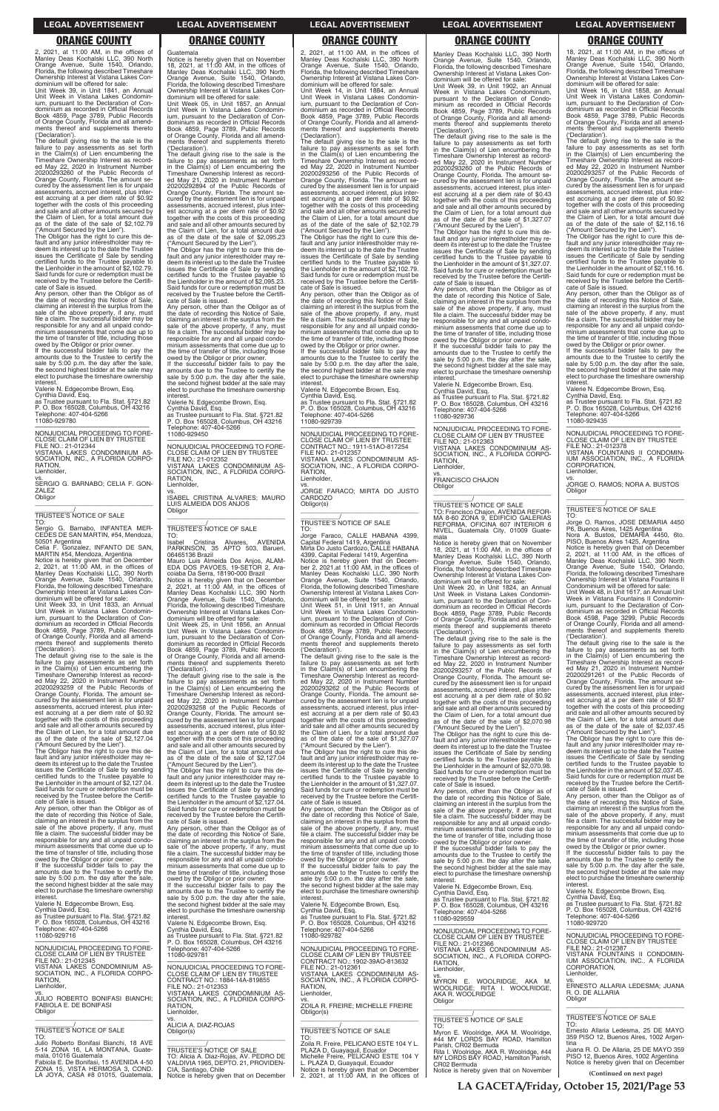2, 2021, at 11:00 AM, in the offices of Manley Deas Kochalski LLC, 390 North Orange Avenue, Suite 1540, Orlando, Florida, the following described Timeshare Ownership Interest at Vistana Lakes Con-

dominium will be offered for sale: Unit Week 39, in Unit 1841, an Annual Unit Week in Vistana Lakes Condominium, pursuant to the Declaration of Condominium as recorded in Official Records Book 4859, Page 3789, Public Records of Orange County, Florida and all amendments thereof and supplements thereto ('Declaration').

The default giving rise to the sale is the failure to pay assessments as set forth in the Claim(s) of Lien encumbering the Timeshare Ownership Interest as record-ed May 22, 2020 in Instrument Number 20200293260 of the Public Records of Orange County, Florida. The amount se-cured by the assessment lien is for unpaid assessments, accrued interest, plus interest accruing at a per diem rate of \$0.92 together with the costs of this proceeding and sale and all other amounts secured by the Claim of Lien, for a total amount due as of the date of the sale of \$2,102.79 ("Amount Secured by the Lien").

—————————————————— NONJUDICIAL PROCEEDING TO FORE-CLOSE CLAIM OF LIEN BY TRUSTEE FILE NO.: 21-012344 VISTANA LAKES CONDOMINIUM AS-SOCIATION, INC., A FLORIDA CORPO-**RATION** 

The Obligor has the right to cure this de-fault and any junior interestholder may redeem its interest up to the date the Trustee issues the Certificate of Sale by sending certified funds to the Trustee payable to the Lienholder in the amount of \$2,102.79. Said funds for cure or redemption must be received by the Trustee before the Certificate of Sale is issued.

Any person, other than the Obligor as of the date of recording this Notice of Sale, claiming an interest in the surplus from the sale of the above property, if any, must file a claim. The successful bidder may be responsible for any and all unpaid condominium assessments that come due up to the time of transfer of title, including those owed by the Obligor or prior owner.

If the successful bidder fails to pay the amounts due to the Trustee to certify the sale by 5:00 p.m. the day after the sale, the second highest bidder at the sale may elect to purchase the timeshare ownership interest.

Valerie N. Edgecombe Brown, Esq. Cynthia David, Esq. as Trustee pursuant to Fla. Stat. §721.82 P. O. Box 165028, Columbus, OH 43216 Telephone: 407-404-5266 11080-929780

Lienholder, vs.

SERGIO G. BARNABO; CELIA F. GON-ZALEZ **Obligor** \_\_\_\_\_\_\_\_\_\_\_\_\_\_\_\_\_\_\_\_\_\_\_\_\_\_\_\_\_\_\_\_\_

\_\_\_\_\_\_\_\_\_\_\_/ TRUSTEE'S NOTICE OF SALE

TO: Sergio G. Barnabo, INFANTEA MER-CEDES DE SAN MARTIN, #54, Mendoza, 50501 Argentina Celia F. Gonzalez, INFANTO DE SAN,

MARTIN #54, Mendoza, Argentina Notice is hereby given that on December 2, 2021, at 11:00 AM, in the offices of Manley Deas Kochalski LLC, 390 North Orange Avenue, Suite 1540, Orlando, Florida, the following described Timeshare Ownership Interest at Vistana Lakes Con-

dominium will be offered for sale: Unit Week 33, in Unit 1833, an Annual Unit Week in Vistana Lakes Condominium, pursuant to the Declaration of Con-dominium as recorded in Official Records Book 4859, Page 3789, Public Records of Orange County, Florida and all amendments thereof and supplements thereto ('Declaration').

Any person, other than the Obligor as of the date of recording this Notice of Sale, claiming an interest in the surplus from the sale of the above property, if any, must file a claim. The successful bidder may be responsible for any and all unpaid condo-minium assessments that come due up to the time of transfer of title, including those owed by the Obligor or prior owner

The default giving rise to the sale is the failure to pay assessments as set forth in the Claim(s) of Lien encumbering the Timeshare Ownership Interest as record-ed May 22, 2020 in Instrument Number 20200293259 of the Public Records of Orange County, Florida. The amount se-cured by the assessment lien is for unpaid assessments, accrued interest, plus interest accruing at a per diem rate of \$0.92 together with the costs of this proceeding and sale and all other amounts secured by the Claim of Lien, for a total amount due as of the date of the sale of \$2,127.04 If the successful bidder fails to pay the amounts due to the Trustee to certify the sale by 5:00 p.m. the day after the sale, the second highest bidder at the sale may elect to purchase the timeshare ownership **interest** 

("Amount Secured by the Lien"). The Obligor has the right to cure this de-fault and any junior interestholder may redeem its interest up to the date the Trustee issues the Certificate of Sale by sending certified funds to the Trustee payable to the Lienholder in the amount of \$2,127.04. Said funds for cure or redemption must be received by the Trustee before the Certificate of Sale is issued.

Any person, other than the Obligor as of the date of recording this Notice of Sale,

The Obligor has the right to cure this default and any junior interestholder may re-deem its interest up to the date the Trustee issues the Certificate of Sale by sending certified funds to the Trustee payable to the Lienholder in the amount of \$2,127.04. Said funds for cure or redemption must be received by the Trustee before the Certifi-

Guatemala Notice is hereby given that on November 18, 2021, at 11:00 AM, in the offices of Manley Deas Kochalski LLC, 390 North Orange Avenue, Suite 1540, Orlando, Florida, the following described Timeshare Ownership Interest at Vistana Lakes Condominium will be offered for sale:

Unit Week 05, in Unit 1857, an Annual Unit Week in Vistana Lakes Condominium, pursuant to the Declaration of Condominium as recorded in Official Records Book 4859, Page 3789, Public Records of Orange County, Florida and all amendments thereof and supplements thereto ('Declaration').

> The Obligor has the right to cure this default and any junior interestholder may re-deem its interest up to the date the Trustee issues the Certificate of Sale by sending certified funds to the Trustee payable to the Lienholder in the amount of \$2,102.79. Said funds for cure or redemption must be received by the Trustee before the Certificate of Sale is issued.

The default giving rise to the sale is the failure to pay assessments as set forth in the Claim(s) of Lien encumbering the Timeshare Ownership Interest as record-ed May 21, 2020 in Instrument Number 20200292894 of the Public Records of Orange County, Florida. The amount se-cured by the assessment lien is for unpaid assessments, accrued interest, plus interest accruing at a per diem rate of \$0.92 together with the costs of this proceeding and sale and all other amounts secured by the Claim of Lien, for a total amount due as of the date of the sale of \$2,095.23

> vs. JORGE FARACO; MIRTA DO JUSTO CARDOZO Obligor(s)  $\overline{\phantom{a}}$  ,  $\overline{\phantom{a}}$  ,  $\overline{\phantom{a}}$  ,  $\overline{\phantom{a}}$  ,  $\overline{\phantom{a}}$  ,  $\overline{\phantom{a}}$  ,  $\overline{\phantom{a}}$  ,  $\overline{\phantom{a}}$  ,  $\overline{\phantom{a}}$  ,  $\overline{\phantom{a}}$  ,  $\overline{\phantom{a}}$  ,  $\overline{\phantom{a}}$  ,  $\overline{\phantom{a}}$  ,  $\overline{\phantom{a}}$  ,  $\overline{\phantom{a}}$  ,  $\overline{\phantom{a}}$

("Amount Secured by the Lien"). The Obligor has the right to cure this de-fault and any junior interestholder may redeem its interest up to the date the Trustee issues the Certificate of Sale by sending certified funds to the Trustee payable to the Lienholder in the amount of \$2,095.23. Said funds for cure or redemption must be received by the Trustee before the Certificate of Sale is issued.

Valerie N. Edgecombe Brown, Esq. Cynthia David, Esq. as Trustee pursuant to Fla. Stat. §721.82 P. O. Box 165028, Columbus, OH 43216 Telephone: 407-404-5266 11080-929450

—————————————————— NONJUDICIAL PROCEEDING TO FORE-CLOSE CLAIM OF LIEN BY TRUSTEE FILE NO.: 21-012352 VISTANA LAKES CONDOMINIUM AS-SOCIATION, INC., A FLORIDA CORPO-RATION, Lienholder,

vs. ISABEL CRISTINA ALVARES; MAURO LUIS ALMEIDA DOS ANJOS Obligor \_\_\_\_\_\_\_\_\_\_\_\_\_\_\_\_\_\_\_\_\_\_\_\_\_\_\_\_\_\_\_\_\_

### \_\_\_\_\_\_\_\_\_\_\_/ TRUSTEE'S NOTICE OF SALE TO:

Isabel Cristina Alvares, AVENIDA PARKINSON, 35 APTO 503, Barueri,

06465136 Brazil Mauro Luis Almeida Dos Anjos, ALAM-EDA DOS PAVOES, 19-SETOR 2, Ara-coiaba Da Serra, 18190-000 Brazil Notice is hereby given that on December 2, 2021, at 11:00 AM, in the offices of Manley Deas Kochalski LLC, 390 North Orange Avenue, Suite 1540, Orlando, Florida, the following described Timeshare Ownership Interest at Vistana Lakes Con-

dominium will be offered for sale: Unit Week 25, in Unit 1856, an Annual Unit Week in Vistana Lakes Condomin-ium, pursuant to the Declaration of Condominium as recorded in Official Records Book 4859, Page 3789, Public Records of Orange County, Florida and all amendments thereof and supplements thereto ('Declaration').

the date of recording this Notice of Sale, claiming an interest in the surplus from the sale of the above property, if any, must file a claim. The successful bidder may be responsible for any and all unpaid condo-minium assessments that come due up to the time of transfer of title, including those

The default giving rise to the sale is the failure to pay assessments as set forth in the Claim(s) of Lien encumbering the Timeshare Ownership Interest as recorded May 22, 2020 in Instrument Number 20200293258 of the Public Records of Orange County, Florida. The amount secured by the assessment lien is for unpaid assessments, accrued interest, plus interest accruing at a per diem rate of \$0.92 together with the costs of this proceeding and sale and all other amounts secured by the Claim of Lien, for a total amount due as of the date of the sale of \$2,127.04 ("Amount Secured by the Lien").

vs. FRANCISCO CHAJON **Obligor** 

 $\overline{\phantom{a}}$  , and the set of the set of the set of the set of the set of the set of the set of the set of the set of the set of the set of the set of the set of the set of the set of the set of the set of the set of the s

The default giving rise to the sale is the failure to pay assessments as set forth in the Claim(s) of Lien encumbering the Timeshare Ownership Interest as record-ed May 22, 2020 in Instrument Number 20200293257 of the Public Records of Orange County, Florida. The amount se-cured by the assessment lien is for unpaid assessments, accrued interest, plus interest accruing at a per diem rate of \$0.92 together with the costs of this proceeding and sale and all other amounts secured by the Claim of Lien, for a total amount due as of the date of the sale of \$2,070.98 ("Amount Secured by the Lien").

2, 2021, at 11:00 AM, in the offices of Manley Deas Kochalski LLC, 390 North Orange Avenue, Suite 1540, Orlando, Florida, the following described Timeshare Ownership Interest at Vistana Lakes Condominium will be offered for sale:

Unit Week 14, in Unit 1884, an Annual Unit Week in Vistana Lakes Condomin-ium, pursuant to the Declaration of Condominium as recorded in Official Records Book 4859, Page 3789, Public Records of Orange County, Florida and all amendments thereof and supplements thereto ('Declaration'). The default giving rise to the sale is the

failure to pay assessments as set forth in the Claim(s) of Lien encumbering the Timeshare Ownership Interest as recorded May 22, 2020 in Instrument Number 20200293256 of the Public Records of Orange County, Florida. The amount secured by the assessment lien is for unpaid assessments, accrued interest, plus interest accruing at a per diem rate of \$0.92 together with the costs of this proceeding and sale and all other amounts secured by the Claim of Lien, for a total amount due as of the date of the sale of \$2,102.79 ("Amount Secured by the Lien").

> TO: orge O. Ramos, JOSE DEMARIA 4450

Any person, other than the Obligor as of the date of recording this Notice of Sale, claiming an interest in the surplus from the sale of the above property, if any, must file a claim. The successful bidder may be responsible for any and all unpaid condominium assessments that come due up to the time of transfer of title, including those owed by the Obligor or prior owner. If the successful bidder fails to pay the

amounts due to the Trustee to certify the sale by 5:00 p.m. the day after the sale, the second highest bidder at the sale may elect to purchase the timeshare ownership interest. Valerie N. Edgecombe Brown, Esq.

Cynthia David, Esq. as Trustee pursuant to Fla. Stat. §721.82 P. O. Box 165028, Columbus, OH 43216 Telephone: 407-404-5266 11080-929739

—————————————————— NONJUDICIAL PROCEEDING TO FORE-CLOSE CLAIM OF LIEN BY TRUSTEE CONTRACT NO.: 1911-51AO-817254 FILE NO.: 21-012357 VISTANA LAKES CONDOMINIUM AS-SOCIATION, INC., A FLORIDA CORPO-RATION, Lienholder,

# \_\_\_\_\_\_\_\_\_\_\_/ TRUSTEE'S NOTICE OF SALE

TO: Jorge Faraco, CALLE HABANA 4399, Capital Federal 1419, Argentina Mirta Do Justo Cardozo, CALLE HABANA

4399, Capital Federal 1419, Argentina Notice is hereby given that on Decem-ber 2, 2021,at 11:00 AM, in the offices of Manley Deas Kochalski LLC, 390 North Orange Avenue, Suite 1540, Orlando, Florida, the following described Timeshare Ownership Interest at Vistana Lakes Condominium will be offered for sale:

Unit Week 51, in Unit 1911, an Annual Unit Week in Vistana Lakes Condomin-ium, pursuant to the Declaration of Condominium as recorded in Official Records Book 4859, Page 3789, Public Records of Orange County, Florida and all amendments thereof and supplements thereto ('Declaration').

The default giving rise to the sale is the failure to pay assessments as set forth in the Claim(s) of Lien encumbering the Timeshare Ownership Interest as recorded May 22, 2020 in Instrument Number 20200293262 of the Public Records of Orange County, Florida. The amount secured by the assessment lien is for unpaid assessments, accrued interest, plus interest accruing at a per diem rate of \$0.43 together with the costs of this proceeding and sale and all other amounts secured by the Claim of Lien, for a total amount due as of the date of the sale of \$1,327.07 ("Amount Secured by the Lien").

The Obligor has the right to cure this default and any junior interestholder may re-deem its interest up to the date the Trustee issues the Certificate of Sale by sending certified funds to the Trustee payable to the Lienholder in the amount of \$1,327.07. Said funds for cure or redemption must be received by the Trustee before the Certificate of Sale is issued.

Any person, other than the Obligor as of the date of recording this Notice of Sale,

| Fabiola E. De Bonifasi, 15 AVENIDA 4-50<br>ZONA 15, VISTA HERMOSA 3, COND.<br>LA JOYA, CASA #8 01015, Guatemala,                    | VALDIVIA 1965, DEPTO. 21, PROVIDEN-<br>CIA, Santiago, Chile<br>Notice is hereby given that on December                                 | L. PLAZA D, Guayaquil, Ecuador<br>Notice is hereby given that on December<br>2, 2021, at $11:00$ AM, in the offices of              | CR02 Bermuda<br>Notice is hereby given that on November                                                                                    | Notice is hereby given that on December<br>(Continued on next page)                                                               |
|-------------------------------------------------------------------------------------------------------------------------------------|----------------------------------------------------------------------------------------------------------------------------------------|-------------------------------------------------------------------------------------------------------------------------------------|--------------------------------------------------------------------------------------------------------------------------------------------|-----------------------------------------------------------------------------------------------------------------------------------|
| Julio Roberto Bonifasi Bianchi, 18 AVE<br>5-14 ZONA 16, LA MONTANA, Guate-<br>mala, 01016 Guatemala                                 | TRUSTEE'S NOTICE OF SALE<br>TO: Alicia A. Diaz-Rojas, AV. PEDRO DE                                                                     | TO.<br>Zoila R. Freire. PELICANO ESTE 104 Y L.<br>PLAZA D, Guayaquil, Ecuador<br>Michelle Freire, PELICANO ESTE 104 Y               | #44 MY LORDS BAY ROAD, Hamilton<br>Parish, CR02 Bermuda<br>Rita I. Woolridge, AKA R. Woolridge, #44<br>MY LORDS BAY ROAD, Hamilton Parish, | 359 PISO 12, Buenos Aires, 1002 Argen-<br>tina<br>Juana R. O. De Allaria, 25 DE MAYO 359<br>PISO 12, Buenos Aires, 1002 Argentina |
| TRUSTEE'S NOTICE OF SALE<br>TO:                                                                                                     | ALICIA A. DIAZ-ROJAS<br>Obligor(s)                                                                                                     | TRUSTEE'S NOTICE OF SALE                                                                                                            | <b>TRUSTEE'S NOTICE OF SALE</b><br>TO:<br>Myron E. Woolridge, AKA M. Woolridge,                                                            | TO:<br>Ernesto Allaria Ledesma, 25 DE MAYO                                                                                        |
| Obligor                                                                                                                             | RATION,<br>Lienholder,                                                                                                                 | ZOILA R. FREIRE; MICHELLE FREIRE<br>Obligor(s)                                                                                      |                                                                                                                                            | TRUSTEE'S NOTICE OF SALE                                                                                                          |
| JULIO ROBERTO BONIFASI BIANCHI:<br>FABIOLA E. DE BONIFASI                                                                           | VISTANA LAKES CONDOMINIUM AS-<br>SOCIATION, INC., A FLORIDA CORPO-                                                                     | Lienholder,<br>VS.                                                                                                                  | WOOLRIDGE; RITA I. WOOLRIDGE,<br>AKA R. WOOLRIDGE<br>Obligor                                                                               | R. O. DE ALLARIA<br>Obligor                                                                                                       |
| SOCIATION, INC., A FLORIDA CORPO-<br>RATION.<br>Lienholder,                                                                         | CLOSE CLAIM OF LIEN BY TRUSTEE<br>CONTRACT NO.: 1884-14A-819855<br>FILE NO.: 21-012353                                                 | VISTANA LAKES CONDOMINIUM AS-<br>SOCIATION, INC., A FLORIDA CORPO-<br>RATION.                                                       | VS.<br>MYRON E.<br>WOOLRIDGE. AKA M.                                                                                                       | Lienholder.<br>VS.<br>ERNESTO ALLARIA LEDESMA; JUANA                                                                              |
| CLOSE CLAIM OF LIEN BY TRUSTEE<br>FILE NO.: 21-012345<br>VISTANA LAKES CONDOMINIUM AS-                                              | 11080-929781<br>NONJUDICIAL PROCEEDING TO FORE-                                                                                        | CLOSE CLAIM OF LIEN BY TRUSTEE<br>CONTRACT NO.: 1902-39AO-813632<br>FILE NO.: 21-012361                                             | SOCIATION, INC., A FLORIDA CORPO-<br>RATION.<br>Lienholder,                                                                                | VISTANA FOUNTAINS II CONDOMIN-<br>IUM ASSOCIATION, INC., A FLORIDA<br>CORPORATION.                                                |
| 11080-929716<br>NONJUDICIAL PROCEEDING TO FORE-                                                                                     | as Trustee pursuant to Fla. Stat. §721.82<br>P. O. Box 165028, Columbus, OH 43216<br>Telephone: 407-404-5266                           | 11080-929782<br>NONJUDICIAL PROCEEDING TO FORE-                                                                                     | CLOSE CLAIM OF LIEN BY TRUSTEE<br>FILE NO.: 21-012366<br>VISTANA LAKES CONDOMINIUM AS-                                                     | NONJUDICIAL PROCEEDING TO FORE-<br>CLOSE CLAIM OF LIEN BY TRUSTEE<br>FILE NO.: 21-012387                                          |
| as Trustee pursuant to Fla. Stat. §721.82<br>P. O. Box 165028, Columbus, OH 43216<br>Telephone: 407-404-5266                        | interest.<br>Valerie N. Edgecombe Brown, Esg.<br>Cynthia David, Esg.                                                                   | as Trustee pursuant to Fla. Stat. §721.82<br>P. O. Box 165028, Columbus, OH 43216<br>Telephone: 407-404-5266                        | Telephone: 407-404-5266<br>11080-929559<br>NONJUDICIAL PROCEEDING TO FORE-                                                                 | Telephone: 407-404-5266<br>11080-929720                                                                                           |
| interest.<br>Valerie N. Edgecombe Brown, Esq.<br>Cynthia David, Esq.                                                                | sale by 5:00 p.m. the day after the sale,<br>the second highest bidder at the sale may<br>elect to purchase the timeshare ownership    | interest.<br>Valerie N. Edgecombe Brown, Esg.<br>Cynthia David, Esg.                                                                | Cynthia David, Esg.<br>as Trustee pursuant to Fla. Stat. §721.82<br>P. O. Box 165028, Columbus, OH 43216                                   | Cynthia David, Esq.<br>as Trustee pursuant to Fla. Stat. §721.82<br>P. O. Box 165028, Columbus, OH 43216                          |
| sale by 5:00 p.m. the day after the sale,<br>the second highest bidder at the sale may<br>elect to purchase the timeshare ownership | owed by the Obligor or prior owner.<br>If the successful bidder fails to pay the<br>amounts due to the Trustee to certify the          | sale by 5:00 p.m. the day after the sale,<br>the second highest bidder at the sale may<br>elect to purchase the timeshare ownership | interest.<br>Valerie N. Edgecombe Brown, Esq.                                                                                              | elect to purchase the timeshare ownership<br>interest.<br>Valerie N. Edgecombe Brown, Esq.                                        |
| If the successful bidder fails to pay the<br>amounts due to the Trustee to certify the                                              | minium assessments that come due up to<br>the time of transfer of title, including those                                               | If the successful bidder fails to pay the<br>amounts due to the Trustee to certify the                                              | the second highest bidder at the sale may<br>elect to purchase the timeshare ownership                                                     | sale by 5:00 p.m. the day after the sale,<br>the second highest bidder at the sale may                                            |
| the time of transfer of title, including those<br>owed by the Obligor or prior owner.                                               | file a claim. The successful bidder may be<br>responsible for any and all unpaid condo-                                                | the time of transfer of title, including those<br>owed by the Obligor or prior owner.                                               | If the successful bidder fails to pay the<br>amounts due to the Trustee to certify the<br>sale by 5:00 p.m. the day after the sale,        | If the successful bidder fails to pay the<br>amounts due to the Trustee to certify the                                            |
| file a claim. The successful bidder may be<br>responsible for any and all unpaid condo-<br>minium assessments that come due up to   | the date of recording this Notice of Sale,<br>claiming an interest in the surplus from the<br>sale of the above property, if any, must | file a claim. The successful bidder may be<br>responsible for any and all unpaid condo-<br>minium assessments that come due up to   | the time of transfer of title, including those<br>owed by the Obligor or prior owner.                                                      | minium assessments that come due up to<br>the time of transfer of title, including those<br>owed by the Obligor or prior owner.   |
| claiming an interest in the surplus from the<br>sale of the above property, if any, must                                            | cate of Sale is issued.<br>Any person, other than the Obligor as of                                                                    | claiming an interest in the surplus from the<br>sale of the above property, if any, must                                            | responsible for any and all unpaid condo-<br>minium assessments that come due up to                                                        | file a claim. The successful bidder may be<br>responsible for any and all unpaid condo-                                           |
| the date of recording this reduce or date,                                                                                          | received by the Trustee belore the Certifi-                                                                                            | trie date of recording this notice of safe,                                                                                         | file a claim. The successful bidder may be                                                                                                 | sale of the above property, if any, must                                                                                          |

Manley Deas Kochalski LLC, 390 North Orange Avenue, Suite 1540, Orlando, Florida, the following described Timeshare Ownership Interest at Vistana Lakes Con-dominium will be offered for sale:

Unit Week 39, in Unit 1902, an Annual Week in Vistana Lakes Condominium, pursuant to the Declaration of Condominium as recorded in Official Records Book 4859, Page 3789, Public Records of Orange County, Florida and all amendments thereof and supplements thereto ('Declaration'). The default giving rise to the sale is the

failure to pay assessments as set forth in the Claim(s) of Lien encumbering the Timeshare Ownership Interest as recorded May 22, 2020 in Instrument Number 20200293260 of the Public Records of Orange County, Florida. The amount secured by the assessment lien is for unpaid assessments, accrued interest, plus est accruing at a per diem rate of \$0.43 together with the costs of this proceeding and sale and all other amounts secured by the Claim of Lien, for a total amount due as of the date of the sale of \$1,327.07 ("Amount Secured by the Lien"). The Obligor has the right to cure this de-

fault and any junior interestholder may re-deem its interest up to the date the Trustee issues the Certificate of Sale by sending certified funds to the Trustee payable to the Lienholder in the amount of \$1,327.07. Said funds for cure or redemption must be received by the Trustee before the Certifi-cate of Sale is issued. Any person, other than the Obligor as of

owed by the Obligor or prior owner. If the successful bidder fails to pay the amounts due to the Trustee to certify the sale by 5:00 p.m. the day after the sale, the second highest bidder at the sale may elect to purchase the timeshare ownership

interest. Valerie N. Edgecombe Brown, Esq.

Cynthia David, Esq. as Trustee pursuant to Fla. Stat. §721.82 P. O. Box 165028, Columbus, OH 43216 Telephone: 407-404-5266 11080-929736

—————————————————— NONJUDICIAL PROCEEDING TO FORE-CLOSE CLAIM OF LIEN BY TRUSTEE FILE NO.: 21-012363 VISTANA LAKES CONDOMINIUM AS-SOCIATION, INC., A FLORIDA CORPO-RATION, Lienholder,

\_\_\_\_\_\_\_\_\_\_\_/ TRUSTEE'S NOTICE OF SALE TO: Francisco Chajon, AVENIDA REFOR-MA 8-60 ZONA 9, EDIFICIO GALERIAS REFORMA, OFICINA 607 INTERIOR 6 NIVEL, Guatemala City, 01009 Guatemala

Notice is hereby given that on November 18, 2021, at 11:00 AM, in the offices of Manley Deas Kochalski LLC, 390 North Orange Avenue, Suite 1540, Orlando, Florida, the following described Timeshare Ownership Interest at Vistana Lakes Con-

dominium will be offered for sale: Unit Week 20, in Unit 1824, an Annual Unit Week in Vistana Lakes Condominium, pursuant to the Declaration of Condominium as recorded in Official Records Book 4859, Page 3789, Public Records of Orange County, Florida and all amend-ments thereof and supplements thereto ('Declaration').

The Obligor has the right to cure this de-fault and any junior interestholder may re-deem its interest up to the date the Trustee issues the Certificate of Sale by sending certified funds to the Trustee payable to the Lienholder in the amount of \$2,070.98. Said funds for cure or redemption must be received by the Trustee before the Certifi-cate of Sale is issued.

Any person, other than the Obligor as of the date of recording this Notice of Sale, claiming an interest in the surplus from the sale of the above property, if any, must file a claim. The successful bidder may be 18, 2021, at 11:00 AM, in the offices of Manley Deas Kochalski LLC, 390 North Orange Avenue, Suite 1540, Orlando, Florida, the following described Timeshare Ownership Interest at Vistana Lakes Con-dominium will be offered for sale: Unit Week 16, in Unit 1858, an Annual

Unit Week in Vistana Lakes Condomin-ium, pursuant to the Declaration of Con-dominium as recorded in Official Records Book 4859, Page 3789, Public Records of Orange County, Florida and all amend-ments thereof and supplements thereto ('Declaration'). The default giving rise to the sale is the

failure to pay assessments as set forth in the Claim(s) of Lien encumbering the Timeshare Ownership Interest as record-ed May 22, 2020 in Instrument Number 20200293257 of the Public Records of Orange County, Florida. The amount se-cured by the assessment lien is for unpaid assessments, accrued interest, plus inter-est accruing at a per diem rate of \$0.92 together with the costs of this proceeding and sale and all other amounts secured by the Claim of Lien, for a total amount due as of the date of the sale of \$2,116.16

("Amount Secured by the Lien"). The Obligor has the right to cure this default and any junior interestholder may redeem its interest up to the date the Trustee issues the Certificate of Sale by sending certified funds to the Trustee payable to the Lienholder in the amount of \$2,116.16. Said funds for cure or redemption must be received by the Trustee before the Certifi-

cate of Sale is issued. Any person, other than the Obligor as of the date of recording this Notice of Sale, claiming an interest in the surplus from the sale of the above property, if any, must file a claim. The successful bidder may be responsible for any and all unpaid condo-minium assessments that come due up to the time of transfer of title, including those

owed by the Obligor or prior owner. If the successful bidder fails to pay the amounts due to the Trustee to certify the sale by 5:00 p.m. the day after the sale, the second highest bidder at the sale may elect to purchase the timeshare ownership interest.

Valerie N. Edgecombe Brown, Esq. Cynthia David, Esq.

as Trustee pursuant to Fla. Stat. §721.82 P. O. Box 165028, Columbus, OH 43216 Telephone: 407-404-5266 11080-929435

—————————————————— NONJUDICIAL PROCEEDING TO FORE-CLOSE CLAIM OF LIEN BY TRUSTEE FILE NO.: 21-012378 VISTANA FOUNTAINS II CONDOMIN-

IUM ASSOCIATION, INC., A FLORIDA CORPORATION, Lienholder,

vs. JORGE O. RAMOS; NORA A. BUSTOS **Obligor** \_\_\_\_\_\_\_\_\_\_\_\_\_\_\_\_\_\_\_\_\_\_\_\_\_\_\_\_\_\_\_\_\_

# \_\_\_\_\_\_\_\_\_\_\_/ TRUSTEE'S NOTICE OF SALE

P6, Buenos Aires, 1425 Argentina Nora A. Bustos, DEMARIA 4450, 6to. PISO, Buenos Aires 1425, Argentina

Notice is hereby given that on December 2, 2021, at 11:00 AM, in the offices of Manley Deas Kochalski LLC, 390 North Orange Avenue, Suite 1540, Orlando, Florida, the following described Timeshare Ownership Interest at Vistana Fountains II Condominium will be offered for sale:

Unit Week 48, in Unit 1617, an Annual Unit Week in Vistana Fountains II Condomin-ium, pursuant to the Declaration of Condominium as recorded in Official Records Book 4598, Page 3299, Public Records of Orange County, Florida and all amendments thereof and supplements thereto ('Declaration').

The default giving rise to the sale is the failure to pay assessments as set forth in the Claim(s) of Lien encumbering the Timeshare Ownership Interest as recorded May 21, 2020 in Instrument Number 20200291261 of the Public Records of Orange County, Florida. The amount secured by the assessment lien is for unpaid assessments, accrued interest, plus inter-est accruing at a per diem rate of \$0.87 together with the costs of this proceeding and sale and all other amounts secured by the Claim of Lien, for a total amount due as of the date of the sale of \$2,037.45 ("Amount Secured by the Lien").

The Obligor has the right to cure this default and any junior interestholder may re-deem its interest up to the date the Trustee issues the Certificate of Sale by sending certified funds to the Trustee payable to the Lienholder in the amount of \$2,037.45. Said funds for cure or redemption must be received by the Trustee before the Certifiate of Sale is issued.

Any person, other than the Obligor as of the date of recording this Notice of Sale, claiming an interest in the surplus from the sale of the above property, if any, must

**LA GACETA/Friday, October 15, 2021/Page 53**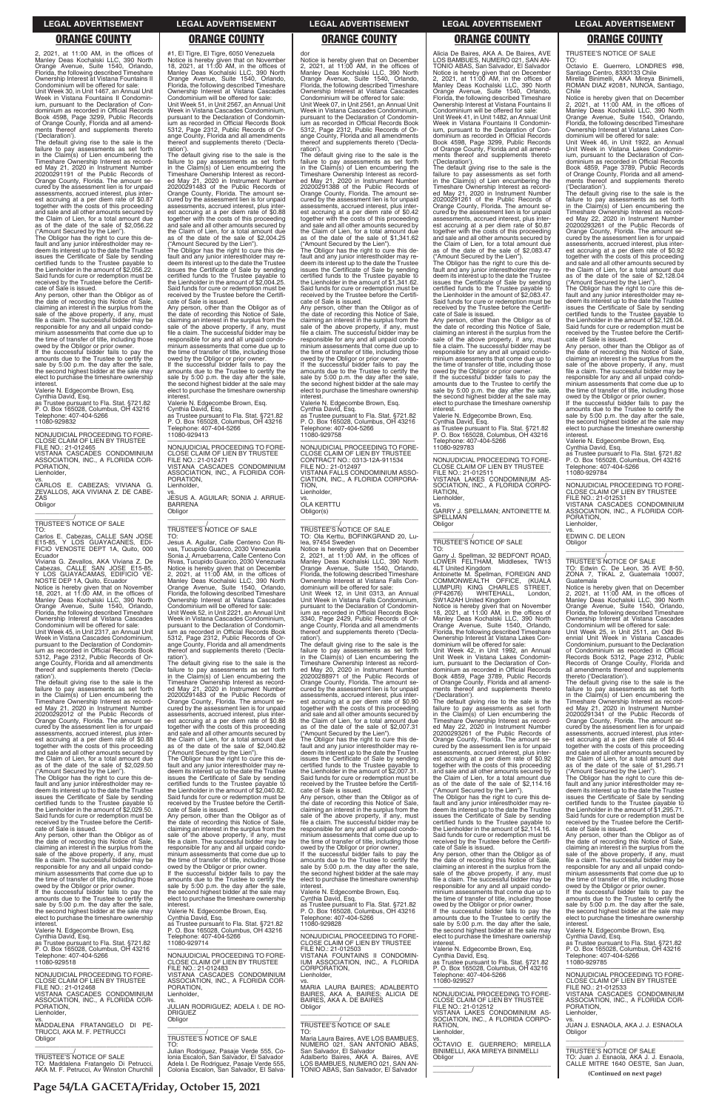**Page 54/LA GACETA/Friday, October 15, 2021**

2, 2021, at 11:00 AM, in the offices of Manley Deas Kochalski LLC, 390 North Orange Avenue, Suite 1540, Orlando, Florida, the following described Timeshare Ownership Interest at Vistana Fountains II Condominium will be offered for sale:

Unit Week 30, in Unit 1467, an Annual Unit Week in Vistana Fountains II Condominium, pursuant to the Declaration of Condominium as recorded in Official Records Book 4598, Page 3299, Public Records of Orange County, Florida and all amendments thereof and supplements thereto ('Declaration').

The default giving rise to the sale is the failure to pay assessments as set forth in the Claim(s) of Lien encumbering the Timeshare Ownership Interest as recorded May 21, 2020 in Instrument Number<br>20200291191 of the Public Records of<br>Orange County, Florida. The amount se-<br>cured by the assessment lien is for unpaid<br>assessments, accrued interest, plus interest accruing at a per diem rate of \$0.87 together with the costs of this proceeding and sale and all other amounts secured by the Claim of Lien, for a total amount due as of the date of the sale of \$2,056.22 ("Amount Secured by the Lien").

If the successful bidder fails to pay the amounts due to the Trustee to certify the sale by 5:00 p.m. the day after the sale, the second highest bidder at the sale may elect to purchase the timeshare ownership interest

vs. CARLOS E. CABEZAS; VIVIANA G. ZEVALLOS, AKA VIVIANA Z. DE CABE-ZAS **Obligor**  $\overline{\phantom{a}}$  , and the set of the set of the set of the set of the set of the set of the set of the set of the set of the set of the set of the set of the set of the set of the set of the set of the set of the set of the s

TO: Carlos E. Cabezas, CALLE SAN JOSE E15-85, Y LOS GUAYACANES, EDI-FICIO VENOSTE DEPT 1A, Quito, 000 **Ecuador** 

The Obligor has the right to cure this de-fault and any junior interestholder may re-deem its interest up to the date the Trustee issues the Certificate of Sale by sending certified funds to the Trustee payable to the Lienholder in the amount of \$2,056.22. Said funds for cure or redemption must be received by the Trustee before the Certificate of Sale is issued.

Condominium will be offered for sale: Unit Week 45, in Unit 2317, an Annual Unit Week in Vistana Cascades Condominium, pursuant to the Declaration of Condomin-ium as recorded in Official Records Book 5312, Page 2312, Public Records of Orange County, Florida and all amendments thereof and supplements thereto ('Declaration')

Any person, other than the Obligor as of the date of recording this Notice of Sale, claiming an interest in the surplus from the sale of the above property, if any, must file a claim. The successful bidder may be responsible for any and all unpaid condominium assessments that come due up to the time of transfer of title, including those owed by the Obligor or prior owner.

Valerie N. Edgecombe Brown, Esq. Cynthia David, Esq. as Trustee pursuant to Fla. Stat. §721.82 P. O. Box 165028, Columbus, OH 43216

Telephone: 407-404-5266 11080-929832

—————————————————— NONJUDICIAL PROCEEDING TO FORE-CLOSE CLAIM OF LIEN BY TRUSTEE FILE NO.: 21-012465 VISTANA CASCADES CONDOMINIUM

ASSOCIATION, INC., A FLORIDA COR-PORATION, Lienholder,

# \_\_\_\_\_\_\_\_\_\_\_/ TRUSTEE'S NOTICE OF SALE

Viviana G. Zevallos, AKA Viviana Z. De Cabezas, CALLE SAN JOSE E15-85, Y LOS GUAYACAMAS, EDIFICIO VE-NOSTE DEP 1A, Quito, Ecuador

Notice is hereby given that on November 18, 2021, at 11:00 AM, in the offices of Manley Deas Kochalski LLC, 390 North Orange Avenue, Suite 1540, Orlando, Florida, the following described Timeshare Ownership Interest at Vistana Cascades

The default giving rise to the sale is the failure to pay assessments as set forth in the Claim(s) of Lien encumbering the Timeshare Ownership Interest as record-ed May 21, 2020 in Instrument Number 20200292012 of the Public Records of Orange County, Florida. The amount se-cured by the assessment lien is for unpaid assessments, accrued interest, plus interest accruing at a per diem rate of \$0.88 together with the costs of this proceeding and sale and all other amounts secured by the Claim of Lien, for a total amount due as of the date of the sale of \$2,029.50 amounts due to the Trustee to certify the sale by 5:00 p.m. the day after the sale, the second highest bidder at the sale may elect to purchase the timeshare ownership interest

("Amount Secured by the Lien"). The Obligor has the right to cure this de-fault and any junior interestholder may redeem its interest up to the date the Trustee issues the Certificate of Sale by sending certified funds to the Trustee payable to the Lienholder in the amount of \$2,029.50. Said funds for cure or redemption must be

Notice is hereby given that on November 18, 2021, at 11:00 AM, in the offices of Manley Deas Kochalski LLC, 390 North Orange Avenue, Suite 1540, Orlando, Florida, the following described Timeshare Ownership Interest at Vistana Cascades Condominium will be offered for sale: Unit Week 51, in Unit 2567, an Annual Unit Week in Vistana Cascades Condominium, pursuant to the Declaration of Condominium as recorded in Official Records Book 5312, Page 2312, Public Records of Orange County, Florida and all amendments thereof and supplements thereto ('Decla-

ration'). The default giving rise to the sale is the failure to pay assessments as set forth in the Claim(s) of Lien encumbering the Timeshare Ownership Interest as recorded May 21, 2020 in Instrument Number 20200291483 of the Public Records of Orange County, Florida. The amount secured by the assessment lien is for unpaid assessments, accrued interest, plus interest accruing at a per diem rate of \$0.88 together with the costs of this proceeding and sale and all other amounts secured by the Claim of Lien, for a total amount due as of the date of the sale of \$2,004.25

("Amount Secured by the Lien"). The Obligor has the right to cure this default and any junior interestholder may redeem its interest up to the date the Trustee issues the Certificate of Sale by sending certified funds to the Trustee payable to the Lienholder in the amount of \$2,004.25. Said funds for cure or redemption must be received by the Trustee before the Certifi-

cate of Sale is issued. Any person, other than the Obligor as of the date of recording this Notice of Sale, claiming an interest in the surplus from the sale of the above property, if any, must file a claim. The successful bidder may be responsible for any and all unpaid condo-minium assessments that come due up to the time of transfer of title, including those owed by the Obligor or prior owner. If the successful bidder fails to pay the

Valerie N. Edgecombe Brown, Esq. Cynthia David, Esq. as Trustee pursuant to Fla. Stat. §721.82 P. O. Box 165028, Columbus, OH 43216 Telephone: 407-404-5266 11080-929413

—————————————————— NONJUDICIAL PROCEEDING TO FORE-CLOSE CLAIM OF LIEN BY TRUSTEE FILE NO.: 21-012471 VISTANA CASCADES CONDOMINIUM ASSOCIATION, INC., A FLORIDA COR-PORATION, Lienholder,

vs. JESUS A. AGUILAR; SONIA J. ARRUE-BARRENA Obligor \_\_\_\_\_\_\_\_\_\_\_\_\_\_\_\_\_\_\_\_\_\_\_\_\_\_\_\_\_\_\_\_\_

# \_\_\_\_\_\_\_\_\_\_\_/ TRUSTEE'S NOTICE OF SALE

TO: Jesus A. Aguilar, Calle Centeno Con Rivas, Tucupido Guarico, 2030 Venezuela Sonia J. Arruebarrena, Calle Centeno Con Rivas, Tucupido Guarico, 2030 Venezuela Notice is hereby given that on December 2, 2021, at 11:00 AM, in the offices of Manley Deas Kochalski LLC, 390 North Orange Avenue, Suite 1540, Orlando, Florida, the following described Timeshare Ownership Interest at Vistana Cascades

Condominium will be offered for sale: Unit Week 52, in Unit 2221, an Annual Unit Week in Vistana Cascades Condominium, pursuant to the Declaration of Condominium as recorded in Official Records Book 5312, Page 2312, Public Records of Orange County, Florida and all amendments thereof and supplements thereto ('Declaration').

Any person, other than the Obligor as of the date of recording this Notice of Sale, claiming an interest in the surplus from the sale of the above property, if any, must file a claim. The successful bidder may be responsible for any and all unpaid condo-minium assessments that come due up to the time of transfer of title, including those

The default giving rise to the sale is the failure to pay assessments as set forth in the Claim(s) of Lien encumbering the Timeshare Ownership Interest as record-ed May 21, 2020 in Instrument Number 20200291483 of the Public Records of Orange County, Florida. The amount se-cured by the assessment lien is for unpaid assessments, accrued interest, plus interest accruing at a per diem rate of \$0.88 together with the costs of this proceeding and sale and all other amounts secured by the Claim of Lien, for a total amount due as of the date of the sale of \$2,040.82

owed by the Obligor or prior owner. If the successful bidder fails to pay the amounts due to the Trustee to certify the sale by 5:00 p.m. the day after the sale, the second highest bidder at the sale may elect to purchase the timeshare ownership **interest** 

("Amount Secured by the Lien"). The Obligor has the right to cure this de-fault and any junior interestholder may redeem its interest up to the date the Trustee issues the Certificate of Sale by sending certified funds to the Trustee payable to the Lienholder in the amount of \$2,040.82. Said funds for cure or redemption must be received by the Trustee before the Certificate of Sale is issued.

Any person, other than the Obligor as of

dor Notice is hereby given that on December 2, 2021, at 11:00 AM, in the offices of Manley Deas Kochalski LLC, 390 North Orange Avenue, Suite 1540, Orlando, Florida, the following described Timeshare Ownership Interest at Vistana Cascades Condominium will be offered for sale:

Unit Week 07, in Unit 2561, an Annual Unit Week in Vistana Cascades Condominium, pursuant to the Declaration of Condominium as recorded in Official Records Book Page 2312, Public Records of Orange County, Florida and all amendments thereof and supplements thereto ('Declaration'). The default giving rise to the sale is the

failure to pay assessments as set forth in the Claim(s) of Lien encumbering the Timeshare Ownership Interest as recorded May 21, 2020 in Instrument Number 20200291388 of the Public Records of Orange County, Florida. The amount secured by the assessment lien is for unpaid assessments, accrued interest, plus interest accruing at a per diem rate of \$0.42 together with the costs of this proceeding and sale and all other amounts secured by the Claim of Lien, for a total amount due as of the date of the sale of \$1,341.62 ("Amount Secured by the Lien"). The Obligor has the right to cure this de-

> the date of recording this Notice of Sale,<br>claiming an interest in the surplus from the<br>sale of the above property, if any, must<br>file a claim. The successful bidder may be responsible for any and all unpaid condo-minium assessments that come due up to the time of transfer of title, including those owed by the Obligor or prior owner. If the successful bidder fails to pay the

> amounts due to the Trustee to certify the sale by 5:00 p.m. the day after the sale, the second highest bidder at the sale may elect to purchase the timeshare ownership interest

Obligor  $\overline{\phantom{a}}$  ,  $\overline{\phantom{a}}$  ,  $\overline{\phantom{a}}$  ,  $\overline{\phantom{a}}$  ,  $\overline{\phantom{a}}$  ,  $\overline{\phantom{a}}$  ,  $\overline{\phantom{a}}$  ,  $\overline{\phantom{a}}$  ,  $\overline{\phantom{a}}$  ,  $\overline{\phantom{a}}$  ,  $\overline{\phantom{a}}$  ,  $\overline{\phantom{a}}$  ,  $\overline{\phantom{a}}$  ,  $\overline{\phantom{a}}$  ,  $\overline{\phantom{a}}$  ,  $\overline{\phantom{a}}$ 

fault and any junior interestholder may redeem its interest up to the date the Trustee issues the Certificate of Sale by sending certified funds to the Trustee payable to the Lienholder in the amount of \$1,341.62. Said funds for cure or redemption must be received by the Trustee before the Certifi-

cate of Sale is issued. Any person, other than the Obligor as of the date of recording this Notice of Sale, claiming an interest in the surplus from the sale of the above property, if any, must file a claim. The successful bidder may be responsible for any and all unpaid condo-minium assessments that come due up to the time of transfer of title, including those owed by the Obligor or prior owner. If the successful bidder fails to pay the

amounts due to the Trustee to certify the sale by 5:00 p.m. the day after the sale, the second highest bidder at the sale may elect to purchase the timeshare ownership interest. Valerie N. Edgecombe Brown, Esq.

Cynthia David, Esq. as Trustee pursuant to Fla. Stat. §721.82 P. O. Box 165028, Columbus, OH 43216 Telephone: 407-404-5266 11080-929758

—————————————————— NONJUDICIAL PROCEEDING TO FORE-CLOSE CLAIM OF LIEN BY TRUSTEE CONTRACT NO.: 0313-12A-911534 FILE NO.: 21-012497 VISTANA FALLS CONDOMINIUM ASSO-CIATION, INC., A FLORIDA CORPORA-TION, Lienholder,

vs. OLA KERTTU

Obligor(s) \_\_\_\_\_\_\_\_\_\_\_\_\_\_\_\_\_\_\_\_\_\_\_\_\_\_\_\_\_\_\_\_\_

\_\_\_\_\_\_\_\_\_\_\_/ TRUSTEE'S NOTICE OF SALE TO: Ola Kerttu, BOFINKGRAND 20, Lulea, 97454 Sweden Notice is hereby given that on December 2, 2021, at 11:00 AM, in the offices of Manley Deas Kochalski LLC, 390 North Orange Avenue, Suite 1540, Orlando, Florida, the following described Timeshare Ownership Interest at Vistana Falls Con-

dominium will be offered for sale: Unit Week 12, in Unit 0313, an Annual Unit Week in Vistana Falls Condominium, pursuant to the Declaration of Condomin-ium as recorded in Official Records Book 3340, Page 2429, Public Records of Orange County, Florida and all amendments thereof and supplements thereto ('Declaration').

The default giving rise to the sale is the failure to pay assessments as set forth in the Claim(s) of Lien encumbering the Timeshare Ownership Interest as record-ed May 20, 2020 in Instrument Number 20200288971 of the Public Records of Orange County, Florida. The amount se-cured by the assessment lien is for unpaid assessments, accrued interest, plus interest accruing at a per diem rate of \$0.90 together with the costs of this proceeding and sale and all other amounts secured by the Claim of Lien, for a total amount due as of the date of the sale of \$2,007.31

("Amount Secured by the Lien"). The Obligor has the right to cure this de-fault and any junior interestholder may redeem its interest up to the date the Trustee issues the Certificate of Sale by sending certified funds to the Trustee payable to the Lienholder in the amount of \$2,007.31. Said funds for cure or redemption must be received by the Trustee before the Certificate of Sale is issued.

Any person, other than the Obligor as of the date of recording this Notice of Sale, claiming an interest in the surplus from the sale of the above property, if any, must

| received by the Trustee before the Certifi-<br>cate of Sale is issued.<br>Any person, other than the Obligor as of<br>the date of recording this Notice of Sale,<br>claiming an interest in the surplus from the<br>sale of the above property, if any, must<br>file a claim. The successful bidder may be<br>responsible for any and all unpaid condo-<br>minium assessments that come due up to<br>the time of transfer of title, including those<br>owed by the Obligor or prior owner.<br>If the successful bidder fails to pay the<br>amounts due to the Trustee to certify the<br>sale by 5:00 p.m. the day after the sale,<br>the second highest bidder at the sale may<br>elect to purchase the timeshare ownership<br>interest.<br>Valerie N. Edgecombe Brown, Esq. | the date of recording this Notice of Sale,<br>claiming an interest in the surplus from the<br>sale of the above property, if any, must<br>file a claim. The successful bidder may be<br>responsible for any and all unpaid condo-<br>minium assessments that come due up to<br>the time of transfer of title, including those<br>owed by the Obligor or prior owner.<br>If the successful bidder fails to pay the<br>amounts due to the Trustee to certify the<br>sale by 5:00 p.m. the day after the sale,<br>the second highest bidder at the sale may<br>elect to purchase the timeshare ownership<br>interest.<br>Valerie N. Edgecombe Brown, Esg.<br>Cynthia David, Esq.<br>as Trustee pursuant to Fla. Stat. §721.82<br>P. O. Box 165028, Columbus, OH 43216 | file a claim. The successful bidder may be<br>responsible for any and all unpaid condo-<br>minium assessments that come due up to<br>the time of transfer of title, including those<br>owed by the Obligor or prior owner.<br>If the successful bidder fails to pay the<br>amounts due to the Trustee to certify the<br>sale by 5:00 p.m. the day after the sale.<br>the second highest bidder at the sale may<br>elect to purchase the timeshare ownership<br>interest.<br>Valerie N. Edgecombe Brown, Esg.<br>Cynthia David, Esq.<br>as Trustee pursuant to Fla. Stat. §721.82<br>P. O. Box 165028, Columbus, OH 43216<br>Telephone: 407-404-5266<br>11080-929828 | certified funds to the Trustee pavable to<br>the Lienholder in the amount of \$2.114.16.<br>Said funds for cure or redemption must be<br>received by the Trustee before the Certifi-<br>cate of Sale is issued.<br>Any person, other than the Obligor as of<br>the date of recording this Notice of Sale,<br>claiming an interest in the surplus from the<br>sale of the above property, if any, must<br>file a claim. The successful bidder may be<br>responsible for any and all unpaid condo-<br>minium assessments that come due up to<br>the time of transfer of title, including those<br>owed by the Obligor or prior owner.<br>If the successful bidder fails to pay the<br>amounts due to the Trustee to certify the<br>sale by 5:00 p.m. the day after the sale,<br>the second highest bidder at the sale may | received by the Trustee before the Certifi-<br>cate of Sale is issued.<br>Any person, other than the Obligor as of<br>the date of recording this Notice of Sale,<br>claiming an interest in the surplus from the<br>sale of the above property, if any, must<br>file a claim. The successful bidder may be<br>responsible for any and all unpaid condo-<br>minium assessments that come due up to<br>the time of transfer of title, including those<br>owed by the Obligor or prior owner.<br>If the successful bidder fails to pay the<br>amounts due to the Trustee to certify the<br>sale by 5:00 p.m. the day after the sale,<br>the second highest bidder at the sale may<br>elect to purchase the timeshare ownership<br>interest.<br>Valerie N. Edgecombe Brown, Esg. |
|------------------------------------------------------------------------------------------------------------------------------------------------------------------------------------------------------------------------------------------------------------------------------------------------------------------------------------------------------------------------------------------------------------------------------------------------------------------------------------------------------------------------------------------------------------------------------------------------------------------------------------------------------------------------------------------------------------------------------------------------------------------------------|--------------------------------------------------------------------------------------------------------------------------------------------------------------------------------------------------------------------------------------------------------------------------------------------------------------------------------------------------------------------------------------------------------------------------------------------------------------------------------------------------------------------------------------------------------------------------------------------------------------------------------------------------------------------------------------------------------------------------------------------------------------------|---------------------------------------------------------------------------------------------------------------------------------------------------------------------------------------------------------------------------------------------------------------------------------------------------------------------------------------------------------------------------------------------------------------------------------------------------------------------------------------------------------------------------------------------------------------------------------------------------------------------------------------------------------------------|-------------------------------------------------------------------------------------------------------------------------------------------------------------------------------------------------------------------------------------------------------------------------------------------------------------------------------------------------------------------------------------------------------------------------------------------------------------------------------------------------------------------------------------------------------------------------------------------------------------------------------------------------------------------------------------------------------------------------------------------------------------------------------------------------------------------------|------------------------------------------------------------------------------------------------------------------------------------------------------------------------------------------------------------------------------------------------------------------------------------------------------------------------------------------------------------------------------------------------------------------------------------------------------------------------------------------------------------------------------------------------------------------------------------------------------------------------------------------------------------------------------------------------------------------------------------------------------------------------------|
| Cynthia David, Esg.<br>as Trustee pursuant to Fla. Stat. §721.82<br>P. O. Box 165028. Columbus. OH 43216<br>Telephone: 407-404-5266<br>11080-929518                                                                                                                                                                                                                                                                                                                                                                                                                                                                                                                                                                                                                          | Telephone: 407-404-5266<br>11080-929714<br>NONJUDICIAL PROCEEDING TO FORE-<br>CLOSE CLAIM OF LIEN BY TRUSTEE                                                                                                                                                                                                                                                                                                                                                                                                                                                                                                                                                                                                                                                       | NONJUDICIAL PROCEEDING TO FORE-<br>CLOSE CLAIM OF LIEN BY TRUSTEE<br>FILE NO.: 21-012503<br>VISTANA FOUNTAINS II CONDOMIN-<br>IUM ASSOCIATION, INC., A FLORIDA                                                                                                                                                                                                                                                                                                                                                                                                                                                                                                      | elect to purchase the timeshare ownership<br>interest.<br>Valerie N. Edgecombe Brown, Esg.<br>Cynthia David. Esg.<br>as Trustee pursuant to Fla. Stat. §721.82                                                                                                                                                                                                                                                                                                                                                                                                                                                                                                                                                                                                                                                          | Cynthia David, Esg.<br>as Trustee pursuant to Fla. Stat. §721.82<br>P. O. Box 165028. Columbus. OH 43216<br>Telephone: 407-404-5266<br>11080-929785                                                                                                                                                                                                                                                                                                                                                                                                                                                                                                                                                                                                                          |
| NONJUDICIAL PROCEEDING TO FORE-<br>CLOSE CLAIM OF LIEN BY TRUSTEE<br>FILE NO.: 21-012468<br>VISTANA CASCADES CONDOMINIUM<br>ASSOCIATION, INC., A FLORIDA COR-<br>PORATION.<br>Lienholder,<br>VS.<br>MADDALENA FRATANGELO DI PE-<br>TRUCCI, AKA M. F. PETRUCCI<br>Obligor<br><b>TRUSTEE'S NOTICE OF SALE</b><br>TO: Maddalena Fratangelo Di Petrucci,                                                                                                                                                                                                                                                                                                                                                                                                                         | FILE NO.: 21-012483<br>VISTANA CASCADES CONDOMINIUM<br>ASSOCIATION. INC., A FLORIDA COR-<br>PORATION.<br>Lienholder.<br>VS.<br>JULIAN RODRIGUEZ: ADELA I. DE RO-<br><b>DRIGUEZ</b><br>Obligor<br><b>TRUSTEE'S NOTICE OF SALE</b><br>TO:<br>Julian Rodriguez, Pasaje Verde 555, Co-<br>Ionia Escalon, San Salvador, El Salvador<br>Adela I. De Rodriguez, Pasaje Verde 555,                                                                                                                                                                                                                                                                                                                                                                                         | CORPORATION.<br>Lienholder.<br>VS.<br>MARIA LAURA BAIRES: ADALBERTO<br>BAIRES, AKA A. BAIRES; ALICIA DE<br>BAIRES, AKA A. DE BAIRES<br>Obligor<br>TRUSTEE'S NOTICE OF SALE<br>TO:<br>Maria Laura Baires, AVE LOS BAMBUES,<br>NUMERO 021, SAN ANTONIO ABAS,<br>San Salvador, El Salvador<br>Adalberto Baires, AKA A. Baires, AVE<br>LOS BAMBUES, NUMERO 021, SAN AN-                                                                                                                                                                                                                                                                                                 | P. O. Box 165028, Columbus, OH 43216<br>Telephone: 407-404-5266<br>11080-929527<br>NONJUDICIAL PROCEEDING TO FORE-<br>CLOSE CLAIM OF LIEN BY TRUSTEE<br>FILE NO.: 21-012512<br>VISTANA LAKES CONDOMINIUM AS-<br>SOCIATION, INC., A FLORIDA CORPO-<br>RATION.<br>Lienholder.<br>VS.<br>OCTAVIO E. GUERRERO: MIRELLA<br>BINIMELLI, AKA MIREYA BINIMELLI<br>Obligor                                                                                                                                                                                                                                                                                                                                                                                                                                                        | NONJUDICIAL PROCEEDING TO FORE-<br>CLOSE CLAIM OF LIEN BY TRUSTEE<br>FILE NO.: 21-012533<br>VISTANA CASCADES CONDOMINIUM<br>ASSOCIATION, INC., A FLORIDA COR-<br>PORATION.<br>Lienholder.<br>VS.<br>JUAN J. ESNAOLA, AKA J. J. ESNAOLA<br>Obligor<br>TRUSTEE'S NOTICE OF SALE<br>TO: Juan J. Esnaola, AKA J. J. Esnaola,<br>CALLE MITRE 1640 OESTE, San Juan,                                                                                                                                                                                                                                                                                                                                                                                                                |
| AKA M. F. Petrucci. Av Winston Churchill                                                                                                                                                                                                                                                                                                                                                                                                                                                                                                                                                                                                                                                                                                                                     | Colonia Escalon, San Salvador, El Salva-                                                                                                                                                                                                                                                                                                                                                                                                                                                                                                                                                                                                                                                                                                                           | TONIO ABAS, San Salvador, El Salvador                                                                                                                                                                                                                                                                                                                                                                                                                                                                                                                                                                                                                               |                                                                                                                                                                                                                                                                                                                                                                                                                                                                                                                                                                                                                                                                                                                                                                                                                         | (Continued on next page)                                                                                                                                                                                                                                                                                                                                                                                                                                                                                                                                                                                                                                                                                                                                                     |

### #1, El Tigre, El Tigre, 6050 Venezuela **ORANGE COUNTY ORANGE COUNTY ORANGE COUNTY ORANGE COUNTY ORANGE COUNTY**

Alicia De Baires, AKA A. De Baires, AVE LOS BAMBUES, NUMERO 021, SAN AN-TONIO ABAS, San Salvador, El Salvador Notice is hereby given that on December 2, 2021, at 11:00 AM, in the offices of Manley Deas Kochalski LLC, 390 North Orange Avenue, Suite 1540, Orlando, Florida, the following described Timeshare Ownership Interest at Vistana Fountains II Condominium will be offered for sale: Unit Week 41, in Unit 1482, an Annual Unit

Week in Vistana Fountains II Condominium, pursuant to the Declaration of Con-dominium as recorded in Official Records Book 4598, Page 3299, Public Records of Orange County, Florida and all amend-ments thereof and supplements thereto ('Declaration').

The default giving rise to the sale is the failure to pay assessments as set forth in the Claim(s) of Lien encumbering the Timeshare Ownership Interest as record-ed May 21, 2020 in Instrument Number 20200291261 of the Public Records of Orange County, Florida. The amount se-cured by the assessment lien is for unpaid assessments, accrued interest, plus interest accruing at a per diem rate of \$0.87 together with the costs of this proceeding and sale and all other amounts secured by the Claim of Lien, for a total amount due as of the date of the sale of \$2,083.47 ("Amount Secured by the Lien").

The Obligor has the right to cure this de-fault and any junior interestholder may redeem its interest up to the date the Trustee issues the Certificate of Sale by sending certified funds to the Trustee payable to the Lienholder in the amount of \$2,083.47. Said funds for cure or redemption must be received by the Trustee before the Certificate of Sale is issued.

Valerie N. Edgecombe Brown, Esq. Cynthia David, Esq. as Trustee pursuant to Fla. Stat. §721.82 P. O. Box 165028, Columbus, OH 43216 Telephone: 407-404-5266

11080-929783

—————————————————— NONJUDICIAL PROCEEDING TO FORE-CLOSE CLAIM OF LIEN BY TRUSTEE FILE NO.: 21-012511 VISTANA LAKES CONDOMINIUM AS-SOCIATION, INC., A FLORIDA CORPO-**RATION** Lienholder,

vs. GARRY J. SPELLMAN; ANTOINETTE M. SPELLMAN **Obligor** \_\_\_\_\_\_\_\_\_\_\_\_\_\_\_\_\_\_\_\_\_\_\_\_\_\_\_\_\_\_\_\_\_

# \_\_\_\_\_\_\_\_\_\_\_/ TRUSTEE'S NOTICE OF SALE

TO: Garry J. Spellman, 32 BEDFONT ROAD, LOWER FELTHAM, Middlesex, TW13 4LT United Kingdom Antoinette M. Spellman, FOREIGN AND COMMONWEALTH OFFICE, (KUALA LUMPUR) KING CHARLES STREET, (PF42676) WHITEHALL, London, SW1A2AH United Kingdom

Notice is hereby given that on November 18, 2021, at 11:00 AM, in the offices of Manley Deas Kochalski LLC, 390 North Orange Avenue, Suite 1540, Orlando, Florida, the following described Timeshare Ownership Interest at Vistana Lakes Con-

dominium will be offered for sale: Unit Week 42, in Unit 1992, an Annual Unit Week in Vistana Lakes Condominium, pursuant to the Declaration of Con-dominium as recorded in Official Records Book 4859, Page 3789, Public Records of Orange County, Florida and all amend-ments thereof and supplements thereto ('Declaration').

The default giving rise to the sale is the failure to pay assessments as set forth in the Claim(s) of Lien encumbering the Timeshare Ownership Interest as record-ed May 22, 2020 in Instrument Number 20200293261 of the Public Records of Orange County, Florida. The amount se-cured by the assessment lien is for unpaid assessments, accrued interest, plus interest accruing at a per diem rate of \$0.92 together with the costs of this proceeding and sale and all other amounts secured by the Claim of Lien, for a total amount due as of the date of the sale of \$2,114.16

("Amount Secured by the Lien"). The Obligor has the right to cure this de-fault and any junior interestholder may redeem its interest up to the date the Trustee issues the Certificate of Sale by sending

TRUSTEE'S NOTICE OF SALE

TO: Octavio E. Guerrero, LONDRES #98, Santiago Centro, 8330133 Chile Mirella Binimelli, AKA Mireya Binimelli, ROMAN DIAZ #2081, NUNOA, Santiago, Chile

Notice is hereby given that on December 2, 2021, at 11:00 AM, in the offices of Manley Deas Kochalski LLC, 390 North Orange Avenue, Suite 1540, Orlando, Florida, the following described Timeshare Ownership Interest at Vistana Lakes Con-dominium will be offered for sale:

Unit Week 46, in Unit 1922, an Annual Unit Week in Vistana Lakes Condomin-ium, pursuant to the Declaration of Condominium as recorded in Official Records Book 4859, Page 3789, Public Records of Orange County, Florida and all amendments thereof and supplements thereto

('Declaration'). The default giving rise to the sale is the failure to pay assessments as set forth in the Claim(s) of Lien encumbering the Timeshare Ownership Interest as recorded May 22, 2020 in Instrument Number 20200293261 of the Public Records of Orange County, Florida. The amount secured by the assessment lien is for unpaid assessments, accrued interest, plus inter-est accruing at a per diem rate of \$0.92 together with the costs of this proceeding and sale and all other amounts secured by the Claim of Lien, for a total amount due as of the date of the sale of \$2,128.04

("Amount Secured by the Lien"). The Obligor has the right to cure this default and any junior interestholder may redeem its interest up to the date the Trustee issues the Certificate of Sale by sending certified funds to the Trustee payable to the Lienholder in the amount of \$2,128.04. Said funds for cure or redemption must be received by the Trustee before the Certifi-cate of Sale is issued. Any person, other than the Obligor as of

Valerie N. Edgecombe Brown, Esq.

Cynthia David, Esq. as Trustee pursuant to Fla. Stat. §721.82 P. O. Box 165028, Columbus, OH 43216 Telephone: 407-404-5266 11080-929784

—————————————————— NONJUDICIAL PROCEEDING TO FORE-CLOSE CLAIM OF LIEN BY TRUSTEE FILE NO.: 21-012531

VISTANA CASCADES CONDOMINIUM ASSOCIATION, INC., A FLORIDA COR-PORATION,

Lienholder,

vs. EDWIN C. DE LEON

\_\_\_\_\_\_\_\_\_\_\_/ TRUSTEE'S NOTICE OF SALE TO: Edwin C. De Leon, 35 AVE 8-50, ZONA 7, TIKAL 2, Guatemala 10007, Guatemala

Notice is hereby given that on December 2, 2021, at 11:00 AM, in the offices of Manley Deas Kochalski LLC, 390 North Orange Avenue, Suite 1540, Orlando, Florida, the following described Timeshare Ownership Interest at Vistana Cascades

Condominium will be offered for sale: Unit Week 25, in Unit 2511, an Odd Biennial Unit Week in Vistana Cascades Condominium, pursuant to the Declaration of Condominium as recorded in Official Records Book 5312, Page 2312, Public Records of Orange County, Florida and all amendments thereof and supplements thereto ('Declaration').

The default giving rise to the sale is the failure to pay assessments as set forth in the Claim(s) of Lien encumbering the Timeshare Ownership Interest as record-ed May 21, 2020 in Instrument Number 20200291341 of the Public Records of Orange County, Florida. The amount se-cured by the assessment lien is for unpaid assessments, accrued interest, plus interest accruing at a per diem rate of \$0.44 together with the costs of this proceeding and sale and all other amounts secured by the Claim of Lien, for a total amount due as of the date of the sale of \$1,295.71

("Amount Secured by the Lien"). The Obligor has the right to cure this de-fault and any junior interestholder may redeem its interest up to the date the Trustee issues the Certificate of Sale by sending certified funds to the Trustee payable to the Lienholder in the amount of \$1,295.71. Said funds for cure or redemption must be

### **LEGAL ADVERTISEMENT LEGAL ADVERTISEMENT LEGAL ADVERTISEMENT LEGAL ADVERTISEMENT LEGAL ADVERTISEMENT**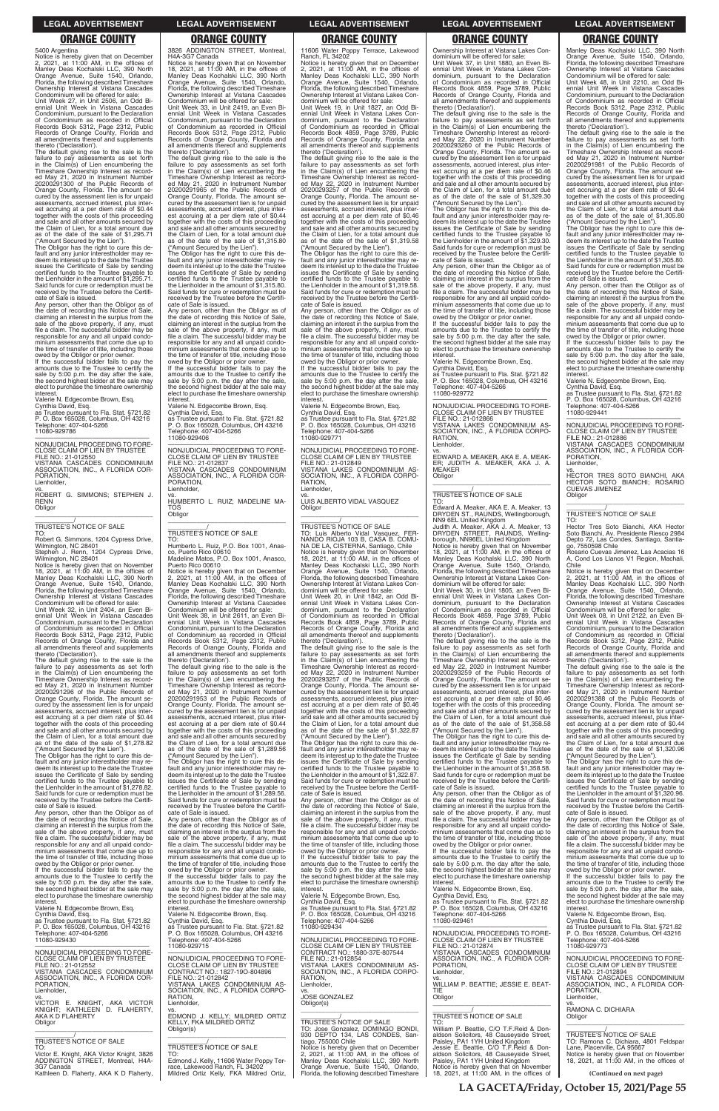**LA GACETA/Friday, October 15, 2021/Page 55**

5400 Argentina

Notice is hereby given that on December 2, 2021, at 11:00 AM, in the offices of Manley Deas Kochalski LLC, 390 North Orange Avenue, Suite 1540, Orlando, Florida, the following described Timeshare Ownership Interest at Vistana Cascades

Condominium will be offered for sale: Unit Week 27, in Unit 2506, an Odd Bi-ennial Unit Week in Vistana Cascades Condominium, pursuant to the Declaration of Condominium as recorded in Official Records Book 5312, Page 2312, Public Records of Orange County, Florida and all amendments thereof and supplements thereto ('Declaration').

The Obligor has the right to cure this default and any junior interestholder may redeem its interest up to the date the Trustee issues the Certificate of Sale by sending certified funds to the Trustee payable to the Lienholder in the amount of \$1,295.71. Said funds for cure or redemption must be received by the Trustee before the Certificate of Sale is issued.

The default giving rise to the sale is the failure to pay assessments as set forth in the Claim(s) of Lien encumbering the Timeshare Ownership Interest as record-ed May 21, 2020 in Instrument Number 20200291300 of the Public Records of Orange County, Florida. The amount secured by the assessment lien is for unpaid assessments, accrued interest, plus interest accruing at a per diem rate of \$0.44 together with the costs of this proceeding and sale and all other amounts secured by the Claim of Lien, for a total amount due as of the date of the sale of \$1,295.71 ("Amount Secured by the Lien").

Any person, other than the Obligor as of the date of recording this Notice of Sale, claiming an interest in the surplus from the sale of the above property, if any, must file a claim. The successful bidder may be responsible for any and all unpaid condominium assessments that come due up to the time of transfer of title, including those owed by the Obligor or prior owner.

If the successful bidder fails to pay the amounts due to the Trustee to certify the sale by 5:00 p.m. the day after the sale. the second highest bidder at the sale may elect to purchase the timeshare ownership interest.

Valerie N. Edgecombe Brown, Esq. Cynthia David, Esq. as Trustee pursuant to Fla. Stat. §721.82 P. O. Box 165028, Columbus, OH 43216 Telephone: 407-404-5266 11080-929786

—————————————————— NONJUDICIAL PROCEEDING TO FORE-CLOSE CLAIM OF LIEN BY TRUSTEE FILE NO.: 21-012550 VISTANA CASCADES CONDOMINIUM ASSOCIATION, INC., A FLORIDA COR-PORATION,

Lienholder, vs.

ROBERT G. SIMMONS; STEPHEN J. RENN **Obligor** \_\_\_\_\_\_\_\_\_\_\_\_\_\_\_\_\_\_\_\_\_\_\_\_\_\_\_\_\_\_\_\_\_

\_\_\_\_\_\_\_\_\_\_\_/ TRUSTEE'S NOTICE OF SALE

TO: Robert G. Simmons, 1204 Cypress Drive, Wilmington, NC 28401

Stephen J. Renn, 1204 Cypress Drive, Wilmington, NC 28401 Notice is hereby given that on November 18, 2021, at 11:00 AM, in the offices of Manley Deas Kochalski LLC, 390 North Orange Avenue, Suite 1540, Orlando, Florida, the following described Timeshare Ownership Interest at Vistana Cascades Condominium will be offered for sale:

Unit Week 32, in Unit 2404, an Even Bi-ennial Unit Week in Vistana Cascades Condominium, pursuant to the Declaration of Condominium as recorded in Official Records Book 5312, Page 2312, Public Records of Orange County, Florida and all amendments thereof and supplements thereto ('Declaration').

The default giving rise to the sale is the failure to pay assessments as set forth in the Claim(s) of Lien encumbering the Timeshare Ownership Interest as recorded May 21, 2020 in Instrument Number 20200291296 of the Public Records of Orange County, Florida. The amount secured by the assessment lien is for unpaid assessments, accrued interest, plus interest accruing at a per diem rate of \$0.44 together with the costs of this proceeding and sale and all other amounts secured by the Claim of Lien, for a total amount due as of the date of the sale of \$1,278.82 ("Amount Secured by the Lien").

vs. HUMBERTO L. RUIZ; MADELINE MA-TOS **Obligor**  $\overline{\phantom{a}}$  ,  $\overline{\phantom{a}}$  ,  $\overline{\phantom{a}}$  ,  $\overline{\phantom{a}}$  ,  $\overline{\phantom{a}}$  ,  $\overline{\phantom{a}}$  ,  $\overline{\phantom{a}}$  ,  $\overline{\phantom{a}}$  ,  $\overline{\phantom{a}}$  ,  $\overline{\phantom{a}}$  ,  $\overline{\phantom{a}}$  ,  $\overline{\phantom{a}}$  ,  $\overline{\phantom{a}}$  ,  $\overline{\phantom{a}}$  ,  $\overline{\phantom{a}}$  ,  $\overline{\phantom{a}}$ 

The Obligor has the right to cure this de-fault and any junior interestholder may redeem its interest up to the date the Trustee issues the Certificate of Sale by sending certified funds to the Trustee payable to the Lienholder in the amount of \$1,278.82. Said funds for cure or redemption must be received by the Trustee before the Certificate of Sale is issued.

Any person, other than the Obligor as of the date of recording this Notice of Sale,

# 3826 ADDINGTON STREET, Montreal,

Notice is hereby given that on December<br>2, 2021, at 11:00 AM, in the offices of<br>Manley Deas Kochalski LLC, 390 North<br>Orange Avenue, Suite 1540, Orlando,<br>Florida, the following described Timeshare Ownership Interest at Vistana Lakes Con-dominium will be offered for sale:

H4A-3G7 Canada Notice is hereby given that on November 18, 2021, at 11:00 AM, in the offices of Manley Deas Kochalski LLC, 390 North Orange Avenue, Suite 1540, Orlando, Florida, the following described Timeshare Ownership Interest at Vistana Cascades Condominium will be offered for sale: Unit Week 33, in Unit 2419, an Even Biennial Unit Week in Vistana Cascades Condominium, pursuant to the Declaration of Condominium as recorded in Official Records Book 5312, Page 2312, Public Records of Orange County, Florida and all amendments thereof and supplements thereto ('Declaration'). The default giving rise to the sale is the

The default giving rise to the sale is the failure to pay assessments as set forth in the Claim(s) of Lien encumbering the Timeshare Ownership Interest as recorded May 22, 2020 in Instrument Number 20200293257 of the Public Records of Orange County, Florida. The amount secured by the assessment lien is for unpaid<br>assessments, accrued interest, plus interassessments, accrued interest, plus inter- est accruing at a per diem rate of \$0.46 together with the costs of this proceeding and sale and all other amounts secured by the Claim of Lien, for a total amount due as of the date of the sale of \$1,319.58 ("Amount Secured by the Lien").

failure to pay assessments as set forth in the Claim(s) of Lien encumbering the Timeshare Ownership Interest as record-ed May 21, 2020 in Instrument Number 20200291965 of the Public Records of Orange County, Florida. The amount se-cured by the assessment lien is for unpaid assessments, accrued interest, plus inter-est accruing at a per diem rate of \$0.44 together with the costs of this proceeding and sale and all other amounts secured by the Claim of Lien, for a total amount due as of the date of the sale of \$1,315.80 ("Amount Secured by the Lien").

> owed by the Obligor or prior owner. If the successful bidder fails to pay the amounts due to the Trustee to certify the sale by 5:00 p.m. the day after the sale, the second highest bidder at the sale may elect to purchase the timeshare ownership interest

The Obligor has the right to cure this default and any junior interestholder may re-deem its interest up to the date the Trustee issues the Certificate of Sale by sending certified funds to the Trustee payable to the Lienholder in the amount of \$1,315.80. Said funds for cure or redemption must be received by the Trustee before the Certifi-

cate of Sale is issued. Any person, other than the Obligor as of the date of recording this Notice of Sale, claiming an interest in the surplus from the sale of the above property, if any, must file a claim. The successful bidder may be responsible for any and all unpaid condo minium assessments that come due up to the time of transfer of title, including those

owed by the Obligor or prior owner. If the successful bidder fails to pay the amounts due to the Trustee to certify the sale by 5:00 p.m. the day after the sale, the second highest bidder at the sale may elect to purchase the timeshare ownership interest. Valerie N. Edgecombe Brown, Esq.

Cynthia David, Esq. as Trustee pursuant to Fla. Stat. §721.82 P. O. Box 165028, Columbus, OH 43216 Telephone: 407-404-5266 11080-929406

—————————————————— NONJUDICIAL PROCEEDING TO FORE-CLOSE CLAIM OF LIEN BY TRUSTEE FILE NO.: 21-012837 VISTANA CASCADES CONDOMINIUM ASSOCIATION, INC., A FLORIDA COR-PORATION, Lienholder,

# \_\_\_\_\_\_\_\_\_\_\_/ TRUSTEE'S NOTICE OF SALE

TO: Humberto L. Ruiz, P.O. Box 1001, Anasco, Puerto Rico 00610 Madeline Matos, P.O. Box 1001, Anasco, Puerto Rico 00610

Notice is hereby given that on December 2, 2021, at 11:00 AM, in the offices of Manley Deas Kochalski LLC, 390 North Orange Avenue, Suite 1540, Orlando, Florida, the following described Timeshare Ownership Interest at Vistana Cascades

Condominium will be offered for sale: Unit Week 38, in Unit 2611, an Even Bi-ennial Unit Week in Vistana Cascades Condominium, pursuant to the Declaration of Condominium as recorded in Official Records Book 5312, Page 2312, Public Records of Orange County, Florida and all amendments thereof and supplements thereto ('Declaration').

The default giving rise to the sale is the failure to pay assessments as set forth in the Claim(s) of Lien encumbering the Timeshare Ownership Interest as record-ed May 21, 2020 in Instrument Number 20200291953 of the Public Records of Orange County, Florida. The amount se-cured by the assessment lien is for unpaid assessments, accrued interest, plus interest accruing at a per diem rate of \$0.44 together with the costs of this proceeding and sale and all other amounts secured by the Claim of Lien, for a total amount due as of the date of the sale of \$1,289.56

vs. EDWARD A. MEAKER, AKA E. A. MEAK-ER; JUDITH A. MEAKER, AKA J. A. MEAKER **Obligor** 

 $\overline{\phantom{a}}$  , and the set of the set of the set of the set of the set of the set of the set of the set of the set of the set of the set of the set of the set of the set of the set of the set of the set of the set of the s

TO: Edward A. Meaker, AKA E. A. Meaker, 13 DRYDEN ST., RAUNDS, Wellingborough,<br>NN9 6EL United Kingdom<br>Judith A. Meaker, AKA J. A. Meaker, 13

("Amount Secured by the Lien"). The Obligor has the right to cure this default and any junior interestholder may redeem its interest up to the date the Trustee issues the Certificate of Sale by sending certified funds to the Trustee payable to the Lienholder in the amount of \$1,289.56. Said funds for cure or redemption must be received by the Trustee before the Certificate of Sale is issued.

11606 Water Poppy Terrace, Lakewood Ranch, FL 34202

Unit Week 19, in Unit 1827, an Odd Biennial Unit Week in Vistana Lakes Con-dominium, pursuant to the Declaration of Condominium as recorded in Official Records Book 4859, Page 3789, Public Records of Orange County, Florida and all amendments thereof and supplements thereto ('Declaration').

> The Obligor has the right to cure this default and any junior interestholder may redeem its interest up to the date the Trustee issues the Certificate of Sale by sending certified funds to the Trustee payable to the Lienholder in the amount of \$1,305.80. Said funds for cure or redemption must be received by the Trustee before the Certificate of Sale is issued.

> the successful bidder fails to pay the amounts due to the Trustee to certify the sale by 5:00 p.m. the day after the sale. the second highest bidder at the sale may elect to purchase the timeshare ownership interest.

vs. HECTOR TRES SOTO BIANCHI, AKA HECTOR SOTO BIANCHI; ROSARIO CUEVAS JIMENEZ **Obligor** 

 $\overline{\phantom{a}}$  , and the set of the set of the set of the set of the set of the set of the set of the set of the set of the set of the set of the set of the set of the set of the set of the set of the set of the set of the s

The Obligor has the right to cure this default and any junior interestholder may redeem its interest up to the date the Trustee issues the Certificate of Sale by sending certified funds to the Trustee payable to the Lienholder in the amount of \$1,319.58. Said funds for cure or redemption must be received by the Trustee before the Certifi-

cate of Sale is issued. Any person, other than the Obligor as of the date of recording this Notice of Sale, claiming an interest in the surplus from the sale of the above property, if any, must file a claim. The successful bidder may be responsible for any and all unpaid condo minium assessments that come due up to the time of transfer of title, including those

Valerie N. Edgecombe Brown, Esq. Cynthia David, Esq. as Trustee pursuant to Fla. Stat. §721.82 P. O. Box 165028, Columbus, OH 43216 Telephone: 407-404-5266 11080-929771

—————————————————— NONJUDICIAL PROCEEDING TO FORE-CLOSE CLAIM OF LIEN BY TRUSTEE FILE NO.: 21-012849 VISTANA LAKES CONDOMINIUM AS-SOCIATION, INC., A FLORIDA CORPO-RATION, Lienholder,

vs. LUIS ALBERTO VIDAL VASQUEZ Obligor

\_\_\_\_\_\_\_\_\_\_\_\_\_\_\_\_\_\_\_\_\_\_\_\_\_\_\_\_\_\_\_\_\_

\_\_\_\_\_\_\_\_\_\_\_/ TRUSTEE'S NOTICE OF SALE TO: Luis Alberto Vidal Vasquez, FER-NANDO RIOJA 103 B, CASA B. COMU-NA DE LA, CISTERNA, Santiago, Chile Notice is hereby given that on November 18, 2021, at 11:00 AM, in the offices of Manley Deas Kochalski LLC, 390 North Orange Avenue, Suite 1540, Orlando, Florida, the following described Timeshare Ownership Interest at Vistana Lakes Con-

dominium will be offered for sale: Unit Week 20, in Unit 1842, an Odd Biennial Unit Week in Vistana Lakes Condominium, pursuant to the Declaration of Condominium as recorded in Official Records Book 4859, Page 3789, Public Records of Orange County, Florida and all amendments thereof and supplements thereto ('Declaration').

The default giving rise to the sale is the failure to pay assessments as set forth in the Claim(s) of Lien encumbering the Timeshare Ownership Interest as record-ed May 22, 2020 in Instrument Number 20200293257 of the Public Records of Orange County, Florida. The amount se-cured by the assessment lien is for unpaid assessments, accrued interest, plus interest accruing at a per diem rate of \$0.46 together with the costs of this proceeding and sale and all other amounts secured by the Claim of Lien, for a total amount due as of the date of the sale of \$1,322.87

("Amount Secured by the Lien"). The Obligor has the right to cure this default and any junior interestholder may redeem its interest up to the date the Trustee issues the Certificate of Sale by sending certified funds to the Trustee payable to the Lienholder in the amount of \$1,322.87. Said funds for cure or redemption must be received by the Trustee before the Certificate of Sale is issued.

Any person, other than the Obligor as of the date of recording this Notice of Sale, claiming an interest in the surplus from the sale of the above property, if any, must

| the date of recording this Notice of Sale.<br>claiming an interest in the surplus from the<br>sale of the above property, if any, must<br>file a claim. The successful bidder may be<br>responsible for any and all unpaid condo-<br>minium assessments that come due up to<br>the time of transfer of title, including those<br>owed by the Obligor or prior owner.<br>If the successful bidder fails to pay the<br>amounts due to the Trustee to certify the<br>sale by 5:00 p.m. the day after the sale,<br>the second highest bidder at the sale may<br>elect to purchase the timeshare ownership<br>interest.<br>Valerie N. Edgecombe Brown, Esg.<br>Cynthia David, Esg.<br>as Trustee pursuant to Fla. Stat. §721.82<br>P. O. Box 165028, Columbus, OH 43216<br>Telephone: 407-404-5266<br>11080-929430<br>NONJUDICIAL PROCEEDING TO FORE-<br>CLOSE CLAIM OF LIEN BY TRUSTEE<br>FILE NO.: 21-012552<br>VISTANA CASCADES CONDOMINIUM<br>ASSOCIATION, INC., A FLORIDA COR-<br>PORATION,<br>Lienholder,<br>VS. | Any person, other than the Obligor as of<br>the date of recording this Notice of Sale,<br>claiming an interest in the surplus from the<br>sale of the above property, if any, must<br>file a claim. The successful bidder may be<br>responsible for any and all unpaid condo-<br>minium assessments that come due up to<br>the time of transfer of title, including those<br>owed by the Obligor or prior owner.<br>If the successful bidder fails to pay the<br>amounts due to the Trustee to certify the<br>sale by 5:00 p.m. the day after the sale,<br>the second highest bidder at the sale may<br>elect to purchase the timeshare ownership<br>interest.<br>Valerie N. Edgecombe Brown, Esg.<br>Cynthia David, Esg.<br>as Trustee pursuant to Fla. Stat. §721.82<br>P. O. Box 165028, Columbus, OH 43216<br>Telephone: 407-404-5266<br>11080-929715<br>NONJUDICIAL PROCEEDING TO FORE-<br>CLOSE CLAIM OF LIEN BY TRUSTEE<br>CONTRACT NO.: 1827-19O-804896<br>FILE NO.: 21-012842<br>VISTANA LAKES CONDOMINIUM AS-<br>SOCIATION, INC., A FLORIDA CORPO-<br>RATION. | sale of the above property, if any, must<br>file a claim. The successful bidder may be<br>responsible for any and all unpaid condo-<br>minium assessments that come due up to<br>the time of transfer of title, including those<br>owed by the Obligor or prior owner.<br>If the successful bidder fails to pay the<br>amounts due to the Trustee to certify the<br>sale by 5:00 p.m. the day after the sale,<br>the second highest bidder at the sale may<br>elect to purchase the timeshare ownership<br>interest.<br>Valerie N. Edgecombe Brown, Esg.<br>Cynthia David, Esq.<br>as Trustee pursuant to Fla. Stat. §721.82<br>P. O. Box 165028, Columbus, OH 43216<br>Telephone: 407-404-5266<br>11080-929434<br>NONJUDICIAL PROCEEDING TO FORE-<br>CLOSE CLAIM OF LIEN BY TRUSTEE<br>CONTRACT NO.: 1880-37E-807544<br>FILE NO.: 21-012854<br>VISTANA LAKES CONDOMINIUM AS-<br>SOCIATION, INC., A FLORIDA CORPO-<br>RATION.<br>Lienholder,<br>VS.<br><b>JOSE GONZALEZ</b> | file a claim. The successful bidder may be<br>responsible for any and all unpaid condo-<br>minium assessments that come due up to<br>the time of transfer of title, including those<br>owed by the Obligor or prior owner.<br>If the successful bidder fails to pay the<br>amounts due to the Trustee to certify the<br>sale by 5:00 p.m. the day after the sale,<br>the second highest bidder at the sale may<br>elect to purchase the timeshare ownership<br>interest.<br>Valerie N. Edgecombe Brown, Esg.<br>Cynthia David, Esq.<br>as Trustee pursuant to Fla. Stat. §721.82<br>P. O. Box 165028, Columbus, OH 43216<br>Telephone: 407-404-5266<br>11080-929461<br>NONJUDICIAL PROCEEDING TO FORE-<br>CLOSE CLAIM OF LIEN BY TRUSTEE<br>FILE NO.: 21-012874<br>VISTANA CASCADES CONDOMINIUM<br>ASSOCIATION, INC., A FLORIDA COR-<br>PORATION.<br>Lienholder.<br>VS.<br>WILLIAM P. BEATTIE: JESSIE E. BEAT-<br><b>TIF</b><br>Obligor | Any person, other than the Obligor as of<br>the date of recording this Notice of Sale,<br>claiming an interest in the surplus from the<br>sale of the above property, if any, must<br>file a claim. The successful bidder may be<br>responsible for any and all unpaid condo-<br>minium assessments that come due up to<br>the time of transfer of title, including those<br>owed by the Obligor or prior owner.<br>If the successful bidder fails to pay the<br>amounts due to the Trustee to certify the<br>sale by 5:00 p.m. the day after the sale,<br>the second highest bidder at the sale may<br>elect to purchase the timeshare ownership<br>interest.<br>Valerie N. Edgecombe Brown, Esg.<br>Cynthia David, Esq.<br>as Trustee pursuant to Fla. Stat. §721.82<br>P. O. Box 165028, Columbus, OH 43216<br>Telephone: 407-404-5266<br>11080-929773<br>NONJUDICIAL PROCEEDING TO FORE-<br>CLOSE CLAIM OF LIEN BY TRUSTEE<br>FILE NO.: 21-012894<br>VISTANA CASCADES CONDOMINIUM<br>ASSOCIATION, INC., A FLORIDA COR-<br>PORATION.<br>Lienholder. |
|-------------------------------------------------------------------------------------------------------------------------------------------------------------------------------------------------------------------------------------------------------------------------------------------------------------------------------------------------------------------------------------------------------------------------------------------------------------------------------------------------------------------------------------------------------------------------------------------------------------------------------------------------------------------------------------------------------------------------------------------------------------------------------------------------------------------------------------------------------------------------------------------------------------------------------------------------------------------------------------------------------------------|-------------------------------------------------------------------------------------------------------------------------------------------------------------------------------------------------------------------------------------------------------------------------------------------------------------------------------------------------------------------------------------------------------------------------------------------------------------------------------------------------------------------------------------------------------------------------------------------------------------------------------------------------------------------------------------------------------------------------------------------------------------------------------------------------------------------------------------------------------------------------------------------------------------------------------------------------------------------------------------------------------------------------------------------------------------------------|-----------------------------------------------------------------------------------------------------------------------------------------------------------------------------------------------------------------------------------------------------------------------------------------------------------------------------------------------------------------------------------------------------------------------------------------------------------------------------------------------------------------------------------------------------------------------------------------------------------------------------------------------------------------------------------------------------------------------------------------------------------------------------------------------------------------------------------------------------------------------------------------------------------------------------------------------------------------------------|-----------------------------------------------------------------------------------------------------------------------------------------------------------------------------------------------------------------------------------------------------------------------------------------------------------------------------------------------------------------------------------------------------------------------------------------------------------------------------------------------------------------------------------------------------------------------------------------------------------------------------------------------------------------------------------------------------------------------------------------------------------------------------------------------------------------------------------------------------------------------------------------------------------------------------------------|--------------------------------------------------------------------------------------------------------------------------------------------------------------------------------------------------------------------------------------------------------------------------------------------------------------------------------------------------------------------------------------------------------------------------------------------------------------------------------------------------------------------------------------------------------------------------------------------------------------------------------------------------------------------------------------------------------------------------------------------------------------------------------------------------------------------------------------------------------------------------------------------------------------------------------------------------------------------------------------------------------------------------------------------------------|
| VICTOR E. KNIGHT. AKA VICTOR<br>KNIGHT: KATHLEEN D. FLAHERTY.<br>AKA K D FLAHERTY<br>Obligor                                                                                                                                                                                                                                                                                                                                                                                                                                                                                                                                                                                                                                                                                                                                                                                                                                                                                                                      | Lienholder,<br>VS.<br>EDMOND J. KELLY: MILDRED ORTIZ<br>KELLY, FKA MILDRED ORTIZ                                                                                                                                                                                                                                                                                                                                                                                                                                                                                                                                                                                                                                                                                                                                                                                                                                                                                                                                                                                        | Obligor(s)<br>TRUSTEE'S NOTICE OF SALE                                                                                                                                                                                                                                                                                                                                                                                                                                                                                                                                                                                                                                                                                                                                                                                                                                                                                                                                      | TRUSTEE'S NOTICE OF SALE<br>TO:                                                                                                                                                                                                                                                                                                                                                                                                                                                                                                                                                                                                                                                                                                                                                                                                                                                                                                         | VS.<br>RAMONA C. DICHIARA<br>Obligor                                                                                                                                                                                                                                                                                                                                                                                                                                                                                                                                                                                                                                                                                                                                                                                                                                                                                                                                                                                                                   |
| TRUSTEE'S NOTICE OF SALE<br>TO:<br>Victor E. Knight, AKA Victor Knight, 3826<br>ADDINGTON STREET, Montreal, H4A-<br>3G7 Canada<br>Kathleen D. Flaherty, AKA K D Flaherty,                                                                                                                                                                                                                                                                                                                                                                                                                                                                                                                                                                                                                                                                                                                                                                                                                                         | Obligor(s)<br><b>TRUSTEE'S NOTICE OF SALE</b><br>TO:<br>Edmond J. Kelly, 11606 Water Poppy Ter-<br>race, Lakewood Ranch, FL 34202<br>Mildred Ortiz Kelly, FKA Mildred Ortiz,                                                                                                                                                                                                                                                                                                                                                                                                                                                                                                                                                                                                                                                                                                                                                                                                                                                                                            | TO: Jose Gonzalez, DOMINGO BONDI,<br>930 DEPTO 134, LAS CONDES, San-<br>tiago, 755000 Chile<br>Notice is hereby given that on December<br>2, 2021, at 11:00 AM, in the offices of<br>Manley Deas Kochalski LLC, 390 North<br>Orange Avenue, Suite 1540, Orlando,<br>Florida, the following described Timeshare                                                                                                                                                                                                                                                                                                                                                                                                                                                                                                                                                                                                                                                              | William P. Beattie, C/O T.F.Reid & Don-<br>aldson Solicitors, 48 Causeyside Street,<br>Paisley, PA1 1YH United Kingdom<br>Jessie E. Beattie, C/O T.F. Reid & Don-<br>aldson Solicitors, 48 Causeyside Street,<br>Paisley, PA1 1YH United Kingdom<br>Notice is hereby given that on November<br>18, 2021, at 11:00 AM, in the offices of                                                                                                                                                                                                                                                                                                                                                                                                                                                                                                                                                                                                 | TRUSTEE'S NOTICE OF SALE<br>TO: Ramona C. Dichiara, 4801 Feldspar<br>Lane, Placerville, CA 95667<br>Notice is hereby given that on November<br>18, 2021, at 11:00 AM, in the offices of<br>(Continued on next page)                                                                                                                                                                                                                                                                                                                                                                                                                                                                                                                                                                                                                                                                                                                                                                                                                                    |

Ownership Interest at Vistana Lakes Condominium will be offered for sale: Unit Week 37, in Unit 1880, an Even Biennial Unit Week in Vistana Lakes Condominium, pursuant to the Declaration of Condominium as recorded in Official Records Book 4859, Page 3789, Public Records of Orange County, Florida and all amendments thereof and supplements thereto ('Declaration').

The default giving rise to the sale is the failure to pay assessments as set forth in the Claim(s) of Lien encumbering the Timeshare Ownership Interest as record-ed May 22, 2020 in Instrument Number 20200293260 of the Public Records of Orange County, Florida. The amount se-cured by the assessment lien is for unpaid assessments, accrued interest, plus interest accruing at a per diem rate of \$0.46 together with the costs of this proceeding and sale and all other amounts secured by the Claim of Lien, for a total amount due as of the date of the sale of \$1,329.30

("Amount Secured by the Lien"). The Obligor has the right to cure this default and any junior interestholder may redeem its interest up to the date the Trustee issues the Certificate of Sale by sending certified funds to the Trustee payable to the Lienholder in the amount of \$1,329.30. Said funds for cure or redemption must be received by the Trustee before the Certificate of Sale is issued.

Any person, other than the Obligor as of the date of recording this Notice of Sale, claiming an interest in the surplus from the sale of the above property, if any, must file a claim. The successful bidder may be responsible for any and all unpaid condo-minium assessments that come due up to the time of transfer of title, including those owed by the Obligor or prior owner.

If the successful bidder fails to pay amounts due to the Trustee to certify the sale by 5:00 p.m. the day after the sale. the second highest bidder at the sale may elect to purchase the timeshare ownership **interest** 

Valerie N. Edgecombe Brown, Esq. Cynthia David, Esq. as Trustee pursuant to Fla. Stat. §721.82 P. O. Box 165028, Columbus, OH 43216 Telephone: 407-404-5266 11080-929772

—————————————————— NONJUDICIAL PROCEEDING TO FORE-CLOSE CLAIM OF LIEN BY TRUSTEE FILE NO.: 21-012866 VISTANA LAKES CONDOMINIUM AS-SOCIATION, INC., A FLORIDA CORPO-RATION, Lienholder,

\_\_\_\_\_\_\_\_\_\_\_/ TRUSTEE'S NOTICE OF SALE

DRYDEN STREET, RAUNDS, Welling-borough, NN96EL United Kingdom Notice is hereby given that on November 18, 2021, at 11:00 AM, in the offices of Manley Deas Kochalski LLC, 390 North Orange Avenue, Suite 1540, Orlando, Florida, the following described Timeshare Ownership Interest at Vistana Lakes Con-

dominium will be offered for sale: Unit Week 30, in Unit 1805, an Even Bi-ennial Unit Week in Vistana Lakes Condominium, pursuant to the Declaration of Condominium as recorded in Official Records Book 4859, Page 3789, Public Records of Orange County, Florida and all amendments thereof and supplements thereto ('Declaration').

The default giving rise to the sale is the failure to pay assessments as set forth in the Claim(s) of Lien encumbering the Timeshare Ownership Interest as record-ed May 22, 2020 in Instrument Number 20200293259 of the Public Records of Orange County, Florida. The amount secured by the assessment lien is for unpaid assessments, accrued interest, plus interest accruing at a per diem rate of \$0.46 together with the costs of this proceeding and sale and all other amounts secured by the Claim of Lien, for a total amount due of the date of the sale of \$1,358.58 ("Amount Secured by the Lien").

The Obligor has the right to cure this de-fault and any junior interestholder may redeem its interest up to the date the Trustee issues the Certificate of Sale by sending certified funds to the Trustee payable to the Lienholder in the amount of \$1,358.58. Said funds for cure or redemption must be received by the Trustee before the Certificate of Sale is issued.

Any person, other than the Obligor as of date of recording this Notice of Sale, claiming an interest in the surplus from the sale of the above property, if any, must file a claim. The successful bidder may be

Manley Deas Kochalski LLC, 390 North Orange Avenue, Suite 1540, Orlando, Florida, the following described Timeshare Ownership Interest at Vistana Cascades

Condominium will be offered for sale: Unit Week 48, in Unit 2210, an Odd Biennial Unit Week in Vistana Cascades Condominium, pursuant to the Declaration of Condominium as recorded in Official Records Book 5312, Page 2312, Public Records of Orange County, Florida and all amendments thereof and supplements thereto ('Declaration').

The default giving rise to the sale is the failure to pay assessments as set forth<br>Timeshare Ownership Interest as record-<br>Ed May 21, 2020 in Instrument Number<br>ed May 21, 2020 in Instrument Number<br>20200291981 of the Public Records of Orange County, Florida. The amount se-cured by the assessment lien is for unpaid assessments, accrued interest, plus interest accruing at a per diem rate of \$0.44 together with the costs of this proceeding and sale and all other amounts secured by the Claim of Lien, for a total amount due as of the date of the sale of \$1,305.80 ("Amount Secured by the Lien").

Any person, other than the Obligor as of the date of recording this Notice of Sale, claiming an interest in the surplus from the sale of the above property, if any, must file a claim. The successful bidder may be responsible for any and all unpaid condominium assessments that come due up to the time of transfer of title, including those owed by the Obligor or prior owner.

Valerie N. Edgecombe Brown, Esq. Cynthia David, Esq. as Trustee pursuant to Fla. Stat. §721.82

P. O. Box 165028, Columbus, OH 43216 Telephone: 407-404-5266 11080-929441

—————————————————— NONJUDICIAL PROCEEDING TO FORE-CLOSE CLAIM OF LIEN BY TRUSTEE FILE NO.: 21-012886 VISTANA CASCADES CONDOMINIUM ASSOCIATION, INC., A FLORIDA COR-PORATION, Lienholder,

# \_\_\_\_\_\_\_\_\_\_\_/ TRUSTEE'S NOTICE OF SALE

TO: Hector Tres Soto Bianchi, AKA Hector Soto Bianchi, Av. Presidente Riesco 2984 Depto 72, Las Condes, Santiago, Santia-go, 7550598 Chile

Rosario Cuevas Jimenez, Las Acacias 16 A, Cond Los Llanos V1 Region, Machali, Chile

Notice is hereby given that on December 2, 2021, at 11:00 AM, in the offices of Manley Deas Kochalski LLC, 390 North Orange Avenue, Suite 1540, Orlando, Florida, the following described Timeshare Ownership Interest at Vistana Cascades

Condominium will be offered for sale: Unit Week 08, in Unit 2122, an Even Biennial Unit Week in Vistana Cascades Condominium, pursuant to the Declaration of Condominium as recorded in Official Records Book 5312, Page 2312, Public Records of Orange County, Florida and all amendments thereof and supplements thereto ('Declaration').

The default giving rise to the sale is the failure to pay assessments as set forth in the Claim(s) of Lien encumbering the Timeshare Ownership Interest as record-ed May 21, 2020 in Instrument Number 20200291388 of the Public Records of Orange County, Florida. The amount se-cured by the assessment lien is for unpaid assessments, accrued interest, plus interest accruing at a per diem rate of \$0.44 together with the costs of this proceeding and sale and all other amounts secured by the Claim of Lien, for a total amount due as of the date of the sale of \$1,320.96 ("Amount Secured by the Lien").

The Obligor has the right to cure this default and any junior interestholder may redeem its interest up to the date the Trustee issues the Certificate of Sale by sending certified funds to the Trustee payable to the Lienholder in the amount of \$1,320.96. Said funds for cure or redemption must be received by the Trustee before the Certificate of Sale is issued.

### **LEGAL ADVERTISEMENT LEGAL ADVERTISEMENT LEGAL ADVERTISEMENT LEGAL ADVERTISEMENT LEGAL ADVERTISEMENT**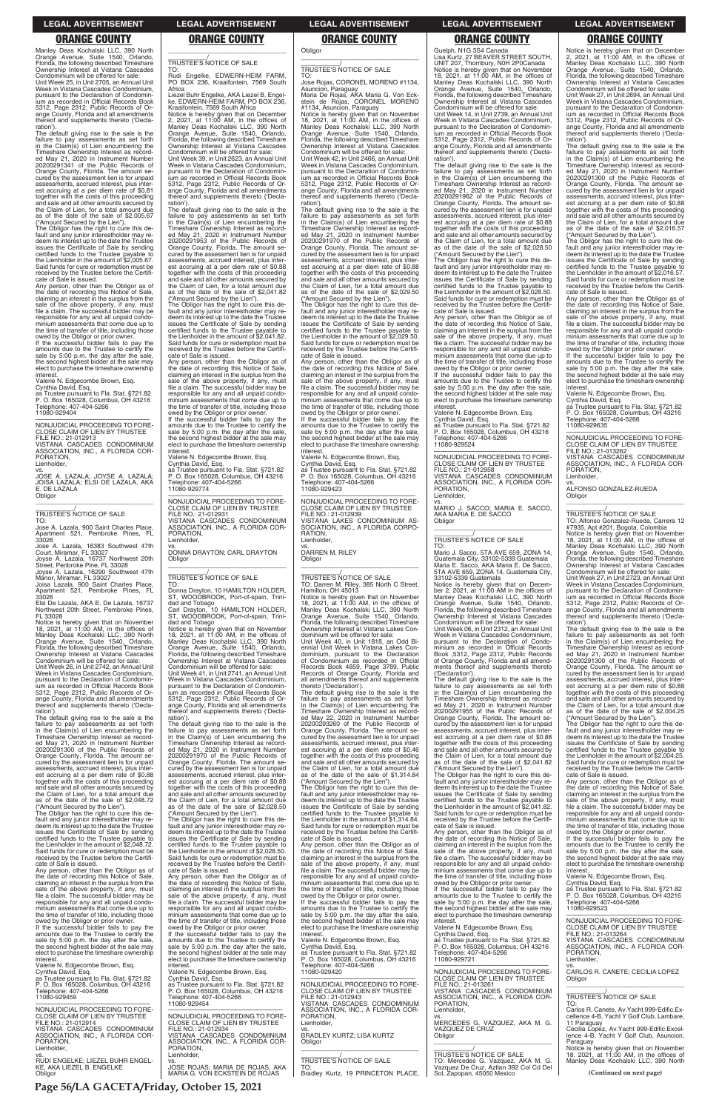**Page 56/LA GACETA/Friday, October 15, 2021**

Manley Deas Kochalski LLC, 390 North Orange Avenue, Suite 1540, Orlando, Florida, Described Times, Described Timeshare<br>Florida, the following described Timeshare Ownership Interest at Vistana Cascades Condominium will be offered for sale: Unit Week 25, in Unit 2705, an Annual Unit Week in Vistana Cascades Condominium, pursuant to the Declaration of Condominium as recorded in Official Records Book 5312, Page 2312, Public Records of Orange County, Florida and all amendments thereof and supplements thereto ('Decla-

ration'). The default giving rise to the sale is the failure to pay assessments as set forth in the Claim(s) of Lien encumbering the Timeshare Ownership Interest as recorded May 21, 2020 in Instrument Number 20200291341 of the Public Records of Orange County, Florida. The amount secured by the assessment lien is for unpaid assessments, accrued interest, plus inter-est accruing at a per diem rate of \$0.81 together with the costs of this proceeding and sale and all other amounts secured by the Claim of Lien, for a total amount due as of the date of the sale of \$2,005.67

the date of recording this Notice of Sale,<br>claiming an interest in the surplus from the<br>sale of the above property, if any, must<br>file a claim. The successful bidder may be responsible for any and all unpaid condo-minium assessments that come due up to the time of transfer of title, including those

owed by the Obligor or prior owner. If the successful bidder fails to pay the amounts due to the Trustee to certify the sale by 5:00 p.m. the day after the sale, the second highest bidder at the sale may elect to purchase the timeshare ownership interest

("Amount Secured by the Lien"). The Obligor has the right to cure this default and any junior interestholder may redeem its interest up to the date the Trustee issues the Certificate of Sale by sending certified funds to the Trustee payable to the Lienholder in the amount of \$2,005.67. Said funds for cure or redemption must be received by the Trustee before the Certifi-cate of Sale is issued. Any person, other than the Obligor as of

Valerie N. Edgecombe Brown, Esq. Cynthia David, Esq. as Trustee pursuant to Fla. Stat. §721.82 P. O. Box 165028, Columbus, OH 43216

Telephone: 407-404-5266 11080-929404

—————————————————— NONJUDICIAL PROCEEDING TO FORE-CLOSE CLAIM OF LIEN BY TRUSTEE FILE NO.: 21-012913 VISTANA CASCADES CONDOMINIUM ASSOCIATION, INC., A FLORIDA COR-PORATION,

Lienholder,

vs. JOSE A. LAZALA; JOYSE A. LAZALA; JOISA LAZALA; ELSI DE LAZALA, AKA E. DE LAZALA **Obligor** \_\_\_\_\_\_\_\_\_\_\_\_\_\_\_\_\_\_\_\_\_\_\_\_\_\_\_\_\_\_\_\_\_

# \_\_\_\_\_\_\_\_\_\_\_/ TRUSTEE'S NOTICE OF SALE

TO: Jose A. Lazala, 900 Saint Charles Place, Apartment 521, Pembroke Pines, FL 33026

Jose A. Lazala, 16383 Southwest 47th Court, Miramar, FL 33027 Joyse A. Lazala, 16737 Northwest 20th

Street, Penbroke Pine, FL 33028 Joyse A. Lazala, 16290 Southwest 47th

### $\overline{\phantom{a}}$  , and the set of the set of the set of the set of the set of the set of the set of the set of the set of the set of the set of the set of the set of the set of the set of the set of the set of the set of the s \_\_\_\_\_\_\_\_\_\_\_/ TRUSTEE'S NOTICE OF SALE

TO: Rudi Engelke, EDWERN-HEIM FARM, PO BOX 236, Kraaifontein, 7569 South

Manor, Miramar, FL 33027 Joisa Lazala, 900 Saint Charles Place, Apartment 521, Pembroke Pines, FL

33026 Elsi De Lazala, AKA E. De Lazala, 16737 Northwest 20th Street, Pembroke Pines, FL 33028

Notice is hereby given that on November 18, 2021, at 11:00 AM, in the offices of Manley Deas Kochalski LLC, 390 North Orange Avenue, Suite 1540, Orlando, Florida, the following described Timeshare Ownership Interest at Vistana Cascades

Condominium will be offered for sale: Unit Week 26, in Unit 2742, an Annual Unit Week in Vistana Cascades Condominium, pursuant to the Declaration of Condomin-ium as recorded in Official Records Book 5312, Page 2312, Public Records of Orange County, Florida and all amendments thereof and supplements thereto ('Declaration').

The default giving rise to the sale is the failure to pay assessments as set forth in the Claim(s) of Lien encumbering the Timeshare Ownership Interest as record-ed May 21, 2020 in Instrument Number 20200291300 of the Public Records of Orange County, Florida. The amount se-cured by the assessment lien is for unpaid assessments, accrued interest, plus interest accruing at a per diem rate of \$0.88 together with the costs of this proceeding and sale and all other amounts secured by the Claim of Lien, for a total amount due as of the date of the sale of \$2,048.72

5312, Page 2312, Public Records of Or-ange County, Florida and all amendments thereof and supplements thereto ('Declaration'

Africa Liezel Buhr Engelke, AKA Liezel B. Engelke, EDWERN-HEIM FARM, PO BOX 236,

stein de Rojas, CORONEL MORENO<br>#1134, Asuncion, Paraguay<br>Notice is hereby given that on November<br>18, 2021, at 11:00 AM, in the offices of<br>Manley Deas Kochalski LLC, 390 North<br>Orange Avenue, Suite 1540, Orlando, Florida, the following described Timeshare Ownership Interest at Vistana Cascades Condominium will be offered for sale: Unit Week 42, in Unit 2466, an Annual Unit Week in Vistana Cascades Condominium, pursuant to the Declaration of Condomin-

Kraaifontein, 7569 South Africa Notice is hereby given that on December 2, 2021, at 11:00 AM, in the offices of Manley Deas Kochalski LLC, 390 North Orange Avenue, Suite 1540, Orlando, Florida, the following described Timeshare Ownership Interest at Vistana Cascades Condominium will be offered for sale:

Unit Week 39, in Unit 2623, an Annual Unit Week in Vistana Cascades Condominium, pursuant to the Declaration of Condominium as recorded in Official Records Book 5312, Page 2312, Public Records of Or-ange County, Florida and all amendments thereof and supplements thereto ('Declaration').

The default giving rise to the sale is the failure to pay assessments as set forth in the Claim(s) of Lien encumbering the Timeshare Ownership Interest as recorded May 21, 2020 in Instrument Number 20200291953 of the Public Records of Orange County, Florida. The amount secured by the assessment lien is for unpaid assessments, accrued interest, plus inter-est accruing at a per diem rate of \$0.88 together with the costs of this proceeding and sale and all other amounts secured by the Claim of Lien, for a total amount due as of the date of the sale of \$2,041.82

> interest Valerie N. Edgecombe Brown, Esq.

("Amount Secured by the Lien"). The Obligor has the right to cure this default and any junior interestholder may re-deem its interest up to the date the Trustee issues the Certificate of Sale by sending certified funds to the Trustee payable to the Lienholder in the amount of \$2,041.82. Said funds for cure or redemption must be received by the Trustee before the Certifi-

cate of Sale is issued. Any person, other than the Obligor as of the date of recording this Notice of Sale,<br>claiming an interest in the surplus from the<br>sale of the above property, if any, must<br>file a claim. The successful bidder may be responsible for any and all unpaid condo-minium assessments that come due up to the time of transfer of title, including those owed by the Obligor or prior owner. If the successful bidder fails to pay the amounts due to the Trustee to certify the

sale by 5:00 p.m. the day after the sale, the second highest bidder at the sale may elect to purchase the timeshare ownership interest. Valerie N. Edgecombe Brown, Esq.

Cynthia David, Esq. as Trustee pursuant to Fla. Stat. §721.82 P. O. Box 165028, Columbus, OH 43216 Telephone: 407-404-5266 11080-929774

—————————————————— NONJUDICIAL PROCEEDING TO FORE-CLOSE CLAIM OF LIEN BY TRUSTEE FILE NO.: 21-012931 VISTANA CASCADES CONDOMINIUM ASSOCIATION, INC., A FLORIDA COR-PORATION, Lienholder,

vs. DONNA DRAYTON; CARL DRAYTON Obligor \_\_\_\_\_\_\_\_\_\_\_\_\_\_\_\_\_\_\_\_\_\_\_\_\_\_\_\_\_\_\_\_\_

# \_\_\_\_\_\_\_\_\_\_\_/ TRUSTEE'S NOTICE OF SALE

TO: Donna Drayton, 10 HAMILTON HOLDER, ST, WOODBROOK, Port-of-spain, Trinidad and Tobago Carl Drayton, 10 HAMILTON HOLDER, ST, WOODBROOK, Port-of-spain, Trini-

dad and Tobago Notice is hereby given that on November 18, 2021, at 11:00 AM, in the offices of Manley Deas Kochalski LLC, 390 North Orange Avenue, Suite 1540, Orlando,

Florida, the following described Timeshare Ownership Interest at Vistana Cascades Condominium will be offered for sale: Unit Week 41, in Unit 2741, an Annual Unit Week in Vistana Cascades Condominium, pursuant to the Declaration of Condominium as recorded in Official Records Book

The default giving rise to the sale is the failure to pay assessments as set forth in the Claim(s) of Lien encumbering the Timeshare Ownership Interest as recorded May 21, 2020 in Instrument Number 20200291970 of the Public Records of Orange County, Florida. The amount secured by the assessment lien is for unpaid assessments, accrued interest, plus inter-est accruing at a per diem rate of \$0.88 together with the costs of this proceeding and sale and all other amounts secured by the Claim of Lien, for a total amount due as of the date of the sale of \$2,028.50

The default giving rise to the sale is the failure to pay assessments as set forth in the Claim(s) of Lien encumbering the Timeshare Ownership Interest as record-ed May 21, 2020 in Instrument Number 20200291955 of the Public Records of Orange County, Florida. The amount se-cured by the assessment lien is for unpaid assessments, accrued interest, plus interest accruing at a per diem rate of \$0.88 together with the costs of this proceeding and sale and all other amounts secured by the Claim of Lien, for a total amount due as of the date of the sale of \$2,041.82

\_\_\_\_\_\_\_\_\_\_\_\_\_\_\_\_\_\_\_\_\_\_\_\_\_\_\_\_\_\_\_\_\_ \_\_\_\_\_\_\_\_\_\_\_/ TRUSTEE'S NOTICE OF SALE

**Obligor** 

TO: Jose Rojas, CORONEL MORENO #1134,

Asuncion, Paraguay Maria De Rojas, AKA Maria G. Von Eck-

ium as recorded in Official Records Book 5312, Page 2312, Public Records of Or-ange County, Florida and all amendments thereof and supplements thereto ('Declaration'). The default giving rise to the sale is the

failure to pay assessments as set forth in the Claim(s) of Lien encumbering the Timeshare Ownership Interest as recorded May 21, 2020 in Instrument Number 20200291970 of the Public Records of Orange County, Florida. The amount secured by the assessment lien is for unpaid assessments, accrued interest, plus interest accruing at a per diem rate of \$0.88 together with the costs of this proceeding and sale and all other amounts secured by the Claim of Lien, for a total amount due as of the date of the sale of \$2,029.50 ("Amount Secured by the Lien"). The Obligor has the right to cure this de-

fault and any junior interestholder may redeem its interest up to the date the Trustee issues the Certificate of Sale by sending certified funds to the Trustee payable to the Lienholder in the amount of \$2,029.50. Said funds for cure or redemption must be received by the Trustee before the Certifi-cate of Sale is issued. Any person, other than the Obligor as of

the date of recording this Notice of Sale, claiming an interest in the surplus from the sale of the above property, if any, must file a claim. The successful bidder may be responsible for any and all unpaid condo-minium assessments that come due up to the time of transfer of title, including those owed by the Obligor or prior owner. If the successful bidder fails to pay the amounts due to the Trustee to certify the sale by 5:00 p.m. the day after the sale, the second highest bidder at the sale may elect to purchase the timeshare ownership

Cynthia David, Esq. as Trustee pursuant to Fla. Stat. §721.82 P. O. Box 165028, Columbus, OH 43216 Telephone: 407-404-5266 11080-929423

—————————————————— NONJUDICIAL PROCEEDING TO FORE-CLOSE CLAIM OF LIEN BY TRUSTEE FILE NO.: 21-012939 VISTANA LAKES CONDOMINIUM AS-SOCIATION, INC., A FLORIDA CORPO-RATION, Lienholder,

vs. DARREN M. RILEY Obligor

\_\_\_\_\_\_\_\_\_\_\_\_\_\_\_\_\_\_\_\_\_\_\_\_\_\_\_\_\_\_\_\_\_

# \_\_\_\_\_\_\_\_\_\_\_/ TRUSTEE'S NOTICE OF SALE TO: Darren M. Riley, 385 North C Street, Hamilton, OH 45013

Notice is hereby given that on November 18, 2021, at 11:00 AM, in the offices of Manley Deas Kochalski LLC, 390 North Orange Avenue, Suite 1540, Orlando, Florida, the following described Timeshare Ownership Interest at Vistana Lakes Condominium will be offered for sale:

Unit Week 40, in Unit 1818, an Odd Bi-ennial Unit Week in Vistana Lakes Condominium, pursuant to the Declaration of Condominium as recorded in Official Records Book 4859, Page 3789, Public Records of Orange County, Florida and all amendments thereof and supplements thereto ('Declaration').

The default giving rise to the sale is the failure to pay assessments as set forth in the Claim(s) of Lien encumbering the Timeshare Ownership Interest as recorded May 22, 2020 in Instrument Number 20200293260 of the Public Records of Orange County, Florida. The amount secured by the assessment lien is for unpaid assessments, accrued interest, plus interest accruing at a per diem rate of \$0.46 together with the costs of this proceeding and sale and all other amounts secured by the Claim of Lien, for a total amount due as of the date of the sale of \$1,314.84 ("Amount Secured by the Lien").

The Obligor has the right to cure this de-fault and any junior interestholder may re-deem its interest up to the date the Trustee issues the Certificate of Sale by sending certified funds to the Trustee payable to the Lienholder in the amount of \$1,314.84.

| ("Amount Secured by the Lien").                | as of the date of the sale of \$2,028.50                          | issues the Certificate of Sale by sending      | the Lienholder in the amount of \$2.041.82.                          | file a claim. The successful bidder may be     |
|------------------------------------------------|-------------------------------------------------------------------|------------------------------------------------|----------------------------------------------------------------------|------------------------------------------------|
| The Obligor has the right to cure this de-     | ("Amount Secured by the Lien").                                   | certified funds to the Trustee payable to      | Said funds for cure or redemption must be                            | responsible for any and all unpaid condo-      |
| fault and any junior interestholder may re-    | The Obligor has the right to cure this de-                        | the Lienholder in the amount of \$1,314.84.    | received by the Trustee before the Certifi-                          | minium assessments that come due up to         |
| deem its interest up to the date the Trustee   | fault and any junior interestholder may re-                       | Said funds for cure or redemption must be      | cate of Sale is issued.                                              | the time of transfer of title, including those |
| issues the Certificate of Sale by sending      | deem its interest up to the date the Trustee                      | received by the Trustee before the Certifi-    | Any person, other than the Obligor as of                             | owed by the Obligor or prior owner.            |
| certified funds to the Trustee payable to      | issues the Certificate of Sale by sending                         | cate of Sale is issued.                        | the date of recording this Notice of Sale,                           | If the successful bidder fails to pay the      |
| the Lienholder in the amount of \$2,048.72.    | certified funds to the Trustee payable to                         | Any person, other than the Obligor as of       | claiming an interest in the surplus from the                         | amounts due to the Trustee to certify the      |
| Said funds for cure or redemption must be      | the Lienholder in the amount of \$2,028.50.                       | the date of recording this Notice of Sale,     | sale of the above property, if any, must                             | sale by 5:00 p.m. the day after the sale.      |
| received by the Trustee before the Certifi-    | Said funds for cure or redemption must be                         | claiming an interest in the surplus from the   | file a claim. The successful bidder may be                           | the second highest bidder at the sale may      |
| cate of Sale is issued.                        | received by the Trustee before the Certifi-                       | sale of the above property, if any, must       | responsible for any and all unpaid condo-                            | elect to purchase the timeshare ownership      |
| Any person, other than the Obligor as of       | cate of Sale is issued.                                           | file a claim. The successful bidder may be     | minium assessments that come due up to                               | interest.                                      |
| the date of recording this Notice of Sale,     | Any person, other than the Obligor as of                          | responsible for any and all unpaid condo-      | the time of transfer of title, including those                       | Valerie N. Edgecombe Brown, Esg.               |
| claiming an interest in the surplus from the   | the date of recording this Notice of Sale,                        | minium assessments that come due up to         | owed by the Obligor or prior owner.                                  | Cynthia David, Esg.                            |
| sale of the above property, if any, must       | claiming an interest in the surplus from the                      | the time of transfer of title, including those | If the successful bidder fails to pay the                            | as Trustee pursuant to Fla. Stat. §721.82      |
| file a claim. The successful bidder may be     | sale of the above property, if any, must                          | owed by the Obligor or prior owner.            | amounts due to the Trustee to certify the                            | P. O. Box 165028, Columbus, OH 43216           |
| responsible for any and all unpaid condo-      | file a claim. The successful bidder may be                        | If the successful bidder fails to pay the      | sale by 5:00 p.m. the day after the sale,                            | Telephone: 407-404-5266                        |
| minium assessments that come due up to         | responsible for any and all unpaid condo-                         | amounts due to the Trustee to certify the      | the second highest bidder at the sale may                            | 11080-929523                                   |
| the time of transfer of title, including those | minium assessments that come due up to                            | sale by 5:00 p.m. the day after the sale,      | elect to purchase the timeshare ownership                            |                                                |
| owed by the Obligor or prior owner.            | the time of transfer of title, including those                    | the second highest bidder at the sale may      | interest.                                                            | NONJUDICIAL PROCEEDING TO FORE-                |
| If the successful bidder fails to pay the      | owed by the Obligor or prior owner.                               | elect to purchase the timeshare ownership      | Valerie N. Edgecombe Brown, Esq.                                     | CLOSE CLAIM OF LIEN BY TRUSTEE                 |
| amounts due to the Trustee to certify the      | If the successful bidder fails to pay the                         | interest.                                      | Cynthia David, Esg.                                                  | FILE NO.: 21-013264                            |
| sale by 5:00 p.m. the day after the sale,      | amounts due to the Trustee to certify the                         | Valerie N. Edgecombe Brown, Esg.               | as Trustee pursuant to Fla. Stat. §721.82                            | VISTANA CASCADES CONDOMINIUM                   |
| the second highest bidder at the sale may      | sale by 5:00 p.m. the day after the sale,                         | Cynthia David, Esg.                            | P. O. Box 165028, Columbus, OH 43216                                 | ASSOCIATION, INC., A FLORIDA COR-              |
| elect to purchase the timeshare ownership      | the second highest bidder at the sale may                         | as Trustee pursuant to Fla. Stat. §721.82      | Telephone: 407-404-5266                                              | PORATION.                                      |
| interest.                                      | elect to purchase the timeshare ownership                         | P. O. Box 165028, Columbus, OH 43216           | 11080-929721                                                         | Lienholder.                                    |
| Valerie N. Edgecombe Brown, Esg.               | interest.                                                         | Telephone: 407-404-5266                        |                                                                      | VS.                                            |
| Cynthia David, Esg.                            | Valerie N. Edgecombe Brown, Esq.                                  | 11080-929420                                   | NONJUDICIAL PROCEEDING TO FORE-                                      | CARLOS R. CANETE: CECILIA LOPEZ                |
| as Trustee pursuant to Fla. Stat. §721.82      | Cynthia David, Esq.                                               |                                                | CLOSE CLAIM OF LIEN BY TRUSTEE                                       | Obligor                                        |
| P. O. Box 165028, Columbus, OH 43216           | as Trustee pursuant to Fla. Stat. §721.82                         | NONJUDICIAL PROCEEDING TO FORE-                | FILE NO.: 21-013261                                                  |                                                |
| Telephone: 407-404-5266                        | P. O. Box 165028, Columbus, OH 43216                              | CLOSE CLAIM OF LIEN BY TRUSTEE                 | VISTANA CASCADES CONDOMINIUM                                         |                                                |
| 11080-929459                                   | Telephone: 407-404-5266                                           | FILE NO.: 21-012943                            | ASSOCIATION, INC., A FLORIDA COR-                                    | TRUSTEE'S NOTICE OF SALE                       |
|                                                | 11080-929454                                                      | VISTANA CASCADES CONDOMINIUM                   | PORATION.                                                            | TO:                                            |
| NONJUDICIAL PROCEEDING TO FORE-                |                                                                   | ASSOCIATION, INC., A FLORIDA COR-              | Lienholder.                                                          | Carlos R. Canete, Av. Yacht 999-Edific. Ex-    |
| CLOSE CLAIM OF LIEN BY TRUSTEE                 | NONJUDICIAL PROCEEDING TO FORE-                                   | PORATION,                                      | VS.                                                                  | cellence 4-B, Yacht Y Golf Club, Lambare,      |
| FILE NO.: 21-012914                            | CLOSE CLAIM OF LIEN BY TRUSTEE                                    | Lienholder,                                    | MERCEDES G. VAZQUEZ, AKA M. G.                                       | 11 Paraguay                                    |
| VISTANA CASCADES CONDOMINIUM                   | FILE NO.: 21-012934                                               | VS.                                            | VAZQUEZ DE CRUZ                                                      | Cecilia Lopez. Av. Yacht 999-Edific. Excel-    |
| ASSOCIATION, INC., A FLORIDA COR-              | VISTANA CASCADES CONDOMINIUM                                      | <b>BRADLEY KURTZ; LISA KURTZ</b>               | Obligor                                                              | lence 4-B, Yacht Y Golf Club, Asuncion,        |
| PORATION.                                      | ASSOCIATION, INC., A FLORIDA COR-                                 | Obligor                                        |                                                                      | Paraguay                                       |
| Lienholder,                                    | PORATION.                                                         |                                                | TRUSTEE'S NOTICE OF SALE                                             | Notice is hereby given that on November        |
| VS.                                            | Lienholder,                                                       |                                                |                                                                      | 18, 2021, at 11:00 AM, in the offices of       |
| RUDI ENGELKE: LIEZEL BUHR ENGEL-               | VS.                                                               | <b>TRUSTEE'S NOTICE OF SALE</b>                | TO: Mercedes G. Vazquez, AKA M. G.                                   | Manley Deas Kochalski LLC, 390 North           |
| KE, AKA LIEZEL B. ENGELKE<br>Obligor           | JOSE ROJAS: MARIA DE ROJAS, AKA<br>MARIA G. VON ECKSTEIN DE ROJAS | TO:<br>Bradley Kurtz, 19 PRINCETON PLACE,      | Vazquez De Cruz, Aztlan 392 Col Cd Del<br>Sol, Zapopan, 45050 Mexico | (Continued on next page)                       |
|                                                |                                                                   |                                                |                                                                      |                                                |
|                                                |                                                                   |                                                |                                                                      |                                                |

Guelph, N1G 3S4 Canada Lisa Kurtz, 27 BEAVER STREET SOUTH, UNIT 207, Thornbury, N0H 2P0Canada Notice is hereby given that on November 18, 2021, at 11:00 AM, in the offices of Manley Deas Kochalski LLC, 390 North Orange Avenue, Suite 1540, Orlando, Florida, the following described Timeshare Ownership Interest at Vistana Cascades Condominium will be offered for sale:

Unit Week 14, in Unit 2739, an Annual Unit Week in Vistana Cascades Condominium, pursuant to the Declaration of Condomin-ium as recorded in Official Records Book 5312, Page 2312, Public Records of Orange County, Florida and all amendments thereof and supplements thereto ('Declaration').

The default giving rise to the sale is the failure to pay assessments as set forth in the Claim(s) of Lien encumbering the Timeshare Ownership Interest as record-ed May 21, 2020 in Instrument Number 20200291962 of the Public Records of Orange County, Florida. The amount se-cured by the assessment lien is for unpaid assessments, accrued interest, plus interest accruing at a per diem rate of \$0.88 together with the costs of this proceeding and sale and all other amounts secured by the Claim of Lien, for a total amount due as of the date of the sale of \$2,028.50

("Amount Secured by the Lien"). The Obligor has the right to cure this de-fault and any junior interestholder may redeem its interest up to the date the Trustee issues the Certificate of Sale by sending certified funds to the Trustee payable to the Lienholder in the amount of \$2,028.50. Said funds for cure or redemption must be received by the Trustee before the Certificate of Sale is issued.

Any person, other than the Obligor as of the date of recording this Notice of Sale, claiming an interest in the surplus from the sale of the above property, if any, must file a claim. The successful bidder may be responsible for any and all unpaid condominium assessments that come due up to the time of transfer of title, including those owed by the Obligor or prior owner.

If the successful bidder fails to pay the amounts due to the Trustee to certify the sale by  $5:00$  p.m. the day after the sale the second highest bidder at the sale may elect to purchase the timeshare ownership interest.

Valerie N. Edgecombe Brown, Esq. Cynthia David, Esq.

as Trustee pursuant to Fla. Stat. §721.82 P. O. Box 165028, Columbus, OH 43216 Telephone: 407-404-5266 11080-929524

—————————————————— NONJUDICIAL PROCEEDING TO FORE-CLOSE CLAIM OF LIEN BY TRUSTEE FILE NO.: 21-012958 VISTANA CASCADES CONDOMINIUM ASSOCIATION, INC., A FLORIDA COR-PORATION, Lienholder,

vs. MARIO J. SACCO; MARIA E. SACCO, AKA MARIA E. DE SACCO Obligor \_\_\_\_\_\_\_\_\_\_\_\_\_\_\_\_\_\_\_\_\_\_\_\_\_\_\_\_\_\_\_\_\_

# \_\_\_\_\_\_\_\_\_\_\_/ TRUSTEE'S NOTICE OF SALE

TO: Mario J. Sacco, 5TA AVE 659, ZONA 14, Guatemala City, 33102-5339 Guatemala Maria E. Sacco, AKA Maria E. De Sacco, 5TA AVE 659, ZONA 14, Guatemala City, 33102-5339 Guatemala

Notice is hereby given that on Decem-ber 2, 2021, at 11:00 AM in the offices of Manley Deas Kochalski LLC, 390 North Orange Avenue, Suite 1540, Orlando, Florida, the following described Timeshare Ownership Interest at Vistana Cascades

Condominium will be offered for sale: Unit Week 06, in Unit 2312, an Annual Unit Week in Vistana Cascades Condominium, pursuant to the Declaration of Condo-minium as recorded in Official Records Book ,5312, Page 2312, Public Records of Orange County, Florida and all amend-ments thereof and supplements thereto ('Declaration').

("Amount Secured by the Lien"). The Obligor has the right to cure this de-fault and any junior interestholder may redeem its interest up to the date the Trustee issues the Certificate of Sale by sending certified funds to the Trustee payable to the Lienholder in the amount of \$2,041.82.

Notice is hereby given that on December 2, 2021, at 11:00 AM, in the offices of Manley Deas Kochalski LLC, 390 North Orange Avenue, Suite 1540, Orlando, Florida, the following described Timeshare Ownership Interest at Vistana Cascades

Condominium will be offered for sale: Unit Week 27, in Unit 2694, an Annual Unit Week in Vistana Cascades Condominium, pursuant to the Declaration of Condominium as recorded in Official Records Book 5312, Page 2312, Public Records of Orange County, Florida and all amendments thereof and supplements thereto ('Declaration').

The default giving rise to the sale is the failure to pay assessments as set forth in the Claim(s) of Lien encumbering the Timeshare Ownership Interest as record-ed May 21, 2020 in Instrument Number 20200291300 of the Public Records of Orange County, Florida. The amount se-cured by the assessment lien is for unpaid assessments, accrued interest, plus interest accruing at a per diem rate of \$0.88 together with the costs of this proceeding and sale and all other amounts secured by the Claim of Lien, for a total amount due as of the date of the sale of \$2,016.57 ("Amount Secured by the Lien").

The Obligor has the right to cure this de-fault and any junior interestholder may redeem its interest up to the date the Trustee issues the Certificate of Sale by sending certified funds to the Trustee payable to the Lienholder in the amount of \$2,016.57. Said funds for cure or redemption must be received by the Trustee before the Certificate of Sale is issued.

Any person, other than the Obligor as of the date of recording this Notice of Sale, claiming an interest in the surplus from the sale of the above property, if any, must file a claim. The successful bidder may be responsible for any and all unpaid condominium assessments that come due up to the time of transfer of title, including those owed by the Obligor or prior owner.

If the successful bidder fails to pay the amounts due to the Trustee to certify the sale by 5:00 p.m. the day after the sale, the second highest bidder at the sale may elect to purchase the timeshare ownership interest.

Valerie N. Edgecombe Brown, Esq. Cynthia David, Esq.

as Trustee pursuant to Fla. Stat. §721.82 P. O. Box 165028, Columbus, OH 43216 o: Dox 100020, Octamic<br>ephone: 407-404-5266 11080-929635

—————————————————— NONJUDICIAL PROCEEDING TO FORE-CLOSE CLAIM OF LIEN BY TRUSTEE

FILE NO.: 21-013262 VISTANA CASCADES CONDOMINIUM ASSOCIATION, INC., A FLORIDA COR-PORATION, Lienholder,

vs. ALFONSO GONZALEZ-RUEDA Obligor

\_\_\_\_\_\_\_\_\_\_\_\_\_\_\_\_\_\_\_\_\_\_\_\_\_\_\_\_\_\_\_\_\_

\_\_\_\_\_\_\_\_\_\_\_/ TRUSTEE'S NOTICE OF SALE

TO: Alfonso Gonzalez-Rueda, Carrera 12 #7935, Apt #201, Bogota, Colombia Notice is hereby given that on November 18, 2021, at 11:00 AM, in the offices of Manley Deas Kochalski LLC, 390 North Orange Avenue, Suite 1540, Orlando, Florida, the following described Timeshare Ownership Interest at Vistana Cascades Condominium will be offered for sale:

Unit Week 27, in Unit 2723, an Annual Unit Week in Vistana Cascades Condominium, pursuant to the Declaration of Condominium as recorded in Official Records Book 5312, Page 2312, Public Records of Or-ange County, Florida and all amendments thereof and supplements thereto ('Declaration').

The default giving rise to the sale is the failure to pay assessments as set forth in the Claim(s) of Lien encumbering the Timeshare Ownership Interest as recorded May 21, 2020 in Instrument Number 20200291300 of the Public Records of Orange County, Florida. The amount secured by the assessment lien is for unpaid assessments, accrued interest, plus inter-est accruing at a per diem rate of \$0.88 together with the costs of this proceeding and sale and all other amounts secured by the Claim of Lien, for a total amount due as of the date of the sale of \$2,004.25 ("Amount Secured by the Lien").

The Obligor has the right to cure this default and any junior interestholder may redeem its interest up to the date the Trustee issues the Certificate of Sale by sending certified funds to the Trustee payable to the Lienholder in the amount of \$2,004.25. Said funds for cure or redemption must be received by the Trustee before the Certifi-

cate of Sale is issued. Any person, other than the Obligor as of the date of recording this Notice of Sale, claiming an interest in the surplus from the sale of the above property, if any, must file a claim. The successful bidder may be

### **LEGAL ADVERTISEMENT LEGAL ADVERTISEMENT LEGAL ADVERTISEMENT LEGAL ADVERTISEMENT LEGAL ADVERTISEMENT**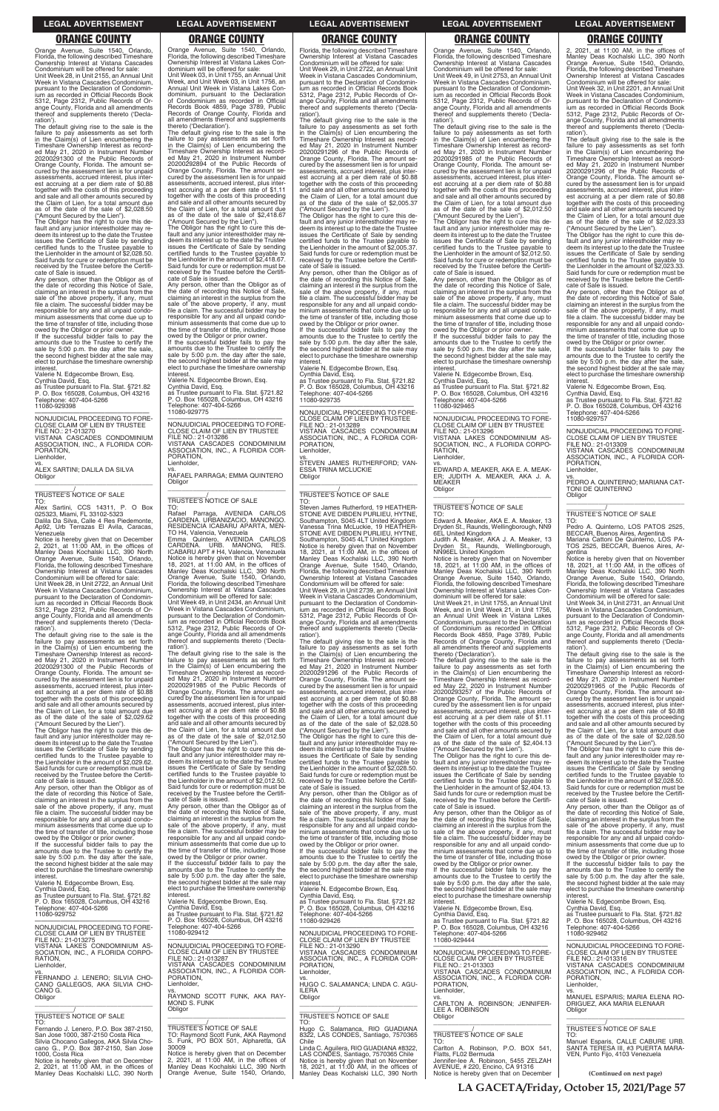**LA GACETA/Friday, October 15, 2021/Page 57**

Orange Avenue, Suite 1540, Orlando, Florida, the following described Timeshare Ownership Interest at Vistana Cascades Condominium will be offered for sale: Unit Week 28, in Unit 2155, an Annual Unit Week in Vistana Cascades Condominium, pursuant to the Declaration of Condomin-ium as recorded in Official Records Book 5312, Page 2312, Public Records of Orange County, Florida and all amendments thereof and supplements thereto ('Declaration').

The default giving rise to the sale is the failure to pay assessments as set forth in the Claim(s) of Lien encumbering the Timeshare Ownership Interest as record-ed May 21, 2020 in Instrument Number 20200291300 of the Public Records of Orange County, Florida. The amount se-cured by the assessment lien is for unpaid assessments, accrued interest, plus interest accruing at a per diem rate of \$0.88 together with the costs of this proceeding and sale and all other amounts secured by the Claim of Lien, for a total amount due as of the date of the sale of \$2,028.50 ("Amount Secured by the Lien").

The Obligor has the right to cure this de-fault and any junior interestholder may re-deem its interest up to the date the Trustee issues the Certificate of Sale by sending certified funds to the Trustee payable to the Lienholder in the amount of \$2,028.50. Said funds for cure or redemption must be received by the Trustee before the Certifi-cate of Sale is issued.

Any person, other than the Obligor as of the date of recording this Notice of Sale, claiming an interest in the surplus from the sale of the above property, if any, must file a claim. The successful bidder may be responsible for any and all unpaid condominium assessments that come due up to the time of transfer of title, including those owed by the Obligor or prior owner.

If the successful bidder fails to pay the amounts due to the Trustee to certify the sale by 5:00 p.m. the day after the sale, the second highest bidder at the sale may elect to purchase the timeshare ownership interest.

Valerie N. Edgecombe Brown, Esq. Cynthia David, Esq. as Trustee pursuant to Fla. Stat. §721.82 P. O. Box 165028, Columbus, OH 43216 Telephone: 407-404-5266 11080-929398

—————————————————— NONJUDICIAL PROCEEDING TO FORE-CLOSE CLAIM OF LIEN BY TRUSTEE FILE NO.: 21-013270 VISTANA CASCADES CONDOMINIUM ASSOCIATION, INC., A FLORIDA COR-

PORATION, Lienholder, vs. ALEX SARTINI; DALILA DA SILVA

Obligor \_\_\_\_\_\_\_\_\_\_\_\_\_\_\_\_\_\_\_\_\_\_\_\_\_\_\_\_\_\_\_\_\_

\_\_\_\_\_\_\_\_\_\_\_/ TRUSTEE'S NOTICE OF SALE

TO: Alex Sartini, CCS 14311, P. O Box 025323, Miami, FL 33102-5323 Dalila Da Silva, Calle 4 Res Piedemonte, Ap92, Urb Terrazas El Avila, Caracas,

Venezuela Notice is hereby given that on December 2, 2021, at 11:00 AM, in the offices of Manley Deas Kochalski LLC, 390 North Orange Avenue, Suite 1540, Orlando, Florida, the following described Timeshare Ownership Interest at Vistana Cascades Condominium will be offered for sale:

Unit Week 28, in Unit 2722, an Annual Unit Week in Vistana Cascades Condominium, pursuant to the Declaration of Condominium as recorded in Official Records Book 5312, Page 2312, Public Records of Or-ange County, Florida and all amendments thereof and supplements thereto ('Declaration').

The default giving rise to the sale is the failure to pay assessments as set forth in the Claim(s) of Lien encumbering the Timeshare Ownership Interest as recorded May 21, 2020 in Instrument Number 20200291300 of the Public Records of Orange County, Florida. The amount secured by the assessment lien is for unpaid assessments, accrued interest, plus interest accruing at a per diem rate of \$0.88 together with the costs of this proceeding and sale and all other amounts secured by the Claim of Lien, for a total amount due as of the date of the sale of \$2,029.62 ("Amount Secured by the Lien"). The Obligor has the right to cure this de-

fault and any junior interestholder may re-deem its interest up to the date the Trustee issues the Certificate of Sale by sending certified funds to the Trustee payable to the Lienholder in the amount of \$2,029.62. Said funds for cure or redemption must be received by the Trustee before the Certifi-cate of Sale is issued.

RESIDENCIA ICABARU APARTA, MEN-<br>TO H4, Valencia, Venezuela<br>Emma Quintero, AVENIDA CARLOS<br>CARDENA. URB. MANONG, RES.<br>ICABARU APT # H4, Valencia, Venezuela<br>Notice is hereby your hat on November<br>18, 2021, at 11:00 AM, in the Ownership Interest at Vistana Cascades Condominium will be offered for sale:

Unit Week 49, in Unit 2434, an Annual Unit Week in Vistana Cascades Condominium, pursuant to the Declaration of Condominium as recorded in Official Records Book 5312, Page 2312, Public Records of Or-ange County, Florida and all amendments thereof and supplements thereto ('Declaration'<sup>'</sup>

Any person, other than the Obligor as of the date of recording this Notice of Sale, claiming an interest in the surplus from the sale of the above property, if any, must file a claim. The successful bidder may be responsible for any and all unpaid condo-

# Orange Avenue, Suite 1540, Orlando, Florida, the following described Timeshare Ownership Interest at Vistana Lakes Con-

dominium will be offered for sale: Unit Week 03, in Unit 1755, an Annual Unit Week, and Unit Week 03, in Unit 1756, an Annual Unit Week in Vistana Lakes Condominium, pursuant to the Declaration of Condominium as recorded in Official Records Book 4859, Page 3789, Public Records of Orange County, Florida and all amendments thereof and supplements thereto ('Declaration').

The default giving rise to the sale is the failure to pay assessments as set forth in the Claim(s) of Lien encumbering the Timeshare Ownership Interest as record-ed May 21, 2020 in Instrument Number 20200292894 of the Public Records of Orange County, Florida. The amount se-cured by the assessment lien is for unpaid assessments, accrued interest, plus interest accruing at a per diem rate of \$1.11 together with the costs of this proceeding and sale and all other amounts secured by the Claim of Lien, for a total amount due as of the date of the sale of \$2,418.67 ("Amount Secured by the Lien").

The Obligor has the right to cure this de-fault and any junior interestholder may redeem its interest up to the date the Trustee issues the Certificate of Sale by sending certified funds to the Trustee payable to the Lienholder in the amount of \$2,418.67. Said funds for cure or redemption must be received by the Trustee before the Certificate of Sale is issued.

Any person, other than the Obligor as of the date of recording this Notice of Sale, claiming an interest in the surplus from the sale of the above property, if any, must file a claim. The successful bidder may be responsible for any and all unpaid condominium assessments that come due up to the time of transfer of title, including those owed by the Obligor or prior owner.

If the successful bidder fails to pay the amounts due to the Trustee to certify the sale by 5:00 p.m. the day after the sale the second highest bidder at the sale may elect to purchase the timeshare ownership interest.

Valerie N. Edgecombe Brown, Esq. Cynthia David, Esq.

as Trustee pursuant to Fla. Stat. §721.82 P. O. Box 165028, Columbus, OH 43216 Telephone: 407-404-5266 11080-929775

—————————————————— NONJUDICIAL PROCEEDING TO FORE-CLOSE CLAIM OF LIEN BY TRUSTEE FILE NO.: 21-013286 VISTANA CASCADES CONDOMINIUM ASSOCIATION, INC., A FLORIDA COR-PORATION, Lienholder,

vs. RAFAEL PARRAGA; EMMA QUINTERO Obligor \_\_\_\_\_\_\_\_\_\_\_\_\_\_\_\_\_\_\_\_\_\_\_\_\_\_\_\_\_\_\_\_\_

# \_\_\_\_\_\_\_\_\_\_\_/ TRUSTEE'S NOTICE OF SALE

TO:

Rafael Parraga, AVENIDA CARLOS CARDENA. URBANIZACIO, MANONGO.

The default giving rise to the sale is the failure to pay assessments as set forth in the Claim(s) of Lien encumbering the Timeshare Ownership Interest as recorded May 21, 2020 in Instrument Number 20200291985 of the Public Records of Orange County, Florida. The amount secured by the assessment lien is for unpaid assessments, accrued interest, plus inter-est accruing at a per diem rate of \$0.88 together with the costs of this proceeding and sale and all other amounts secured by the Claim of Lien, for a total amount due as of the date of the sale of \$2,012.50

RATION, Lienholder

("Amount Secured by the Lien"). The Obligor has the right to cure this default and any junior interestholder may re-deem its interest up to the date the Trustee issues the Certificate of Sale by sending certified funds to the Trustee payable to the Lienholder in the amount of \$2,012.50. Said funds for cure or redemption must be received by the Trustee before the Certifi-

cate of Sale is issued. Any person, other than the Obligor as of the date of recording this Notice of Sale, claiming an interest in the surplus from the

Florida, the following described Timeshare Ownership Interest at Vistana Cascades Condominium will be offered for sale: Unit Week 29, in Unit 2722, an Annual Unit Week in Vistana Cascades Condominium, pursuant to the Declaration of Condominium as recorded in Official Records Book 5312, Page 2312, Public Records of Or-ange County, Florida and all amendments thereof and supplements thereto ('Declaration'). The default giving rise to the sale is the

> failure to pay assessments as set forth in the Claim(s) of Lien encumbering the Timeshare Ownership Interest as recorded May 21, 2020 in Instrument Number 20200291296 of the Public Records of Orange County, Florida. The amount secured by the assessment lien is for unpaid assessments, accrued interest, plus inter-est accruing at a per diem rate of \$0.88 together with the costs of this proceeding and sale and all other amounts secured by the Claim of Lien, for a total amount due as of the date of the sale of \$2,023.33 Amount Secured by the Lien").

> The Obligor has the right to cure this default and any junior interestholder may re-deem its interest up to the date the Trustee issues the Certificate of Sale by sending certified funds to the Trustee payable to the Lienholder in the amount of \$2,023.33. Said funds for cure or redemption must be received by the Trustee before the Certifi-cate of Sale is issued.

failure to pay assessments as set forth in the Claim(s) of Lien encumbering the Timeshare Ownership Interest as recorded May 21, 2020 in Instrument Number 20200291296 of the Public Records of Orange County, Florida. The amount secured by the assessment lien is for unpaid assessments, accrued interest, plus inter-est accruing at a per diem rate of \$0.88 together with the costs of this proceeding and sale and all other amounts secured by the Claim of Lien, for a total amount due as of the date of the sale of \$2,005.37 ("Amount Secured by the Lien"). The Obligor has the right to cure this de-

fault and any junior interestholder may re-deem its interest up to the date the Trustee issues the Certificate of Sale by sending certified funds to the Trustee payable to the Lienholder in the amount of \$2,005.37. Said funds for cure or redemption must be received by the Trustee before the Certificate of Sale is issued. Any person, other than the Obligor as of

the date of recording this Notice of Sale, claiming an interest in the surplus from the sale of the above property, if any, must file a claim. The successful bidder may be responsible for any and all unpaid condominium assessments that come due up to the time of transfer of title, including those owed by the Obligor or prior owner. If the successful bidder fails to pay the

amounts due to the Trustee to certify the sale by 5:00 p.m. the day after the sale, the second highest bidder at the sale may elect to purchase the timeshare ownership interest. Valerie N. Edgecombe Brown, Esq.

Cynthia David, Esq. as Trustee pursuant to Fla. Stat. §721.82 P. O. Box 165028, Columbus, OH 43216 Telephone: 407-404-5266 11080-929735

—————————————————— NONJUDICIAL PROCEEDING TO FORE-CLOSE CLAIM OF LIEN BY TRUSTEE FILE NO.: 21-013289 VISTANA CASCADES CONDOMINIUM SOCIATION, INC., A FLORIDA COR-PORATION, Lienholder,

vs. STEVEN JAMES RUTHERFORD; VAN-ESSA TRINA MCLUCKIE **Obligor** \_\_\_\_\_\_\_\_\_\_\_\_\_\_\_\_\_\_\_\_\_\_\_\_\_\_\_\_\_\_\_\_\_

# \_\_\_\_\_\_\_\_\_\_\_/ TRUSTEE'S NOTICE OF SALE

TO: Steven James Rutherford, 19 HEATHER-STONE AVE DIBDEN PURLIEU, HYTNE, Southampton, S045 4LT United Kingdom Vanessa Trina McLuckie, 19 HEATHER-STONE AVE DIBDEN PURLIEU, HYTNE, Southampton, S045 4LT United Kingdom Notice is hereby given that on November 18, 2021, at 11:00 AM, in the offices of Manley Deas Kochalski LLC, 390 North Orange Avenue, Suite 1540, Orlando, Florida, the following described Timeshare Ownership Interest at Vistana Cascades

| file a claim. The successful bidder may be<br>responsible for any and all unpaid condo-<br>minium assessments that come due up to<br>the time of transfer of title, including those<br>owed by the Obligor or prior owner.<br>If the successful bidder fails to pay the<br>amounts due to the Trustee to certify the<br>sale by 5:00 p.m. the day after the sale,<br>the second highest bidder at the sale may<br>elect to purchase the timeshare ownership<br>interest.<br>Valerie N. Edgecombe Brown, Esg.<br>Cynthia David, Esq.<br>as Trustee pursuant to Fla. Stat. §721.82<br>P. O. Box 165028, Columbus, OH 43216<br>Telephone: 407-404-5266<br>11080-929752 | the date of recording this Notice of Sale,<br>claiming an interest in the surplus from the<br>sale of the above property, if any, must<br>file a claim. The successful bidder may be<br>responsible for any and all unpaid condo-<br>minium assessments that come due up to<br>the time of transfer of title, including those<br>owed by the Obligor or prior owner.<br>If the successful bidder fails to pay the<br>amounts due to the Trustee to certify the<br>sale by 5:00 p.m. the day after the sale,<br>the second highest bidder at the sale may<br>elect to purchase the timeshare ownership<br>interest.<br>Valerie N. Edgecombe Brown, Esg.<br>Cynthia David, Esq.<br>as Trustee pursuant to Fla. Stat. §721.82<br>P. O. Box 165028, Columbus, OH 43216 | sale of the above property, if any, must<br>file a claim. The successful bidder may be<br>responsible for any and all unpaid condo-<br>minium assessments that come due up to<br>the time of transfer of title, including those<br>owed by the Obligor or prior owner.<br>If the successful bidder fails to pay the<br>amounts due to the Trustee to certify the<br>sale by 5:00 p.m. the day after the sale.<br>the second highest bidder at the sale may<br>elect to purchase the timeshare ownership<br>interest.<br>Valerie N. Edgecombe Brown, Esg.<br>Cynthia David, Esq.<br>as Trustee pursuant to Fla. Stat. §721.82<br>P. O. Box 165028, Columbus, OH 43216<br>Telephone: 407-404-5266<br>11080-929426 | Any person, other than the Obligor as of<br>the date of recording this Notice of Sale,<br>claiming an interest in the surplus from the<br>sale of the above property, if any, must<br>file a claim. The successful bidder may be<br>responsible for any and all unpaid condo-<br>minium assessments that come due up to<br>the time of transfer of title, including those<br>owed by the Obligor or prior owner.<br>If the successful bidder fails to pay the<br>amounts due to the Trustee to certify the<br>sale by 5:00 p.m. the day after the sale,<br>the second highest bidder at the sale may<br>elect to purchase the timeshare ownership<br>interest.<br>Valerie N. Edgecombe Brown, Esg.<br>Cynthia David, Esg.<br>as Trustee pursuant to Fla. Stat. §721.82 | the date of recording this Notice of Sale,<br>claiming an interest in the surplus from the<br>sale of the above property, if any, must<br>file a claim. The successful bidder may be<br>responsible for any and all unpaid condo-<br>minium assessments that come due up to<br>the time of transfer of title, including those<br>owed by the Obligor or prior owner.<br>If the successful bidder fails to pay the<br>amounts due to the Trustee to certify the<br>sale by 5:00 p.m. the day after the sale,<br>the second highest bidder at the sale may<br>elect to purchase the timeshare ownership<br>interest.<br>Valerie N. Edgecombe Brown, Esg.<br>Cynthia David, Esq.<br>as Trustee pursuant to Fla. Stat. §721.82<br>P. O. Box 165028, Columbus, OH 43216 |
|---------------------------------------------------------------------------------------------------------------------------------------------------------------------------------------------------------------------------------------------------------------------------------------------------------------------------------------------------------------------------------------------------------------------------------------------------------------------------------------------------------------------------------------------------------------------------------------------------------------------------------------------------------------------|--------------------------------------------------------------------------------------------------------------------------------------------------------------------------------------------------------------------------------------------------------------------------------------------------------------------------------------------------------------------------------------------------------------------------------------------------------------------------------------------------------------------------------------------------------------------------------------------------------------------------------------------------------------------------------------------------------------------------------------------------------------------|-----------------------------------------------------------------------------------------------------------------------------------------------------------------------------------------------------------------------------------------------------------------------------------------------------------------------------------------------------------------------------------------------------------------------------------------------------------------------------------------------------------------------------------------------------------------------------------------------------------------------------------------------------------------------------------------------------------------|------------------------------------------------------------------------------------------------------------------------------------------------------------------------------------------------------------------------------------------------------------------------------------------------------------------------------------------------------------------------------------------------------------------------------------------------------------------------------------------------------------------------------------------------------------------------------------------------------------------------------------------------------------------------------------------------------------------------------------------------------------------------|--------------------------------------------------------------------------------------------------------------------------------------------------------------------------------------------------------------------------------------------------------------------------------------------------------------------------------------------------------------------------------------------------------------------------------------------------------------------------------------------------------------------------------------------------------------------------------------------------------------------------------------------------------------------------------------------------------------------------------------------------------------------|
| NONJUDICIAL PROCEEDING TO FORE-<br>CLOSE CLAIM OF LIEN BY TRUSTEE<br>FILE NO.: 21-013275<br>VISTANA LAKES CONDOMINIUM AS-<br>SOCIATION, INC., A FLORIDA CORPO-<br>RATION,<br>Lienholder,<br>FERNANDO J. LENERO: SILVIA CHO-<br>CANO GALLEGOS, AKA SILVIA CHO-<br>CANO G.<br>Obligor                                                                                                                                                                                                                                                                                                                                                                                 | Telephone: 407-404-5266<br>11080-929412<br>NONJUDICIAL PROCEEDING TO FORE-<br>CLOSE CLAIM OF LIEN BY TRUSTEE<br>FILE NO.: 21-013287<br>VISTANA CASCADES CONDOMINIUM<br>ASSOCIATION, INC., A FLORIDA COR-<br>PORATION.<br>Lienholder.<br>VS.<br>RAYMOND SCOTT FUNK, AKA RAY-<br><b>MOND S. FUNK</b><br>Obligor                                                                                                                                                                                                                                                                                                                                                                                                                                                      | NONJUDICIAL PROCEEDING TO FORE-<br>CLOSE CLAIM OF LIEN BY TRUSTEE<br>FILE NO.: 21-013290<br>VISTANA CASCADES CONDOMINIUM<br>ASSOCIATION, INC., A FLORIDA COR-<br>PORATION.<br>Lienholder.<br>HUGO C. SALAMANCA; LINDA C. AGU-<br><b>ILERA</b><br>Obligor                                                                                                                                                                                                                                                                                                                                                                                                                                                        | P. O. Box 165028, Columbus, OH 43216<br>Telephone: 407-404-5266<br>11080-929444<br>NONJUDICIAL PROCEEDING TO FORE-<br>CLOSE CLAIM OF LIEN BY TRUSTEE<br>FILE NO.: 21-013303<br>VISTANA CASCADES CONDOMINIUM<br>ASSOCIATION, INC., A FLORIDA COR-<br>PORATION.<br>Lienholder.<br>VS.<br>CARLTON A. ROBINSON; JENNIFER-<br>LEE A. ROBINSON                                                                                                                                                                                                                                                                                                                                                                                                                               | Telephone: 407-404-5266<br>11080-929462<br>NONJUDICIAL PROCEEDING TO FORE-<br>CLOSE CLAIM OF LIEN BY TRUSTEE<br>FILE NO.: 21-013316<br>VISTANA CASCADES CONDOMINIUM<br>ASSOCIATION, INC., A FLORIDA COR-<br>PORATION,<br>Lienholder,<br>VS.<br>MANUEL ESPARIS: MARIA ELENA RO-<br>DRIGUEZ, AKA MARIA ELENAAR<br>Obligor                                                                                                                                                                                                                                                                                                                                                                                                                                            |
| TRUSTEE'S NOTICE OF SALE<br>TO:<br>Fernando J. Lenero, P.O. Box 387-2150,<br>San Jose 1000, 387-2150 Costa Rica<br>Silvia Chocano Gallegos, AKA Silvia Cho-<br>cano G., P.O. Box 387-2150, San Jose<br>1000. Costa Rica<br>Notice is hereby given that on December<br>2, 2021, at $11:00$ AM, in the offices of<br>Manley Deas Kochalski LLC, 390 North                                                                                                                                                                                                                                                                                                             | <b>TRUSTEE'S NOTICE OF SALE</b><br>TO: Raymond Scott Funk, AKA Raymond<br>S. Funk, PO BOX 501, Alpharetta, GA<br>30009<br>Notice is hereby given that on December<br>2, 2021, at 11:00 AM, in the offices of<br>Manley Deas Kochalski LLC, 390 North<br>Orange Avenue, Suite 1540, Orlando,                                                                                                                                                                                                                                                                                                                                                                                                                                                                        | <b>TRUSTEE'S NOTICE OF SALE</b><br>TO:<br>Hugo C. Salamanca, RIO GUADIANA<br>8322, LAS CONDES, Santiago, 7570365<br>Chile<br>Linda C. Aguilera, RIO GUADIANA #8322,<br>LAS CONDES, Santiago, 7570365 Chile<br>Notice is hereby given that on November<br>18, 2021, at $11:00$ AM, in the offices of<br>Manley Deas Kochalski LLC, 390 North                                                                                                                                                                                                                                                                                                                                                                     | Obligor<br>TRUSTEE'S NOTICE OF SALE<br>TO:<br>Carlton A. Robinson, P.O. BOX 541,<br>Flatts, FL02 Bermuda<br>Jennifer-lee A. Robinson, 5455 ZELZAH<br>AVENUE, #220, Encino, CA 91316<br>Notice is hereby given that on December                                                                                                                                                                                                                                                                                                                                                                                                                                                                                                                                         | TRUSTEE'S NOTICE OF SALE<br>TO:<br>Manuel Esparis, CALLE CABURE URB.<br>SANTA TERESA III. #3 PUERTA MARA-<br>VEN, Punto Fijo, 4103 Venezuela<br>(Continued on next page)                                                                                                                                                                                                                                                                                                                                                                                                                                                                                                                                                                                           |

Condominium will be offered for sale: Unit Week 29, in Unit 2739, an Annual Unit Week in Vistana Cascades Condominium, pursuant to the Declaration of Condominium as recorded in Official Records Book 5312, Page 2312, Public Records of Orange County, Florida and all amendments thereof and supplements thereto ('Declaration').

The default giving rise to the sale is the failure to pay assessments as set forth in the Claim(s) of Lien encumbering the Timeshare Ownership Interest as record-ed May 21, 2020 in Instrument Number 20200291296 of the Public Records of Orange County, Florida. The amount se-cured by the assessment lien is for unpaid assessments, accrued interest, plus interest accruing at a per diem rate of \$0.88 together with the costs of this proceeding and sale and all other amounts secured by the Claim of Lien, for a total amount due as of the date of the sale of \$2,028.50 ("Amount Secured by the Lien").

The Obligor has the right to cure this de-fault and any junior interestholder may re-deem its interest up to the date the Trustee issues the Certificate of Sale by sending certified funds to the Trustee payable to the Lienholder in the amount of \$2,028.50. Said funds for cure or redemption must be received by the Trustee before the Certificate of Sale is issued.

Any person, other than the Obligor as of the date of recording this Notice of Sale, First person, one man the Obligor as of<br>the date of recording this Notice of Sale,<br>claiming an interest in the surplus from the sale of the above property, if any, must file a claim. The successful bidder may be

Orange Avenue, Suite 1540, Orlando, Florida, the following described Timeshare Ownership Interest at Vistana Cascades Condominium will be offered for sale:

Unit Week 49, in Unit 2753, an Annual Unit Week in Vistana Cascades Condominium, pursuant to the Declaration of Condominium as recorded in Official Records Book 5312, Page 2312, Public Records of Orange County, Florida and all amendments thereof and supplements thereto ('Declaration').

The default giving rise to the sale is the failure to pay assessments as set forth in the Claim(s) of Lien encumbering the Timeshare Ownership Interest as record-ed May 21, 2020 in Instrument Number 20200291985 of the Public Records of Orange County, Florida. The amount se-cured by the assessment lien is for unpaid assessments, accrued interest, plus interest accruing at a per diem rate of \$0.88 together with the costs of this proceeding and sale and all other amounts secured by the Claim of Lien, for a total amount due as of the date of the sale of \$2,012.50 ("Amount Secured by the Lien").

The Obligor has the right to cure this de-fault and any junior interestholder may re-deem its interest up to the date the Trustee issues the Certificate of Sale by sending certified funds to the Trustee payable to the Lienholder in the amount of \$2,012.50. Said funds for cure or redemption must be received by the Trustee before the Certifi-cate of Sale is issued.

Any person, other than the Obligor as of the date of recording this Notice of Sale, claiming an interest in the surplus from the sale of the above property, if any, must file a claim. The successful bidder may be responsible for any and all unpaid condominium assessments that come due up to the time of transfer of title, including those owed by the Obligor or prior owner.

If the successful bidder fails to pay the amounts due to the Trustee to certify the sale by 5:00 p.m. the day after the sale, the second highest bidder at the sale may elect to purchase the timeshare ownership interest.

Valerie N. Edgecombe Brown, Esq. Cynthia David, Esq. as Trustee pursuant to Fla. Stat. §721.82 P. O. Box 165028, Columbus, OH 43216 Telephone: 407-404-5266 11080-929465

—————————————————— NONJUDICIAL PROCEEDING TO FORE-CLOSE CLAIM OF LIEN BY TRUSTEE

FILE NO.: 21-013296 VISTANA LAKES CONDOMINIUM AS-SOCIATION, INC., A FLORIDA CORPO-

vs. EDWARD A. MEAKER, AKA E. A. MEAK-ER; JUDITH A. MEAKER, AKA J. A. MEAKER Obligor

\_\_\_\_\_\_\_\_\_\_\_\_\_\_\_\_\_\_\_\_\_\_\_\_\_\_\_\_\_\_\_\_\_

\_\_\_\_\_\_\_\_\_\_\_/ TRUSTEE'S NOTICE OF SALE

TO: Edward A. Meaker, AKA E. A. Meaker, 13 Dryden St., Raunds, Wellingborough, NN9 6EL United Kingdom Judith A. Meaker, AKA J. A. Meaker, 13

Dryden St., Raunds, Wellingborough, NN96EL United Kingdom Notice is hereby given that on November 18, 2021, at 11:00 AM, in the offices of Manley Deas Kochalski LLC, 390 North Orange Avenue, Suite 1540, Orlando, Florida, the following described Timeshare Ownership Interest at Vistana Lakes Con-dominium will be offered for sale:

Unit Week 21, in Unit 1755, an Annual Unit Week, and in Unit Week 21, in Unit 1756, an Annual Unit Week in Vistana Lakes Condominium, pursuant to the Declaration of Condominium as recorded in Official Records Book 4859, Page 3789, Public Records of Orange County, Florida and all amendments thereof and supplements thereto ('Declaration').

The default giving rise to the sale is the failure to pay assessments as set forth in the Claim(s) of Lien encumbering the Timeshare Ownership Interest as record-ed May 22, 2020 in Instrument Number 20200293257 of the Public Records of Orange County, Florida. The amount se-cured by the assessment lien is for unpaid assessments, accrued interest, plus interest accruing at a per diem rate of \$1.11 together with the costs of this proceeding and sale and all other amounts secured by the Claim of Lien, for a total amount due as of the date of the sale of \$2,404.13 ("Amount Secured by the Lien").

The Obligor has the right to cure this de-fault and any junior interestholder may re-deem its interest up to the date the Trustee issues the Certificate of Sale by sending certified funds to the Trustee payable to the Lienholder in the amount of \$2,404.13. Said funds for cure or redemption must be received by the Trustee before the Certificate of Sale is issued.

2, 2021, at 11:00 AM, in the offices of Manley Deas Kochalski LLC, 390 North Orange Avenue, Suite 1540, Orlando, Florida, the following described Timeshare Ownership Interest at Vistana Cascades Condominium will be offered for sale:

Unit Week 32, in Unit 2201, an Annual Unit Week in Vistana Cascades Condominium, pursuant to the Declaration of Condomin-

ium as recorded in Official Records Book 5312, Page 2312, Public Records of Or-ange County, Florida and all amendments thereof and supplements thereto ('Declaration'). The default giving rise to the sale is the

Any person, other than the Obligor as of the date of recording this Notice of Sale, claiming an interest in the surplus from the sale of the above property, if any, must file a claim. The successful bidder may be responsible for any and all unpaid condominium assessments that come due up to the time of transfer of title, including those

owed by the Obligor or prior owner. If the successful bidder fails to pay the amounts due to the Trustee to certify the sale by 5:00 p.m. the day after the sale, the second highest bidder at the sale may elect to purchase the timeshare ownership

interest. Valerie N. Edgecombe Brown, Esq.

Cynthia David, Esq. as Trustee pursuant to Fla. Stat. §721.82 P. O. Box 165028, Columbus, OH 43216 Telephone: 407-404-5266 11080-929757

—————————————————— NONJUDICIAL PROCEEDING TO FORE-CLOSE CLAIM OF LIEN BY TRUSTEE FILE NO.: 21-013309

VISTANA CASCADES CONDOMINIUM ASSOCIATION, INC., A FLORIDA COR-PORATION, Lienholder,

vs. PEDRO A. QUINTERNO; MARIANA CAT-TONI DE QUINTERNO **Obligor** \_\_\_\_\_\_\_\_\_\_\_\_\_\_\_\_\_\_\_\_\_\_\_\_\_\_\_\_\_\_\_\_\_

# \_\_\_\_\_\_\_\_\_\_\_/ TRUSTEE'S NOTICE OF SALE

TO: Pedro A. Quinterno, LOS PATOS 2525. BECCAR, Buenos Aires, Argentina Mariana Cattoni De Quinterno, LOS PA-TOS 2525, BECCAR, Buenos Aires, Ar-

gentina Notice is hereby given that on November 18, 2021, at 11:00 AM, in the offices of Manley Deas Kochalski LLC, 390 North Orange Avenue, Suite 1540, Orlando, Florida, the following described Timeshare Ownership Interest at Vistana Cascades Condominium will be offered for sale:

Unit Week 34, in Unit 2731, an Annual Unit Week in Vistana Cascades Condominium, pursuant to the Declaration of Condominium as recorded in Official Records Book 5312, Page 2312, Public Records of Or-ange County, Florida and all amendments thereof and supplements thereto ('Decla-

ration'). The default giving rise to the sale is the failure to pay assessments as set forth in the Claim(s) of Lien encumbering the Timeshare Ownership Interest as recorded May 21, 2020 in Instrument Number 20200291965 of the Public Records of Orange County, Florida. The amount secured by the assessment lien is for unpaid assessments, accrued interest, plus inter-est accruing at a per diem rate of \$0.88 together with the costs of this proceeding and sale and all other amounts secured by the Claim of Lien, for a total amount due as of the date of the sale of \$2,028.50 ("Amount Secured by the Lien"). The Obligor has the right to cure this de-

fault and any junior interestholder may re-deem its interest up to the date the Trustee issues the Certificate of Sale by sending certified funds to the Trustee payable to the Lienholder in the amount of \$2,028.50. Said funds for cure or redemption must be received by the Trustee before the Certificate of Sale is issued.

Any person, other than the Obligor as of the date of recording this Notice of Sale,

### **LEGAL ADVERTISEMENT LEGAL ADVERTISEMENT LEGAL ADVERTISEMENT LEGAL ADVERTISEMENT LEGAL ADVERTISEMENT**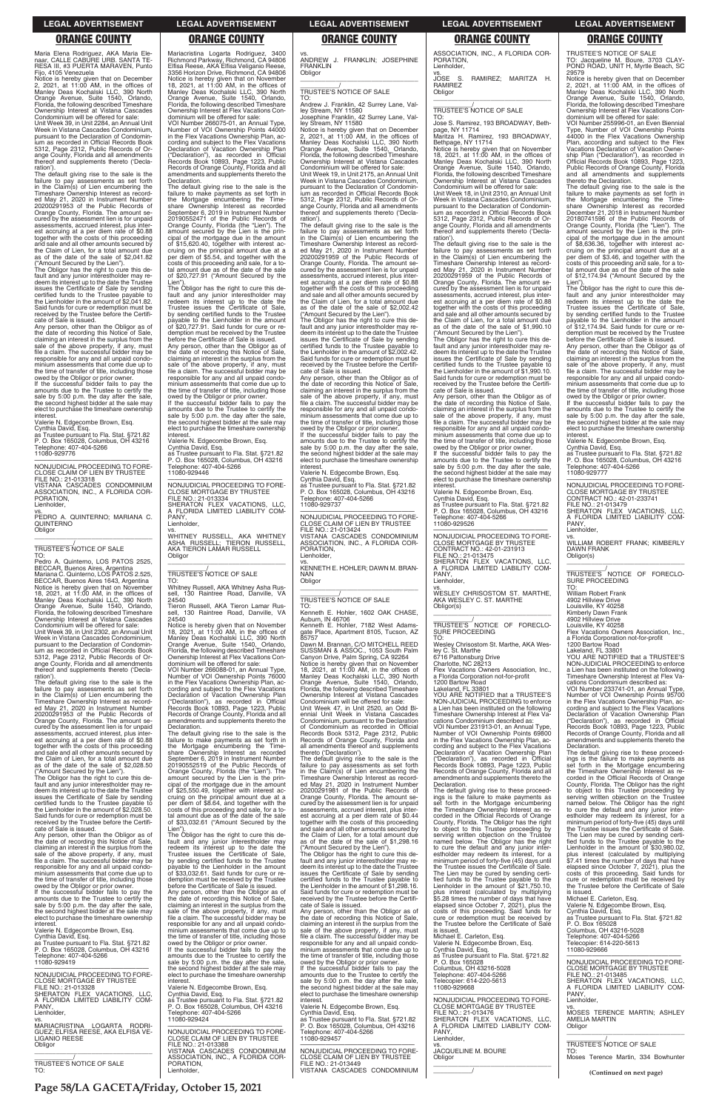**Page 58/LA GACETA/Friday, October 15, 2021**

Maria Elena Rodriguez, AKA Maria Ele-naar, CALLE CABURE URB. SANTA TE-RESA III, #3 PUERTA MARAVEN, Punto Fijo, 4105 Venezuela

Notice is hereby given that on December 2, 2021, at 11:00 AM, in the offices of Manley Deas Kochalski LLC, 390 North Orange Avenue, Suite 1540, Orlando, Florida, the following described Timeshare Ownership Interest at Vistana Cascades Condominium will be offered for sale:

Unit Week 39, in Unit 2284, an Annual Unit Week in Vistana Cascades Condominium, pursuant to the Declaration of Condominium as recorded in Official Records Book 5312, Page 2312, Public Records of Orange County, Florida and all amendments thereof and supplements thereto ('Declaration').

The Obligor has the right to cure this default and any junior interestholder may re-deem its interest up to the date the Trustee issues the Certificate of Sale by sending certified funds to the Trustee payable to the Lienholder in the amount of \$2,041.82. Said funds for cure or redemption must be received by the Trustee before the Certificate of Sale is issued.

The default giving rise to the sale is the failure to pay assessments as set forth in the Claim(s) of Lien encumbering the Timeshare Ownership Interest as recorded May 21, 2020 in Instrument Number 20200291953 of the Public Records of Orange County, Florida. The amount secured by the assessment lien is for unpaid assessments, accrued interest, plus interest accruing at a per diem rate of \$0.88 together with the costs of this proceeding and sale and all other amounts secured by the Claim of Lien, for a total amount due as of the date of the sale of \$2,041.82 ("Amount Secured by the Lien").

Any person, other than the Obligor as of the date of recording this Notice of Sale, claiming an interest in the surplus from the sale of the above property, if any, must file a claim. The successful bidder may be responsible for any and all unpaid condominium assessments that come due up to the time of transfer of title, including those

owed by the Obligor or prior owner. If the successful bidder fails to pay the amounts due to the Trustee to certify the sale by 5:00 p.m. the day after the sale the second highest bidder at the sale may elect to purchase the timeshare ownership interest.

Valerie N. Edgecombe Brown, Esq.

Cynthia David, Esq. as Trustee pursuant to Fla. Stat. §721.82 P. O. Box 165028, Columbus, OH 43216 Telephone: 407-404-5266 11080-929776

—————————————————— NONJUDICIAL PROCEEDING TO FORE-CLOSE CLAIM OF LIEN BY TRUSTEE FILE NO.: 21-013318 VISTANA CASCADES CONDOMINIUM ASSOCIATION, INC., A FLORIDA COR-

—————————————————— NONJUDICIAL PROCEEDING TO FORE-CLOSE MORTGAGE BY TRUSTEE FILE NO.: 21-013328 SHERATON FLEX VACATIONS, LLC, A FLORIDA LIMITED LIABILITY COM-**PANY** Lienholder, vs. MARIACRISTINA LOGARTA RODRI-GUEZ; ELFISA REESE, AKA ELFISA VE-LIGANIO REESE **Obligor** 

PORATION, Lienholder,

vs. PEDRO A. QUINTERNO; MARIANA C. QUINTERNO **Obligor** \_\_\_\_\_\_\_\_\_\_\_\_\_\_\_\_\_\_\_\_\_\_\_\_\_\_\_\_\_\_\_\_\_

\_\_\_\_\_\_\_\_\_\_\_/ TRUSTEE'S NOTICE OF SALE

TO: Pedro A. Quinterno, LOS PATOS 2525. BECCAR, Buenos Aires, Argentina Mariana C. Quinterno, LOS PATOS 2.525, BECCAR, Buenos Aires 1643, Argentina Notice is hereby given that on November 18, 2021, at 11:00 AM, in the offices of Manley Deas Kochalski LLC, 390 North Orange Avenue, Suite 1540, Orlando, Florida, the following described Timeshare Ownership Interest at Vistana Cascades Condominium will be offered for sale:

Unit Week 39, in Unit 2302, an Annual Unit Week in Vistana Cascades Condominium, pursuant to the Declaration of Condominium as recorded in Official Records Book 5312, Page 2312, Public Records of Orange County, Florida and all amendments thereof and supplements thereto ('Declaration').

The default giving rise to the sale is the failure to pay assessments as set forth<br>Timeshare Ownership Interest as record-<br>Ed May 21, 2020 in Instrument Number<br>20200291953 of the Public Records of Orange County, Florida. The amount secured by the assessment lien is for unpaid assessments, accrued interest, plus interest accruing at a per diem rate of \$0.88 together with the costs of this proceeding and sale and all other amounts secured by the Claim of Lien, for a total amount due as of the date of the sale of \$2,028.50 amounts due to the Trustee to certify the sale by 5:00 p.m. the day after the sale, the second highest bidder at the sale may elect to purchase the timeshare ownership **interest** 

—————————————————— NONJUDICIAL PROCEEDING TO FORE-CLOSE MORTGAGE BY TRUSTEE FILE NO.: 21-013334 SHERATON FLEX VACATIONS, LLC, A FLORIDA LIMITED LIABILITY COM-PANY, Lienholder.

("Amount Secured by the Lien"). The Obligor has the right to cure this default and any junior interestholder may redeem its interest up to the date the Trustee issues the Certificate of Sale by sending certified funds to the Trustee payable to the Lienholder in the amount of \$2,028.50. Said funds for cure or redemption must be Whitney Russell, AKA Whitney Asha Rus-130 Raintree Road, Danville, VA sell, 1<br>24540

The default giving rise to the sale is the failure to make payments as set forth in the Mortgage encumbering the Timeshare Ownership Interest as recorded September 6, 2019 in Instrument Number 20190552519 of the Public Records of Orange County, Florida (the "Lien"). The amount secured by the Lien is the principal of the mortgage due in the amount of \$25,550.49, together with interest ac-cruing on the principal amount due at a per diem of \$8.64, and together with the costs of this proceeding and sale, for a to-tal amount due as of the date of the sale

interest. Valerie N. Edgecombe Brown, Esq. Cynthia David, Esq. as Trustee pursuant to Fla. Stat. §721.82 P. O. Box 165028, Columbus, OH 43216 Telephone: 407-404-5266 11080-929419

\_\_\_\_\_\_\_\_\_\_\_\_\_\_\_\_\_\_\_\_\_\_\_\_\_\_\_\_\_\_\_\_\_

\_\_\_\_\_\_\_\_\_\_\_/ TRUSTEE'S NOTICE OF SALE TO:

Mariacristina Logarta Rodriguez, 3400 Richmond Parkway, Richmond, CA 94806 Elfisa Reese, AKA Elfisa Veliganio Reese, 3356 Horizon Drive, Richmond, CA 94806 Notice is hereby given that on November 18, 2021, at 11:00 AM, in the offices of Manley Deas Kochalski LLC, 390 North Orange Avenue, Suite 1540, Orlando, Florida, the following described Timeshare Ownership Interest at Flex Vacations Condominium will be offered for sale:

VOI Number 266075-01, an Annual Type, Number of VOI Ownership Points 44000 in the Flex Vacations Ownership Plan, according and subject to the Flex Vacations Declaration of Vacation Ownership Plan ("Declaration"), as recorded in Official Records Book 10893, Page 1223, Public Records of Orange County, Florida and all amendments and supplements thereto the Declaration.

The default giving rise to the sale is the failure to make payments as set forth in the Mortgage encumbering the Time-share Ownership Interest as recorded September 6, 2019 in Instrument Number 20190552471 of the Public Records of Orange County, Florida (the "Lien"). The amount secured by the Lien is the principal of the mortgage due in the amount of \$15,620.40, together with interest accruing on the principal amount due at a per diem of \$5.54, and together with the costs of this proceeding and sale, for a total amount due as of the date of the sale of \$20,727.91 ("Amount Secured by the Lien").

The Obligor has the right to cure this default and any junior interestholder may redeem its interest up to the date the Trustee issues the Certificate of Sale, by sending certified funds to the Trustee payable to the Lienholder in the amount of \$20,727.91. Said funds for cure or redemption must be received by the Trustee before the Certificate of Sale is issued.

| Said funds for cure or redemption must be      | tal amount due as of the date of the sale    |  |
|------------------------------------------------|----------------------------------------------|--|
| received by the Trustee before the Certifi-    | of \$33,032.61 ("Amount Secured by the       |  |
| cate of Sale is issued.                        | Lien").                                      |  |
| Any person, other than the Obligor as of       | The Obligor has the right to cure this de-   |  |
| the date of recording this Notice of Sale,     | fault and any junior interestholder may      |  |
| claiming an interest in the surplus from the   | redeem its interest up to the date the       |  |
| sale of the above property, if any, must       | Trustee issues the Certificate of Sale.      |  |
| file a claim. The successful bidder may be     | by sending certified funds to the Trustee    |  |
| responsible for any and all unpaid condo-      | pavable to the Lienholder in the amount      |  |
| minium assessments that come due up to         | of \$33,032.61. Said funds for cure or re-   |  |
| the time of transfer of title, including those | demption must be received by the Trustee     |  |
| owed by the Obligor or prior owner.            | before the Certificate of Sale is issued.    |  |
| If the successful bidder fails to pay the      | Any person, other than the Obligor as of     |  |
| amounts due to the Trustee to certify the      | the date of recording this Notice of Sale.   |  |
| sale by 5:00 p.m. the day after the sale,      | claiming an interest in the surplus from the |  |
| the second highest bidder at the sale may      | sale of the above property, if any, must     |  |
| elect to purchase the timeshare ownership      | file a claim. The successful bidder may be   |  |
| interest.                                      | responsible for any and all unpaid condo-    |  |
|                                                |                                              |  |

Any person, other than the Obligor as of the date of recording this Notice of Sale, claiming an interest in the surplus from the sale of the above property, if any, must file a claim. The successful bidder may be responsible for any and all unpaid condominium assessments that come due up to the time of transfer of title, including those owed by the Obligor or prior owner. If the successful bidder fails to pay the

Valerie N. Edgecombe Brown, Esq. Cynthia David, Esq. as Trustee pursuant to Fla. Stat. §721.82 P. O. Box 165028, Columbus, OH 43216 Telephone: 407-404-5266 11080-929446

vs. WHITNEY RUSSELL, AKA WHITNEY ASHA RUSSELL; TIERON RUSSELL, AKA TIERON LAMAR RUSSELL Obligor \_\_\_\_\_\_\_\_\_\_\_\_\_\_\_\_\_\_\_\_\_\_\_\_\_\_\_\_\_\_\_\_\_

ASSOCIATION, INC., A FLORIDA COR-PORATION, Lienholder,<br>vs.

### \_\_\_\_\_\_\_\_\_\_\_/ TRUSTEE'S NOTICE OF SALE TO:

Tieron Russell, AKA Tieron Lamar Russell, 130 Raintree Road, Danville, VA 24540

Notice is hereby given that on November 18, 2021, at 11:00 AM, in the offices of Manley Deas Kochalski LLC, 390 North Orange Avenue, Suite 1540, Orlando, Florida, the following described Timeshare Ownership Interest at Flex Vacations Condominium will be offered for sale:

VOI Number 266088-01, an Annual Type, Number of VOI Ownership Points 76000 in the Flex Vacations Ownership Plan, ac-cording and subject to the Flex Vacations Cording and Subject to the transmit Plan<br>Declaration of Vacation Ownership Plan ("Declaration"), as recorded in Official Records Book 10893, Page 1223, Public Records of Orange County, Florida and all amendments and supplements thereto the Declaration.

Any person, other than the Obligor as of the date of recording this Notice of Sale, claiming an interest in the surplus from the sale of the above property, if any, must file a claim. The successful bidder may be responsible for any and all unpaid condo-minium assessments that come due up to the time of transfer of title, including those

owed by the Obligor or prior owner. If the successful bidder fails to pay the amounts due to the Trustee to certify the sale by 5:00 p.m. the day after the sale, the second highest bidder at the sale may elect to purchase the timeshare ownership **interest** 

responsible for any and all unpaid condo-minium assessments that come due up to

the time of transfer of title, including those owed by the Obligor or prior owner. If the successful bidder fails to pay the

amounts due to the Trustee to certify the sale by 5:00 p.m. the day after the sale the second highest bidder at the sale may elect to purchase the timeshare ownership<br>interest. interest. Valerie N. Edgecombe Brown, Esq. Cynthia David, Esq. as Trustee pursuant to Fla. Stat. §721.82 P. O. Box 165028, Columbus, OH 43216

Telephone: 407-404-5266 11080-929424

—————————————————— NONJUDICIAL PROCEEDING TO FORE-CLOSE CLAIM OF LIEN BY TRUSTEE FILE NO.: 21-013388 VISTANA CASCADES CONDOMINIUM ASSOCIATION, INC., A FLORIDA COR-PORATION, Lienholder,

vs. ANDREW J. FRANKLIN; JOSEPHINE FRANKLIN **Obligor** \_\_\_\_\_\_\_\_\_\_\_\_\_\_\_\_\_\_\_\_\_\_\_\_\_\_\_\_\_\_\_\_\_

# \_\_\_\_\_\_\_\_\_\_\_/ TRUSTEE'S NOTICE OF SALE

TO: Andrew J. Franklin, 42 Surrey Lane, Valley Stream, NY 11580

Josephine Franklin, 42 Surrey Lane, Valley Stream, NY 11580 Notice is hereby given that on December 2, 2021, at 11:00 AM, in the offices of Manley Deas Kochalski LLC, 390 North Orange Avenue, Suite 1540, Orlando, Florida, the following described Timeshare Ownership Interest at Vistana Cascades Condominium will be offered for sale:

Unit Week 19, in Unit 2175, an Annual Unit Week in Vistana Cascades Condominium, pursuant to the Declaration of Condominium as recorded in Official Records Book 5312, Page 2312, Public Records of Orange County, Florida and all amendments thereof and supplements thereto ('Declaration').

The default giving rise to the sale is the failure to pay assessments as set forth in the Claim(s) of Lien encumbering the Timeshare Ownership Interest as record-ed May 21, 2020 in Instrument Number 20200291959 of the Public Records of Orange County, Florida. The amount secured by the assessment lien is for unpaid assessments, accrued interest, plus interest accruing at a per diem rate of \$0.88 together with the costs of this proceeding and sale and all other amounts secured by the Claim of Lien, for a total amount due as of the date of the sale of \$2,002.42

> \_\_\_\_\_\_\_\_\_\_\_/<br>TRUSTEE'S NOTICE OF FORECLO-<br>SURE PROCEEDING TO:

("Amount Secured by the Lien"). The Obligor has the right to cure this de-fault and any junior interestholder may redeem its interest up to the date the Trustee issues the Certificate of Sale by sending certified funds to the Trustee payable to the Lienholder in the amount of \$2,002.42. Said funds for cure or redemption must be received by the Trustee before the Certificate of Sale is issued.

Any person, other than the Obligor as of the date of recording this Notice of Sale, claiming an interest in the surplus from the sale of the above property, if any, must file a claim. The successful bidder may be responsible for any and all unpaid condominium assessments that come due up to the time of transfer of title, including those owed by the Obligor or prior owner. If the successful bidder fails to pay the

amounts due to the Trustee to certify the sale by 5:00 p.m. the day after the sale, the second highest bidder at the sale may elect to purchase the timeshare ownership interest.

Valerie N. Edgecombe Brown, Esq.

Cynthia David, Esq. as Trustee pursuant to Fla. Stat. §721.82 P. O. Box 165028, Columbus, OH 43216 Telephone: 407-404-5266 11080-929737

—————————————————— NONJUDICIAL PROCEEDING TO FORE-CLOSE CLAIM OF LIEN BY TRUSTEE FILE NO.: 21-013424 VISTANA CASCADES CONDOMINIUM ASSOCIATION, INC., A FLORIDA COR-PORATION, Lienholder,

vs. KENNETH E. HOHLER; DAWN M. BRAN-NAN **Obligor** \_\_\_\_\_\_\_\_\_\_\_\_\_\_\_\_\_\_\_\_\_\_\_\_\_\_\_\_\_\_\_\_\_

# \_\_\_\_\_\_\_\_\_\_\_/ TRUSTEE'S NOTICE OF SALE

TO: Kenneth E. Hohler, 1602 OAK CHASE, Auburn, IN 46706 Kenneth E. Hohler, 7182 West Adamsgate Place, Apartment 8105, Tucson, AZ

85757 Dawn M. Brannan, C/O MITCHELL REED SUSSMAN & ASSOC., 1053 South Palm Canyon Drive, Palm Spring, CA 92264

Notice is hereby given that on November 18, 2021, at 11:00 AM, in the offices of Manley Deas Kochalski LLC, 390 North Orange Avenue, Suite 1540, Orlando, Florida, the following described Timeshare Ownership Interest at Vistana Cascades

Condominium will be offered for sale: Unit Week 47, in Unit 2520, an Odd Bi-ennial Unit Week in Vistana Cascades Condominium, pursuant to the Declaration of Condominium as recorded in Official Records Book 5312, Page 2312, Public Records of Orange County, Florida and all amendments thereof and supplements thereto ('Declaration').

The default giving rise to the sale is the failure to pay assessments as set forth in the Claim(s) of Lien encumbering the Timeshare Ownership Interest as record-ed May 21, 2020 in Instrument Number 20200291981 of the Public Records of Orange County, Florida. The amount secured by the assessment lien is for unpaid assessments, accrued interest, plus interest accruing at a per diem rate of \$0.44 together with the costs of this proceeding

and sale and all other amounts secured by the Claim of Lien, for a total amount due as of the date of the sale of \$1,298.16 ("Amount Secured by the Lien"). The Obligor has the right to cure this de-fault and any junior interestholder may redeem its interest up to the date the Trustee issues the Certificate of Sale by sending certified funds to the Trustee payable to the Lienholder in the amount of \$1,298.16. Said funds for cure or redemption must be received by the Trustee before the Certifi-cate of Sale is issued. Any person, other than the Obligor as of the date of recording this Notice of Sale, claiming an interest in the surplus from the sale of the above property, if any, must file a claim. The successful bidder may be responsible for any and all unpaid condo-minium assessments that come due up to the time of transfer of title, including those owed by the Obligor or prior owner. If the successful bidder fails to pay the amounts due to the Trustee to certify the sale by 5:00 p.m. the day after the sale, the second highest bidder at the sale may elect to purchase the timeshare ownership interest. Valerie N. Edgecombe Brown, Esq. Cynthia David, Esq. as Trustee pursuant to Fla. Stat. §721.82 P. O. Box 165028, Columbus, OH 43216 Telephone: 407-404-5266 11080-929457

—————————————————— NONJUDICIAL PROCEEDING TO FORE-CLOSE CLAIM OF LIEN BY TRUSTEE FILE NO.: 21-013449 VISTANA CASCADES CONDOMINIUM

vs. RAMIREZ; MARITZA H. RAMIREZ Obligor \_\_\_\_\_\_\_\_\_\_\_\_\_\_\_\_\_\_\_\_\_\_\_\_\_\_\_\_\_\_\_\_\_

# \_\_\_\_\_\_\_\_\_\_\_/ TRUSTEE'S NOTICE OF SALE

TO: Jose S. Ramirez, 193 BROADWAY, Bethpage, NY 11714

Maritza H. Ramirez, 193 BROADWAY, Bethpage, NY 11714

Notice is hereby given that on November 18, 2021, at 11:00 AM, in the offices of Manley Deas Kochalski LLC, 390 North Orange Avenue, Suite 1540, Orlando, Florida, the following described Timeshare Ownership Interest at Vistana Cascades Condominium will be offered for sale:

Unit Week 18, in Unit 2310, an Annual Unit Week in Vistana Cascades Condominium, pursuant to the Declaration of Condomin ium as recorded in Official Records Book 5312, Page 2312, Public Records of Orange County, Florida and all amendments thereof and supplements thereto ('Declaration').

The default giving rise to the sale is the failure to pay assessments as set forth<br>Timeshare Ownership Interest as record-<br>Ed May 21, 2020 in Instrument Number<br>20200291959 of the Public Records of Orange County, Florida. The amount se-cured by the assessment lien is for unpaid assessments, accrued interest, plus interest accruing at a per diem rate of \$0.88 together with the costs of this proceeding and sale and all other amounts secured by the Claim of Lien, for a total amount due as of the date of the sale of \$1,990.10 ("Amount Secured by the Lien").

The Obligor has the right to cure this default and any junior interestholder may redeem its interest up to the date the Trustee deem no microst up to the care by sending certified funds to the Trustee payable to the Lienholder in the amount of \$1,990.10. Said funds for cure or redemption must be received by the Trustee before the Certificate of Sale is issued.

Valerie N. Edgecombe Brown, Esq.

Cynthia David, Esq. as Trustee pursuant to Fla. Stat. §721.82 P. O. Box 165028, Columbus, OH 43216

Telephone: 407-404-5266 11080-929526

—————————————————— NONJUDICIAL PROCEEDING TO FORE-CLOSE MORTGAGE BY TRUSTEE CONTRACT NO.: 42-01-231913 FILE NO.: 21-013475 SHERATON FLEX VACATIONS, LLC, A FLORIDA LIMITED LIABILITY COM-

PANY, Lienholder, vs.

WESLEY CHRISOSTOM ST. MARTHE, AKA WESLEY C. ST. MARTHE Obligor(s) \_\_\_\_\_\_\_\_\_\_\_\_\_\_\_\_\_\_\_\_\_\_\_\_\_\_\_\_\_\_\_\_\_

\_\_\_\_\_\_\_\_\_\_\_/ TRUSTEE'S NOTICE OF FORECLO-SURE PROCEEDING

TO: Wesley Chrisostom St. Marthe, AKA Wesley C. St. Marthe

6716 Pattonsburg Drive Charlotte, NC 28213

Flex Vacations Owners Association, Inc., a Florida Corporation not-for-profit

1200 Bartow Road Lakeland, FL 33801 YOU ARE NOTIFIED that a TRUSTEE'S NON-JUDICIAL PROCEEDING to enforce a Lien has been instituted on the following Timeshare Ownership Interest at Flex Va-cations Condominium described as:

VOI Number 231913-01, an Annual Type, Number of VOI Ownership Points 69800 in the Flex Vacations Ownership Plan, according and subject to the Flex Vacations Declaration of Vacation Ownership Plan ("Declaration"), as recorded in Official Records Book 10893, Page 1223, Public Records of Orange County, Florida and all amendments and supplements thereto the Declaration.

vs. JACQUELINE M. BOURE

\_\_\_\_\_\_\_\_\_\_\_\_\_\_\_\_\_\_\_\_\_\_\_\_\_\_\_\_\_\_\_\_\_

**Obligor** 

 $\overline{\phantom{a}}$ 

TRUSTEE'S NOTICE OF SALE

TO: Jacqueline M. Boure, 3703 CLAY-POND ROAD, UNIT H, Myrtle Beach, SC 29579

Notice is hereby given that on December 2, 2021, at 11:00 AM, in the offices of Manley Deas Kochalski LLC, 390 North Orange Avenue, Suite 1540, Orlando, Florida, the following described Timeshare Ownership Interest at Flex Vacations Condominium will be offered for sale:

VOI Number 255996-01, an Even Biennial Type, Number of VOI Ownership Points 44000 in the Flex Vacations Ownership Plan, according and subject to the Flex Vacations Declaration of Vacation Owner-ship Plan ("Declaration"), as recorded in Official Records Book 10893, Page 1223, Public Records of Orange County, Florida and all amendments and supplements thereto the Declaration.

The default giving rise to the sale is the failure to make payments as set forth in the Mortgage encumbering the Time-share Ownership Interest as recorded December 21, 2018 in Instrument Number 20180741596 of the Public Records of Orange County, Florida (the "Lien"). The amount secured by the Lien is the principal of the mortgage due in the amount of \$8,636.36, together with interest accruing on the principal amount due at a per diem of \$3.46, and together with the costs of this proceeding and sale, for a total amount due as of the date of the sale of \$12,174.94 ("Amount Secured by the Lien").

The Obligor has the right to cure this default and any junior interestholder may redeem its interest up to the date the Trustee issues the Certificate of Sale, by sending certified funds to the Trustee payable to the Lienholder in the amount of \$12,174.94. Said funds for cure or redemption must be received by the Trustee before the Certificate of Sale is issued.

The default giving rise to these proceedings is the failure to make payments as set forth in the Mortgage encumbering the Timeshare Ownership Interest as recorded in the Official Records of Orange County, Florida. The Obligor has the right to object to this Trustee proceeding by serving written objection on the Trustee named below. The Obligor has the right to cure the default and any junior inter-estholder may redeem its interest, for a minimum period of forty-five (45) days until the Trustee issues the Certificate of Sale. The Lien may be cured by sending certified funds to the Trustee payable to the Lienholder in the amount of \$21,750.10. plus interest (calculated by multiplying \$5.28 times the number of days that have<br>elapsed since October 7, 2021), plus the<br>costs of this proceeding. Said funds for<br>cure or redemption must be received by the Trustee before the Certificate of Sale is issued. Michael E. Carleton, Esq. Valerie N. Edgecombe Brown, Esq. Cynthia David, Esq. as Trustee pursuant to Fla. Stat. §721.82 P. O. Box 165028 Columbus, OH 43216-5028 Telephone: 407-404-5266 Telecopier: 614-220-5613 11080-929668 —————————————————— NONJUDICIAL PROCEEDING TO FORE-CLOSE MORTGAGE BY TRUSTEE FILE NO.: 21-013476 SHERATON FLEX VACATIONS, LLC, A FLORIDA LIMITED LIABILITY COM-PANY, Lienholder, County, Florida. The Obligor has the right to object to this Trustee proceeding by serving written objection on the Trustee named below. The Obligor has the right PANY, Obligor

Any person, other than the Obligor as of the date of recording this Notice of Sale, claiming an interest in the surplus from the sale of the above property, if any, must file a claim. The successful bidder may be responsible for any and all unpaid condominium assessments that come due up to the time of transfer of title, including those

owed by the Obligor or prior owner. If the successful bidder fails to pay the amounts due to the Trustee to certify the sale by 5:00 p.m. the day after the sale, the second highest bidder at the sale may elect to purchase the timeshare ownership interest.

Valerie N. Edgecombe Brown, Esq.

Cynthia David, Esq. as Trustee pursuant to Fla. Stat. §721.82 P. O. Box 165028, Columbus, OH 43216 Telephone: 407-404-5266 11080-929777

—————————————————— NONJUDICIAL PROCEEDING TO FORE-CLOSE MORTGAGE BY TRUSTEE CONTRACT NO.: 42-01-233741 FILE NO.: 21-013479 SHERATON FLEX VACATIONS, LLC, FLORIDA LIMITED LIABILITY COM-A FLC<br>PANY, Lienholder,

vs. WILLIAM ROBERT FRANK; KIMBERLY DAWN FRANK Obligor(s) \_\_\_\_\_\_\_\_\_\_\_\_\_\_\_\_\_\_\_\_\_\_\_\_\_\_\_\_\_\_\_\_\_

William Robert Frank 4902 Hillview Drive Louisville, KY 40258

Kimberly Dawn Frank 4902 Hillview Drive Louisville, KY 40258

Flex Vacations Owners Association, Inc., a Florida Corporation not-for-profit

1200 Bartow Road Lakeland, FL 33801 YOU ARE NOTIFIED that a TRUSTEE'S NON-JUDICIAL PROCEEDING to enforce a Lien has been instituted on the following Timeshare Ownership Interest at Flex Vacations Condominium described as: VOI Number 233741-01, an Annual Type, Number of VOI Ownership Points 95700 in the Flex Vacations Ownership Plan, ac-

cording and subject to the Flex Vacations<br>Declaration of Vacation Ownership Plan<br>("Declaration"), as recorded in Official<br>Records Book 10893, Page 1223, Public<br>Records of Orange County, Florida and all<br>amendments and suppl

Declaration.

The default giving rise to these proceed-ings is the failure to make payments as set forth in the Mortgage encumbering the Timeshare Ownership Interest as recorded in the Official Records of Orange

to cure the default and any junior inter-estholder may redeem its interest, for a minimum period of forty-five (45) days until the Trustee issues the Certificate of Sale. The Lien may be cured by sending certi-fied funds to the Trustee payable to the Lienholder in the amount of \$30,980.02, plus interest (calculated by multiplying \$7.41 times the number of days that have elapsed since October 7, 2021), plus the costs of this proceeding. Said funds for cure or redemption must be received by the Trustee before the Certificate of Sale<br>is issued is issued. Michael E. Carleton, Esq. Valerie N. Edgecombe Brown, Esq. Cynthia David, Esq. as Trustee pursuant to Fla. Stat. §721.82 P. O. Box 165028 Columbus, OH 43216-5028 Telephone: 407-404-5266 Telecopier: 614-220-5613 11080-929666 —————————————————— NONJUDICIAL PROCEEDING TO FORE-CLOSE MORTGAGE BY TRUSTEE<br>FILE NO.: 21-013485<br>SHERATON FLEX VACATIONS, LLC,<br>A FLORIDA LIMITED LIABILITY COM-Lienholder, vs. MOSES TERENCE MARTIN; ASHLEY AMELIA MARTIN \_\_\_\_\_\_\_\_\_\_\_\_\_\_\_\_\_\_\_\_\_\_\_\_\_\_\_\_\_\_\_\_\_ \_\_\_\_\_\_\_\_\_\_\_/ TRUSTEE'S NOTICE OF SALE TO: Moses Terence Martin, 334 Bowhunter **(Continued on next page)**

### **LEGAL ADVERTISEMENT LEGAL ADVERTISEMENT LEGAL ADVERTISEMENT LEGAL ADVERTISEMENT LEGAL ADVERTISEMENT**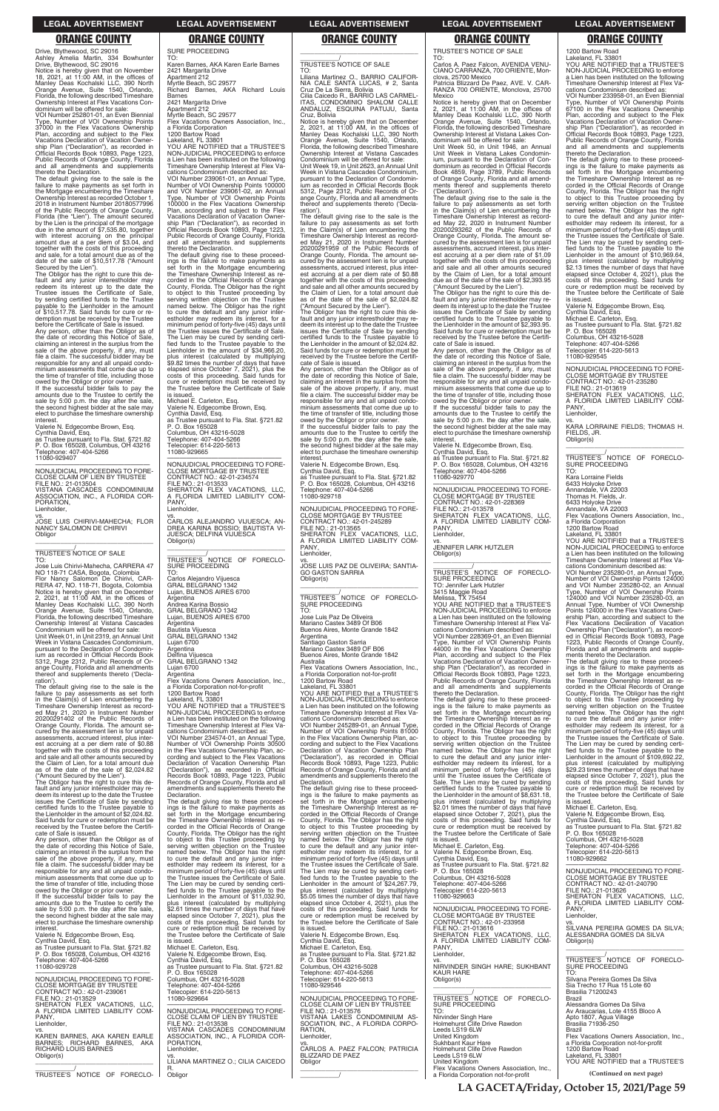Drive, Blythewood, SC 29016 Ashley Amelia Martin, 334 Bowhunter<br>Drive, Blythewood, SC 29016<br>Notice is hereby given that on November<br>18, 2021, at 11:00 AM, in the offices of<br>Manley Deas Kochalski LLC, 390 North<br>Orange Avenue, Suite 1540, Orlando, Florida, the following described Timeshare Ownership Interest at Flex Vacations Con-dominium will be offered for sale:

VOI Number 252801-01, an Even Biennial Type, Number of VOI Ownership Points 37000 in the Flex Vacations Ownership Plan, according and subject to the Flex Vacations Declaration of Vacation Owner-ship Plan ("Declaration"), as recorded in Official Records Book 10893, Page 1223, Public Records of Orange County, Florida and all amendments and supplements thereto the Declaration.

The default giving rise to the sale is the failure to make payments as set forth in the Mortgage encumbering the Timeshare Ownership Interest as recorded October 1, 2018 in Instrument Number 20180577996 of the Public Records of Orange County, Florida (the "Lien"). The amount secured by the Lien is the principal of the mortgage due in the amount of \$7,535.80, together with interest accruing on the principal amount due at a per diem of \$3.04, and together with the costs of this proceeding and sale, for a total amount due as of the date of the sale of \$10,517.78 ("Amount

—————————————————— NONJUDICIAL PROCEEDING TO FORE-CLOSE CLAIM OF LIEN BY TRUSTEE FILE NO.: 21-013504 VISTANA CASCADES CONDOMINIUM ASSOCIATION, INC., A FLORIDA COR-PORATION, Lienholder,

Secured by the Lien"). The Obligor has the right to cure this de-fault and any junior interestholder may redeem its interest up to the date the Trustee issues the Certificate of Sale, by sending certified funds to the Trustee payable to the Lienholder in the amount of \$10,517.78. Said funds for cure or re-demption must be received by the Trustee before the Certificate of Sale is issued.

pursuant to the Declaration of Condomin-ium as recorded in Official Records Book 5312, Page 2312, Public Records of Orange County, Florida and all amendments<br>thereof and supplements thereto ('Declareof and supplements thereto ('Declaration')

Any person, other than the Obligor as of the date of recording this Notice of Sale, claiming an interest in the surplus from the sale of the above property, if any, must file a claim. The successful bidder may be responsible for any and all unpaid condo-minium assessments that come due up to the time of transfer of title, including those

owed by the Obligor or prior owner. If the successful bidder fails to pay the amounts due to the Trustee to certify the sale by 5:00 p.m. the day after the sale, the second highest bidder at the sale may elect to purchase the timeshare ownership interest.

The Obligor has the right to cure this default and any junior interestholder may re-deem its interest up to the date the Trustee issues the Certificate of Sale by sending certified funds to the Trustee payable to the Lienholder in the amount of \$2,024.82. Said funds for cure or redemption must be

Valerie N. Edgecombe Brown, Esq. Cynthia David, Esq. as Trustee pursuant to Fla. Stat. §721.82 P. O. Box 165028, Columbus, OH 43216 Telephone: 407-404-5266 11080-929407

vs. JOSE LUIS CHIRIVI-MAHECHA; FLOR NANCY SALOMON DE CHIRIVI **Obligor** \_\_\_\_\_\_\_\_\_\_\_\_\_\_\_\_\_\_\_\_\_\_\_\_\_\_\_\_\_\_\_\_\_

\_\_\_\_\_\_\_\_\_\_\_/ TRUSTEE'S NOTICE OF SALE

TO: Jose Luis Chirivi-Mahecha, CARRERA 47 NO 118-71 CASA, Bogota, Colombia<br>Flor Nancy Salomon De Chirivi. CAR-Flor Nancy Salomon De Chirivi, CAR-RERA 47, NO. 118-71, Bogota, Colombia Notice is hereby given that on December<br>2, 2021, at 11:00 AM, in the offices of<br>Manley Deas Kochalski LLC, 390 North<br>Orange Avenue, Suite 1540, Orlando,<br>Florida, the following described Timeshare<br>Ownership Interest at Vist Condominium will be offered for sale: Unit Week 01, in Unit 2319, an Annual Unit Week in Vistana Cascades Condominium,

The default giving rise to the sale is the failure to pay assessments as set forth in the Claim(s) of Lien encumbering the Timeshare Ownership Interest as recorded May 21, 2020<br>ed May 21, 2020 in Instrument Number<br>20200291402 of the Public Records of<br>Orange County, Florida. The amount se-<br>cured by the assessment lien is for unpaid<br>assessments, est accruing at a per diem rate of \$0.88 together with the costs of this proceeding and sale and all other amounts secured by the Claim of Lien, for a total amount due as of the date of the sale of \$2,024.82 ("Amount Secured by the Lien").

Igualizations Owners Association, Inc., a Florida Corporation not-for-profit 1200 Bartow Road Lakeland, FL 33801

YOU ARE NOTIFIED that a TRUSTEE'S NON-JUDICIAL PROCEEDING to enforce a Lien has been instituted on the following Timeshare Ownership Interest at Flex Vacations Condominium described as: VOI Number 234574-01, an Annual Type, Number of VOI Ownership Points 30500 in the Flex Vacations Ownership Plan, ac-cording and subject to the Flex Vacations

Declaration of Vacation Ownership Plan ("Declaration"), as recorded in Official Records Book 10893, Page 1223, Public Records of Orange County, Florida and all amendments and supplements thereto the Declaration.

SURE PROCEEDING TO: Karen Barnes, AKA Karen Earle Barnes

2421 Margarita Drive Apartment 212 Myrtle Beach, SC 29577 Richard Barnes, AKA Richard Louis Barnes

2421 Margarita Drive

Apartment 212 Myrtle Beach, SC 29577

Flex Vacations Owners Association, Inc., a Florida Corporation 1200 Bartow Road

Lakeland, FL 33801 YOU ARE NOTIFIED that a TRUSTEE'S NON-JUDICIAL PROCEEDING to enforce a Lien has been instituted on the following Timeshare Ownership Interest at Flex Vacations Condominium described as:

VOI Number 239061-01, an Annual Type, Number of VOI Ownership Points 100000 and VOI Number 239061-02, an Annual Type, Number of VOI Ownership Points 100000 in the Flex Vacations Ownership Plan, according and subject to the Flex Vacations Declaration of Vacation Owner-ship Plan ("Declaration"), as recorded in Official Records Book 10893, Page 1223, Public Records of Orange County, Florida and all amendments and supplements thereto the Declaration.

> —————————————————— NONJUDICIAL PROCEEDING TO FORE-CLOSE MORTGAGE BY TRUSTEE CONTRACT NO.: 42-01-245289 FILE NO.: 21-013565 SHERATON FLEX VACATIONS, LLC, A FLORIDA LIMITED LIABILITY COM-PANY, **Lienholder**

\_\_\_\_\_\_\_\_\_\_\_\_\_\_\_\_\_\_\_\_\_\_\_\_\_\_\_\_\_\_\_\_\_ \_\_\_\_\_\_\_\_\_\_\_/ TRUSTEE'S NOTICE OF FORECLO-SURE PROCEEDING

TO: Jose Luis Paz De Oliveira Mariano Castex 3489 Of B06

The default giving rise to these proceed-ings is the failure to make payments as set forth in the Mortgage encumbering the Timeshare Ownership Interest as re-corded in the Official Records of Orange County, Florida. The Obligor has the right to object to this Trustee proceeding by serving written objection on the Trustee named below. The Obligor has the right to cure the default and any junior inter-estholder may redeem its interest, for a minimum period of forty-five (45) days until the Trustee issues the Certificate of Sale. The Lien may be cured by sending certified funds to the Trustee payable to the Lienholder in the amount of \$34,966.20, plus interest (calculated by multiplying \$9.82 times the number of days that have elapsed since October 7, 2021), plus the costs of this proceeding. Said funds for cure or redemption must be received by the Trustee before the Certificate of Sale

is issued. Michael E. Carleton, Esq. Valerie N. Edgecombe Brown, Esq. Cynthia David, Esq. as Trustee pursuant to Fla. Stat. §721.82 P. O. Box 165028

Columbus, OH 43216-5028 Telephone: 407-404-5266 Telecopier: 614-220-5613 11080-929665

—————————————————— NONJUDICIAL PROCEEDING TO FORE-CLOSE MORTGAGE BY TRUSTEE CONTRACT NO.: 42-01-234574 FILE NO.: 21-013533 SHERATON FLEX VACATIONS, LLC, A FLORIDA LIMITED LIABILITY COM-PANY, Lienholder,

vs. CARLOS ALEJANDRO VIJUESCA; AN-DREA KARINA BOSSIO; BAUTISTA VI-JUESCA; DELFINA VIJUESCA Obligor(s)

\_\_\_\_\_\_\_\_\_\_\_\_\_\_\_\_\_\_\_\_\_\_\_\_\_\_\_\_\_\_\_\_\_ \_\_\_\_\_\_\_\_\_\_\_/ TRUSTEE'S NOTICE OF FORECLO-SURE PROCEEDING TO:

Carlos Alejandro Vijuesca GRAL BELGRANO 1342

Lujan, BUENOS AIRES 6700

Argentina Andrea Karina Bossio GRAL BELGRANO 1342

Lujan, BUENOS AIRES 6700 Argentina

Bautista Vijuesca GRAL BELGRANO 1342

Lujan 6700

Argentina Delfina Vijuesca GRAL BELGRANO 1342

Lujan 6700 Argentina

The default giving rise to these proceed-ings is the failure to make payments as set forth in the Mortgage encumbering the Timeshare Ownership Interest as re-

 $\overline{\phantom{a}}$  , and the set of the set of the set of the set of the set of the set of the set of the set of the set of the set of the set of the set of the set of the set of the set of the set of the set of the set of the s

\_\_\_\_\_\_\_\_\_\_\_/ TRUSTEE'S NOTICE OF SALE

TO: Liliana Martinez O., BARRIO CALIFOR-NIA CALE SANTA LUCAS, # 2, Santa Cruz De La Sierra, Bolivia Cilia Caicedo R., BARRIO LAS CARMEL-ITAS, CONDOMINIO SHALOM CALLE ANDALUZ, ESQUINA PATUJU, Santa Cruz, Bolivia

Notice is hereby given that on December 2, 2021, at 11:00 AM, in the offices of Manley Deas Kochalski LLC, 390 North Orange Avenue, Suite 1540, Orlando, Florida, the following described Timeshare Ownership Interest at Vistana Cascades Condominium will be offered for sale: Unit Week 19, in Unit 2623, an Annual Unit Week in Vistana Cascades Condominium, pursuant to the Declaration of Condominium as recorded in Official Records Book

5312, Page 2312, Public Records of Orange County, Florida and all amendments thereof and supplements thereto ('Declaration').

> PANY Lienholder,

The default giving rise to the sale is the failure to pay assessments as set forth in the Claim(s) of Lien encumbering the Timeshare Ownership Interest as record-<br>ed May 21, 2020 in Instrument Number 20200291959 of the Public Records of Orange County, Florida. The amount se-cured by the assessment lien is for unpaid assessments, accrued interest, plus interest accruing at a per diem rate of \$0.88 together with the costs of this proceeding and sale and all other amounts secured by the Claim of Lien, for a total amount due as of the date of the sale of \$2,024.82

("Amount Secured by the Lien"). The Obligor has the right to cure this de-fault and any junior interestholder may redeem its interest up to the date the Trustee issues the Certificate of Sale by sending certified funds to the Trustee payable to the Lienholder in the amount of \$2,024.82. Said funds for cure or redemption must be received by the Trustee before the Certificate of Sale is issued.

Any person, other than the Obligor as of the date of recording this Notice of Sale, claiming an interest in the surplus from the sale of the above property, if any, must file a claim. The successful bidder may be responsible for any and all unpaid condominium assessments that come due up to the time of transfer of title, including those

owed by the Obligor or prior owner. If the successful bidder fails to pay the amounts due to the Trustee to certify the sale by 5:00 p.m. the day after the sale, the second highest bidder at the sale may elect to purchase the timeshare ownership interest.

| certified funds to the Trustee payable to<br>the Lienholder in the amount of \$2,024.82.<br>Said funds for cure or redemption must be<br>received by the Trustee before the Certifi-<br>cate of Sale is issued.<br>Any person, other than the Obligor as of<br>the date of recording this Notice of Sale,<br>claiming an interest in the surplus from the<br>sale of the above property, if any, must<br>file a claim. The successful bidder may be | ings is the failure to make payments as<br>set forth in the Mortgage encumbering<br>the Timeshare Ownership Interest as re-<br>corded in the Official Records of Orange<br>County, Florida. The Obligor has the right<br>to object to this Trustee proceeding by<br>serving written objection on the Trustee<br>named below. The Obligor has the right<br>to cure the default and any junior inter-<br>estholder may redeem its interest, for a | the Timeshare Ownership Interest as re-<br>corded in the Official Records of Orange<br>County, Florida. The Obligor has the right<br>to object to this Trustee proceeding by<br>serving written objection on the Trustee<br>named below. The Obligor has the right<br>to cure the default and any junior inter-<br>estholder may redeem its interest, for a<br>minimum period of forty-five (45) days until<br>the Trustee issues the Certificate of Sale. | \$2.01 times the number of days that have<br>elapsed since October 7, 2021), plus the<br>costs of this proceeding. Said funds for<br>cure or redemption must be received by<br>the Trustee before the Certificate of Sale<br>is issued.<br>Michael E. Carleton, Esq.<br>Valerie N. Edgecombe Brown, Esq.<br>Cynthia David, Esq.<br>as Trustee pursuant to Fla. Stat. §721.82 | Michael E. Carleton, Esg.<br>Valerie N. Edgecombe Brown, Esg.<br>Cynthia David, Esq.<br>as Trustee pursuant to Fla. Stat. §721.82<br>P. O. Box 165028<br>Columbus, OH 43216-5028<br>Telephone: 407-404-5266<br>Telecopier: 614-220-5613<br>11080-929662 |
|-----------------------------------------------------------------------------------------------------------------------------------------------------------------------------------------------------------------------------------------------------------------------------------------------------------------------------------------------------------------------------------------------------------------------------------------------------|-------------------------------------------------------------------------------------------------------------------------------------------------------------------------------------------------------------------------------------------------------------------------------------------------------------------------------------------------------------------------------------------------------------------------------------------------|------------------------------------------------------------------------------------------------------------------------------------------------------------------------------------------------------------------------------------------------------------------------------------------------------------------------------------------------------------------------------------------------------------------------------------------------------------|------------------------------------------------------------------------------------------------------------------------------------------------------------------------------------------------------------------------------------------------------------------------------------------------------------------------------------------------------------------------------|---------------------------------------------------------------------------------------------------------------------------------------------------------------------------------------------------------------------------------------------------------|
| responsible for any and all unpaid condo-<br>minium assessments that come due up to<br>the time of transfer of title, including those<br>owed by the Obligor or prior owner.<br>If the successful bidder fails to pay the<br>amounts due to the Trustee to certify the<br>sale by 5:00 p.m. the day after the sale,                                                                                                                                 | minimum period of forty-five (45) days until<br>the Trustee issues the Certificate of Sale.<br>The Lien may be cured by sending certi-<br>fied funds to the Trustee payable to the<br>Lienholder in the amount of \$11,032.90,<br>plus interest (calculated by multiplying<br>\$2.61 times the number of days that have                                                                                                                         | The Lien may be cured by sending certi-<br>fied funds to the Trustee payable to the<br>Lienholder in the amount of \$24,267.79,<br>plus interest (calculated by multiplying<br>\$5.05 times the number of days that have<br>elapsed since October 4, 2021), plus the<br>costs of this proceeding. Said funds for                                                                                                                                           | P. O. Box 165028<br>Columbus, OH 43216-5028<br>Telephone: 407-404-5266<br>Telecopier: 614-220-5613<br>11080-929663<br>NONJUDICIAL PROCEEDING TO FORE-                                                                                                                                                                                                                        | NONJUDICIAL PROCEEDING TO FORE-<br><b>CLOSE MORTGAGE BY TRUSTEE</b><br>CONTRACT NO.: 42-01-240790<br>FILE NO.: 21-013626<br>SHERATON FLEX VACATIONS, LLC,<br>A FLORIDA LIMITED LIABILITY COM-<br>PANY.                                                  |
| the second highest bidder at the sale may<br>elect to purchase the timeshare ownership<br>interest.<br>Valerie N. Edgecombe Brown, Esq.<br>Cynthia David, Esq.<br>as Trustee pursuant to Fla. Stat. §721.82<br>P. O. Box 165028, Columbus, OH 43216                                                                                                                                                                                                 | elapsed since October 7, 2021), plus the<br>costs of this proceeding. Said funds for<br>cure or redemption must be received by<br>the Trustee before the Certificate of Sale<br>is issued.<br>Michael E. Carleton, Esg.<br>Valerie N. Edgecombe Brown, Esg.                                                                                                                                                                                     | cure or redemption must be received by<br>the Trustee before the Certificate of Sale<br>is issued.<br>Valerie N. Edgecombe Brown, Esq.<br>Cynthia David, Esq.<br>Michael E. Carleton, Esq.<br>as Trustee pursuant to Fla. Stat. §721.82                                                                                                                                                                                                                    | <b>CLOSE MORTGAGE BY TRUSTEE</b><br>CONTRACT NO.: 42-01-233958<br>FILE NO.: 21-013616<br>SHERATON FLEX VACATIONS, LLC,<br>A FLORIDA LIMITED LIABILITY COM-<br>PANY.<br>Lienholder.                                                                                                                                                                                           | Lienholder.<br>VS.<br>SILVANA PEREIRA GOMES DA SILVA:<br>ALESSANDRA GOMES DA SILVA<br>Obligor(s)                                                                                                                                                        |
| Telephone: 407-404-5266<br>11080-929728<br>NONJUDICIAL PROCEEDING TO FORE-<br><b>CLOSE MORTGAGE BY TRUSTEE</b><br>CONTRACT NO.: 42-01-239061<br>FILE NO.: 21-013529                                                                                                                                                                                                                                                                                 | Cynthia David, Esq.<br>as Trustee pursuant to Fla. Stat. §721.82<br>P. O. Box 165028<br>Columbus, OH 43216-5028<br>Telephone: 407-404-5266<br>Telecopier: 614-220-5613<br>11080-929664                                                                                                                                                                                                                                                          | P. O. Box 165028<br>Columbus, OH 43216-5028<br>Telephone: 407-404-5266<br>Telecopier: 614-220-5613<br>11080-929546<br>NONJUDICIAL PROCEEDING TO FORE-                                                                                                                                                                                                                                                                                                      | VS.<br>NIRVINDER SINGH HARE; SUKHBANT<br><b>KAUR HARE</b><br>Obligor(s)<br>TRUSTEE'S NOTICE<br>OF FORECLO-                                                                                                                                                                                                                                                                   | TRUSTEE'S NOTICE OF FORECLO-<br>SURE PROCEEDING<br>TO:<br>Silvana Pereira Gomes Da Silva<br>Sia Trecho 17 Rua 15 Lote 60<br><b>Brasilia 71200243</b><br>Brazil                                                                                          |
| SHERATON FLEX VACATIONS, LLC,<br>A FLORIDA LIMITED LIABILITY COM-<br>PANY.<br>Lienholder,<br>KAREN BARNES, AKA KAREN EARLE<br>BARNES: RICHARD BARNES, AKA                                                                                                                                                                                                                                                                                           | NONJUDICIAL PROCEEDING TO FORE-<br>CLOSE CLAIM OF LIEN BY TRUSTEE<br>FILE NO.: 21-013538<br>VISTANA CASCADES CONDOMINIUM<br>ASSOCIATION, INC., A FLORIDA COR-<br>PORATION.                                                                                                                                                                                                                                                                      | CLOSE CLAIM OF LIEN BY TRUSTEE<br>FILE NO.: 21-013576<br>VISTANA LAKES CONDOMINIUM AS-<br>SOCIATION, INC., A FLORIDA CORPO-<br>RATION.<br>Lienholder.<br>VS.                                                                                                                                                                                                                                                                                               | <b>SURE PROCEEDING</b><br>TO:<br>Nirvinder Singh Hare<br>Holmehurst Clife Drive Rawdon<br>Leeds LS19 6LW<br>United Kingdom<br>Sukhbant Kaur Hare                                                                                                                                                                                                                             | Alessandra Gomes Da Silva<br>Av Araucarias, Lote 4155 Bloco A<br>Apto 1807, Agua Village<br>Brasilia 71936-250<br>Brazil<br>Flex Vacations Owners Association, Inc.,<br>a Florida Corporation not-for-profit                                            |
| RICHARD LOUIS BARNES<br>Obligor(s)<br>TRUSTEE'S NOTICE OF FORECLO-                                                                                                                                                                                                                                                                                                                                                                                  | Lienholder.<br>VS.<br>LILIANA MARTINEZ O.; CILIA CAICEDO<br>Obligor                                                                                                                                                                                                                                                                                                                                                                             | CARLOS A. PAEZ FALCON: PATRICIA<br><b>BLIZZARD DE PAEZ</b><br>Obligor                                                                                                                                                                                                                                                                                                                                                                                      | Holmehurst Clife Drive Rawdon<br>Leeds LS19 6LW<br>United Kingdom<br>Flex Vacations Owners Association, Inc.,<br>a Florida Corporation not-for-profit                                                                                                                                                                                                                        | 1200 Bartow Road<br>Lakeland. FL 33801<br>YOU ARE NOTIFIED that a TRUSTEE'S<br>(Continued on next page)                                                                                                                                                 |

Valerie N. Edgecombe Brown, Esq. Cynthia David, Esq.

as Trustee pursuant to Fla. Stat. §721.82 P. O. Box 165028, Columbus, OH 43216 Telephone: 407-404-5266 11080-929718

vs. JOSE LUIS PAZ DE OLIVEIRA; SANTIA-GO GASTON SARRIA Obligor(s)

Buenos Aires, Monte Grande 1842 Argentina Santiago Gaston Sarria

Mariano Castex 3489 OF B06

Buenos Aires, Monte Grande 1842

Australia Flex Vacations Owners Association, Inc.,

a Florida Corporation not-for-profit 1200 Bartow Road

Lakeland, FL 33801 YOU ARE NOTIFIED that a TRUSTEE'S NON-JUDICIAL PROCEEDING to enforce a Lien has been instituted on the following Timeshare Ownership Interest at Flex Va-cations Condominium described as:

VOI Number 245289-01, an Annual Type, Number of VOI Ownership Points 81000 in the Flex Vacations Ownership Plan, according and subject to the Flex Vacations Declaration of Vacation Ownership Plan ("Declaration"), as recorded in Official Records Book 10893, Page 1223, Public Records of Orange County, Florida and all amendments and supplements thereto the Declaration.

The default giving rise to these proceed-ings is the failure to make payments as set forth in the Mortgage encumbering the Timeshare Ownership Interest as re-corded in the Official Records of Orange County, Florida. The Obligor has the right TRUSTEE'S NOTICE OF SALE

TO:

Carlos A. Paez Falcon, AVENIDA VENU-CIANO CARRANZA, 700 ORIENTE, Monclova, 25700 Mexico Patricia Blizzard De Paez, AVE. V. CAR-RANZA 700 ORIENTE, Monclova, 25700

Mexico

Notice is hereby given that on December 2, 2021, at 11:00 AM, in the offices of Manley Deas Kochalski LLC, 390 North Orange Avenue, Suite 1540, Orlando, Florida, the following described Timeshare Ownership Interest at Vistana Lakes Condominium will be offered for sale: Unit Week 50, in Unit 1946, an Annual Unit Week in Vistana Lakes Condominium, pursuant to the Declaration of Con-dominium as recorded in Official Records Book 4859, Page 3789, Public Records of Orange County, Florida and all amend-ments thereof and supplements thereto

('Declaration').

The default giving rise to the sale is the failure to pay assessments as set forth in the Claim(s) of Lien encumbering the Timeshare Ownership Interest as record-ed May 22, 2020 in Instrument Number 20200293262 of the Public Records of Orange County, Florida. The amount se-cured by the assessment lien is for unpaid assessments, accrued interest, plus interest accruing at a per diem rate of \$1.09 together with the costs of this proceeding and sale and all other amounts secured by the Claim of Lien, for a total amount due as of the date of the sale of \$2,393.95 ("Amount Secured by the Lien"). The Obligor has the right to cure this de-fault and any junior interestholder may redeem its interest up to the date the Trustee issues the Certificate of Sale by sending certified funds to the Trustee payable to the Lienholder in the amount of \$2,393.95. Said funds for cure or redemption must be received by the Trustee before the Certifi-

cate of Sale is issued.

Any person, other than the Obligor as of the date of recording this Notice of Sale, claiming an interest in the surplus from the sale of the above property, if any, must file a claim. The successful bidder may be responsible for any and all unpaid condominium assessments that come due up to the time of transfer of title, including those owed by the Obligor or prior owner. If the successful bidder fails to pay the amounts due to the Trustee to certify the sale by 5:00 p.m. the day after the sale, the second highest bidder at the sale may elect to purchase the timeshare ownership

interest.

Valerie N. Edgecombe Brown, Esq. Cynthia David, Esq. as Trustee pursuant to Fla. Stat. §721.82 P. O. Box 165028, Columbus, OH 43216 Telephone: 407-404-5266 11080-929770

—————————————————— NONJUDICIAL PROCEEDING TO FORE-CLOSE MORTGAGE BY TRUSTEE CONTRACT NO.: 42-01-228369<br>FILE NO.: 21-013578<br>SHERATON FLEX VACATIONS, LLC,<br>A FLORIDA LIMITED LIABILITY COM-PANY, Lienholder,

vs. JENNIFER LARK HUTZLER Obligor(s) \_\_\_\_\_\_\_\_\_\_\_\_\_\_\_\_\_\_\_\_\_\_\_\_\_\_\_\_\_\_\_\_\_

\_\_\_\_\_\_\_\_\_\_\_/ TRUSTEE'S NOTICE OF FORECLO-SURE PROCEEDING TO: Jennifer Lark Hutzler

3415 Maggie Road Melissa, TX 75454 YOU ARE NOTIFIED that a TRUSTEE'S NON-JUDICIAL PROCEEDING to enforce a Lien has been instituted on the following Timeshare Ownership Interest at Flex Va-

cations Condominium described as: VOI Number 228369-01, an Even Biennial Type, Number of VOI Ownership Points 44000 in the Flex Vacations Ownership Plan, according and subject to the Flex Vacations Declaration of Vacation Ownership Plan ("Declaration"), as recorded in Official Records Book 10893, Page 1223, Public Records of Orange County, Florida

and all amendments and supplements thereto the Declaration. The default giving rise to these proceed-

ings is the failure to make payments as set forth in the Mortgage encumbering the Timeshare Ownership Interest as recorded in the Official Records of Orange County, Florida. The Obligor has the right to object to this Trustee proceeding by serving written objection on the Trustee named below. The Obligor has the right to cure the default and any junior interestholder may redeem its interest, for a minimum period of forty-five (45) days until the Trustee issues the Certificate of Sale. The Lien may be cured by sending certified funds to the Trustee payable to the Lienholder in the amount of \$8,631.18, plus interest (calculated by multiplying \$2.01 times the number of days that have elapsed since October 7, 2021), plus the costs of this proceeding. Said funds for 1200 Bartow Road

Lakeland, FL 33801 YOU ARE NOTIFIED that a TRUSTEE'S NON-JUDICIAL PROCEEDING to enforce a Lien has been instituted on the following Timeshare Ownership Interest at Flex Va-cations Condominium described as:

VOI Number 233958-01, an Even Biennial Type, Number of VOI Ownership Points 67100 in the Flex Vacations Ownership Plan, according and subject to the Flex Vacations Declaration of Vacation Owner-ship Plan ("Declaration"), as recorded in Official Records Book 10893, Page 1223, Public Records of Orange County, Florida and all amendments and supplements thereto the Declaration.

The default giving rise to these proceed-ings is the failure to make payments as set forth in the Mortgage encumbering the Timeshare Ownership Interest as re-corded in the Official Records of Orange County, Florida. The Obligor has the right to object to this Trustee proceeding by serving written objection on the Trustee named below. The Obligor has the right to cure the default and any junior inter-estholder may redeem its interest, for a minimum period of forty-five (45) days until the Trustee issues the Certificate of Sale. The Lien may be cured by sending certified funds to the Trustee payable to the Lienholder in the amount of \$10,969.64, plus interest (calculated by multiplying \$2.13 times the number of days that have elapsed since October 4, 2021), plus the costs of this proceeding. Said funds for cure or redemption must be received by the Trustee before the Certificate of Sale

is issued. Valerie N. Edgecombe Brown, Esq. Cynthia David, Esq. Michael E. Carleton, Esq.

as Trustee pursuant to Fla. Stat. §721.82 P. O. Box 165028

Columbus, OH 43216-5028 Telephone: 407-404-5266 Telecopier: 614-220-5613 11080-929545

—————————————————— NONJUDICIAL PROCEEDING TO FORE-CLOSE MORTGAGE BY TRUSTEE CONTRACT NO.: 42-01-235280 FILE NO.: 21-013619 SHERATON FLEX VACATIONS, LLC, A FLORIDA LIMITED LIABILITY COM-

vs. KARA LORRAINE FIELDS; THOMAS H. FIELDS, JR. Obligor(s)

\_\_\_\_\_\_\_\_\_\_\_\_\_\_\_\_\_\_\_\_\_\_\_\_\_\_\_\_\_\_\_\_\_ \_\_\_\_\_\_\_\_\_\_\_/ TRUSTEE'S NOTICE OF FORECLO-SURE PROCEEDING TO:

Kara Lorraine Fields

6433 Holyoke Drive Annandale, VA 22003 Thomas H. Fields, Jr.

6433 Holyoke Drive Annandale, VA 22003

Flex Vacations Owners Association, Inc.,

a Florida Corporation 1200 Bartow Road Lakeland, FL 33801

YOU ARE NOTIFIED that a TRUSTEE'S NON-JUDICIAL PROCEEDING to enforce a Lien has been instituted on the following Timeshare Ownership Interest at Flex Va-cations Condominium described as:

VOI Number 235280-01, an Annual Type, Number of VOI Ownership Points 124000 and VOI Number 235280-02, an Annual

Type, Number of VOI Ownership Points 124000 and VOI Number 235280-03, an Annual Type, Number of VOI Ownership Points 124000 in the Flex Vacations Own-

ership Plan, according and subject to the Flex Vacations Declaration of Vacation Ownership Plan ("Declaration"), as recorded in Official Records Book 10893, Page 1223, Public Records of Orange County, Florida and all amendments and supplements thereto the Declaration. The default giving rise to these proceedings is the failure to make payments as set forth in the Mortgage encumbering the Timeshare Ownership Interest as recorded in the Official Records of Orange County, Florida. The Obligor has the right to object to this Trustee proceeding by serving written objection on the Trustee named below. The Obligor has the right to cure the default and any junior inter-

estholder may redeem its interest, for a minimum period of forty-five (45) days until the Trustee issues the Certificate of Sale. The Lien may be cured by sending certified funds to the Trustee payable to the<br>Lienholder in the amount of \$109,692.22, plus interest (calculated by multiplying \$29.23 times the number of days that have elapsed since October 7, 2021), plus the

costs of this proceeding. Said funds for cure or redemption must be received by the Trustee before the Certificate of Sale

is issued.

### **LEGAL ADVERTISEMENT LEGAL ADVERTISEMENT LEGAL ADVERTISEMENT LEGAL ADVERTISEMENT LEGAL ADVERTISEMENT**

# **ORANGE COUNTY ORANGE COUNTY ORANGE COUNTY ORANGE COUNTY ORANGE COUNTY**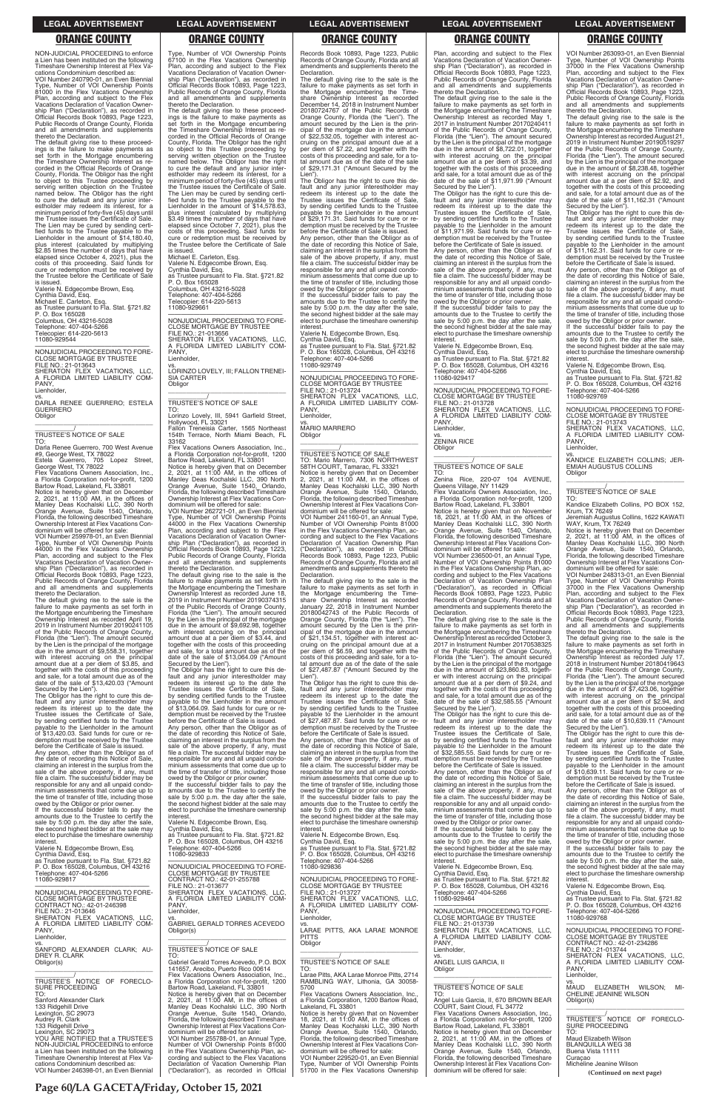**Page 60/LA GACETA/Friday, October 15, 2021**

NON-JUDICIAL PROCEEDING to enforce a Lien has been instituted on the following Timeshare Ownership Interest at Flex Vacations Condominium described as:

VOI Number 240790-01, an Even Biennial Type, Number of VOI Ownership Points 81000 in the Flex Vacations Ownership Plan, according and subject to the Flex Vacations Declaration of Vacation Ownership Plan ("Declaration"), as recorded in Official Records Book 10893, Page 1223, Public Records of Orange County, Florida and all amendments and supplements thereto the Declaration.

vs. DARLA RENEE GUERRERO; ESTELA GUERRERO **Obligor** 

The default giving rise to these proceed-ings is the failure to make payments as set forth in the Mortgage encumbering the Timeshare Ownership Interest as recorded in the Official Records of Orange County, Florida. The Obligor has the right to object to this Trustee proceeding by serving written objection on the Trustee named below. The Obligor has the right to cure the default and any junior inter-estholder may redeem its interest, for a minimum period of forty-five (45) days until the Trustee issues the Certificate of Sale. The Lien may be cured by sending certi-fied funds to the Trustee payable to the Lienholder in the amount of \$14,180.40, plus interest (calculated by multiplying \$2.85 times the number of days that have elapsed since October 4, 2021), plus the costs of this proceeding. Said funds for cure or redemption must be received by the Trustee before the Certificate of Sale is issued.

Flex Vacations Owners Association, Inc. a Florida Corporation not-for-profit, 1200 Bartow Road, Lakeland, FL 33801

Notice is hereby given that on December<br>2, 2021, at 11:00 AM, in the offices of<br>Manley Deas Kochalski LLC, 390 North<br>Orange Avenue, Suite 1540, Orlando,<br>Florida, the following described Timeshare Ownership Interest at Flex Vacations Con-

Valerie N. Edgecombe Brown, Esq.

Cynthia David, Esq. Michael E. Carleton, Esq. as Trustee pursuant to Fla. Stat. §721.82 P. O. Box 165028 Columbus, OH 43216-5028 Telephone: 407-404-5266

Telecopier: 614-220-5613 11080-929544

—————————————————— NONJUDICIAL PROCEEDING TO FORE-CLOSE MORTGAGE BY TRUSTEE FILE NO.: 21-013643 SHERATON FLEX VACATIONS, LLC, A FLORIDA LIMITED LIABILITY COM-PANY, Lienholder,

\_\_\_\_\_\_\_\_\_\_\_\_\_\_\_\_\_\_\_\_\_\_\_\_\_\_\_\_\_\_\_\_\_

\_\_\_\_\_\_\_\_\_\_\_/ TRUSTEE'S NOTICE OF SALE

TO: Darla Renee Guerrero, 700 West Avenue #9, George West, TX 78022 Estela Guerrero, 705 Lopez Street, George West, TX 78022

dominium will be offered for sale: VOI Number 259978-01, an Even Biennial Type, Number of VOI Ownership Points 44000 in the Flex Vacations Ownership Plan, according and subject to the Flex Vacations Declaration of Vacation Ownership Plan ("Declaration"), as recorded in Official Records Book 10893, Page 1223, Public Records of Orange County, Florida and all amendments and supplements thereto the Declaration.

The default giving rise to the sale is the failure to make payments as set forth in the Mortgage encumbering the Timeshare Ownership Interest as recorded April 19, 2019 in Instrument Number 20190241105 of the Public Records of Orange County, Florida (the "Lien"). The amount secured by the Lien is the principal of the mortgage due in the amount of \$9,558.31, together with interest accruing on the principal amount due at a per diem of \$3.85, and together with the costs of this proceeding and sale, for a total amount due as of the date of the sale of \$13,420.03 ("Amount

11080-929661 —————————————————— NONJUDICIAL PROCEEDING TO FORE-CLOSE MORTGAGE BY TRUSTEE FILE NO.: 21-013656<br>SHERATON FLEX VACATIONS LLC SHERATON FLEX VACATIONS, LLC,<br>A FLORIDA LIMITED LIABILITY COM-<br>PANY,

 $\overline{\phantom{a}}$  ,  $\overline{\phantom{a}}$  ,  $\overline{\phantom{a}}$  ,  $\overline{\phantom{a}}$  ,  $\overline{\phantom{a}}$  ,  $\overline{\phantom{a}}$  ,  $\overline{\phantom{a}}$  ,  $\overline{\phantom{a}}$  ,  $\overline{\phantom{a}}$  ,  $\overline{\phantom{a}}$  ,  $\overline{\phantom{a}}$  ,  $\overline{\phantom{a}}$  ,  $\overline{\phantom{a}}$  ,  $\overline{\phantom{a}}$  ,  $\overline{\phantom{a}}$  ,  $\overline{\phantom{a}}$ \_\_\_\_\_\_\_\_\_\_\_/ TRUSTEE'S NOTICE OF SALE

Secured by the Lien"). The Obligor has the right to cure this de-fault and any junior interestholder may redeem its interest up to the date the Trustee issues the Certificate of Sale, by sending certified funds to the Trustee payable to the Lienholder in the amount of \$13,420.03. Said funds for cure or redemption must be received by the Trustee

before the Certificate of Sale is issued. Any person, other than the Obligor as of the date of recording this Notice of Sale, claiming an interest in the surplus from the sale of the above property, if any, must file a claim. The successful bidder may be responsible for any and all unpaid condominium assessments that come due up to the time of transfer of title, including those

owed by the Obligor or prior owner. If the successful bidder fails to pay the amounts due to the Trustee to certify the

Type, Number of VOI Ownership Points 67100 in the Flex Vacations Ownership Plan, according and subject to the Flex Vacations Declaration of Vacation Ownership Plan ("Declaration"), as recorded in Official Records Book 10893, Page 1223, Public Records of Orange County, Florida and all amendments and supplements thereto the Declaration.

The default giving rise to these proceedings is the failure to make payments as set forth in the Mortgage encumbering the Timeshare Ownership Interest as re-corded in the Official Records of Orange County, Florida. The Obligor has the right to object to this Trustee proceeding by serving written objection on the Trustee named below. The Obligor has the right to cure the default and any junior inter-estholder may redeem its interest, for a minimum period of forty-five (45) days until the Trustee issues the Certificate of Sale. The Lien may be cured by sending certified funds to the Trustee payable to the Lienholder in the amount of \$14,578.63, plus interest (calculated by multiplying \$3.49 times the number of days that have elapsed since October 7, 2021), plus the costs of this proceeding. Said funds for cure or redemption must be received by the Trustee before the Certificate of Sale

Any person, other than the Obligor as of<br>the date of recording this Notice of Sale. date of recording this Notice of Sale, claiming an interest in the surplus from the sale of the above property, if any, must file a claim. The successful bidder may be responsible for any and all unpaid condominium assessments that come due up to the time of transfer of title, including those owed by the Obligor or prior owner.

—————————————————— NONJUDICIAL PROCEEDING TO FORE-CLOSE MORTGAGE BY TRUSTEE FILE NO.: 21-013724 SHERATON FLEX VACATIONS, LLC, FLORIDA LIMITED LIABILITY COM-**PANY** Lienholder

vs. MARIO MARRERO **Obligor** 

is issued. Michael E. Carleton, Esq.

Valerie N. Edgecombe Brown, Esq. Cynthia David, Esq. as Trustee pursuant to Fla. Stat. §721.82 P. O. Box 165028 Columbus, OH 43216-5028 Telephone: 407-404-5266 Telecopier: 614-220-5613

Lienholder,

vs. LORINZO LOVELY, III; FALLON TRENEI-SIA CARTER Obligor

> The Obligor has the right to cure this default and any junior interestholder may redeem its interest up to the date the Trustee issues the Certificate of Sale, by sending certified funds to the Trustee payable to the Lienholder in the amount of \$27,487.87. Said funds for cure or redemption must be received by the Trustee before the Certificate of Sale is issued. Any person, other than the Obligor as of the date of recording this Notice of Sale, claiming an interest in the surplus from the sale of the above property, if any, must file a claim. The successful bidder may be responsible for any and all unpaid condominium assessments that come due up to the time of transfer of title, including those

TO: Lorinzo Lovely, III, 5941 Garfield Street, Hollywood, FL 33021 Fallon Treneisia Carter, 1565 Northeast 154th Terrace, North Miami Beach, FL

33162 Flex Vacations Owners Association, Inc. a Florida Corporation not-for-profit, 1200 Bartow Road, Lakeland, FL 33801

Notice is hereby given that on December 2, 2021, at 11:00 AM, in the offices of Manley Deas Kochalski LLC, 390 North<br>Orange Avenue, Suite 1540, Orlando,<br>Florida, the following described Timeshare<br>Ownership Interest at Flex Vacations Condominium will be offered for sale:

VOI Number 262721-01, an Even Biennial Type, Number of VOI Ownership Points 44000 in the Flex Vacations Ownership Plan, according and subject to the Flex Vacations Declaration of Vacation Ownership Plan ("Declaration"), as recorded in Official Records Book 10893, Page 1223, Public Records of Orange County, Florida and all amendments and supplements thereto the Declaration.

The default giving rise to the sale is the failure to make payments as set forth in the Mortgage encumbering the Timeshare Ownership Interest as recorded June 18, 2019 in Instrument Number 20190374315 of the Public Records of Orange County, Florida (the "Lien"). The amount secured by the Lien is the principal of the mortgage due in the amount of \$9,692.98, together with interest accruing on the principal amount due at a per diem of \$3.44, and together with the costs of this proceeding and sale, for a total amount due as of the date of the sale of \$13,064.09 ("Amount Secured by the Lien"). The Obligor has the right to cure this de-

fault and any junior interestholder may redeem its interest up to the date the Trustee issues the Certificate of Sale, by sending certified funds to the Trustee payable to the Lienholder in the amount of \$13,064.09. Said funds for cure or redemption must be received by the Trustee before the Certificate of Sale is issued. Any person, other than the Obligor as of

owed by the Obligor or prior owner. If the successful bidder fails to pay the amounts due to the Trustee to certify the sale by 5:00 p.m. the day after the sale, the second highest bidder at the sale may elect to purchase the timeshare ownership<br>interest

the date of recording this Notice of Sale, claiming an interest in the surplus from the sale of the above property, if any, must file a claim. The successful bidder may be responsible for any and all unpaid condominium assessments that come due up to the time of transfer of title, including those

vs. ZENINA RICE **Obligor** 

owed by the Obligor or prior owner. If the successful bidder fails to pay the amounts due to the Trustee to certify the sale by 5:00 p.m. the day after the sale the second highest bidder at the sale may elect to purchase the timeshare ownership

Records Book 10893, Page 1223, Public Records of Orange County, Florida and all amendments and supplements thereto the Declaration.

The default giving rise to the sale is the failure to make payments as set forth in the Mortgage encumbering the Timeshare Ownership Interest as recorded December 14, 2018 in Instrument Number 20180724767 of the Public Records of Orange County, Florida (the "Lien"). The amount secured by the Lien is the principal of the mortgage due in the amount of \$22,532.05, together with interest accruing on the principal amount due at a per diem of \$7.22, and together with the costs of this proceeding and sale, for a to-tal amount due as of the date of the sale of \$29,171.31 ("Amount Secured by the

Lien"). The Obligor has the right to cure this de-fault and any junior interestholder may redeem its interest up to the date the Trustee issues the Certificate of Sale, by sending certified funds to the Trustee payable to the Lienholder in the amount of \$29,171.31. Said funds for cure or redemption must be received by the Trustee before the Certificate of Sale is issued.

> —————————————————— NONJUDICIAL PROCEEDING TO FORE-CLOSE MORTGAGE BY TRUSTER

Jeremiah Augustus Collins, 1622 KAWATI<br>WAY, Krum, TX 76249<br>Notice is hereby given that on December<br>2, 2021, at 11:00 AM, in the offices of<br>Manley Deas Kochalski LLC, 390 North<br>Orange Avenue, Suite 1540, Orlando,<br>Florida, t Ownership Interest at Flex Vacations Condominium will be offered for sale:

If the successful bidder fails to pay the amounts due to the Trustee to certify the sale by 5:00 p.m. the day after the sale, the second highest bidder at the sale may elect to purchase the timeshare ownership

interest. Valerie N. Edgecombe Brown, Esq. Cynthia David, Esq. as Trustee pursuant to Fla. Stat. §721.82 P. O. Box 165028, Columbus, OH 43216 Telephone: 407-404-5266 11080-929749

\_\_\_\_\_\_\_\_\_\_\_\_\_\_\_\_\_\_\_\_\_\_\_\_\_\_\_\_\_\_\_\_\_

# \_\_\_\_\_\_\_\_\_\_\_/ TRUSTEE'S NOTICE OF SALE

TO: Mario Marrero, 7306 NORTHWEST 58TH COURT, Tamarac, FL 33321 Notice is hereby given that on December 2, 2021, at 11:00 AM, in the offices of Manley Deas Kochalski LLC, 390 North Orange Avenue, Suite 1540, Orlando, Florida, the following described Timeshare Ownership Interest at Flex Vacations Condominium will be offered for sale:

VOI Number 241160-01, an Annual Type, Number of VOI Ownership Points 81000 in the Flex Vacations Ownership Plan, according and subject to the Flex Vacations Declaration of Vacation Ownership Plan ("Declaration"), as recorded in Official Records Book 10893, Page 1223, Public Records of Orange County, Florida and all amendments and supplements thereto the Declaration.

The default giving rise to the sale is the failure to make payments as set forth in the Mortgage encumbering the Timeshare Ownership Interest as recorded January 22, 2018 in Instrument Number 20180042743 of the Public Records of Orange County, Florida (the "Lien"). The amount secured by the Lien is the principal of the mortgage due in the amount of \$21,134.51, together with interest ac-cruing on the principal amount due at a per diem of \$6.59, and together with the costs of this proceeding and sale, for a to-tal amount due as of the date of the sale of \$27,487.87 ("Amount Secured by the Lien").

owed by the Obligor or prior owner. If the successful bidder fails to pay the amounts due to the Trustee to certify the sale by 5:00 p.m. the day after the sale, the second highest bidder at the sale may

| amounts due to the Trustee to certify the<br>sale by 5:00 p.m. the day after the sale,<br>the second highest bidder at the sale may<br>elect to purchase the timeshare ownership<br>interest.<br>Valerie N. Edgecombe Brown, Esq.<br>Cynthia David, Esg.<br>as Trustee pursuant to Fla. Stat. §721.82 | interest.<br>Valerie N. Edgecombe Brown, Esg.<br>Cynthia David, Esg.<br>as Trustee pursuant to Fla. Stat. §721.82<br>P. O. Box 165028, Columbus, OH 43216<br>Telephone: 407-404-5266<br>11080-929833         | the second highest bidder at the sale may<br>elect to purchase the timeshare ownership<br>interest.<br>Valerie N. Edgecombe Brown, Esq.<br>Cynthia David, Esq.<br>as Trustee pursuant to Fla. Stat. §721.82<br>P. O. Box 165028, Columbus, OH 43216<br>Telephone: 407-404-5266 | the time of transfer of title, including those<br>owed by the Obligor or prior owner.<br>If the successful bidder fails to pay the<br>amounts due to the Trustee to certify the<br>sale by 5:00 p.m. the day after the sale,<br>the second highest bidder at the sale may<br>elect to purchase the timeshare ownership<br>interest. | file a claim. The successful bidder may be<br>responsible for any and all unpaid condo-<br>minium assessments that come due up to<br>the time of transfer of title, including those<br>owed by the Obligor or prior owner.<br>If the successful bidder fails to pay the<br>amounts due to the Trustee to certify the<br>sale by 5:00 p.m. the day after the sale. |
|-------------------------------------------------------------------------------------------------------------------------------------------------------------------------------------------------------------------------------------------------------------------------------------------------------|--------------------------------------------------------------------------------------------------------------------------------------------------------------------------------------------------------------|--------------------------------------------------------------------------------------------------------------------------------------------------------------------------------------------------------------------------------------------------------------------------------|-------------------------------------------------------------------------------------------------------------------------------------------------------------------------------------------------------------------------------------------------------------------------------------------------------------------------------------|-------------------------------------------------------------------------------------------------------------------------------------------------------------------------------------------------------------------------------------------------------------------------------------------------------------------------------------------------------------------|
| P. O. Box 165028, Columbus, OH 43216<br>Telephone: 407-404-5266<br>11080-929817<br>NONJUDICIAL PROCEEDING TO FORE-                                                                                                                                                                                    | NONJUDICIAL PROCEEDING TO FORE-<br><b>CLOSE MORTGAGE BY TRUSTEE</b><br>CONTRACT NO.: 42-01-255788<br>FILE NO.: 21-013677<br>SHERATON FLEX VACATIONS. LLC.                                                    | 11080-929836<br>NONJUDICIAL PROCEEDING TO FORE-<br><b>CLOSE MORTGAGE BY TRUSTEE</b><br>FILE NO.: 21-013727                                                                                                                                                                     | Valerie N. Edgecombe Brown, Esq.<br>Cynthia David, Esq.<br>as Trustee pursuant to Fla. Stat. §721.82<br>P. O. Box 165028, Columbus, OH 43216<br>Telephone: 407-404-5266                                                                                                                                                             | the second highest bidder at the sale may<br>elect to purchase the timeshare ownership<br>interest.<br>Valerie N. Edgecombe Brown, Esg.<br>Cynthia David, Esq.                                                                                                                                                                                                    |
| <b>CLOSE MORTGAGE BY TRUSTEE</b><br>CONTRACT NO.: 42-01-246398<br>FILE NO.: 21-013646<br>SHERATON FLEX VACATIONS. LLC.                                                                                                                                                                                | A FLORIDA LIMITED LIABILITY COM-<br>PANY.<br>Lienholder,<br>VS.                                                                                                                                              | SHERATON FLEX VACATIONS, LLC,<br>A FLORIDA LIMITED LIABILITY COM-<br>PANY.<br>Lienholder.                                                                                                                                                                                      | 11080-929464<br>NONJUDICIAL PROCEEDING TO FORE-<br>CLOSE MORTGAGE BY TRUSTEE                                                                                                                                                                                                                                                        | as Trustee pursuant to Fla. Stat. §721.82<br>P. O. Box 165028. Columbus, OH 43216<br>Telephone: 407-404-5266<br>11080-929768                                                                                                                                                                                                                                      |
| A FLORIDA LIMITED LIABILITY COM-<br>PANY.<br>Lienholder,<br>SANFORD ALEXANDER CLARK: AU-                                                                                                                                                                                                              | <b>GABRIEL GERALD TORRES ACEVEDO</b><br>Obligor(s)<br>TRUSTEE'S NOTICE OF SALE                                                                                                                               | VS.<br>LARAE PITTS. AKA LARAE MONROE<br><b>PITTS</b><br>Obligor                                                                                                                                                                                                                | FILE NO.: 21-013739<br>SHERATON FLEX VACATIONS. LLC.<br>A FLORIDA LIMITED LIABILITY COM-<br>PANY.<br>Lienholder,                                                                                                                                                                                                                    | NONJUDICIAL PROCEEDING TO FORE-<br><b>CLOSE MORTGAGE BY TRUSTEE</b><br>CONTRACT NO.: 42-01-234286<br>FILE NO.: 21-013744                                                                                                                                                                                                                                          |
| DREY R. CLARK<br>Obligor(s)                                                                                                                                                                                                                                                                           | TO:<br>Gabriel Gerald Torres Acevedo, P.O. BOX<br>141657, Arecibo, Puerto Rico 00614<br>Flex Vacations Owners Association. Inc                                                                               | TRUSTEE'S NOTICE OF SALE<br>TO:<br>Larae Pitts, AKA Larae Monroe Pitts, 2714                                                                                                                                                                                                   | VS.<br>ANGEL LUIS GARCIA. II<br>Obligor                                                                                                                                                                                                                                                                                             | SHERATON FLEX VACATIONS. LLC.<br>A FLORIDA LIMITED LIABILITY COM-<br>PANY.<br>Lienholder,                                                                                                                                                                                                                                                                         |
| TRUSTEE'S NOTICE OF FORECLO-<br><b>SURE PROCEEDING</b><br>TO:<br>Sanford Alexander Clark                                                                                                                                                                                                              | a Florida Corporation not-for-profit, 1200<br>Bartow Road, Lakeland, FL 33801<br>Notice is hereby given that on December<br>2, 2021, at 11:00 AM, in the offices of                                          | RAMBLING WAY, Lithonia, GA 30058-<br>5700<br>Flex Vacations Owners Association, Inc.,<br>a Florida Corporation, 1200 Bartow Road,                                                                                                                                              | TRUSTEE'S NOTICE OF SALE<br>TO:<br>Angel Luis Garcia, II, 670 BROWN BEAR                                                                                                                                                                                                                                                            | VS.<br>MAUD ELIZABETH WILSON: MI-<br>CHELINE JEANINE WILSON<br>Obligor(s)                                                                                                                                                                                                                                                                                         |
| 133 Ridgehill Drive<br>Lexington, SC 29073<br>Audrey R. Clark<br>133 Ridgehill Drive<br>Lexington, SC 29073                                                                                                                                                                                           | Manley Deas Kochalski LLC, 390 North<br>Orange Avenue, Suite 1540, Orlando,<br>Florida, the following described Timeshare<br>Ownership Interest at Flex Vacations Con-<br>dominium will be offered for sale: | Lakeland, FL 33801<br>Notice is hereby given that on November<br>18, 2021, at 11:00 AM, in the offices of<br>Manley Deas Kochalski LLC, 390 North<br>Orange Avenue, Suite 1540, Orlando,                                                                                       | COURT. Saint Cloud. FL 34772<br>Flex Vacations Owners Association. Inc<br>a Florida Corporation not-for-profit, 1200<br>Bartow Road, Lakeland, FL 33801<br>Notice is hereby given that on December                                                                                                                                  | TRUSTEE'S NOTICE OF FORECLO-<br><b>SURE PROCEEDING</b><br>TO:                                                                                                                                                                                                                                                                                                     |
| YOU ARE NOTIFIED that a TRUSTEE'S<br>NON-JUDICIAL PROCEEDING to enforce<br>a Lien has been instituted on the following<br>Timeshare Ownership Interest at Flex Va-                                                                                                                                    | VOI Number 255788-01, an Annual Type,<br>Number of VOI Ownership Points 81000<br>in the Flex Vacations Ownership Plan, ac-<br>cording and subject to the Flex Vacations                                      | Florida, the following described Timeshare<br>Ownership Interest at Flex Vacations Con-<br>dominium will be offered for sale:<br>VOI Number 229520-01, an Even Biennial                                                                                                        | 2, 2021, at 11:00 AM, in the offices of<br>Manley Deas Kochalski LLC, 390 North<br>Orange Avenue, Suite 1540, Orlando,<br>Florida, the following described Timeshare                                                                                                                                                                | Maud Elizabeth Wilson<br><b>BLANQUILLA WEG 38</b><br>Buena Vista 11111<br>Curacao                                                                                                                                                                                                                                                                                 |
| cations Condominium described as:<br>VOI Number 246398-01, an Even Biennial                                                                                                                                                                                                                           | Declaration of Vacation Ownership Plan<br>("Declaration"), as recorded in Official                                                                                                                           | Type, Number of VOI Ownership Points<br>51700 in the Flex Vacations Ownership                                                                                                                                                                                                  | Ownership Interest at Flex Vacations Con-<br>dominium will be offered for sale:                                                                                                                                                                                                                                                     | Micheline Jeanine Wilson<br>(Continued on next page)                                                                                                                                                                                                                                                                                                              |

Plan, according and subject to the Flex Vacations Declaration of Vacation Ownership Plan ("Declaration"), as recorded in Official Records Book 10893, Page 1223, Public Records of Orange County, Florida and all amendments and supplements thereto the Declaration.

The default giving rise to the sale is the failure to make payments as set forth in the Mortgage encumbering the Timeshare Ownership Interest as recorded May 1, 2017 in Instrument Number 20170240411 of the Public Records of Orange County, Florida (the "Lien"). The amount secured by the Lien is the principal of the mortgage due in the amount of \$8,722.01, together with interest accruing on the principal amount due at a per diem of \$3.39, and together with the costs of this proceeding and sale, for a total amount due as of the date of the sale of \$11,971.99 ("Amount Secured by the Lien").

The Obligor has the right to cure this default and any junior interestholder may redeem its interest up to the date the Trustee issues the Certificate of Sale, by sending certified funds to the Trustee payable to the Lienholder in the amount of \$11,971.99. Said funds for cure or redemption must be received by the Trustee before the Certificate of Sale is issued.

Any person, other than the Obligor as of the date of recording this Notice of Sale, claiming an interest in the surplus from the sale of the above property, if any, must file a claim. The successful bidder may be responsible for any and all unpaid condominium assessments that come due up to the time of transfer of title, including those

interest. Valerie N. Edgecombe Brown, Esq. Cynthia David, Esq. as Trustee pursuant to Fla. Stat. §721.82 P. O. Box 165028, Columbus, OH 43216 Telephone: 407-404-5266 11080-929417

—————————————————— NONJUDICIAL PROCEEDING TO FORE-CLOSE MORTGAGE BY TRUSTEE FILE NO.: 21-013728 SHERATON FLEX VACATIONS, LLC, A FLORIDA LIMITED LIABILITY COM-PANY,

Lienholder,

\_\_\_\_\_\_\_\_\_\_\_\_\_\_\_\_\_\_\_\_\_\_\_\_\_\_\_\_\_\_\_\_\_

# \_\_\_\_\_\_\_\_\_\_\_/ TRUSTEE'S NOTICE OF SALE

TO: Zenina Rice, 220-07 104 AVENUE, Queens Village, NY 11429 Flex Vacations Owners Association, Inc.,

a Florida Corporation not-for-profit, 1200 Bartow Road, Lakeland, FL 33801 Notice is hereby given that on November 18, 2021, at 11:00 AM, in the offices of Manley Deas Kochalski LLC, 390 North Orange Avenue, Suite 1540, Orlando, Florida, the following described Timeshare Ownership Interest at Flex Vacations Condominium will be offered for sale:

VOI Number 236500-01, an Annual Type, Number of VOI Ownership Points 81000 in the Flex Vacations Ownership Plan, according and subject to the Flex Vacations Declaration of Vacation Ownership Plan ("Declaration"), as recorded in Official Records Book 10893, Page 1223, Public Records of Orange County, Florida and all amendments and supplements thereto the Declaration.

The default giving rise to the sale is the failure to make payments as set forth in the Mortgage encumbering the Timeshare Ownership Interest as recorded October 3, 2017 in Instrument Number 20170538325 of the Public Records of Orange County, Florida (the "Lien"). The amount secured by the Lien is the principal of the mortgage due in the amount of \$23,860.83, together with interest accruing on the principal amount due at a per diem of \$9.24, and together with the costs of this proceeding and sale, for a total amount due as of the date of the sale of \$32,585.55 ("Amount

Secured by the Lien"). The Obligor has the right to cure this de-fault and any junior interestholder may redeem its interest up to the date the Trustee issues the Certificate of Sale, by sending certified funds to the Trustee payable to the Lienholder in the amount of \$32,585.55. Said funds for cure or redemption must be received by the Trustee before the Certificate of Sale is issued.

Any person, other than the Obligor as of date of recording this Notice of Sale claiming an interest in the surplus from the sale of the above property, if any, must file a claim. The successful bidder may be responsible for any and all unpaid condominium assessments that come due up to the time of transfer of title, including those

VOI Number 263093-01, an Even Biennial Type, Number of VOI Ownership Points 37000 in the Flex Vacations Ownership Plan, according and subject to the Flex Vacations Declaration of Vacation Ownership Plan ("Declaration"), as recorded in Official Records Book 10893, Page 1223, Public Records of Orange County, Florida and all amendments and supplements thereto the Declaration.

The default giving rise to the sale is the failure to make payments as set forth in the Mortgage encumbering the Timeshare Ownership Interest as recorded August 21, 2019 in Instrument Number 20190519297 of the Public Records of Orange County, Florida (the "Lien"). The amount secured by the Lien is the principal of the mortgage due in the amount of \$8,238.48, together with interest accruing on the principal amount due at a per diem of \$2.92, and together with the costs of this proceeding and sale, for a total amount due as of the date of the sale of \$11,162.31 ("Amount

Secured by the Lien"). The Obligor has the right to cure this default and any junior interestholder may redeem its interest up to the date the Trustee issues the Certificate of Sale, by sending certified funds to the Trustee payable to the Lienholder in the amount of \$11,162.31. Said funds for cure or re-demption must be received by the Trustee before the Certificate of Sale is issued.

Any person, other than the Obligor as of the date of recording this Notice of Sale, claiming an interest in the surplus from the sale of the above property, if any, must file a claim. The successful bidder may be responsible for any and all unpaid condominium assessments that come due up to the time of transfer of title, including those

owed by the Obligor or prior owner. If the successful bidder fails to pay the amounts due to the Trustee to certify the sale by 5:00 p.m. the day after the sale, the second highest bidder at the sale may elect to purchase the timeshare ownership interest.

Valerie N. Edgecombe Brown, Esq.

Cynthia David, Esq. as Trustee pursuant to Fla. Stat. §721.82 P. O. Box 165028, Columbus, OH 43216 Telephone: 407-404-5266 11080-929769

FILE NO.: 21-013743 SHERATON FLEX VACATIONS, LLC, A FLORIDA LIMITED LIABILITY COM-PANY, Lienholder,

vs. KANDICE ELIZABETH COLLINS; JER-EMIAH AUGUSTUS COLLINS **Obligor** \_\_\_\_\_\_\_\_\_\_\_\_\_\_\_\_\_\_\_\_\_\_\_\_\_\_\_\_\_\_\_\_\_

\_\_\_\_\_\_\_\_\_\_\_/ TRUSTEE'S NOTICE OF SALE

TO: Kandice Elizabeth Collins, PO BOX 152, Krum, TX 76249

VOI Number 248313-01, an Even Biennial Type, Number of VOI Ownership Points 37000 in the Flex Vacations Ownership Plan, according and subject to the Flex Vacations Declaration of Vacation Ownership Plan ("Declaration"), as recorded in Official Records Book 10893, Page 1223, Public Records of Orange County, Florida and all amendments and supplements thereto the Declaration.

The default giving rise to the sale is the failure to make payments as set forth in the Mortgage encumbering the Timeshare Ownership Interest as recorded July 17, 2018 in Instrument Number 20180419643 of the Public Records of Orange County, Florida (the "Lien"). The amount secured by the Lien is the principal of the mortgage due in the amount of \$7,423.06, together with interest accruing on the principal amount due at a per diem of \$2.94, and together with the costs of this proceeding and sale, for a total amount due as of the date of the sale of \$10,639.11 ("Amount Secured by the Lien").

The Obligor has the right to cure this de-fault and any junior interestholder may redeem its interest up to the date the Trustee issues the Certificate of Sale, by sending certified funds to the Trustee payable to the Lienholder in the amount of \$10,639.11. Said funds for cure or redemption must be received by the Trustee before the Certificate of Sale is issued.

Any person, other than the Obligor as of the date of recording this Notice of Sale, claiming an interest in the surplus from the sale of the above property, if any, must file a claim. The successful bidder may be

### **LEGAL ADVERTISEMENT LEGAL ADVERTISEMENT LEGAL ADVERTISEMENT LEGAL ADVERTISEMENT LEGAL ADVERTISEMENT**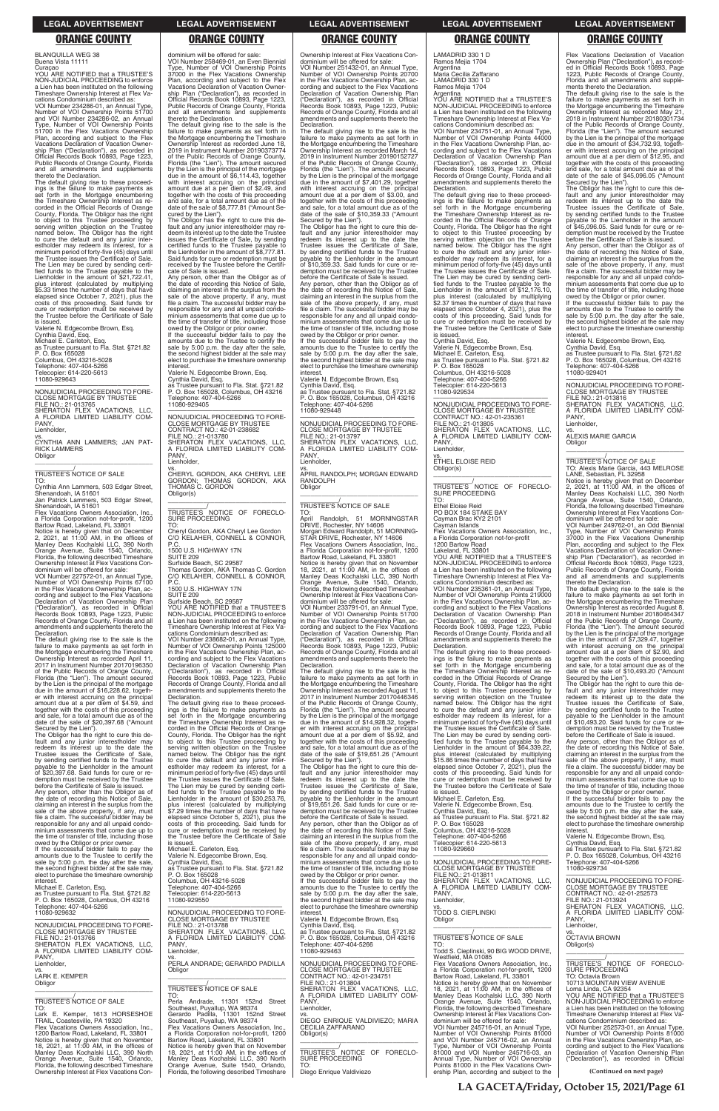BLANQUILLA WEG 38 Buena Vista 11111

Curaçao YOU ARE NOTIFIED that a TRUSTEE'S NON-JUDICIAL PROCEEDING to enforce Lien has been instituted on the Timeshare Ownership Interest at Flex Va-

cations Condominium described as: VOI Number 234286-01, an Annual Type, Number of VOI Ownership Points 51700 and VOI Number 234286-02, an Annual Type, Number of VOI Ownership Points 51700 in the Flex Vacations Ownership Plan, according and subject to the Flex Vacations Declaration of Vacation Ownership Plan ("Declaration"), as recorded in Official Records Book 10893, Page 1223, Public Records of Orange County, Florida and all amendments and supplements thereto the Declaration.

Jan Patrick Lammers, 503 Edgar Street, Shenandoah, IA 51601 Flex Vacations Owners Association, Inc.

The default giving rise to these proceed-ings is the failure to make payments as set forth in the Mortgage encumbering the Timeshare Ownership Interest as re-corded in the Official Records of Orange County, Florida. The Obligor has the right to object to this Trustee proceeding by serving written objection on the Trustee named below. The Obligor has the right to cure the default and any junior inter-estholder may redeem its interest, for a minimum period of forty-five (45) days until the Trustee issues the Certificate of Sale. The Lien may be cured by sending certified funds to the Trustee payable to the Lienholder in the amount of \$21,722.41, plus interest (calculated by multiplying \$5.33 times the number of days that have elapsed since October 7, 2021), plus the costs of this proceeding. Said funds for cure or redemption must be received by the Trustee before the Certificate of Sale

is issued. Valerie N. Edgecombe Brown, Esq. Cynthia David, Esq. Michael E. Carleton, Esq. as Trustee pursuant to Fla. Stat. §721.82 P. O. Box 165028 Columbus, OH 43216-5028

Telephone: 407-404-5266 Telecopier: 614-220-5613 11080-929643

—————————————————— NONJUDICIAL PROCEEDING TO FORE-CLOSE MORTGAGE BY TRUSTEE FILE NO.: 21-013765 SHERATON FLEX VACATIONS, LLC, A FLORIDA LIMITED LIABILITY COM-PANY,

Lienholder,

vs. CYNTHIA ANN LAMMERS; JAN PAT-RICK LAMMERS Obligor \_\_\_\_\_\_\_\_\_\_\_\_\_\_\_\_\_\_\_\_\_\_\_\_\_\_\_\_\_\_\_\_\_

\_\_\_\_\_\_\_\_\_\_\_/ TRUSTEE'S NOTICE OF SALE

TO: Cynthia Ann Lammers, 503 Edgar Street, Shenandoah, IA 51601

a Florida Corporation not-for-profit, 1200 Bartow Road, Lakeland, FL 33801 Notice is hereby given that on December 2, 2021, at 11:00 AM, in the offices of Manley Deas Kochalski LLC, 390 North Orange Avenue, Suite 1540, Orlando, Florida, the following described Timeshare Ownership Interest at Flex Vacations Con-dominium will be offered for sale:

VOI Number 227572-01, an Annual Type, Number of VOI Ownership Points 67100 in the Flex Vacations Ownership Plan, according and subject to the Flex Vacations<br>Declaration of Vacation Ownership Plan<br>("Declaration"), as recorded in Official<br>Records Book 10893, Page 1223, Public<br>Records of Orange County, Florida and all<br>amendments and suppl Declaration.

The default giving rise to the sale is the failure to make payments as set forth in the Mortgage encumbering the Timeshare Ownership Interest as recorded April 11, 2017 in Instrument Number 20170196350 of the Public Records of Orange County, Florida (the "Lien"). The amount secured by the Lien is the principal of the mortgage due in the amount of \$16,228.62, togeth-er with interest accruing on the principal amount due at a per diem of \$4.59, and together with the costs of this proceeding and sale, for a total amount due as of the date of the sale of \$20,397.68 ("Amount

Secured by the Lien"). The Obligor has the right to cure this de-fault and any junior interestholder may redeem its interest up to the date the Trustee issues the Certificate of Sale, by sending certified funds to the Trustee payable to the Lienholder in the amount of \$20,397.68. Said funds for cure or re-demption must be received by the Trustee before the Certificate of Sale is issued. Any person, other than the Obligor as of

the date of recording this Notice of Sale, claiming an interest in the surplus from the sale of the above property, if any, must file a claim. The successful bidder may be

cations Condominium described as: VOI Number 238682-01, an Annual Type, Number of VOI Ownership Points 125000 in the Flex Vacations Ownership Plan, ac-cording and subject to the Flex Vacations Declaration of Vacation Ownership Plan ("Declaration"), as recorded in Official Records Book 10893, Page 1223, Public Records of Orange County, Florida and all amendments and supplements thereto the claration.

VOI Number 258469-01, an Even Biennial Type, Number of VOI Ownership Points 37000 in the Flex Vacations Ownership Plan, according and subject to the Flex<br>Vacations Declaration of Vacation Owner-<br>ship Plan ("Declaration"), as recorded in<br>Official Records Book 10893, Page 1223,<br>Public Records of Orange County, Florida<br>and all amendments thereto the Declaration.

The default giving rise to the sale is the failure to make payments as set forth in the Mortgage encumbering the Timeshare Ownership Interest as recorded June 18, 2019 in Instrument Number 20190373774 of the Public Records of Orange County, Florida (the "Lien"). The amount secured by the Lien is the principal of the mortgage due in the amount of \$6,114.43, together with interest accruing on the principal amount due at a per diem of \$2.49, and together with the costs of this proceeding and sale, for a total amount due as of the date of the sale of \$8,777.81 ("Amount Se-

> —————————————————— NONJUDICIAL PROCEEDING TO FORE-CLOSE MORTGAGE BY TRUSTEE FILE NO.: 21-013797 SHERATON FLEX VACATIONS, LLC, A FLORIDA LIMITED LIABILITY COM-A FLC<br>PANY, **Lienholder**

cured by the Lien"). The Obligor has the right to cure this de-fault and any junior interestholder may redeem its interest up to the date the Trustee issues the Certificate of Sale, by sending certified funds to the Trustee payable to the Lienholder in the amount of \$8,777.81. Said funds for cure or redemption must be received by the Trustee before the Certifi-

cate of Sale is issued. Any person, other than the Obligor as of the date of recording this Notice of Sale, claiming an interest in the surplus from the sale of the above property, if any, must file a claim. The successful bidder may be responsible for any and all unpaid condo-minium assessments that come due up to the time of transfer of title, including those owed by the Obligor or prior owner. If the successful bidder fails to pay the

amounts due to the Trustee to certify the sale by 5:00 p.m. the day after the sale, the second highest bidder at the sale may elect to purchase the timeshare ownership

interest. Valerie N. Edgecombe Brown, Esq. Cynthia David, Esq. as Trustee pursuant to Fla. Stat. §721.82 P. O. Box 165028, Columbus, OH 43216 Telephone: 407-404-5266 11080-929405

—————————————————— NONJUDICIAL PROCEEDING TO FORE-CLOSE MORTGAGE BY TRUSTEE CONTRACT NO.: 42-01-238682 FILE NO.: 21-013780 SHERATON FLEX VACATIONS, LLC, A FLORIDA LIMITED LIABILITY COM-A FLC<br>PANY, Lienholder,

vs. CHERYL GORDON, AKA CHERYL LEE GORDON; THOMAS GORDON, AKA THOMAS C. GORDON Obligor(s)

\_\_\_\_\_\_\_\_\_\_\_\_\_\_\_\_\_\_\_\_\_\_\_\_\_\_\_\_\_\_\_\_\_ \_\_\_\_\_\_\_\_\_\_\_/ TRUSTEE'S NOTICE OF FORECLO-SURE PROCEEDING

TO: Cheryl Gordon, AKA Cheryl Lee Gordon C/O KELAHER, CONNELL & CONNOR, P.C. 1500 U.S. HIGHWAY 17N

SUITE 209

Surfside Beach, SC 29587 Thomas Gordon, AKA Thomas C. Gordon

C/O KELAHER, CONNELL & CONNOR, P.C. 1500 U.S. HIGHWAY 17N

SUITE 209

Surfside Beach, SC 29587 YOU ARE NOTIFIED that a TRUSTEE'S NON-JUDICIAL PROCEEDING to enforce a Lien has been instituted on the following Timeshare Ownership Interest at Flex Va-

\_\_\_\_\_\_\_\_\_\_\_/<br>TRUSTEE'S NOTICE OF FORECLO-<br>SURE PROCEEDING TO:

The default giving rise to these proceedings is the failure to make payments as set forth in the Mortgage encumbering the Timeshare Ownership Interest as recorded in the Official Records of Orange County, Florida. The Obligor has the right to object to this Trustee proceeding by serving written objection on the Trustee named below. The Obligor has the right to cure the default and any junior interestholder may redeem its interest, for a minimum period of forty-five (45) days until the Trustee issues the Certificate of Sale. The Lien may be cured by sending certi-fied funds to the Trustee payable to the Lienholder in the amount of \$30,253.76, plus interest (calculated by multiplying \$7.29 times the number of days that have elapsed since October 5, 2021), plus the

Ownership Interest at Flex Vacations Condominium will be offered for sale: VOI Number 251432-01, an Annual Type, Number of VOI Ownership Points 20700 in the Flex Vacations Ownership Plan, ac-cording and subject to the Flex Vacations Declaration of Vacation Ownership Plan ("Declaration"), as recorded in Official Records Book 10893, Page 1223, Public Records of Orange County, Florida and all amendments and supplements thereto the

Declaration. The default giving rise to the sale is the failure to make payments as set forth in the Mortgage encumbering the Timeshare Ownership Interest as recorded March 14, 2019 in Instrument Number 20190152727 of the Public Records of Orange County, Florida (the "Lien"). The amount secured by the Lien is the principal of the mortgage due in the amount of \$7,401.29, together with interest accruing on the principal amount due at a per diem of \$3.00, and together with the costs of this proceeding and sale, for a total amount due as of the date of the sale of \$10,359.33 ("Amount Secured by the Lien"). The Obligor has the right to cure this de-

> dominium will be offered for sale: VOI Number 249762-01, an Odd Biennial Type, Number of VOI Ownership Points 37000 in the Flex Vacations Ownership Plan, according and subject to the Flex Vacations Declaration of Vacation Ownership Plan ("Declaration"), as recorded in Official Records Book 10893, Page 1223, Public Records of Orange County, Florida and all amendments and supplements ereto the Declaration.

fault and any junior interestholder may redeem its interest up to the date the Trustee issues the Certificate of Sale, by sending certified funds to the Trustee payable to the Lienholder in the amount of \$10,359.33. Said funds for cure or redemption must be received by the Trustee before the Certificate of Sale is issued. Any person, other than the Obligor as of the date of recording this Notice of Sale, claiming an interest in the surplus from the sale of the above property, if any, must file a claim. The successful bidder may be responsible for any and all unpaid condominium assessments that come due up to the time of transfer of title, including those owed by the Obligor or prior owner. If the successful bidder fails to pay the

amounts due to the Trustee to certify the sale by 5:00 p.m. the day after the sale, the second highest bidder at the sale may elect to purchase the timeshare ownership

> the date of recording this Notice of Sale, claiming an interest in the surplus from the sale of the above property, if any, must file a claim. The successful bidder may be responsible for any and all unpaid condo-minium assessments that come due up to the time of transfer of title, including those

interest. Valerie N. Edgecombe Brown, Esq. Cynthia David, Esq. as Trustee pursuant to Fla. Stat. §721.82 P. O. Box 165028, Columbus, OH 43216 Telephone: 407-404-5266 11080-929448

vs. APRIL RANDOLPH; MORGAN EDWARD RANDOLPH Obligor \_\_\_\_\_\_\_\_\_\_\_\_\_\_\_\_\_\_\_\_\_\_\_\_\_\_\_\_\_\_\_\_\_

# \_\_\_\_\_\_\_\_\_\_\_/ TRUSTEE'S NOTICE OF SALE

TO: April Randolph, 51 MORNINGSTAR<br>DRIVE, Rochester, NY 14606<br>Morgan Edward Randolph, 51 MORNING-STAR DRIVE, Rochester, NY 14606

Flex Vacations Owners Association, Inc., a Florida Corporation not-for-profit, 1200 Bartow Road, Lakeland, FL 33801 Notice is hereby given that on November 18, 2021, at 11:00 AM, in the offices of

| file a claim. The successful bidder may be<br>responsible for any and all unpaid condo-<br>minium assessments that come due up to<br>the time of transfer of title, including those<br>owed by the Obligor or prior owner.<br>If the successful bidder fails to pay the<br>amounts due to the Trustee to certify the<br>sale by 5:00 p.m. the day after the sale,<br>the second highest bidder at the sale may<br>elect to purchase the timeshare ownership | elapsed since October 5, 2021), plus the<br>costs of this proceeding. Said funds for<br>cure or redemption must be received by<br>the Trustee before the Certificate of Sale<br>is issued.<br>Michael E. Carleton, Esq.<br>Valerie N. Edgecombe Brown, Esg.<br>Cynthia David, Esq.<br>as Trustee pursuant to Fla. Stat. §721.82<br>P. O. Box 165028                                                                                           | before the Certificate of Sale is issued.<br>Any person, other than the Obligor as of<br>the date of recording this Notice of Sale,<br>claiming an interest in the surplus from the<br>sale of the above property, if any, must<br>file a claim. The successful bidder may be<br>responsible for any and all unpaid condo-<br>minium assessments that come due up to<br>the time of transfer of title, including those<br>owed by the Obligor or prior owner. | as Trustee pursuant to Fla. Stat. §721.82<br>P. O. Box 165028<br>Columbus, OH 43216-5028<br>Telephone: 407-404-5266<br>Telecopier: 614-220-5613<br>11080-929660<br>NONJUDICIAL PROCEEDING TO FORE-<br><b>CLOSE MORTGAGE BY TRUSTEE</b><br>FILE NO.: 21-013811                                                                                                                                                                                                 | the second highest bidder at the sale may<br>elect to purchase the timeshare ownership<br>interest.<br>Valerie N. Edgecombe Brown, Esg.<br>Cynthia David, Esq.<br>as Trustee pursuant to Fla. Stat. §721.82<br>P. O. Box 165028, Columbus, OH 43216<br>Telephone: 407-404-5266<br>11080-929734                                                                                                                                      |
|-------------------------------------------------------------------------------------------------------------------------------------------------------------------------------------------------------------------------------------------------------------------------------------------------------------------------------------------------------------------------------------------------------------------------------------------------------------|-----------------------------------------------------------------------------------------------------------------------------------------------------------------------------------------------------------------------------------------------------------------------------------------------------------------------------------------------------------------------------------------------------------------------------------------------|---------------------------------------------------------------------------------------------------------------------------------------------------------------------------------------------------------------------------------------------------------------------------------------------------------------------------------------------------------------------------------------------------------------------------------------------------------------|---------------------------------------------------------------------------------------------------------------------------------------------------------------------------------------------------------------------------------------------------------------------------------------------------------------------------------------------------------------------------------------------------------------------------------------------------------------|-------------------------------------------------------------------------------------------------------------------------------------------------------------------------------------------------------------------------------------------------------------------------------------------------------------------------------------------------------------------------------------------------------------------------------------|
| interest.<br>Michael E. Carleton, Esq.<br>as Trustee pursuant to Fla. Stat. §721.82<br>P. O. Box 165028, Columbus, OH 43216<br>Telephone: 407-404-5266<br>11080-929632                                                                                                                                                                                                                                                                                      | Columbus, OH 43216-5028<br>Telephone: 407-404-5266<br>Telecopier: 614-220-5613<br>11080-929550<br>NONJUDICIAL PROCEEDING TO FORE-                                                                                                                                                                                                                                                                                                             | If the successful bidder fails to pay the<br>amounts due to the Trustee to certify the<br>sale by 5:00 p.m. the day after the sale,<br>the second highest bidder at the sale may<br>elect to purchase the timeshare ownership<br>interest.                                                                                                                                                                                                                    | SHERATON FLEX VACATIONS, LLC,<br>A FLORIDA LIMITED LIABILITY COM-<br>PANY.<br>Lienholder.<br>VS.<br><b>TODD S. CIEPLINSKI</b>                                                                                                                                                                                                                                                                                                                                 | NONJUDICIAL PROCEEDING TO FORE-<br><b>CLOSE MORTGAGE BY TRUSTEE</b><br>CONTRACT NO.: 42-01-252573<br>FILE NO.: 21-013924<br>SHERATON FLEX VACATIONS, LLC,<br>A FLORIDA LIMITED LIABILITY COM-                                                                                                                                                                                                                                       |
| NONJUDICIAL PROCEEDING TO FORE-<br><b>CLOSE MORTGAGE BY TRUSTEE</b><br>FILE NO.: 21-013766<br>SHERATON FLEX VACATIONS. LLC.<br>A FLORIDA LIMITED LIABILITY COM-<br>PANY.                                                                                                                                                                                                                                                                                    | <b>CLOSE MORTGAGE BY TRUSTEE</b><br>FILE NO.: 21-013788<br>SHERATON FLEX VACATIONS. LLC.<br>A FLORIDA LIMITED LIABILITY COM-<br>PANY.<br>Lienholder,<br>VS.                                                                                                                                                                                                                                                                                   | Valerie N. Edgecombe Brown, Esg.<br>Cynthia David, Esq.<br>as Trustee pursuant to Fla. Stat. §721.82<br>P. O. Box 165028, Columbus, OH 43216<br>Telephone: 407-404-5266<br>11080-929463                                                                                                                                                                                                                                                                       | Obligor<br><b>TRUSTEE'S NOTICE OF SALE</b><br>TO:<br>Todd S. Cieplinski, 90 BIG WOOD DRIVE,<br>Westfield, MA 01085                                                                                                                                                                                                                                                                                                                                            | PANY.<br>Lienholder.<br>VS.<br><b>OCTAVIA BROWN</b><br>Obligor(s)                                                                                                                                                                                                                                                                                                                                                                   |
| Lienholder.<br>VS.<br><b>LARK E. KEMPER</b><br>Obligor<br>TRUSTEE'S NOTICE OF SALE                                                                                                                                                                                                                                                                                                                                                                          | PERLA ANDRADE: GERARDO PADILLA<br>Obligor<br>TRUSTEE'S NOTICE OF SALE<br>TO:                                                                                                                                                                                                                                                                                                                                                                  | NONJUDICIAL PROCEEDING TO FORE-<br><b>CLOSE MORTGAGE BY TRUSTEE</b><br>CONTRACT NO.: 42-01-234751<br>FILE NO.: 21-013804<br>SHERATON FLEX VACATIONS. LLC.<br>A FLORIDA LIMITED LIABILITY COM-                                                                                                                                                                                                                                                                 | Flex Vacations Owners Association. Inc<br>a Florida Corporation not-for-profit, 1200<br>Bartow Road, Lakeland, FL 33801<br>Notice is hereby given that on November<br>18, 2021, at 11:00 AM, in the offices of<br>Manley Deas Kochalski LLC, 390 North                                                                                                                                                                                                        | TRUSTEE'S NOTICE OF FORECLO-<br>SURE PROCEEDING<br>TO: Octavia Brown<br>10713 MOUNTAIN VIEW AVENUE<br>Loma Linda, CA 92354<br>YOU ARE NOTIFIED that a TRUSTEE'S                                                                                                                                                                                                                                                                     |
| TO:<br>Lark E. Kemper, 1613 HORSESHOE<br>TRAIL, Coastesville, PA 19320<br>Flex Vacations Owners Association. Inc<br>1200 Bartow Road, Lakeland, FL 33801<br>Notice is hereby given that on November<br>18. 2021, at 11:00 AM, in the offices of<br>Manley Deas Kochalski LLC, 390 North<br>Orange Avenue, Suite 1540, Orlando,<br>Florida, the following described Timeshare                                                                                | Perla Andrade, 11301 152nd Street<br>Southeast, Puyallup, WA 98374<br>Gerardo Padilla, 11301 152nd Street<br>Southeast, Puyallup, WA 98374<br>Flex Vacations Owners Association, Inc<br>a Florida Corporation not-for-profit, 1200<br>Bartow Road, Lakeland, FL 33801<br>Notice is hereby given that on November<br>18, 2021, at $11:00$ AM, in the offices of<br>Manley Deas Kochalski LLC, 390 North<br>Orange Avenue, Suite 1540, Orlando, | PANY.<br>Lienholder,<br>VS.<br>DIEGO ENRIQUE VALDIVIEZO: MARIA<br>CECILIA ZAFFARANO<br>Obligor(s)<br>TRUSTEE'S NOTICE OF FORECLO-<br><b>SURE PROCEEDING</b><br>TO:                                                                                                                                                                                                                                                                                            | Orange Avenue, Suite 1540, Orlando,<br>Florida, the following described Timeshare<br>Ownership Interest at Flex Vacations Con-<br>dominium will be offered for sale:<br>VOI Number 245716-01, an Annual Type,<br>Number of VOI Ownership Points 81000<br>and VOI Number 245716-02, an Annual<br>Type, Number of VOI Ownership Points<br>81000 and VOI Number 245716-03, an<br>Annual Type, Number of VOI Ownership<br>Points 81000 in the Flex Vacations Own- | NON-JUDICIAL PROCEEDING to enforce<br>a Lien has been instituted on the following<br>Timeshare Ownership Interest at Flex Va-<br>cations Condominium described as:<br>VOI Number 252573-01, an Annual Type,<br>Number of VOI Ownership Points 81000<br>in the Flex Vacations Ownership Plan, ac-<br>cording and subject to the Flex Vacations<br>Declaration of Vacation Ownership Plan<br>("Declaration"), as recorded in Official |
| Ownership Interest at Flex Vacations Con-                                                                                                                                                                                                                                                                                                                                                                                                                   | Florida, the following described Timeshare                                                                                                                                                                                                                                                                                                                                                                                                    | Diego Enrigue Valdiviezo                                                                                                                                                                                                                                                                                                                                                                                                                                      | ership Plan, according and subject to the                                                                                                                                                                                                                                                                                                                                                                                                                     | (Continued on next page)                                                                                                                                                                                                                                                                                                                                                                                                            |

Manley Deas Kochalski LLC, 390 North Orange Avenue, Suite 1540, Orlando, Florida, the following described Timeshare Ownership Interest at Flex Vacations Con-dominium will be offered for sale: VOI Number 233791-01, an Annual Type,

Number of VOI Ownership Points 51700 in the Flex Vacations Ownership Plan, ac-cording and subject to the Flex Vacations Declaration of Vacation Ownership Plan ("Declaration"), as recorded in Official Records Book 10893, Page 1223, Public Records of Orange County, Florida and all amendments and supplements thereto the Declaration.

The default giving rise to the sale is the failure to make payments as set forth in the Mortgage encumbering the Timeshare Ownership Interest as recorded August 11, 2017 in Instrument Number 20170446346 of the Public Records of Orange County, Florida (the "Lien"). The amount secured by the Lien is the principal of the mortgage due in the amount of \$14,928.32, together with interest accruing on the principal amount due at a per diem of \$5.92, and together with the costs of this proceeding and sale, for a total amount due as of the date of the sale of \$19,651.26 ("Amount Secured by the Lien").

The Obligor has the right to cure this de-fault and any junior interestholder may redeem its interest up to the date the Trustee issues the Certificate of Sale, by sending certified funds to the Trustee payable to the Lienholder in the amount of \$19,651.26. Said funds for cure or redemption must be received by the Trustee

# dominium will be offered for sale: **ORANGE COUNTY ORANGE COUNTY ORANGE COUNTY ORANGE COUNTY ORANGE COUNTY**

LAMADRID 330 1 D

Ramos Mejia 1704 Argentina Maria Cecilia Zaffarano LAMADRID 330 1 D Ramos Mejia 1704 Argentina

YOU ARE NOTIFIED that a TRUSTEE'S NON-JUDICIAL PROCEEDING to enforce a Lien has been instituted on the following Timeshare Ownership Interest at Flex Va-

cations Condominium described as: VOI Number 234751-01, an Annual Type, Number of VOI Ownership Points 44000 in the Flex Vacations Ownership Plan, ac-cording and subject to the Flex Vacations Declaration of Vacation Ownership Plan ("Declaration"), as recorded in Official Records Book 10893, Page 1223, Public Records of Orange County, Florida and all amendments and supplements thereto the Declaration.

The default giving rise to these proceed-ings is the failure to make payments as set forth in the Mortgage encumbering the Timeshare Ownership Interest as re-corded in the Official Records of Orange County, Florida. The Obligor has the right to object to this Trustee proceeding by serving written objection on the Trustee named below. The Obligor has the right to cure the default and any junior inter-estholder may redeem its interest, for a minimum period of forty-five (45) days until the Trustee issues the Certificate of Sale. The Lien may be cured by sending certi-fied funds to the Trustee payable to the Lienholder in the amount of \$12,176.10,<br>plus interest (calculated by multiplying plus interest (calculated by multiplying \$2.37 times the number of days that have elapsed since October 4, 2021), plus the costs of this proceeding. Said funds for cure or redemption must be received by the Trustee before the Certificate of Sale

is issued. Cynthia David, Esq.

Valerie N. Edgecombe Brown, Esq. Michael E. Carleton, Esq. as Trustee pursuant to Fla. Stat. §721.82 P. O. Box 165028 Columbus, OH 43216-5028 Telephone: 407-404-5266 Telecopier: 614-220-5613 11080-929534

—————————————————— NONJUDICIAL PROCEEDING TO FORE-CLOSE MORTGAGE BY TRUSTEE CONTRACT NO.: 42-01-235361 FILE NO.: 21-013805 SHERATON FLEX VACATIONS, LLC, A FLORIDA LIMITED LIABILITY COM-PANY,

Lienholder, vs.

ETHEL ELOISE REID Obligor(s) \_\_\_\_\_\_\_\_\_\_\_\_\_\_\_\_\_\_\_\_\_\_\_\_\_\_\_\_\_\_\_\_\_

Ethel Eloise Reid PO BOX 184 STAKE BAY

Cayman Brac KY2 2101 Cayman Islands Flex Vacations Owners Association, Inc., a Florida Corporation not-for-profit 1200 Bartow Road Lakeland, FL 33801

YOU ARE NOTIFIED that a TRUSTEE'S NON-JUDICIAL PROCEEDING to enforce a Lien has been instituted on the following Timeshare Ownership Interest at Flex Va-

cations Condominium described as: VOI Number 235361-01, an Annual Type, Number of VOI Ownership Points 219000 in the Flex Vacations Ownership Plan, ac-cording and subject to the Flex Vacations Declaration of Vacation Ownership Plan ("Declaration"), as recorded in Official Records Book 10893, Page 1223, Public Records of Orange County, Florida and all amendments and supplements thereto the Declaration.

The default giving rise to these proceed-ings is the failure to make payments as set forth in the Mortgage encumbering the Timeshare Ownership Interest as re-corded in the Official Records of Orange County, Florida. The Obligor has the right to object to this Trustee proceeding by serving written objection on the Trustee named below. The Obligor has the right to cure the default and any junior inter-estholder may redeem its interest, for a minimum period of forty-five (45) days until the Trustee issues the Certificate of Sale. The Lien may be cured by sending certi-fied funds to the Trustee payable to the Lienholder in the amount of \$64,339.22, plus interest (calculated by multiplying \$15.86 times the number of days that have elapsed since October 7, 2021), plus the costs of this proceeding. Said funds for cure or redemption must be received by the Trustee before the Certificate of Sale

is issued. Michael E. Carleton, Esq.

Valerie N. Edgecombe Brown, Esq. Cynthia David, Esq. as Trustee pursuant to Fla. Stat. §721.82

Flex Vacations Declaration of Vacation Ownership Plan ("Declaration"), as record-ed in Official Records Book 10893, Page 1223, Public Records of Orange County, Florida and all amendments and supplements thereto the Declaration. The default giving rise to the sale is the

failure to make payments as set forth in the Mortgage encumbering the Timeshare Ownership Interest as recorded May 21, 2018 in Instrument Number 20180301734 of the Public Records of Orange County, Florida (the "Lien"). The amount secured by the Lien is the principal of the mortgage due in the amount of \$34,732.93, togeth-er with interest accruing on the principal amount due at a per diem of \$12.95, and together with the costs of this proceeding and sale, for a total amount due as of the date of the sale of \$45,096.05 ("Amount Secured by the Lien"). The Obligor has the right to cure this de-

fault and any junior interestholder may redeem its interest up to the date the Trustee issues the Certificate of Sale, by sending certified funds to the Trustee payable to the Lienholder in the amount of \$45,096.05. Said funds for cure or redemption must be received by the Trustee before the Certificate of Sale is issued. Any person, other than the Obligor as of

the date of recording this Notice of Sale, claiming an interest in the surplus from the sale of the above property, if any, must file a claim. The successful bidder may be responsible for any and all unpaid condo-minium assessments that come due up to

the time of transfer of title, including those owed by the Obligor or prior owner. If the successful bidder fails to pay the amounts due to the Trustee to certify the sale by 5:00 p.m. the day after the sale, the second highest bidder at the sale may elect to purchase the timeshare ownership interest. Valerie N. Edgecombe Brown, Esq.

Cynthia David, Esq. as Trustee pursuant to Fla. Stat. §721.82 P. O. Box 165028, Columbus, OH 43216 Telephone: 407-404-5266 11080-929401

—————————————————— NONJUDICIAL PROCEEDING TO FORE-CLOSE MORTGAGE BY TRUSTEE FILE NO.: 21-013816

SHERATON FLEX VACATIONS, LLC, A FLORIDA LIMITED LIABILITY COM-PANY, **Lienholder** vs. ALEXIS MARIE GARCIA

**Obligor**  $\overline{\phantom{a}}$  , and the set of the set of the set of the set of the set of the set of the set of the set of the set of the set of the set of the set of the set of the set of the set of the set of the set of the set of the s

\_\_\_\_\_\_\_\_\_\_\_/ TRUSTEE'S NOTICE OF SALE TO: Alexis Marie Garcia, 443 MELROSE LANE, Sebastian, FL 32958

Notice is hereby given that on December 2, 2021, at 11:00 AM, in the offices of Manley Deas Kochalski LLC, 390 North Orange Avenue, Suite 1540, Orlando, Florida, the following described Timeshare Ownership Interest at Flex Vacations Con-

The default giving rise to the sale is the failure to make payments as set forth in the Mortgage encumbering the Timeshare Ownership Interest as recorded August 8, 2018 in Instrument Number 20180464347 of the Public Records of Orange County, Florida (the "Lien"). The amount secured by the Lien is the principal of the mortgage due in the amount of \$7,329.47, together with interest accruing on the principal amount due at a per diem of \$2.90, and together with the costs of this proceeding and sale, for a total amount due as of the date of the sale of \$10,493.20 ("Amount Secured by the Lien"). The Obligor has the right to cure this de-

fault and any junior interestholder may redeem its interest up to the date the Trustee issues the Certificate of Sale, by sending certified funds to the Trustee payable to the Lienholder in the amount of \$10,493.20. Said funds for cure or redemption must be received by the Trustee before the Certificate of Sale is issued. Any person, other than the Obligor as of

owed by the Obligor or prior owner. If the successful bidder fails to pay the amounts due to the Trustee to certify the sale by 5:00 p.m. the day after the sale, the second highest bidder at the sale may

### **LEGAL ADVERTISEMENT LEGAL ADVERTISEMENT LEGAL ADVERTISEMENT LEGAL ADVERTISEMENT LEGAL ADVERTISEMENT**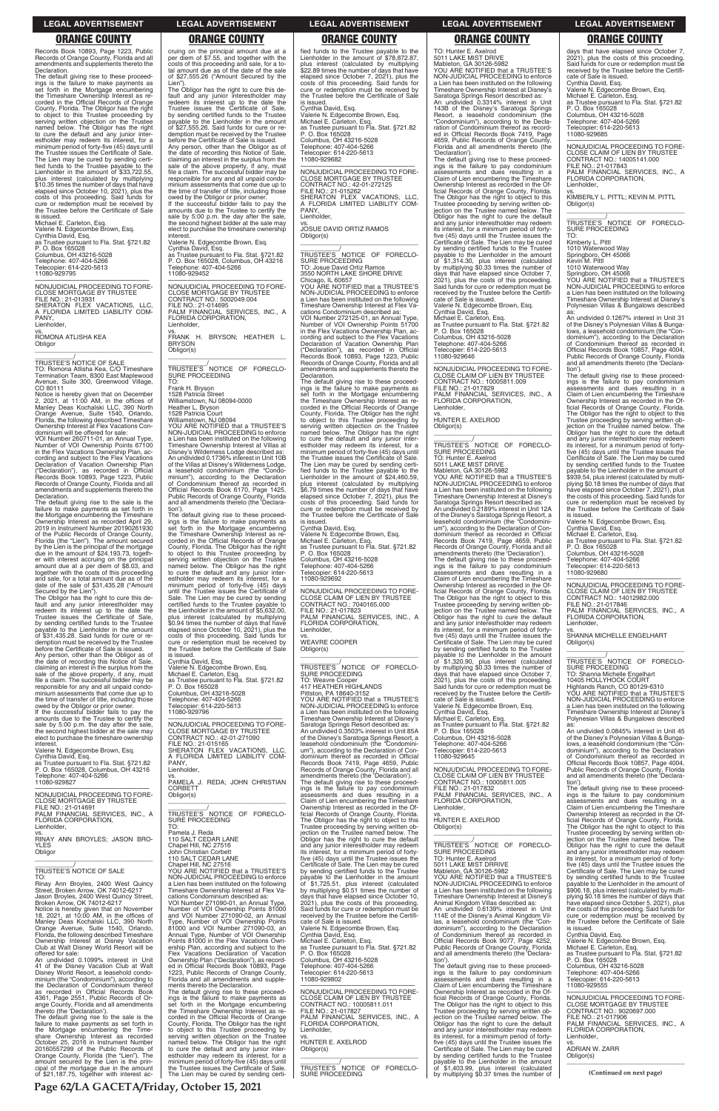**Page 62/LA GACETA/Friday, October 15, 2021**

**LEGAL ADVERTISEMENT LEGAL ADVERTISEMENT LEGAL ADVERTISEMENT LEGAL ADVERTISEMENT LEGAL ADVERTISEMENT**

**ORANGE COUNTY ORANGE COUNTY ORANGE COUNTY ORANGE COUNTY ORANGE COUNTY**

Records Book 10893, Page 1223, Public Records of Orange County, Florida and all amendments and supplements thereto the

Declaration. The default giving rise to these proceedings is the failure to make payments as set forth in the Mortgage encumbering the Timeshare Ownership Interest as recorded in the Official Records of Orange County, Florida. The Obligor has the right to object to this Trustee proceeding by serving written objection on the Trustee named below. The Obligor has the right to cure the default and any junior interestholder may redeem its interest, for a minimum period of forty-five (45) days until the Trustee issues the Certificate of Sale. The Lien may be cured by sending certi-fied funds to the Trustee payable to the Lienholder in the amount of \$33,722.55, plus interest (calculated by multiplying \$10.35 times the number of days that have elapsed since October 10, 2021), plus the costs of this proceeding. Said funds for cure or redemption must be received by the Trustee before the Certificate of Sale is issued.

vs. ROMONA ATLISHA KEA **Obligor** 

Michael E. Carleton, Esq. Valerie N. Edgecombe Brown, Esq. Cynthia David, Esq. as Trustee pursuant to Fla. Stat. §721.82 P. O. Box 165028 Columbus, OH 43216-5028 Telephone: 407-404-5266 Telecopier: 614-220-5613 11080-929795

—————————————————— NONJUDICIAL PROCEEDING TO FORE-CLOSE MORTGAGE BY TRUSTEE FILE NO.: 21-013931 SHERATON FLEX VACATIONS, LLC, A FLORIDA LIMITED LIABILITY COM-PANY, Lienholder,

\_\_\_\_\_\_\_\_\_\_\_\_\_\_\_\_\_\_\_\_\_\_\_\_\_\_\_\_\_\_\_\_\_

\_\_\_\_\_\_\_\_\_\_\_/ TRUSTEE'S NOTICE OF SALE TO: Romona Atlisha Kea, C/O Timeshare Termination Team, 8300 East Maplewood Avenue, Suite 300, Greenwood Village, CO 80111

Notice is hereby given that on December 2, 2021, at 11:00 AM, in the offices of Manley Deas Kochalski LLC, 390 North Orange Avenue, Suite 1540, Orlando, Florida, the following described Timeshare Ownership Interest at Flex Vacations Con-dominium will be offered for sale: VOI Number 260711-01, an Annual Type,

Number of VOI Ownership Points 67100 in the Flex Vacations Ownership Plan, ac-cording and subject to the Flex Vacations Declaration of Vacation Ownership Plan ("Declaration"), as recorded in Official Records Book 10893, Page 1223, Public Records of Orange County, Florida and all amendments and supplements thereto the Declaration.

The default giving rise to the sale is the failure to make payments as set forth in the Mortgage encumbering the Timeshare Ownership Interest as recorded April 29, 2019 in Instrument Number 20190261930 of the Public Records of Orange County, Florida (the "Lien"). The amount secured by the Lien is the principal of the mortgage due in the amount of \$24,193.73, together with interest accruing on the principal amount due at a per diem of \$8.03, and together with the costs of this proceeding and sale, for a total amount due as of the date of the sale of \$31,435.28 ("Amount Secured by the Lien").

The Obligor has the right to cure this de-fault and any junior interestholder may redeem its interest up to the date the Trustee issues the Certificate of Sale, by sending certified funds to the Trustee payable to the Lienholder in the amount of \$31,435.28. Said funds for cure or redemption must be received by the Trustee before the Certificate of Sale is issued.

Lien") The Obligor has the right to cure this de-fault and any junior interestholder may redeem its interest up to the date the Trustee issues the Certificate of Sale, by sending certified funds to the Trustee payable to the Lienholder in the amount of \$27,555.26. Said funds for cure or redemption must be received by the Trustee before the Certificate of Sale is issued. Any person, other than the Obligor as of the date of recording this Notice of Sale, claiming an interest in the surplus from the sale of the above property, if any, must file a claim. The successful bidder may be responsible for any and all unpaid condo-minium assessments that come due up to the time of transfer of title, including those

**BRYSON** Obligor(s)

Any person, other than the Obligor as of the date of recording this Notice of Sale, claiming an interest in the surplus from the sale of the above property, if any, must file a claim. The successful bidder may be responsible for any and all unpaid condominium assessments that come due up to the time of transfer of title, including those owed by the Obligor or prior owner.

 $\overline{\phantom{a}}$  , and the set of the set of the set of the set of the set of the set of the set of the set of the set of the set of the set of the set of the set of the set of the set of the set of the set of the set of the s \_\_\_\_\_\_\_\_\_\_\_/ TRUSTEE'S NOTICE OF FORECLO-SURE PROCEEDING TO:

If the successful bidder fails to pay the amounts due to the Trustee to certify the sale by 5:00 p.m. the day after the sale, the second highest bidder at the sale may elect to purchase the timeshare ownership interest.

Valerie N. Edgecombe Brown, Esq. Cynthia David, Esq. as Trustee pursuant to Fla. Stat. §721.82

P. O. Box 165028, Columbus, OH 43216 Telephone: 407-404-5266 11080-929827

—————————————————— NONJUDICIAL PROCEEDING TO FORE-CLOSE MORTGAGE BY TRUSTEE FILE NO.: 21-014691

# cruing on the principal amount due at a per diem of \$7.55, and together with the costs of this proceeding and sale, for a to-tal amount due as of the date of the sale of \$27,555.26 ("Amount Secured by the

vs. JOSUE DAVID ORTIZ RAMOS Obligor(s)  $\overline{\phantom{a}}$  ,  $\overline{\phantom{a}}$  ,  $\overline{\phantom{a}}$  ,  $\overline{\phantom{a}}$  ,  $\overline{\phantom{a}}$  ,  $\overline{\phantom{a}}$  ,  $\overline{\phantom{a}}$  ,  $\overline{\phantom{a}}$  ,  $\overline{\phantom{a}}$  ,  $\overline{\phantom{a}}$  ,  $\overline{\phantom{a}}$  ,  $\overline{\phantom{a}}$  ,  $\overline{\phantom{a}}$  ,  $\overline{\phantom{a}}$  ,  $\overline{\phantom{a}}$  ,  $\overline{\phantom{a}}$ 

owed by the Obligor or prior owner. If the successful bidder fails to pay the amounts due to the Trustee to certify the sale by 5:00 p.m. the day after the sale, the second highest bidder at the sale may elect to purchase the timeshare ownership

interest. Valerie N. Edgecombe Brown, Esq. Cynthia David, Esq. as Trustee pursuant to Fla. Stat. §721.82 P. O. Box 165028, Columbus, OH 43216 Telephone: 407-404-5266 11080-929452

—————————————————— NONJUDICIAL PROCEEDING TO FORE-CLOSE MORTGAGE BY TRUSTEE CONTRACT NO.: 5002049.004 FILE NO.: 21-014695 PALM FINANCIAL SERVICES, INC., A FLORIDA CORPORATION, Lienholder, vs. FRANK H. BRYSON; HEATHER L.

Frank H. Bryson 1528 Patricia Street Williamstown, NJ 08094-0000 Heather L. Bryson 1528 Patricia Court Williamstown, NJ 08094

YOU ARE NOTIFIED that a TRUSTEE'S NON-JUDICIAL PROCEEDING to enforce a Lien has been instituted on the following Timeshare Ownership Interest at Villas at Disney's Wilderness Lodge described as: An undivided 0.1736% interest in Unit 10B of the Villas at Disney's Wilderness Lodge, a leasehold condominium (the "Condo-minium"), according to the Declaration of Condominium thereof as recorded in Official Records Book 6170, Page 1425, Public Records of Orange County, Florida and all amendments thereto (the 'Declara-

tion'). The default giving rise to these proceedings is the failure to make payments as set forth in the Mortgage encumbering the Timeshare Ownership Interest as recorded in the Official Records of Orange County, Florida. The Obligor has the right to object to this Trustee proceeding by serving written objection on the Trustee named below. The Obligor has the right to cure the default and any junior interestholder may redeem its interest, for a minimum period of forty-five (45) days until the Trustee issues the Certificate of Sale. The Lien may be cured by sending certified funds to the Trustee payable to the Lienholder in the amount of \$5,632.00, plus interest (calculated by multiplying \$0.94 times the number of days that have elapsed since October 10, 2021), plus the costs of this proceeding. Said funds for cure or redemption must be received by the Trustee before the Certificate of Sale is issued.

Cynthia David, Esq. Valerie N. Edgecombe Brown, Esq.

Michael E. Carleton, Esq. as Trustee pursuant to Fla. Stat. §721.82 P. O. Box 165028

Columbus, OH 43216-5028 Telephone: 407-404-5266 Telecopier: 614-220-5613 11080-929796

—————————————————— NONJUDICIAL PROCEEDING TO FORE-CLOSE MORTGAGE BY TRUSTEE CONTRACT NO.: 42-01-271090 FILE NO.: 21-015165 SHERATON FLEX VACATIONS, LLC, A FLORIDA LIMITED LIABILITY COM-PANY,

Lienholder,

vs. PAMELA J. REDA; JOHN CHRISTIAN CORBETT Obligor(s) \_\_\_\_\_\_\_\_\_\_\_\_\_\_\_\_\_\_\_\_\_\_\_\_\_\_\_\_\_\_\_\_\_

\_\_\_\_\_\_\_\_\_\_\_/<br>TRUSTEE'S NOTICE OF FORECLO-<br>SURE PROCEEDING TO:

fied funds to the Trustee payable to the Lienholder in the amount of \$78,872.87, plus interest (calculated by multiplying \$22.89 times the number of days that have elapsed since October 7, 2021), plus the costs of this proceeding. Said funds for cure or redemption must be received by the Trustee before the Certificate of Sale is issued. Cynthia David, Esq. Valerie N. Edgecombe Brown, Esq.

Michael E. Carleton, Esq. as Trustee pursuant to Fla. Stat. §721.82 P. O. Box 165028 Columbus, OH 43216-5028 Telephone: 407-404-5266 Telecopier: 614-220-5613 11080-929682

—————————————————— NONJUDICIAL PROCEEDING TO FORE-CLOSE MORTGAGE BY TRUSTEE CONTRACT NO.: 42-01-272125 FILE NO.: 21-015262 SHERATON FLEX VACATIONS, LLC, A FLORIDA LIMITED LIABILITY COM-A FLC<br>PANY, Lienholder,

\_\_\_\_\_\_\_\_\_\_\_/ TRUSTEE'S NOTICE OF FORECLO-SURE PROCEEDING TO: Josue David Ortiz Ramos 3550 NORTH LAKE SHORE DRIVE Chicago, IL 60657 YOU ARE NOTIFIED that a TRUSTEE'S NON-JUDICIAL PROCEEDING to enforce Lien has been instituted on the following Timeshare Ownership Interest at Flex Vacations Condominium described as: VOI Number 272125-01, an Annual Type, Number of VOI Ownership Points 51700 in the Flex Vacations Ownership Plan, ac-cording and subject to the Flex Vacations Declaration of Vacation Ownership Plan ("Declaration"), as recorded in Official Records Book 10893, Page 1223, Public Records of Orange County, Florida and all

> \_\_\_\_\_\_\_\_\_\_\_/<br>TRUSTEE'S NOTICE OF FORECLO-<br>SURE PROCEEDING TO: Shanna Michelle Engelhart 10405 HOLLYHOCK COURT Highlands Ranch, CO 80129-6310 YOU ARE NOTIFIED that a TRUSTEE'S NON-JUDICIAL PROCEEDING to enforce a Lien has been instituted on the following

amendments and supplements thereto the Declaration. The default giving rise to these proceedings is the failure to make payments as set forth in the Mortgage encumbering the Timeshare Ownership Interest as recorded in the Official Records of Orange County, Florida. The Obligor has the right to object to this Trustee proceeding by serving written objection on the Trustee named below. The Obligor has the right to cure the default and any junior interestholder may redeem its interest, for a minimum period of forty-five (45) days until the Trustee issues the Certificate of Sale. The Lien may be cured by sending certi-fied funds to the Trustee payable to the Lienholder in the amount of \$24,460.59, plus interest (calculated by multiplying \$6.79 times the number of days that have elapsed since October 7, 2021), plus the costs of this proceeding. Said funds for cure or redemption must be received by the Trustee before the Certificate of Sale is issued.

Cynthia David, Esq. Valerie N. Edgecombe Brown, Esq. Michael E. Carleton, Esq. as Trustee pursuant to Fla. Stat. §721.82 P. O. Box 165028 Columbus, OH 43216-5028 Telephone: 407-404-5266 Telecopier: 614-220-5613 11080-929692

—————————————————— NONJUDICIAL PROCEEDING TO FORE-CLOSE CLAIM OF LIEN BY TRUSTEE CONTRACT NO.: 7040165.000 FILE NO.: 21-017823 PALM FINANCIAL SERVICES, INC., A FLORIDA CORPORATION, Lienholder,

vs. WEAVRE COOPER Obligor(s)

\_\_\_\_\_\_\_\_\_\_\_\_\_/<br>TRUSTEE'S NOTICE OF FORECLO-SURE PROCEEDING TO: Weavre Cooper 417 HEATHER HIGHLANDS Pittston, PA 18640-3152 YOU ARE NOTIFIED that a TRUSTEE'S NON-JUDICIAL PROCEEDING to enforce a Lien has been instituted on the following Timeshare Ownership Interest at Disney's Saratoga Springs Resort described as: An undivided 0.3503% interest in Unit 85A of the Disney's Saratoga Springs Resort, a leasehold condominium (the "Condominium"), according to the Declaration of Con-dominium thereof as recorded in Official Records Book 7419, Page 4659, Public Records of Orange County, Florida and all amendments thereto (the 'Declaration'). The default giving rise to these proceedings is the failure to pay condominium assessments and dues resulting in a assessments and dues resulting in a<br>Claim of Lien encumbering the Timeshare

\_\_\_\_\_\_\_\_\_\_\_\_\_\_\_\_\_\_\_\_\_\_\_\_\_\_\_\_\_\_\_\_\_

Ownership Interest as recorded in the Of-ficial Records of Orange County, Florida. The Obligor has the right to object to this

| FILE NO.: 21-014691                        |                                              | Ownership Interest as recorded in the Of-    | Lienholder,                                  | Claim of Lien encumbering the Timeshare       |
|--------------------------------------------|----------------------------------------------|----------------------------------------------|----------------------------------------------|-----------------------------------------------|
| PALM FINANCIAL SERVICES. INC., A           | TRUSTEE'S NOTICE OF FORECLO-                 | ficial Records of Orange County, Florida.    | VS.                                          | Ownership Interest as recorded in the Of-     |
| <b>FLORIDA CORPORATION.</b>                | <b>SURE PROCEEDING</b>                       | The Obligor has the right to object to this  | HUNTER E. AXELROD                            | ficial Records of Orange County, Florida.     |
| Lienholder,                                | TO:                                          | Trustee proceeding by serving written ob-    | Obligor(s)                                   | The Obligor has the right to object to this   |
| VS.                                        | Pamela J. Reda                               | jection on the Trustee named below. The      |                                              | Trustee proceeding by serving written ob-     |
| RINAY ANN BROYLES; JASON BRO-              | 110 SALT CEDAR LANE                          | Obligor has the right to cure the default    |                                              | jection on the Trustee named below. The       |
| <b>YLES</b>                                | Chapel Hill, NC 27516                        | and any junior interestholder may redeem     | TRUSTEE'S NOTICE OF FORECLO-                 | Obligor has the right to cure the default     |
| Obligor                                    | John Christian Corbett                       | its interest, for a minimum period of forty- | SURE PROCEEDING                              | and any junior interestholder may redeem      |
|                                            | 110 SALT CEDAR LANE                          | five (45) days until the Trustee issues the  | TO: Hunter E. Axelrod                        | its interest, for a minimum period of forty-  |
|                                            | Chapel Hill, NC 27516                        | Certificate of Sale. The Lien may be cured   | 5011 LAKE MIST DRRIVE                        | five (45) days until the Trustee issues the   |
| <b>TRUSTEE'S NOTICE OF SALE</b>            | YOU ARE NOTIFIED that a TRUSTEE'S            | by sending certified funds to the Trustee    | Mableton, GA 30126-5982                      | Certificate of Sale. The Lien may be cured    |
| TO:                                        | NON-JUDICIAL PROCEEDING to enforce           | pavable to the Lienholder in the amount      | YOU ARE NOTIFIED that a TRUSTEE'S            | by sending certified funds to the Trustee     |
| Rinay Ann Broyles, 2400 West Quincy        | a Lien has been instituted on the following  | of \$1,725.51, plus interest (calculated     | NON-JUDICIAL PROCEEDING to enforce           | payable to the Lienholder in the amount of    |
| Street. Broken Arrow. OK 74012-6217        | Timeshare Ownership Interest at Flex Va-     | by multiplying \$0.51 times the number of    | a Lien has been instituted on the following  | \$906.18, plus interest (calculated by multi- |
| Jason Broyles, 2400 West Quincy Street,    | cations Condominium described as:            | days that have elapsed since October 10,     | Timeshare Ownership Interest at Disney's     | plying \$0.18 times the number of days that   |
| Broken Arrow, OK 74012-6217                | VOI Number 271090-01, an Annual Type,        | 2021), plus the costs of this proceeding.    | Animal Kingdom Villas described as:          | have elapsed since October 5, 2021), plus     |
| Notice is hereby given that on November    | Number of VOI Ownership Points 81000         | Said funds for cure or redemption must be    | An undivided 0.6139% interest in Unit        | the costs of this proceeding. Said funds for  |
| 18, 2021, at 10:00 AM, in the offices of   | and VOI Number 271090-02, an Annual          | received by the Trustee before the Certifi-  | 114E of the Disney's Animal Kingdom Vil-     | cure or redemption must be received by        |
| Manley Deas Kochalski LLC, 390 North       | Type, Number of VOI Ownership Points         | cate of Sale is issued.                      | las, a leasehold condominium (the "Con-      | the Trustee before the Certificate of Sale    |
| Orange Avenue, Suite 1540, Orlando,        | 81000 and VOI Number 271090-03, an           | Valerie N. Edgecombe Brown, Esg.             | dominium"), according to the Declaration     | is issued.                                    |
| Florida, the following described Timeshare | Annual Type, Number of VOI Ownership         | Cynthia David, Esq.                          | of Condominium thereof as recorded in        | Cynthia David, Esg.                           |
| Ownership Interest at Disney Vacation      | Points 81000 in the Flex Vacations Own-      | Michael E. Carleton, Esq.                    | Official Records Book 9077, Page 4252,       | Valerie N. Edgecombe Brown, Esg.              |
| Club at Walt Disney World Resort will be   | ership Plan, according and subject to the    | as Trustee pursuant to Fla. Stat. §721.82    | Public Records of Orange County, Florida     | Michael E. Carleton, Esg.                     |
| offered for sale:                          | Flex Vacations Declaration of Vacation       | P. O. Box 165028                             | and all amendments thereto (the 'Declara-    | as Trustee pursuant to Fla. Stat. §721.82     |
| An undivided 0.1099% interest in Unit      | Ownership Plan ("Declaration"), as record-   | Columbus, OH 43216-5028                      | tion').                                      | P. O. Box 165028                              |
| 41 of the Disney Vacation Club at Walt     | ed in Official Records Book 10893, Page      | Telephone: 407-404-5266                      | The default giving rise to these proceed-    | Columbus, OH 43216-5028                       |
| Disney World Resort, a leasehold condo-    | 1223, Public Records of Orange County,       | Telecopier: 614-220-5613                     | ings is the failure to pay condominium       | Telephone: 407-404-5266                       |
| minium (the "Condominium"), according to   | Florida and all amendments and supple-       | 11080-929802                                 | assessments and dues resulting in a          | Telecopier: 614-220-5613                      |
| the Declaration of Condominium thereof     | ments thereto the Declaration.               |                                              | Claim of Lien encumbering the Timeshare      | 11080-929555                                  |
| as recorded in Official Records Book       | The default giving rise to these proceed-    | NONJUDICIAL PROCEEDING TO FORE-              | Ownership Interest as recorded in the Of-    |                                               |
| 4361, Page 2551, Public Records of Or-     | ings is the failure to make payments as      | CLOSE CLAIM OF LIEN BY TRUSTEE               | ficial Records of Orange County, Florida.    | NONJUDICIAL PROCEEDING TO FORE-               |
| ange County, Florida and all amendments    | set forth in the Mortgage encumbering        | CONTRACT NO.: 10005811.011                   | The Obligor has the right to object to this  | <b>CLOSE MORTGAGE BY TRUSTEE</b>              |
| thereto (the 'Declaration').               | the Timeshare Ownership Interest as re-      | FILE NO.: 21-017827                          | Trustee proceeding by serving written ob-    | CONTRACT NO.: 9020697.000                     |
| The default giving rise to the sale is the | corded in the Official Records of Orange     | PALM FINANCIAL SERVICES, INC., A             | jection on the Trustee named below. The      | FILE NO.: 21-017906                           |
| failure to make payments as set forth in   | County, Florida. The Obligor has the right   | FLORIDA CORPORATION,                         | Obligor has the right to cure the default    | PALM FINANCIAL SERVICES, INC., A              |
| the Mortgage encumbering the Time-         | to object to this Trustee proceeding by      | Lienholder,                                  | and any junior interestholder may redeem     | FLORIDA CORPORATION,                          |
| share Ownership Interest as recorded       | serving written objection on the Trustee     | VS.                                          | its interest, for a minimum period of forty- | Lienholder,                                   |
| October 25, 2016 in Instrument Number      | named below. The Obligor has the right       | HUNTER E. AXELROD                            | five (45) days until the Trustee issues the  | VS.                                           |
| 20160557299 of the Public Records of       | to cure the default and any junior inter-    | Obligor(s)                                   | Certificate of Sale. The Lien may be cured   | <b>ADRIAN W. ZARR</b>                         |
| Orange County, Florida (the "Lien"). The   | estholder may redeem its interest, for a     |                                              | by sending certified funds to the Trustee    | Obligor(s)                                    |
| amount secured by the Lien is the prin-    | minimum period of forty-five (45) days until |                                              | payable to the Lienholder in the amount      |                                               |
| cipal of the mortgage due in the amount    | the Trustee issues the Certificate of Sale.  | TRUSTEE'S NOTICE OF FORECLO-                 | of \$1,403.99, plus interest (calculated     |                                               |
| of \$21,187.75, together with interest ac- | The Lien may be cured by sending certi-      | <b>SURE PROCEEDING</b>                       | by multiplying \$0.37 times the number of    | (Continued on next page)                      |

TO: Hunter E. Axelrod 5011 LAKE MIST DRIVE Mableton, GA 30126-5982 YOU ARE NOTIFIED that a TRUSTEE'S NON-JUDICIAL PROCEEDING to enforce a Lien has been instituted on the following Timeshare Ownership Interest at Disney's Saratoga Springs Resort described as:

An undivided 0.3314% interest in Unit 143B of the Disney's Saratoga Springs Resort, a leasehold condominium (the "Condominium"), according to the Decla-ration of Condominium thereof as record-ed in Official Records Book 7419, Page 4659, Public Records of Orange County, Florida and all amendments thereto (the 'Declaration').

The default giving rise to these proceed-ings is the failure to pay condominium assessments and dues resulting in a Claim of Lien encumbering the Timeshare Ownership Interest as recorded in the Of-ficial Records of Orange County, Florida. The Obligor has the right to object to this Trustee proceeding by serving written ob-jection on the Trustee named below. The Obligor has the right to cure the default and any junior interestholder may redeem its interest, for a minimum period of fortyfive (45) days until the Trustee issues the Certificate of Sale. The Lien may be cured by sending certified funds to the Trustee payable to the Lienholder in the amount of \$1,314.30, plus interest (calculated by multiplying \$0.33 times the number of days that have elapsed since October 7, 2021), plus the costs of this proceeding. Said funds for cure or redemption must be received by the Trustee before the Certifi-cate of Sale is issued. Valerie N. Edgecombe Brown, Esq.

Cynthia David, Esq. Michael E. Carleton, Esq. as Trustee pursuant to Fla. Stat. §721.82

P. O. Box 165028 Columbus, OH 43216-5028 Telephone: 407-404-5266

Telecopier: 614-220-5613 11080-929646

—————————————————— NONJUDICIAL PROCEEDING TO FORE-CLOSE CLAIM OF LIEN BY TRUSTEE CONTRACT NO.: 10005811.009 FILE NO.: 21-017829 PALM FINANCIAL SERVICES, INC., A FLORIDA CORPORATION, Lienholder,

 $\overline{\phantom{a}}$  , and the set of the set of the set of the set of the set of the set of the set of the set of the set of the set of the set of the set of the set of the set of the set of the set of the set of the set of the s

vs. HUNTER E. AXELROD Obligor(s)

\_\_\_\_\_\_\_\_\_\_\_/ TRUSTEE'S NOTICE OF FORECLO-SURE PROCEEDING TO: Hunter E. Axelrod 5011 LAKE MIST DRIVE Mableton, GA 30126-5982 YOU ARE NOTIFIED that a TRUSTEE'S NON-JUDICIAL PROCEEDING to enforce a Lien has been instituted on the following Timeshare Ownership Interest at Disney's Saratoga Springs Resort described as: An undivided 0.2189% interest in Unit 12A of the Disney's Saratoga Springs Resort, a leasehold condominium (the "Condomini-um"), according to the Declaration of Con-dominium thereof as recorded in Official Records Book 7419, Page 4659, Public Records of Orange County, Florida and all amendments thereto (the 'Declaration'). The default giving rise to these proceed-ings is the failure to pay condominium assessments and dues resulting in a Claim of Lien encumbering the Timeshare Ownership Interest as recorded in the Of-ficial Records of Orange County, Florida. The Obligor has the right to object to this Trustee proceeding by serving written ob-jection on the Trustee named below. The Obligor has the right to cure the default and any junior interestholder may redeem its interest, for a minimum period of fortyfive (45) days until the Trustee issues the Certificate of Sale. The Lien may be cured by sending certified funds to the Trustee payable to the Lienholder in the amount of \$1,320.90, plus interest (calculated by multiplying \$0.33 times the number of days that have elapsed since October 7, 2021), plus the costs of this proceeding. Said funds for cure or redemption must be received by the Trustee before the Certifi-cate of Sale is issued. Valerie N. Edgecombe Brown, Esq. Cynthia David, Esq. Michael E. Carleton, Esq. as Trustee pursuant to Fla. Stat. §721.82 P. O. Box 165028 Columbus, OH 43216-5028 Telephone: 407-404-5266 Telecopier: 614-220-5613 11080-929645

—————————————————— NONJUDICIAL PROCEEDING TO FORE-CLOSE CLAIM OF LIEN BY TRUSTEE CONTRACT NO.: 10005811.005 FILE NO.: 21-017832 PALM FINANCIAL SERVICES, INC., A FLORIDA CORPORATION, Lienholder, vs.

days that have elapsed since October 7, 2021), plus the costs of this proceeding. Said funds for cure or redemption must be received by the Trustee before the Certifi-cate of Sale is issued. Cynthia David, Esq. Valerie N. Edgecombe Brown, Esq. Michael E. Carleton, Esq. as Trustee pursuant to Fla. Stat. §721.82 P. O. Box 165028 Columbus, OH 43216-5028 Telephone: 407-404-5266 Telecopier: 614-220-5613 11080-929685

—————————————————— NONJUDICIAL PROCEEDING TO FORE-CLOSE CLAIM OF LIEN BY TRUSTEE CONTRACT NO.: 14005141.000 FILE NO.: 21-017843 PALM FINANCIAL SERVICES, INC., A FLORIDA CORPORATION, Lienholder,

vs. KIMBERLY L. PITTL; KEVIN M. PITTL Obligor(s) \_\_\_\_\_\_\_\_\_\_\_\_\_\_\_\_\_\_\_\_\_\_\_\_\_\_\_\_\_\_\_\_\_

Kimberly L. Pittl 1010 Waterwood Way

Springboro, OH 45066 Kevin M. Pittl 1010 Waterwood Way

Springboro, OH 45066 YOU ARE NOTIFIED that a TRUSTEE'S NON-JUDICIAL PROCEEDING to enforce a Lien has been instituted on the following Timeshare Ownership Interest at Disney's Polynesian Villas & Bungalows described

as: An undivided 0.1267% interest in Unit 31 of the Disney's Polynesian Villas & Bungalows, a leasehold condominium (the "Condominium"), according to the Declaration of Condominium thereof as recorded in Official Records Book 10857, Page 4004, Public Records of Orange County, Florida and all amendments thereto (the 'Declara-

tion'). The default giving rise to these proceed-ings is the failure to pay condominium assessments and dues resulting in a Claim of Lien encumbering the Timeshare Ownership Interest as recorded in the Official Records of Orange County, Florida. The Obligor has the right to object to this Trustee proceeding by serving written objection on the Trustee named below. The Obligor has the right to cure the default and any junior interestholder may redeem its interest, for a minimum period of forty-five (45) days until the Trustee issues the Certificate of Sale. The Lien may be cured by sending certified funds to the Trustee payable to the Lienholder in the amount of \$939.54, plus interest (calculated by multiplying \$0.18 times the number of days that have elapsed since October 7, 2021), plus the costs of this proceeding. Said funds for cure or redemption must be received by the Trustee before the Certificate of Sale is issued.

Valerie N. Edgecombe Brown, Esq. Cynthia David, Esq. Michael E. Carleton, Esq. as Trustee pursuant to Fla. Stat. §721.82 P. O. Box 165028 Columbus, OH 43216-5028

Telephone: 407-404-5266 Telecopier: 614-220-5613 11080-929680

—————————————————— NONJUDICIAL PROCEEDING TO FORE-CLOSE CLAIM OF LIEN BY TRUSTEE CONTRACT NO.: 14012982.000 FILE NO.: 21-017846 PALM FINANCIAL SERVICES, INC., A FLORIDA CORPORATION, Lienholder,

vs. SHANNA MICHELLE ENGELHART Obligor(s)

\_\_\_\_\_\_\_\_\_\_\_\_\_\_\_\_\_\_\_\_\_\_\_\_\_\_\_\_\_\_\_\_\_

Timeshare Ownership Interest at Disney's Polynesian Villas & Bungalows described as: An undivided 0.0845% interest in Unit 45 of the Disney's Polynesian Villas & Bunga-lows, a leasehold condominium (the "Condominium"), according to the Declaration of Condominium thereof as recorded in Official Records Book 10857, Page 4004, Public Records of Orange County, Florida and all amendments thereto (the 'Declara-

tion'). The default giving rise to these proceed-ings is the failure to pay condominium assessments and dues resulting in a Claim of Lien encumbering the Timeshare Ownership Interest as recorded in the Of-ficial Records of Orange County, Florida.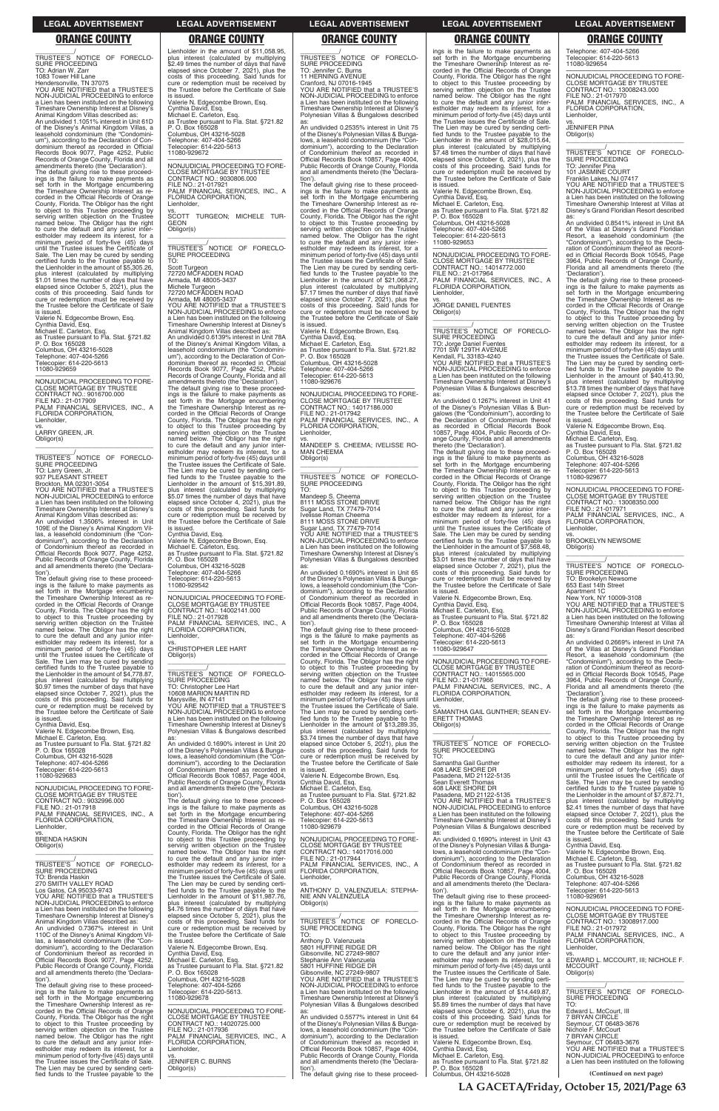**LA GACETA/Friday, October 15, 2021/Page 63**

### **LEGAL ADVERTISEMENT LEGAL ADVERTISEMENT LEGAL ADVERTISEMENT LEGAL ADVERTISEMENT LEGAL ADVERTISEMENT**

# **ORANGE COUNTY ORANGE COUNTY ORANGE COUNTY ORANGE COUNTY ORANGE COUNTY**

\_\_\_\_\_\_\_\_\_\_\_/ TRUSTEE'S NOTICE OF FORECLO-SURE PROCEEDING TO: Adrian W. Zarr 1083 Tower Hill Lane Hendersonville, TN 37075 YOU ARE NOTIFIED that a TRUSTEE'S NON-JUDICIAL PROCEEDING to enforce a Lien has been instituted on the following Timeshare Ownership Interest at Disney's Animal Kingdom Villas described as: An undivided 1.1051% interest in Unit 61D of the Disney's Animal Kingdom Villas, a leasehold condominium (the "Condominium"), according to the Declaration of Con-dominium thereof as recorded in Official Records Book 9077, Page 4252, Public Records of Orange County, Florida and all amendments thereto (the 'Declaration'). The default giving rise to these proceedings is the failure to make payments as set forth in the Mortgage encumbering the Timeshare Ownership Interest as recorded in the Official Records of Orange County, Florida. The Obligor has the right to object to this Trustee proceeding by serving written objection on the Trustee named below. The Obligor has the right to cure the default and any junior interestholder may redeem its interest, for a minimum period of forty-five (45) days until the Trustee issues the Certificate of Sale. The Lien may be cured by sending certified funds to the Trustee payable to the Lienholder in the amount of \$5,305.26, plus interest (calculated by multiplying \$1.01 times the number of days that have elapsed since October 5, 2021), plus the costs of this proceeding. Said funds for cure or redemption must be received by the Trustee before the Certificate of Sale

is issued. Valerie N. Edgecombe Brown, Esq. Cynthia David, Esq. Michael E. Carleton, Esq. as Trustee pursuant to Fla. Stat. §721.82 P. O. Box 165028 Columbus, OH 43216-5028 Telephone: 407-404-5266 Telecopier: 614-220-5613 11080-929659

—————————————————— NONJUDICIAL PROCEEDING TO FORE-CLOSE MORTGAGE BY TRUSTEE CONTRACT NO.: 9016700.000 FILE NO.: 21-017909 PALM FINANCIAL SERVICES, INC., A FLORIDA CORPORATION, Lienholder,

vs. LARRY GREEN, JR. Obligor(s)

\_\_\_\_\_\_\_\_\_\_\_\_\_\_\_\_\_\_\_\_\_\_\_\_\_\_\_\_\_\_\_\_\_ \_\_\_\_\_\_\_\_\_\_\_/ TRUSTEE'S NOTICE OF FORECLO-SURE PROCEEDING TO: Larry Green, Jr. 937 PLEASANT STREET

Brockton, MA 02301-3054 YOU ARE NOTIFIED that a TRUSTEE'S NON-JUDICIAL PROCEEDING to enforce a Lien has been instituted on the following Timeshare Ownership Interest at Disney's Animal Kingdom Villas described as: An undivided 1.3506% interest in Unit 109E of the Disney's Animal Kingdom Vil-las, a leasehold condominium (the "Con-

dominium"), according to the Declaration of Condominium thereof as recorded in Official Records Book 9077, Page 4252, Public Records of Orange County, Florida and all amendments thereto (the 'Declaration').

The default giving rise to these proceed-ings is the failure to make payments as set forth in the Mortgage encumbering the Timeshare Ownership Interest as re-corded in the Official Records of Orange County, Florida. The Obligor has the right to object to this Trustee proceeding by serving written objection on the Trustee named below. The Obligor has the right to cure the default and any junior inter-estholder may redeem its interest, for a minimum period of forty-five (45) days until the Trustee issues the Certificate of Sale. The Lien may be cured by sending certified funds to the Trustee payable to the Lienholder in the amount of \$4,778.87, plus interest (calculated by multiplying \$0.97 times the number of days that have elapsed since October 7, 2021), plus the costs of this proceeding. Said funds for cure or redemption must be received by the Trustee before the Certificate of Sale

is issued. Cynthia David, Esq.

Valerie N. Edgecombe Brown, Esq. Michael E. Carleton, Esq. as Trustee pursuant to Fla. Stat. §721.82 P. O. Box 165028 Columbus, OH 43216-5028 Telephone: 407-404-5266 Telecopier: 614-220-5613 11080-929683

—————————————————— NONJUDICIAL PROCEEDING TO FORE-CLOSE MORTGAGE BY TRUSTEE CONTRACT NO.: 9032996.000 FILE NO.: 21-017918 PALM FINANCIAL SERVICES, INC., A \_\_\_\_\_\_\_\_\_\_\_\_\_/<br>TRUSTEE'S NOTICE OF FORECLO-SURE PROCEEDING TO: Jennifer C. Burns 11 HERNING AVENUE

Lienholder in the amount of \$11,058.95, plus interest (calculated by multiplying \$2.49 times the number of days that have elapsed since October 7, 2021), plus the costs of this proceeding. Said funds for cure or redemption must be received by the Trustee before the Certificate of Sale is issued. Valerie N. Edgecombe Brown, Esq. Cynthia David, Esq. Michael E. Carleton, Esq. as Trustee pursuant to Fla. Stat. §721.82 P. O. Box 165028 Columbus, OH 43216-5028 Telephone: 407-404-5266 Telecopier: 614-220-5613 11080-929672

—————————————————— NONJUDICIAL PROCEEDING TO FORE-CLOSE MORTGAGE BY TRUSTEE CONTRACT NO.: 9030806.000 FILE NO.: 21-017921 PALM FINANCIAL SERVICES, INC., A FLORIDA CORPORATION,

Lienholder,

vs. SCOTT TURGEON; MICHELE TUR-GEON Obligor(s)

\_\_\_\_\_\_\_\_\_\_\_\_\_\_\_\_\_\_\_\_\_\_\_\_\_\_\_\_\_\_\_\_\_ \_\_\_\_\_\_\_\_\_\_\_\_/<br>TRUSTEE'S NOTICE OF FORECLO-SURE PROCEEDING

> of the Disney's Polynesian Villas & Bunga-lows, a leasehold condominium (the "Con-dominium"), according to the Declaration of Condominium thereof as recorded in Official Records Book 10857, Page 4004, Public Records of Orange County, Florida and all amendments thereto (the 'Declara-

TO: Scott Turgeon 72720 MCFADDEN ROAD Armada, MI 48005-3437 Michele Turgeon 72720 MCFADDEN ROAD Armada, MI 48005-3437 YOU ARE NOTIFIED that a TRUSTEE'S NON-JUDICIAL PROCEEDING to enforce a Lien has been instituted on the following Timeshare Ownership Interest at Disney's Animal Kingdom Villas described as: An undivided 0.6139% interest in Unit 78A of the Disney's Animal Kingdom Villas, a leasehold condominium (the "Condomini-um"), according to the Declaration of Con-dominium thereof as recorded in Official Records Book 9077, Page 4252, Public Records of Orange County, Florida and all amendments thereto (the 'Declaration'). The default giving rise to these proceed-ings is the failure to make payments as set forth in the Mortgage encumbering the Timeshare Ownership Interest as re-corded in the Official Records of Orange County, Florida. The Obligor has the right to object to this Trustee proceeding by serving written objection on the Trustee named below. The Obligor has the right to cure the default and any junior inter-estholder may redeem its interest, for a minimum period of forty-five (45) days until the Trustee issues the Certificate of Sale. The Lien may be cured by sending certi-fied funds to the Trustee payable to the Lienholder in the amount of \$15,391.89, plus interest (calculated by multiplying \$5.07 times the number of days that have elapsed since October 4, 2021), plus the costs of this proceeding. Said funds for cure or redemption must be received by the Trustee before the Certificate of Sale is issued. Cynthia David, Esq.

Valerie N. Edgecombe Brown, Esq. Michael E. Carleton, Esq. as Trustee pursuant to Fla. Stat. §721.82 P. O. Box 165028 Columbus, OH 43216-5028 Telephone: 407-404-5266 Telecopier: 614-220-5613 11080-929542

—————————————————— NONJUDICIAL PROCEEDING TO FORE-CLOSE MORTGAGE BY TRUSTEE CONTRACT NO.: 14002141.000 FILE NO.: 21-017928 PALM FINANCIAL SERVICES, INC., A FLORIDA CORPORATION, Lienholder,

vs. CHRISTOPHER LEE HART Obligor(s)

vs. JORGE DANIEL FUENTES Obligor(s)  $\overline{\phantom{a}}$  , and the set of the set of the set of the set of the set of the set of the set of the set of the set of the set of the set of the set of the set of the set of the set of the set of the set of the set of the s

\_\_\_\_\_\_\_\_\_\_\_/ TRUSTEE'S NOTICE OF FORECLO-SURE PROCEEDING TO: Christopher Lee Hart 10608 MARION MARTIN RD

 $\overline{\phantom{a}}$  ,  $\overline{\phantom{a}}$  ,  $\overline{\phantom{a}}$  ,  $\overline{\phantom{a}}$  ,  $\overline{\phantom{a}}$  ,  $\overline{\phantom{a}}$  ,  $\overline{\phantom{a}}$  ,  $\overline{\phantom{a}}$  ,  $\overline{\phantom{a}}$  ,  $\overline{\phantom{a}}$  ,  $\overline{\phantom{a}}$  ,  $\overline{\phantom{a}}$  ,  $\overline{\phantom{a}}$  ,  $\overline{\phantom{a}}$  ,  $\overline{\phantom{a}}$  ,  $\overline{\phantom{a}}$ 

TRUSTEE'S NOTICE OF FORECLO-SURE PROCEEDING TO: Jorge Daniel Fuentes 7701 SW 129TH AVENUE Kendall, FL 33183-4240 YOU ARE NOTIFIED that a TRUSTEE'S NON-JUDICIAL PROCEEDING to enforce a Lien has been instituted on the following NON-JODICIAL PROCEEDING to emore<br>a Lien has been instituted on the following<br>Timeshare Ownership Interest at Disney's Polynesian Villas & Bungalows described as: An undivided 0.1267% interest in Unit 41

Marysville, IN 47141 YOU ARE NOTIFIED that a TRUSTEE'S NON-JUDICIAL PROCEEDING to enforce<br>a Lien has been instituted on the following a Lien has been instituted on the following Timeshare Ownership Interest at Disney's Polynesian Villas & Bungalows described

as: An undivided 0.1690% interest in Unit 20 of the Disney's Polynesian Villas & Bunga-lows, a leasehold condominium (the "Con-dominium"), according to the Declaration of Condominium thereof as recorded in Official Records Book 10857, Page 4004, Public Records of Orange County, Florida and all amendments thereto (the 'Declara-

tion'). The default giving rise to these proceedings is the failure to make payments as set forth in the Mortgage encumbering the Timeshare Ownership Interest as re-

Cranford, NJ 07016-1945 YOU ARE NOTIFIED that a TRUSTEE'S NON-JUDICIAL PROCEEDING to enforce a Lien has been instituted on the following Timeshare Ownership Interest at Disney's Polynesian Villas & Bungalows described

as: An undivided 0.2535% interest in Unit 75 of the Disney's Polynesian Villas & Bungalows, a leasehold condominium (the "Condominium"), according to the Declaration of Condominium thereof as recorded in Official Records Book 10857, Page 4004, Public Records of Orange County, Florida and all amendments thereto (the 'Declara-

> \_\_\_\_\_\_\_\_\_\_\_\_\_\_\_\_\_\_\_\_\_\_\_\_\_\_\_\_\_\_\_\_\_ \_\_\_\_\_\_\_\_\_\_\_/<br>TRUSTEE'S NOTICE OF FORECLO-<br>SURE PROCEEDING

tion'). The default giving rise to these proceed-ings is the failure to make payments as set forth in the Mortgage encumbering the Timeshare Ownership Interest as re-corded in the Official Records of Orange County, Florida. The Obligor has the right to object to this Trustee proceeding by serving written objection on the Trustee named below. The Obligor has the right to cure the default and any junior inter-estholder may redeem its interest, for a minimum period of forty-five (45) days until the Trustee issues the Certificate of Sale. The Lien may be cured by sending certified funds to the Trustee payable to the Lienholder in the amount of \$21,068.27, plus interest (calculated by multiplying \$7.17 times the number of days that have elapsed since October 7, 2021), plus the costs of this proceeding. Said funds for cure or redemption must be received by the Trustee before the Certificate of Sale

is issued. Valerie N. Edgecombe Brown, Esq. Cynthia David, Esq. Michael E. Carleton, Esq. as Trustee pursuant to Fla. Stat. §721.82 P. O. Box 165028 Columbus, OH 43216-5028 Telephone: 407-404-5266 Telecopier: 614-220-5613 11080-929676

—————————————————— NONJUDICIAL PROCEEDING TO FORE-CLOSE MORTGAGE BY TRUSTEE CONTRACT NO.: 14017186.000 FILE NO.: 21-017942 PALM FINANCIAL SERVICES, INC., A FLORIDA CORPORATION, Lienholder,

vs. MANDEEP S. CHEEMA; IVELISSE RO-MAN CHEEMA Obligor(s)

\_\_\_\_\_\_\_\_\_\_\_\_\_\_\_\_\_\_\_\_\_\_\_\_\_\_\_\_\_\_\_\_\_ \_\_\_\_\_\_\_\_\_\_\_/ TRUSTEE'S NOTICE OF FORECLO-SURE PROCEEDING

TO: Mandeep S. Cheema 8111 MOSS STONE DRIVE Sugar Land, TX 77479-7014 Ivelisse Roman Cheema 8111 MOSS STONE DRIVE Sugar Land, TX 77479-7014 YOU ARE NOTIFIED that a TRUSTEE'S NON-JUDICIAL PROCEEDING to enforce a Lien has been instituted on the following Timeshare Ownership Interest at Disney's Polynesian Villas & Bungalows described as: An undivided 0.1690% interest in Unit 65

tion'). The default giving rise to these proceedings is the failure to make payments as set forth in the Mortgage encumbering the Timeshare Ownership Interest as recorded in the Official Records of Orange County, Florida. The Obligor has the right to object to this Trustee proceeding by serving written objection on the Trustee named below. The Obligor has the right to cure the default and any junior interestholder may redeem its interest, for a minimum period of forty-five (45) days until the Trustee issues the Certificate of Sale. The Lien may be cured by sending certi-fied funds to the Trustee payable to the Lienholder in the amount of \$13,289.35, plus interest (calculated by multiplying \$3.74 times the number of days that have elapsed since October 5, 2021), plus the costs of this proceeding. Said funds for cure or redemption must be received by the Trustee before the Certificate of Sale

is issued. Valerie N. Edgecombe Brown, Esq. Cynthia David, Esq. Michael E. Carleton, Esq. as Trustee pursuant to Fla. Stat. §721.82 P. O. Box 165028 Columbus, OH 43216-5028 Telephone: 407-404-5266 Telecopier: 614-220-5613

| FLORIDA CORPORATION,<br>Lienholder,          | the Timeshare Ownership Interest as re-<br>corded in the Official Records of Orange | Telecopier: 614-220-5613<br>11080-929679    | Timeshare Ownership Interest at Disney's<br>Polynesian Villas & Bungalows described | costs of this proceeding. Said funds for<br>cure or redemption must be received by |
|----------------------------------------------|-------------------------------------------------------------------------------------|---------------------------------------------|-------------------------------------------------------------------------------------|------------------------------------------------------------------------------------|
| VS.                                          | County, Florida. The Obligor has the right                                          |                                             | as:                                                                                 | the Trustee before the Certificate of Sale                                         |
| <b>BRENDA HASKIN</b>                         | to object to this Trustee proceeding by                                             | NONJUDICIAL PROCEEDING TO FORE-             | An undivided 0.1690% interest in Unit 43                                            | is issued.                                                                         |
| Obligor(s)                                   | serving written objection on the Trustee                                            | <b>CLOSE MORTGAGE BY TRUSTEE</b>            | of the Disney's Polynesian Villas & Bunga-                                          | Cynthia David, Esq.                                                                |
|                                              | named below. The Obligor has the right                                              | CONTRACT NO.: 14017016.000                  | lows, a leasehold condominium (the "Con-                                            | Valerie N. Edgecombe Brown, Esq.                                                   |
|                                              | to cure the default and any junior inter-                                           | FILE NO.: 21-017944                         | dominium"), according to the Declaration                                            | Michael E. Carleton, Esg.                                                          |
| TRUSTEE'S NOTICE OF FORECLO-                 | estholder may redeem its interest, for a                                            | PALM FINANCIAL SERVICES, INC., A            | of Condominium thereof as recorded in                                               | as Trustee pursuant to Fla. Stat. §721.82                                          |
| SURE PROCEEDING                              | minimum period of forty-five (45) days until                                        | FLORIDA CORPORATION,                        | Official Records Book 10857, Page 4004,                                             | P. O. Box 165028                                                                   |
| TO: Brenda Haskin                            | the Trustee issues the Certificate of Sale.                                         | Lienholder.                                 | Public Records of Orange County, Florida                                            | Columbus, OH 43216-5028                                                            |
| 270 SMITH VALLEY ROAD                        | The Lien may be cured by sending certi-                                             | VS.                                         | and all amendments thereto (the 'Declara-                                           | Telephone: 407-404-5266                                                            |
| Los Gatos, CA 95033-9743                     | fied funds to the Trustee payable to the                                            | ANTHONY D. VALENZUELA; STEPHA-              | tion').                                                                             | Telecopier: 614-220-5613                                                           |
| YOU ARE NOTIFIED that a TRUSTEE'S            | Lienholder in the amount of \$11.987.76.                                            | NIE ANN VALENZUELA                          | The default giving rise to these proceed-                                           | 11080-929691                                                                       |
| NON-JUDICIAL PROCEEDING to enforce           | plus interest (calculated by multiplying                                            | Obligor(s)                                  | ings is the failure to make payments as                                             |                                                                                    |
| a Lien has been instituted on the following  | \$4.76 times the number of days that have                                           |                                             | set forth in the Mortgage encumbering                                               | NONJUDICIAL PROCEEDING TO FORE-                                                    |
| Timeshare Ownership Interest at Disney's     | elapsed since October 5, 2021), plus the                                            |                                             | the Timeshare Ownership Interest as re-                                             | <b>CLOSE MORTGAGE BY TRUSTEE</b>                                                   |
| Animal Kingdom Villas described as:          | costs of this proceeding. Said funds for                                            | TRUSTEE'S NOTICE OF FORECLO-                | corded in the Official Records of Orange                                            | CONTRACT NO.: 13008917.000                                                         |
| An undivided 0.7367% interest in Unit        | cure or redemption must be received by                                              | SURE PROCEEDING                             | County, Florida. The Obligor has the right                                          | FILE NO.: 21-017972                                                                |
| 110C of the Disney's Animal Kingdom Vil-     | the Trustee before the Certificate of Sale                                          | TO:                                         | to object to this Trustee proceeding by                                             | PALM FINANCIAL SERVICES, INC., A                                                   |
| las, a leasehold condominium (the "Con-      | is issued.                                                                          | Anthony D. Valenzuela                       | serving written objection on the Trustee                                            | FLORIDA CORPORATION,                                                               |
| dominium"), according to the Declaration     | Valerie N. Edgecombe Brown, Esg.                                                    | 5801 HUFFINE RIDGE DR                       | named below. The Obligor has the right                                              | Lienholder.                                                                        |
| of Condominium thereof as recorded in        | Cynthia David, Esq.                                                                 | Gibsonville, NC 27249-9807                  | to cure the default and any junior inter-                                           | VS.                                                                                |
| Official Records Book 9077, Page 4252,       | Michael E. Carleton, Esq.                                                           | Stephanie Ann Valenzuela                    | estholder may redeem its interest, for a                                            | EDWARD L. MCCOURT, III; NICHOLE F.                                                 |
| Public Records of Orange County, Florida     | as Trustee pursuant to Fla. Stat. §721.82                                           | 5801 HUFFINE RIDGE DR                       | minimum period of forty-five (45) days until                                        | <b>MCCOURT</b>                                                                     |
| and all amendments thereto (the 'Declara-    | P. O. Box 165028                                                                    | Gibsonville, NC 27249-9807                  | the Trustee issues the Certificate of Sale.                                         | Obligor(s)                                                                         |
| tion').                                      | Columbus, OH 43216-5028                                                             | YOU ARE NOTIFIED that a TRUSTEE'S           | The Lien may be cured by sending certi-                                             |                                                                                    |
| The default giving rise to these proceed-    | Telephone: 407-404-5266                                                             | NON-JUDICIAL PROCEEDING to enforce          | fied funds to the Trustee payable to the                                            |                                                                                    |
| ings is the failure to make payments as      | Telecopier: 614-220-5613.                                                           | a Lien has been instituted on the following | Lienholder in the amount of \$14.449.87.                                            | TRUSTEE'S NOTICE OF FORECLO-                                                       |
| set forth in the Mortgage encumbering        | 11080-929678                                                                        | Timeshare Ownership Interest at Disney's    | plus interest (calculated by multiplying                                            | SURE PROCEEDING                                                                    |
| the Timeshare Ownership Interest as re-      |                                                                                     | Polynesian Villas & Bungalows described     | \$5.89 times the number of days that have                                           | TO:                                                                                |
| corded in the Official Records of Orange     | NONJUDICIAL PROCEEDING TO FORE-                                                     | as:                                         | elapsed since October 6, 2021), plus the                                            | Edward L. McCourt. III                                                             |
| County, Florida. The Obligor has the right   | <b>CLOSE MORTGAGE BY TRUSTEE</b>                                                    | An undivided 0.5577% interest in Unit 64    | costs of this proceeding. Said funds for                                            | <b>7 BRYAN CIRCLE</b>                                                              |
| to object to this Trustee proceeding by      | CONTRACT NO.: 14020725.000                                                          | of the Disney's Polynesian Villas & Bunga-  | cure or redemption must be received by                                              | Seymour, CT 06483-3676                                                             |
| serving written objection on the Trustee     | FILE NO.: 21-017936                                                                 | lows, a leasehold condominium (the "Con-    | the Trustee before the Certificate of Sale                                          | Nichole F. McCourt                                                                 |
| named below. The Obligor has the right       | PALM FINANCIAL SERVICES, INC., A                                                    | dominium"), according to the Declaration    | is issued.                                                                          | 7 BRYAN CIRCLE                                                                     |
| to cure the default and any junior inter-    | FLORIDA CORPORATION.                                                                | of Condominium thereof as recorded in       | Valerie N. Edgecombe Brown, Esg.                                                    | Seymour, CT 06483-3676                                                             |
| estholder may redeem its interest, for a     | Lienholder,                                                                         | Official Records Book 10857, Page 4004,     | Cynthia David, Esq.                                                                 | YOU ARE NOTIFIED that a TRUSTEE'S                                                  |
| minimum period of forty-five (45) days until | VS.                                                                                 | Public Records of Orange County, Florida    | Michael E. Carleton, Esq.                                                           | NON-JUDICIAL PROCEEDING to enforce                                                 |
| the Trustee issues the Certificate of Sale.  | JENNIFER C. BURNS                                                                   | and all amendments thereto (the 'Declara-   | as Trustee pursuant to Fla. Stat. §721.82                                           | a Lien has been instituted on the following                                        |
| The Lien may be cured by sending certi-      | Obligor(s)                                                                          | tion').                                     | P. O. Box 165028                                                                    | (Continued on next page)                                                           |
| fied funds to the Trustee payable to the     |                                                                                     | The default giving rise to these proceed-   | Columbus, OH 43216-5028                                                             |                                                                                    |

ings is the failure to make payments as set forth in the Mortgage encumbering the Timeshare Ownership Interest as re-corded in the Official Records of Orange County, Florida. The Obligor has the right to object to this Trustee proceeding by serving written objection on the Trustee named below. The Obligor has the right to cure the default and any junior inter-estholder may redeem its interest, for a minimum period of forty-five (45) days until the Trustee issues the Certificate of Sale. The Lien may be cured by sending certi-fied funds to the Trustee payable to the Lienholder in the amount of \$28,015.64, plus interest (calculated by multiplying \$7.48 times the number of days that have elapsed since October 6, 2021), plus the costs of this proceeding. Said funds for cure or redemption must be received by the Trustee before the Certificate of Sale

is issued. Valerie N. Edgecombe Brown, Esq. Cynthia David, Esq. Michael E. Carleton, Esq. as Trustee pursuant to Fla. Stat. §721.82 P. O. Box 165028 Columbus, OH 43216-5028 Telephone: 407-404-5266 Telecopier: 614-220-5613 11080-929653

—————————————————— NONJUDICIAL PROCEEDING TO FORE-CLOSE MORTGAGE BY TRUSTEE CONTRACT NO.: 14014772.000 FILE NO.: 21-017964 PALM FINANCIAL SERVICES, INC., A FLORIDA CORPORATION, Lienholder,

of the Disney's Polynesian Villas & Bun-galows (the "Condominium"), according to the Declaration of Condominium thereof as recorded in Official Records Book 10857, Page 4004, Public Records of Or-ange County, Florida and all amendments

thereto (the 'Declaration'). The default giving rise to these proceed-ings is the failure to make payments as set forth in the Mortgage encumbering the Timeshare Ownership Interest as re-corded in the Official Records of Orange County, Florida. The Obligor has the right to object to this Trustee proceeding by serving written objection on the Trustee named below. The Obligor has the right to cure the default and any junior inter-estholder may redeem its interest, for a minimum period of forty-five (45) days until the Trustee issues the Certificate of Sale. The Lien may be cured by sending certified funds to the Trustee payable to the Lienholder in the amount of \$7,568.48, plus interest (calculated by multiplying \$3.01 times the number of days that have elapsed since October 7, 2021), plus the costs of this proceeding. Said funds for cure or redemption must be received by the Trustee before the Certificate of Sale

is issued. Valerie N. Edgecombe Brown, Esq. Cynthia David, Esq. Michael E. Carleton, Esq.

as Trustee pursuant to Fla. Stat. §721.82 P. O. Box 165028 Columbus, OH 43216-5028

Telephone: 407-404-5266 Telecopier: 614-220-5613 11080-929647

—————————————————— NONJUDICIAL PROCEEDING TO FORE-CLOSE MORTGAGE BY TRUSTEE CONTRACT NO.: 14015565.000 FILE NO.: 21-017966 PALM FINANCIAL SERVICES, INC., A FLORIDA CORPORATION, Lienholder, vs.

SAMANTHA GAIL GUNTHER; SEAN EV-THOMAS Obligor(s)

\_\_\_\_\_\_\_\_\_\_\_\_\_\_\_\_\_\_\_\_\_\_\_\_\_\_\_\_\_\_\_\_\_ \_\_\_\_\_\_\_\_\_\_\_/ TRUSTEE'S NOTICE OF FORECLO-SURE PROCEEDING

TO: Samantha Gail Gunther 408 LAKE SHORE DR Pasadena, MD 21122-5135 Sean Everett Thomas

408 LAKE SHORE DR

Pasadena, MD 21122-5135 YOU ARE NOTIFIED that a TRUSTEE'S NON-JUDICIAL PROCEEDING to enforce a Lien has been instituted on the following Timeshare Ownership Interest at Disney's

Telephone: 407-404-5266 Telecopier: 614-220-5613 11080-929654

—————————————————— NONJUDICIAL PROCEEDING TO FORE-CLOSE MORTGAGE BY TRUSTEE CONTRACT NO.: 13008243.000 FILE NO.: 21-017970 PALM FINANCIAL SERVICES, INC., A FLORIDA CORPORATION, Lienholder,

vs. JENNIFER PINA Obligor(s)

> \_\_\_\_\_\_\_\_\_\_\_\_\_\_\_\_\_\_\_\_\_\_\_\_\_\_\_\_\_\_\_\_\_ \_\_\_\_\_\_\_\_\_\_\_/ TRUSTEE'S NOTICE OF FORECLO-

SURE PROCEEDING TO: Jennifer Pina 101 JASMINE COURT

Franklin Lakes, NJ 07417 YOU ARE NOTIFIED that a TRUSTEE'S NON-JUDICIAL PROCEEDING to enforce a Lien has been instituted on the following Timeshare Ownership Interest at Villas at Disney's Grand Floridian Resort described as:

An undivided 0.8541% interest in Unit 8A of the Villas at Disney's Grand Floridian Resort, a leasehold condominium (the "Condominium"), according to the Decla-ration of Condominium thereof as recorded in Official Records Book 10545, Page 3964, Public Records of Orange County, Florida and all amendments thereto (the

'Declaration'). The default giving rise to these proceed-ings is the failure to make payments as set forth in the Mortgage encumbering the Timeshare Ownership Interest as re-corded in the Official Records of Orange County, Florida. The Obligor has the right to object to this Trustee proceeding by serving written objection on the Trustee named below. The Obligor has the right to cure the default and any junior inter-estholder may redeem its interest, for a minimum period of forty-five (45) days until the Trustee issues the Certificate of Sale. The Lien may be cured by sending certified funds to the Trustee payable to the Lienholder in the amount of \$40,413.90, plus interest (calculated by multiplying \$13.78 times the number of days that have elapsed since October 7, 2021), plus the costs of this proceeding. Said funds for cure or redemption must be received by the Trustee before the Certificate of Sale

is issued. Valerie N. Edgecombe Brown, Esq. Cynthia David, Esq. Michael E. Carleton, Esq.

as Trustee pursuant to Fla. Stat. §721.82 P. O. Box 165028 Columbus, OH 43216-5028

Telephone: 407-404-5266 Telecopier: 614-220-5613 11080-929677

—————————————————— NONJUDICIAL PROCEEDING TO FORE-CLOSE MORTGAGE BY TRUSTEE CONTRACT NO.: 13008350.000 FILE NO.: 21-017971 PALM FINANCIAL SERVICES, INC., A FLORIDA CORPORATION, Lienholder,

vs. BROOKELYN NEWSOME Obligor(s)

TO: Brookelyn Newsome 653 East 14th Street

Apartment 1C

New York, NY 10009-3108 YOU ARE NOTIFIED that a TRUSTEE'S NON-JUDICIAL PROCEEDING to enforce a Lien has been instituted on the following Timeshare Ownership Interest at Villas at Disney's Grand Floridian Resort described as:

An undivided 0.2669% interest in Unit 7A of the Villas at Disney's Grand Floridian Resort, a leasehold condominium (the "Condominium"), according to the Decla-ration of Condominium thereof as recorded in Official Records Book 10545, Page 3964, Public Records of Orange County, Florida and all amendments thereto (the

'Declaration'). The default giving rise to these proceed-ings is the failure to make payments as set forth in the Mortgage encumbering the Timeshare Ownership Interest as re-corded in the Official Records of Orange County, Florida. The Obligor has the right to object to this Trustee proceeding by serving written objection on the Trustee named below. The Obligor has the right to cure the default and any junior inter-estholder may redeem its interest, for a minimum period of forty-five (45) days until the Trustee issues the Certificate of Sale. The Lien may be cured by sending certified funds to the Trustee payable to the Lienholder in the amount of \$7,872.71, plus interest (calculated by multiplying \$2.41 times the number of days that have elapsed since October 7, 2021), plus the costs of this proceeding. Said funds for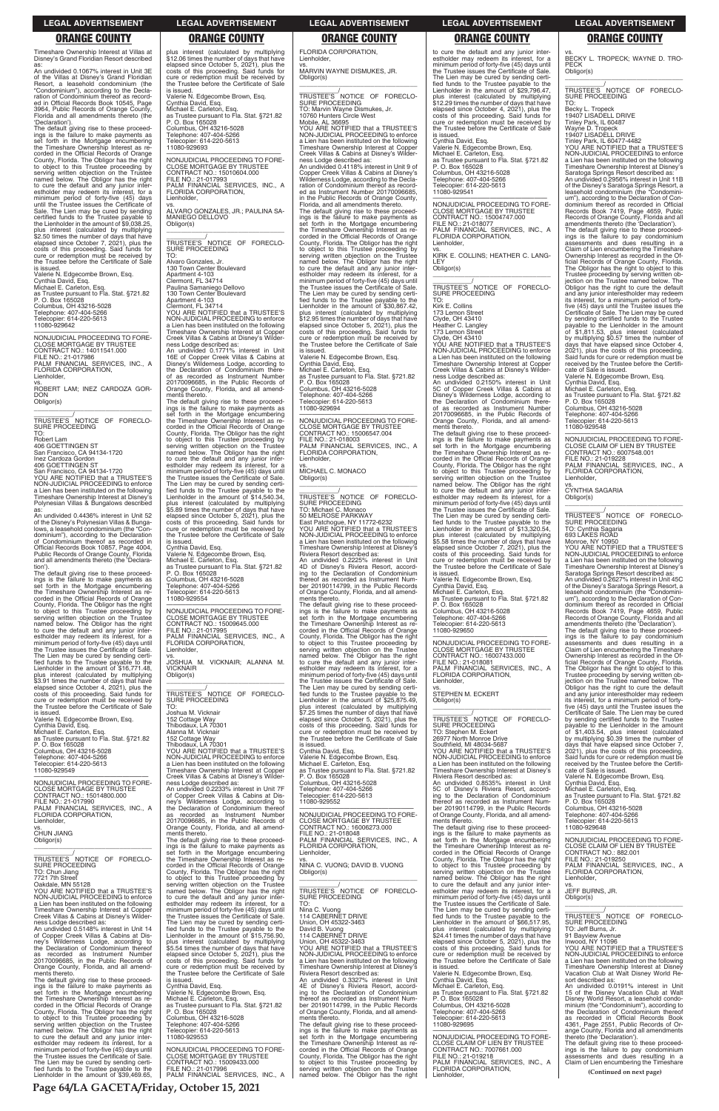**Page 64/LA GACETA/Friday, October 15, 2021**

### **LEGAL ADVERTISEMENT LEGAL ADVERTISEMENT LEGAL ADVERTISEMENT LEGAL ADVERTISEMENT LEGAL ADVERTISEMENT**

# **ORANGE COUNTY ORANGE COUNTY ORANGE COUNTY ORANGE COUNTY ORANGE COUNTY**

Timeshare Ownership Interest at Villas at Disney's Grand Floridian Resort described

as: An undivided 0.1067% interest in Unit 3E of the Villas at Disney's Grand Floridian Resort, a leasehold condominium (the "Condominium"), according to the Decla-ration of Condominium thereof as recorded in Official Records Book 10545, Page 3964, Public Records of Orange County, Florida and all amendments thereto (the 'Declaration').

\_\_\_\_\_\_\_\_\_\_\_\_\_\_\_\_\_\_\_\_\_\_\_\_\_\_\_\_\_\_\_\_\_ \_\_\_\_\_\_\_\_\_\_\_/ TRUSTEE'S NOTICE OF FORECLO-SURE PROCEEDING

The default giving rise to these proceed-ings is the failure to make payments as set forth in the Mortgage encumbering the Timeshare Ownership Interest as re-corded in the Official Records of Orange County, Florida. The Obligor has the right<br>to object to this Trustee proceeding by<br>serving written objection on the Trustee<br>named below. The Obligor has the right<br>to cure the default and any junior inter-<br>estholder may red Sale. The Lien may be cured by sending certified funds to the Trustee payable to the Lienholder in the amount of \$9,038.25, plus interest (calculated by multiplying \$2.50 times the number of days that have elapsed since October 7, 2021), plus the costs of this proceeding. Said funds for cure or redemption must be received by the Trustee before the Certificate of Sale is issued.

Valerie N. Edgecombe Brown, Esq. Cynthia David, Esq. Michael E. Carleton, Esq.

as Trustee pursuant to Fla. Stat. §721.82 P. O. Box 165028 Columbus, OH 43216-5028

Telephone: 407-404-5266 Telecopier: 614-220-5613 11080-929642

—————————————————— NONJUDICIAL PROCEEDING TO FORE-CLOSE MORTGAGE BY TRUSTEE CONTRACT NO.: 14011541.000 FILE NO.: 21-017986 PALM FINANCIAL SERVICES, INC., A FLORIDA CORPORATION, Lienholder, vs.

ROBERT LAM; INEZ CARDOZA GOR-DON Obligor(s)

TO: Robert Lam

406 GOETTINGEN ST

San Francisco, CA 94134-1720 Inez Cardoza Gordon

406 GOETTINGEN ST San Francisco, CA 94134-1720 YOU ARE NOTIFIED that a TRUSTEE'S NON-JUDICIAL PROCEEDING to enforce a Lien has been instituted on the following Timeshare Ownership Interest at Disney's Polynesian Villas & Bungalows described

as: An undivided 0.4436% interest in Unit 52 of the Disney's Polynesian Villas & Bunga-lows, a leasehold condominium (the "Condominium"), according to the Declaration<br>of Condominium thereof as recorded in<br>Official Records Book 10857, Page 4004,<br>Public Records of Orange County, Florida<br>and all amendments thereto (the 'Declaration').

The default giving rise to these proceedings is the failure to make payments as set forth in the Mortgage encumbering the Timeshare Ownership Interest as re-corded in the Official Records of Orange County, Florida. The Obligor has the right to object to this Trustee proceeding by<br>serving written objection on the Trustee<br>named below. The Obligor has the right<br>to cure the default and any junior inter-<br>estholder may redeem its interest, for a<br>minimum period of f The Lien may be cured by sending certi-fied funds to the Trustee payable to the Lienholder in the amount of \$16,771.48, plus interest (calculated by multiplying \$3.91 times the number of days that have elapsed since October 4, 2021), plus the costs of this proceeding. Said funds for cure or redemption must be received by the Trustee before the Certificate of Sale

is issued. Valerie N. Edgecombe Brown, Esq. Cynthia David, Esq. Michael E. Carleton, Esq. as Trustee pursuant to Fla. Stat. §721.82 P. O. Box 165028 Columbus, OH 43216-5028 Telephone: 407-404-5266 Telecopier: 614-220-5613 11080-929549

The default giving rise to these proceed-<br>ings is the failure to make payments as<br>set forth in the Mortgage encumbering<br>the Timeshare Ownership Interest as re-<br>corded in the Official Records of Orange<br>County, Florida. The to object to this Trustee proceeding by<br>serving written objection on the Trustee<br>named below. The Obligor has the right<br>to cure the default and any junior inter-<br>estholder may redeem its interest, for a<br>minimum period of f The Lien may be cured by sending certi-fied funds to the Trustee payable to the Lienholder in the amount of \$14,540.34, plus interest (calculated by multiplying \$5.89 times the number of days that have elapsed since October 5, 2021), plus the costs of this proceeding. Said funds for cure or redemption must be received by the Trustee before the Certificate of Sale

—————————————————— NONJUDICIAL PROCEEDING TO FORE-CLOSE MORTGAGE BY TRUSTEE CONTRACT NO.: 15014800.000 FILE NO.: 21-017990 PALM FINANCIAL SERVICES, INC., A FLORIDA CORPORATION,

Joshua M. Vicknair 152 Cottage Way Thibodaux, LA 70301 Alanna M. Vicknair 152 Cottage Way Thibodaux, LA 70301 YOU ARE NOTIFIED that a TRUSTEE'S NON-JUDICIAL PROCEEDING to enforce a Lien has been instituted on the following Timeshare Ownership Interest at Copper Creek Villas & Cabins at Disney's Wilderness Lodge described as:<br>An undivided 0.2233% interest in Unit 7F<br>An Oropper Creek Villas & Cabins at Dis-<br>ney's Wilderness Lodge, according to<br>the Declaration of Condominium thereof<br>as recorded as Instrument Number<br>201700

plus interest (calculated by multiplying \$12.06 times the number of days that have

elapsed since October 5, 2021), plus the costs of this proceeding. Said funds for cure or redemption must be received by the Trustee before the Certificate of Sale is issued. Valerie N. Edgecombe Brown, Esq. Cynthia David, Esq. Michael E. Carleton, Esq. as Trustee pursuant to Fla. Stat. §721.82 P. O. Box 165028 Columbus, OH 43216-5028 Telephone: 407-404-5266 Telecopier: 614-220-5613 11080-929693 —————————————————— NONJUDICIAL PROCEEDING TO FORE-CLOSE MORTGAGE BY TRUSTEE CONTRACT NO.: 15010604.000

FILE NO.: 21-017993 PALM FINANCIAL SERVICES, INC., A FLORIDA CORPORATION, Lienholder,

vs. ALVARO GONZALES, JR.; PAULINA SA-MANIEGO DELLOVO Obligor(s) \_\_\_\_\_\_\_\_\_\_\_\_\_\_\_\_\_\_\_\_\_\_\_\_\_\_\_\_\_\_\_\_\_

\_\_\_\_\_\_\_\_\_\_\_/<br>TRUSTEE'S NOTICE OF FORECLO-<br>SURE PROCEEDING

TO: Alvaro Gonzales, Jr. 130 Town Center Boulevard Apartment 4-103 Clermont, FL 34714 Paulina Samaniego Dellovo 130 Town Center Boulevard Apartment 4-103 Clermont, FL 34714 YOU ARE NOTIFIED that a TRUSTEE'S NON-JUDICIAL PROCEEDING to enforce a Lien has been instituted on the following Timeshare Ownership Interest at Copper Creek Villas & Cabins at Disney's Wilderness Lodge described as: An undivided 0.1771% interest in Unit 16E of Copper Creek Villas & Cabins at Disney's Wilderness Lodge, according to

the Declaration of Condominium there-of as recorded as Instrument Number 20170096685, in the Public Records of Orange County, Florida, and all amendments thereto.

> fied funds to the Trustee payable to the Lienholder in the amount of \$25,875.49, plus interest (calculated by multiplying \$7.25 times the number of days that have elapsed since October 5, 2021), plus the costs of this proceeding. Said funds for cure or redemption must be received by the Trustee before the Certificate of Sale is issued.

is issued. Cynthia David, Esq. Valerie N. Edgecombe Brown, Esq. Michael E. Carleton, Esq. as Trustee pursuant to Fla. Stat. §721.82 P. O. Box 165028 Columbus, OH 43216-5028 Telephone: 407-404-5266 Telecopier: 614-220-5613 11080-929554

—————————————————— NONJUDICIAL PROCEEDING TO FORE-CLOSE MORTGAGE BY TRUSTEE CONTRACT NO.: 15009645.000 FILE NO.: 21-017995 PALM FINANCIAL SERVICES, INC., A FLORIDA CORPORATION, Lienholder,

vs. JOSHUA M. VICKNAIR; ALANNA M. VICKNAIR Obligor(s)

\_\_\_\_\_\_\_\_\_\_\_\_\_\_\_\_\_\_\_\_\_\_\_\_\_\_\_\_\_\_\_\_\_ \_\_\_\_\_\_\_\_\_\_\_/ TRUSTEE'S NOTICE OF FORECLO-SURE PROCEEDING TO:

\_\_\_\_\_\_\_\_\_\_\_/<br>TRUSTEE'S NOTICE OF FORECLO-<br>SURE PROCEEDING TO: Stephen M. Eckert 26977 North Monroe Drive Southfield, MI 48034-5687 YOU ARE NOTIFIED that a TRUSTEE'S NON-JUDICIAL PROCEEDING to enforce a Lien has been instituted on the following Timeshare Ownership Interest at Disney's Riviera Resort described as: An undivided 0.8535% interest in Unit 5C of Disney's Riviera Resort, accord-ing to the Declaration of Condominium thereof as recorded as Instrument Number 20190114799, in the Public Records of Orange County, Florida, and all amend-

\_\_\_\_\_\_\_\_\_\_\_\_\_\_\_\_\_\_\_\_\_\_\_\_\_\_\_\_\_\_\_\_\_ \_\_\_\_\_\_\_\_\_\_\_/<br>TRUSTEE'S NOTICE OF FORECLO-<br>SURE PROCEEDING

FLORIDA CORPORATION, Lienholder,

vs. MARVIN WAYNE DISMUKES, JR. Obligor(s)

> \_\_\_\_\_\_\_\_\_\_\_\_\_\_\_\_\_\_\_\_\_\_\_\_\_\_\_\_\_\_\_\_\_ \_\_\_\_\_\_\_\_\_\_\_/ TRUSTEE'S NOTICE OF FORECLO-SURE PROCEEDING TO: Cynthia Sagaria 693 LAKES ROAD Monroe, NY 10950 YOU ARE NOTIFIED that a TRUSTEE'S NON-JUDICIAL PROCEEDING to enforce a Lien has been instituted on the following Timeshare Ownership Interest at Disney's Saratoga Springs Resort described as: An undivided 0.2627% interest in Unit 45C of the Disney's Saratoga Springs Resort, a leasehold condominium (the "Condominium"), according to the Declaration of Condominium thereof as recorded in Official Records Book 7419, Page 4659, Public Records of Orange County, Florida and all amendments thereto (the 'Declaration'). The default giving rise to these proceed-ings is the failure to pay condominium assessments and dues resulting in a Claim of Lien encumbering the Timeshare<br>Ownership Interest as recorded in the Of-<br>ficial Records of Orange County, Florida.<br>The Obligor has the right to object to this<br>Trustee proceeding by serving written ob-<br>jection on t

\_\_\_\_\_\_\_\_\_\_\_\_\_\_\_\_\_\_\_\_\_\_\_\_\_\_\_\_\_\_\_\_\_ \_\_\_\_\_\_\_\_\_\_\_\_\_\_/<br>TRUSTEE'S NOTICE OF FORECLO-SURE PROCEEDING TO: Marvin Wayne Dismukes, Jr. 10760 Hunters Circle West Mobile, AL 36695 YOU ARE NOTIFIED that a TRUSTEE'S NON-JUDICIAL PROCEEDING to enforce a Lien has been instituted on the following Timeshare Ownership Interest at Copper Creek Villas & Cabins at Disney's Wilderness Lodge described as: An undivided 0.4118% interest in Unit 9 of Copper Creek Villas & Cabins at Disney's Wilderness Lodge, according to the Declaration of Condominium thereof as record-ed as Instrument Number 20170096685, in the Public Records of Orange County, Florida, and all amendments thereto. The default giving rise to these proceed-ings is the failure to make payments as set forth in the Mortgage encumbering the Timeshare Ownership Interest as recorded in the Official Records of Orange<br>County, Florida. The Obligor has the right<br>to object to this Trustee proceeding by<br>serving written objection on the Trustee<br>named below. The Obligor has the right<br>to cure the defaul the Trustee issues the Certificate of Sale. The Lien may be cured by sending certi-fied funds to the Trustee payable to the Lienholder in the amount of \$30,867.42, plus interest (calculated by multiplying \$12.95 times the number of days that have elapsed since October 5, 2021), plus the costs of this proceeding. Said funds for cure or redemption must be received by the Trustee before the Certificate of Sale is issued. Valerie N. Edgecombe Brown, Esq. Cynthia David, Esq. Michael E. Carleton, Esq. as Trustee pursuant to Fla. Stat. §721.82 P. O. Box 165028 Columbus, OH 43216-5028 Telephone: 407-404-5266 Telecopier: 614-220-5613 11080-929694 —————————————————— NONJUDICIAL PROCEEDING TO FORE-CLOSE MORTGAGE BY TRUSTEE CONTRACT NO.: 15006547.004 FILE NO.: 21-018003 PALM FINANCIAL SERVICES, INC., A FLORIDA CORPORATION, Lienholder, vs. MICHAEL C. MONACO Obligor(s) \_\_\_\_\_\_\_\_\_\_\_\_\_\_\_\_\_\_\_\_\_\_\_\_\_\_\_\_\_\_\_\_\_ \_\_\_\_\_\_\_\_\_\_\_\_\_\_/<br>TRUSTEE'S NOTICE OF FORECLO-SURE PROCEEDING TO: Michael C. Monaco 50 MELROSE PARKWAY East Patchogue, NY 11772-6232 YOU ARE NOTIFIED that a TRUSTEE'S NON-JUDICIAL PROCEEDING to enforce a Lien has been instituted on the following Timeshare Ownership Interest at Disney's Riviera Resort described as: An undivided 0.2225% interest in Unit 4D of Disney's Riviera Resort, accord-ing to the Declaration of Condominium thereof as recorded as Instrument Num-ber 20190114799, in the Public Records of Orange County, Florida, and all amendments thereto. The default giving rise to these proceedings is the failure to make payments as set forth in the Mortgage encumbering the Timeshare Ownership Interest as re-corded in the Official Records of Orange County, Florida. The Obligor has the right<br>to object to this Trustee proceeding by<br>serving written objection on the Trustee<br>named below. The Obligor has the right<br>to cure the default and any junior inter-<br>estholder may red The Lien may be cured by sending certi-

Cynthia David, Esq. Valerie N. Edgecombe Brown, Esq. Michael E. Carleton, Esq. as Trustee pursuant to Fla. Stat. §721.82 P. O. Box 165028 Columbus, OH 43216-5028 Telephone: 407-404-5266 Telecopier: 614-220-5613 11080-929552

—————————————————— NONJUDICIAL PROCEEDING TO FORE-

| . בטו ווטרו טט ווו טו וואס<br>Lienholder,<br>VS.                                      | <u>ICCONOCUL US INSTEAD IN THE INSTEAD IN THE IN</u><br>20170096685, in the Public Records of<br>Orange County, Florida, and all amend- | ו ס ו ס ו סובבטוו שהשפטות ו<br><b>CLOSE MORTGAGE BY TRUSTEE</b><br>CONTRACT NO.: 16006273.000 | or Orango Obamiy, monda, and an amond<br>ments thereto.<br>The default giving rise to these proceed- | $1$ UIUPHUHU. TUT TUT ULUU<br>Telecopier: 614-220-5613<br>11080-929648    |
|---------------------------------------------------------------------------------------|-----------------------------------------------------------------------------------------------------------------------------------------|-----------------------------------------------------------------------------------------------|------------------------------------------------------------------------------------------------------|---------------------------------------------------------------------------|
| <b>CHUN JIANG</b>                                                                     | ments thereto.                                                                                                                          | FILE NO.: 21-018048                                                                           | ings is the failure to make payments as                                                              |                                                                           |
| Obligor(s)                                                                            | The default giving rise to these proceed-                                                                                               | PALM FINANCIAL SERVICES. INC., A                                                              | set forth in the Mortgage encumbering                                                                | NONJUDICIAL PROCEEDING TO FORE-                                           |
|                                                                                       | ings is the failure to make payments as                                                                                                 | FLORIDA CORPORATION,                                                                          | the Timeshare Ownership Interest as re-                                                              | CLOSE CLAIM OF LIEN BY TRUSTEE                                            |
|                                                                                       | set forth in the Mortgage encumbering                                                                                                   | Lienholder,                                                                                   | corded in the Official Records of Orange                                                             | CONTRACT NO.: 882.001                                                     |
| TRUSTEE'S NOTICE OF FORECLO-                                                          | the Timeshare Ownership Interest as re-                                                                                                 | VS.                                                                                           | County, Florida. The Obligor has the right                                                           | FILE NO.: 21-019250                                                       |
| <b>SURE PROCEEDING</b>                                                                | corded in the Official Records of Orange                                                                                                | NINA C. VUONG; DAVID B. VUONG                                                                 | to object to this Trustee proceeding by                                                              | PALM FINANCIAL SERVICES, INC., A                                          |
| TO: Chun Jiang                                                                        | County, Florida. The Obligor has the right                                                                                              | Obligor(s)                                                                                    | serving written objection on the Trustee                                                             | FLORIDA CORPORATION,                                                      |
| 7721 7th Street                                                                       | to object to this Trustee proceeding by                                                                                                 |                                                                                               | named below. The Obligor has the right                                                               | Lienholder.                                                               |
| Oakdale, MN 55128                                                                     | serving written objection on the Trustee                                                                                                |                                                                                               | to cure the default and any junior inter-                                                            | VS.                                                                       |
| YOU ARE NOTIFIED that a TRUSTEE'S                                                     | named below. The Obligor has the right                                                                                                  | TRUSTEE'S NOTICE OF FORECLO-                                                                  | estholder may redeem its interest, for a                                                             | JEFF BURNS, JR.                                                           |
| NON-JUDICIAL PROCEEDING to enforce                                                    | to cure the default and any junior inter-                                                                                               | SURE PROCEEDING                                                                               | minimum period of forty-five (45) days until                                                         | Obligor(s)                                                                |
| a Lien has been instituted on the following                                           | estholder may redeem its interest, for a                                                                                                | TO:                                                                                           | the Trustee issues the Certificate of Sale.                                                          |                                                                           |
| Timeshare Ownership Interest at Copper                                                | minimum period of forty-five (45) days until                                                                                            | Nina C. Vuong                                                                                 | The Lien may be cured by sending certi-                                                              |                                                                           |
| Creek Villas & Cabins at Disney's Wilder-                                             | the Trustee issues the Certificate of Sale.                                                                                             | 114 CABERNET DRIVE                                                                            | fied funds to the Trustee payable to the                                                             | TRUSTEE'S NOTICE OF<br>FORECLO-                                           |
| ness Lodge described as:                                                              | The Lien may be cured by sending certi-                                                                                                 | Union, OH 45322-3463                                                                          | Lienholder in the amount of \$66,517.95,                                                             | <b>SURE PROCEEDING</b>                                                    |
| An undivided 0.5148% interest in Unit 14                                              | fied funds to the Trustee payable to the                                                                                                | David B. Vuong                                                                                | plus interest (calculated by multiplying                                                             | TO: Jeff Burns, Jr.                                                       |
| of Copper Creek Villas & Cabins at Dis-                                               | Lienholder in the amount of \$15,756.90,                                                                                                | 114 CABERNET DRIVE                                                                            | \$24.41 times the number of days that have                                                           | 91 Bayview Avenue                                                         |
| ney's Wilderness Lodge, according to                                                  | plus interest (calculated by multiplying                                                                                                | Union, OH 45322-3463                                                                          | elapsed since October 5, 2021), plus the                                                             | Inwood, NY 11096                                                          |
| the Declaration of Condominium thereof                                                | \$5.54 times the number of days that have                                                                                               | YOU ARE NOTIFIED that a TRUSTEE'S                                                             | costs of this proceeding. Said funds for                                                             | YOU ARE NOTIFIED that a TRUSTEE'S                                         |
| as recorded as Instrument Number                                                      | elapsed since October 5, 2021), plus the                                                                                                | NON-JUDICIAL PROCEEDING to enforce                                                            | cure or redemption must be received by                                                               | NON-JUDICIAL PROCEEDING to enforce                                        |
| 20170096685, in the Public Records of                                                 | costs of this proceeding. Said funds for                                                                                                | a Lien has been instituted on the following                                                   | the Trustee before the Certificate of Sale                                                           | a Lien has been instituted on the following                               |
| Orange County, Florida, and all amend-                                                | cure or redemption must be received by                                                                                                  | Timeshare Ownership Interest at Disney's                                                      | is issued.                                                                                           | Timeshare Ownership Interest at Disney                                    |
| ments thereto.                                                                        | the Trustee before the Certificate of Sale                                                                                              | Riviera Resort described as:                                                                  | Valerie N. Edgecombe Brown, Esg.                                                                     | Vacation Club at Walt Disney World Re-                                    |
| The default giving rise to these proceed-                                             | is issued.                                                                                                                              | An undivided 0.3327% interest in Unit                                                         | Cynthia David, Esq.                                                                                  | sort described as:                                                        |
| ings is the failure to make payments as                                               | Cynthia David, Esg.                                                                                                                     | 4E of Disney's Riviera Resort, accord-                                                        | Michael E. Carleton, Esq.                                                                            | An undivided 0.0191% interest in Unit                                     |
| set forth in the Mortgage encumbering                                                 | Valerie N. Edgecombe Brown, Esg.                                                                                                        | ing to the Declaration of Condominium                                                         | as Trustee pursuant to Fla. Stat. §721.82                                                            | 15 of the Disney Vacation Club at Walt                                    |
| the Timeshare Ownership Interest as re-                                               | Michael E. Carleton, Esg.                                                                                                               | thereof as recorded as Instrument Num-                                                        | P. O. Box 165028                                                                                     | Disney World Resort, a leasehold condo-                                   |
| corded in the Official Records of Orange                                              | as Trustee pursuant to Fla. Stat. §721.82                                                                                               | ber 20190114799, in the Public Records                                                        | Columbus, OH 43216-5028                                                                              | minium (the "Condominium"), according to                                  |
| County, Florida. The Obligor has the right                                            | P. O. Box 165028                                                                                                                        | of Orange County, Florida, and all amend-                                                     | Telephone: 407-404-5266                                                                              | the Declaration of Condominium thereof                                    |
| to object to this Trustee proceeding by                                               | Columbus, OH 43216-5028                                                                                                                 | ments thereto.                                                                                | Telecopier: 614-220-5613                                                                             | as recorded in Official Records Book                                      |
| serving written objection on the Trustee                                              | Telephone: 407-404-5266                                                                                                                 | The default giving rise to these proceed-                                                     | 11080-929695                                                                                         | 4361, Page 2551, Public Records of Or-                                    |
| named below. The Obligor has the right                                                | Telecopier: 614-220-5613<br>11080-929553                                                                                                | ings is the failure to make payments as                                                       | NONJUDICIAL PROCEEDING TO FORE-                                                                      | ange County, Florida and all amendments                                   |
| to cure the default and any junior inter-<br>estholder may redeem its interest, for a |                                                                                                                                         | set forth in the Mortgage encumbering<br>the Timeshare Ownership Interest as re-              | CLOSE CLAIM OF LIEN BY TRUSTEE                                                                       | thereto (the 'Declaration').<br>The default giving rise to these proceed- |
| minimum period of forty-five (45) days until                                          | NONJUDICIAL PROCEEDING TO FORE-                                                                                                         | corded in the Official Records of Orange                                                      | CONTRACT NO.: 7007661.000                                                                            | ings is the failure to pay condominium                                    |
| the Trustee issues the Certificate of Sale.                                           | <b>CLOSE MORTGAGE BY TRUSTEE</b>                                                                                                        | County, Florida. The Obligor has the right                                                    | FILE NO.: 21-019218                                                                                  | assessments and dues resulting in a                                       |
| The Lien may be cured by sending certi-                                               | CONTRACT NO.: 15009433.000                                                                                                              | to object to this Trustee proceeding by                                                       | PALM FINANCIAL SERVICES, INC., A                                                                     | Claim of Lien encumbering the Timeshare                                   |
| fied funds to the Trustee payable to the                                              | FILE NO.: 21-017996                                                                                                                     | serving written objection on the Trustee                                                      | FLORIDA CORPORATION.                                                                                 |                                                                           |
| Lienholder in the amount of \$39,469.65,                                              | PALM FINANCIAL SERVICES, INC., A                                                                                                        | named below. The Obligor has the right                                                        | Lienholder,                                                                                          | (Continued on next page)                                                  |
|                                                                                       |                                                                                                                                         |                                                                                               |                                                                                                      |                                                                           |

to cure the default and any junior interestholder may redeem its interest, for a minimum period of forty-five (45) days until the Trustee issues the Certificate of Sale. The Lien may be cured by sending certified funds to the Trustee payable to the Lienholder in the amount of \$29,796.47, plus interest (calculated by multiplying \$12.29 times the number of days that have elapsed since October 4, 2021), plus the costs of this proceeding. Said funds for cure or redemption must be received by the Trustee before the Certificate of Sale is issued. Cynthia David, Esq. Valerie N. Edgecombe Brown, Esq. Michael E. Carleton, Esq. as Trustee pursuant to Fla. Stat. §721.82 P. O. Box 165028 Columbus, OH 43216-5028

Telephone: 407-404-5266 Telecopier: 614-220-5613 11080-929541

—————————————————— NONJUDICIAL PROCEEDING TO FORE-CLOSE MORTGAGE BY TRUSTEE CONTRACT NO.: 15004747.000 FILE NO.: 21-018077 PALM FINANCIAL SERVICES, INC., A FLORIDA CORPORATION, Lienholder,

vs. KIRK E. COLLINS; HEATHER C. LANG-LEY Obligor(s) \_\_\_\_\_\_\_\_\_\_\_\_\_\_\_\_\_\_\_\_\_\_\_\_\_\_\_\_\_\_\_\_\_

\_\_\_\_\_\_\_\_\_\_\_/ TRUSTEE'S NOTICE OF FORECLO-SURE PROCEEDING TO:

Kirk E. Collins 173 Lemon Street Clyde, OH 43410 Heather C. Langley

173 Lemon Street Clyde, OH 43410 YOU ARE NOTIFIED that a TRUSTEE'S NON-JUDICIAL PROCEEDING to enforce a Lien has been instituted on the following Timeshare Ownership Interest at Copper Creek Villas & Cabins at Disney's Wilder-

ness Lodge described as: An undivided 0.2150% interest in Unit 5C of Copper Creek Villas & Cabins at Disney's Wilderness Lodge, according to the Declaration of Condominium thereof as recorded as Instrument Number 20170096685, in the Public Records of Orange County, Florida, and all amendments thereto.

The default giving rise to these proceed-ings is the failure to make payments as set forth in the Mortgage encumbering the Timeshare Ownership Interest as re-corded in the Official Records of Orange County, Florida. The Obligor has the right to object to this Trustee proceeding by serving written objection on the Trustee<br>named below. The Obligor has the right<br>to cure the default and any junior inter-<br>estholder may redeem its interest, for a<br>minimum period of forty-five (45) days until<br>the Trustee is The Lien may be cured by sending certified funds to the Trustee payable to the Lienholder in the amount of \$13,320.54, plus interest (calculated by multiplying \$5.58 times the number of days that have elapsed since October 7, 2021), plus the costs of this proceeding. Said funds for cure or redemption must be received by the Trustee before the Certificate of Sale is issued.

Valerie N. Edgecombe Brown, Esq. Cynthia David, Esq. Michael E. Carleton, Esq.

as Trustee pursuant to Fla. Stat. §721.82 P. O. Box 165028 Columbus, OH 43216-5028

Telephone: 407-404-5266 Telecopier: 614-220-5613 11080-929650

—————————————————— NONJUDICIAL PROCEEDING TO FORE-CLOSE MORTGAGE BY TRUSTEE CONTRACT NO.: 16007433.000 FILE NO.: 21-018081 PALM FINANCIAL SERVICES, INC., A FLORIDA CORPORATION, Lienholder,

vs. STEPHEN M. ECKERT Obligor(s) \_\_\_\_\_\_\_\_\_\_\_\_\_\_\_\_\_\_\_\_\_\_\_\_\_\_\_\_\_\_\_\_\_ vs. BECKY L. TROPECK; WAYNE D. TRO-PECK Obligor(s)

TO: Becky L. Tropeck 19407 LISADELL DRIVE Tinley Park, IL 60487 Wayne D. Tropeck 19407 LISADELL DRIVE Tinley Park, IL 60477-4482 YOU ARE NOTIFIED that a TRUSTEE'S NON-JUDICIAL PROCEEDING to enforce a Lien has been instituted on the following Timeshare Ownership Interest at Disney's Saratoga Springs Resort described as: An undivided 0.2956% interest in Unit 11B of the Disney's Saratoga Springs Resort, a leasehold condominium (the "Condominium"), according to the Declaration of Con-dominium thereof as recorded in Official Records Book 7419, Page 4659, Public Records of Orange County, Florida and all amendments thereto (the 'Declaration'). The default giving rise to these proceed-<br>ings is the failure to pay condominium<br>assessments and dues resulting in a<br>Claim of Lien encumbering the Timeshare<br>Ownership Interest as recorded in the O-<br>ficial Records of Orange five (45) days until the Trustee issues the Certificate of Sale. The Lien may be cured by sending certified funds to the Trustee payable to the Lienholder in the amount of \$1,811.53, plus interest (calculated by multiplying \$0.57 times the number of days that have elapsed since October 4, 2021), plus the costs of this proceeding. Said funds for cure or redemption must be

received by the Trustee before the Certifi-cate of Sale is issued. Valerie N. Edgecombe Brown, Esq. Cynthia David, Esq.

Michael E. Carleton, Esq. as Trustee pursuant to Fla. Stat. §721.82 P. O. Box 165028

Columbus, OH 43216-5028 Telephone: 407-404-5266 Telecopier: 614-220-5613

11080-929548

—————————————————— NONJUDICIAL PROCEEDING TO FORE-CLOSE CLAIM OF LIEN BY TRUSTEE CONTRACT NO.: 6007548.001 FILE NO.: 21-019228 PALM FINANCIAL SERVICES, INC., A FLORIDA CORPORATION, Lienholder,

vs. CYNTHIA SAGARIA Obligor(s)

and any junior interestholder may redeem its interest, for a minimum period of fortyfive (45) days until the Trustee issues the Certificate of Sale. The Lien may be cured by sending certified funds to the Trustee payable to the Lienholder in the amount of \$1,403.54, plus interest (calculated by multiplying \$0.39 times the number of days that have elapsed since October 7, 2021), plus the costs of this proceeding. Said funds for cure or redemption must be received by the Trustee before the Certifi-

cate of Sale is issued. Valerie N. Edgecombe Brown, Esq. Cynthia David, Esq.

Michael E. Carleton, Esq. as Trustee pursuant to Fla. Stat. §721.82 P. O. Box 165028 Columbus, OH 43216-5028 Telephone: 407-404-5266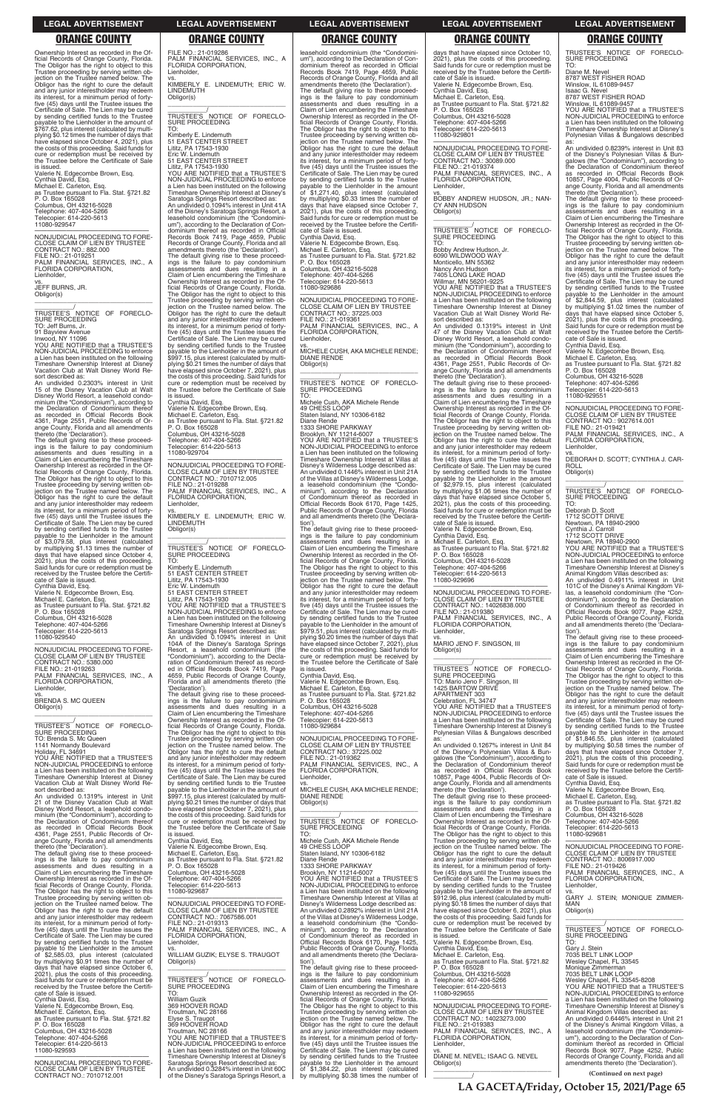**LA GACETA/Friday, October 15, 2021/Page 65**

Ownership Interest as recorded in the Official Records of Orange County, Florida. The Obligor has the right to object to this Trustee proceeding by serving written ob-jection on the Trustee named below. The Obligor has the right to cure the default and any junior interestholder may redeem its interest, for a minimum period of fortyfive (45) days until the Trustee issues the Certificate of Sale. The Lien may be cured by sending certified funds to the Trustee payable to the Lienholder in the amount of \$767.62, plus interest (calculated by multiplying \$0.12 times the number of days that have elapsed since October 4, 2021), plus the costs of this proceeding. Said funds for cure or redemption must be received by the Trustee before the Certificate of Sale is issued. Valerie N. Edgecombe Brown, Esq.

Cynthia David, Esq. Michael E. Carleton, Esq. as Trustee pursuant to Fla. Stat. §721.82 P. O. Box 165028 Columbus, OH 43216-5028 Telephone: 407-404-5266 Telecopier: 614-220-5613 11080-929547

—————————————————— NONJUDICIAL PROCEEDING TO FORE-CLOSE CLAIM OF LIEN BY TRUSTEE CONTRACT NO.: 882.000 FILE NO.: 21-019251 PALM FINANCIAL SERVICES, INC., A FLORIDA CORPORATION, Lienholder,

vs. JEFF BURNS, JR. Obligor(s) \_\_\_\_\_\_\_\_\_\_\_\_\_\_\_\_\_\_\_\_\_\_\_\_\_\_\_\_\_\_\_\_\_

\_\_\_\_\_\_\_\_\_\_\_/<br>TRUSTEE'S NOTICE OF FORECLO-<br>SURE PROCEEDING

TO: Jeff Burns, Jr. 91 Bayview Avenue

Inwood, NY 11096 YOU ARE NOTIFIED that a TRUSTEE'S NON-JUDICIAL PROCEEDING to enforce a Lien has been instituted on the following Timeshare Ownership Interest at Disney Vacation Club at Walt Disney World Resort described as:

An undivided 0.2303% interest in Unit 15 of the Disney Vacation Club at Walt Disney World Resort, a leasehold condominium (the "Condominium"), according to the Declaration of Condominium thereof as recorded in Official Records Book 4361, Page 2551, Public Records of Orange County, Florida and all amendments thereto (the 'Declaration').

The default giving rise to these proceed-ings is the failure to pay condominium assessments and dues resulting in a Claim of Lien encumbering the Timeshare Ownership Interest as recorded in the Official Records of Orange County, Florida. The Obligor has the right to object to this Trustee proceeding by serving written ob-jection on the Trustee named below. The Obligor has the right to cure the default and any junior interestholder may redeem its interest, for a minimum period of fortyfive (45) days until the Trustee issues the Certificate of Sale. The Lien may be cured by sending certified funds to the Trustee payable to the Lienholder in the amount of \$3,079.58, plus interest (calculated by multiplying \$1.13 times the number of days that have elapsed since October 4, 2021), plus the costs of this proceeding. Said funds for cure or redemption must be received by the Trustee before the Certificate of Sale is issued.

\_\_\_\_\_\_\_\_\_\_\_\_\_/<br>TRUSTEE'S NOTICE OF FORECLO-SURE PROCEEDING TO: Kimberly E. Lindemuth

Cynthia David, Esq. Valerie N. Edgecombe Brown, Esq. Michael E. Carleton, Esq. as Trustee pursuant to Fla. Stat. §721.82 P. O. Box 165028 Columbus, OH 43216-5028 Telephone: 407-404-5266 Telecopier: 614-220-5613 11080-929540

—————————————————— NONJUDICIAL PROCEEDING TO FORE-CLOSE CLAIM OF LIEN BY TRUSTEE CONTRACT NO.: 5380.000 FILE NO.: 21-019263 PALM FINANCIAL SERVICES, INC., A FLORIDA CORPORATION, Lienholder. vs. BRENDA S. MC QUEEN

Obligor(s) \_\_\_\_\_\_\_\_\_\_\_\_\_\_\_\_\_\_\_\_\_\_\_\_\_\_\_\_\_\_\_\_\_

\_\_\_\_\_\_\_\_\_\_\_/ TRUSTEE'S NOTICE OF FORECLO-SURE PROCEEDING TO: Brenda S. Mc Queen

1141 Normandy Boulevard Holiday, FL 34691 YOU ARE NOTIFIED that a TRUSTEE'S

NON-JUDICIAL PROCEEDING to enforce a Lien has been instituted on the following Timeshare Ownership Interest at Disney Vacation Club at Walt Disney World ReNONJUDICIAL PROCEEDING TO FORE-<br>CLOSE CLAIM OF LIEN BY TRUSTEE<br>CONTRACT NO.: 7010712.005<br>FILE NO.: 21-019288<br>PLAM FINANCIAL SERVICES, INC., A<br>PLORIDA CORPORATION, Lienholder,

sort described as: An undivided 0.1319% interest in Unit 21 of the Disney Vacation Club at Walt Disney World Resort, a leasehold condo-minium (the "Condominium"), according to

The default giving rise to these proceed-<br>ings is the failure to pay condominium<br>assessments and dues resulting in a<br>Claim of Lien encumbering the Timeshare Ownership Interest as recorded in the Official Records of Orange County, Florida. The Obligor has the right to object to this Trustee proceeding by serving written ob-jection on the Trustee named below. The Obligor has the right to cure the default and any junior interestholder may redeem its interest, for a minimum period of forty-five (45) days until the Trustee issues the Certificate of Sale. The Lien may be cured by sending certified funds to the Trustee payable to the Lienholder in the amount of \$997.15, plus interest (calculated by multiplying \$0.21 times the number of days that have elapsed since October 7, 2021), plus the costs of this proceeding. Said funds for

# FILE NO.: 21-019286

PALM FINANCIAL SERVICES, INC., A FLORIDA CORPORATION, Lienholder, vs. KIMBERLY E. LINDEMUTH; ERIC W. LINDEMUTH

Obligor(s) \_\_\_\_\_\_\_\_\_\_\_\_\_\_\_\_\_\_\_\_\_\_\_\_\_\_\_\_\_\_\_\_\_

51 EAST CENTER STREET Lititz, PA 17543-1930 Eric W. Lindemuth 51 EAST CENTER STREET Lititz, PA 17543-1930 YOU ARE NOTIFIED that a TRUSTEE'S NON-JUDICIAL PROCEEDING to enforce a Lien has been instituted on the following Timeshare Ownership Interest at Disney's Saratoga Springs Resort described as: An undivided 0.1094% interest in Unit 41A of the Disney's Saratoga Springs Resort, a leasehold condominium (the "Condomini-um"), according to the Declaration of Con-dominium thereof as recorded in Official Records Book 7419, Page 4659, Public Records of Orange County, Florida and all amendments thereto (the 'Declaration'). The default giving rise to these proceed-<br>ings is the failure to pay condominium<br>assessments and dues resulting in a<br>Claim of Lien encumbering the Timeshare Ownership Interest as recorded in the Official Records of Orange County, Florida. The Obligor has the right to object to this Trustee proceeding by serving written ob-jection on the Trustee named below. The Obligor has the right to cure the default and any junior interestholder may redeem its interest, for a minimum period of forty-five (45) days until the Trustee issues the Certificate of Sale. The Lien may be cured by sending certified funds to the Trustee payable to the Lienholder in the amount of \$997.15, plus interest (calculated by multiplying \$0.21 times the number of days that have elapsed since October 7, 2021), plus the costs of this proceeding. Said funds for cure or redemption must be received by the Trustee before the Certificate of Sale

is issued. Cynthia David, Esq. Valerie N. Edgecombe Brown, Esq. Michael E. Carleton, Esq. as Trustee pursuant to Fla. Stat. §721.82 P. O. Box 165028 Columbus, OH 43216-5028 Telephone: 407-404-5266 Telecopier: 614-220-5613 11080-929704

vs. KIMBERLY E. LINDEMUTH; ERIC W. LINDEMUTH Obligor(s)

\_\_\_\_\_\_\_\_\_\_\_\_\_\_\_\_\_\_\_\_\_\_\_\_\_\_\_\_\_\_\_\_\_ \_\_\_\_\_\_\_\_\_\_\_\_\_/<br>TRUSTEE'S NOTICE OF FORECLO-SURE PROCEEDING

TO: Kimberly E. Lindemuth 51 EAST CENTER STREET Lititz, PA 17543-1930 Eric W. Lindemuth 51 EAST CENTER STREET Lititz, PA 17543-1930 YOU ARE NOTIFIED that a TRUSTEE'S NON-JUDICIAL PROCEEDING to enforce a Lien has been instituted on the following Timeshare Ownership Interest at Disney's Saratoga Springs Resort described as: An undivided 0.1094% interest in Unit 104A of the Disney's Saratoga Springs Resort, a leasehold condominium (the "Condominium"), according to the Declaration of Condominium thereof as recorded in Official Records Book 7419, Page 4659, Public Records of Orange County, Florida and all amendments thereto (the 'Declaration').

—————————————————— NONJUDICIAL PROCEEDING TO FORE-CLOSE CLAIM OF LIEN BY TRUSTEE CONTRACT NO.: 14026838.000 FILE NO.: 21-019380 PALM FINANCIAL SERVICES, INC., A FLORIDA CORPORATION, **Lienholder** 

\_\_\_\_\_\_\_\_\_\_\_/ TRUSTEE'S NOTICE OF FORECLO-SURE PROCEEDING TO: Mario Jeno F. Singson, III 1425 BARTOW DRIVE APARTMENT 303 Celebration, FL 34747 YOU ARE NOTIFIED that a TRUSTEE'S NON-JUDICIAL PROCEEDING to enforce a Lien has been instituted on the following Timeshare Ownership Interest at Disney's Polynesian Villas & Bungalows described as:<br>An undivided 0.1267% interest in Unit 84

An undivided 0.1267% interest in Unit 84<br>of the Disney's Polynesian Villas & Bun-<br>galows (the "Condominium"), according to<br>the Declaration of Condominium thereof<br>as recorded in Official Records Book<br>10857, Page 4004, Publi

leasehold condominium (the "Condominium"), according to the Declaration of Con-dominium thereof as recorded in Official Records Book 7419, Page 4659, Public Records of Orange County, Florida and all amendments thereto (the 'Declaration'). The default giving rise to these proceed-ings is the failure to pay condominium assessments and dues resulting in a Claim of Lien encumbering the Timeshare Ownership Interest as recorded in the Of-ficial Records of Orange County, Florida. The Obligor has the right to object to this<br>Trustee proceeding by serving written ob-<br>jection on the Trustee named below. The<br>Obligor has the right to cure the default<br>and any junior interestholder may redeem<br>its interest, five (45) days until the Trustee issues the Certificate of Sale. The Lien may be cured by sending certified funds to the Trustee payable to the Lienholder in the amount of \$1,271.40, plus interest (calculated by multiplying \$0.33 times the number of days that have elapsed since October 7, 2021), plus the costs of this proceeding. Said funds for cure or redemption must be received by the Trustee before the Certifi-cate of Sale is issued. Cynthia David, Esq. Valerie N. Edgecombe Brown, Esq. Michael E. Carleton, Esq. as Trustee pursuant to Fla. Stat. §721.82 P. O. Box 165028

ange County, Florida and all amendments<br>thereto (the 'Declaration').<br>The default giving rise to these proceed-<br>ings is the failure to pay condominium<br>assessments and dues resulting in a<br>Claim of Lien encumbering the Timesh Ownership Interest as recorded in the Official Records of Orange County, Florida. The Obligor has the right to object to this Trustee proceeding by serving written ob-jection on the Trustee named below. The Obligor has the right to cure the default and any junior interestholder may redeem its interest, for a minimum period of fortyfive (45) days until the Trustee issues the Certificate of Sale. The Lien may be cured by sending certified funds to the Trustee payable to the Lienholder in the amount of \$2,844.59, plus interest (calculated by multiplying \$1.02 times the number of days that have elapsed since October 5, 2021), plus the costs of this proceeding. Said funds for cure or redemption must be received by the Trustee before the Certifi-

Public Records of Orange County, Florida and all amendments thereto (the 'Declaration')

Columbus, OH 43216-5028 Telephone: 407-404-5266 Telecopier: 614-220-5613 11080-929686 —————————————————— NONJUDICIAL PROCEEDING TO FORE-

CLOSE CLAIM OF LIEN BY TRUSTEE CONTRACT NO.: 37225.003 FILE NO.: 21-019361 PALM FINANCIAL SERVICES, INC., A FLORIDA CORPORATION, Lienholder,

vs. MICHELE CUSH, AKA MICHELE RENDE; DIANE RENDE Obligor(s) \_\_\_\_\_\_\_\_\_\_\_\_\_\_\_\_\_\_\_\_\_\_\_\_\_\_\_\_\_\_\_\_\_

\_\_\_\_\_\_\_\_\_\_\_/ TRUSTEE'S NOTICE OF FORECLO-SURE PROCEEDING TO:

> The default giving rise to these proceed-<br>ings is the failure to pay condominium<br>assessments and dues resulting in a<br>Claim of Lien encumbering the Timeshare Ownership Interest as recorded in the Official Records of Orange County, Florida. The Obligor has the right to object to this Trustee proceeding by serving written ob-jection on the Trustee named below. The Obligor has the right to cure the default and any junior interestholder may redeem its interest, for a minimum period of fortyfive (45) days until the Trustee issues the Certificate of Sale. The Lien may be cured by sending certified funds to the Trustee payable to the Lienholder in the amount of \$1,846.55, plus interest (calculated by multiplying \$0.58 times the number of days that have elapsed since October 7, 2021), plus the costs of this proceeding. Said funds for cure or redemption must be received by the Trustee before the Certificate of Sale is issued.

Michele Cush, AKA Michele Rende 49 CHESS LOOP Staten Island, NY 10306-6182 Diane Rende 1333 SHORE PARKWAY Brooklyn, NY 11214-6007 YOU ARE NOTIFIED that a TRUSTEE'S NON-JUDICIAL PROCEEDING to enforce a Lien has been instituted on the following Timeshare Ownership Interest at Villas at Disney's Wilderness Lodge described as: An undivided 0.1446% interest in Unit 21A of the Villas at Disney's Wilderness Lodge, a leasehold condominium (the "Condominium"), according to the Declaration of Condominium thereof as recorded in Official Records Book 6170, Page 1425, Public Records of Orange County, Florida and all amendments thereto (the 'Declara-

| minium (the "Condominium"), according to     | the costs of this proceeding. Said funds for |                                              | Claim of Lien encumbering the Timeshare       | Columbus, OH 43216-5028                     |
|----------------------------------------------|----------------------------------------------|----------------------------------------------|-----------------------------------------------|---------------------------------------------|
| the Declaration of Condominium thereof       | cure or redemption must be received by       | TRUSTEE'S NOTICE OF FORECLO-                 | Ownership Interest as recorded in the Of-     | Telephone: 407-404-5266                     |
| as recorded in Official Records Book         | the Trustee before the Certificate of Sale   | SURE PROCEEDING                              | ficial Records of Orange County, Florida.     | Telecopier: 614-220-5613                    |
| 4361, Page 2551, Public Records of Or-       | is issued.                                   | TO:                                          | The Obligor has the right to object to this   | 11080-929681                                |
| ange County, Florida and all amendments      | Cynthia David, Esq.                          | Michele Cush, AKA Michele Rende              | Trustee proceeding by serving written ob-     |                                             |
| thereto (the 'Declaration').                 | Valerie N. Edgecombe Brown, Esg.             | 49 CHESS LOOP                                | jection on the Trustee named below. The       | NONJUDICIAL PROCEEDING TO FORE-             |
| The default giving rise to these proceed-    | Michael E. Carleton, Esq.                    | Staten Island, NY 10306-6182                 | Obligor has the right to cure the default     | CLOSE CLAIM OF LIEN BY TRUSTEE              |
| ings is the failure to pay condominium       | as Trustee pursuant to Fla. Stat. §721.82    | Diane Rende                                  | and any junior interestholder may redeem      | CONTRACT NO.: 8006917.000                   |
| assessments and dues resulting in a          | P. O. Box 165028                             | 1333 SHORE PARKWAY                           | its interest, for a minimum period of forty-  | FILE NO.: 21-019426                         |
| Claim of Lien encumbering the Timeshare      | Columbus, OH 43216-5028                      | Brooklyn, NY 11214-6007                      | five (45) days until the Trustee issues the   | PALM FINANCIAL SERVICES. INC., A            |
| Ownership Interest as recorded in the Of-    | Telephone: 407-404-5266                      | YOU ARE NOTIFIED that a TRUSTEE'S            | Certificate of Sale. The Lien may be cured    | FLORIDA CORPORATION,                        |
| ficial Records of Orange County, Florida.    | Telecopier: 614-220-5613                     | NON-JUDICIAL PROCEEDING to enforce           | by sending certified funds to the Trustee     | Lienholder,                                 |
| The Obligor has the right to object to this  | 11080-929687                                 | a Lien has been instituted on the following  | payable to the Lienholder in the amount of    | VS.                                         |
| Trustee proceeding by serving written ob-    |                                              | Timeshare Ownership Interest at Villas at    | \$912.96, plus interest (calculated by multi- | GARY J. STEIN; MONIQUE ZIMMER-              |
| jection on the Trustee named below. The      | NONJUDICIAL PROCEEDING TO FORE-              | Disney's Wilderness Lodge described as:      | plying \$0.18 times the number of days that   | <b>MAN</b>                                  |
| Obligor has the right to cure the default    | CLOSE CLAIM OF LIEN BY TRUSTEE               | An undivided 0.2892% interest in Unit 21A    | have elapsed since October 6, 2021), plus     | Obligor(s)                                  |
| and any junior interestholder may redeem     | CONTRACT NO.: 7067586.001                    | of the Villas at Disney's Wilderness Lodge,  | the costs of this proceeding. Said funds for  |                                             |
| its interest, for a minimum period of forty- | FILE NO.: 21-019313                          | a leasehold condominium (the "Condo-         | cure or redemption must be received by        |                                             |
| five (45) days until the Trustee issues the  | PALM FINANCIAL SERVICES, INC., A             | minium"), according to the Declaration       | the Trustee before the Certificate of Sale    | TRUSTEE'S NOTICE<br>OF<br>FORECLO-          |
| Certificate of Sale. The Lien may be cured   | FLORIDA CORPORATION,                         | of Condominium thereof as recorded in        | is issued.                                    | <b>SURE PROCEEDING</b>                      |
| by sending certified funds to the Trustee    | Lienholder.                                  | Official Records Book 6170, Page 1425,       | Valerie N. Edgecombe Brown, Esg.              | TO:                                         |
| payable to the Lienholder in the amount      | VS.                                          | Public Records of Orange County, Florida     | Cynthia David, Esq.                           | Gary J. Stein                               |
| of \$2,585.03, plus interest (calculated     | WILLIAM GUZIK: ELYSE S. TRAUGOT              | and all amendments thereto (the 'Declara-    | Michael E. Carleton, Esq.                     | 7035 BELT LINK LOOP                         |
| by multiplying \$0.91 times the number of    | Obligor(s)                                   | tion').                                      | as Trustee pursuant to Fla. Stat. §721.82     | Wesley Chapel, FL 33545                     |
| days that have elapsed since October 6,      |                                              | The default giving rise to these proceed-    | P. O. Box 165028                              | Monique Zimmerman                           |
| 2021), plus the costs of this proceeding.    |                                              | ings is the failure to pay condominium       | Columbus, OH 43216-5028                       | 7035 BELT LINK LOOP                         |
| Said funds for cure or redemption must be    | TRUSTEE'S NOTICE OF FORECLO-                 | assessments and dues resulting in a          | Telephone: 407-404-5266                       | Wesley Chapel, FL 33545-8208                |
| received by the Trustee before the Certifi-  | <b>SURE PROCEEDING</b>                       | Claim of Lien encumbering the Timeshare      | Telecopier: 614-220-5613                      | YOU ARE NOTIFIED that a TRUSTEE'S           |
| cate of Sale is issued.                      | TO:                                          | Ownership Interest as recorded in the Of-    | 11080-929655                                  | NON-JUDICIAL PROCEEDING to enforce          |
| Cynthia David, Esg.                          | <b>William Guzik</b>                         | ficial Records of Orange County, Florida.    |                                               | a Lien has been instituted on the following |
| Valerie N. Edgecombe Brown, Esq.             | 369 HOOVER ROAD                              | The Obligor has the right to object to this  | NONJUDICIAL PROCEEDING TO FORE-               | Timeshare Ownership Interest at Disney's    |
| Michael E. Carleton, Esq.                    | Troutman, NC 28166                           | Trustee proceeding by serving written ob-    | CLOSE CLAIM OF LIEN BY TRUSTEE                | Animal Kingdom Villas described as:         |
| as Trustee pursuant to Fla. Stat. §721.82    | Elyse S. Traugot                             | jection on the Trustee named below. The      | CONTRACT NO.: 14023273.000                    | An undivided 0.6446% interest in Unit 21    |
| P. O. Box 165028                             | 369 HOOVER ROAD                              | Obligor has the right to cure the default    | FILE NO.: 21-019383                           | of the Disney's Animal Kingdom Villas, a    |
| Columbus, OH 43216-5028                      | Troutman, NC 28166                           | and any junior interestholder may redeem     | PALM FINANCIAL SERVICES, INC., A              | leasehold condominium (the "Condomini-      |
| Telephone: 407-404-5266                      | YOU ARE NOTIFIED that a TRUSTEE'S            | its interest, for a minimum period of forty- | FLORIDA CORPORATION,                          | um"), according to the Declaration of Con-  |
| Telecopier: 614-220-5613                     | NON-JUDICIAL PROCEEDING to enforce           | five (45) days until the Trustee issues the  | Lienholder.                                   | dominium thereof as recorded in Official    |
| 11080-929593                                 | a Lien has been instituted on the following  | Certificate of Sale. The Lien may be cured   | VS.                                           | Records Book 9077, Page 4252, Public        |
|                                              | Timeshare Ownership Interest at Disney's     | by sending certified funds to the Trustee    | DIANE M. NEVEL; ISAAC G. NEVEL                | Records of Orange County, Florida and all   |
| NONJUDICIAL PROCEEDING TO FORE-              | Saratoga Springs Resort described as:        | payable to the Lienholder in the amount      | Obligor(s)                                    | amendments thereto (the 'Declaration').     |
| CLOSE CLAIM OF LIEN BY TRUSTEE               | An undivided 0.3284% interest in Unit 60C    | of \$1,384.22, plus interest (calculated     |                                               |                                             |
| CONTRACT NO.: 7010712.001                    | of the Disney's Saratoga Springs Resort, a   | by multiplying \$0.38 times the number of    |                                               | (Continued on next page)                    |

tion'). The default giving rise to these proceed-ings is the failure to pay condominium assessments and dues resulting in a Claim of Lien encumbering the Timeshare Ownership Interest as recorded in the Of-ficial Records of Orange County, Florida. The Obligor has the right to object to this<br>Trustee proceeding by serving written ob-<br>jection on the Trustee named below. The<br>Obligor has the right to cure the default<br>and any junior interestholder may redeem<br>its interest, five (45) days until the Trustee issues the Certificate of Sale. The Lien may be cured by sending certified funds to the Trustee payable to the Lienholder in the amount of \$979.51, plus interest (calculated by multiplying \$0.20 times the number of days that have elapsed since October 7, 2021), plus the costs of this proceeding. Said funds for cure or redemption must be received by the Trustee before the Certificate of Sale is issued.

Cynthia David, Esq. Valerie N. Edgecombe Brown, Esq. Michael E. Carleton, Esq. as Trustee pursuant to Fla. Stat. §721.82 P. O. Box 165028 Columbus, OH 43216-5028 Telephone: 407-404-5266 Telecopier: 614-220-5613 11080-929684 —————————————————— NONJUDICIAL PROCEEDING TO FORE-

CLOSE CLAIM OF LIEN BY TRUSTEE CONTRACT NO.: 37225.002 FILE NO.: 21-019362 PALM FINANCIAL SERVICES, INC., A FLORIDA CORPORATION, Lienholder,

vs. MICHELE CUSH, AKA MICHELE RENDE; DIANE RENDE Obligor(s)

\_\_\_\_\_\_\_\_\_\_\_\_\_\_\_\_\_\_\_\_\_\_\_\_\_\_\_\_\_\_\_\_\_

days that have elapsed since October 10, 2021), plus the costs of this proceeding. Said funds for cure or redemption must be received by the Trustee before the Certifi-cate of Sale is issued. Valerie N. Edgecombe Brown, Esq. Cynthia David, Esq. Michael E. Carleton, Esq. as Trustee pursuant to Fla. Stat. §721.82 P. O. Box 165028 Columbus, OH 43216-5028 Telephone: 407-404-5266 Telecopier: 614-220-5613 11080-929801

—————————————————— NONJUDICIAL PROCEEDING TO FORE-CLOSE CLAIM OF LIEN BY TRUSTEE CONTRACT NO.: 30089.000 FILE NO.: 21-019374 PALM FINANCIAL SERVICES, INC., A FLORIDA CORPORATION, Lienholder,

vs. BOBBY ANDREW HUDSON, JR.; NAN-CY ANN HUDSON Obligor(s) \_\_\_\_\_\_\_\_\_\_\_\_\_\_\_\_\_\_\_\_\_\_\_\_\_\_\_\_\_\_\_\_\_

\_\_\_\_\_\_\_\_\_\_\_/ TRUSTEE'S NOTICE OF FORECLO-SURE PROCEEDING TO:

Bobby Andrew Hudson, Jr. 6090 WILDWOOD WAY Monticello, MN 55362 Nancy Ann Hudson 7405 LONG LAKE ROAD Willmar, MN 56201-9225 YOU ARE NOTIFIED that a TRUSTEE'S NON-JUDICIAL PROCEEDING to enforce a Lien has been instituted on the following Timeshare Ownership Interest at Disney Vacation Club at Walt Disney World Resort described as: An undivided 0.1319% interest in Unit

47 of the Disney Vacation Club at Walt Disney World Resort, a leasehold condominium (the "Condominium"), according to the Declaration of Condominium thereof as recorded in Official Records Book 4361, Page 2551, Public Records of Orange County, Florida and all amendments thereto (the 'Declaration').

The default giving rise to these proceed-ings is the failure to pay condominium assessments and dues resulting in a Claim of Lien encumbering the Timeshare Ownership Interest as recorded in the Official Records of Orange County, Florida. The Obligor has the right to object to this Trustee proceeding by serving written ob-jection on the Trustee named below. The Obligor has the right to cure the default and any junior interestholder may redeem its interest, for a minimum period of fortyfive (45) days until the Trustee issues the Certificate of Sale. The Lien may be cured by sending certified funds to the Trustee payable to the Lienholder in the amount of \$2,979.15, plus interest (calculated by multiplying \$1.06 times the number of days that have elapsed since October 5, 2021), plus the costs of this proceeding. Said funds for cure or redemption must be received by the Trustee before the Certificate of Sale is issued. cate of Sale is issued. Valerie N. Edgecombe Brown, Esq. Cynthia David, Esq. Michael E. Carleton, Esq. as Trustee pursuant to Fla. Stat. §721.82 P. O. Box 165028 Columbus, OH 43216-5028

Telephone: 407-404-5266 Telecopier: 614-220-5613 11080-929696

vs. MARIO JENO F. SINGSON, III Obligor(s) \_\_\_\_\_\_\_\_\_\_\_\_\_\_\_\_\_\_\_\_\_\_\_\_\_\_\_\_\_\_\_\_\_

The default giving rise to these proceed-ings is the failure to pay condominium assessments and dues resulting in a Claim of Lien encumbering the Timeshare

TRUSTEE'S NOTICE OF FORECLO-SURE PROCEEDING TO:

Diane M. Nevel 8787 WEST FISHER ROAD Winslow, IL 61089-9457 Isaac G. Nevel 8787 WEST FISHER ROAD Winslow, IL 61089-9457 YOU ARE NOTIFIED that a TRUSTEE'S NON-JUDICIAL PROCEEDING to enforce a Lien has been instituted on the following Timeshare Ownership Interest at Disney's Polynesian Villas & Bungalows described

as: An undivided 0.8239% interest in Unit 83 of the Disney's Polynesian Villas & Bun-galows (the "Condominium"), according to the Declaration of Condominium thereof as recorded in Official Records Book 10857, Page 4004, Public Records of Or-

cate of Sale is issued. Cynthia David, Esq. Valerie N. Edgecombe Brown, Esq. Michael E. Carleton, Esq. as Trustee pursuant to Fla. Stat. §721.82 P. O. Box 165028 Columbus, OH 43216-5028 Telephone: 407-404-5266

Telecopier: 614-220-5613 11080-929551

—————————————————— NONJUDICIAL PROCEEDING TO FORE-CLOSE CLAIM OF LIEN BY TRUSTEE CONTRACT NO.: 9027614.001 FILE NO.: 21-019421 PALM FINANCIAL SERVICES, INC., A FLORIDA CORPORATION,

Lienholder, vs. DEBORAH D. SCOTT; CYNTHIA J. CAR-ROLL Obligor(s)

\_\_\_\_\_\_\_\_\_\_\_\_\_\_\_\_\_\_\_\_\_\_\_\_\_\_\_\_\_\_\_\_\_ \_\_\_\_\_\_\_\_\_\_\_/ TRUSTEE'S NOTICE OF FORECLO-SURE PROCEEDING TO:

Deborah D. Scott 1712 SCOTT DRIVE Newtown, PA 18940-2900 Cynthia J. Carroll 1712 SCOTT DRIVE Newtown, PA 18940-2900 YOU ARE NOTIFIED that a TRUSTEE'S NON-JUDICIAL PROCEEDING to enforce a Lien has been instituted on the following Timeshare Ownership Interest at Disney's Animal Kingdom Villas described as: An undivided 0.4911% interest in Unit 101C of the Disney's Animal Kingdom Villas, a leasehold condominium (the "Con-dominium"), according to the Declaration of Condominium thereof as recorded in Official Records Book 9077, Page 4252,

Cynthia David, Esq. Valerie N. Edgecombe Brown, Esq. Michael E. Carleton, Esq. as Trustee pursuant to Fla. Stat. §721.82 P. O. Box 165028 Columbus, OH 43216-5028

### **LEGAL ADVERTISEMENT LEGAL ADVERTISEMENT LEGAL ADVERTISEMENT LEGAL ADVERTISEMENT LEGAL ADVERTISEMENT**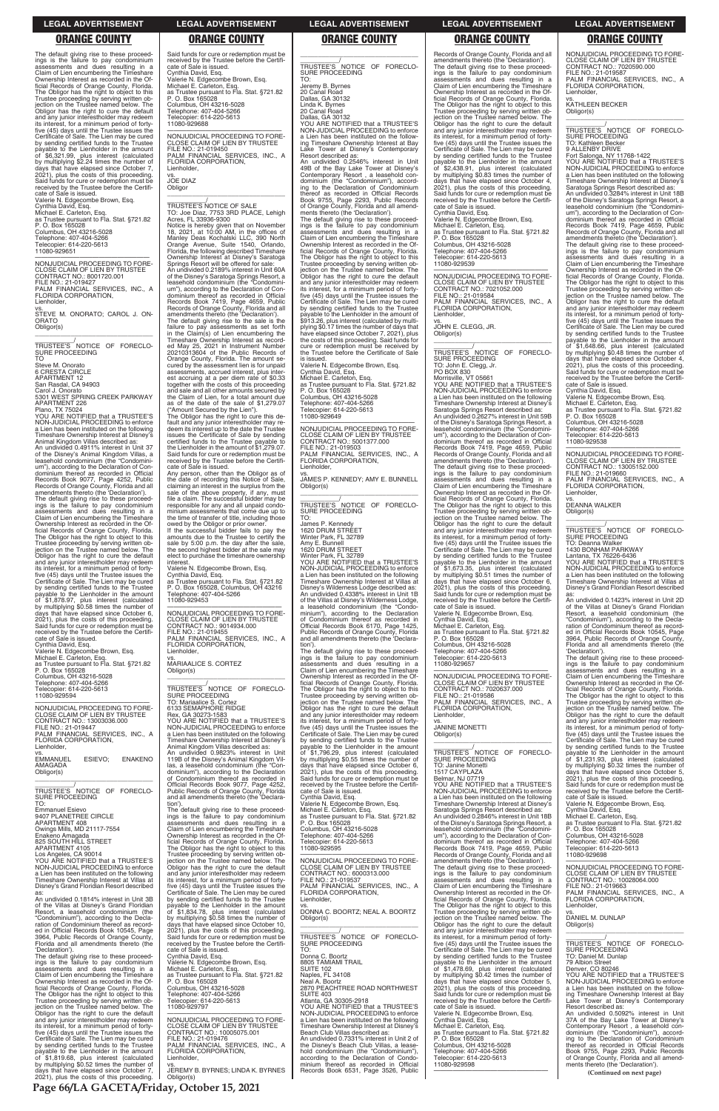**Page 66/LA GACETA/Friday, October 15, 2021**

### **LEGAL ADVERTISEMENT LEGAL ADVERTISEMENT LEGAL ADVERTISEMENT LEGAL ADVERTISEMENT LEGAL ADVERTISEMENT**

### **ORANGE COUNTY ORANGE COUNTY ORANGE COUNTY ORANGE COUNTY ORANGE COUNTY**

The default giving rise to these proceed-ings is the failure to pay condominium assessments and dues resulting in a Claim of Lien encumbering the Timeshare Ownership Interest as recorded in the Official Records of Orange County, Florida. The Obligor has the right to object to this Trustee proceeding by serving written ob-jection on the Trustee named below. The Obligor has the right to cure the default and any junior interestholder may redeem its interest, for a minimum period of fortyfive (45) days until the Trustee issues the Certificate of Sale. The Lien may be cured by sending certified funds to the Trustee payable to the Lienholder in the amount of \$6,321.99, plus interest (calculated by multiplying \$2.24 times the number of days that have elapsed since October 7, 2021), plus the costs of this proceeding. Said funds for cure or redemption must be received by the Trustee before the Certificate of Sale is issued. Valerie N. Edgecombe Brown, Esq. Cynthia David, Esq. Michael E. Carleton, Esq. as Trustee pursuant to Fla. Stat. §721.82 P. O. Box 165028 Columbus, OH 43216-5028 Telephone: 407-404-5266

\_\_\_\_\_\_\_\_\_\_\_/<br>TRUSTEE'S NOTICE OF FORECLO-<br>SURE PROCEEDING TO

Telecopier: 614-220-5613 11080-929651 —————————————————— NONJUDICIAL PROCEEDING TO FORE-CLOSE CLAIM OF LIEN BY TRUSTEE CONTRACT NO.: 8001720.001

FILE NO.: 21-019427 PALM FINANCIAL SERVICES, INC., A FLORIDA CORPORATION, Lienholder, vs. STEVE M. ONORATO; CAROL J. ON-ORATO Obligor(s) \_\_\_\_\_\_\_\_\_\_\_\_\_\_\_\_\_\_\_\_\_\_\_\_\_\_\_\_\_\_\_\_\_

Steve M. Onorato 6 CRESTA CIRCLE APARTMENT 12 San Rasdal, CA 94903 Carol J. Onorato

5301 WEST SPRING CREEK PARKWAY APARTMENT 226 Plano, TX 75024

YOU ARE NOTIFIED that a TRUSTEE'S NON-JUDICIAL PROCEEDING to enforce a Lien has been instituted on the following Timeshare Ownership Interest at Disney's Animal Kingdom Villas described as: An undivided 0.4911% interest in Unit 37 of the Disney's Animal Kingdom Villas, a leasehold condominium (the "Condominium"), according to the Declaration of Con-dominium thereof as recorded in Official Records Book 9077, Page 4252, Public Records of Orange County, Florida and all amendments thereto (the 'Declaration'). The default giving rise to these proceed-ings is the failure to pay condominium assessments and dues resulting in a Claim of Lien encumbering the Timeshare Ownership Interest as recorded in the Official Records of Orange County, Florida. The Obligor has the right to object to this Trustee proceeding by serving written ob-jection on the Trustee named below. The Obligor has the right to cure the default and any junior interestholder may redeem its interest, for a minimum period of forty-five (45) days until the Trustee issues the Certificate of Sale. The Lien may be cured by sending certified funds to the Trustee<br>payable to the Lienholder in the amount<br>of \$1,878.97, plus interest (calculated<br>by multiplying \$0.58 times the number of<br>days that have elapsed since Cotober 6,<br>2021), plus the cos Said funds for cure or redemption must be received by the Trustee before the Certifi-cate of Sale is issued. Cynthia David, Esq. Valerie N. Edgecombe Brown, Esq.

vs. JOE DIAZ **Obligor** 

Notice is hereby given that on November<br>18, 2021, at 10:00 AM, in the offices of<br>Manley Deas Kochalski LLC, 390 North<br>Orange Avenue, Suite 1540, Orlando,<br>Florida, the following described Timeshare Ownership Interest at Disney's Saratoga Springs Resort will be offered for sale: An undivided 0.2189% interest in Unit 60A of the Disney's Saratoga Springs Resort, a leasehold condominium (the "Condomini-um"), according to the Declaration of Condominium thereof as recorded in Official Records Book 7419, Page 4659, Public Records of Orange County, Florida and all amendments thereto (the 'Declaration').

Michael E. Carleton, Esq. as Trustee pursuant to Fla. Stat. §721.82 P. O. Box 165028 Columbus, OH 43216-5028 Telephone: 407-404-5266 Telecopier: 614-220-5613 11080-929594

—————————————————— NONJUDICIAL PROCEEDING TO FORE-CLOSE CLAIM OF LIEN BY TRUSTEE CONTRACT NO.: 13003036.000 FILE NO.: 21-019447 PALM FINANCIAL SERVICES, INC., A FLORIDA CORPORATION, Lienholder, vs. EMMANUEL ESIEVO; ENAKENO AMAGADA Obligor(s) \_\_\_\_\_\_\_\_\_\_\_\_\_\_\_\_\_\_\_\_\_\_\_\_\_\_\_\_\_\_\_\_\_

\_\_\_\_\_\_\_\_\_\_\_/ TRUSTEE'S NOTICE OF FORECLO-SURE PROCEEDING TO: Emmanuel Esievo

\_\_\_\_\_\_\_\_\_\_\_/<br>TRUSTEE'S NOTICE OF FORECLO-<br>SURE PROCEEDING TO: Mariaalice S. Cortez 6133 SEMAPHORE RIDGE Rex, GA 30273-1583 YOU ARE NOTIFIED that a TRUSTEE'S NON-JUDICIAL PROCEEDING to enforce a Lien has been instituted on the following Timeshare Ownership Interest at Disney's Animal Kingdom Villas described as: An undivided 0.9823% interest in Unit 119B of the Disney's Animal Kingdom Vil-las, a leasehold condominium (the "Condominium"), according to the Declaration of Condominium thereof as recorded in Official Records Book 9077, Page 4252, Public Records of Orange County, Florida and all amendments thereto (the 'Declaration').

Said funds for cure or redemption must be received by the Trustee before the Certifi-cate of Sale is issued. Cynthia David, Esq. Valerie N. Edgecombe Brown, Esq. Michael E. Carleton, Esq. as Trustee pursuant to Fla. Stat. §721.82 P. O. Box 165028 Columbus, OH 43216-5028 Telephone: 407-404-5266 Telecopier: 614-220-5613 11080-929688

—————————————————— NONJUDICIAL PROCEEDING TO FORE-CLOSE CLAIM OF LIEN BY TRUSTEE FILE NO.: 21-019450 PALM FINANCIAL SERVICES, INC., A FLORIDA CORPORATION, Lienholder,

# \_\_\_\_\_\_\_\_\_\_\_\_\_\_\_\_\_\_\_\_\_\_\_\_\_\_\_\_\_\_\_\_\_ \_\_\_\_\_\_\_\_\_\_\_/ TRUSTEE'S NOTICE OF SALE TO: Joe Diaz, 7753 3RD PLACE, Lehigh Acres, FL 33936-9300

The default giving rise to the sale is the failure to pay assessments as set forth in the Claim(s) of Lien encumbering the Timeshare Ownership Interest as record-ed May 25, 2021 in Instrument Number 20210313604 of the Public Records of Orange County, Florida. The amount se-cured by the assessment lien is for unpaid assessments, accrued interest, plus interest accruing at a per diem rate of \$0.33 together with the costs of this proceeding and sale and all other amounts secured by the Claim of Lien, for a total amount due as of the date of the sale of \$1,279.07

> Cynthia David, Esq. Valerie N. Edgecombe Brown, Esq. Michael E. Carleton, Esq.

("Amount Secured by the Lien"). The Obligor has the right to cure this de-fault and any junior interestholder may redeem its interest up to the date the Trustee issues the Certificate of Sale by sending certified funds to the Trustee payable to the Lienholder in the amount of \$1,279.07. Said funds for cure or redemption must be received by the Trustee before the Certificate of Sale is issued.

Any person, other than the Obligor as of the date of recording this Notice of Sale, claiming an interest in the surplus from the sale of the above property, if any, must file a claim. The successful bidder may be responsible for any and all unpaid condo-minium assessments that come due up to the time of transfer of title, including those The default giving rise to these proceedings is the failure to pay condominium assessments and dues resulting in a Claim of Lien encumbering the Timeshare Ownership Interest as recorded in the Of-ficial Records of Orange County, Florida. The Obligor has the right to object to this<br>Trustee proceeding by serving written ob-<br>jection on the Trustee named below. The<br>Obligor has the right to cure the default<br>and any junior interestholder may redeem<br>its interest, five (45) days until the Trustee issues the Certificate of Sale. The Lien may be cured by sending certified funds to the Trustee payable to the Lienholder in the amount of \$2,438.91, plus interest (calculated by multiplying \$0.83 times the number of days that have elapsed since October 4, 2021), plus the costs of this proceeding. Said funds for cure or redemption must be received by the Trustee before the Certificate of Sale is issued. Cynthia David, Esq. Valerie N. Edgecombe Brown, Esq. Michael E. Carleton, Esq. as Trustee pursuant to Fla. Stat. §721.82 P. O. Box 165028 Columbus, OH 43216-5028 Telephone: 407-404-5266 Telecopier: 614-220-5613 11080-929539 —————————————————— NONJUDICIAL PROCEEDING TO FORE-CLOSE CLAIM OF LIEN BY TRUSTEE CONTRACT NO.: 7021052.000 FILE NO.: 21-019584 PALM FINANCIAL SERVICES, INC., A FLORIDA CORPORATION, Lienholder, vs. JOHN E. CLEGG, JR. Obligor(s) \_\_\_\_\_\_\_\_\_\_\_\_\_\_\_\_\_\_\_\_\_\_\_\_\_\_\_\_\_\_\_\_\_ \_\_\_\_\_\_\_\_\_\_\_/ TRUSTEE'S NOTICE OF FORECLO-SURE PROCEEDING TO: John E. Clegg, Jr. PO BOX 830 Morrisville, VT 05661 YOU ARE NOTIFIED that a TRUSTEE'S NON-JUDICIAL PROCEEDING to enforce a Lien has been instituted on the following Timeshare Ownership Interest at Disney's Saratoga Springs Resort described as: An undivided 0.2627% interest in Unit 59B of the Disney's Saratoga Springs Resort, a leasehold condominium (the "Condominium"), according to the Declaration of Con-

owed by the Obligor or prior owner. If the successful bidder fails to pay the amounts due to the Trustee to certify the sale by 5:00 p.m. the day after the sale, the second highest bidder at the sale may elect to purchase the timeshare ownership interest.

Valerie N. Edgecombe Brown, Esq. Cynthia David, Esq. as Trustee pursuant to Fla. Stat. §721.82 P. O. Box 165028, Columbus, OH 43216 Telephone: 407-404-5266 11080-929453

—————————————————— NONJUDICIAL PROCEEDING TO FORE-CLOSE CLAIM OF LIEN BY TRUSTEE CONTRACT NO.: 9014934.000 FILE NO.: 21-019455 PALM FINANCIAL SERVICES, INC., A FLORIDA CORPORATION, Lienholder,

vs. MARIAALICE S. CORTEZ Obligor(s) \_\_\_\_\_\_\_\_\_\_\_\_\_\_\_\_\_\_\_\_\_\_\_\_\_\_\_\_\_\_\_\_\_

The default giving rise to these proceed-

\_\_\_\_\_\_\_\_\_\_\_\_\_\_\_\_\_\_\_\_\_\_\_\_\_\_\_\_\_\_\_\_\_ \_\_\_\_\_\_\_\_\_\_\_\_/<br>TRUSTEE'S NOTICE OF FORECLO-<br>SURE PROCEEDING

\_\_\_\_\_\_\_\_\_\_\_\_/<br>TRUSTEE'S NOTICE OF FORECLO-<br>SURE PROCEEDING TO: Deanna Walker 1430 BONHAM PARKWAY Lantana, TX 76226-6436 YOU ARE NOTIFIED that a TRUSTEE'S NON-JUDICIAL PROCEEDING to enforce a Lien has been instituted on the following Timeshare Ownership Interest at Villas at Disney's Grand Floridian Resort described

\_\_\_\_\_\_\_\_\_\_\_\_\_\_\_\_\_\_\_\_\_\_\_\_\_\_\_\_\_\_\_\_\_ \_\_\_\_\_\_\_\_\_\_\_/ TRUSTEE'S NOTICE OF FORECLO-SURE PROCEEDING TO: Jeremy B. Byrnes 20 Canal Road Dallas, GA 30132 Linda K. Byrnes 20 Canal Road Dallas, GA 30132 YOU ARE NOTIFIED that a TRUSTEE'S NON-JUDICIAL PROCEEDING to enforce a Lien has been instituted on the following Timeshare Ownership Interest at Bay Lake Tower at Disney's Contemporary Resort described as: An undivided 0.2546% interest in Unit 49B of the Bay Lake Tower at Disney's Contemporary Resort , a leasehold con-dominium (the "Condominium"), according to the Declaration of Condominium thereof as recorded in Official Records Book 9755, Page 2293, Public Records of Orange County, Florida and all amend-ments thereto (the 'Declaration'). The default giving rise to these proceed-ings is the failure to pay condominium assessments and dues resulting in a Claim of Lien encumbering the Timeshare<br>Ownership Interest as recorded in the Of-<br>ficial Records of Orange County, Florida.<br>The Obligor has the right to object to this<br>Trustee proceeding by serving written ob-<br>jection on t its interest, for a minimum period of fortyfive (45) days until the Trustee issues the Certificate of Sale. The Lien may be cured by sending certified funds to the Trustee payable to the Lienholder in the amount of \$913.26, plus interest (calculated by multi-plying \$0.17 times the number of days that have elapsed since October 7, 2021), plus the costs of this proceeding. Said funds for cure or redemption must be received by the Trustee before the Certificate of Sale is issued. Valerie N. Edgecombe Brown, Esq. Cynthia David, Esq. Michael E. Carleton, Esq. as Trustee pursuant to Fla. Stat. §721.82 P. O. Box 165028 Columbus, OH 43216-5028 Telephone: 407-404-5266 Telecopier: 614-220-5613 11080-929649 —————————————————— NONJUDICIAL PROCEEDING TO FORE-CLOSE CLAIM OF LIEN BY TRUSTEE CONTRACT NO.: 5001377.000 FILE NO.: 21-019503 PALM FINANCIAL SERVICES, INC., A FLORIDA CORPORATION, Lienholder, vs. JAMES P. KENNEDY; AMY E. BUNNELL Obligor(s) \_\_\_\_\_\_\_\_\_\_\_\_\_\_\_\_\_\_\_\_\_\_\_\_\_\_\_\_\_\_\_\_\_ \_\_\_\_\_\_\_\_\_\_\_/ TRUSTEE'S NOTICE OF FORECLO-SURE PROCEEDING TO: James P. Kennedy 1620 DRUM STREET Winter Park, FL 32789 Amy E. Bunnell 1620 DRUM STREET Winter Park, FL 32789 YOU ARE NOTIFIED that a TRUSTEE'S NON-JUDICIAL PROCEEDING to enforce a Lien has been instituted on the following Timeshare Ownership Interest at Villas at Disney's Wilderness Lodge described as: An undivided 0.4338% interest in Unit 1B of the Villas at Disney's Wilderness Lodge, a leasehold condominium (the "Condo-minium"), according to the Declaration of Condominium thereof as recorded in Official Records Book 6170, Page 1425, Public Records of Orange County, Florida and all amendments thereto (the 'Declaration'). The default giving rise to these proceedings is the failure to pay condominium assessments and dues resulting in a Claim of Lien encumbering the Timeshare Ownership Interest as recorded in the Official Records of Orange County, Florida. The Obligor has the right to object to this Trustee proceeding by serving written ob-jection on the Trustee named below. The Obligor has the right to cure the default and any junior interestholder may redeem its interest, for a minimum period of fortyfive (45) days until the Trustee issues the Certificate of Sale. The Lien may be cured by sending certified funds to the Trustee payable to the Lienholder in the amount of \$1,796.29, plus interest (calculated by multiplying \$0.55 times the number of days that have elapsed since October 6, 2021), plus the costs of this proceeding. Said funds for cure or redemption must be received by the Trustee before the Certifi-cate of Sale is issued.

| 9407 PLANETREE CIRCLE                                                                       | ings is the failure to pay condominium       | as Trustee pursuant to Fla. Stat. §721.82                                   | An undivided 0.2846% interest in Unit 18B                                                | Michael E. Carleton, Esg.                                                      |
|---------------------------------------------------------------------------------------------|----------------------------------------------|-----------------------------------------------------------------------------|------------------------------------------------------------------------------------------|--------------------------------------------------------------------------------|
| APARTMENT 408                                                                               | assessments and dues resulting in a          | P. O. Box 165028                                                            | of the Disney's Saratoga Springs Resort, a                                               | as Trustee pursuant to Fla. Stat. §721.82                                      |
| Owings Mills, MD 21117-7554                                                                 | Claim of Lien encumbering the Timeshare      | Columbus, OH 43216-5028                                                     | leasehold condominium (the "Condomini-                                                   | P. O. Box 165028                                                               |
| Enakeno Amagada                                                                             | Ownership Interest as recorded in the Of-    | Telephone: 407-404-5266                                                     | um"), according to the Declaration of Con-                                               | Columbus, OH 43216-5028                                                        |
| 825 SOUTH HILL STREET                                                                       | ficial Records of Orange County, Florida.    | Telecopier: 614-220-5613                                                    | dominium thereof as recorded in Official                                                 | Telephone: 407-404-5266                                                        |
| APARTMENT 4105                                                                              | The Obligor has the right to object to this  | 11080-929595                                                                | Records Book 7419, Page 4659, Public                                                     | Telecopier: 614-220-5613                                                       |
| Los Angeles, CA 90014                                                                       | Trustee proceeding by serving written ob-    |                                                                             | Records of Orange County, Florida and all                                                | 11080-929698                                                                   |
| YOU ARE NOTIFIED that a TRUSTEE'S                                                           | jection on the Trustee named below. The      | NONJUDICIAL PROCEEDING TO FORE-                                             | amendments thereto (the 'Declaration').                                                  |                                                                                |
| NON-JUDICIAL PROCEEDING to enforce                                                          | Obligor has the right to cure the default    | CLOSE CLAIM OF LIEN BY TRUSTEE                                              | The default giving rise to these proceed-                                                | NONJUDICIAL PROCEEDING TO FORE-                                                |
| a Lien has been instituted on the following                                                 | and any junior interestholder may redeem     | CONTRACT NO.: 6000313.000                                                   | ings is the failure to pay condominium                                                   | CLOSE CLAIM OF LIEN BY TRUSTEE                                                 |
| Timeshare Ownership Interest at Villas at                                                   | its interest, for a minimum period of forty- | FILE NO.: 21-019537                                                         | assessments and dues resulting in a                                                      | CONTRACT NO.: 10028064.000                                                     |
| Disney's Grand Floridian Resort described                                                   | five (45) days until the Trustee issues the  | PALM FINANCIAL SERVICES, INC., A                                            | Claim of Lien encumbering the Timeshare                                                  | FILE NO.: 21-019663                                                            |
|                                                                                             | Certificate of Sale. The Lien may be cured   | FLORIDA CORPORATION.                                                        | Ownership Interest as recorded in the Of-                                                | PALM FINANCIAL SERVICES, INC., A                                               |
| An undivided 0.1814% interest in Unit 3B                                                    | by sending certified funds to the Trustee    | Lienholder.                                                                 | ficial Records of Orange County, Florida.                                                | FLORIDA CORPORATION,                                                           |
| of the Villas at Disney's Grand Floridian                                                   | payable to the Lienholder in the amount      | VS.                                                                         | The Obligor has the right to object to this                                              | Lienholder.                                                                    |
| Resort, a leasehold condominium (the                                                        | of \$1,834.78, plus interest (calculated     | DONNA C. BOORTZ: NEAL A. BOORTZ                                             | Trustee proceeding by serving written ob-                                                | VS.                                                                            |
| "Condominium"), according to the Decla-                                                     | by multiplying \$0.58 times the number of    | Obligor(s)                                                                  | jection on the Trustee named below. The                                                  | DANIEL M. DUNLAP                                                               |
| ration of Condominium thereof as record-                                                    | days that have elapsed since October 10,     |                                                                             | Obligor has the right to cure the default                                                | Obligor(s)                                                                     |
| ed in Official Records Book 10545. Page                                                     | 2021), plus the costs of this proceeding.    | TRUSTEE'S NOTICE OF FORECLO-                                                | and any junior interestholder may redeem                                                 |                                                                                |
| 3964, Public Records of Orange County,                                                      | Said funds for cure or redemption must be    |                                                                             | its interest, for a minimum period of forty-                                             |                                                                                |
| Florida and all amendments thereto (the                                                     | received by the Trustee before the Certifi-  | SURE PROCEEDING                                                             | five (45) days until the Trustee issues the                                              | TRUSTEE'S NOTICE OF FORECLO-                                                   |
| 'Declaration').                                                                             | cate of Sale is issued.                      | TO:                                                                         | Certificate of Sale. The Lien may be cured                                               | SURE PROCEEDING                                                                |
| The default giving rise to these proceed-                                                   | Cynthia David, Esg.                          | Donna C. Boortz                                                             | by sending certified funds to the Trustee                                                | TO: Daniel M. Dunlap                                                           |
| ings is the failure to pay condominium                                                      | Valerie N. Edgecombe Brown, Esq.             | 8805 TAMIAMI TRAIL                                                          | payable to the Lienholder in the amount                                                  | 79 Albion Street                                                               |
| assessments and dues resulting in a                                                         | Michael E. Carleton, Esg.                    | SUITE 102                                                                   | of \$1,478.69, plus interest (calculated                                                 | Denver, CO 80246                                                               |
| Claim of Lien encumbering the Timeshare                                                     | as Trustee pursuant to Fla. Stat. §721.82    | Naples, FL 34108                                                            | by multiplying \$0.42 times the number of                                                | YOU ARE NOTIFIED that a TRUSTEE'S                                              |
| Ownership Interest as recorded in the Of-                                                   | P. O. Box 165028                             | Neal A. Boortz                                                              | days that have elapsed since October 5,                                                  | NON-JUDICIAL PROCEEDING to enforce                                             |
| ficial Records of Orange County, Florida.                                                   | Columbus, OH 43216-5028                      | 2870 PEACHTREE ROAD NORTHWEST<br><b>SUITE 403</b>                           | 2021), plus the costs of this proceeding.                                                | a Lien has been instituted on the follow-                                      |
| The Obligor has the right to object to this                                                 | Telephone: 407-404-5266                      |                                                                             | Said funds for cure or redemption must be<br>received by the Trustee before the Certifi- | ing Timeshare Ownership Interest at Bay                                        |
| Trustee proceeding by serving written ob-<br>jection on the Trustee named below. The        | Telecopier: 614-220-5613                     | Atlanta, GA 30305-2918<br>YOU ARE NOTIFIED that a TRUSTEE'S                 | cate of Sale is issued.                                                                  | Lake Tower at Disney's Contemporary<br>Resort described as:                    |
|                                                                                             | 11080-929797                                 | NON-JUDICIAL PROCEEDING to enforce                                          |                                                                                          | An undivided 0.5092% interest in Unit                                          |
| Obligor has the right to cure the default                                                   | NONJUDICIAL PROCEEDING TO FORE-              |                                                                             | Valerie N. Edgecombe Brown, Esq.<br>Cynthia David. Esg.                                  |                                                                                |
| and any junior interestholder may redeem                                                    | CLOSE CLAIM OF LIEN BY TRUSTEE               | a Lien has been instituted on the following                                 | Michael E. Carleton, Esq.                                                                | 37A of the Bay Lake Tower at Disney's                                          |
| its interest, for a minimum period of forty-<br>five (45) days until the Trustee issues the | CONTRACT NO.: 10005075.001                   | Timeshare Ownership Interest at Disney's<br>Beach Club Villas described as: | as Trustee pursuant to Fla. Stat. §721.82                                                | Contemporary Resort, a leasehold con-<br>dominium (the "Condominium"), accord- |
| Certificate of Sale. The Lien may be cured                                                  | FILE NO.: 21-019476                          | An undivided 0.7331% interest in Unit 2 of                                  | P. O. Box 165028                                                                         | ing to the Declaration of Condominium                                          |
| by sending certified funds to the Trustee                                                   | PALM FINANCIAL SERVICES. INC., A             | the Disney's Beach Club Villas, a lease-                                    | Columbus, OH 43216-5028                                                                  | thereof as recorded in Official Records                                        |
| payable to the Lienholder in the amount                                                     | FLORIDA CORPORATION,                         | hold condominium (the "Condominium"),                                       | Telephone: 407-404-5266                                                                  | Book 9755, Page 2293, Public Records                                           |
| of \$1,819.68, plus interest (calculated                                                    | Lienholder.                                  | according to the Declaration of Condo-                                      | Telecopier: 614-220-5613                                                                 | of Orange County, Florida and all amend-                                       |
| by multiplying \$0.52 times the number of                                                   | VS.                                          | minium thereof as recorded in Official                                      | 11080-929598                                                                             | ments thereto (the 'Declaration').                                             |
| days that have elapsed since October 7,                                                     | JEREMY B. BYRNES; LINDA K. BYRNES            | Records Book 6531, Page 3526, Public                                        |                                                                                          |                                                                                |
| 2021), plus the costs of this proceeding.                                                   | Obligor(s)                                   |                                                                             |                                                                                          | (Continued on next page)                                                       |
|                                                                                             |                                              |                                                                             |                                                                                          |                                                                                |

Records of Orange County, Florida and all amendments thereto (the 'Declaration').

dominium thereof as recorded in Official Records Book 7419, Page 4659, Public Records of Orange County, Florida and all amendments thereto (the 'Declaration'). The default giving rise to these proceed-ings is the failure to pay condominium assessments and dues resulting in a Claim of Lien encumbering the Timeshare Ownership Interest as recorded in the Of-ficial Records of Orange County, Florida. The Obligor has the right to object to this Trustee proceeding by serving written objection on the Trustee named below. The Obligor has the right to cure the default and any junior interestholder may redeem its interest, for a minimum period of fortyfive (45) days until the Trustee issues the Certificate of Sale. The Lien may be cured by sending certified funds to the Trustee payable to the Lienholder in the amount of \$1,673.35, plus interest (calculated by multiplying \$0.51 times the number of days that have elapsed since October 6, 2021), plus the costs of this proceeding. Said funds for cure or redemption must be received by the Trustee before the Certifi-

cate of Sale is issued. Valerie N. Edgecombe Brown, Esq. Cynthia David, Esq. Michael E. Carleton, Esq. as Trustee pursuant to Fla. Stat. §721.82 P. O. Box 165028

Columbus, OH 43216-5028 Telephone: 407-404-5266 Telecopier: 614-220-5613

11080-929657 —————————————————— NONJUDICIAL PROCEEDING TO FORE-CLOSE CLAIM OF LIEN BY TRUSTEE CONTRACT NO.: 7020637.000 FILE NO.: 21-019586

PALM FINANCIAL SERVICES, INC., A FLORIDA CORPORATION, Lienholder,

vs. JANINE MONETTI Obligor(s)

\_\_\_\_\_\_\_\_\_\_\_\_\_\_\_\_\_\_\_\_\_\_\_\_\_\_\_\_\_\_\_\_\_ \_\_\_\_\_\_\_\_\_\_\_/ TRUSTEE'S NOTICE OF FORECLO-SURE PROCEEDING TO: Janine Monetti 1517 CAYPLAZA

Belmar, NJ 07719 YOU ARE NOTIFIED that a TRUSTEE'S NON-JUDICIAL PROCEEDING to enforce a Lien has been instituted on the following Timeshare Ownership Interest at Disney's Saratoga Springs Resort described as:

NONJUDICIAL PROCEEDING TO FORE-CLOSE CLAIM OF LIEN BY TRUSTEE CONTRACT NO.: 7020590.000 FILE NO.: 21-019587 PALM FINANCIAL SERVICES, INC., A FLORIDA CORPORATION, Lienholder,

vs. KATHLEEN BECKER Obligor(s)

TO: Kathleen Becker

9 ALLENBY DRIVE Fort Salonga, NY 11768-1422 YOU ARE NOTIFIED that a TRUSTEE'S NON-JUDICIAL PROCEEDING to enforce a Lien has been instituted on the following

Timeshare Ownership Interest at Disney's Saratoga Springs Resort described as: An undivided 0.3284% interest in Unit 18B of the Disney's Saratoga Springs Resort, a leasehold condominium (the "Condomini-um"), according to the Declaration of Condominium thereof as recorded in Official Records Book 7419, Page 4659, Public Records of Orange County, Florida and all amendments thereto (the 'Declaration'). The default giving rise to these proceed-ings is the failure to pay condominium assessments and dues resulting in a

Claim of Lien encumbering the Timeshare Ownership Interest as recorded in the Official Records of Orange County, Florida. The Obligor has the right to object to this Trustee proceeding by serving written ob-jection on the Trustee named below. The Obligor has the right to cure the default and any junior interestholder may redeem its interest, for a minimum period of fortyfive (45) days until the Trustee issues the Certificate of Sale. The Lien may be cured by sending certified funds to the Trustee payable to the Lienholder in the amount<br>of \$1,648.66, plus interest (calculated<br>by multiplying \$0.48 times the number of<br>days that have elapsed since October 4,<br>2021), plus the costs of this proceeding. Said funds for cure or redemption must be received by the Trustee before the Certifi-cate of Sale is issued. Cynthia David, Esq.

Valerie N. Edgecombe Brown, Esq. Michael E. Carleton, Esq. as Trustee pursuant to Fla. Stat. §721.82 P. O. Box 165028 Columbus, OH 43216-5028 Telephone: 407-404-5266

copier: 614-220-5613

11080-929538

—————————————————— NONJUDICIAL PROCEEDING TO FORE-CLOSE CLAIM OF LIEN BY TRUSTEE CONTRACT NO.: 13005152.000 FILE NO.: 21-019660 PALM FINANCIAL SERVICES, INC., A FLORIDA CORPORATION, Lienholder,

vs. DEANNA WALKER Obligor(s)

\_\_\_\_\_\_\_\_\_\_\_\_\_\_\_\_\_\_\_\_\_\_\_\_\_\_\_\_\_\_\_\_\_

as: An undivided 0.1423% interest in Unit 2D of the Villas at Disney's Grand Floridian Resort, a leasehold condominium (the "Condominium"), according to the Decla-ration of Condominium thereof as record-ed in Official Records Book 10545, Page 3964, Public Records of Orange County, Florida and all amendments thereto (the 'Declaration').

The default giving rise to these proceed-ings is the failure to pay condominium assessments and dues resulting in a Claim of Lien encumbering the Timeshare<br>Ownership Interest as recorded in the Of-<br>ficial Records of Orange County, Florida.<br>The Obligor has the right to object to this<br>Trustee proceeding by serving written ob-<br>jection on t its interest, for a minimum period of fortyfive (45) days until the Trustee issues the Certificate of Sale. The Lien may be cured<br>by sending certified funds to the Trustee by sending certified funds to the Trustee payable to the Lienholder in the amount of \$1,231.93, plus interest (calculated by multiplying \$0.32 times the number of \$1,231.93, plus interest (calculated by multiplying \$0.32 times the number of days that have elapsed since October 5, plus the costs of this proceeding. Said funds for cure or redemption must be received by the Trustee before the Certifi-

cate of Sale is issued. Valerie N. Edgecombe Brown, Esq. Cynthia David, Esq.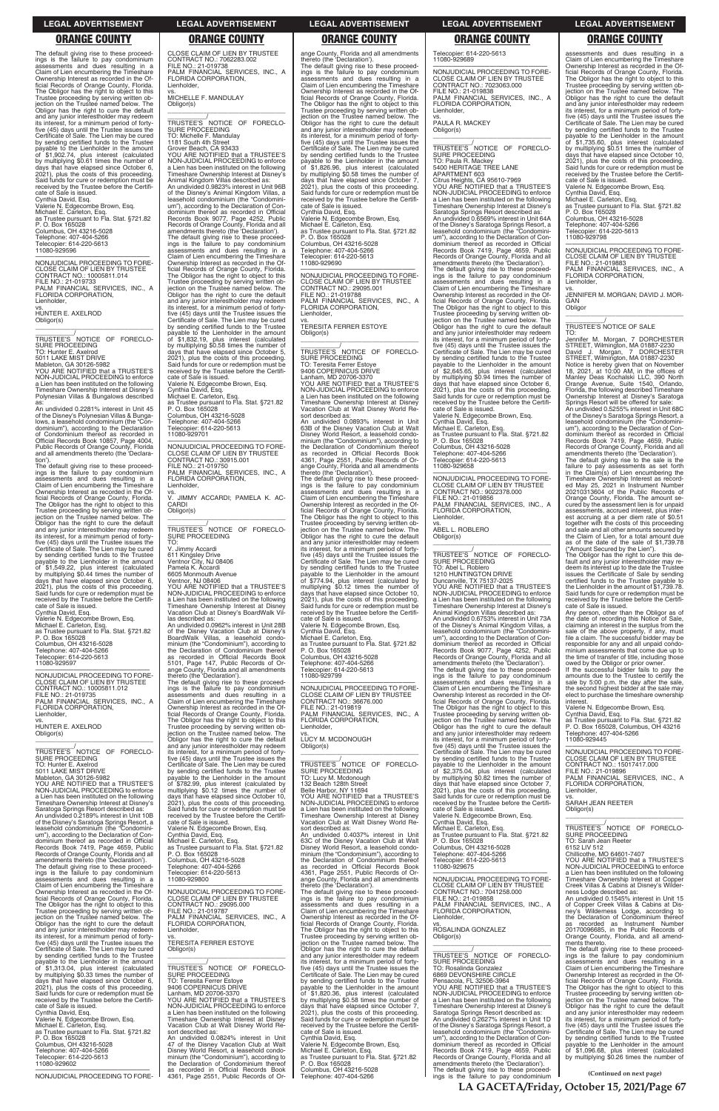**LA GACETA/Friday, October 15, 2021/Page 67**

### **LEGAL ADVERTISEMENT LEGAL ADVERTISEMENT LEGAL ADVERTISEMENT LEGAL ADVERTISEMENT LEGAL ADVERTISEMENT**

### **ORANGE COUNTY ORANGE COUNTY ORANGE COUNTY ORANGE COUNTY ORANGE COUNTY**

—————————————————— NONJUDICIAL PROCEEDING TO FORE-CLOSE CLAIM OF LIEN BY TRUSTEE CONTRACT NO.: 10005811.014 FILE NO.: 21-019733 PALM FINANCIAL SERVICES, INC., A FLORIDA CORPORATION, Lienholder, vs. HUNTER E. AXELROD Obligor(s)  $\overline{\phantom{a}}$  , and the set of the set of the set of the set of the set of the set of the set of the set of the set of the set of the set of the set of the set of the set of the set of the set of the set of the set of the s

TRUSTEE'S<br>SURE PROCEEDING<br>TO: Hunter E. Axelrod

The default giving rise to these proceed-ings is the failure to pay condominium assessments and dues resulting in a Claim of Lien encumbering the Timeshare Ownership Interest as recorded in the Of-ficial Records of Orange County, Florida. The Obligor has the right to object to this Trustee proceeding by serving written ob-jection on the Trustee named below. The Obligor has the right to cure the default and any junior interestholder may redeem its interest, for a minimum period of fortyfive (45) days until the Trustee issues the Certificate of Sale. The Lien may be cured by sending certified funds to the Trustee payable to the Lienholder in the amount of \$1,902.74, plus interest (calculated by multiplying \$0.61 times the number of days that have elapsed since October 6, 2021), plus the costs of this proceeding. Said funds for cure or redemption must be received by the Trustee before the Certifi-cate of Sale is issued. Cynthia David, Esq. Valerie N. Edgecombe Brown, Esq. Michael E. Carleton, Esq. as Trustee pursuant to Fla. Stat. §721.82 P. O. Box 165028 Columbus, OH 43216-5028 Telephone: 407-404-5266 Telecopier: 614-220-5613 11080-929596

5011 LAKE MIST DRIVE

Mableton, GA 30126-5982 YOU ARE NOTIFIED that a TRUSTEE'S NON-JUDICIAL PROCEEDING to enforce a Lien has been instituted on the following Timeshare Ownership Interest at Disney's Polynesian Villas & Bungalows described

as: An undivided 0.2281% interest in Unit 45 of the Disney's Polynesian Villas & Bunga-lows, a leasehold condominium (the "Con-dominium"), according to the Declaration of Condominium thereof as recorded in Official Records Book 10857, Page 4004, Public Records of Orange County, Florida and all amendments thereto (the 'Declaration'). The default giving rise to these proceed-

ings is the failure to pay condominium assessments and dues resulting in a Claim of Lien encumbering the Timeshare Ownership Interest as recorded in the Of-ficial Records of Orange County, Florida. The Obligor has the right to object to this Trustee proceeding by serving written ob-jection on the Trustee named below. The Obligor has the right to cure the default and any junior interestholder may redeem its interest, for a minimum period of forty-five (45) days until the Trustee issues the Certificate of Sale. The Lien may be cured by sending certified funds to the Trustee payable to the Lienholder in the amount of \$1,549.22, plus interest (calculated by multiplying \$0.44 times the number of days that have elapsed since October 6, 2021), plus the costs of this proceeding. Said funds for cure or redemption must be received by the Trustee before the Certifi-

cate of Sale is issued. Cynthia David, Esq. Valerie N. Edgecombe Brown, Esq. Michael E. Carleton, Esq. as Trustee pursuant to Fla. Stat. §721.82 P. O. Box 165028 Columbus, OH 43216-5028 Telephone: 407-404-5266 Telecopier: 614-220-5613

11080-929597 —————————————————— NONJUDICIAL PROCEEDING TO FORE-

CLOSE CLAIM OF LIEN BY TRUSTEE CONTRACT NO.: 10005811.012 FILE NO.: 21-019735 PALM FINANCIAL SERVICES, INC., A FLORIDA CORPORATION, Lienholder,

vs. HUNTER E. AXELROD Obligor(s) \_\_\_\_\_\_\_\_\_\_\_\_\_\_\_\_\_\_\_\_\_\_\_\_\_\_\_\_\_\_\_\_\_

\_\_\_\_\_\_\_\_\_\_\_/ TRUSTEE'S NOTICE OF FORECLO-SURE PROCEEDING TO: Hunter E. Axelrod 5011 LAKE MIST DRIVE Mableton, GA 30126-5982 YOU ARE NOTIFIED that a TRUSTEE'S NON-JUDICIAL PROCEEDING to enforce a Lien has been instituted on the following Timeshare Ownership Interest at Disney's Saratoga Springs Resort described as: An undivided 0.2189% interest in Unit 10B

CLOSE CLAIM OF LIEN BY TRUSTEE CONTRACT NO.: 7062283.002 FILE NO.: 21-019738 PALM FINANCIAL SERVICES, INC., A FLORIDA CORPORATION, Lienholder,

vs. MICHELLE F. MANDULAY Obligor(s) \_\_\_\_\_\_\_\_\_\_\_\_\_\_\_\_\_\_\_\_\_\_\_\_\_\_\_\_\_\_\_\_\_

\_\_\_\_\_\_\_\_\_\_\_/ TRUSTEE'S NOTICE OF FORECLO-SURE PROCEEDING TO: Michelle F. Mandulay 1181 South 4th Street Grover Beach, CA 93433 YOU ARE NOTIFIED that a TRUSTEE'S NON-JUDICIAL PROCEEDING to enforce a Lien has been instituted on the following Timeshare Ownership Interest at Disney's Animal Kingdom Villas described as: An undivided 0.9823% interest in Unit 96B of the Disney's Animal Kingdom Villas, a leasehold condominium (the "Condominium"), according to the Declaration of Con-dominium thereof as recorded in Official Records Book 9077, Page 4252, Public Records of Orange County, Florida and all amendments thereto (the 'Declaration'). The default giving rise to these proceedings is the failure to pay condominium assessments and dues resulting in a Claim of Lien encumbering the Timeshare Ownership Interest as recorded in the Of-ficial Records of Orange County, Florida. The Obligor has the right to object to this Trustee proceeding by serving written ob-jection on the Trustee named below. The Obligor has the right to cure the default and any junior interestholder may redeem its interest, for a minimum period of forty-five (45) days until the Trustee issues the Certificate of Sale. The Lien may be cured by sending certified funds to the Trustee payable to the Lienholder in the amount of \$1,832.19, plus interest (calculated by multiplying \$0.58 times the number of days that have elapsed since October 5, 2021), plus the costs of this proceeding. Said funds for cure or redemption must be received by the Trustee before the Certificate of Sale is issued. Valerie N. Edgecombe Brown, Esq. Cynthia David, Esq. Michael E. Carleton, Esq. as Trustee pursuant to Fla. Stat. §721.82 P. O. Box 165028 Columbus, OH 43216-5028 Telephone: 407-404-5266 Telecopier: 614-220-5613 11080-929701 —————————————————— NONJUDICIAL PROCEEDING TO FORE-CLOSE CLAIM OF LIEN BY TRUSTEE CONTRACT NO.: 30915.001 FILE NO.: 21-019750 PALM FINANCIAL SERVICES, INC., A FLORIDA CORPORATION, Lienholder, vs. JIMMY ACCARDI; PAMELA K. AC-CARDI Obligor(s)  $\overline{\phantom{a}}$  ,  $\overline{\phantom{a}}$  ,  $\overline{\phantom{a}}$  ,  $\overline{\phantom{a}}$  ,  $\overline{\phantom{a}}$  ,  $\overline{\phantom{a}}$  ,  $\overline{\phantom{a}}$  ,  $\overline{\phantom{a}}$  ,  $\overline{\phantom{a}}$  ,  $\overline{\phantom{a}}$  ,  $\overline{\phantom{a}}$  ,  $\overline{\phantom{a}}$  ,  $\overline{\phantom{a}}$  ,  $\overline{\phantom{a}}$  ,  $\overline{\phantom{a}}$  ,  $\overline{\phantom{a}}$ TRUSTEE'S NOTICE OF FORECLO-SURE PROCEEDING TO: V. Jimmy Accardi 611 Kingsley Drive Ventnor City, NJ 08406 Pamela K. Accardi 6605 Monmouth Avenue Ventnor, NJ 08406 YOU ARE NOTIFIED that a TRUSTEE'S NON-JUDICIAL PROCEEDING to enforce a Lien has been instituted on the following Timeshare Ownership Interest at Disney Vacation Club at Disney's BoardWalk Villas described as:

> \_\_\_\_\_\_\_\_\_\_\_/<br>TRUSTEE'S NOTICE OF FORECLO-<br>SURE PROCEEDING TO: Lucy M. Mcdonough 132 Beach 128th Street Belle Harbor, NY 11694 YOU ARE NOTIFIED that a TRUSTEE'S NON-JUDICIAL PROCEEDING to enforce a Lien has been instituted on the following Timeshare Ownership Interest at Disney

An undivided 0.0962% interest in Unit 28B of the Disney Vacation Club at Disney's BoardWalk Villas, a leasehold condominium (the "Condominium"), according to the Declaration of Condominium thereof as recorded in Official Records Book 5101, Page 147, Public Records of Or-ange County, Florida and all amendments thereto (the 'Declaration'). The default giving rise to these proceed-ings is the failure to pay condominium assessments and dues resulting in a

Claim of Lien encumbering the Timeshare Ownership Interest as recorded in the Of-ficial Records of Orange County, Florida. The Obligor has the right to object to this Trustee proceeding by serving written ob-jection on the Trustee named below. The Obligor has the right to cure the default and any junior interestholder may redeem its interest, for a minimum period of fortyfive (45) days until the Trustee issues the Certificate of Sale. The Lien may be cured by sending certified funds to the Trustee payable to the Lienholder in the amount of \$782.99, plus interest (calculated by multiplying \$0.12 times the number of days that have elapsed since October 10, 2021), plus the costs of this proceeding. Said funds for cure or redemption must be received by the Trustee before the Certifi-

\_\_\_\_\_\_\_\_\_\_\_\_\_\_\_\_\_\_\_\_\_\_\_\_\_\_\_\_\_\_\_\_\_ \_\_\_\_\_\_\_\_\_\_\_/<br>TRUSTEE'S NOTICE OF FORECLO-<br>SURE PROCEEDING TO: Abel L. Roblero 1210 HUNTINGTON DRIVE Duncanville, TX 75137-2025 YOU ARE NOTIFIED that a TRUSTEE'S NON-JUDICIAL PROCEEDING to enforce a Lien has been instituted on the following Timeshare Ownership Interest at Disney's Animal Kingdom Villas described as: An undivided 0.6753% interest in Unit 73A of the Disney's Animal Kingdom Villas, a leasehold condominium (the "Condomini-um"), according to the Declaration of Condominium thereof as recorded in Official Records Book 9077, Page 4252, Public Records of Orange County, Florida and all amendments thereto (the 'Declaration'). The default giving rise to these proceed-ings is the failure to pay condominium assessments and dues resulting in a Claim of Lien encumbering the Timeshare Ownership Interest as recorded in the Official Records of Orange County, Florida. The Obligor has the right to object to this Trustee proceeding by serving written objection on the Trustee named below. The Obligor has the right to cure the default and any junior interestholder may redeem its interest, for a minimum period of forty-five (45) days until the Trustee issues the Certificate of Sale. The Lien may be cured by sending certified funds to the Trustee payable to the Lienholder in the amount of \$2,375.04, plus interest (calculated by multiplying \$0.82 times the number of days that have elapsed since October 7, 2021), plus the costs of this proceeding. Said funds for cure or redemption must be received by the Trustee before the Certificate of Sale is issued. N. Edge

ange County, Florida and all amendments thereto (the 'Declaration'). The default giving rise to these proceedings is the failure to pay condominium assessments and dues resulting in a Claim of Lien encumbering the Timeshare Ownership Interest as recorded in the Of-ficial Records of Orange County, Florida. The Obligor has the right to object to this Trustee proceeding by serving written ob-jection on the Trustee named below. The Obligor has the right to cure the default and any junior interestholder may redeem its interest, for a minimum period of forty-five (45) days until the Trustee issues the Certificate of Sale. The Lien may be cured by sending certified funds to the Trustee payable to the Lienholder in the amount of \$1,826.96, plus interest (calculated by multiplying \$0.58 times the number of days that have elapsed since October 7, 2021), plus the costs of this proceeding. Said funds for cure or redemption must be received by the Trustee before the Certificate of Sale is issued. Cynthia David, Esq. Valerie N. Edgecombe Brown, Esq. Michael E. Carleton, Esq. as Trustee pursuant to Fla. Stat. §721.82 P. O. Box 165028 Columbus, OH 43216-5028 Telephone: 407-404-5266 Telecopier: 614-220-5613 11080-929690 —————————————————— NONJUDICIAL PROCEEDING TO FORE-CLOSE CLAIM OF LIEN BY TRUSTEE

CONTRACT NO.: 29095.001 FILE NO.: 21-019788 PALM FINANCIAL SERVICES, INC., A FLORIDA CORPORATION, Lienholder, vs. TERESITA FERRER ESTOYE

Obligor(s) \_\_\_\_\_\_\_\_\_\_\_\_\_\_\_\_\_\_\_\_\_\_\_\_\_\_\_\_\_\_\_\_\_

> owed by the Obligor or prior owner. If the successful bidder fails to pay the amounts due to the Trustee to certify the sale by 5:00 p.m. the day after the sale, the second highest bidder at the sale may elect to purchase the timeshare ownership **interest**

\_\_\_\_\_\_\_\_\_\_\_/ TRUSTEE'S NOTICE OF FORECLO-SURE PROCEEDING TO: Teresita Ferrer Estoye 9406 COPERNICUS DRIVE Lanham, MD 20706-3370 YOU ARE NOTIFIED that a TRUSTEE'S NON-JUDICIAL PROCEEDING to enforce a Lien has been instituted on the following Timeshare Ownership Interest at Disney Vacation Club at Walt Disney World Resort described as: An undivided 0.0893% interest in Unit 63B of the Disney Vacation Club at Walt Disney World Resort, a leasehold condo-minium (the "Condominium"), according to the Declaration of Condominium thereof as recorded in Official Records Book 4361, Page 2551, Public Records of Or-ange County, Florida and all amendments thereto (the 'Declaration'). The default giving rise to these proceed-ings is the failure to pay condominium assessments and dues resulting in a Claim of Lien encumbering the Timeshare Ownership Interest as recorded in the Official Records of Orange County, Florida. The Obligor has the right to object to this Trustee proceeding by serving written objection on the Trustee named below. The Obligor has the right to cure the default and any junior interestholder may redeem its interest, for a minimum period of forty-five (45) days until the Trustee issues the Certificate of Sale. The Lien may be cured by sending certified funds to the Trustee payable to the Lienholder in the amount of \$774.94, plus interest (calculated by multiplying \$0.12 times the number of days that have elapsed since October 10, 2021), plus the costs of this proceeding. Said funds for cure or redemption must be received by the Trustee before the Certifi-cate of Sale is issued. Valerie N. Edgecombe Brown, Esq. Cynthia David, Esq. Michael E. Carleton, Esq. as Trustee pursuant to Fla. Stat. §721.82 P. O. Box 165028 Columbus, OH 43216-5028 Telephone: 407-404-5266 Telecopier: 614-220-5613 11080-929799

| An undivided 0.2189% interest in Unit 10B    | received by the Trustee before the Certifi- | Timeshare Ownership Interest at Disney       | Valerie N. Edgecombe Brown, Esg.            |                                                                               |
|----------------------------------------------|---------------------------------------------|----------------------------------------------|---------------------------------------------|-------------------------------------------------------------------------------|
| of the Disney's Saratoga Springs Resort, a   | cate of Sale is issued.                     | Vacation Club at Walt Disney World Re-       | Cynthia David, Esg.                         |                                                                               |
| leasehold condominium (the "Condomini-       | Valerie N. Edgecombe Brown, Esg.            | sort described as:                           | Michael E. Carleton, Esg.                   | TRUSTEE'S NOTICE OF FORECLO-                                                  |
| um"), according to the Declaration of Con-   | Cynthia David, Esg.                         | An undivided 0.4037% interest in Unit        | as Trustee pursuant to Fla. Stat. §721.82   | <b>SURE PROCEEDING</b>                                                        |
| dominium thereof as recorded in Official     | Michael E. Carleton, Esq.                   | 63C of the Disney Vacation Club at Walt      | P. O. Box 165028                            | TO: Sarah Jean Reeter                                                         |
| Records Book 7419, Page 4659, Public         | as Trustee pursuant to Fla. Stat. §721.82   | Disney World Resort, a leasehold condo-      | Columbus, OH 43216-5028                     | 6152 LIV 512                                                                  |
| Records of Orange County, Florida and all    | P. O. Box 165028                            | minium (the "Condominium"), according to     | Telephone: 407-404-5266                     | Chillicothe, MO 64601-7407                                                    |
| amendments thereto (the 'Declaration').      | Columbus, OH 43216-5028                     | the Declaration of Condominium thereof       | Telecopier: 614-220-5613                    | YOU ARE NOTIFIED that a TRUSTEE'S                                             |
| The default giving rise to these proceed-    | Telephone: 407-404-5266                     | as recorded in Official Records Book         | 11080-929675                                | NON-JUDICIAL PROCEEDING to enforce                                            |
| ings is the failure to pay condominium       | Telecopier: 614-220-5613                    | 4361, Page 2551, Public Records of Or-       |                                             | a Lien has been instituted on the following                                   |
| assessments and dues resulting in a          | 11080-929800                                | ange County, Florida and all amendments      | NONJUDICIAL PROCEEDING TO FORE-             | Timeshare Ownership Interest at Copper                                        |
| Claim of Lien encumbering the Timeshare      |                                             | thereto (the 'Declaration').                 | CLOSE CLAIM OF LIEN BY TRUSTEE              | Creek Villas & Cabins at Disney's Wilder-                                     |
| Ownership Interest as recorded in the Of-    | NONJUDICIAL PROCEEDING TO FORE-             | The default giving rise to these proceed-    | CONTRACT NO.: 7041258.000                   | ness Lodge described as:                                                      |
| ficial Records of Orange County, Florida.    | CLOSE CLAIM OF LIEN BY TRUSTEE              | ings is the failure to pay condominium       | FILE NO.: 21-019858                         | An undivided 0.1545% interest in Unit 15                                      |
| The Obligor has the right to object to this  | CONTRACT NO.: 29095.000                     | assessments and dues resulting in a          | PALM FINANCIAL SERVICES. INC., A            | of Copper Creek Villas & Cabins at Dis-                                       |
| Trustee proceeding by serving written ob-    | FILE NO.: 21-019787                         | Claim of Lien encumbering the Timeshare      | FLORIDA CORPORATION,                        | ney's Wilderness Lodge, according to                                          |
| iection on the Trustee named below. The      | PALM FINANCIAL SERVICES. INC., A            | Ownership Interest as recorded in the Of-    | Lienholder.                                 | the Declaration of Condominium thereof                                        |
| Obligor has the right to cure the default    | FLORIDA CORPORATION.                        | ficial Records of Orange County, Florida.    |                                             | as recorded as Instrument Number                                              |
| and any junior interestholder may redeem     | Lienholder,                                 | The Obligor has the right to object to this  | VS.<br>ROSALINDA GONZALEZ                   | 20170096685, in the Public Records of                                         |
| its interest, for a minimum period of forty- | VS.                                         | Trustee proceeding by serving written ob-    | Obligor(s)                                  | Orange County, Florida, and all amend-                                        |
| five (45) days until the Trustee issues the  | <b>TERESITA FERRER ESTOYE</b>               | jection on the Trustee named below. The      |                                             | ments thereto.                                                                |
| Certificate of Sale. The Lien may be cured   | Obligor(s)                                  | Obligor has the right to cure the default    |                                             | The default giving rise to these proceed-                                     |
| by sending certified funds to the Trustee    |                                             | and any junior interestholder may redeem     | TRUSTEE'S NOTICE OF FORECLO-                |                                                                               |
| pavable to the Lienholder in the amount      |                                             | its interest, for a minimum period of forty- | SURE PROCEEDING                             | ings is the failure to pay condominium<br>assessments and dues resulting in a |
| of \$1,313.04, plus interest (calculated     | TRUSTEE'S NOTICE OF FORECLO-                | five (45) days until the Trustee issues the  | TO: Rosalinda Gonzalez                      | Claim of Lien encumbering the Timeshare                                       |
|                                              | SURE PROCEEDING                             | Certificate of Sale. The Lien may be cured   | 6869 DEVONSHIRE CIRCLE                      |                                                                               |
| by multiplying \$0.33 times the number of    |                                             |                                              |                                             | Ownership Interest as recorded in the Of-                                     |
| days that have elapsed since October 6,      | <b>TO: Teresita Ferrer Estove</b>           | by sending certified funds to the Trustee    | Pensacola, FL 32506-3964                    | ficial Records of Orange County, Florida.                                     |
| 2021), plus the costs of this proceeding.    | 9406 COPERNICUS DRIVE                       | payable to the Lienholder in the amount      | YOU ARE NOTIFIED that a TRUSTEE'S           | The Obligor has the right to object to this                                   |
| Said funds for cure or redemption must be    | Lanham, MD 20706-3370                       | of \$1,820.36, plus interest (calculated     | NON-JUDICIAL PROCEEDING to enforce          | Trustee proceeding by serving written ob-                                     |
| received by the Trustee before the Certifi-  | YOU ARE NOTIFIED that a TRUSTEE'S           | by multiplying \$0.58 times the number of    | a Lien has been instituted on the following | jection on the Trustee named below. The                                       |
| cate of Sale is issued.                      | NON-JUDICIAL PROCEEDING to enforce          | days that have elapsed since October 7,      | Timeshare Ownership Interest at Disney's    | Obligor has the right to cure the default                                     |
| Cynthia David, Esg.                          | a Lien has been instituted on the following | 2021), plus the costs of this proceeding.    | Saratoga Springs Resort described as:       | and any junior interestholder may redeem                                      |
| Valerie N. Edgecombe Brown, Esg.             | Timeshare Ownership Interest at Disney      | Said funds for cure or redemption must be    | An undivided 0.2627% interest in Unit 1D    | its interest, for a minimum period of forty-                                  |
| Michael E. Carleton, Esg.                    | Vacation Club at Walt Disney World Re-      | received by the Trustee before the Certifi-  | of the Disney's Saratoga Springs Resort, a  | five (45) days until the Trustee issues the                                   |
| as Trustee pursuant to Fla. Stat. §721.82    | sort described as:                          | cate of Sale is issued.                      | leasehold condominium (the "Condomini-      | Certificate of Sale. The Lien may be cured                                    |
| P. O. Box 165028                             | An undivided 0.0824% interest in Unit       | Cynthia David, Esq.                          | um"), according to the Declaration of Con-  | by sending certified funds to the Trustee                                     |
| Columbus, OH 43216-5028                      | 47 of the Disney Vacation Club at Walt      | Valerie N. Edgecombe Brown, Esq.             | dominium thereof as recorded in Official    | payable to the Lienholder in the amount                                       |
| Telephone: 407-404-5266                      | Disney World Resort, a leasehold condo-     | Michael E. Carleton, Esq.                    | Records Book 7419, Page 4659, Public        | of \$1,096.68, plus interest (calculated                                      |
| Telecopier: 614-220-5613                     | minium (the "Condominium"), according to    | as Trustee pursuant to Fla. Stat. §721.82    | Records of Orange County, Florida and all   | by multiplying \$0.26 times the number of                                     |
| 11080-929602                                 | the Declaration of Condominium thereof      | P. O. Box 165028                             | amendments thereto (the 'Declaration').     |                                                                               |
|                                              | as recorded in Official Records Book        | Columbus, OH 43216-5028                      | The default giving rise to these proceed-   | (Continued on next page)                                                      |
| NONJUDICIAL PROCEEDING TO FORE-              | 4361, Page 2551, Public Records of Or-      | Telephone: 407-404-5266                      | ings is the failure to pay condominium      |                                                                               |

—————————————————— NONJUDICIAL PROCEEDING TO FORE-CLOSE CLAIM OF LIEN BY TRUSTEE CONTRACT NO.: 36676.000 FILE NO.: 21-019819 PALM FINANCIAL SERVICES, INC., A FLORIDA CORPORATION, Lienholder,

vs. LUCY M. MCDONOUGH Obligor(s) \_\_\_\_\_\_\_\_\_\_\_\_\_\_\_\_\_\_\_\_\_\_\_\_\_\_\_\_\_\_\_\_\_ Telecopier: 614-220-5613 11080-929689

—————————————————— NONJUDICIAL PROCEEDING TO FORE-CLOSE CLAIM OF LIEN BY TRUSTEE CONTRACT NO.: 7023063.000 FILE NO.: 21-019838 PALM FINANCIAL SERVICES, INC., A FLORIDA CORPORATION, Lienholder,

vs. PAULA R. MACKEY Obligor(s) \_\_\_\_\_\_\_\_\_\_\_\_\_\_\_\_\_\_\_\_\_\_\_\_\_\_\_\_\_\_\_\_\_

\_\_\_\_\_\_\_\_\_\_\_/ TRUSTEE'S NOTICE OF FORECLO-SURE PROCEEDING TO: Paula R. Mackey 5400 HERITAGE TREE LANE APARTMENT 603 Citrus Heights, CA 95610-7969 YOU ARE NOTIFIED that a TRUSTEE'S NON-JUDICIAL PROCEEDING to enforce a Lien has been instituted on the following Timeshare Ownership Interest at Disney's Saratoga Springs Resort described as: An undivided 0.6569% interest in Unit 64A of the Disney's Saratoga Springs Resort, a leasehold condominium (the "Condomini-um"), according to the Declaration of Condominium thereof as recorded in Official Records Book 7419, Page 4659, Public Records of Orange County, Florida and all amendments thereto (the 'Declaration'). The default giving rise to these proceed-ings is the failure to pay condominium assessments and dues resulting in a Claim of Lien encumbering the Timeshare Claim of Lien encumbering the Timeshare<br>Ownership Interest as recorded in the Official Records of Orange County, Florida. The Obligor has the right to object to this Trustee proceeding by serving written objection on the Trustee named below. The Obligor has the right to cure the default and any junior interestholder may redeem its interest, for a minimum period of forty-five (45) days until the Trustee issues the Certificate of Sale. The Lien may be cured by sending certified funds to the Trustee payable to the Lienholder in the amount of \$2,645.65, plus interest (calculated by multiplying \$0.94 times the number of days that have elapsed since October 6, 2021), plus the costs of this proceeding. Said funds for cure or redemption must be received by the Trustee before the Certifi-cate of Sale is issued. Valerie N. Edgecombe Brown, Esq. Cynthia David, Esq. Michael E. Carleton, Esq. as Trustee pursuant to Fla. Stat. §721.82 P. O. Box 165028 Columbus, OH 43216-5028 Telephone: 407-404-5266 Telecopier: 614-220-5613 11080-929658 —————————————————— NONJUDICIAL PROCEEDING TO FORE-CLOSE CLAIM OF LIEN BY TRUSTEE CONTRACT NO.: 9022378.000 FILE NO.: 21-019856 PALM FINANCIAL SERVICES, INC., A FLORIDA CORPORATION, ienholder, vs. ABEL L. ROBLERO Obligor(s)

assessments and dues resulting in a Claim of Lien encumbering the Timeshare Ownership Interest as recorded in the Official Records of Orange County, Florida. The Obligor has the right to object to this Trustee proceeding by serving written objection on the Trustee named below. The Obligor has the right to cure the default and any junior interestholder may redeem its interest, for a minimum period of forty-five (45) days until the Trustee issues the Certificate of Sale. The Lien may be cured by sending certified funds to the Trustee payable to the Lienholder in the amount of \$1,735.60, plus interest (calculated by multiplying \$0.51 times the number of days that have elapsed since October 10, 2021), plus the costs of this proceeding. Said funds for cure or redemption must be received by the Trustee before the Certifi-cate of Sale is issued.

Valerie N. Edgecombe Brown, Esq. Cynthia David, Esq. Michael E. Carleton, Esq. as Trustee pursuant to Fla. Stat. §721.82 P. O. Box 165028 Columbus, OH 43216-5028

Telephone: 407-404-5266 Telecopier: 614-220-5613 11080-929798

—————————————————— NONJUDICIAL PROCEEDING TO FORE-CLOSE CLAIM OF LIEN BY TRUSTEE FILE NO.: 21-019883 PALM FINANCIAL SERVICES, INC., A FLORIDA CORPORATION, Lienholder,

vs. JENNIFER M. MORGAN; DAVID J. MOR-GAN **Obligor** \_\_\_\_\_\_\_\_\_\_\_\_\_\_\_\_\_\_\_\_\_\_\_\_\_\_\_\_\_\_\_\_\_

# \_\_\_\_\_\_\_\_\_\_\_/ TRUSTEE'S NOTICE OF SALE

TO: Jennifer M. Morgan, 7 DORCHESTER STREET, Wilmington, MA 01887-2230 David J. Morgan, 7 DORCHESTER STREET, Wilmington, MA 01887-2230 Notice is hereby given that on November 18, 2021, at 10:00 AM, in the offices of Manley Deas Kochalski LLC, 390 North Orange Avenue, Suite 1540, Orlando, Florida, the following described Timeshare Ownership Interest at Disney's Saratoga Springs Resort will be offered for sale: An undivided 0.5255% interest in Unit 68C of the Disney's Saratoga Springs Resort, a leasehold condominium (the "Condomini-um"), according to the Declaration of Condominium thereof as recorded in Official Records Book 7419, Page 4659, Public Records of Orange County, Florida and all amendments thereto (the 'Declaration'). The default giving rise to the sale is the failure to pay assessments as set forth in the Claim(s) of Lien encumbering the Timeshare Ownership Interest as record-ed May 25, 2021 in Instrument Number 20210313604 of the Public Records of Orange County, Florida. The amount se-cured by the assessment lien is for unpaid assessments, accrued interest, plus inter-est accruing at a per diem rate of \$0.51 together with the costs of this proceeding and sale and all other amounts secured by the Claim of Lien, for a total amount due as of the date of the sale of \$1,739.78

("Amount Secured by the Lien"). The Obligor has the right to cure this de-fault and any junior interestholder may redeem its interest up to the date the Trustee issues the Certificate of Sale by sending certified funds to the Trustee payable to the Lienholder in the amount of \$1,739.78. Said funds for cure or redemption must be received by the Trustee before the Certifi-

cate of Sale is issued. Any person, other than the Obligor as of the date of recording this Notice of Sale, claiming an interest in the surplus from the sale of the above property, if any, must file a claim. The successful bidder may be responsible for any and all unpaid condo-minium assessments that come due up to the time of transfer of title, including those

Valerie N. Edgecombe Brown, Esq. Cynthia David, Esq.

as Trustee pursuant to Fla. Stat. §721.82 P. O. Box 165028, Columbus, OH 43216 Telephone: 407-404-5266 11080-929445

—————————————————— NONJUDICIAL PROCEEDING TO FORE-CLOSE CLAIM OF LIEN BY TRUSTEE CONTRACT NO.: 15017417.000 FILE NO.: 21-019896

PALM FINANCIAL SERVICES, INC., A LORIDA CORPORATION,

Lienholder, vs. SARAH JEAN REETER Obligor(s)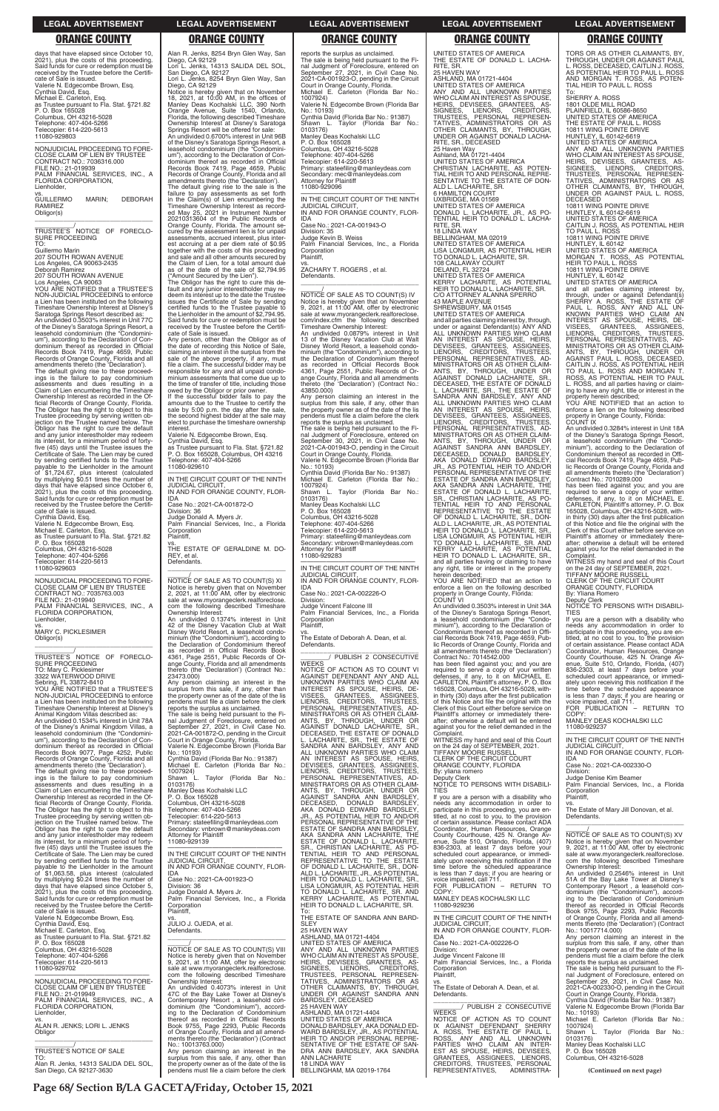**Page 68/ Section B/LA GACETA/Friday, October 15, 2021**

### **LEGAL ADVERTISEMENT LEGAL ADVERTISEMENT LEGAL ADVERTISEMENT LEGAL ADVERTISEMENT LEGAL ADVERTISEMENT**

# Alan R. Jenks, 8254 Bryn Glen Way, San<br>Diego, CA 92129<br>Lori L. Jenks, 14313 SALIDA DEL SOL,<br>San Diego, CA 92127

### **ORANGE COUNTY ORANGE COUNTY ORANGE COUNTY ORANGE COUNTY ORANGE COUNTY**

days that have elapsed since October 10, 2021), plus the costs of this proceeding. Said funds for cure or redemption must be received by the Trustee before the Certificate of Sale is issued. Valerie N. Edgecombe Brown, Esq. Cynthia David, Esq. Michael E. Carleton, Esq. as Trustee pursuant to Fla. Stat. §721.82 P. O. Box 165028 Columbus, OH 43216-5028 Telephone: 407-404-5266 Telecopier: 614-220-5613 11080-929803 —————————————————— NONJUDICIAL PROCEEDING TO FORE-

\_\_\_\_\_\_\_\_\_\_\_/<br>TRUSTEE'S NOTICE OF FORECLO-<br>SURE PROCEEDING TO:

CLOSE CLAIM OF LIEN BY TRUSTEE CONTRACT NO.: 7036316.000 FILE NO.: 21-019939 PALM FINANCIAL SERVICES, INC., A FLORIDA CORPORATION, Lienholder, vs. GUILLERMO MARIN; DEBORAH

RAMIREZ Obligor(s) \_\_\_\_\_\_\_\_\_\_\_\_\_\_\_\_\_\_\_\_\_\_\_\_\_\_\_\_\_\_\_\_\_

Guillermo Marin 207 SOUTH ROWAN AVENUE

Los Angeles, CA 90063-2435 Deborah Ramirez 207 SOUTH ROWAN AVENUE

Los Angeles, CA 90063 YOU ARE NOTIFIED that a TRUSTEE'S NON-JUDICIAL PROCEEDING to enforce a Lien has been instituted on the following Timeshare Ownership Interest at Disney's Saratoga Springs Resort described as: An undivided 0.3503% interest in Unit 77C of the Disney's Saratoga Springs Resort, a leasehold condominium (the "Condomini-um"), according to the Declaration of Condominium thereof as recorded in Official Records Book 7419, Page 4659, Public Records of Orange County, Florida and all amendments thereto (the 'Declaration'). The default giving rise to these proceed-ings is the failure to pay condominium assessments and dues resulting in a Claim of Lien encumbering the Timeshare Ownership Interest as recorded in the Official Records of Orange County, Florida. The Obligor has the right to object to this Trustee proceeding by serving written objection on the Trustee named below. The Obligor has the right to cure the default and any junior interestholder may redeem its interest, for a minimum period of fortyfive (45) days until the Trustee issues the Certificate of Sale. The Lien may be cured by sending certified funds to the Trustee payable to the Lienholder in the amount<br>of \$1.724.67 plus intervals of \$1,724.67, plus interest (calculated by multiplying \$0.51 times the number of days that have elapsed since October 6, 2021), plus the costs of this proceeding. Said funds for cure or redemption must be received by the Trustee before the Certificate of Sale is issued. Cynthia David, Esq.

Valerie N. Edgecombe Brown, Esq. Michael E. Carleton, Esq. as Trustee pursuant to Fla. Stat. §721.82 P. O. Box 165028 Columbus, OH 43216-5028 Telephone: 407-404-5266 Telecopier: 614-220-5613 11080-929603

—————————————————— NONJUDICIAL PROCEEDING TO FORE-CLOSE CLAIM OF LIEN BY TRUSTEE CONTRACT NO.: 7035763.003 FILE NO.: 21-019940 PALM FINANCIAL SERVICES, INC., A FLORIDA CORPORATION, Lienholder, vs. MARY C. PICKLESIMER

Obligor(s) \_\_\_\_\_\_\_\_\_\_\_\_\_\_\_\_\_\_\_\_\_\_\_\_\_\_\_\_\_\_\_\_\_

\_\_\_\_\_\_\_\_\_\_\_/ TRUSTEE'S NOTICE OF FORECLO-SURE PROCEEDING TO: Mary C. Picklesimer 3322 WATERWOOD DRIVE

Sebring, FL 33872-8410 YOU ARE NOTIFIED that a TRUSTEE'S NON-JUDICIAL PROCEEDING to enforce a Lien has been instituted on the following Timeshare Ownership Interest at Disney's Animal Kingdom Villas described as: An undivided 0.1534% interest in Unit 78A of the Disney's Animal Kingdom Villas, a leasehold condominium (the "Condominium"), according to the Declaration of Condominium thereof as recorded in Official Records Book 9077, Page 4252, Public Records of Orange County, Florida and all amendments thereto (the 'Declaration'). The default giving rise to these proceed-ings is the failure to pay condominium assessments and dues resulting in a Claim of Lien encumbering the Timeshare Ownership Interest as recorded in the Official Records of Orange County, Florida. The Obligor has the right to object to this Trustee proceeding by serving written ob-

vs. THE ESTATE OF GERALDINE M. DO-REY, et al. Defendants.  $\overline{\phantom{a}}$  , and the set of the set of the set of the set of the set of the set of the set of the set of the set of the set of the set of the set of the set of the set of the set of the set of the set of the set of the s

Michael E. Carleton (Florida Bar No.: 1007924) Shawn L. Taylor (Florida Bar No.:

Lori L. Jenks, 8254 Bryn Glen Way, San Diego, CA 92129 Notice is hereby given that on November 18, 2021, at 10:00 AM, in the offices of Manley Deas Kochalski LLC, 390 North Orange Avenue, Suite 1540, Orlando, Florida, the following described Timeshare Ownership Interest at Disney's Saratoga Springs Resort will be offered for sale: An undivided 0.6700% interest in Unit 96B of the Disney's Saratoga Springs Resort, a leasehold condominium (the "Condomini-um"), according to the Declaration of Condominium thereof as recorded in Official Records Book 7419, Page 4659, Public Records of Orange County, Florida and all amendments thereto (the 'Declaration'). The default giving rise to the sale is the failure to pay assessments as set forth in the Claim(s) of Lien encumbering the Timeshare Ownership Interest as recorded May 25, 2021 in Instrument Number 20210313604 of the Public Records of Orange County, Florida. The amount se-cured by the assessment lien is for unpaid assessments, accrued interest, plus interest accruing at a per diem rate of \$0.95 together with the costs of this proceeding and sale and all other amounts secured by the Claim of Lien, for a total amount due as of the date of the sale of \$2,794.95

> The sale is being held pursuant to the Fi-<br>nal Judgment of Foreclosure, entered on<br>September 30, 2021, in Civil Case No.<br>2021-CA-001943-O, pending in the Circuit<br>Court in Orange County, Florida.<br>Valerie N. Edgecombe Brown No.: 10193) Cynthia David (Florida Bar No.: 91387)

> Michael E. Carleton (Florida Bar No.: 1007924) Shawn L. Taylor (Florida Bar No.:

("Amount Secured by the Lien"). The Obligor has the right to cure this default and any junior interestholder may redeem its interest up to the date the Trustee issues the Certificate of Sale by sending certified funds to the Trustee payable to the Lienholder in the amount of \$2,794.95. Said funds for cure or redemption must be received by the Trustee before the Certificate of Sale is issued.

> **WEEKS** NOTICE OF ACTION AS TO COUNT VI AGAINST DEFENDANT ANY AND ALL UNKNOWN PARTIES WHO CLAIM AN INTEREST AS SPOUSE, HEIRS, DE-VISEES, GRANTEES, ASSIGNEES, LIENORS, CREDITORS, TRUSTEES, PERSONAL REPRESENTATIVES, AD-MINISTRATORS OR AS OTHER CLAIM-ANTS, BY, THROUGH, UNDER OR<br>AGAINST DONALD LACHARITE, SR.,<br>DECEASED,THE ESTATE OF DONALD<br>L. LACHARITE, SR., THE ESTATE OF SANDRA ANN BARDSLEY, ANY AND ALL UNKNOWN PARTIES WHO CLAIM AN INTEREST AS SPOUSE, HEIRS DEVISEES, GRANTEES, ASSIGNEES, LIENORS, CREDITORS, TRUSTEES, **PERSONAL REPRESENTATIVES** AD-MINISTRATORS OR AS OTHER CLAIM-ANTS, BY, THROUGH, UNDER OR AGAINST SANDRA ANN BARDSLEY, DECEASED, DONALD BARDSLEY, AKA DONALD EDWARD BARDSLEY, JR., AS POTENTIAL HEIR TO AND/OR

Any person, other than the Obligor as of the date of recording this Notice of Sale,<br>claiming an interest in the surplus from the<br>sale of the above property, if any, must<br>file a claim. The successful bidder may be responsible for any and all unpaid condominium assessments that come due up to the time of transfer of title, including those owed by the Obligor or prior owner. If the successful bidder fails to pay the

amounts due to the Trustee to certify the sale by 5:00 p.m. the day after the sale, the second highest bidder at the sale may elect to purchase the timeshare ownership interest.

Valerie N. Edgecombe Brown, Esq.

Cynthia David, Esq. as Trustee pursuant to Fla. Stat. §721.82 P. O. Box 165028, Columbus, OH 43216 Telephone: 407-404-5266 11080-929610

—————————————————— IN THE CIRCUIT COURT OF THE NINTH JUDICIAL CIRCUIT, IN AND FOR ORANGE COUNTY, FLOR-IDA

Case No.: 2021-CA-001872-O

Division: 36 Judge Donald A. Myers Jr. Palm Financial Services, Inc., a Florida **Corporation** Plaintiff,

\_\_\_\_\_\_/ NOTICE OF SALE AS TO COUNT(S) XI Notice is hereby given that on November 2, 2021, at 11:00 AM, offer by electronic sale at www.myorangeclerk.realforeclose. com the following described Timeshare Ownership Interest: An undivided 0.1374% interest in Unit 42 of the Disney Vacation Club at Walt Disney World Resort, a leasehold condominium (the "Condominium"), according to the Declaration of Condominium thereof as recorded in Official Records Book 4361, Page 2551, Public Records of Or-ange County, Florida and all amendments thereto (the 'Declaration') (Contract No.: 23473.000)

Any person claiming an interest in the surplus from this sale, if any, other than the property owner as of the date of the lis pendens must file a claim before the clerk reports the surplus as unclaimed.

The sale is being held pursuant to the Fi-<br>nal Judgment of Foreclosure, entered on<br>September 27, 2021, in Civil Case No.<br>2021-CA-001872-O, pending in the Circuit<br>Court in Orange County, Florida.<br>Valerie N. Edgecombe Brown

Cynthia David (Florida Bar No.: 91387)

WITNESS my hand and seal of this Court on the 24 day of SEPTEMBER, 2021. TIFFANY MOORE RUSSELL CLERK OF THE CIRCUIT COURT ORANGE COUNTY, FLORIDA By: yliana romero Deputy Clerk

0103176) Manley Deas Kochalski LLC P. O. Box 165028

Columbus, OH 43216-5028

Telephone: 407-404-5266

TORS OR AS OTHER CLAIMANTS, BY THROUGH, UNDER OR AGAINST PAUL L. ROSS, DECEASED, CAITLIN J. ROSS, AS POTENTIAL HEIR TO PAUL L. ROSS AND MORGAN T. ROSS, AS POTEN-TIAL HEIR TO PAUL L. ROSS

and all parties claiming interest by,<br>through, under or against Defendant(s)<br>SHERRY A. ROSS, THE ESTATE OF<br>PAUL L. ROSS, ANY AND ALL UN-<br>KNOWN PARTIES WHO CLAIM AN INTEREST AS SPOUSE, HEIRS, DE-VISEES, GRANTEES, ASSIGNEES, LIENORS, CREDITORS, TRUSTEES, PERSONAL REPRESENTATIVES, AD-MINISTRATORS OR AS OTHER CLAIM-ANTS, BY, THROUGH, UNDER OR AGAINST PAUL L. ROSS, DECEASED, CAITLIN J. ROSS, AS POTENTIAL HEIR TO PAUL L. ROSS AND MORGAN T. ROSS, AS POTENTIAL HEIR TO PAUL L. ROSS, and all parties having or claiming to have any right, title or interest in the property herein described;

has been filed against you; and you are required to serve a copy of your written<br>defenses, if any, to it on MICHAEL E.<br>CARLETON, Plaintiff's attorney, P. O. Box<br>165028, Columbus, OH 43216-5028, within thirty (30) days after the first publication of this Notice and file the original with the Clerk of this Court either before service on Plaintiff's attorney or immediately there-after; otherwise a default will be entered against you for the relief demanded in the

on the 24 day of SEPTEMBER, 2021. TIFFANY MOORE RUSSELL CLERK OF THE CIRCUIT COURT ORANGE COUNTY, FLORIDA By: Yliana Romero

reports the surplus as unclaimed. The sale is being held pursuant to the Fi-nal Judgment of Foreclosure, entered on September 27, 2021, in Civil Case No. 2021-CA-001923-O, pending in the Circuit Court in Orange County, Florida. Michael E. Carleton (Florida Bar No.: 1007924) Valerie N. Edgecombe Brown (Florida Bar No.: 10193) Cynthia David (Florida Bar No.: 91387) Shawn L. Taylor (Florida Bar No.: 0103176) Manley Deas Kochalski LLC P. O. Box 165028 Columbus, OH 43216-5028 Telephone: 407-404-5266 Telecopier: 614-220-5613 Primary: stateefiling@manleydeas.com Secondary: mec@manleydeas.com Attorney for Plaintiff 11080-929096 —————————————————— IN THE CIRCUIT COURT OF THE NINTH JUDICIAL CIRCUIT, IN AND FOR ORANGE COUNTY, FLOR-IDA Case No.: 2021-CA-001943-O Division: 35 Judge Kevin B. Weiss Palm Financial Services, Inc., a Florida Corporation Plaintiff, vs. ZACHARY T. ROGERS , et al. Defendants.  $\overline{\phantom{a}}$  , and the set of the set of the set of the set of the set of the set of the set of the set of the set of the set of the set of the set of the set of the set of the set of the set of the set of the set of the s \_\_\_\_\_\_/ NOTICE OF SALE AS TO COUNT(S) IV Notice is hereby given that on November 9, 2021, at 11:00 AM, offer by electronic sale at www.myorangeclerk.realforeclose. com/index.cfm the following described Timeshare Ownership Interest: An undivided 0.0879% interest in Unit 13 of the Disney Vacation Club at Walt Disney World Resort, a leasehold condominium (the "Condominium"), according to<br>the Declaration of Condominium thereof<br>as recorded in Official Records Book<br>4361, Page 2551, Public Records of Or-<br>ange County, Florida and all amendments<br>thereto (the 'Declaration' 43850.000) Any person claiming an interest in the

> COPY MANLEY DEAS KOCHALSKI LLC 11080-929237

surplus from this sale, if any, other than the property owner as of the date of the lis pendens must file a claim before the clerk reports the surplus as unclaimed.

| Trustee proceeding by serving written ob-                                            | Telecopier: 614-220-5613                                                                   | JR., AS POTENTIAL HEIR TO AND/OR                                    | titled, at no cost to you, to the provision                                                      | Defendants.                                                                                                |
|--------------------------------------------------------------------------------------|--------------------------------------------------------------------------------------------|---------------------------------------------------------------------|--------------------------------------------------------------------------------------------------|------------------------------------------------------------------------------------------------------------|
| jection on the Trustee named below. The                                              | Primary: stateefiling@manleydeas.com                                                       | PERSONAL REPRESENTATIVE OF THE                                      | of certain assistance. Please contact ADA                                                        |                                                                                                            |
| Obligor has the right to cure the default                                            | Secondary: vnbrown@manleydeas.com                                                          | ESTATE OF SANDRA ANN BARDSLEY.                                      | Coordinator, Human Resources, Orange                                                             | NOTICE OF SALE AS TO COUNT(S) XV                                                                           |
| and any junior interestholder may redeem                                             | Attorney for Plaintiff                                                                     | AKA SANDRA ANN LACHARITE, THE                                       | County Courthouse, 425 N. Orange Av-                                                             |                                                                                                            |
| its interest, for a minimum period of forty-                                         | 11080-929139                                                                               | ESTATE OF DONALD L. LACHARITE,                                      | enue, Suite 510, Orlando, Florida, (407)                                                         | Notice is hereby given that on November                                                                    |
| five (45) days until the Trustee issues the                                          |                                                                                            | SR., CHRISTIAN LACHARITE, AS PO-                                    | 836-2303, at least 7 days before your                                                            | 9, 2021, at 11:00 AM, offer by electronic                                                                  |
| Certificate of Sale. The Lien may be cured                                           | IN THE CIRCUIT COURT OF THE NINTH                                                          | TENTIAL HEIR TO AND PERSONAL                                        | scheduled court appearance, or immedi-                                                           | sale at www.myorangeclerk.realforeclose.                                                                   |
| by sending certified funds to the Trustee                                            | <b>JUDICIAL CIRCUIT.</b>                                                                   | REPRESENTATIVE TO THE ESTATE                                        | ately upon receiving this notification if the                                                    | com the following described Timeshare                                                                      |
| payable to the Lienholder in the amount                                              | IN AND FOR ORANGE COUNTY, FLOR-                                                            | OF DONALD L. LACHARITE, SR., DON-                                   | time before the scheduled appearance                                                             | Ownership Interest:                                                                                        |
| of \$1,063.58, plus interest (calculated                                             | IDA                                                                                        | ALD L. LACHARITE, JR., AS POTENTIAL                                 | is less than 7 days; if you are hearing or                                                       | An undivided 0.2546% interest in Unit                                                                      |
| by multiplying \$0.24 times the number of                                            | Case No.: 2021-CA-001923-O                                                                 | HEIR TO DONALD L. LACHARITE, SR.,                                   | voice impaired, call 711.                                                                        | 51A of the Bay Lake Tower at Disney's                                                                      |
| days that have elapsed since October 5,                                              | Division: 36                                                                               | LISA LONGMUIR. AS POTENTIAL HEIR                                    | FOR PUBLICATION - RETURN TO                                                                      | Contemporary Resort, a leasehold con-                                                                      |
| 2021), plus the costs of this proceeding.                                            | Judge Donald A. Myers Jr.                                                                  | TO DONALD L. LACHARITE, SR. AND                                     | COPY:                                                                                            | dominium (the "Condominium"), accord-                                                                      |
| Said funds for cure or redemption must be                                            | Palm Financial Services, Inc., a Florida                                                   | KERRY LACHARITE, AS POTENTIAL                                       | MANLEY DEAS KOCHALSKI LLC                                                                        | ing to the Declaration of Condominium                                                                      |
| received by the Trustee before the Certifi-                                          | Corporation                                                                                | HEIR TO DONALD L. LACHARITE, SR.                                    | 11080-929236                                                                                     | thereof as recorded in Official Records                                                                    |
| cate of Sale is issued.                                                              | Plaintiff,                                                                                 | To:                                                                 |                                                                                                  | Book 9755, Page 2293, Public Records                                                                       |
| Valerie N. Edgecombe Brown, Esq.<br>Cynthia David, Esq.<br>Michael E. Carleton, Esq. | VS.<br>JULIO J. OJEDA, et al.                                                              | THE ESTATE OF SANDRA ANN BARD-<br><b>SLEY</b><br>25 HAVEN WAY       | IN THE CIRCUIT COURT OF THE NINTH<br><b>JUDICIAL CIRCUIT.</b><br>IN AND FOR ORANGE COUNTY, FLOR- | of Orange County, Florida and all amend-<br>ments thereto (the 'Declaration') (Contract                    |
| as Trustee pursuant to Fla. Stat. §721.82<br>P. O. Box 165028                        | Defendants.                                                                                | ASHLAND, MA 01721-4404<br>UNITED STATES OF AMERICA                  | IDA.<br>Case No.: 2021-CA-002226-O                                                               | No.: 10017714.000)<br>Any person claiming an interest in the<br>surplus from this sale, if any, other than |
| Columbus, OH 43216-5028                                                              | NOTICE OF SALE AS TO COUNT(S) VIII                                                         | ANY AND ALL UNKNOWN PARTIES                                         | Division:                                                                                        | the property owner as of the date of the lis                                                               |
| Telephone: 407-404-5266                                                              | Notice is hereby given that on November                                                    | WHO CLAIM AN INTEREST AS SPOUSE,                                    | Judge Vincent Falcone III                                                                        | pendens must file a claim before the clerk                                                                 |
| Telecopier: 614-220-5613                                                             | 9, 2021, at 11:00 AM, offer by electronic                                                  | HEIRS, DEVISEES, GRANTEES, AS-                                      | Palm Financial Services, Inc., a Florida                                                         | reports the surplus as unclaimed.                                                                          |
| 11080-929702                                                                         | sale at www.myorangeclerk.realforeclose.                                                   | SIGNEES. LIENORS. CREDITORS.                                        | Corporation                                                                                      | The sale is being held pursuant to the Fi-                                                                 |
| NONJUDICIAL PROCEEDING TO FORE-                                                      | com the following described Timeshare                                                      | TRUSTEES, PERSONAL REPRESEN-                                        | Plaintiff,                                                                                       | nal Judgment of Foreclosure, entered on                                                                    |
|                                                                                      | Ownership Interest:                                                                        | TATIVES. ADMINISTRATORS OR AS                                       | VS.                                                                                              | September 29, 2021, in Civil Case No.                                                                      |
| CLOSE CLAIM OF LIEN BY TRUSTEE                                                       | An undivided 0.4073% interest in Unit                                                      | OTHER CLAIMANTS, BY, THROUGH,                                       | The Estate of Deborah A. Dean, et al.                                                            | 2021-CA-002330-O, pending in the Circuit                                                                   |
| FILE NO.: 21-019949                                                                  | 47C of the Bay Lake Tower at Disney's                                                      | UNDER OR AGAINST SANDRA ANN                                         | Defendants.                                                                                      | Court in Orange County, Florida.                                                                           |
| PALM FINANCIAL SERVICES, INC., A                                                     | Contemporary Resort, a leasehold con-                                                      | BARDSLEY, DECEASED                                                  | PUBLISH 2 CONSECUTIVE                                                                            | Cynthia David (Florida Bar No.: 91387)                                                                     |
| FLORIDA CORPORATION,                                                                 | dominium (the "Condominium"), accord-                                                      | 25 HAVEN WAY                                                        |                                                                                                  | Valerie N. Edgecombe Brown (Florida Bar                                                                    |
| Lienholder.                                                                          | ing to the Declaration of Condominium                                                      | ASHLAND, MA 01721-4404                                              | <b>WEEKS</b>                                                                                     | No.: 10193)                                                                                                |
| VS.                                                                                  | thereof as recorded in Official Records                                                    | UNITED STATES OF AMERICA                                            | NOTICE OF ACTION AS TO COUNT                                                                     | Michael E. Carleton (Florida Bar No.:                                                                      |
| ALAN R. JENKS; LORI L. JENKS<br>Obligor                                              | Book 9755, Page 2293, Public Records<br>of Orange County, Florida and all amend-           | DONALD BARDSLEY, AKA DONALD ED-<br>WARD BARDSLEY, JR., AS POTENTIAL | IX AGAINST DEFENDANT SHERRY<br>A. ROSS, THE ESTATE OF PAUL L.                                    | 1007924)<br>Taylor (Florida Bar No.:<br>Shawn L.                                                           |
|                                                                                      | ments thereto (the 'Declaration') (Contract                                                | HEIR TO AND/OR PERSONAL REPRE-                                      | ROSS. ANY AND ALL UNKNOWN                                                                        | 0103176)                                                                                                   |
|                                                                                      | No.: 10013763.000)                                                                         | SENTATIVE OF THE ESTATE OF SAN-                                     | PARTIES WHO CLAIM AN INTER-                                                                      | Manley Deas Kochalski LLC                                                                                  |
| <b>TRUSTEE'S NOTICE OF SALE</b>                                                      | Any person claiming an interest in the                                                     | DRA ANN BARDSLEY, AKA SANDRA                                        | EST AS SPOUSE, HEIRS, DEVISEES,                                                                  | P. O. Box 165028                                                                                           |
| TO:                                                                                  | surplus from this sale, if any, other than                                                 | <b>ANN LACHARITE</b>                                                | GRANTEES, ASSIGNEES, LIENORS,                                                                    | Columbus, OH 43216-5028                                                                                    |
| Alan R. Jenks. 14313 SALIDA DEL SOL.<br>San Diego, CA 92127-3630                     | the property owner as of the date of the lis<br>pendens must file a claim before the clerk | <b>18 LINDA WAY</b><br>BELLINGHAM, MA 02019-1764                    | CREDITORS, TRUSTEES, PERSONAL<br>REPRESENTATIVES,<br>ADMINISTRA-                                 | (Continued on next page)                                                                                   |

0103176) Manley Deas Kochalski LLC P. O. Box 165028 Columbus, OH 43216-5028 Telephone: 407-404-5266

Telecopier: 614-220-5613 Primary: stateefiling@manleydeas.com Secondary: vnbrown@manleydeas.com Attorney for Plaintiff 11080-929283

—————————————————— IN THE CIRCUIT COURT OF THE NINTH JUDICIAL CIRCUIT, IN AND FOR ORANGE COUNTY, FLOR-

IDA

Case No.: 2021-CA-002226-O Division:

Judge Vincent Falcone III Palm Financial Services, Inc., a Florida Corporation

Plaintiff,

vs. The Estate of Deborah A. Dean, et al. Defendants.

\_\_\_\_\_\_\_\_\_\_\_\_\_\_\_\_\_\_\_\_\_\_\_\_\_\_\_\_\_\_\_ \_\_\_\_\_\_\_\_/ PUBLISH 2 CONSECUTIVE

UNITED STATES OF AMERICA THE ESTATE OF DONALD L. LACHA-RITE, SR. 25 HAVEN WAY ASHLAND, MA 01721-4404 UNITED STATES OF AMERICA ANY AND ALL UNKNOWN PARTIES ANY AND ALL UNKNOWN PARIIES<br>WHO CLAIM AN INTEREST AS SPOUSE<br>HEIRS, DEVISEES, GRANTEES, AS<br>SIGNEES, LIENORS, CREDITORS<br>TRUSTEES, PERSONAL REPRESEN HEIRS, DEVISEES, GRANTEES, AS-<br>SIGNEES, LIENORS, CREDITORS,<br>TRUSTEES, PERSONAL REPRESEN-<br>TATIVES, ADMINISTRATORS OR AS<br>OTHER CLAIMANTS, BY, THROUGH,<br>UNDER OR AGAINST DONALD LACHA-<br>RITE, SR., DECEASED<br>25 Haven Way Ashland, MA 01721-4404 UNITED STATES OF AMERICA CHRISTIAN LACHARITE, AS POTEN-TIAL HEIR TO AND PERSONAL REPRE-SENTATIVE TO THE ESTATE OF DON-ALD LACHARITE SR. 6 HAMILTON COURT UXBRIDGE, MA 01569 UNITED STATES OF AMERICA DONALD L. LACHARITE, JR., AS PO-TENTIAL HEIR TO DONALD L. LACHA-RITE, SR. 18 LINDA WAY BELLINGHAM, MA 02019 UNITED STATES OF AMERICA LISA LONGMUIR, AS POTENTIAL HEIR TO DONALD L. LACHARITE, SR. 108 CALLAWAY COURT DELAND, FL 32724 UNITED STATES OF AMERICA KERRY LACHARITE, AS POTENTIAL HEIR TO DONALD L. LACHARITE, SR. C/O ATTORNEY ALANNA SPERRO 43 MAPLE AVENUE SHREWSBURY, MA 01545 UNITED STATES OF AMERICA and all parties claiming interest by, through, under or against Defendant(s) ANY AND ALL UNKNOWN PARTIES WHO CLAIM AN INTEREST AS SPOUSE, HEIRS DEVISEES, GRANTEES, ASSIGNEES, LIENORS, CREDITORS, TRUSTEES, **PERSONAL REPRESENTATIVES, AD-**MINISTRATORS OR AS OTHER CLAIM-ANTS, BY, THROUGH, UNDER OR AGAINST DONALD LACHARITE, SR., DECEASED, THE ESTATE OF DONALD L. LACHARITE, SR., THE ESTATE OF SANDRA ANN BARDSLEY, ANY AND ALL UNKNOWN PARTIES WHO CLAIM<br>AN INTEREST AS SPOUSE, HEIRS,<br>DEVISEES, GRANTEES, ASSIGNEES,<br>LIENORS, CREDITORS, TRUSTEES,<br>LIENORS, CREDITORS, TRUSTEES, MINISTRATORS OR AS OTHER CLAIM-ANTS, BY, THROUGH, UNDER OR AGAINST SANDRA ANN BARDSLEY, DECEASED, DONALD BARDSLEY, AKA DONALD EDWARD BARDSLEY, JR., AS POTENTIAL HEIR TO AND/OR PERSONAL REPRESENTATIVE OF THE ESTATE OF SANDRA ANN BARDSLEY, AKA SANDRA ANN LACHARITE, THE ESTATE OF DONALD L. LACHARITE, SR., CHRISTIAN LACHARITE, AS PO-TENTIAL HEIR TO AND PERSONAL REPRESENTATIVE TO THE ESTATE OF DONALD L. LACHARITE, SR., DON-<br>ALD L. LACHARITE, JR., AS POTENTIAL<br>HEIR TO DONALD L. LACHARITE, SR., LISA LONGMUIR, AS POTENTIAL HEIR<br>TO DONALD L. LACHARITE, SR. AND KERRY LACHARITE, AS POTENTIAL HEIR TO DONALD L. LACHARITE, SR., and all parties having or claiming to have any right, title or interest in the property

herein described; YOU ARE NOTIFIED that an action to enforce a lien on the following described property in Orange County, Florida: COUNT VI

An undivided 0.3503% interest in Unit 34A of the Disney's Saratoga Springs Resort, a leasehold condominium (the "Condominium"), according to the Declaration of Condominium thereof as recorded in Offi-cial Records Book 7419, Page 4659, Public Records of Orange County, Florida and all amendments thereto (the 'Declaration') Contract No.: 7014542.000

has been filed against you; and you are required to serve a copy of your written defenses, if any, to it on MICHAEL E. CARLETON, Plaintiff's attorney, P. O. Box 165028, Columbus, OH 43216-5028, within thirty (30) days after the first publication of this Notice and file the original with the Clerk of this Court either before service on Plaintiff's attorney or immediately there-after; otherwise a default will be entered against you for the relief demanded in the Complaint.

NOTICE TO PERSONS WITH DISABILI-TIES

If you are a person with a disability who needs any accommodation in order to participate in this proceeding, you are en-

To: SHERRY A. ROSS 1801 OLDE MILL ROAD PLAINFIELD, IL 60586-8650 UNITED STATES OF AMERICA THE ESTATE OF PAUL L. ROSS 10811 WING POINTE DRIVE HUNTLEY, IL 60142-6619 UNITED STATES OF AMERICA ANY AND ALL UNKNOWN PARTIES WHO CLAIM AN INTEREST AS SPOUSE, HEIRS, DEVISEES, GRANTEES, AS-<br>SIGNEES, LIENORS, CREDITORS<br>TRUSTEES, PERSONAL REPRESENTATIVES, ADMINISTRE SIGNEES, LIENORS, CREDITORS,<br>TRUSTEES, PERSONAL REPRESEN-<br>TATIVES, ADMINISTRATORS OR AS<br>OTHER CLAIMANTS, BY, THROUGH,<br>UNDER-OR-AGAINST-PAUL-L.FIOSS, DECEASED 10811 WING POINTE DRIVE HUNTLEY, IL 60142-6619 UNITED STATES OF AMERICA CAITLIN J. ROSS, AS POTENTIAL HEIR TO PAUL L. ROSS 10811 WING POINTE DRIVE

HUNTLEY, IL 60142 UNITED STATES OF AMERICA MORGAN T. ROSS, AS POTENTIAL HEIR TO PAUL L. ROSS 10811 WING POINTE DRIVE HUNTLEY, IL 60142

UNITED STATES OF AMERICA

YOU ARE NOTIFIED that an action to enforce a lien on the following described property in Orange County, Florida: COUNT IX

An undivided 0.3284% interest in Unit 18A of the Disney's Saratoga Springs Resort, a leasehold condominium (the "Condo-minium"), according to the Declaration of Condominium thereof as recorded in Offi-cial Records Book 7419, Page 4659, Public Records of Orange County, Florida and all amendments thereto (the 'Declaration') Contract No.: 7010289.000

Complaint. WITNESS my hand and seal of this Court

Deputy Clerk NOTICE TO PERSONS WITH DISABILI-TIES

If you are a person with a disability who needs any accommodation in order to participate in this proceeding, you are en-titled, at no cost to you, to the provision of certain assistance. Please contact ADA Coordinator, Human Resources, Orange County Courthouse, 425 N. Orange Av-Suite 510, Orlando, Florida, 836-2303, at least 7 days before your scheduled court appearance, or immediately upon receiving this notification if the time before the scheduled appearance is less than 7 days; if you are hearing or voice impaired, call 711. FOR PUBLICATION – RETURN TO

—————————————————— IN THE CIRCUIT COURT OF THE NINTH JUDICIAL CIRCUIT, IN AND FOR ORANGE COUNTY, FLOR-

IDA Case No.: 2021-CA-002330-O Division: Judge Denise Kim Beamer

Palm Financial Services, Inc., a Florida **Corporation** Plaintiff,

vs. The Estate of Mary Jill Donovan, et al.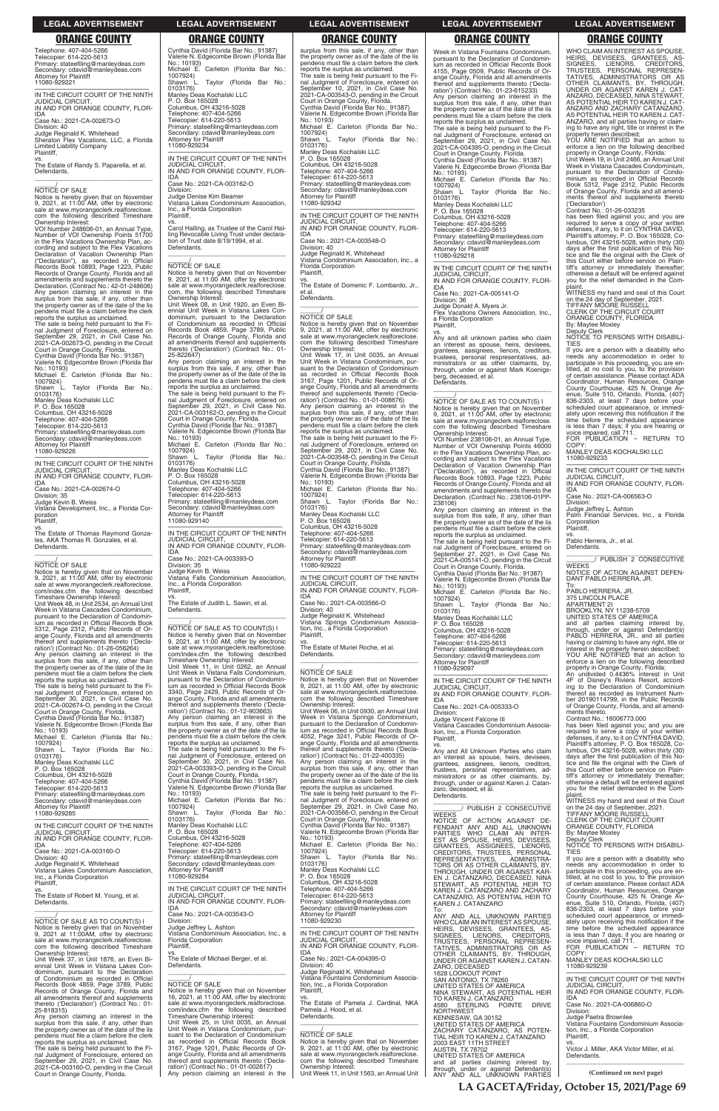**LA GACETA/Friday, October 15, 2021/Page 69**

### **LEGAL ADVERTISEMENT LEGAL ADVERTISEMENT LEGAL ADVERTISEMENT LEGAL ADVERTISEMENT LEGAL ADVERTISEMENT**

# **ORANGE COUNTY ORANGE COUNTY ORANGE COUNTY ORANGE COUNTY ORANGE COUNTY**

Telephone: 407-404-5266 Telecopier: 614-220-5613 Primary: stateefiling@manleydeas.com Secondary: cdavid@manleydeas.com Attorney for Plaintiff 11080-929221

vs. The Estate of Randy S. Paparella, et al. Defendants.  $\overline{\phantom{a}}$  , and the set of the set of the set of the set of the set of the set of the set of the set of the set of the set of the set of the set of the set of the set of the set of the set of the set of the set of the s

# $\frac{1}{\text{NOTICE}}$  OF SALE

—————————————————— IN THE CIRCUIT COURT OF THE NINTH JUDICIAL CIRCUIT, IN AND FOR ORANGE COUNTY, FLOR-

IDA Case No.: 2021-CA-002673-O

Division: 40 Judge Reginald K. Whitehead Sheraton Flex Vacations, LLC, a Florida Limited Liability Company Plaintiff,

Notice is hereby given that on November 9, 2021, at 11:00 AM, offer by electronic sale at www.myorangeclerk.realforeclose. com the following described Timeshare Ownership Interest:

—————————————————— IN THE CIRCUIT COURT OF THE NINTH  $J$ UDICIAL CIRCUIT

vs. The Estate of Thomas Raymond Gonzales, AKA Thomas R. Gonzales, et al. Defendants.  $\overline{\phantom{a}}$  , and the set of the set of the set of the set of the set of the set of the set of the set of the set of the set of the set of the set of the set of the set of the set of the set of the set of the set of the s

# $\frac{\gamma}{\text{NOTICE}}$  OF SALE

VOI Number 248606-01, an Annual Type, Number of VOI Ownership Points 51700 in the Flex Vacations Ownership Plan, according and subject to the Flex Vacations Declaration of Vacation Ownership Plan ("Declaration"), as recorded in Official Records Book 10893, Page 1223, Public Records of Orange County, Florida and all amendments and supplements thereto the Declaration. (Contract No.: 42-01-248606) Any person claiming an interest in the surplus from this sale, if any, other than the property owner as of the date of the lis pendens must file a claim before the clerk reports the surplus as unclaimed.

Notice is hereby given that on November<br>9, 2021, at 11:00 AM, offer by electronic<br>sale at www.myorangeclerk.realforeclose.<br>com/index.cfm the following described Timeshare Ownership Interest:

The sale is being held pursuant to the Fi-nal Judgment of Foreclosure, entered on September 29, 2021, in Civil Case No. 2021-CA-002673-O, pending in the Circuit Court in Orange County, Florida. Cynthia David (Florida Bar No.: 91387)

Valerie N. Edgecombe Brown (Florida Bar No.: 10193) Michael E. Carleton (Florida Bar No.:

0103176) Manley Deas Kochalski LLC P. O. Box 165028

1007924) Shawn L. Taylor (Florida Bar No.: 0103176)

Manley Deas Kochalski LLC P. O. Box 165028

Columbus, OH 43216-5028

Telephone: 407-404-5266 Telecopier: 614-220-5613

Primary: stateefiling@manleydeas.com Secondary: cdavid@manleydeas.com Attorney for Plaintiff 11080-929226

IN AND FOR ORANGE COUNTY, FLOR-IDA Case No.: 2021-CA-002674-O

Division: 35 Judge Kevin B. Weiss

Vistana Development, Inc., a Florida Cor-

poration Plaintiff,

Unit Week 48, in Unit 2534, an Annual Unit Week in Vistana Cascades Condominium, pursuant to the Declaration of Condominium as recorded in Official Records Book 5312, Page 2312, Public Records of Orange County, Florida and all amendments thereof and supplements thereto ('Decla-ration') (Contract No.: 01-26-056264)

Any person claiming an interest in the surplus from this sale, if any, other than the property owner as of the date of the lis pendens must file a claim before the clerk

reports the surplus as unclaimed. The sale is being held pursuant to the Fi-nal Judgment of Foreclosure, entered on September 30, 2021, in Civil Case No. 2021-CA-002674-O, pending in the Circuit Court in Orange County, Florida. Cynthia David (Florida Bar No.: 91387)

Valerie N. Edgecombe Brown (Florida Bar No.: 10193) Michael E. Carleton (Florida Bar No.:

1007924) Shawn L. Taylor (Florida Bar No.:

Columbus, OH 43216-5028

Telephone: 407-404-5266 Telecopier: 614-220-5613

**Plaintiff** vs.

Primary: stateefiling@manleydeas.com Secondary: cdavid@manleydeas.com Attorney for Plaintiff 11080-929285 ——————————————————

 $\overline{\phantom{a}}$  ,  $\overline{\phantom{a}}$  ,  $\overline{\phantom{a}}$  ,  $\overline{\phantom{a}}$  ,  $\overline{\phantom{a}}$  ,  $\overline{\phantom{a}}$  ,  $\overline{\phantom{a}}$  ,  $\overline{\phantom{a}}$  ,  $\overline{\phantom{a}}$  ,  $\overline{\phantom{a}}$  ,  $\overline{\phantom{a}}$  ,  $\overline{\phantom{a}}$  ,  $\overline{\phantom{a}}$  ,  $\overline{\phantom{a}}$  ,  $\overline{\phantom{a}}$  ,  $\overline{\phantom{a}}$ \_\_\_\_\_\_/ NOTICE OF SALE AS TO COUNT(S) I Notice is hereby given that on November 9, 2021, at 11:00 AM, offer by electronic sale at www.myorangeclerk.realforeclose. com/index.cfm the following described

Cynthia David (Florida Bar No.: 91387) Valerie N. Edgecombe Brown (Florida Bar No.: 10193) Michael E. Carleton (Florida Bar No.: 1007924) Shawn L. Taylor (Florida Bar No.: 0103176)

Manley Deas Kochalski LLC P. O. Box 165028 Columbus, OH 43216-5028 Telephone: 407-404-5266 Telecopier: 614-220-5613

surplus from this sale, if any, other than the property owner as of the date of the lis pendens must file a claim before the clerk reports the surplus as unclaimed. The sale is being held pursuant to the Fi-nal Judgment of Foreclosure, entered on September 10, 2021, in Civil Case No. 2021-CA-003543-O, pending in the Circuit Court in Orange County, Florida. Cynthia David (Florida Bar No.: 91387) Valerie N. Edgecombe Brown (Florida Bar No.: 10193) Michael E. Carleton (Florida Bar No.: 1007924) Shawn L. Taylor (Florida Bar No.: 0103176) Manley Deas Kochalski LLC P. O. Box 165028 Columbus, OH 43216-5028 Telephone: 407-404-5266 Telecopier: 614-220-5613 Primary: stateefiling@manleydeas.com Secondary: cdavid@manleydeas.com Attorney for Plaintiff 11080-929342 —————————————————— IN THE CIRCUIT COURT OF THE NINTH JUDICIAL CIRCUIT, IN AND FOR ORANGE COUNTY, FLOR-IDA Case No.: 2021-CA-003548-O Division: 40 Judge Reginald K. Whitehead Vistana Condominium Association, Inc., a Florida Corporation Plaintiff, vs.

Primary: stateefiling@manleydeas.com Secondary: cdavid@manleydeas.com Attorney for Plaintiff 11080-929234 —————————————————— IN THE CIRCUIT COURT OF THE NINTH

JUDICIAL CIRCUIT,

IN AND FOR ORANGE COUNTY, FLOR-

IDA

Case No.: 2021-CA-003162-O Division: Judge Denise Kim Beamer

Vistana Lakes Condominium Association,

Inc., a Florida Corporation Plaintiff,

vs.

Carol Halling, as Trustee of the Carol Hal-ling Revocable Living Trust under declara-tion of Trust date 8/19/1994, et al.

 $\overline{\phantom{a}}$  ,  $\overline{\phantom{a}}$  ,  $\overline{\phantom{a}}$  ,  $\overline{\phantom{a}}$  ,  $\overline{\phantom{a}}$  ,  $\overline{\phantom{a}}$  ,  $\overline{\phantom{a}}$  ,  $\overline{\phantom{a}}$  ,  $\overline{\phantom{a}}$  ,  $\overline{\phantom{a}}$  ,  $\overline{\phantom{a}}$  ,  $\overline{\phantom{a}}$  ,  $\overline{\phantom{a}}$  ,  $\overline{\phantom{a}}$  ,  $\overline{\phantom{a}}$  ,  $\overline{\phantom{a}}$ 

Defendants.

Notice is hereby given that on November 9, 2021, at 11:00 AM, offer by electronic sale at www.myorangeclerk.realforeclose. com, the following described Timeshare

Ownership Interest:

Unit Week 08, in Unit 1920, an Even Bi-ennial Unit Week in Vistana Lakes Condominium, pursuant to the Declaration of Condominium as recorded in Official Records Book 4859, Page 3789, Public

 $\frac{\gamma}{\text{NOTICE}}$  OF SALE Notice is hereby given that on November 9, 2021, at 11:00 AM, offer by electronic sale at www.myorangeclerk.realforeclose. com the following described Timeshare Ownership Interest: Unit Week 17, in Unit 0035, an Annual Unit Week in Vistana Condominium, pur-suant to the Declaration of Condominium as recorded in Official Records Book 3167, Page 1201, Public Records of Or-ange County, Florida and all amendments thereof and supplements thereto ('Decla-ration') (Contract No.: 01-01-008676) Any person claiming an interest in the surplus from this sale, if any, other than the property owner as of the date of the lis pendens must file a claim before the clerk reports the surplus as unclaimed. The sale is being held pursuant to the Fi-nal Judgment of Foreclosure, entered on September 29, 2021, in Civil Case No. 2021-CA-003548-O, pending in the Circuit Court in Orange County, Florida. Cynthia David (Florida Bar No.: 91387) Valerie N. Edgecombe Brown (Florida Bar No.: 10193) Michael E. Carleton (Florida Bar No.: 1007924) Shawn L. Taylor (Florida Bar No.: 0103176) Manley Deas Kochalski LLC P. O. Box 165028 Columbus, OH 43216-5028 Telephone: 407-404-5266 Telecopier: 614-220-5613 Primary: stateefiling@manleydeas.com Secondary: cdavid@manleydeas.com Attorney for Plaintiff 11080-929222 —————————————————— IN THE CIRCUIT COURT OF THE NINTH JUDICIAL CIRCUIT, IN AND FOR ORANGE COUNTY, FLOR-**IDA**<br>IDA<br>Case No.: 2021-CA-003566-O Case No.: 2021-CA-003566-O Division: 40 Judge Reginald K. Whitehead Vistana Springs Condominium Associa-tion, Inc., a Florida Corporation

Records of Orange County, Florida and all amendments thereof and supplements thereto ('Declaration') (Contract No.: 01-

25-822647)

Any person claiming an interest in the surplus from this sale, if any, other than the property owner as of the date of the lis pendens must file a claim before the clerk reports the surplus as unclaimed. The sale is being held pursuant to the Final Judgment of Foreclosure, entered on September 29, 2021, in Civil Case No. 2021-CA-003162-O, pending in the Circuit Court in Orange County, Florida. Cynthia David (Florida Bar No.: 91387) Valerie N. Edgecombe Brown (Florida Bar No.: 10193) Michael E. Carleton (Florida Bar No.:

L. Taylor (Florida Bar No.:

1007924)

0103176) Manley Deas Kochalski LLC P. O. Box 165028 Columbus, OH 43216-5028 Telephone: 407-404-5266 Telecopier: 614-220-5613

Primary: stateefiling@manleydeas.com Secondary: cdavid@manleydeas.com Attorney for Plaintiff 11080-929140

—————————————————— IN THE CIRCUIT COURT OF THE NINTH JUDICIAL CIRCUIT, IN AND FOR ORANGE COUNTY, FLOR-

IDA

Case No.: 2021-CA-003393-O

Division: 35 Judge Kevin B. Weiss

Vistana Falls Condominium Association, Inc., a Florida Corporation

The Estate of Judith L. Sawin, et al.

com/index.cfm the following<br>Timeshare Ownership Interest:

 $\frac{\gamma}{\text{NOTICE}}$  OF SALE

Defendants.

Unit Week 11, in Unit 0262, an Annual Unit Week in Vistana Falls Condominium, pursuant to the Declaration of Condominium as recorded in Official Records Book 3340, Page 2429, Public Records of Orange County, Florida and all amendments thereof and supplements thereto ('Decla-ration') (Contract No.: 01-12-903663) Any person claiming an interest in the surplus from this sale, if any, other than the property owner as of the date of the lis pendens must file a claim before the clerk reports the surplus as unclaimed. The sale is being held pursuant to the Fi-nal Judgment of Foreclosure, entered on September 30, 2021, in Civil Case No. 2021-CA-003393-O, pending in the Circuit Court in Orange County, Florida.

Cynthia David (Florida Bar No.: 91387) Valerie N. Edgecombe Brown (Florida Bar

No.: 10193)

Michae<br>1007924)<br>- wn L

Michael E. Carleton (Florida Bar No.:

\_\_\_\_\_\_\_\_\_\_\_\_\_\_\_\_\_\_\_\_\_\_\_\_\_\_\_\_\_\_\_ \_\_\_\_\_\_\_\_/ PUBLISH 2 CONSECUTIVE **WEEKS** 

The Estate of Domenic F. Lombardo, Jr., et al. Defendants. \_\_\_\_\_\_\_\_\_\_\_\_\_\_\_\_\_\_\_\_\_\_\_\_\_\_\_\_\_\_\_\_\_

UNITED STATES OF AMERICA and all parties claiming interest by, through, under or against Defendant(s) PABLO HERRERA, JR., and all parties<br>having or claiming to have any right, title or<br>interest in the property herein described;

YOU ARE NOTIFIED that an action to enforce a lien on the following described property in Orange County, Florida:

Plaintiff, vs.

The Estate of Muriel Roche, et al. Defendants. \_\_\_\_\_\_\_\_\_\_\_\_\_\_\_\_\_\_\_\_\_\_\_\_\_\_\_\_\_\_\_\_\_

# $\frac{1}{\text{NOTICE}}$  OF SALE

Notice is hereby given that on November 9, 2021, at 11:00 AM, offer by electronic sale at www.myorangeclerk.realforeclose. com the following described Timeshare Ownership Interest: Unit Week 06, in Unit 0930, an Annual Unit

Week in Vistana Springs Condominium, pursuant to the Declaration of Condomin-ium as recorded in Official Records Book 4052, Page 3241, Public Records of Orange County, Florida and all amendments thereof and supplements thereto ('Declaration') (Contract No.: 01-22-400335)

Any person claiming an interest in the surplus from this sale, if any, other than the property owner as of the date of the lis pendens must file a claim before the clerk reports the surplus as unclaimed.

The sale is being held pursuant to the Final Judgment of Foreclosure, entered on September 29, 2021, in Civil Case No. 2021-CA-003566-O, pending in the Circuit Court in Orange County, Florida.

| <b>Attorney for Plaintiff</b><br>11080-929285                                              | 1007924)<br>Shawn L.<br>Taylor (Florida Bar No.:                                      | September 29, 2021, in Civil Case No.<br>2021-CA-003566-O, pending in the Circuit | PUBLISH 2 CONSECUTIVE<br><b>WEEKS</b>                                 | on the 24 day of September, 2021.<br>TIFFANY MÓORE RUSSELL                            |
|--------------------------------------------------------------------------------------------|---------------------------------------------------------------------------------------|-----------------------------------------------------------------------------------|-----------------------------------------------------------------------|---------------------------------------------------------------------------------------|
| IN THE CIRCUIT COURT OF THE NINTH                                                          | 0103176)<br>Manley Deas Kochalski LLC                                                 | Court in Orange County, Florida.<br>Cynthia David (Florida Bar No.: 91387)        | NOTICE OF ACTION AGAINST DE-<br>FENDANT ANY AND ALL UNKNOWN           | CLERK OF THE CIRCUIT COURT<br>ORANGE COUNTY, FLORIDA                                  |
| <b>JUDICIAL CIRCUIT.</b>                                                                   | P. O. Box 165028                                                                      | Valerie N. Edgecombe Brown (Florida Bar                                           | PARTIES WHO CLAIM AN INTER-                                           | By: Maytee Moxley                                                                     |
| IN AND FOR ORANGE COUNTY, FLOR-                                                            | Columbus, OH 43216-5028<br>Telephone: 407-404-5266                                    | No.: 10193)<br>Michael E. Carleton (Florida Bar No.:                              | EST AS SPOUSE, HEIRS, DEVISEES,                                       | Deputy Clerk                                                                          |
| <b>IDA</b><br>Case No.: 2021-CA-003160-O                                                   | Telecopier: 614-220-5613                                                              | 1007924)                                                                          | GRANTEES. ASSIGNEES. LIENORS.                                         | NOTICE TO PERSONS WITH DISABILI-<br><b>TIES</b>                                       |
| Division: 40                                                                               | Primary: stateefiling@manleydeas.com                                                  | Taylor (Florida Bar No.:<br>Shawn L                                               | CREDITORS, TRUSTEES, PERSONAL<br>REPRESENTATIVES.<br>ADMINISTRA-      | If you are a person with a disability who                                             |
| Judge Reginald K. Whitehead                                                                | Secondary: cdavid@manleydeas.com                                                      | 0103176)                                                                          | TORS OR AS OTHER CLAIMANTS, BY.                                       | needs any accommodation in order to                                                   |
| Vistana Lakes Condominium Association.                                                     | Attorney for Plaintiff                                                                | Manley Deas Kochalski LLC                                                         | THROUGH, UNDER OR AGAINST KAR-                                        | participate in this proceeding, you are en-                                           |
| Inc., a Florida Corporation                                                                | 11080-929284                                                                          | P. O. Box 165028<br>Columbus, OH 43216-5028                                       | EN J. CATANZARO, DECEASED, NINA                                       | titled, at no cost to you, to the provision                                           |
| Plaintiff,<br>VS.                                                                          | IN THE CIRCUIT COURT OF THE NINTH                                                     | Telephone: 407-404-5266                                                           | STEWART. AS POTENTIAL HEIR TO                                         | of certain assistance. Please contact ADA<br>Coordinator, Human Resources, Orange     |
| The Estate of Robert M. Young, et al.                                                      | <b>JUDICIAL CIRCUIT.</b>                                                              | Telecopier: 614-220-5613                                                          | KAREN J. CATANZARO AND ZACHARY<br>CATANZARO. AS POTENTIAL HEIR TO     | County Courthouse, 425 N. Orange Av-                                                  |
| Defendants.                                                                                | IN AND FOR ORANGE COUNTY, FLOR-                                                       | Primary: stateefiling@manleydeas.com                                              | KAREN J. CATANZARO                                                    | enue, Suite 510, Orlando, Florida, (407)                                              |
|                                                                                            | <b>IDA</b>                                                                            | Secondary: cdavid@manleydeas.com                                                  | To:                                                                   | 836-2303, at least 7 days before your                                                 |
|                                                                                            | Case No.: 2021-CA-003543-O<br>Division:                                               | <b>Attorney for Plaintiff</b><br>11080-929230                                     | ANY AND ALL UNKNOWN PARTIES                                           | scheduled court appearance, or immedi-                                                |
| NOTICE OF SALE AS TO COUNT(S) I<br>Notice is hereby given that on November                 | Judge Jeffrey L. Ashton                                                               |                                                                                   | WHO CLAIM AN INTEREST AS SPOUSE.                                      | ately upon receiving this notification if the<br>time before the scheduled appearance |
| 9, 2021 at 11:00AM, offer by electronic                                                    | Vistana Condominium Association, Inc., a                                              | IN THE CIRCUIT COURT OF THE NINTH                                                 | HEIRS, DEVISEES, GRANTEES, AS-<br>SIGNEES, LIENORS, CREDITORS,        | is less than 7 days; if you are hearing or                                            |
| sale at www.myorangeclerk.realforeclose.                                                   | Florida Corporation                                                                   | <b>JUDICIAL CIRCUIT.</b>                                                          | TRUSTEES, PERSONAL REPRESEN-                                          | voice impaired, call 711.                                                             |
| com the following described Timeshare                                                      | Plaintiff,                                                                            | IN AND FOR ORANGE COUNTY, FLOR-                                                   | TATIVES, ADMINISTRATORS OR AS                                         | FOR PUBLICATION - RETURN TO                                                           |
| Ownership Interest:<br>Unit Week 37, in Unit 1876, an Even Bi-                             | VS.<br>The Estate of Michael Berger, et al.                                           | <b>IDA</b><br>Case No.: 2021-CA-004395-O                                          | OTHER CLAIMANTS, BY, THROUGH.                                         | COPY:                                                                                 |
| ennial Unit Week in Vistana Lakes Con-                                                     | Defendants.                                                                           | Division: 40                                                                      | UNDER OR AGAINST KAREN J. CATAN-<br>ZARO. DECEASED                    | MANLEY DEAS KOCHALSKI LLC<br>11080-929239                                             |
| dominium, pursuant to the Declaration                                                      |                                                                                       | Judge Reginald K. Whitehead                                                       | <b>1628 LOOKOUT POINT</b>                                             |                                                                                       |
| of Condominium as recorded in Official                                                     |                                                                                       | Vistana Fountains Condominium Associa-                                            | SAN ANTONIO, TX 78260                                                 | IN THE CIRCUIT COURT OF THE NINTH                                                     |
| Records Book 4859, Page 3789, Public                                                       | <b>NOTICE OF SALE</b>                                                                 | tion, Inc., a Florida Corporation                                                 | UNITED STATES OF AMERICA                                              | <b>JUDICIAL CIRCUIT.</b>                                                              |
| Records of Orange County, Florida and<br>all amendments thereof and supplements            | Notice is hereby given that on November<br>16, 2021, at 11:00 AM, offer by electronic | Plaintiff.<br>VS.                                                                 | NINA STEWART, AS POTENTIAL HEIR                                       | IN AND FOR ORANGE COUNTY, FLOR-<br><b>IDA</b>                                         |
| thereto ('Declaration') (Contract No.: 01-                                                 | sale at www.myorangeclerk.realforeclose.                                              | The Estate of Pamela J. Cardinal, NKA                                             | TO KAREN J. CATANZARO<br>4580 STERLING POINTE<br><b>DRIVE</b>         | Case No.: 2021-CA-006860-O                                                            |
| 25-818315)                                                                                 | com/index.cfm the following described                                                 | Pamela J. Hood, et al.                                                            | <b>NORTHWEST</b>                                                      | Division:                                                                             |
| Any person claiming an interest in the                                                     | Timeshare Ownership Interest:                                                         | Defendants.                                                                       | KENNESAW, GA 30152                                                    | Judge Paetra Brownlee                                                                 |
| surplus from this sale, if any, other than                                                 | Unit Week 25, in Unit 0035, an Annual<br>Unit Week in Vistana Condominium, pur-       |                                                                                   | UNITED STATES OF AMERICA                                              | Vistana Fountains Condominium Associa-                                                |
| the property owner as of the date of the lis<br>pendens must file a claim before the clerk | suant to the Declaration of Condominium                                               | <b>NOTICE OF SALE</b>                                                             | ZACHARY CATANZARO, AS POTEN-                                          | tion, Inc., a Florida Corporation<br>Plaintiff.                                       |
| reports the surplus as unclaimed.                                                          | as recorded in Official Records Book                                                  | Notice is hereby given that on November                                           | TIAL HEIR TO KAREN J. CATANZARO<br>2003 EAST 11TH STREET              | VS.                                                                                   |
| The sale is being held pursuant to the Fi-                                                 | 3167, Page 1201, Public Records of Or-                                                | 9, 2021, at 11:00 AM, offer by electronic                                         | <b>AUSTIN, TX 78702</b>                                               | Victor J. Miller, AKA Victor Miller, et al.                                           |
| nal Judgment of Foreclosure, entered on                                                    | ange County, Florida and all amendments                                               | sale at www.myorangeclerk.realforeclose.                                          | UNITED STATES OF AMERICA                                              | Defendants.                                                                           |
| September 29, 2021, in Civil Case No.<br>2021-CA-003160-O, pending in the Circuit          | thereof and supplements thereto ('Decla-<br>ration') (Contract No.: 01-01-002617)     | com the following described Timeshare<br>Ownership Interest:                      | and all parties claiming interest by,                                 |                                                                                       |
| Court in Orange County, Florida.                                                           | Any person claiming an interest in the                                                | Unit Week 11, in Unit 1563, an Annual Unit                                        | through, under or against Defendant(s)<br>ANY AND ALL UNKNOWN PARTIES | (Continued on next page)                                                              |

Week in Vistana Fountains Condominium, pursuant to the Declaration of Condominium as recorded in Official Records Book 4155, Page 0509, Public Records of Orange County, Florida and all amendments thereof and supplements thereto ('Decla-ration') (Contract No.: 01-23-615233)

Any person claiming an interest in the surplus from this sale, if any, other than the property owner as of the date of the lis pendens must file a claim before the clerk reports the surplus as unclaimed.

The sale is being held pursuant to the Fi-nal Judgment of Foreclosure, entered on September 29, 2021, in Civil Case No. 2021-CA-004395-O, pending in the Circuit Court in Orange County, Florida. Cynthia David (Florida Bar No.: 91387) Valerie N. Edgecombe Brown (Florida Bar No.: 10193) Michael E. Carleton (Florida Bar No.: 1007924) Shawn L. Taylor (Florida Bar No.: 0103176) Manley Deas Kochalski LLC P. O. Box 165028

Columbus, OH 43216-5028 Telephone: 407-404-5266 Telecopier: 614-220-5613

Primary: stateefiling@manleydeas.com Secondary: cdavid@manleydeas.com Attorney for Plaintiff

11080-929218 —————————————————— IN THE CIRCUIT COURT OF THE NINTH

JUDICIAL CIRCUIT, IN AND FOR ORANGE COUNTY, FLOR-IDA

Case No.: 2021-CA-005141-O Division: 36 Judge Donald A. Myers Jr. Flex Vacations Owners Association, Inc., a Florida Corporation Plaintiff,

vs. Any and all unknown parties who claim an interest as spouse, heirs, devisees, grantees, assignees, lienors, creditors, trustees, personal respresentatives, administrators or as other claimants, by, through, under or against Mark Koenigs-berg, deceased, et al. Defendants.

### \_\_\_\_\_\_\_\_\_\_\_\_\_\_\_\_\_\_\_\_\_\_\_\_\_\_\_\_\_\_\_\_\_

\_\_\_\_\_\_/ NOTICE OF SALE AS TO COUNT(S) I Notice is hereby given that on November 9, 2021, at 11:00 AM, offer by electronic sale at www.myorangeclerk.realforeclose. com the following described Timeshare Ownership Interest:

VOI Number 238106-01, an Annual Type, Number of VOI Ownership Points 46000 in the Flex Vacations Ownership Plan, according and subject to the Flex Vacations Declaration of Vacation Ownership Plan ("Declaration"), as recorded in Official Records Book 10893, Page 1223, Public Records of Orange County, Florida and all amendments and supplements thereto the Declaration. (Contract No.: 238106-01PP-238106)

Any person claiming an interest in the surplus from this sale, if any, other than the property owner as of the date of the lis pendens must file a claim before the clerk reports the surplus as unclaimed.

The sale is being held pursuant to the Fi-nal Judgment of Foreclosure, entered on September 27, 2021, in Civil Case No. 2021-CA-005141-O, pending in the Circuit Court in Orange County, Florida. Cynthia David (Florida Bar No.: 91387) Valerie N. Edgecombe Brown (Florida Bar No.: 10193) Michael E. Carleton (Florida Bar No.: 1007924) Shawn L. Taylor (Florida Bar No.: Shawn L<br>0103176) Manley Deas Kochalski LLC P. O. Box 165028 Columbus, OH 43216-5028

Telephone: 407-404-5266 Telecopier: 614-220-5613 Primary: stateefiling@manleydeas.com Secondary: cdavid@manleydeas.com Attorney for Plaintiff 11080-929097

—————————————————— IN THE CIRCUIT COURT OF THE NINTH JUDICIAL CIRCUIT, IN AND FOR ORANGE COUNTY, FLOR-IDA

Case No.: 2021-CA-005333-O Division: Judge Vincent Falcone III

Vistana Cascades Condominium Association, Inc., a Florida Corporation Plaintiff, vs.

Any and All Unknown Parties who claim an interest as spouse, heirs, devisees, grantees, assignees, lienors, creditors, trustees, personal representatives, ad-ministrators or as other claimants, by, through, under or against Karen J. Catandeceased, et al. Defendants.

WHO CLAIM AN INTEREST AS SPOUSE, HEIRS, DEVISEES, GRANTEES, AS-SIGNEES, LIENORS, CREDITORS, TRUSTEES, PERSONAL REPRESEN-TATIVES, ADMINISTRATORS OR AS OTHER CLAIMANTS, BY, THROUGH,<br>UNDER OR AGAINST KAREN J. CAT-<br>ANZARO, DECEASED, NINA STEWART, AS POTENTIAL HEIR TO KAREN J. CAT-ANZARO AND ZACHARY CATANZARO,<br>AS POTENTIAL HEIR TO KAREN J. CAT-ANZARO, and all parties having or claim-ing to have any right, title or interest in the property herein described;

YOU ARE NOTIFIED that an action to enforce a lien on the following described property in Orange County, Florida:

Unit Week 19, in Unit 2466, an Annual Unit Week in Vistana Cascades Condominium, pursuant to the Declaration of Condominium as recorded in Official Records Book 5312, Page 2312, Public Records of Orange County, Florida and all amendments thereof and supplements thereto ('Declaration') Contract No.: 01-26-033235

has been filed against you; and you are required to serve a copy of your written defenses, if any, to it on CYNTHIA DAVID, Plaintiff's attorney, P. O. Box 165028, Co-lumbus, OH 43216-5028, within thirty (30) days after the first publication of this Notice and file the original with the Clerk of this Court either before service on Plain-tiff's attorney or immediately thereafter; otherwise a default will be entered against you for the relief demanded in the Complaint.

WITNESS my hand and seal of this Court on the 24 day of September, 2021. TIFFANY MOORE RUSSELL

CLERK OF THE CIRCUIT COURT ORANGE COUNTY, FLORIDA By: Maytee Moxley Deputy Clerk NOTICE TO PERSONS WITH DISABILI-

TIES If you are a person with a disability who needs any accommodation in order to participate in this proceeding, you are en-

titled, at no cost to you, to the provision of certain assistance. Please contact ADA Coordinator, Human Resources, Orange County Courthouse, 425 N. Orange Av-enue, Suite 510, Orlando, Florida, (407) 836-2303, at least 7 days before your scheduled court appearance, or immedi-ately upon receiving this notification if the time before the scheduled appearance is less than 7 days; if you are hearing or voice impaired, call 711. FOR PUBLICATION – RETURN TO COPY:

MANLEY DEAS KOCHALSKI LLC 11080-929233

—————————————————— IN THE CIRCUIT COURT OF THE NINTH JUDICIAL CIRCUIT, IN AND FOR ORANGE COUNTY, FLOR-IDA

Case No.: 2021-CA-006563-O

Division: Judge Jeffrey L. Ashton Palm Financial Services, Inc., a Florida Corporation Plaintiff,

vs. Pablo Herrera, Jr., et al.

**Defendants** 

\_\_\_\_\_\_\_\_\_\_\_\_\_\_\_\_\_\_\_\_\_\_\_\_\_\_\_\_\_\_\_ \_\_\_\_\_\_\_\_/ PUBLISH 2 CONSECUTIVE WEEKS NOTICE OF ACTION AGAINST DEFEN-DANT PABLO HERRERA, JR.

To: PABLO HERRERA, JR.

375 LINCOLN PLACE

APARTMENT 2I BROOKLYN, NY 11238-5709

An undivided 0.4436% interest in Unit 4F of Disney's Riviera Resort, accord-ing to the Declaration of Condominium

thereof as recorded as Instrument Num-ber 20190114799, in the Public Records of Orange County, Florida, and all amendments thereto. Contract No.: 16006773.000 has been filed against you; and you are

required to serve a copy of your written defenses, if any, to it on CYNTHIA DAVID, Plaintiff's attorney, P. O. Box 165028, Columbus, OH 43216-5028, within thirty (30) days after the first publication of this No-tice and file the original with the Clerk of this Court either before service on Plain-tiff's attorney or immediately thereafter; otherwise a default will be entered against you for the relief demanded in the Complaint. WITNESS my hand and seal of this Court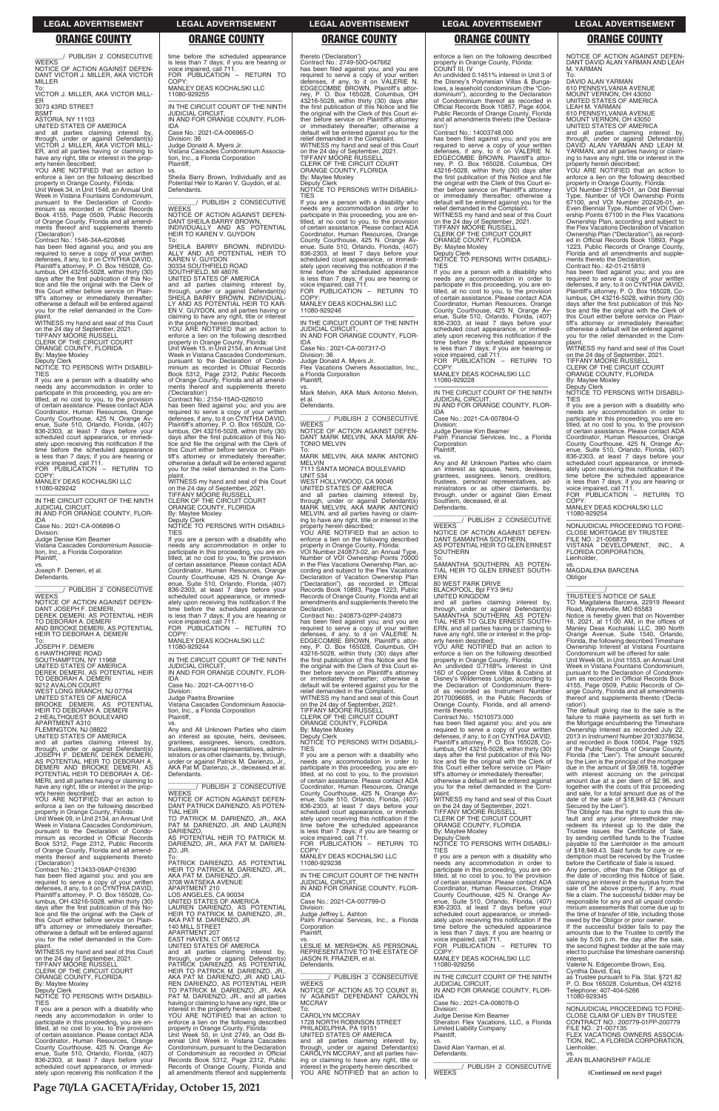\_\_\_\_\_\_\_\_/ PUBLISH 2 CONSECUTIVE **WEEKS** NOTICE OF ACTION AGAINST DEFEN-DANT VICTOR J. MILLER, AKA VICTOR MILLER

3073 43RD STREET **BSMT** 

To: VICTOR J. MILLER, AKA VICTOR MILL-ER

ASTORIA, NY 11103

property in Orange County, Florida: Unit Week 34, in Unit 1546, an Annual Unit Week in Vistana Fountains Condominium, pursuant to the Declaration of Condominium as recorded in Official Records Book 4155, Page 0509, Public Records of Orange County, Florida and all amendments thereof and supplements thereto

UNITED STATES OF AMERICA and all parties claiming interest by, through, under or against Defendant(s) VICTOR J. MILLER, AKA VICTOR MILL-ER, and all parties having or claiming to have any right, title or interest in the property herein described;

YOU ARE NOTIFIED that an action to enforce a lien on the following described

has been filed against you; and you are required to serve a copy of your written<br>defenses, if any, to it on CYNTHIA DAVID,<br>Plaintiff's attorney, P. O. Box 165028, Co-<br>lumbus, OH 43216-5028, within thirty (30) days after the first publication of this Notice and file the original with the Clerk of this Court either before service on Plaintiff's attorney or immediately thereafter; otherwise a default will be entered against you for the relief demanded in the Complaint.

('Declaration') Contract No.: 1546-34A-620846

DANT JOSEPH F. DEMERI DEREK DEMERI, AS POTENTIAL HEIR TO DEBORAH A. DEMERI AND BROOKE DEMERI, AS POTENTIAL HEIR TO DEBORAH A. DEMERI

WITNESS my hand and seal of this Court on the 24 day of September, 2021. TIFFANY MOORE RUSSELL CLERK OF THE CIRCUIT COURT

ORANGE COUNTY, FLORIDA

By: Maytee Moxley

Deputy Clerk NOTICE TO PERSONS WITH DISABILI-TIES

If you are a person with a disability who needs any accommodation in order to participate in this proceeding, you are en-titled, at no cost to you, to the provision of certain assistance. Please contact ADA Coordinator, Human Resources, Orange County Courthouse, 425 N. Orange Av-enue, Suite 510, Orlando, Florida, (407) 836-2303, at least 7 days before your scheduled court appearance, or immedi-ately upon receiving this notification if the time before the scheduled appearance is less than 7 days; if you are hearing or voice impaired, call 711.

FOR PUBLICATION – RETURN TO COPY MANLEY DEAS KOCHALSKI LLC

11080-929242

—————————————————— IN THE CIRCUIT COURT OF THE NINTH JUDICIAL CIRCUIT, IN AND FOR ORANGE COUNTY, FLOR-

IDA Case No.: 2021-CA-006898-O

Division:

Judge Denise Kim Beamer Vistana Cascades Condominium Association, Inc., a Florida Corporation Plaintiff,

vs. Joseph F. Demeri, et al. Defendants.

\_\_\_\_\_\_\_\_\_\_\_\_\_\_\_\_\_\_\_\_\_\_\_\_\_\_\_\_\_\_\_ \_\_\_\_\_\_\_\_/ PUBLISH 2 CONSECUTIVE **WEEKS** NOTICE OF ACTION AGAINST DEFEN-

COPY MANLEY DEAS KOCHALSKI LLC 11080-929255 —————————————————— IN THE CIRCUIT COURT OF THE NINTH

\_\_\_\_\_\_\_\_\_\_\_\_\_\_\_\_\_\_\_\_\_\_\_\_\_\_\_\_\_\_\_ \_\_\_\_\_\_\_\_/ PUBLISH 2 CONSECUTIVE **WEEKS** 

To: JOSEPH F. DEMERI 6 HAWTHORNE ROAD SOUTHAMPTON, NY 11968 UNITED STATES OF AMERICA DEREK DEMERI, AS POTENTIAL HEIR NOTICE OF ACTION AGAINST DEFEN-DANT SHEILA BARRY BROWN, INDIVIDUALLY AND AS POTENTIAL HEIR TO KAREN V. GUYDON To:

SHEILA BARRY BROWN, INDIVIDU-<br>ALLY AND AS POTENTIAL HEIR TO ALLY AND AS POTENTIAL HEIR TO KAREN V. GUYDON 30334 SOUTHFIELD ROAD

TO DEBORAH A. DEMERI 9212 AVALON COURT WEST LONG BRANCH, NJ 07764 UNITED STATES OF AMERICA BROOKE DEMERI, AS POTENTIAL HEIR TO DEBORAH A. DEMERI 2 HEALTHQUEST BOULEVARD

APARTMENT A310 FLEMINGTON, NJ 08822

UNITED STATES OF AMERICA and all parties claiming interest by,<br>through, under or against Defendant(s)<br>JOSEPH F. DEMERI, DEREK DEMERI,<br>AS POTENTIAL HEIR TO DEBORAH A.<br>DEMERI AND BROOKE DEMERI, AS<br>POTENTIAL HEIR TO DEBORAH A. DE-MERI, and all parties having or claiming to have any right, title or interest in the property herein described;

YOU ARE NOTIFIED that an action to enforce a lien on the following described property in Orange County, Florida:

\_\_\_\_\_\_\_\_\_\_\_\_\_\_\_\_\_\_\_\_\_\_\_\_\_\_\_\_\_\_\_ \_\_\_\_\_\_\_\_/ PUBLISH 2 CONSECUTIVE **WEEKS** 

# time before the scheduled appearance is less than 7 days; if you are hearing or voice impaired, call 711. FOR PUBLICATION – RETURN TO

JUDICIAL CIRCUIT, IN AND FOR ORANGE COUNTY, FLOR-IDA

Case No.: 2021-CA-006965-O Division: 36 Judge Donald A. Myers Jr.

Vistana Cascades Condominium Association, Inc., a Florida Corporation Plaintiff,

vs. Sheila Barry Brown, Individually and as Potential Heir to Karen V. Guydon, et al. Defendants.

> Division: 36 Judge Donald A. Myers Jr. Flex Vacations Owners Association, Inc., a Florida Corporation **Plaintiff**

SOUTHFIELD, MI 48076 UNITED STATES OF AMERICA

> WEST HOLLYWOOD, CA 90046 UNITED STATES OF AMERICA and all parties claiming interest by, through, under or against Defendant(s) MARK MELVIN, AKA MARK ANTONIO MELVIN, and all parties having or claim-ing to have any right, title or interest in the

> property in Orange County, Florida: VOI Number 240873-02, an Annual Type, Number of VOI Ownership Points 70000 in the Flex Vacations Ownership Plan, according and subject to the Flex Vacations Declaration of Vacation Ownership Plan ("Declaration"), as recorded in Official Records Book 10893, Page 1223, Public Records of Orange County, Florida and all amendments and supplements thereto the **Declaration**

and all parties claiming interest by, through, under or against Defendant(s) SHEILA BARRY BROWN, INDIVIDUAL-LY AND AS POTENTIAL HEIR TO KAR-EN V. GUYDON, and all parties having or claiming to have any right, title or interest in the property herein described; YOU ARE NOTIFIED that an action to enforce a lien on the following described property in Orange County, Florida: Unit Week 15, in Unit 2154, an Annual Unit Week in Vistana Cascades Condominium,

pursuant to the Declaration of Condo-minium as recorded in Official Records Book 5312, Page 2312, Public Records of Orange County, Florida and all amend-ments thereof and supplements thereto ('Declaration') Contract No.: 2154-15AO-026010

> ORANGE COUNTY, FLORIDA By: Maytee Moxley

has been filed against you; and you are required to serve a copy of your written defenses, if any, to it on CYNTHIA DAVID, Plaintiff's attorney, P. O. Box 165028, Co-lumbus, OH 43216-5028, within thirty (30) days after the first publication of this No-tice and file the original with the Clerk of this Court either before service on Plaintiff's attorney or immediately thereafter; otherwise a default will be entered against you for the relief demanded in the Com-

plaint. WITNESS my hand and seal of this Court on the 24 day of September, 2021. TIFFANY MOORE RUSSELL CLERK OF THE CIRCUIT COURT ORANGE COUNTY, FLORIDA By: Maytee Moxley Deputy Clerk NOTICE TO PERSONS WITH DISABILI-TIES If you are a person with a disability who

needs any accommodation in order to participate in this proceeding, you are en-titled, at no cost to you, to the provision of certain assistance. Please contact ADA Coordinator, Human Resources, Orange County Courthouse, 425 N. Orange Avenue, Suite 510, Orlando, Florida, (407) 836-2303, at least 7 days before your scheduled court appearance, or immediately upon receiving this notification if the time before the scheduled appearance is less than 7 days; if you are hearing or voice impaired, call 711. FOR PUBLICATION – RETURN TO COPY:

MANLEY DEAS KOCHALSKI LLC 11080-929244

—————————————————— IN THE CIRCUIT COURT OF THE NINTH JUDICIAL CIRCUIT, IN AND FOR ORANGE COUNTY, FLOR-IDA

Case No.: 2021-CA-007116-O Division:

Judge Paetra Brownlee Vistana Cascades Condominium Associa-tion, Inc., a Florida Corporation Plaintiff,

COPY: MANLEY DEAS KOCHALSKI LLC 11080-929228

vs. Any and All Unknown Parties who claim an interest as spouse, heirs, devisees, grantees, assignees, lienors, creditors, trustees, personal representatives, administrators or as other claimants, by, through, under or against Patrick M. Darienzo, Jr., AKA Pat M. Darienzo, Jr., deceased, et al. Defendants.

vs. Any and All Unknown Parties who claim an interest as spouse, heirs, devisees

NOTICE OF ACTION AGAINST DEFEN-DANT PATRICK DARIENZO, AS POTEN-TIAL HEIR

thereto ('Declaration') Contract No.: 2749-50O-047662 has been filed against you; and you are required to serve a copy of your written defenses, if any, to it on VALERIE N. EDGECOMBE BROWN, Plaintiff's attorney, P. O. Box 165028, Columbus, OH 43216-5028, within thirty (30) days after the first publication of this Notice and file the original with the Clerk of this Court ei-ther before service on Plaintiff's attorney or immediately thereafter; otherwise a default will be entered against you for the relief demanded in the Complaint. WITNESS my hand and seal of this Court on the 24 day of September, 2021. TIFFANY MOORE RUSSELL CLERK OF THE CIRCUIT COURT ORANGE COUNTY, FLORIDA By: Maytee Moxley Deputy Clerk NOTICE TO PERSONS WITH DISABILI-TIES

> By: Maytee Moxley Deputy

**TIFS** 

If you are a person with a disability who needs any accommodation in order to participate in this proceeding, you are entitled, at no cost to you, to the provision of certain assistance. Please contact ADA Coordinator, Human Resources, Orange County Courthouse, 425 N. Orange Av-enue, Suite 510, Orlando, Florida, (407) 836-2303, at least 7 days before your scheduled court appearance, or immediately upon receiving this notification if the time before the scheduled appearance is less than 7 days; if you are hearing or voice impaired, call 711. FOR PUBLICATION – RETURN TO

COPY: MANLEY DEAS KOCHALSKI LLC 11080-929246

—————————————————— IN THE CIRCUIT COURT OF THE NINTH JUDICIAL CIRCUIT, IN AND FOR ORANGE COUNTY, FLOR-

IDA Case No.: 2021-CA-007317-O

vs. Mark Melvin, AKA Mark Antonio Melvin,

et al. Defendants.

\_\_\_\_\_\_\_\_\_\_\_\_\_\_\_\_\_\_\_\_\_\_\_\_\_\_\_\_\_\_\_ \_\_\_\_\_\_\_\_/ PUBLISH 2 CONSECUTIVE **WEEKS** NOTICE OF ACTION AGAINST DEFEN-DANT MARK MELVIN, AKA MARK AN-

TONIO MELVIN To: MARK MELVIN, AKA MARK ANTONIO MELVIN

7111 SANTA MONICA BOULEVARD UNIT 534

property herein described; YOU ARE NOTIFIED that an action to enforce a lien on the following described

Contract No.: 240873-02PP-240873 has been filed against you; and you are required to serve a copy of your written defenses, if any, to it on VALERIE N. EDGECOMBE BROWN, Plaintiff's attorney, P. O. Box 165028, Columbus, OH 43216-5028, within thirty (30) days after the first publication of this Notice and file the original with the Clerk of this Court ei-ther before service on Plaintiff's attorney or immediately thereafter; otherwise a default will be entered against you for the relief demanded in the Complaint.

WITNESS my hand and seal of this Court on the 24 day of September, 2021. TIFFANY MOORE RUSSELL CLERK OF THE CIRCUIT COURT

Deputy Clerk NOTICE TO PERSONS WITH DISABILI-TIES

If you are a person with a disability who needs any accommodation in order to participate in this proceeding, you are entitled, at no cost to you, to the provision of certain assistance. Please contact ADA Coordinator, Human Resources, Orange County Courthouse, 425 N. Orange Av-enue, Suite 510, Orlando, Florida, (407) 836-2303, at least 7 days before your

| property in Orange County, Florida:                                              | <b>TIAL HEIR</b>                                                                 | scheduled court appearance, or immedi-        | TIFFANY MOORE RUSSELL                         | The Obligor has the right to cure this de-     |
|----------------------------------------------------------------------------------|----------------------------------------------------------------------------------|-----------------------------------------------|-----------------------------------------------|------------------------------------------------|
| Unit Week 09, in Unit 2134, an Annual Unit                                       | TO PATRICK M. DARIENZO, JR., AKA                                                 | ately upon receiving this notification if the | <b>CLERK OF THE CIRCUIT COURT</b>             | fault and any junior interestholder may        |
| Week in Vistana Cascades Condominium.                                            | PAT M. DARIENZO, JR. AND LAUREN                                                  | time before the scheduled appearance          | ORANGE COUNTY, FLORIDA                        | redeem its interest up to the date the         |
| pursuant to the Declaration of Condo-                                            | DARIENZO.                                                                        | is less than 7 days; if you are hearing or    | By: Maytee Moxley                             | Trustee issues the Certificate of Sale,        |
| minium as recorded in Official Records                                           | AS POTENTIAL HEIR TO PATRICK M.                                                  | voice impaired, call 711.                     | Deputy Clerk                                  | by sending certified funds to the Trustee      |
| Book 5312, Page 2312, Public Records                                             | DARIENZO, JR., AKA PAT M. DARIEN-                                                | FOR PUBLICATION - RETURN TO                   | NOTICE TO PERSONS WITH DISABILI-              | payable to the Lienholder in the amount        |
| of Orange County, Florida and all amend-                                         | ZO, JR.                                                                          | COPY:                                         | <b>TIFS</b>                                   | of \$18,949.43. Said funds for cure or re-     |
| ments thereof and supplements thereto                                            | To:                                                                              | MANLEY DEAS KOCHALSKI LLC                     | If you are a person with a disability who     | demption must be received by the Trustee       |
| ('Declaration')                                                                  | PATRICK DARIENZO. AS POTENTIAL                                                   | 11080-929238                                  | needs any accommodation in order to           | before the Certificate of Sale is issued.      |
| Contract No.: 213433-09AP-016390                                                 | HEIR TO PATRICK M. DARIENZO. JR.,                                                |                                               | participate in this proceeding, you are en-   | Any person, other than the Obligor as of       |
| has been filed against you; and you are                                          | AKA PAT M. DARIENZO, JR.                                                         | IN THE CIRCUIT COURT OF THE NINTH             | titled, at no cost to you, to the provision   | the date of recording this Notice of Sale,     |
| required to serve a copy of your written                                         | 3708 WATSEKA AVENUE                                                              | <b>JUDICIAL CIRCUIT.</b>                      | of certain assistance. Please contact ADA     | claiming an interest in the surplus from the   |
| defenses, if any, to it on CYNTHIA DAVID,                                        | APARTMENT 210                                                                    | IN AND FOR ORANGE COUNTY, FLOR-               | Coordinator, Human Resources, Orange          | sale of the above property, if any, must       |
| Plaintiff's attorney, P. O. Box 165028, Co-                                      | LOS ANGELES, CA 90034                                                            | <b>IDA</b>                                    | County Courthouse, 425 N. Orange Av-          | file a claim. The successful bidder may be     |
| lumbus, OH $43216-5028$ , within thirty (30)                                     | UNITED STATES OF AMERICA                                                         | Case No.: 2021-CA-007799-O                    | enue, Suite 510, Orlando, Florida, (407)      | responsible for any and all unpaid condo-      |
| days after the first publication of this No-                                     | LAUREN DARIENZO. AS POTENTIAL                                                    | Division:                                     | 836-2303, at least 7 days before your         | minium assessments that come due up to         |
| tice and file the original with the Clerk of                                     | HEIR TO PATRICK M. DARIENZO. JR                                                  | Judge Jeffrey L. Ashton                       | scheduled court appearance, or immedi-        | the time of transfer of title, including those |
| this Court either before service on Plain-                                       | AKA PAT M. DARIENZO, JR.                                                         | Palm Financial Services, Inc., a Florida      | ately upon receiving this notification if the | owed by the Obligor or prior owner.            |
| tiff's attorney or immediately thereafter;                                       | <b>140 MILL STREET</b>                                                           | Corporation                                   | time before the scheduled appearance          | If the successful bidder fails to pay the      |
| otherwise a default will be entered against                                      | APARTMENT 207                                                                    | Plaintiff.                                    | is less than 7 days; if you are hearing or    | amounts due to the Trustee to certify the      |
| you for the relief demanded in the Com-                                          | EAST HAVEN, CT 06512                                                             | VS.                                           | voice impaired, call 711.                     | sale by 5:00 p.m. the day after the sale,      |
| plaint.                                                                          | UNITED STATES OF AMERICA                                                         | LESLIE M. MERSHON. AS PERSONAL                | FOR PUBLICATION - RETURN TO                   | the second highest bidder at the sale may      |
| WITNESS my hand and seal of this Court                                           | and all parties claiming interest by.                                            | REPRESENTATIVE TO THE ESTATE OF               | COPY:                                         | elect to purchase the timeshare ownership      |
| on the 24 day of September, 2021.                                                | through, under or against Defendant(s)                                           | JASON R. FRAZIER, et al.                      | MANLEY DEAS KOCHALSKI LLC                     | interest.                                      |
| TIFFANY MÓORE RUSSELL                                                            | PATRICK DARIENZO. AS POTENTIAL                                                   | Defendants.                                   | 11080-929256                                  | Valerie N. Edgecombe Brown, Esg.               |
| CLERK OF THE CIRCUIT COURT                                                       | HEIR TO PATRICK M. DARIENZO, JR.,                                                |                                               |                                               | Cynthia David, Esq.                            |
| ORANGE COUNTY, FLORIDA                                                           | AKA PAT M. DARIENZO, JR. AND LAU-                                                | PUBLISH 2 CONSECUTIVE<br><b>WEEKS</b>         | IN THE CIRCUIT COURT OF THE NINTH             | as Trustee pursuant to Fla. Stat. §721.82      |
| By: Maytee Moxley                                                                | REN DARIENZO, AS POTENTIAL HEIR                                                  |                                               | <b>JUDICIAL CIRCUIT.</b>                      | P. O. Box 165028, Columbus, OH 43216           |
| Deputy Clerk                                                                     | TO PATRICK M. DARIENZO, JR., AKA                                                 | NOTICE OF ACTION AS TO COUNT III.             | IN AND FOR ORANGE COUNTY, FLOR-               | Telephone: 407-404-5266                        |
| NOTICE TO PERSONS WITH DISABILI-<br><b>TIES</b>                                  | PAT M. DARIENZO, JR., and all parties                                            | IV AGAINST DEFENDANT CAROLYN<br><b>MCCRAY</b> | <b>IDA</b><br>Case No.: 2021-CA-008078-O      | 11080-929345                                   |
|                                                                                  | having or claiming to have any right, title or                                   |                                               | Division:                                     | NONJUDICIAL PROCEEDING TO FORE-                |
| If you are a person with a disability who<br>needs any accommodation in order to | interest in the property herein described;<br>YOU ARE NOTIFIED that an action to | To:<br><b>CAROLYN MCCRAY</b>                  | Judge Denise Kim Beamer                       | CLOSE CLAIM OF LIEN BY TRUSTEE                 |
| participate in this proceeding, you are en-                                      | enforce a lien on the following described                                        | 1728 NORTH ROBINSON STREET                    | Sheraton Flex Vacations, LLC, a Florida       | CONTRACT NO.: 200779-01PP-200779               |
| titled, at no cost to you, to the provision                                      | property in Orange County, Florida:                                              | PHILADELPHIA, PA 19151                        | <b>Limited Liability Company</b>              | FILE NO.: 21-007135                            |
| of certain assistance. Please contact ADA                                        | Unit Week 50, in Unit 2749, an Odd Bi-                                           | UNITED STATES OF AMERICA                      | Plaintiff,                                    | FLEX VACATIONS OWNERS ASSOCIA-                 |
| Coordinator, Human Resources, Orange                                             | ennial Unit Week in Vistana Cascades                                             | and all parties claiming interest by,         | VS.                                           | TION, INC., A FLORIDA CORPORATION.             |
| County Courthouse, 425 N. Orange Av-                                             | Condominium, pursuant to the Declaration                                         | through, under or against Defendant(s)        | David Alan Yarman, et al.                     | Lienholder.                                    |
| enue, Suite 510, Orlando, Florida, (407)                                         | of Condominium as recorded in Official                                           | CAROLYN MCCRAY, and all parties hav-          | Defendants.                                   | VS.                                            |
| 836-2303, at least 7 days before your                                            | Records Book 5312, Page 2312, Public                                             | ing or claiming to have any right, title or   |                                               | <b>JEAN BLANKINSHIP FAGLIE</b>                 |
| scheduled court appearance, or immedi-                                           | Records of Orange County, Florida and                                            | interest in the property herein described;    | PUBLISH 2 CONSECUTIVE                         |                                                |
| ately upon receiving this notification if the                                    | all amendments thereof and supplements                                           | YOU ARE NOTIFIED that an action to            | <b>WEEKS</b>                                  | (Continued on next page)                       |
|                                                                                  |                                                                                  |                                               |                                               |                                                |

enforce a lien on the following described property in Orange County, Florida: COUNT III, IV

An undivided 0.1451% interest in Unit 3 of the Disney's Polynesian Villas & Bungalows, a leasehold condominium (the "Condominium"), according to the Declaration of Condominium thereof as recorded in Official Records Book 10857, Page 4004, Public Records of Orange County, Florida and all amendments thereto (the 'Declaration')

Contract No.: 14003748.000 has been filed against you; and you are

required to serve a copy of your written defenses, if any, to it on VALERIE N. EDGECOMBE BROWN, Plaintiff's attorney, P. O. Box 165028, Columbus, OH 43216-5028, within thirty (30) days after the first publication of this Notice and file the original with the Clerk of this Court either before service on Plaintiff's attorney or immediately thereafter; otherwise a default will be entered against you for the relief demanded in the Complaint. WITNESS my hand and seal of this Court on the 24 day of September, 2021. TIFFANY MOORE RUSSELL CLERK OF THE CIRCUIT COURT ORANGE COUNTY, FLORIDA

By: Maytee Moxley Deputy Clerk

NOTICE TO PERSONS WITH DISABILI-TIES

If you are a person with a disability who needs any accommodation in order to participate in this proceeding, you are en-titled, at no cost to you, to the provision of certain assistance. Please contact ADA Coordinator, Human Resources, Orange County Courthouse, 425 N. Orange Avenue, Suite 510, Orlando, Florida, (407) 836-2303, at least 7 days before your scheduled court appearance, or immediately upon receiving this notification if the time before the scheduled appearance is less than 7 days; if you are hearing or voice impaired, call 711. FOR PUBLICATION – RETURN TO

—————————————————— IN THE CIRCUIT COURT OF THE NINTH JUDICIAL CIRCUIT, IN AND FOR ORANGE COUNTY, FLOR-

IDA Case No.: 2021-CA-007804-O

Division: Judge Denise Kim Beamer Palm Financial Services, Inc., a Florida **Corporation** Plaintiff,

grantees, assignees, lienors, creditors, trustees, personal representatives, administrators or as other claimants, by, through, under or against Glen Ernest Southern, deceased, et al. Defendants.

\_\_\_\_\_\_\_\_\_\_\_\_\_\_\_\_\_\_\_\_\_\_\_\_\_\_\_\_\_\_\_ \_\_\_\_\_\_\_\_/ PUBLISH 2 CONSECUTIVE

**WEEKS** NOTICE OF ACTION AGAINST DEFEN-DANT SAMANTHA SOUTHERN, AS POTENTIAL HEIR TO GLEN ERNEST **SOUTHERN** 

To: SAMANTHA SOUTHERN, AS POTEN-TIAL HEIR TO GLEN ERNEST SOUTH-

ERN 80 WEST PARK DRIVE

BLACKPOOL, Bpl FY3 9HU UNITED KINGDOM

and all parties claiming interest by, through, under or against Defendant(s) SAMANTHA SOUTHERN, AS POTEN-TIAL HEIR TO GLEN ERNEST SOUTH-ERN, and all parties having or claiming to have any right, title or interest in the prop-

erty herein described; YOU ARE NOTIFIED that an action to enforce a lien on the following described

property in Orange County, Florida: An undivided 0.7168% interest in Unit 16D of Copper Creek Villas & Cabins at Disney's Wilderness Lodge, according to the Declaration of Condominium there-of as recorded as Instrument Number 20170096685, in the Public Records of Orange County, Florida, and all amend-ments thereto. Contract No.: 15010573.000

has been filed against you; and you are required to serve a copy of your written defenses, if any, to it on CYNTHIA DAVID,

Plaintiff's attorney, P. O. Box 165028, Co-lumbus, OH 43216-5028, within thirty (30) days after the first publication of this Notice and file the original with the Clerk of this Court either before service on Plaintiff's attorney or immediately thereafter; otherwise a default will be entered against you for the relief demanded in the Complaint. WITNESS my hand and seal of this Court on the 24 day of September, 2021. TIFFANY MOORE RUSSELL

NOTICE OF ACTION AGAINST DEFEN-DANT DAVID ALAN YARMAN AND LEAH

M. YARMAN

To: DAVID ALAN YARMAN 610 PENNSYLVANIA AVENUE MOUNT VERNON, OH 43050 UNITED STATES OF AMERICA

LEAH M. YARMAN 610 PENNSYLVANIA AVENUE MOUNT VERNON, OH 43050 UNITED STATES OF AMERICA

and all parties claiming interest by, through, under or against Defendant(s) DAVID ALAN YARMAN AND LEAH M. YARMAN, and all parties having or claim-ing to have any right, title or interest in the property herein described; YOU ARE NOTIFIED that an action to enforce a lien on the following described property in Orange County, Florida: VOI Number 215819-01, an Odd Biennial Type, Number of VOI Ownership Points 67100, and VOI Number 202426-01, an

Even Biennial Type, Number of VOI Own-ership Points 67100 in the Flex Vacations Ownership Plan, according and subject to the Flex Vacations Declaration of Vacation Ownership Plan ("Declaration"), as recorded in Official Records Book 10893, Page 1223, Public Records of Orange County, Florida and all amendments and supple-

ments thereto the Declaration. Contract No.: 42-01-215819

has been filed against you; and you are required to serve a copy of your written defenses, if any, to it on CYNTHIA DAVID, Plaintiff's attorney, P. O. Box 165028, Columbus, OH 43216-5028, within thirty (30) days after the first publication of this No-tice and file the original with the Clerk of this Court either before service on Plaintiff's attorney or immediately thereafter; otherwise a default will be entered against you for the relief demanded in the Complaint. WITNESS my hand and seal of this Court

on the 24 day of September, 2021. TIFFANY MOORE RUSSELL CLERK OF THE CIRCUIT COURT ORANGE COUNTY, FLORIDA

NOTICE TO PERSONS WITH DISABILI-

If you are a person with a disability who needs any accommodation in order to participate in this proceeding, you are en-titled, at no cost to you, to the provision of certain assistance. Please contact ADA Coordinator, Human Resources, Orange County Courthouse, 425 N. Orange Avenue, Suite 510, Orlando, Florida, (407) 836-2303, at least 7 days before your scheduled court appearance, or immedi-

ately upon receiving this notification if the time before the scheduled appearance is less than 7 days; if you are hearing or voice impaired, call 711. FOR PUBLICATION – RETURN TO

COPY: MANLEY DEAS KOCHALSKI LLC

11080-929254

—————————————————— NONJUDICIAL PROCEEDING TO FORE-CLOSE MORTGAGE BY TRUSTEE

FILE NO.: 21-006873

VISTANA DEVELOPMENT, INC., A FLORIDA CORPORATION,

Lienholder,

**Obligor** 

vs. MAGDALENA BARCENA

\_\_\_\_\_\_\_\_\_\_\_\_\_\_\_\_\_\_\_\_\_\_\_\_\_\_\_\_\_\_\_\_\_ \_\_\_\_\_\_\_\_\_\_\_/ TRUSTEE'S NOTICE OF SALE TO: Magdalena Barcena, 22919 Reward

Road, Waynesville, MO 65583 Notice is hereby given that on November 18, 2021, at 11:00 AM, in the offices of Manley Deas Kochalski LLC, 390 North Orange Avenue, Suite 1540, Orlando,

Florida, the following described Timeshare Ownership Interest at Vistana Fountains Condominium will be offered for sale: Unit Week 06, in Unit 1553, an Annual Unit Week in Vistana Fountains Condominium, pursuant to the Declaration of Condominium as recorded in Official Records Book 4155, Page 0509, Public Records of Or-ange County, Florida and all amendments thereof and supplements thereto ('Decla-

ration').

The default giving rise to the sale is the failure to make payments as set forth in the Mortgage encumbering the Timeshare Ownership Interest as recorded July 22, 2013 in Instrument Number 20130378634, and recorded in Book 10604, Page 1925 of the Public Records of Orange County, Florida (the "Lien"). The amount secured by the Lien is the principal of the mortgage due in the amount of \$9,069.18, together

with interest accruing on the principal amount due at a per diem of \$2.96, and together with the costs of this proceeding and sale, for a total amount due as of the date of the sale of \$18,949.43 ("Amount

Secured by the Lien").

The Obligor has the right to cure this de-

**LEGAL ADVERTISEMENT LEGAL ADVERTISEMENT LEGAL ADVERTISEMENT LEGAL ADVERTISEMENT LEGAL ADVERTISEMENT**

# **ORANGE COUNTY ORANGE COUNTY ORANGE COUNTY ORANGE COUNTY ORANGE COUNTY**

**Page 70/LA GACETA/Friday, October 15, 2021**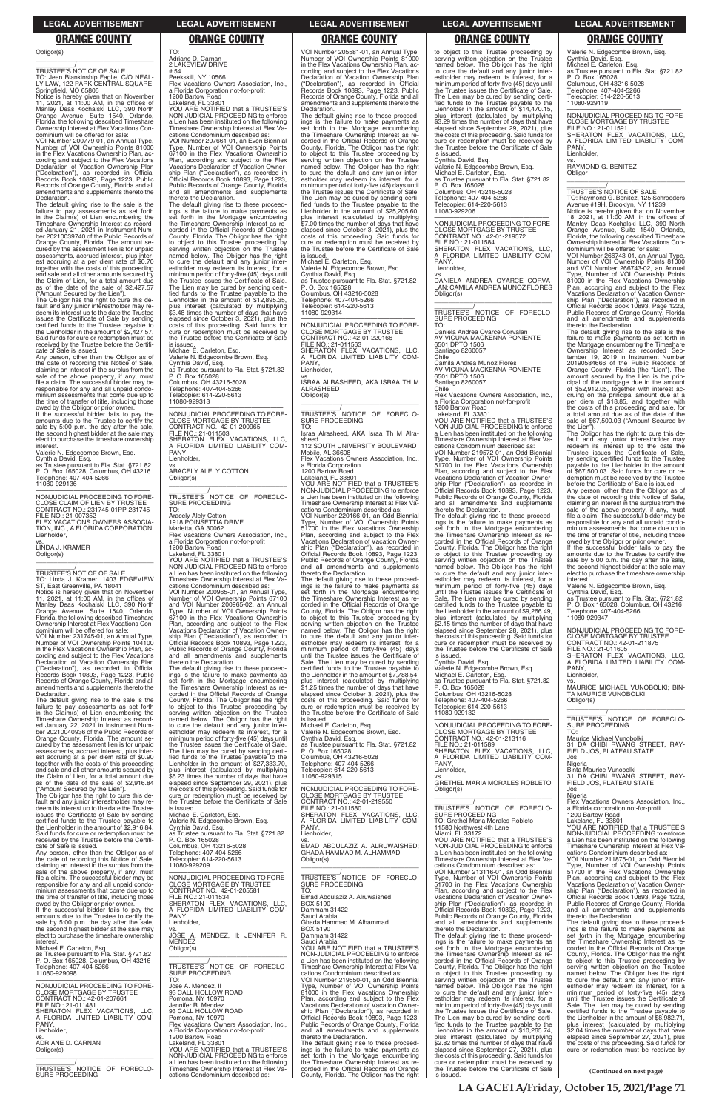Obligor(s) \_\_\_\_\_\_\_\_\_\_\_\_\_\_\_\_\_\_\_\_\_\_\_\_\_\_\_\_\_\_\_\_\_

\_\_\_\_\_\_\_\_\_\_\_/ TRUSTEE'S NOTICE OF SALE

TO: Jean Blankinship Faglie, C/O NEAL-LY LAW, 122 PARK CENTRAL SQUARE, Springfield, MO 65806

Notice is hereby given that on November<br>11, 2021, at 11:00 AM, in the offices of<br>Manley Deas Kochalski LLC, 390 North<br>Orange Avenue, Suite 1540, Orlando,<br>Florida, the following described Timeshare<br>Ownership Interest at Fle dominium will be offered for sale:

The default giving rise to the sale is the failure to pay assessments as set forth in the Claim(s) of Lien encumbering the Timeshare Ownership Interest as record-ed January 21, 2021 in Instrument Number 20210039740 of the Public Records of Orange County, Florida. The amount secured by the assessment lien is for unpaid assessments, accrued interest, plus interest accruing at a per diem rate of \$0.70 together with the costs of this proceeding and sale and all other amounts secured by the Claim of Lien, for a total amount due as of the date of the sale of \$2,427.57

VOI Number 200779-01, an Annual Type, Number of VOI Ownership Points 81000 in the Flex Vacations Ownership Plan, according and subject to the Flex Vacations Declaration of Vacation Ownership Plan ("Declaration"), as recorded in Official Records Book 10893, Page 1223, Public Records of Orange County, Florida and all amendments and supplements thereto the Declaration.

("Amount Secured by the Lien"). The Obligor has the right to cure this default and any junior interestholder may redeem its interest up to the date the Trustee issues the Certificate of Sale by sending certified funds to the Trustee payable to the Lienholder in the amount of \$2,427.57. Said funds for cure or redemption must be received by the Trustee before the Certificate of Sale is issued.

VOI Number 231745-01, an Annual Type, Number of VOI Ownership Points 104100 in the Flex Vacations Ownership Plan, according and subject to the Flex Vacations Declaration of Vacation Ownership Plan ("Declaration"), as recorded in Official Records Book 10893, Page 1223, Public Records of Orange County, Florida and all amendments and supplements thereto the Declaration.

Any person, other than the Obligor as of the date of recording this Notice of Sale, claiming an interest in the surplus from the sale of the above property, if any, must file a claim. The successful bidder may be responsible for any and all unpaid condo-minium assessments that come due up to the time of transfer of title, including those

The Obligor has the right to cure this default and any junior interestholder may redeem its interest up to the date the Trustee issues the Certificate of Sale by sending

owed by the Obligor or prior owner. If the successful bidder fails to pay the amounts due to the Trustee to certify the sale by 5:00 p.m. the day after the sale, the second highest bidder at the sale may elect to purchase the timeshare ownership interest.

Valerie N. Edgecombe Brown, Esq. Cynthia David, Esq.

as Trustee pursuant to Fla. Stat. §721.82 P. O. Box 165028, Columbus, OH 43216 Telephone: 407-404-5266 11080-929136

—————————————————— NONJUDICIAL PROCEEDING TO FORE-CLOSE CLAIM OF LIEN BY TRUSTEE CONTRACT NO.: 231745-01PP-231745 FILE NO.: 21-007352

FLEX VACATIONS OWNERS ASSOCIA-TION, INC., A FLORIDA CORPORATION, Lienholder,

vs. LINDA J. KRAMER Obligor(s)

\_\_\_\_\_\_\_\_\_\_\_\_\_\_\_\_\_\_\_\_\_\_\_\_\_\_\_\_\_\_\_\_\_ \_\_\_\_\_\_\_\_\_\_\_/ TRUSTEE'S NOTICE OF SALE TO: Linda J. Kramer, 1403 EDGEVIEW ST, East Greenville, PA 18041

Notice is hereby given that on November 11, 2021, at 11:00 AM, in the offices of Manley Deas Kochalski LLC, 390 North Orange Avenue, Suite 1540, Orlando, Florida, the following described Timeshare Ownership Interest at Flex Vacations Condominium will be offered for sale:

The default giving rise to the sale is the failure to pay assessments as set forth in the Claim(s) of Lien encumbering the Timeshare Ownership Interest as record-ed January 22, 2021 in Instrument Num-ber 20210040936 of the Public Records of Orange County, Florida. The amount secured by the assessment lien is for unpaid assessments, accrued interest, plus interest accruing at a per diem rate of \$0.90 together with the costs of this proceeding and sale and all other amounts secured by the Claim of Lien, for a total amount due as of the date of the sale of \$2,916.84 ("Amount Secured by the Lien").

TO:

Adriane D. Carnan 2 LAKEVIEW DRIVE

# 54

Peekskill, NY 10566

Flex Vacations Owners Association, Inc., a Florida Corporation not-for-profit

1200 Bartow Road

Lakeland, FL 33801 YOU ARE NOTIFIED that a TRUSTEE'S NON-JUDICIAL PROCEEDING to enforce a Lien has been instituted on the following Timeshare Ownership Interest at Flex Vacations Condominium described as: VOI Number 207661-01, an Even Biennial Type, Number of VOI Ownership Points 67100 in the Flex Vacations Ownership Plan, according and subject to the Flex Vacations Declaration of Vacation Ownership Plan ("Declaration"), as recorded in Official Records Book 10893, Page 1223, Public Records of Orange County, Florida and all amendments and supplements

> \_\_\_\_\_\_\_\_\_\_\_/<br>TRUSTEE'S NOTICE OF FORECLO-<br>SURE PROCEEDING TO:

Israa Alrasheed, AKA Israa Th M Alrasheed 112 SOUTH UNIVERSITY BOULEVARD Mobile, AL 36608 Flex Vacations Owners Association, Inc., a Florida Corporation 1200 Bartow Road Lakeland, FL 33801

thereto the Declaration.

The default giving rise to these proceed-ings is the failure to make payments as set forth in the Mortgage encumbering the Timeshare Ownership Interest as re-corded in the Official Records of Orange

County, Florida. The Obligor has the right<br>to object to this Trustee proceeding by<br>serving written objection on the Trustee<br>named below. The Obligor has the right<br>to cure the default and any junior inter-<br>estholder may red

minimum period of forty-five (45) days until the Trustee issues the Certificate of Sale. The Lien may be cured by sending certi-fied funds to the Trustee payable to the Lienholder in the amount of \$12,895.35, plus interest (calculated by multiplying \$3.48 times the number of days that have elapsed since October 3, 2021), plus the costs of this proceeding. Said funds for cure or redemption must be received by the Trustee before the Certificate of Sale

is issued.

Michael E. Carleton, Esq. Valerie N. Edgecombe Brown, Esq. Cynthia David, Esq.

as Trustee pursuant to Fla. Stat. §721.82 P. O. Box 165028 Columbus, OH 43216-5028

Telephone: 407-404-5266 Telecopier: 614-220-5613 11080-929313

—————————————————— NONJUDICIAL PROCEEDING TO FORE-CLOSE MORTGAGE BY TRUSTEE CONTRACT NO.: 42-01-200965 FILE NO.: 21-011503 SHERATON FLEX VACATIONS, LLC,

A FLORIDA LIMITED LIABILITY COMvs. ARACELY ALELY COTTON \_\_\_\_\_\_\_\_\_\_\_\_\_\_\_\_\_\_\_\_\_\_\_\_\_\_\_\_\_\_\_\_\_ \_\_\_\_\_\_\_\_\_\_\_/ TRUSTEE'S NOTICE OF FORECLO-Aracely Alely Cotton

PANY, Lienholder, Obligor(s) SURE PROCEEDING TO:

> 1918 POINSETTIA DRIVE Marietta, GA 30062 Flex Vacations Owners Association, Inc., 1200 Bartow Road Lakeland, FL 33801

a Florida Corporation not-for-profit YOU ARE NOTIFIED that a TRUSTEE'S NON-JUDICIAL PROCEEDING to enforce

a Lien has been instituted on the following Timeshare Ownership Interest at Flex Vacations Condominium described as:

VOI Number 200965-01, an Annual Type,

Number of VOI Ownership Points 67100 and VOI Number 200965-02, an Annual Type, Number of VOI Ownership Points 67100 in the Flex Vacations Ownership Plan, according and subject to the Flex Vacations Declaration of Vacation Ownership Plan ("Declaration"), as recorded in Official Records Book 10893, Page 1223, Public Records of Orange County, Florida and all amendments and supplements

 $\overline{\phantom{a}}$  , and the set of the set of the set of the set of the set of the set of the set of the set of the set of the set of the set of the set of the set of the set of the set of the set of the set of the set of the s \_\_\_\_\_\_\_\_\_\_\_/<br>TRUSTEE'S NOTICE OF FORECLO-<br>SURE PROCEEDING TO:

thereto the Declaration. The default giving rise to these proceed-ings is the failure to make payments as set forth in the Mortgage encumbering the Timeshare Ownership Interest as re-

corded in the Official Records of Orange County, Florida. The Obligor has the right to object to this Trustee proceeding by serving written objection on the Trustee named below. The Obligor has the right

to cure the default and any junior inter-estholder may redeem its interest, for a minimum period of forty-five (45) days until the Trustee issues the Certificate of Sale. The Lien may be cured by sending certi-fied funds to the Trustee payable to the Lienholder in the amount of \$27,333.70, plus interest (calculated by multiplying \$6.23 times the number of days that have elapsed since September 29, 2021), plus the costs of this proceeding. Said funds for cure or redemption must be received by the Trustee before the Certificate of Sale

—————————————————— NONJUDICIAL PROCEEDING TO FORE-CLOSE MORTGAGE BY TRUSTEE CONTRACT NO.: 42-01-213116 FILE NO.: 21-011589 SHERATON FLEX VACATIONS, LLC, A FLORIDA LIMITED LIABILITY COM-A FLU<br>PANY,

is issued. Michael E. Carleton, Esq.

VOI Number 205581-01, an Annual Type, Number of VOI Ownership Points 81000 in the Flex Vacations Ownership Plan, according and subject to the Flex Vacations Declaration of Vacation Ownership Plan ("Declaration"), as recorded in Official Records Book 10893, Page 1223, Public Records of Orange County, Florida and all amendments and supplements thereto the Declaration.

The default giving rise to these proceedings is the failure to make payments as set forth in the Mortgage encumbering the Timeshare Ownership Interest as re-corded in the Official Records of Orange County, Florida. The Obligor has the right to object to this Trustee proceeding by serving written objection on the Trustee named below. The Obligor has the right to cure the default and any junior inter-estholder may redeem its interest, for a minimum period of forty-five (45) days until the Trustee issues the Certificate of Sale. The Lien may be cured by sending certi-fied funds to the Trustee payable to the Lienholder in the amount of \$25,205.60, plus interest (calculated by multiplying \$7.00 times the number of days that have elapsed since October 3, 2021), plus the costs of this proceeding. Said funds for cure or redemption must be received by the Trustee before the Certificate of Sale

> The Obligor has the right to cure this default and any junior interestholder may redeem its interest up to the date the Trustee issues the Certificate of Sale, by sending certified funds to the Trustee payable to the Lienholder in the amount of \$67,500.03. Said funds for cure or redemption must be received by the Trustee

owed by the Obligor or prior owner. If the successful bidder fails to pay the amounts due to the Trustee to certify the sale by  $5:00$  p.m. the day after the the second highest bidder at the sale may elect to purchase the timeshare ownership

is issued. Michael E. Carleton, Esq. Valerie N. Edgecombe Brown, Esq. Cynthia David, Esq. as Trustee pursuant to Fla. Stat. §721.82 P. O. Box 165028 Columbus, OH 43216-5028 Telephone: 407-404-5266 Telecopier: 614-220-5613

11080-929314

\_\_\_\_\_\_\_\_\_\_\_/<br>TRUSTEE'S NOTICE OF FORECLO-<br>SURE PROCEEDING TO:

—————————————————— NONJUDICIAL PROCEEDING TO FORE-CLOSE MORTGAGE BY TRUSTEE CONTRACT NO.: 42-01-220166 FILE NO.: 21-011563 SHERATON FLEX VACATIONS, LLC,<br>A FLORIDA LIMITED LIABILITY COM-<br>PANY, Lienholder,

vs. ISRAA ALRASHEED, AKA ISRAA TH M ALRASHEED Obligor(s) \_\_\_\_\_\_\_\_\_\_\_\_\_\_\_\_\_\_\_\_\_\_\_\_\_\_\_\_\_\_\_\_\_

YOU ARE NOTIFIED that a TRUSTEE'S NON-JUDICIAL PROCEEDING to enforce a Lien has been instituted on the following Timeshare Ownership Interest at Flex Vacations Condominium described as: VOI Number 220166-01, an Odd Biennial Type, Number of VOI Ownership Points 51700 in the Flex Vacations Ownership Plan, according and subject to the Flex Vacations Declaration of Vacation Owner-ship Plan ("Declaration"), as recorded in Official Records Book 10893, Page 1223, Public Records of Orange County, Florida and all amendments and supplements thereto the Declaration.

The default giving rise to these proceed-ings is the failure to make payments as set forth in the Mortgage encumbering the Timeshare Ownership Interest as re-corded in the Official Records of Orange County, Florida. The Obligor has the right to object to this Trustee proceeding by serving written objection on the Trustee named below. The Obligor has the right to cure the default and any junior inter-estholder may redeem its interest, for a minimum period of forty-five (45) days until the Trustee issues the Certificate of Sale. The Lien may be cured by sending certified funds to the Trustee payable to the Lienholder in the amount of \$7,788.54, plus interest (calculated by multiplying \$1.25 times the number of days that have elapsed since October 3, 2021), plus the costs of this proceeding. Said funds for cure or redemption must be received by the Trustee before the Certificate of Sale is issued. Michael E. Carleton, Esq.

Valerie N. Edgecombe Brown, Esq. Cynthia David, Esq. as Trustee pursuant to Fla. Stat. §721.82 P. O. Box 165028 Columbus, OH 43216-5028 Telephone: 407-404-5266

Telecopier: 614-220-5613 11080-929315 —————————————————— NONJUDICIAL PROCEEDING TO FORE-CLOSE MORTGAGE BY TRUSTEE

CONTRACT NO.: 42-01-219550 FILE NO.: 21-011580 SHERATON FLEX VACATIONS, LLC,

| issues the Octonicate of Safe by Serionity<br>certified funds to the Trustee payable to<br>the Lienholder in the amount of \$2.916.84. | <b>IVIIUIREI L. VAIIEIUII, LOY.</b><br>Valerie N. Edgecombe Brown, Esg.<br>Cynthia David, Esq. | UILIMIUN ILLA VAUAIIUNU. LLU<br>A FLORIDA LIMITED LIABILITY COM-<br>PANY.         | <u>JUILIIOULLUINU</u><br>TO: Grethel Maria Morales Robleto<br>11580 Northwest 4th Lane | <b>ILUV DAILUW I IUAU</b><br>Lakeland, FL 33801<br>YOU ARE NOTIFIED that a TRUSTEE'S    |
|----------------------------------------------------------------------------------------------------------------------------------------|------------------------------------------------------------------------------------------------|-----------------------------------------------------------------------------------|----------------------------------------------------------------------------------------|-----------------------------------------------------------------------------------------|
| Said funds for cure or redemption must be                                                                                              | as Trustee pursuant to Fla. Stat. §721.82                                                      | Lienholder.                                                                       | Miami, FL 33172                                                                        | NON-JUDICIAL PROCEEDING to enforce                                                      |
| received by the Trustee before the Certifi-<br>cate of Sale is issued.                                                                 | P. O. Box 165028<br>Columbus, OH 43216-5028                                                    | VS.<br>EMAD ABDULAZIZ A. ALRUWAISHED:                                             | YOU ARE NOTIFIED that a TRUSTEE'S<br>NON-JUDICIAL PROCEEDING to enforce                | a Lien has been instituted on the following<br>Timeshare Ownership Interest at Flex Va- |
| Any person, other than the Obligor as of                                                                                               | Telephone: 407-404-5266                                                                        | GHADA HAMMAD M. ALHAMMAD                                                          | a Lien has been instituted on the following                                            | cations Condominium described as:                                                       |
| the date of recording this Notice of Sale,                                                                                             | Telecopier: 614-220-5613                                                                       | Obligor(s)                                                                        | Timeshare Ownership Interest at Flex Va-                                               | VOI Number 211875-01, an Odd Biennial                                                   |
| claiming an interest in the surplus from the                                                                                           | 11080-929209                                                                                   |                                                                                   | cations Condominium described as:                                                      | Type, Number of VOI Ownership Points                                                    |
| sale of the above property, if any, must                                                                                               |                                                                                                |                                                                                   | VOI Number 213116-01, an Odd Biennial                                                  | 51700 in the Flex Vacations Ownership                                                   |
| file a claim. The successful bidder may be                                                                                             | NONJUDICIAL PROCEEDING TO FORE-                                                                | TRUSTEE'S NOTICE OF FORECLO-                                                      | Type, Number of VOI Ownership Points                                                   | Plan, according and subject to the Flex                                                 |
| responsible for any and all unpaid condo-                                                                                              | <b>CLOSE MORTGAGE BY TRUSTEE</b>                                                               | <b>SURE PROCEEDING</b>                                                            | 51700 in the Flex Vacations Ownership                                                  | Vacations Declaration of Vacation Owner-                                                |
| minium assessments that come due up to                                                                                                 | CONTRACT NO.: 42-01-205581                                                                     | TO:                                                                               | Plan, according and subject to the Flex                                                | ship Plan ("Declaration"), as recorded in                                               |
| the time of transfer of title, including those                                                                                         | FILE NO.: 21-011534                                                                            | Emad Abdulaziz A. Alruwaished                                                     | Vacations Declaration of Vacation Owner-                                               | Official Records Book 10893, Page 1223,                                                 |
| owed by the Obligor or prior owner.                                                                                                    | SHERATON FLEX VACATIONS. LLC.                                                                  | <b>BOX 5190</b>                                                                   | ship Plan ("Declaration"), as recorded in                                              | Public Records of Orange County, Florida                                                |
| If the successful bidder fails to pay the                                                                                              | A FLORIDA LIMITED LIABILITY COM-                                                               | Dammam 31422                                                                      | Official Records Book 10893, Page 1223,                                                | and all amendments and supplements                                                      |
| amounts due to the Trustee to certify the                                                                                              | PANY.                                                                                          | Saudi Arabia                                                                      | Public Records of Orange County, Florida                                               | thereto the Declaration.                                                                |
| sale by 5:00 p.m. the day after the sale,                                                                                              | Lienholder.                                                                                    | Ghada Hammad M. Alhammad                                                          | and all amendments and supplements                                                     | The default giving rise to these proceed-                                               |
| the second highest bidder at the sale may                                                                                              | VS.                                                                                            | <b>BOX 5190</b>                                                                   | thereto the Declaration.                                                               | ings is the failure to make payments as                                                 |
| elect to purchase the timeshare ownership                                                                                              | JOSE A. MENDEZ. II: JENNIFER R.                                                                | Dammam 31422                                                                      | The default giving rise to these proceed-                                              | set forth in the Mortgage encumbering                                                   |
| interest.                                                                                                                              | <b>MENDEZ</b>                                                                                  | Saudi Arabia                                                                      | ings is the failure to make payments as                                                | the Timeshare Ownership Interest as re-                                                 |
| Michael E. Carleton, Esg.                                                                                                              | Obligor(s)                                                                                     | YOU ARE NOTIFIED that a TRUSTEE'S                                                 | set forth in the Mortgage encumbering                                                  | corded in the Official Records of Orange                                                |
| as Trustee pursuant to Fla. Stat. §721.82<br>P. O. Box 165028. Columbus. OH 43216                                                      |                                                                                                | NON-JUDICIAL PROCEEDING to enforce<br>a Lien has been instituted on the following | the Timeshare Ownership Interest as re-                                                | County, Florida. The Obligor has the right                                              |
| Telephone: 407-404-5266                                                                                                                | TRUSTEE'S NOTICE OF FORECLO-                                                                   | Timeshare Ownership Interest at Flex Va-                                          | corded in the Official Records of Orange<br>County, Florida. The Obligor has the right | to object to this Trustee proceeding by<br>serving written objection on the Trustee     |
| 11080-929098                                                                                                                           | <b>SURE PROCEEDING</b>                                                                         | cations Condominium described as:                                                 | to object to this Trustee proceeding by                                                | named below. The Obligor has the right                                                  |
|                                                                                                                                        | TO:                                                                                            | VOI Number 219550-01, an Odd Biennial                                             | serving written objection on the Trustee                                               | to cure the default and any junior inter-                                               |
| NONJUDICIAL PROCEEDING TO FORE-                                                                                                        | Jose A. Mendez. II                                                                             | Type, Number of VOI Ownership Points                                              | named below. The Obligor has the right                                                 | estholder may redeem its interest, for a                                                |
| <b>CLOSE MORTGAGE BY TRUSTEE</b>                                                                                                       | 93 CALL HOLLOW ROAD                                                                            | 81000 in the Flex Vacations Ownership                                             | to cure the default and any junior inter-                                              | minimum period of forty-five (45) days                                                  |
| CONTRACT NO.: 42-01-207661                                                                                                             | Pomona, NY 10970                                                                               | Plan, according and subject to the Flex                                           | estholder may redeem its interest, for a                                               | until the Trustee issues the Certificate of                                             |
| FILE NO.: 21-011481                                                                                                                    | Jennifer R. Mendez                                                                             | Vacations Declaration of Vacation Owner-                                          | minimum period of forty-five (45) days until                                           | Sale. The Lien may be cured by sending                                                  |
| SHERATON FLEX VACATIONS. LLC.                                                                                                          | 93 CALL HOLLOW ROAD                                                                            | ship Plan ("Declaration"), as recorded in                                         | the Trustee issues the Certificate of Sale.                                            | certified funds to the Trustee pavable to                                               |
| A FLORIDA LIMITED LIABILITY COM-                                                                                                       | Pomona, NY 10970                                                                               | Official Records Book 10893, Page 1223,                                           | The Lien may be cured by sending certi-                                                | the Lienholder in the amount of \$8,982.71,                                             |
| PANY.                                                                                                                                  | Flex Vacations Owners Association. Inc                                                         | Public Records of Orange County, Florida                                          | fied funds to the Trustee payable to the                                               | plus interest (calculated by multiplying                                                |
| Lienholder,                                                                                                                            | a Florida Corporation not-for-profit                                                           | and all amendments and supplements                                                | Lienholder in the amount of \$10,265.74,                                               | \$2.04 times the number of days that have                                               |
|                                                                                                                                        | 1200 Bartow Road                                                                               | thereto the Declaration.                                                          | plus interest (calculated by multiplying                                               | elapsed since September 27, 2021), plus                                                 |
| ADRIANE D. CARNAN                                                                                                                      | Lakeland. FL 33801                                                                             | The default giving rise to these proceed-                                         | \$2.82 times the number of days that have                                              | the costs of this proceeding. Said funds for                                            |
| Obligor(s)                                                                                                                             | YOU ARE NOTIFIED that a TRUSTEE'S                                                              | ings is the failure to make payments as                                           | elapsed since September 27, 2021), plus                                                | cure or redemption must be received by                                                  |
|                                                                                                                                        | NON-JUDICIAL PROCEEDING to enforce                                                             | set forth in the Mortgage encumbering                                             | the costs of this proceeding. Said funds for                                           |                                                                                         |
|                                                                                                                                        | a Lien has been instituted on the following                                                    | the Timeshare Ownership Interest as re-                                           | cure or redemption must be received by                                                 |                                                                                         |
| TRUSTEE'S NOTICE OF FORECLO-                                                                                                           | Timeshare Ownership Interest at Flex Va-                                                       | corded in the Official Records of Orange                                          | the Trustee before the Certificate of Sale                                             | (Continued on next page)                                                                |
| SURE PROCEEDING                                                                                                                        | cations Condominium described as:                                                              | County, Florida. The Obligor has the right                                        | is issued.                                                                             |                                                                                         |

to object to this Trustee proceeding by serving written objection on the Trustee named below. The Obligor has the right to cure the default and any junior inter-estholder may redeem its interest, for a minimum period of forty-five (45) days until the Trustee issues the Certificate of Sale. The Lien may be cured by sending certified funds to the Trustee payable to the<br>Lienholder in the amount of \$14,470.15, plus interest (calculated by multiplying \$3.29 times the number of days that have elapsed since September 29, 2021), plus the costs of this proceeding. Said funds for cure or redemption must be received by the Trustee before the Certificate of Sale is issued.

Cynthia David, Esq. Valerie N. Edgecombe Brown, Esq. Michael E. Carleton, Esq. as Trustee pursuant to Fla. Stat. §721.82 P. O. Box 165028 Columbus, OH 43216-5028 Telephone: 407-404-5266 Telecopier: 614-220-5613 11080-929206

—————————————————— NONJUDICIAL PROCEEDING TO FORE-CLOSE MORTGAGE BY TRUSTEE CONTRACT NO.: 42-01-219572 FILE NO.: 21-011584 SHERATON FLEX VACATIONS, LLC, FLORIDA LIMITED LIABILITY COM-A FLO<br>PANY, Lienholder,

vs. DANIELA ANDREA OYARCE CORVA-LAN; CAMILA ANDREA MUNOZ FLORES Obligor(s)

Daniela Andrea Oyarce Corvalan AV VICUNA MACKENNA PONIENTE 6501 DPTO 1506 Santiago 8260057

Chile Camila Andrea Munoz Flores AV VICUNA MACKENNA PONIENTE 6501 DPTO 1506 Santiago 8260057

Chile Flex Vacations Owners Association, Inc., a Florida Corporation not-for-profit

1200 Bartow Road Lakeland, FL 33801 YOU ARE NOTIFIED that a TRUSTEE'S NON-JUDICIAL PROCEEDING to enforce a Lien has been instituted on the following Timeshare Ownership Interest at Flex Va-

cations Condominium described as: VOI Number 219572-01, an Odd Biennial Type, Number of VOI Ownership Points 51700 in the Flex Vacations Ownership Plan, according and subject to the Flex Vacations Declaration of Vacation Ownership Plan ("Declaration"), as recorded in Official Records Book 10893, Page 1223, Public Records of Orange County, Florida and all amendments and supplements thereto the Declaration.

The default giving rise to these proceed-ings is the failure to make payments as set forth in the Mortgage encumbering the Timeshare Ownership Interest as recorded in the Official Records of Orange County, Florida. The Obligor has the right to object to this Trustee proceeding by serving written objection on the Trustee named below. The Obligor has the right to cure the default and any junior inter-estholder may redeem its interest, for a minimum period of forty-five (45) days until the Trustee issues the Certificate of Sale. The Lien may be cured by sending certified funds to the Trustee payable to the Lienholder in the amount of \$9,266.49, plus interest (calculated by multiplying \$2.15 times the number of days that have elapsed since September 28, 2021), plus the costs of this proceeding. Said funds for cure or redemption must be received by the Trustee before the Certificate of Sale

is issued. Cynthia David, Esq. Valerie N. Edgecombe Brown, Esq. Michael E. Carleton, Esq. as Trustee pursuant to Fla. Stat. §721.82 P. O. Box 165028 Columbus, OH 43216-5028 Telephone: 407-404-5266 Telecopier: 614-220-5613 11080-929132

Lienholder,

vs. GRETHEL MARIA MORALES ROBLETO Obligor(s)

 $\overline{\phantom{a}}$  , and the set of the set of the set of the set of the set of the set of the set of the set of the set of the set of the set of the set of the set of the set of the set of the set of the set of the set of the s \_\_\_\_\_\_\_\_\_\_\_/<br>TRUSTEE'S NOTICE OF FORECLO-<br>SURE PROCEEDING

Valerie N. Edgecombe Brown, Esq. Cynthia David, Esq. Michael E. Carleton, Esq. as Trustee pursuant to Fla. Stat. §721.82 P. O. Box 165028 Columbus, OH 43216-5028 Telephone: 407-404-5266 Telecopier: 614-220-5613 11080-929119

—————————————————— NONJUDICIAL PROCEEDING TO FORE-CLOSE MORTGAGE BY TRUSTEE FILE NO.: 21-011591 SHERATON FLEX VACATIONS, LLC, A FLORIDA LIMITED LIABILITY COM-PANY, Lienholder,

vs. RAYMOND G. BENITEZ **Obligor** \_\_\_\_\_\_\_\_\_\_\_\_\_\_\_\_\_\_\_\_\_\_\_\_\_\_\_\_\_\_\_\_\_

\_\_\_\_\_\_\_\_\_\_\_/ TRUSTEE'S NOTICE OF SALE TO: Raymond G. Benitez, 125 Schroeders Avenue #19H, Brooklyn, NY 11239 Notice is hereby given that on November 18, 2021, at 11:00 AM, in the offices of Manley Deas Kochalski LLC, 390 North Orange Avenue, Suite 1540, Orlando, Florida, the following described Timeshare Ownership Interest at Flex Vacations Con-

dominium will be offered for sale: VOI Number 266743-01, an Annual Type, Number of VOI Ownership Points 81000 and VOI Number 266743-02, an Annual Type, Number of VOI Ownership Points 81000 in the Flex Vacations Ownership Plan, according and subject to the Flex Vacations Declaration of Vacation Ownership Plan ("Declaration"), as recorded in Official Records Book 10893, Page 1223, Public Records of Orange County, Florida and all amendments and supplements thereto the Declaration.

The default giving rise to the sale is the failure to make payments as set forth in the Mortgage encumbering the Timeshare Ownership Interest as recorded Sep-tember 19, 2019 in Instrument Number 20190584666 of the Public Records of Orange County, Florida (the "Lien"). The amount secured by the Lien is the principal of the mortgage due in the amount of \$52,912.05, together with interest accruing on the principal amount due at a per diem of \$18.85, and together with the costs of this proceeding and sale, for a total amount due as of the date of the sale of \$67,500.03 ("Amount Secured by the Lien").

before the Certificate of Sale is issued. Any person, other than the Obligor as of the date of recording this Notice of Sale, claiming an interest in the surplus from the sale of the above property, if any, must file a claim. The successful bidder may be responsible for any and all unpaid condominium assessments that come due up to the time of transfer of title, including those

Valerie N. Edgecombe Brown, Esq. Cynthia David, Esq. as Trustee pursuant to Fla. Stat. §721.82 P. O. Box 165028, Columbus, OH 43216 Telephone: 407-404-5266

interest. 11080-929347

SHERATON FLEX VACATIONS, LLC,<br>A FLORIDA LIMITED LIABILITY COM-<br>PANY,

—————————————————— NONJUDICIAL PROCEEDING TO FORE-CLOSE MORTGAGE BY TRUSTEE CONTRACT NO.: 42-01-211875 FILE NO.: 21-011605

Lienholder,

vs. MAURICE MICHAEL VUNOBOLKI; BIN-TA MAURICE VUNOBOLKI Obligor(s)

\_\_\_\_\_\_\_\_\_\_\_\_\_\_\_\_\_\_\_\_\_\_\_\_\_\_\_\_\_\_\_\_\_

Maurice Michael Vunobolki 31 DA CHIBI RWANG STREET, RAY-FIELD JOS, PLATEAU STATE

Jos Nigeria

Binta Maurice Vunobolki 31 DA CHIBI RWANG STREET, RAY-FIELD JOS, PLATEAU STATE

Jos

Nigeria Flex Vacations Owners Association, Inc., a Florida corporation not-for-profit 1200 Bartow Road

### **LEGAL ADVERTISEMENT LEGAL ADVERTISEMENT LEGAL ADVERTISEMENT LEGAL ADVERTISEMENT LEGAL ADVERTISEMENT**

### **ORANGE COUNTY ORANGE COUNTY ORANGE COUNTY ORANGE COUNTY ORANGE COUNTY**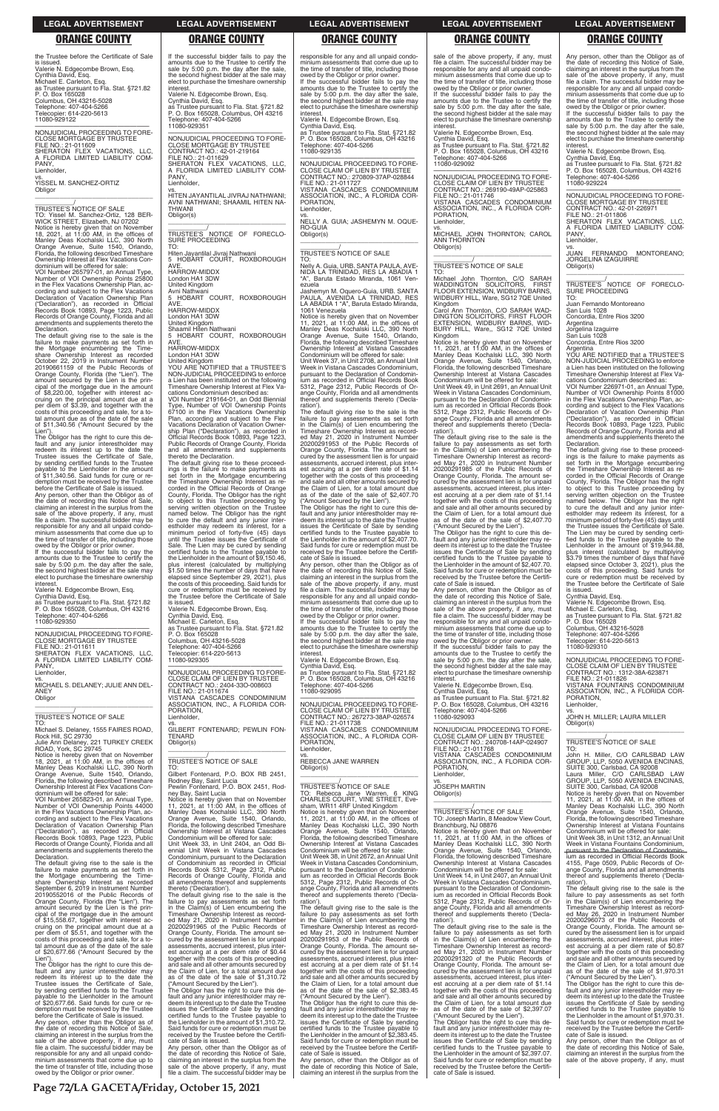the Trustee before the Certificate of Sale is issued. Valerie N. Edgecombe Brown, Esq. Cynthia David, Esq. Michael E. Carleton, Esq. as Trustee pursuant to Fla. Stat. §721.82 P. O. Box 165028 Columbus, OH 43216-5028 Telephone: 407-404-5266 Telecopier: 614-220-5613 11080-929122

—————————————————— NONJUDICIAL PROCEEDING TO FORE-CLOSE MORTGAGE BY TRUSTEE FILE NO.: 21-011609 SHERATON FLEX VACATIONS, LLC, A FLORIDA LIMITED LIABILITY COM-PANY, Lienholder,

vs. YISSEL M. SANCHEZ-ORTIZ **Obligor** \_\_\_\_\_\_\_\_\_\_\_\_\_\_\_\_\_\_\_\_\_\_\_\_\_\_\_\_\_\_\_\_\_

Declaration. The default giving rise to the sale is the failure to make payments as set forth in the Mortgage encumbering the Timeshare Ownership Interest as recorded<br>October 22, 2019 in Instrument Number<br>20190661159 of the Public Records of<br>Orange County, Florida (the "Lien"). The<br>amount secured by the Lien is the prin-<br>cipal of the mortgage due in of \$8,220.00, together with interest ac-cruing on the principal amount due at a per diem of \$3.39, and together with the costs of this proceeding and sale, for a to-tal amount due as of the date of the sale of \$11,340.56 ("Amount Secured by the Lien")

\_\_\_\_\_\_\_\_\_\_\_/ TRUSTEE'S NOTICE OF SALE TO: Yissel M. Sanchez-Ortiz, 128 BER-WICK STREET, Elizabeth, NJ 07202 Notice is hereby given that on November 18, 2021, at 11:00 AM, in the offices of Manley Deas Kochalski LLC, 390 North Orange Avenue, Suite 1540, Orlando, Florida, the following described Timeshare

Ownership Interest at Flex Vacations Condominium will be offered for sale: VOI Number 265797-01, an Annual Type, Number of VOI Ownership Points 25800 in the Flex Vacations Ownership Plan, ac-cording and subject to the Flex Vacations Declaration of Vacation Ownership Plan ("Declaration"), as recorded in Official Records Book 10893, Page 1223, Public Records of Orange County, Florida and all amendments and supplements thereto the

### PANY Lienholder,

vs. MICHAEL S. DELANEY; JULIE ANN DEL-ANEY **Obligor**  $\overline{\phantom{a}}$  , and the set of the set of the set of the set of the set of the set of the set of the set of the set of the set of the set of the set of the set of the set of the set of the set of the set of the set of the s

Notice is hereby given that on November<br>18, 2021, at 11:00 AM, in the offices of<br>Manley Deas Kochalski LLC, 390 North<br>Orange Avenue, Suite 1540, Orlando,<br>Florida, the following described Timeshare<br>Ownership Interest at Fle dominium will be offered for sale:

cording and subject to the Flex Vacations Declaration of Vacation Ownership Plan ("Declaration"), as recorded in Official Records Book 10893, Page 1223, Public Records of Orange County, Florida and all amendments and supplements thereto the **Declaration** 

The Obligor has the right to cure this de-fault and any junior interestholder may redeem its interest up to the date the Trustee issues the Certificate of Sale, by sending certified funds to the Trustee payable to the Lienholder in the amount of \$11,340.56. Said funds for cure or re-demption must be received by the Trustee before the Certificate of Sale is issued.

Any person, other than the Obligor as of the date of recording this Notice of Sale, claiming an interest in the surplus from the sale of the above property, if any, must file a claim. The successful bidder may be responsible for any and all unpaid condominium assessments that come due up to the time of transfer of title, including those

owed by the Obligor or prior owner. If the successful bidder fails to pay the amounts due to the Trustee to certify the sale by 5:00 p.m. the day after the sale, the second highest bidder at the sale may elect to purchase the timeshare ownership interest.

Valerie N. Edgecombe Brown, Esq. Cynthia David, Esq.

as Trustee pursuant to Fla. Stat. §721.82 P. O. Box 165028, Columbus, OH 43216 Telephone: 407-404-5266 11080-929350

A FLO<br>PANY Lienholder,

—————————————————— NONJUDICIAL PROCEEDING TO FORE-CLOSE MORTGAGE BY TRUSTEE FILE NO.: 21-011611 SHERATON FLEX VACATIONS, LLC, A FLORIDA LIMITED LIABILITY COM-

# \_\_\_\_\_\_\_\_\_\_\_/ TRUSTEE'S NOTICE OF SALE

TO: Michael S. Delaney, 1555 FAIRES ROAD, Rock Hill, SC 29730 Julie Ann Delaney, 221 TURKEY CREEK ROAD, York, SC 29745

VOI Number 265823-01, an Annual Type, Number of VOI Ownership Points 44000 in the Flex Vacations Ownership Plan, ac-

The default giving rise to the sale is the failure to make payments as set forth in the Mortgage encumbering the Time-share Ownership Interest as recorded September 6, 2019 in Instrument Number 20190552016 of the Public Records of Orange County, Florida (the "Lien"). The amount secured by the Lien is the principal of the mortgage due in the amount of \$15,558.67, together with interest accruing on the principal amount due at a per diem of \$5.51, and together with the costs of this proceeding and sale, for a total amount due as of the date of the sale of \$20,677.66 ("Amount Secured by the

Condominium will be offered for sale:<br>Unit Week 33, in Unit 2404, an Odd Biwill be oncrea for 5<br>in Unit 2404, an ennial Unit Week in Vistana Cascades Condominium, pursuant to the Declaration of Condominium as recorded in Official Records Book 5312, Page 2312, Public Records of Orange County, Florida and all amendments thereof and supplements thereto ('Declaration').

Lien"). The Obligor has the right to cure this default and any junior interestholder may redeem its interest up to the date the Trustee issues the Certificate of Sale, by sending certified funds to the Trustee payable to the Lienholder in the amount of \$20,677.66. Said funds for cure or redemption must be received by the Trustee before the Certificate of Sale is issued. Any person, other than the Obligor as of the date of recording this Notice of Sale, claiming an interest in the surplus from the sale of the above property, if any, must file a claim. The successful bidder may be responsible for any and all unpaid condominium assessments that come due up to the time of transfer of title, including those owed by the Obligor or prior owner.

responsible for any and all unpaid condo-minium assessments that come due up to the time of transfer of title, including those owed by the Obligor or prior owner. If the successful bidder fails to pay the amounts due to the Trustee to certify the sale by 5:00 p.m. the day after the sale, the second highest bidder at the sale may elect to purchase the timeshare ownership interest

CLOSE CLAIM OF LIEN BY TRUSTEE CONTRACT NO.: 270809-37AP-028844 FILE NO.: 21-011727 VISTANA CASCADES CONDOMINIUM ASSOCIATION, INC., A FLORIDA COR-PORATION, **Lienholder** 

If the successful bidder fails to pay the amounts due to the Trustee to certify the sale by 5:00 p.m. the day after the sale the second highest bidder at the sale may elect to purchase the timeshare ownership

interest.

Valerie N. Edgecombe Brown, Esq. Cynthia David, Esq. as Trustee pursuant to Fla. Stat. §721.82 P. O. Box 165028, Columbus, OH 43216 Telephone: 407-404-5266

11080-929351

—————————————————— NONJUDICIAL PROCEEDING TO FORE-CLOSE MORTGAGE BY TRUSTEE

CONTRACT NO.: 42-01-219164 FILE NO.: 21-011629 SHERATON FLEX VACATIONS, LLC, A FLORIDA LIMITED LIABILITY COM-

vs. HITEN JAYANTILAL JIVRAJ NATHWANI; AVNI NATHWANI; SHAAMIL HITEN NA-

THWANI Obligor(s)

\_\_\_\_\_\_\_\_\_\_\_\_\_\_\_\_\_\_\_\_\_\_\_\_\_\_\_\_\_\_\_\_\_ \_\_\_\_\_\_\_\_\_\_\_/ TRUSTEE'S NOTICE OF FORECLO-

SURE PROCEEDING

TO:

**AVF** 

**AVF** 

**AVF** 

Hiten Jayantilal Jivraj Nathwani 5 HOBART COURT, ROXBOROUGH

HARROW-MIDDX London HA1 3DW United Kingdom Avni Nathwani

5 HOBART COURT, ROXBOROUGH

HARROW-MIDDX London HA1 3DW United Kingdom Shaamil Hiten Nathwani

5 HOBART COURT, ROXBOROUGH

HARROW-MIDDX London HA1 3DW

> The Obligor has the right to cure this default and any junior interestholder may re-deem its interest up to the date the Trustee issues the Certificate of Sale by sending certified funds to the Trustee payable to the Lienholder in the amount of \$2,407.70. Said funds for cure or redemption must be received by the Trustee before the Certifi-cate of Sale is issued.

United Kingdom YOU ARE NOTIFIED that a TRUSTEE'S NON-JUDICIAL PROCEEDING to enforce a Lien has been instituted on the following Timeshare Ownership Interest at Flex Vacations Condominium described as: VOI Number 219164-01, an Odd Biennial Type, Number of VOI Ownership Points 67100 in the Flex Vacations Ownership Plan, according and subject to the Flex Vacations Declaration of Vacation Ownership Plan ("Declaration"), as recorded in Official Records Book 10893, Page 1223, Public Records of Orange County, Florida and all amendments and supplements

> —————————————————— NONJUDICIAL PROCEEDING TO FORE-CLOSE CLAIM OF LIEN BY TRUSTEE CONTRACT NO.: 267273-38AP-026574 FILE NO.: 21-011738 VISTANA CASCADES CONDOMINIUM ASSOCIATION, INC., A FLORIDA COR-PORATION, Lienholder.

thereto the Declaration.

The default giving rise to these proceedings is the failure to make payments as set forth in the Mortgage encumbering the Timeshare Ownership Interest as recorded in the Official Records of Orange County, Florida. The Obligor has the right to object to this Trustee proceeding by serving written objection on the Trustee named below. The Obligor has the right to cure the default and any junior interestholder may redeem its interest, for a minimum period of forty-five (45) days until the Trustee issues the Certificate of Sale. The Lien may be cured by sending certified funds to the Trustee payable to the Lienholder in the amount of \$9,150.46, plus interest (calculated by multiplying \$1.50 times the number of days that have elapsed since September 29, 2021), plus

the costs of this proceeding. Said funds for cure or redemption must be received by the Trustee before the Certificate of Sale

is issued.

Valerie N. Edgecombe Brown, Esq. Cynthia David, Esq. Michael E. Carleton, Esq. as Trustee pursuant to Fla. Stat. §721.82 P. O. Box 165028

If the successful bidder fails to pay the amounts due to the Trustee to certify the sale by 5:00 p.m. the day after the sale, the second highest bidder at the sale may elect to purchase the timeshare ownership **interest** 

Columbus, OH 43216-5028 Telephone: 407-404-5266 Telecopier: 614-220-5613

11080-929305

—————————————————— NONJUDICIAL PROCEEDING TO FORE-CLOSE CLAIM OF LIEN BY TRUSTEE CONTRACT NO.: 2404-33O-008603

FILE NO.: 21-011674

VISTANA CASCADES CONDOMINIUM ASSOCIATION, INC., A FLORIDA COR-

PORATION, Lienholder,

vs. GILBERT FONTENARD; PEWLIN FON-

TENARD Obligor(s)

\_\_\_\_\_\_\_\_\_\_\_\_\_\_\_\_\_\_\_\_\_\_\_\_\_\_\_\_\_\_\_\_\_ \_\_\_\_\_\_\_\_\_\_\_/ TRUSTEE'S NOTICE OF SALE

TO: Gilbert Fontenard, P.O. BOX RB 2451, Rodney Bay, Saint Lucia Pewlin Fontenard, P.O. BOX 2451, Rod-

ney Bay, Saint Lucia

Unit Week 49, in Unit 2691, an Annual Unit Week in Vistana Cascades Condominium, pursuant to the Declaration of Condomin-ium as recorded in Official Records Book 5312, Page 2312, Public Records of Orange County, Florida and all amendments thereof and supplements thereto ('Declaration')

Notice is hereby given that on November 11, 2021, at 11:00 AM, in the offices of Manley Deas Kochalski LLC, 390 North Orange Avenue, Suite 1540, Orlando, Florida, the following described Timeshare Ownership Interest at Vistana Cascades

The default giving rise to the sale is the failure to pay assessments as set forth in the Claim(s) of Lien encumbering the Timeshare Ownership Interest as record-ed May 21, 2020 in Instrument Number 20200291965 of the Public Records of Orange County, Florida. The amount se-cured by the assessment lien is for unpaid assessments, accrued interest, plus interest accruing at a per diem rate of \$0.44 together with the costs of this proceeding and sale and all other amounts secured by the Claim of Lien, for a total amount due as of the date of the sale of \$1,310.72  $\overline{\phantom{a}}$  ,  $\overline{\phantom{a}}$  ,  $\overline{\phantom{a}}$  ,  $\overline{\phantom{a}}$  ,  $\overline{\phantom{a}}$  ,  $\overline{\phantom{a}}$  ,  $\overline{\phantom{a}}$  ,  $\overline{\phantom{a}}$  ,  $\overline{\phantom{a}}$  ,  $\overline{\phantom{a}}$  ,  $\overline{\phantom{a}}$  ,  $\overline{\phantom{a}}$  ,  $\overline{\phantom{a}}$  ,  $\overline{\phantom{a}}$  ,  $\overline{\phantom{a}}$  ,  $\overline{\phantom{a}}$ \_\_\_\_\_\_\_\_\_\_\_/ TRUSTEE'S NOTICE OF SALE

Notice is hereby given that on November 11, 2021, at 11:00 AM, in the offices of Manley Deas Kochalski LLC, 390 North Orange Avenue, Suite 1540, Orlando, Florida, the following described Timeshare Ownership Interest at Vistana Cascades Condominium will be offered for sale: Unit Week 14, in Unit 2407, an Annual Unit Week in Vistana Cascades Condominium, pursuant to the Declaration of Condominium as recorded in Official Records Book 5312, Page 2312, Public Records of Orange County, Florida and all amendments reof and supplements thereto ('Declaration')

("Amount Secured by the Lien"). The Obligor has the right to cure this de-fault and any junior interestholder may redeem its interest up to the date the Trustee issues the Certificate of Sale by sending certified funds to the Trustee payable to the Lienholder in the amount of \$1,310.72. Said funds for cure or redemption must be received by the Trustee before the Certificate of Sale is issued.

Any person, other than the Obligor as of the date of recording this Notice of Sale, claiming an interest in the surplus from the sale of the above property, if any, must file a claim. The successful bidder may be Valerie N. Edgecombe Brown, Esq. Cynthia David, Esq. as Trustee pursuant to Fla. Stat. §721.82 P. O. Box 165028, Columbus, OH 43216

Telephone: 407-404-5266 11080-929135 —————————————————— NONJUDICIAL PROCEEDING TO FORE-

> PANY, Lienholder,

\_\_\_\_\_\_\_\_\_\_\_/ TRUSTEE'S NOTICE OF FORECLO-SURE PROCEEDING

vs. NELLY A. GUIA; JASHEMYN M. OQUE-RO-GUIA Obligor(s) \_\_\_\_\_\_\_\_\_\_\_\_\_\_\_\_\_\_\_\_\_\_\_\_\_\_\_\_\_\_\_\_\_

# \_\_\_\_\_\_\_\_\_\_\_/ TRUSTEE'S NOTICE OF SALE

YOU ARE NOTIFIED that a TRUSTEE'S NON-JUDICIAL PROCEEDING to enforce a Lien has been instituted on the following Timeshare Ownership Interest at Flex Vacations Condominium described as:

VOI Number 226971-01, an Annual Type, Number of VOI Ownership Points 81000 in the Flex Vacations Ownership Plan, ac-cording and subject to the Flex Vacations Declaration of Vacation Ownership Plan ("Declaration"), as recorded in Official Records Book 10893, Page 1223, Public Records of Orange County, Florida and all amendments and supplements thereto the Declaration.

TO: Nelly A. Guia, URB. SANTA PAULA, AVE-NIDA LA TRINIDAD, RES LA ABADIA 1 "A", Baruta Estado Miranda, 1061 Venezuela Jashemyn M. Oquero-Guia, URB. SANTA PAULA, AVENIDA LA TRINIDAD, RES LA ABADIA 1 "A", Baruta Estado Miranda, 1061 Venezuela

Notice is hereby given that on November 11, 2021, at 11:00 AM, in the offices of Manley Deas Kochalski LLC, 390 North Orange Avenue, Suite 1540, Orlando, Florida, the following described Timeshare Ownership Interest at Vistana Cascades Condominium will be offered for sale:

Unit Week 37, in Unit 2708, an Annual Unit Week in Vistana Cascades Condominium, pursuant to the Declaration of Condominium as recorded in Official Records Book 5312, Page 2312, Public Records of Orange County, Florida and all amendments thereof and supplements thereto ('Declaration').

The default giving rise to the sale is the failure to pay assessments as set forth in the Claim(s) of Lien encumbering the Timeshare Ownership Interest as record-ed May 21, 2020 in Instrument Number 20200291953 of the Public Records of Orange County, Florida. The amount secured by the assessment lien is for unpaid assessments, accrued interest, plus interest accruing at a per diem rate of \$1.14 together with the costs of this proceeding and sale and all other amounts secured by the Claim of Lien, for a total amount due as of the date of the sale of \$2,407.70 ("Amount Secured by the Lien").

Any person, other than the Obligor as of the date of recording this Notice of Sale, claiming an interest in the surplus from the sale of the above property, if any, must file a claim. The successful bidder may be responsible for any and all unpaid condominium assessments that come due up to the time of transfer of title, including those owed by the Obligor or prior owner.

If the successful bidder fails to pay the amounts due to the Trustee to certify the sale by 5:00 p.m. the day after the sale, the second highest bidder at the sale may elect to purchase the timeshare ownership interest.

Valerie N. Edgecombe Brown, Esq. Cynthia David, Esq. as Trustee pursuant to Fla. Stat. §721.82 P. O. Box 165028, Columbus, OH 43216 Telephone: 407-404-5266 11080-929095

vs. REBECCA JANE WARREN Obligor(s)

\_\_\_\_\_\_\_\_\_\_\_\_\_\_\_\_\_\_\_\_\_\_\_\_\_\_\_\_\_\_\_\_\_

\_\_\_\_\_\_\_\_\_\_\_/ TRUSTEE'S NOTICE OF SALE TO: Rebecca Jane Warren, 6 KING CHARLES COURT, VINE STREET, Evesham, WR11 4RF United Kingdom Notice is hereby given that on November 11, 2021, at 11:00 AM, in the offices of

Manley Deas Kochalski LLC, 390 North Orange Avenue, Suite 1540, Orlando, Florida, the following described Timeshare Ownership Interest at Vistana Cascades Condominium will be offered for sale: Unit Week 38, in Unit 2672, an Annual Unit Week in Vistana Cascades Condominium, pursuant to the Declaration of Condominum as recorded in Official Records Book Page 2312, Public Records of Orange County, Florida and all amendments thereof and supplements thereto ('Declaration'). The default giving rise to the sale is the

failure to pay assessments as set forth in the Claim(s) of Lien encumbering the Timeshare Ownership Interest as record-ed May 21, 2020 in Instrument Number 20200291953 of the Public Records of Orange County, Florida. The amount secured by the assessment lien is for unpaid assessments, accrued interest, plus interest accruing at a per diem rate of \$1.14 together with the costs of this proceeding and sale and all other amounts secured by the Claim of Lien, for a total amount due as of the date of the sale of \$2,383.45 ("Amount Secured by the Lien").

The Obligor has the right to cure this default and any junior interestholder may re-deem its interest up to the date the Trustee issues the Certificate of Sale by sending certified funds to the Trustee payable to the Lienholder in the amount of \$2,383.45. Said funds for cure or redemption must be received by the Trustee before the Certifi-cate of Sale is issued.

Any person, other than the Obligor as of the date of recording this Notice of Sale, claiming an interest in the surplus from the

sale of the above property, if any, must file a claim. The successful bidder may be responsible for any and all unpaid condominium assessments that come due up to the time of transfer of title, including those owed by the Obligor or prior owner.

Valerie N. Edgecombe Brown, Esq. Cynthia David, Esq. as Trustee pursuant to Fla. Stat. §721.82 P. O. Box 165028, Columbus, OH 43216 elephone: 407-404-5266 11080-929092

—————————————————— NONJUDICIAL PROCEEDING TO FORE-CLOSE CLAIM OF LIEN BY TRUSTEE CONTRACT NO.: 269190-49AP-025863 FILE NO.: 21-011746 VISTANA CASCADES CONDOMINIUM ASSOCIATION, INC., A FLORIDA COR-PORATION,

Lienholder,

vs. MICHAEL JOHN THORNTON; CAROL ANN THORNTON Obligor(s) \_\_\_\_\_\_\_\_\_\_\_\_\_\_\_\_\_\_\_\_\_\_\_\_\_\_\_\_\_\_\_\_\_

# \_\_\_\_\_\_\_\_\_\_\_/ TRUSTEE'S NOTICE OF SALE

TO: Michael John Thornton, C/O SARAH WADDINGTON SOLICITORS, FIRST FLOOR EXTENSION, WIDBURY BARNS, WIDBURY HILL, Ware, SG12 7QE United Kingdom

Carol Ann Thornton, C/O SARAH WAD-DINGTON SOLICITORS, FIRST FLOOR EXTENSION, WIDBURY BARNS, WID-BURY HILL, Ware,, SG12 7QE United Kingdom

Notice is hereby given that on November 11, 2021, at 11:00 AM, in the offices of Manley Deas Kochalski LLC, 390 North Orange Avenue, Suite 1540, Orlando, Florida, the following described Timeshare Ownership Interest at Vistana Cascades Condominium will be offered for sale:

The default giving rise to the sale is the failure to pay assessments as set forth in the Claim(s) of Lien encumbering the Timeshare Ownership Interest as record-ed May 21, 2020 in Instrument Number 20200291985 of the Public Records of Orange County, Florida. The amount se-cured by the assessment lien is for unpaid assessments, accrued interest, plus interest accruing at a per diem rate of \$1.14 together with the costs of this proceeding and sale and all other amounts secured by the Claim of Lien, for a total amount due as of the date of the sale of \$2,407.70

("Amount Secured by the Lien"). The Obligor has the right to cure this de-fault and any junior interestholder may redeem its interest up to the date the Trustee issues the Certificate of Sale by sending certified funds to the Trustee payable to the Lienholder in the amount of \$2,407.70. Said funds for cure or redemption must be received by the Trustee before the Certificate of Sale is issued.

Any person, other than the Obligor as of the date of recording this Notice of Sale, claiming an interest in the surplus from the sale of the above property, if any, must file a claim. The successful bidder may be responsible for any and all unpaid condo-minium assessments that come due up to the time of transfer of title, including those

owed by the Obligor or prior owner. If the successful bidder fails to pay the amounts due to the Trustee to certify the sale by 5:00 p.m. the day after the sale, the second highest bidder at the sale may elect to purchase the timeshare ownership interest.

Valerie N. Edgecombe Brown, Esq. Cynthia David, Esq. as Trustee pursuant to Fla. Stat. §721.82 P. O. Box 165028, Columbus, OH 43216 Telephone: 407-404-5266 11080-929093

—————————————————— NONJUDICIAL PROCEEDING TO FORE-CLOSE CLAIM OF LIEN BY TRUSTEE CONTRACT NO.: 240708-14AP-024907 FILE NO.: 21-011768 VISTANA CASCADES CONDOMINIUM ASSOCIATION, INC., A FLORIDA COR-PORATION, Lienholder,

vs. JOSEPH MARTIN Obligor(s)

TO: Joseph Martin, 8 Meadow View Court, Branchburg, NJ 08876

The default giving rise to the sale is the failure to pay assessments as set forth in the Claim(s) of Lien encumbering the Timeshare Ownership Interest as recorded May 21, 2020 in Instrument Number 20200291320 of the Public Records of Orange County, Florida. The amount se-cured by the assessment lien is for unpaid assessments, accrued interest, plus interest accruing at a per diem rate of \$1.14 together with the costs of this proceeding and sale and all other amounts secured by the Claim of Lien, for a total amount due as of the date of the sale of \$2,397.07 ("Amount Secured by the Lien").

The Obligor has the right to cure this de-fault and any junior interestholder may re-deem its interest up to the date the Trustee issues the Certificate of Sale by sending certified funds to the Trustee payable to the Lienholder in the amount of \$2,397.07. Said funds for cure or redemption must be received by the Trustee before the Certifi-cate of Sale is issued.

Any person, other than the Obligor as of the date of recording this Notice of Sale, claiming an interest in the surplus from the<br>sale of the above property, if any, must sale of the above property, if any, must file a claim. The successful bidder may be responsible for any and all unpaid condominium assessments that come due up to the time of transfer of title, including those

owed by the Obligor or prior owner. If the successful bidder fails to pay the amounts due to the Trustee to certify the sale by 5:00 p.m. the day after the sale, the second highest bidder at the sale may elect to purchase the timeshare ownership interest.

Valerie N. Edgecombe Brown, Esq. Cynthia David, Esq. as Trustee pursuant to Fla. Stat. §721.82 P. O. Box 165028, Columbus, OH 43216 Telephone: 407-404-5266

11080-929224 —————————————————— NONJUDICIAL PROCEEDING TO FORE-

CLOSE MORTGAGE BY TRUSTEE CONTRACT NO.: 42-01-226971 FILE NO.: 21-011806 SHERATON FLEX VACATIONS, LLC, A FLORIDA LIMITED LIABILITY COM-

vs. JUAN FERNANDO MONTOREANO; JORGELINA IZAGUIRRE Obligor(s) \_\_\_\_\_\_\_\_\_\_\_\_\_\_\_\_\_\_\_\_\_\_\_\_\_\_\_\_\_\_\_\_\_

TO: Juan Fernando Montoreano San Luis 1028

Concordia, Entre Rios 3200

Argentina Jorgelina Izaguirre

San Luis 1028

Concordia, Entre Rios 3200 Argentina

The default giving rise to these proceed-ings is the failure to make payments as set forth in the Mortgage encumbering the Timeshare Ownership Interest as re-corded in the Official Records of Orange County, Florida. The Obligor has the right to object to this Trustee proceeding by serving written objection on the Trustee named below. The Obligor has the right to cure the default and any junior inter-estholder may redeem its interest, for a minimum period of forty-five (45) days until the Trustee issues the Certificate of Sale. The Lien may be cured by sending certi-fied funds to the Trustee payable to the Lienholder in the amount of \$19,944.88, plus interest (calculated by multiplying \$3.79 times the number of days that have elapsed since October 3, 2021), plus the costs of this proceeding. Said funds for cure or redemption must be received by the Trustee before the Certificate of Sale

is issued. Cynthia David, Esq.

Valerie N. Edgecombe Brown, Esq. Michael E. Carleton, Esq. as Trustee pursuant to Fla. Stat. §721.82 P. O. Box 165028

Columbus, OH 43216-5028 Telephone: 407-404-5266 Telecopier: 614-220-5613

11080-929310

—————————————————— NONJUDICIAL PROCEEDING TO FORE-CLOSE CLAIM OF LIEN BY TRUSTEE CONTRACT NO.: 1312-38A-623871 FILE NO.: 21-011826 VISTANA FOUNTAINS CONDOMINIUM ASSOCIATION, INC., A FLORIDA COR-PORATION, Lienholder,

vs. JOHN H. MILLER; LAURA MILLER Obligor(s)

\_\_\_\_\_\_\_\_\_\_\_\_\_\_\_\_\_\_\_\_\_\_\_\_\_\_\_\_\_\_\_\_\_

\_\_\_\_\_\_\_\_\_\_\_/ TRUSTEE'S NOTICE OF SALE

TO: John H. Miller, C/O CARLSBAD LAW GROUP, LLP, 5050 AVENIDA ENCINAS,<br>SUITE 300, Carlsbad, CA 92008<br>Laura Miller, C/O CARLSBAD LAW<br>GROUP, LLP, 5050 AVENIDA ENCINAS, SUITE 300, Carlsbad, CA 92008 Notice is hereby given that on November 11, 2021, at 11:00 AM, in the offices of Manley Deas Kochalski LLC, 390 North Orange Avenue, Suite 1540, Orlando, Florida, the following described Timeshare Ownership Interest at Vistana Fountains Condominium will be offered for sale: Unit Week 38, in Unit 1312, an Annual Unit Week in Vistana Fountains Condominium, pursuant to the Declaration of Condomin ium as recorded in Official Records Book Page 0509, Public Records of ange County, Florida and all amendments reof and supplements thereto ('Declaration') The default giving rise to the sale is the failure to pay assessments as set forth in the Claim(s) of Lien encumbering the Timeshare Ownership Interest as recorded May 26, 2020 in Instrument Number 20200296073 of the Public Records of Orange County, Florida. The amount se-cured by the assessment lien is for unpaid assessments, accrued interest, plus interest accruing at a per diem rate of \$0.87 together with the costs of this proceeding and sale and all other amounts secured by the Claim of Lien, for a total amount due as of the date of the sale of \$1,970.31 ("Amount Secured by the Lien"). The Obligor has the right to cure this de-fault and any junior interestholder may re-deem its interest up to the date the Trustee issues the Certificate of Sale by sending certified funds to the Trustee payable to the Lienholder in the amount of \$1,970.31. Said funds for cure or redemption must be received by the Trustee before the Certifi-cate of Sale is issued.

Any person, other than the Obligor as of the date of recording this Notice of Sale, claiming an interest in the surplus from the sale of the above property, if any, must

### **LEGAL ADVERTISEMENT LEGAL ADVERTISEMENT LEGAL ADVERTISEMENT LEGAL ADVERTISEMENT LEGAL ADVERTISEMENT**

# **ORANGE COUNTY ORANGE COUNTY ORANGE COUNTY ORANGE COUNTY ORANGE COUNTY**

**Page 72/LA GACETA/Friday, October 15, 2021**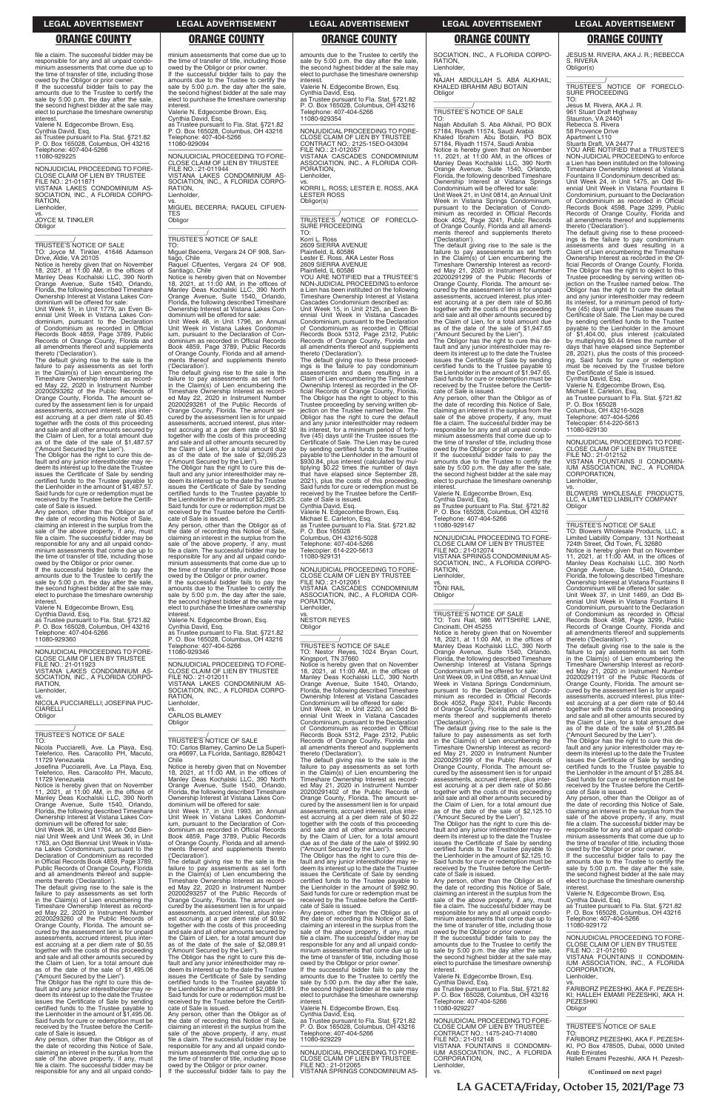file a claim. The successful bidder may be responsible for any and all unpaid condo-minium assessments that come due up to the time of transfer of title, including those owed by the Obligor or prior owner. If the successful bidder fails to pay the amounts due to the Trustee to certify the sale by 5:00 p.m. the day after the sale, the second highest bidder at the sale may elect to purchase the timeshare ownership interest.

Valerie N. Edgecombe Brown, Esq. Cynthia David, Esq. as Trustee pursuant to Fla. Stat. §721.82 P. O. Box 165028, Columbus, OH 43216 Telephone: 407-404-5266 11080-929225

—————————————————— NONJUDICIAL PROCEEDING TO FORE-CLOSE CLAIM OF LIEN BY TRUSTEE FILE NO.: 21-011871 VISTANA LAKES CONDOMINIUM AS-SOCIATION, INC., A FLORIDA CORPO-RATION, Lienholder, vs.

JOYCE M. TINKLER Obligor \_\_\_\_\_\_\_\_\_\_\_\_\_\_\_\_\_\_\_\_\_\_\_\_\_\_\_\_\_\_\_\_\_

\_\_\_\_\_\_\_\_\_\_\_/ TRUSTEE'S NOTICE OF SALE TO: Joyce M. Tinkler, 41646 Adamson

The default giving rise to the sale is the failure to pay assessments as set forth in the Claim(s) of Lien encumbering the Timeshare Ownership Interest as recorded May 22, 2020 in Instrument Number 20200293262 of the Public Records of Orange County, Florida. The amount secured by the assessment lien is for unpaid assessments, accrued interest, plus inter-est accruing at a per diem rate of \$0.45 together with the costs of this proceeding and sale and all other amounts secured by the Claim of Lien, for a total amount due as of the date of the sale of \$1,487.57

Drive, Aldie, VA 20105 Notice is hereby given that on November 18, 2021, at 11:00 AM, in the offices of Manley Deas Kochalski LLC, 390 North Orange Avenue, Suite 1540, Orlando, Florida, the following described Timeshare Ownership Interest at Vistana Lakes Con-dominium will be offered for sale:

Unit Week 51, in Unit 1779, an Even Biennial Unit Week in Vistana Lakes Con-dominium, pursuant to the Declaration of Condominium as recorded in Official Records Book 4859, Page 3789, Public Records of Orange County, Florida and all amendments thereof and supplements thereto ('Declaration').

vs. NICOLA PUCCIARELLI; JOSEFINA PUC-CIARELLI **Obligor**  $\overline{\phantom{a}}$  , and the set of the set of the set of the set of the set of the set of the set of the set of the set of the set of the set of the set of the set of the set of the set of the set of the set of the set of the s

("Amount Secured by the Lien"). The Obligor has the right to cure this default and any junior interestholder may re-deem its interest up to the date the Trustee issues the Certificate of Sale by sending certified funds to the Trustee payable to the Lienholder in the amount of \$1,487.57. Said funds for cure or redemption must be received by the Trustee before the Certificate of Sale is issued.

Any person, other than the Obligor as of the date of recording this Notice of Sale, claiming an interest in the surplus from the sale of the above property, if any, must file a claim. The successful bidder may be responsible for any and all unpaid condominium assessments that come due up to the time of transfer of title, including those

owed by the Obligor or prior owner. If the successful bidder fails to pay the amounts due to the Trustee to certify the sale by 5:00 p.m. the day after the sale, the second highest bidder at the sale may elect to purchase the timeshare ownership interest.

Valerie N. Edgecombe Brown, Esq.

TES **Obligor** 

Cynthia David, Esq. as Trustee pursuant to Fla. Stat. §721.82 P. O. Box 165028, Columbus, OH 43216 Telephone: 407-404-5266 11080-929360

—————————————————— NONJUDICIAL PROCEEDING TO FORE-CLOSE CLAIM OF LIEN BY TRUSTEE FILE NO.: 21-011923 VISTANA LAKES CONDOMINIUM AS-SOCIATION, INC., A FLORIDA CORPO-RATION, Lienholder,

# \_\_\_\_\_\_\_\_\_\_\_/ TRUSTEE'S NOTICE OF SALE

TO: Nicola Pucciarelli, Ave. La Playa, Esq. Teleferico, Res. Caracolito PH, Macuto, 11729 Venezuela

Josefina Pucciarelli, Ave. La Playa, Esq. Teleferico, Res. Caracolito PH, Macuto, 11729 Venezuela

Notice is hereby given that on November 11, 2021, at 11:00 AM, in the offices of Manley Deas Kochalski LLC, 390 North Orange Avenue, Suite 1540, Orlando, Florida, the following described Timeshare Ownership Interest at Vistana Lakes Condominium will be offered for sale: Unit Week 36, in Unit 1764, an Odd Bien-nial Unit Week and Unit Week 36, in Unit 1763, an Odd Biennial Unit Week in Vistana Lakes Condominium, pursuant to the Declaration of Condominium as recorded in Official Records Book 4859, Page 3789, Public Records of Orange County, Florida and all amendments thereof and supplements thereto ('Declaration'). The default giving rise to the sale is the failure to pay assessments as set forth in the Claim(s) of Lien encumbering the Timeshare Ownership Interest as record-ed May 22, 2020 in Instrument Number 20200293260 of the Public Records of Orange County, Florida. The amount se-cured by the assessment lien is for unpaid assessments, accrued interest, plus interest accruing at a per diem rate of \$0.55 together with the costs of this proceeding and sale and all other amounts secured by<br>the Claim of Lien, for a total amount due<br>as of the date of the sale of \$1,495.06<br>("Amount Secured by the Lien").<br>The Obligor has the right to cure this default and any junior interestholder may redeem its interest up to the date the Trustee issues the Certificate of Sale by sending certified funds to the Trustee payable to the Lienholder in the amount of \$1,495.06. Said funds for cure or redemption must be received by the Trustee before the Certificate of Sale is issued. Any person, other than the Obligor as of the date of recording this Notice of Sale, claiming an interest in the surplus from the sale of the above property, if any, must file a claim. The successful bidder may be responsible for any and all unpaid condo-

The Obligor has the right to cure this default and any junior interestholder may redeem its interest up to the date the Trustee issues the Certificate of Sale by sending certified funds to the Trustee payable to the Lienholder in the amount of \$2,089.91. Said funds for cure or redemption must be received by the Trustee before the Certificate of Sale is issued.

amounts due to the Trustee to certify the sale by 5:00 p.m. the day after the sale, the second highest bidder at the sale may elect to purchase the timeshare ownership **interest** 

minium assessments that come due up to the time of transfer of title, including those owed by the Obligor or prior owner. If the successful bidder fails to pay the amounts due to the Trustee to certify the sale by 5:00 p.m. the day after the sale, the second highest bidder at the sale may elect to purchase the timeshare ownership

> vs. KORRI L. ROSS; LESTER E. ROSS, AKA LESTER ROSS Obligor(s)  $\overline{\phantom{a}}$  , and the set of the set of the set of the set of the set of the set of the set of the set of the set of the set of the set of the set of the set of the set of the set of the set of the set of the set of the s

\_\_\_\_\_\_\_\_\_\_\_/<br>TRUSTEE'S NOTICE OF FORECLO-<br>SURE PROCEEDING

interest.

Valerie N. Edgecombe Brown, Esq. Cynthia David, Esq. as Trustee pursuant to Fla. Stat. §721.82 P. O. Box 165028, Columbus, OH 43216 Telephone: 407-404-5266

11080-929094

—————————————————— NONJUDICIAL PROCEEDING TO FORE-CLOSE CLAIM OF LIEN BY TRUSTEE FILE NO.: 21-011944 VISTANA LAKES CONDOMINIUM AS-SOCIATION, INC., A FLORIDA CORPO-

RATION, Lienholder,

vs. MIGUEL BECERRA; RAQUEL CIFUEN-

 $\overline{\phantom{a}}$  , and the set of the set of the set of the set of the set of the set of the set of the set of the set of the set of the set of the set of the set of the set of the set of the set of the set of the set of the s

TO:

Miguel Becerra, Vergara 24 OF 908, Santiago, Chile Raquel Cifuentes, Vergara 24 OF 908, Santiago, Chile

Notice is hereby given that on November 18, 2021, at 11:00 AM, in the offices of Manley Deas Kochalski LLC, 390 North Orange Avenue, Suite 1540, Orlando, Florida, the following described Timeshare Ownership Interest at Vistana Lakes Con-

dominium will be offered for sale: Unit Week 48, in Unit 1796, an Annual Unit Week in Vistana Lakes Condominium, pursuant to the Declaration of Con-dominium as recorded in Official Records Book 4859, Page 3789, Public Records of Orange County, Florida and all amendments thereof and supplements thereto ('Declaration').

> TO: Nestor Reyes, 1024 Bryan Court, Kingsport, TN 37660

The default giving rise to the sale is the failure to pay assessments as set forth in the Claim(s) of Lien encumbering the Timeshare Ownership Interest as record-ed May 22, 2020 in Instrument Number 20200293261 of the Public Records of Orange County, Florida. The amount se-cured by the assessment lien is for unpaid assessments, accrued interest, plus interest accruing at a per diem rate of \$0.92 together with the costs of this proceeding and sale and all other amounts secured by the Claim of Lien, for a total amount due as of the date of the sale of \$2,095.23

> The Obligor has the right to cure this default and any junior interestholder may redeem its interest up to the date the Trustee issues the Certificate of Sale by sending certified funds to the Trustee payable to the Lienholder in the amount of \$992.90. Said funds for cure or redemption must be received by the Trustee before the Certificate of Sale is issued.

("Amount Secured by the Lien"). The Obligor has the right to cure this de-fault and any junior interestholder may redeem its interest up to the date the Trustee issues the Certificate of Sale by sending certified funds to the Trustee payable to the Lienholder in the amount of \$2,095.23. Said funds for cure or redemption must be received by the Trustee before the Certificate of Sale is issued.

SOCIATION, INC., A FLORIDA CORPO-RATION, Lienholder

Any person, other than the Obligor as of the date of recording this Notice of Sale, claiming an interest in the surplus from the sale of the above property, if any, must file a claim. The successful bidder may be responsible for any and all unpaid condo-minium assessments that come due up to the time of transfer of title, including those owed by the Obligor or prior owner.

If the successful bidder fails to pay the amounts due to the Trustee to certify the sale by 5:00 p.m. the day after the sale, the second highest bidder at the sale may elect to purchase the timeshare ownership interest.

Valerie N. Edgecombe Brown, Esq. Cynthia David, Esq. as Trustee pursuant to Fla. Stat. §721.82 P. O. Box 165028, Columbus, OH 43216 Telephone: 407-404-5266 11080-929346

—————————————————— NONJUDICIAL PROCEEDING TO FORE-CLOSE CLAIM OF LIEN BY TRUSTEE FILE NO.: 21-012011 VISTANA LAKES CONDOMINIUM AS-SOCIATION, INC., A FLORIDA CORPO-RATION, Lienholder,

vs. CARLOS BLAMEY

Obligor

\_\_\_\_\_\_\_\_\_\_\_\_\_\_\_\_\_\_\_\_\_\_\_\_\_\_\_\_\_\_\_\_\_

\_\_\_\_\_\_\_\_\_\_\_/ TRUSTEE'S NOTICE OF SALE TO: Carlos Blamey, Camino De La Superi-ora #6697, La FLorida, Santiago, 8280421

### \_\_\_\_\_\_\_\_\_\_\_/ TRUSTEE'S NOTICE OF SALE Korri L. Ross 2609 SIERRA AVENUE Plainfield, IL 60586

Chile Notice is hereby given that on November 18, 2021, at 11:00 AM, in the offices of Manley Deas Kochalski LLC, 390 North Orange Avenue, Suite 1540, Orlando,

Florida, the following described Timeshare Ownership Interest at Vistana Lakes Condominium will be offered for sale: Unit Week 17, in Unit 1993, an Annual

vs. TONI RAIL **Obligor** 

Unit Week in Vistana Lakes Condominium, pursuant to the Declaration of Condominium as recorded in Official Records Book 4859, Page 3789, Public Records of Orange County, Florida and all amendments thereof and supplements thereto ('Declaration').

The default giving rise to the sale is the failure to pay assessments as set forth in the Claim(s) of Lien encumbering the Timeshare Ownership Interest as recorded May 22, 2020 in Instrument Number 20200293257 of the Public Records of Orange County, Florida. The amount secured by the assessment lien is for unpaid assessments, accrued interest, plus interest accruing at a per diem rate of \$0.92 together with the costs of this proceeding and sale and all other amounts secured by the Claim of Lien, for a total amount due as of the date of the sale of \$2,089.91 ("Amount Secured by the Lien").

Any person, other than the Obligor as of the date of recording this Notice of Sale, claiming an interest in the surplus from the sale of the above property, if any, must file a claim. The successful bidder may be responsible for any and all unpaid condominium assessments that come due up to the time of transfer of title, including those owed by the Obligor or prior owner. If the successful bidder fails to pay the

JESUS M. RIVERA, AKA J. R.; REBECCA S. RIVERA Obligor(s)  $\overline{\phantom{a}}$  ,  $\overline{\phantom{a}}$  ,  $\overline{\phantom{a}}$  ,  $\overline{\phantom{a}}$  ,  $\overline{\phantom{a}}$  ,  $\overline{\phantom{a}}$  ,  $\overline{\phantom{a}}$  ,  $\overline{\phantom{a}}$  ,  $\overline{\phantom{a}}$  ,  $\overline{\phantom{a}}$  ,  $\overline{\phantom{a}}$  ,  $\overline{\phantom{a}}$  ,  $\overline{\phantom{a}}$  ,  $\overline{\phantom{a}}$  ,  $\overline{\phantom{a}}$  ,  $\overline{\phantom{a}}$ 

\_\_\_\_\_\_\_\_\_\_\_/<br>TRUSTEE'S NOTICE OF FORECLO-<br>SURE PROCEEDING TO:

Valerie N. Edgecombe Brown, Esq. Cynthia David, Esq. as Trustee pursuant to Fla. Stat. §721.82

P. O. Box 165028, Columbus, OH 43216 Telephone: 407-404-5266 11080-929354

—————————————————— NONJUDICIAL PROCEEDING TO FORE-CLOSE CLAIM OF LIEN BY TRUSTEE CONTRACT NO.: 2125-15EO-043094 FILE NO.: 21-012057 VISTANA CASCADES CONDOMINIUM ASSOCIATION, INC., A FLORIDA COR-PORATION, Lienholder,

TO:

Lester E. Ross, AKA Lester Ross 2609 SIERRA AVENUE

Plainfield, IL 60586

vs. BLOWERS WHOLESALE PRODUCTS, LLC, A LIMITED LIABILITY COMPANY **Obligor**  $\overline{\phantom{a}}$  ,  $\overline{\phantom{a}}$  ,  $\overline{\phantom{a}}$  ,  $\overline{\phantom{a}}$  ,  $\overline{\phantom{a}}$  ,  $\overline{\phantom{a}}$  ,  $\overline{\phantom{a}}$  ,  $\overline{\phantom{a}}$  ,  $\overline{\phantom{a}}$  ,  $\overline{\phantom{a}}$  ,  $\overline{\phantom{a}}$  ,  $\overline{\phantom{a}}$  ,  $\overline{\phantom{a}}$  ,  $\overline{\phantom{a}}$  ,  $\overline{\phantom{a}}$  ,  $\overline{\phantom{a}}$ 

TRUSTEE'S MOTICE OF SALE<br>TO: Blowers Wholesale Products, LLC, a<br>Limited Liability Company, 131 Northeast<br>724th Street, Old Town, FL 32680<br>Notice is hereby given that on November<br>11, 2021, at 11:00 AM, in the offices of

YOU ARE NOTIFIED that a TRUSTEE'S NON-JUDICIAL PROCEEDING to enforce a Lien has been instituted on the following Timeshare Ownership Interest at Vistana Cascades Condominium described as: Unit Week 15, in Unit 2125, an Even Biennial Unit Week in Vistana Cascades Condominium, pursuant to the Declaration of Condominium as recorded in Official Records Book 5312, Page 2312, Public Records of Orange County, Florida and all amendments thereof and supplements

thereto ('Declaration').

The default giving rise to these proceed-ings is the failure to pay condominium assessments and dues resulting in a Claim of Lien encumbering the Timeshare Ownership Interest as recorded in the Official Records of Orange County, Florida. The Obligor has the right to object to this

Trustee proceeding by serving written ob-jection on the Trustee named below. The Obligor has the right to cure the default and any junior interestholder may redeem its interest, for a minimum period of fortyfive (45) days until the Trustee issues the Certificate of Sale. The Lien may be cured by sending certified funds to the Trustee payable to the Lienholder in the amount of \$930.84, plus interest (calculated by multiplying \$0.22 times the number of days have elapsed since September 28 2021), plus the costs of this proceeding. Said funds for cure or redemption must be received by the Trustee before the Certifi-cate of Sale is issued.

Cynthia David, Esq. Valerie N. Edgecombe Brown, Esq. Michael E. Carleton, Esq.

as Trustee pursuant to Fla. Stat. §721.82 P. O. Box 165028 Columbus, OH 43216-5028 —————————————————— NONJUDICIAL PROCEEDING TO FORE-CLOSE CLAIM OF LIEN BY TRUSTEE

Telephone: 407-404-5266 Telecopier: 614-220-5613 11080-929131

FILE NO.: 21-012061 VISTANA CASCADES CONDOMINIUM ASSOCIATION, INC., A FLORIDA COR-

PORATION, Lienholder, vs. NESTOR REYES **Obligor** \_\_\_\_\_\_\_\_\_\_\_\_\_\_\_\_\_\_\_\_\_\_\_\_\_\_\_\_\_\_\_\_\_

\_\_\_\_\_\_\_\_\_\_\_/ TRUSTEE'S NOTICE OF SALE

Notice is hereby given that on November<br>18, 2021, at 11:00 AM, in the offices of<br>Manley Deas Kochalski LLC, 390 North<br>Orange Avenue, Suite 1540, Orlando,<br>Florida, the following described Timeshare<br>Ownership Interest at Vis

Unit Week 02, in Unit 2220, an Odd Bi-

ennial Unit Week in Vistana Cascades Condominium, pursuant to the Declaration of Condominium as recorded in Official Records Book 5312, Page 2312, Public Records of Orange County, Florida and all amendments thereof and supplements thereto ('Declaration').

The default giving rise to the sale is the failure to pay assessments as set forth in the Claim(s) of Lien encumbering the Timeshare Ownership Interest as record-ed May 21, 2020 in Instrument Number 20200291402 of the Public Records of Orange County, Florida. The amount secured by the assessment lien is for unpaid assessments, accrued interest, plus inter-

est accruing at a per diem rate of \$0.22 together with the costs of this proceeding and sale and all other amounts secured by the Claim of Lien, for a total amount due as of the date of the sale of \$992.90 ("Amount Secured by the Lien").

Any person, other than the Obligor as of the date of recording this Notice of Sale, claiming an interest in the surplus from the sale of the above property, if any, must sale of the above property, if any, must file a claim. The successful bidder may be responsible for any and all unpaid condominium assessments that come due up to the time of transfer of title, including those

owed by the Obligor or prior owner. If the successful bidder fails to pay the amounts due to the Trustee to certify the sale by 5:00 p.m. the day after the sale, the second highest bidder at the sale may elect to purchase the timeshare ownership interest.

Valerie N. Edgecombe Brown, Esq. Cynthia David, Esq.

as Trustee pursuant to Fla. Stat. §721.82 P. O. Box 165028, Columbus, OH 43216 Telephone: 407-404-5266 11080-929229

—————————————————— NONJUDICIAL PROCEEDING TO FORE-CLOSE CLAIM OF LIEN BY TRUSTEE FILE NO.: 21-012065 VISTANA SPRINGS CONDOMINIUM AS-

vs. NAJAH ABDULLAH S. ABA ALKHAIL; KHALED IBRAHIM ABU BOTAIN Obligor \_\_\_\_\_\_\_\_\_\_\_\_\_\_\_\_\_\_\_\_\_\_\_\_\_\_\_\_\_\_\_\_\_

\_\_\_\_\_\_\_\_\_\_\_/ TRUSTEE'S NOTICE OF SALE

TO: Najah Abdullah S. Aba Alkhail, PO BOX 57184, Riyadh 11574, Saudi Arabia Khaled Ibrahim Abu Botain, PO BOX 57184, Riyadh 11574, Saudi Arabia Notice is hereby given that on November 11, 2021, at 11:00 AM, in the offices of

Manley Deas Kochalski LLC, 390 North Orange Avenue, Suite 1540, Orlando, Florida, the following described Timeshare Ownership Interest at Vistana Springs Condominium will be offered for sale: Unit Week 21, in Unit 0814, an Annual Unit

Week in Vistana Springs Condominium, pursuant to the Declaration of Condominium as recorded in Official Records Book 4052, Page 3241, Public Records of Orange County, Florida and all amendments thereof and supplements thereto ('Declaration'). The default giving rise to the sale is the

failure to pay assessments as set forth in the Claim(s) of Lien encumbering the Timeshare Ownership Interest as record-ed May 21, 2020 in Instrument Number 20200291299 of the Public Records of Orange County, Florida. The amount se-cured by the assessment lien is for unpaid assessments, accrued interest, plus interest accruing at a per diem rate of \$0.86 together with the costs of this proceeding and sale and all other amounts secured by the Claim of Lien, for a total amount due as of the date of the sale of \$1,947.65

("Amount Secured by the Lien"). The Obligor has the right to cure this default and any junior interestholder may re-deem its interest up to the date the Trustee issues the Certificate of Sale by sending certified funds to the Trustee payable to the Lienholder in the amount of \$1,947.65. Said funds for cure or redemption must be received by the Trustee before the Certifi-

cate of Sale is issued. Any person, other than the Obligor as of the date of recording this Notice of Sale, claiming an interest in the surplus from the sale of the above property, if any, must file a claim. The successful bidder may be responsible for any and all unpaid condo minium assessments that come due up to the time of transfer of title, including those

owed by the Obligor or prior owner. If the successful bidder fails to pay the amounts due to the Trustee to certify the sale by 5:00 p.m. the day after the sale, the second highest bidder at the sale may elect to purchase the timeshare ownership interest.

Valerie N. Edgecombe Brown, Esq. Cynthia David, Esq. as Trustee pursuant to Fla. Stat. §721.82 P. O. Box 165028, Columbus, OH 43216 Telephone: 407-404-5266 11080-929147

—————————————————— NONJUDICIAL PROCEEDING TO FORE-CLOSE CLAIM OF LIEN BY TRUSTEE FILE NO.: 21-012074 VISTANA SPRINGS CONDOMINIUM AS-SOCIATION, INC., A FLORIDA CORPO-RATION, Lienholder,

\_\_\_\_\_\_\_\_\_\_\_\_\_\_\_\_\_\_\_\_\_\_\_\_\_\_\_\_\_\_\_\_\_

\_\_\_\_\_\_\_\_\_\_\_/ TRUSTEE'S NOTICE OF SALE TO: Toni Rail, 986 WITTSHIRE LANE, Cincinatti, OH 45255

Notice is hereby given that on November 18, 2021, at 11:00 AM, in the offices of Manley Deas Kochalski LLC, 390 North Orange Avenue, Suite 1540, Orlando, Florida, the following described Timeshare Ownership Interest at Vistana Springs Condominium will be offered for sale:

Unit Week 09, in Unit 0858, an Annual Unit Week in Vistana Springs Condominium, pursuant to the Declaration of Condominium as recorded in Official Records Book 4052, Page 3241, Public Records of Orange County, Florida and all amendments thereof and supplements thereto ('Declaration').

The default giving rise to the sale is the failure to pay assessments as set forth in the Claim(s) of Lien encumbering the Timeshare Ownership Interest as record-ed May 21, 2020 in Instrument Number 20200291299 of the Public Records of Orange County, Florida. The amount se-cured by the assessment lien is for unpaid assessments, accrued interest, plus interest accruing at a per diem rate of \$0.86 together with the costs of this proceeding and sale and all other amounts secured by the Claim of Lien, for a total amount due as of the date of the sale of \$2,125.10

("Amount Secured by the Lien").

The Obligor has the right to cure this de-fault and any junior interestholder may redeem its interest up to the date the Trustee issues the Certificate of Sale by sending certified funds to the Trustee payable to the Lienholder in the amount of \$2,125.10. Said funds for cure or redemption must be received by the Trustee before the Certificate of Sale is issued. Any person, other than the Obligor as of

the date of recording this Notice of Sale, claiming an interest in the surplus from the sale of the above property, if any, must file a claim. The successful bidder may be responsible for any and all unpaid condominium assessments that come due up to the time of transfer of title, including those owed by the Obligor or prior owner. If the successful bidder fails to pay the

amounts due to the Trustee to certify the sale by 5:00 p.m. the day after the sale, the second highest bidder at the sale may elect to purchase the timeshare ownership

interest. Valerie N. Edgecombe Brown, Esq.

Cynthia David, Esq. as Trustee pursuant to Fla. Stat. §721.82 P. O. Box 165028, Columbus, OH 43216 Telephone: 407-404-5266 11080-929227

—————————————————— NONJUDICIAL PROCEEDING TO FORE-CLOSE CLAIM OF LIEN BY TRUSTEE CONTRACT NO.: 1475-24O-714080 FILE NO.: 21-012148 VISTANA FOUNTAINS II CONDOMIN-IUM ASSOCIATION, INC., A FLORIDA CORPORATION, Lienholder,

vs.

Jesus M. Rivera, AKA J. R. 961 Stuart Draft Highway Staunton, VA 24401

Rebecca S. Rivera

58 Provence Drive Apartment L110

Stuarts Draft, VA 24477 YOU ARE NOTIFIED that a TRUSTEE'S NON-JUDICIAL PROCEEDING to enforce a Lien has been instituted on the following Timeshare Ownership Interest at Vistana Fountains II Condominium described as: Unit Week 24, in Unit 1475, an Odd Bi-ennial Unit Week in Vistana Fountains II Condominium, pursuant to the Declaration of Condominium as recorded in Official Records Book 4598, Page 3299, Public Records of Orange County, Florida and all amendments thereof and supplements thereto ('Declaration').

The default giving rise to these proceed-ings is the failure to pay condominium assessments and dues resulting in a Claim of Lien encumbering the Timeshare Ownership Interest as recorded in the Of-ficial Records of Orange County, Florida. The Obligor has the right to object to this Trustee proceeding by serving written ob-jection on the Trustee named below. The Obligor has the right to cure the default and any junior interestholder may redeem its interest, for a minimum period of fortyfive (45) days until the Trustee issues the Certificate of Sale. The Lien may be cured by sending certified funds to the Trustee payable to the Lienholder in the amount of \$1,404.00, plus interest (calculated by multiplying \$0.44 times the number of days that have elapsed since September 28, 2021), plus the costs of this proceed-ing. Said funds for cure or redemption must be received by the Trustee before the Certificate of Sale is issued.

Cynthia David, Esq. Valerie N. Edgecombe Brown, Esq. Michael E. Carleton, Esq. as Trustee pursuant to Fla. Stat. §721.82 P. O. Box 165028

Columbus, OH 43216-5028 Telephone: 407-404-5266 Telecopier: 614-220-5613

11080-929130

—————————————————— NONJUDICIAL PROCEEDING TO FORE-CLOSE CLAIM OF LIEN BY TRUSTEE FILE NO.: 21-012152 VISTANA FOUNTAINS II CONDOMIN-IUM ASSOCIATION, INC., A FLORIDA CORPORATION, Lienholder,

Manley Deas Kochalski LLC, 390 North Orange Avenue, Suite 1540, Orlando, Florida, the following described Timeshare Ownership Interest at Vistana Fountains II Condominium will be offered for sale:

Unit Week 37, in Unit 1469, an Odd Biennial Unit Week in Vistana Fountains II Condominium, pursuant to the Declaration of Condominium as recorded in Official Records Book 4598, Page 3299, Public Records of Orange County, Florida and all amendments thereof and supplements thereto ('Declaration').

The default giving rise to the sale is the failure to pay assessments as set forth in the Claim(s) of Lien encumbering the Timeshare Ownership Interest as record-ed May 21, 2020 in Instrument Number 20200291191 of the Public Records of Orange County, Florida. The amount secured by the assessment lien is for unpaid assessments, accrued interest, plus inter-est accruing at a per diem rate of \$0.44 together with the costs of this proceeding and sale and all other amounts secured by the Claim of Lien, for a total amount due as of the date of the sale of \$1,285.84 ("Amount Secured by the Lien").

The Obligor has the right to cure this default and any junior interestholder may re-deem its interest up to the date the Trustee issues the Certificate of Sale by sending certified funds to the Trustee payable to the Lienholder in the amount of \$1,285.84. Said funds for cure or redemption must be received by the Trustee before the Certificate of Sale is issued.

Any person, other than the Obligor as of the date of recording this Notice of Sale, claiming an interest in the surplus from the ale of the above property, if any, must file a claim. The successful bidder may be responsible for any and all unpaid condominium assessments that come due up to the time of transfer of title, including those owed by the Obligor or prior owner. If the successful bidder fails to pay the amounts due to the Trustee to certify the sale by 5:00 p.m. the day after the sale, the second highest bidder at the sale may elect to purchase the timeshare ownership interest. Valerie N. Edgecombe Brown, Esq. Cynthia David, Esq. as Trustee pursuant to Fla. Stat. §721.82 P. O. Box 165028, Columbus, OH 43216 Telephone: 407-404-5266 11080-929172 —————————————————— NONJUDICIAL PROCEEDING TO FORE-CLOSE CLAIM OF LIEN BY TRUSTEE FILE NO.: 21-012160 VISTANA FOUNTAINS II CONDOMIN-IUM ASSOCIATION, INC., A FLORIDA CORPORATION, Lienholder, vs.<br>FARIBORZ PEZESHKI, AKA F. PEZESH-<br>KI; HALLEH EMAMI PEZESHKI, AKA H. PEZESHKI **Obligor** \_\_\_\_\_\_\_\_\_\_\_\_\_\_\_\_\_\_\_\_\_\_\_\_\_\_\_\_\_\_\_\_\_

\_\_\_\_\_\_\_\_\_\_\_/ TRUSTEE'S NOTICE OF SALE TO: FARIBORZ PEZESHKI, AKA F. PEZESH-KI, PO Box 478505, Dubai, 0000 United Arab Emirates

Halleh Emami Pezeshki, AKA H. Pezesh-

### **LEGAL ADVERTISEMENT LEGAL ADVERTISEMENT LEGAL ADVERTISEMENT LEGAL ADVERTISEMENT LEGAL ADVERTISEMENT**

**ORANGE COUNTY ORANGE COUNTY ORANGE COUNTY ORANGE COUNTY ORANGE COUNTY**

**(Continued on next page)**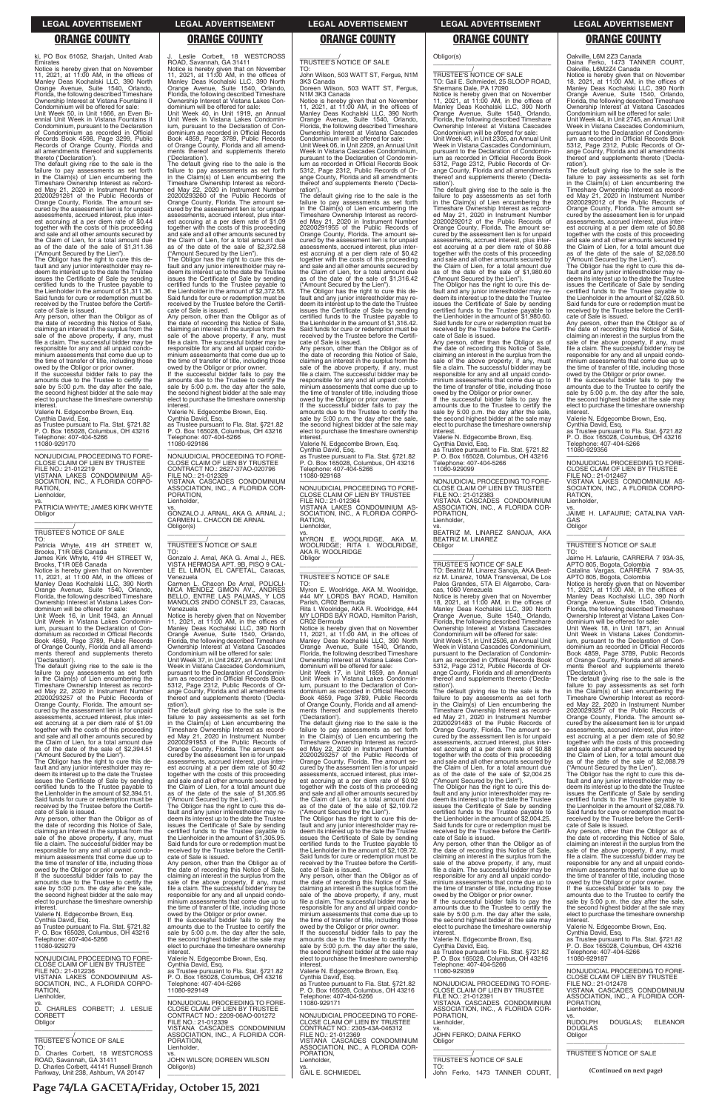ki, PO Box 61052, Sharjah, United Arab

Emirates<br>Notice is hereby given that on November<br>11, 2021, at 11:00 AM, in the offices of<br>Manley Deas Kochalski LLC, 390 North<br>Orange Avenue, Suite 1540, Orlando,<br>Florida, the following described Timeshare<br>Ownership Intere Condominium will be offered for sale:

Unit Week 50, in Unit 1666, an Even Bi-ennial Unit Week in Vistana Fountains II Condominium, pursuant to the Declaration of Condominium as recorded in Official Records Book 4598, Page 3299, Public Records of Orange County, Florida and all amendments thereof and supplements thereto ('Declaration').

The default giving rise to the sale is the failure to pay assessments as set forth in the Claim(s) of Lien encumbering the Timeshare Ownership Interest as recorded May 21, 2020 in Instrument Number 20200291261 of the Public Records of Orange County, Florida. The amount se-cured by the assessment lien is for unpaid assessments, accrued interest, plus interest accruing at a per diem rate of \$0.44 together with the costs of this proceeding and sale and all other amounts secured by the Claim of Lien, for a total amount due as of the date of the sale of \$1,311.36 ("Amount Secured by the Lien").

If the successful bidder fails to pay the amounts due to the Trustee to certify the sale by 5:00 p.m. the day after the sale, the second highest bidder at the sale may elect to purchase the timeshare ownership

The Obligor has the right to cure this de-fault and any junior interestholder may re-deem its interest up to the date the Trustee issues the Certificate of Sale by sending certified funds to the Trustee payable to the Lienholder in the amount of \$1,311.36. Said funds for cure or redemption must be received by the Trustee before the Certifi cate of Sale is issued.

Any person, other than the Obligor as of the date of recording this Notice of Sale, claiming an interest in the surplus from the sale of the above property, if any, must file a claim. The successful bidder may be responsible for any and all unpaid condominium assessments that come due up to the time of transfer of title, including those owed by the Obligor or prior owner.

The default giving rise to the sale is the failure to pay assessments as set forth in the Claim(s) of Lien encumbering the Timeshare Ownership Interest as record-ed May 22, 2020 in Instrument Number 20200293257 of the Public Records of Orange County, Florida. The amount se-cured by the assessment lien is for unpaid assessments, accrued interest, plus interest accruing at a per diem rate of \$1.09 together with the costs of this proceeding and sale and all other amounts secured by the Claim of Lien, for a total amount due as of the date of the sale of \$2,394.51

interest. Valerie N. Edgecombe Brown, Esq.

Cynthia David, Esq. as Trustee pursuant to Fla. Stat. §721.82 P. O. Box 165028, Columbus, OH 43216 Telephone: 407-404-5266 11080-929170

NON ILIDICIAL PROCEEDING TO FORE NONJUDICIAL PROCEEDING TO FORE-CLOSE CLAIM OF LIEN BY TRUSTEE FILE NO.: 21-012219 VISTANA LAKES CONDOMINIUM AS-SOCIATION, INC., A FLORIDA CORPO-RATION, Lienholder.

vs. PATRICIA WHYTE; JAMES KIRK WHYTE **Obligor** \_\_\_\_\_\_\_\_\_\_\_\_\_\_\_\_\_\_\_\_\_\_\_\_\_\_\_\_\_\_\_\_\_

# \_\_\_\_\_\_\_\_\_\_\_/ TRUSTEE'S NOTICE OF SALE

TO: Patricia Whyte, 419 4H STREET W, Brooks, T1R 0E6 Canada James Kirk Whyte, 419 4H STREET W,

Brooks, T1R 0E6 Canada Notice is hereby given that on November 11, 2021, at 11:00 AM, in the offices of Manley Deas Kochalski LLC, 390 North Orange Avenue, Suite 1540, Orlando, Florida, the following described Timeshare Ownership Interest at Vistana Lakes Con-

dominium will be offered for sale: Unit Week 16, in Unit 1943, an Annual Unit Week in Vistana Lakes Condominium, pursuant to the Declaration of Con-dominium as recorded in Official Records Book 4859, Page 3789, Public Records of Orange County, Florida and all amend-ments thereof and supplements thereto ('Declaration').

("Amount Secured by the Lien"). The Obligor has the right to cure this de-fault and any junior interestholder may redeem its interest up to the date the Trustee issues the Certificate of Sale by sending certified funds to the Trustee payable to the Lienholder in the amount of \$2,394.51. Said funds for cure or redemption must be received by the Trustee before the Certifi-

cate of Sale is issued.

J. Leslie Corbett, 18 WESTCROSS ROAD, Savannah, GA 31411 Notice is hereby given that on November 11, 2021, at 11:00 AM, in the offices of Manley Deas Kochalski LLC, 390 North

Orange Avenue, Suite 1540, Orlando, Florida, the following described Timeshare Ownership Interest at Vistana Lakes Con-

The default giving rise to the sale is the failure to pay assessments as set forth in the Claim(s) of Lien encumbering the Timeshare Ownership Interest as recorded May 22, 2020 in Instrument Number 20200293260 of the Public Records of Orange County, Florida. The amount se-cured by the assessment lien is for unpaid assessments, accrued interest, plus interest accruing at a per diem rate of \$1.09 together with the costs of this proceeding and sale and all other amounts secured by the Claim of Lien, for a total amount due as of the date of the sale of \$2,372.58 ("Amount Secured by the Lien"). The Obligor has the right to cure this default and any junior interestholder may re-deem its interest up to the date the Trustee issues the Certificate of Sale by sending certified funds to the Trustee payable to the Lienholder in the amount of \$2,372.58. Said funds for cure or redemption must be received by the Trustee before the Certifi-

dominium will be offered for sale: Unit Week 40, in Unit 1919, an Annual Unit Week in Vistana Lakes Condominium, pursuant to the Declaration of Condominium as recorded in Official Records Book 4859, Page 3789, Public Records of Orange County, Florida and all amendments thereof and supplements thereto

('Declaration').

the date of recording this Notice of Sale,<br>claiming an interest in the surplus from the<br>sale of the above property, if any, must<br>file a claim. The successful bidder may be responsible for any and all unpaid condo-minium assessments that come due up to the time of transfer of title, including those owed by the Obligor or prior owner. If the successful bidder fails to pay the

vs.<br>MYRON E. WOOLRIDGE, AKA M.<br>WOOLRIDGE; RITA I. WOOLRIDGE,<br>AKA R. WOOLRIDGE Obligor \_\_\_\_\_\_\_\_\_\_\_\_\_\_\_\_\_\_\_\_\_\_\_\_\_\_\_\_\_\_\_\_\_

cate of Sale is issued.

Notice is hereby given that on November<br>11, 2021, at 11:00 AM, in the offices of<br>Manley Deas Kochalski LLC, 390 North<br>Orange Avenue, Suite 1540, Orlando,<br>Florida, the following described Timeshare Ownership Interest at Vistana Lakes Con-

Any person, other than the Obligor as of the date of recording this Notice of Sale, claiming an interest in the surplus from the sale of the above property, if any, must file a claim. The successful bidder may be responsible for any and all unpaid condominium assessments that come due up to the time of transfer of title, including those owed by the Obligor or prior owner. If the successful bidder fails to pay the amounts due to the Trustee to certify the sale by 5:00 p.m. the day after the sale, the second highest bidder at the sale may elect to purchase the timeshare ownership interest. Valerie N. Edgecombe Brown, Esq. Cynthia David, Esq. as Trustee pursuant to Fla. Stat. §721.82 P. O. Box 165028, Columbus, OH 43216

> The default giving rise to the sale is the failure to pay assessments as set forth in the Claim(s) of Lien encumbering the Timeshare Ownership Interest as record-ed May 22, 2020 in Instrument Number 20200293257 of the Public Records of Orange County, Florida. The amount se-cured by the assessment lien is for unpaid assessments, accrued interest, plus interest accruing at a per diem rate of \$0.92 together with the costs of this proceeding and sale and all other amounts secured by the Claim of Lien, for a total amount due as of the date of the sale of \$2,109.72 ("Amount Secured by the Lien").

Telephone: 407-404-5266 11080-929186

—————————————————— NONJUDICIAL PROCEEDING TO FORE-CLOSE CLAIM OF LIEN BY TRUSTEE CONTRACT NO.: 2627-37AO-020796 FILE NO.: 21-012329 VISTANA CASCADES CONDOMINIUM ASSOCIATION, INC., A FLORIDA COR-

PORATION, Lienholder,

vs. GONZALO J. ARNAL, AKA G. ARNAL J.; CARMEN L. CHACON DE ARNAL

Obligor(s)

\_\_\_\_\_\_\_\_\_\_\_\_\_\_\_\_\_\_\_\_\_\_\_\_\_\_\_\_\_\_\_\_\_ \_\_\_\_\_\_\_\_\_\_\_/ TRUSTEE'S NOTICE OF SALE

TO:

Gonzalo J. Arnal, AKA G. Arnal J., RES. VISTA HERMOSA APT. 9B, PISO 9 CAL-LE EL LIMON, EL CAFETAL, Caracas,

Venezuela

Carmen L. Chacon De Arnal, POLICLI-NICA MENDEZ GIMON AV., ANDRES BELLO, ENTRE LAS PALMAS, Y LOS MANOLOS 2NDO CONSLT 23, Caracas, Venezuela Notice is hereby given that on November 11, 2021, at 11:00 AM, in the offices of Manley Deas Kochalski LLC, 390 North Orange Avenue, Suite 1540, Orlando, Florida, the following described Timeshare Ownership Interest at Vistana Cascades Condominium will be offered for sale: Unit Week 37, in Unit 2627, an Annual Unit Week in Vistana Cascades Condominium, pursuant to the Declaration of Condominium as recorded in Official Records Book 5312, Page 2312, Public Records of Orange County, Florida and all amendments thereof and supplements thereto ('Declaration'). The default giving rise to the sale is the failure to pay assessments as set forth in the Claim(s) of Lien encumbering the Timeshare Ownership Interest as recorded May 21, 2020 in Instrument Number 20200291953 of the Public Records of Orange County, Florida. The amount secured by the assessment lien is for unpaid assessments, accrued interest, plus interest accruing at a per diem rate of \$0.42 together with the costs of this proceeding and sale and all other amounts secured by the Claim of Lien, for a total amount due as of the date of the sale of \$1,305.95 ("Amount Secured by the Lien"). The Obligor has the right to cure this default and any junior interestholder may re $\overline{\phantom{a}}$  , and the set of the set of the set of the set of the set of the set of the set of the set of the set of the set of the set of the set of the set of the set of the set of the set of the set of the set of the s \_\_\_\_\_\_\_\_\_\_\_/ TRUSTEE'S NOTICE OF SALE

\_\_\_\_\_\_\_\_\_\_\_/ TRUSTEE'S NOTICE OF SALE

TO: John Wilson, 503 WATT ST, Fergus, N1M 3K3 Canada Doreen Wilson, 503 WATT ST, Fergus,

N1M 3K3 Canada

Notice is hereby given that on November 11, 2021, at 11:00 AM, in the offices of Manley Deas Kochalski LLC, 390 North Orange Avenue, Suite 1540, Orlando, Florida, the following described Timeshare Ownership Interest at Vistana Cascades Condominium will be offered for sale:

Unit Week 06, in Unit 2209, an Annual Unit Week in Vistana Cascades Condominium pursuant to the Declaration of Condomin ium as recorded in Official Records Book 5312, Page 2312, Public Records of Or-ange County, Florida and all amendments thereof and supplements thereto ('Declaration').

The default giving rise to the sale is the failure to pay assessments as set forth in the Claim(s) of Lien encumbering the Timeshare Ownership Interest as recorded May 21, 2020 in Instrument Number 20200291955 of the Public Records of Orange County, Florida. The amount secured by the assessment lien is for unpaid assessments, accrued interest, plus inter-est accruing at a per diem rate of \$0.42 together with the costs of this proceeding and sale and all other amounts secured by the Claim of Lien, for a total amount due as of the date of the sale of \$1,316.42

> —————————————————— NONJUDICIAL PROCEEDING TO FORE-CLOSE CLAIM OF LIEN BY TRUSTEE FILE NO.: 21-012467 VISTANA LAKES CONDOMINIUM AS-SOCIATION, INC., A FLORIDA CORPO-**RATION** Lienholder

> vs. JAIME H. LAFAURIE; CATALINA VAR-GAS **Obligor**  $\overline{\phantom{a}}$  ,  $\overline{\phantom{a}}$  ,  $\overline{\phantom{a}}$  ,  $\overline{\phantom{a}}$  ,  $\overline{\phantom{a}}$  ,  $\overline{\phantom{a}}$  ,  $\overline{\phantom{a}}$  ,  $\overline{\phantom{a}}$  ,  $\overline{\phantom{a}}$  ,  $\overline{\phantom{a}}$  ,  $\overline{\phantom{a}}$  ,  $\overline{\phantom{a}}$  ,  $\overline{\phantom{a}}$  ,  $\overline{\phantom{a}}$  ,  $\overline{\phantom{a}}$  ,  $\overline{\phantom{a}}$

("Amount Secured by the Lien"). The Obligor has the right to cure this default and any junior interestholder may redeem its interest up to the date the Trustee issues the Certificate of Sale by sending certified funds to the Trustee payable to the Lienholder in the amount of \$1,316.42. Said funds for cure or redemption must be received by the Trustee before the Certificate of Sale is issued. Any person, other than the Obligor as of

> The Obligor has the right to cure this default and any junior interestholder may re-deem its interest up to the date the Trustee issues the Certificate of Sale by sending certified funds to the Trustee payable to the Lienholder in the amount of \$2,088.79. Said funds for cure or redemption must be

amounts due to the Trustee to certify the sale by 5:00 p.m. the day after the sale, the second highest bidder at the sale may elect to purchase the timeshare ownership interest.

Valerie N. Edgecombe Brown, Esq. Cynthia David, Esq. as Trustee pursuant to Fla. Stat. §721.82 P. O. Box 165028, Columbus, OH 43216

Telephone: 407-404-5266 11080-929168

—————————————————— NONJUDICIAL PROCEEDING TO FORE-CLOSE CLAIM OF LIEN BY TRUSTEE FILE NO.: 21-012364 VISTANA LAKES CONDOMINIUM AS-SOCIATION, INC., A FLORIDA CORPO-RATION, Lienholder,

# \_\_\_\_\_\_\_\_\_\_\_/ TRUSTEE'S NOTICE OF SALE

TO:

Myron E. Woolridge, AKA M. Woolridge, #44 MY LORDS BAY ROAD, Hamilton Parish, CR02 Bermuda

Rita I. Woolridge, AKA R. Woolridge, #44 MY LORDS BAY ROAD, Hamilton Parish, CR02 Bermuda

dominium will be offered for sale: Unit Week 17, in Unit 1859, an Annual Unit Week in Vistana Lakes Condominium, pursuant to the Declaration of Con-dominium as recorded in Official Records Book 4859, Page 3789, Public Records of Orange County, Florida and all amend-ments thereof and supplements thereto ('Declaration').

| Any person, other than the Obligor as of<br>the date of recording this Notice of Sale,<br>claiming an interest in the surplus from the<br>sale of the above property, if any, must<br>file a claim. The successful bidder may be                                       | deem its interest up to the date the Trustee<br>issues the Certificate of Sale by sending<br>certified funds to the Trustee payable to<br>the Lienholder in the amount of \$1,305.95.<br>Said funds for cure or redemption must be                           | The Obligor has the right to cure this de-<br>fault and any junior interestholder may re-<br>deem its interest up to the date the Trustee<br>issues the Certificate of Sale by sending<br>certified funds to the Trustee payable to                                       | the Lienholder in the amount of \$2,004.25.<br>Said funds for cure or redemption must be<br>received by the Trustee before the Certifi-<br>cate of Sale is issued.<br>Any person, other than the Obligor as of                                                              | received by the Trustee before the Certifi-<br>cate of Sale is issued.<br>Any person, other than the Obligor as of<br>the date of recording this Notice of Sale,<br>claiming an interest in the surplus from the                                                       |
|------------------------------------------------------------------------------------------------------------------------------------------------------------------------------------------------------------------------------------------------------------------------|--------------------------------------------------------------------------------------------------------------------------------------------------------------------------------------------------------------------------------------------------------------|---------------------------------------------------------------------------------------------------------------------------------------------------------------------------------------------------------------------------------------------------------------------------|-----------------------------------------------------------------------------------------------------------------------------------------------------------------------------------------------------------------------------------------------------------------------------|------------------------------------------------------------------------------------------------------------------------------------------------------------------------------------------------------------------------------------------------------------------------|
| responsible for any and all unpaid condo-<br>minium assessments that come due up to<br>the time of transfer of title, including those<br>owed by the Obligor or prior owner.<br>If the successful bidder fails to pay the<br>amounts due to the Trustee to certify the | received by the Trustee before the Certifi-<br>cate of Sale is issued.<br>Any person, other than the Obligor as of<br>the date of recording this Notice of Sale,<br>claiming an interest in the surplus from the<br>sale of the above property, if any, must | the Lienholder in the amount of \$2.109.72.<br>Said funds for cure or redemption must be<br>received by the Trustee before the Certifi-<br>cate of Sale is issued.<br>Any person, other than the Obligor as of<br>the date of recording this Notice of Sale,              | the date of recording this Notice of Sale,<br>claiming an interest in the surplus from the<br>sale of the above property, if any, must<br>file a claim. The successful bidder may be<br>responsible for any and all unpaid condo-<br>minium assessments that come due up to | sale of the above property, if any, must<br>file a claim. The successful bidder may be<br>responsible for any and all unpaid condo-<br>minium assessments that come due up to<br>the time of transfer of title, including those<br>owed by the Obligor or prior owner. |
| sale by 5:00 p.m. the day after the sale,<br>the second highest bidder at the sale may<br>elect to purchase the timeshare ownership<br>interest.<br>Valerie N. Edgecombe Brown, Esg.                                                                                   | file a claim. The successful bidder may be<br>responsible for any and all unpaid condo-<br>minium assessments that come due up to<br>the time of transfer of title, including those<br>owed by the Obligor or prior owner.                                   | claiming an interest in the surplus from the<br>sale of the above property, if any, must<br>file a claim. The successful bidder may be<br>responsible for any and all unpaid condo-<br>minium assessments that come due up to                                             | the time of transfer of title, including those<br>owed by the Obligor or prior owner.<br>If the successful bidder fails to pay the<br>amounts due to the Trustee to certify the<br>sale by 5:00 p.m. the day after the sale,                                                | If the successful bidder fails to pay the<br>amounts due to the Trustee to certify the<br>sale by 5:00 p.m. the day after the sale,<br>the second highest bidder at the sale may<br>elect to purchase the timeshare ownership                                          |
| Cynthia David, Esg.<br>as Trustee pursuant to Fla. Stat. §721.82<br>P. O. Box 165028, Columbus, OH 43216<br>Telephone: 407-404-5266<br>11080-929279                                                                                                                    | If the successful bidder fails to pay the<br>amounts due to the Trustee to certify the<br>sale by 5:00 p.m. the day after the sale,<br>the second highest bidder at the sale may<br>elect to purchase the timeshare ownership<br>interest.                   | the time of transfer of title, including those<br>owed by the Obligor or prior owner.<br>If the successful bidder fails to pay the<br>amounts due to the Trustee to certify the<br>sale by 5:00 p.m. the day after the sale,<br>the second highest bidder at the sale may | the second highest bidder at the sale may<br>elect to purchase the timeshare ownership<br>interest.<br>Valerie N. Edgecombe Brown. Esg.<br>Cynthia David, Esg.<br>as Trustee pursuant to Fla. Stat. §721.82                                                                 | interest.<br>Valerie N. Edgecombe Brown, Esg.<br>Cynthia David, Esq.<br>as Trustee pursuant to Fla. Stat. §721.82<br>P. O. Box 165028, Columbus, OH 43216<br>Telephone: 407-404-5266                                                                                   |
| NONJUDICIAL PROCEEDING TO FORE-<br>CLOSE CLAIM OF LIEN BY TRUSTEE<br>FILE NO.: 21-012236<br>VISTANA LAKES CONDOMINIUM AS-<br>SOCIATION, INC., A FLORIDA CORPO-<br>RATION.                                                                                              | Valerie N. Edgecombe Brown, Esg.<br>Cynthia David, Esq.<br>as Trustee pursuant to Fla. Stat. §721.82<br>P. O. Box 165028, Columbus, OH 43216<br>Telephone: 407-404-5266<br>11080-929149                                                                      | elect to purchase the timeshare ownership<br>interest.<br>Valerie N. Edgecombe Brown, Esg.<br>Cynthia David, Esq.<br>as Trustee pursuant to Fla. Stat. §721.82<br>P. O. Box 165028, Columbus, OH 43216                                                                    | P. O. Box 165028, Columbus, OH 43216<br>Telephone: 407-404-5266<br>11080-929359<br>NONJUDICIAL PROCEEDING TO FORE-<br>CLOSE CLAIM OF LIEN BY TRUSTEE                                                                                                                        | 11080-929187<br>NONJUDICIAL PROCEEDING TO FORE-<br>CLOSE CLAIM OF LIEN BY TRUSTEE<br>FILE NO.: 21-012478<br>VISTANA CASCADES CONDOMINIUM                                                                                                                               |
| Lienholder,<br>D. CHARLES CORBETT; J. LESLIE<br><b>CORBETT</b><br>Obligor                                                                                                                                                                                              | NONJUDICIAL PROCEEDING TO FORE-<br>CLOSE CLAIM OF LIEN BY TRUSTEE<br>CONTRACT NO.: 2209-06AO-001272<br>FILE NO.: 21-012339<br>VISTANA CASCADES CONDOMINIUM                                                                                                   | Telephone: 407-404-5266<br>11080-929171<br>NONJUDICIAL PROCEEDING TO FORE-<br>CLOSE CLAIM OF LIEN BY TRUSTEE<br>CONTRACT NO.: 2305-43A-046312                                                                                                                             | FILE NO.: 21-012391<br>VISTANA CASCADES CONDOMINIUM<br>ASSOCIATION, INC., A FLORIDA COR-<br>PORATION.<br>Lienholder.<br>VS.                                                                                                                                                 | ASSOCIATION, INC., A FLORIDA COR-<br>PORATION.<br>Lienholder,<br>VS.<br>DOUGLAS:<br><b>ELEANOR</b><br><b>RUDOLPH</b><br><b>DOUGLAS</b>                                                                                                                                 |
| <b>TRUSTEE'S NOTICE OF SALE</b><br>TO:<br>D. Charles Corbett. 18 WESTCROSS<br>ROAD, Savannah, GA 31411<br>D. Charles Corbett, 44141 Russell Branch                                                                                                                     | ASSOCIATION, INC., A FLORIDA COR-<br>PORATION.<br>Lienholder,<br>VS.<br>JOHN WILSON: DOREEN WILSON                                                                                                                                                           | FILE NO.: 21-012369<br>VISTANA CASCADES CONDOMINIUM<br>ASSOCIATION, INC., A FLORIDA COR-<br>PORATION.<br>Lienholder,                                                                                                                                                      | JOHN FERKO; DAINA FERKO<br>Obligor<br><b>TRUSTEE'S NOTICE OF SALE</b><br>TO:                                                                                                                                                                                                | Obligor<br>TRUSTEE'S NOTICE OF SALE                                                                                                                                                                                                                                    |
| Parkway, Unit 238, Ashburn, VA 20147                                                                                                                                                                                                                                   | Obligor(s)                                                                                                                                                                                                                                                   | VS.<br><b>GAIL E. SCHMIEDEL</b>                                                                                                                                                                                                                                           | John Ferko, 1473 TANNER COURT,                                                                                                                                                                                                                                              | (Continued on next page)                                                                                                                                                                                                                                               |

Obligor(s)

\_\_\_\_\_\_\_\_\_\_\_\_\_\_\_\_\_\_\_\_\_\_\_\_\_\_\_\_\_\_\_\_\_ \_\_\_\_\_\_\_\_\_\_\_/ TRUSTEE'S NOTICE OF SALE

TO: Gail E. Schmiedel, 25 SLOOP ROAD, Shermans Dale, PA 17090 Notice is hereby given that on November 11, 2021, at 11:00 AM, in the offices of Manley Deas Kochalski LLC, 390 North Orange Avenue, Suite 1540, Orlando, Florida, the following described Timeshare Ownership Interest at Vistana Cascades Condominium will be offered for sale: Unit Week 43, in Unit 2305, an Annual Unit Week in Vistana Cascades Condominium, pursuant to the Declaration of Condomin-ium as recorded in Official Records Book 5312, Page 2312, Public Records of Orange County, Florida and all amendments thereof and supplements thereto ('Decla-

ration').

The default giving rise to the sale is the failure to pay assessments as set forth in the Claim(s) of Lien encumbering the Timeshare Ownership Interest as record-ed May 21, 2020 in Instrument Number 20200292012 of the Public Records of Orange County, Florida. The amount se-cured by the assessment lien is for unpaid assessments, accrued interest, plus interest accruing at a per diem rate of \$0.88 together with the costs of this proceeding and sale and all other amounts secured by the Claim of Lien, for a total amount due as of the date of the sale of \$1,980.60 ("Amount Secured by the Lien"). The Obligor has the right to cure this de-fault and any junior interestholder may redeem its interest up to the date the Trustee issues the Certificate of Sale by sending certified funds to the Trustee payable to the Lienholder in the amount of \$1,980.60. Said funds for cure or redemption must be received by the Trustee before the Certifi-

cate of Sale is issued.

Any person, other than the Obligor as of the date of recording this Notice of Sale, claiming an interest in the surplus from the sale of the above property, if any, must file a claim. The successful bidder may be responsible for any and all unpaid condominium assessments that come due up to the time of transfer of title, including those owed by the Obligor or prior owner. If the successful bidder fails to pay the amounts due to the Trustee to certify the sale by 5:00 p.m. the day after the sale. the second highest bidder at the sale may elect to purchase the timeshare ownership

interest. Valerie N. Edgecombe Brown, Esq. Cynthia David, Esq. as Trustee pursuant to Fla. Stat. §721.82 P. O. Box 165028, Columbus, OH 43216 Telephone: 407-404-5266

11080-929099

—————————————————— NONJUDICIAL PROCEEDING TO FORE-CLOSE CLAIM OF LIEN BY TRUSTEE FILE NO.: 21-012383 VISTANA CASCADES CONDOMINIUM ASSOCIATION, INC., A FLORIDA COR-

PORATION, Lienholder,

**Obligor** 

vs. BEATRIZ M. LINAREZ SANOJA, AKA

TO: Beatriz M. Linarez Sanoja, AKA Beat-riz M. Linarez, 10MA Transversal, De Los Palos Grandes, 5TA El Algarrobo, Cara-

cas, 1060 Venezuela

Notice is hereby given that on November 18, 2021, at 11:00 AM, in the offices of Manley Deas Kochalski LLC, 390 North Orange Avenue, Suite 1540, Orlando, Florida, the following described Timeshare Ownership Interest at Vistana Cascades Condominium will be offered for sale: Unit Week 51, in Unit 2506, an Annual Unit Week in Vistana Cascades Condominium, pursuant to the Declaration of Condominium as recorded in Official Records Book 5312, Page 2312, Public Records of Or-ange County, Florida and all amendments thereof and supplements thereto ('Decla-

ration').

BEATRIZ M. LINAREZ

The default giving rise to the sale is the failure to pay assessments as set forth in the Claim(s) of Lien encumbering the Timeshare Ownership Interest as record-

ed May 21, 2020 in Instrument Number 20200291483 of the Public Records of Orange County, Florida. The amount secured by the assessment lien is for unpaid assessments, accrued interest, plus inter-est accruing at a per diem rate of \$0.88 together with the costs of this proceeding and sale and all other amounts secured by the Claim of Lien, for a total amount due as of the date of the sale of \$2,004.25 ("Amount Secured by the Lien"). The Obligor has the right to cure this default and any junior interestholder may redeem its interest up to the date the Trustee issues the Certificate of Sale by sending certified funds to the Trustee payable to

Oakville, L6M 2Z3 Canada Daina Ferko, 1473 TANNER COURT, Oakville, L6M2Z4 Canada

Notice is hereby given that on November 18, 2021, at 11:00 AM, in the offices of Manley Deas Kochalski LLC, 390 North Orange Avenue, Suite 1540, Orlando, Florida, the following described Timeshare Ownership Interest at Vistana Cascades Condominium will be offered for sale:

Unit Week 44, in Unit 2745, an Annual Unit Week in Vistana Cascades Condominium, pursuant to the Declaration of Condomin-ium as recorded in Official Records Book 5312, Page 2312, Public Records of Orange County, Florida and all amendments thereof and supplements thereto ('Declaration').

The default giving rise to the sale is the failure to pay assessments as set forth in the Claim(s) of Lien encumbering the Timeshare Ownership Interest as record-ed May 21, 2020 in Instrument Number 20200292012 of the Public Records of Orange County, Florida. The amount se-cured by the assessment lien is for unpaid assessments, accrued interest, plus interest accruing at a per diem rate of \$0.88 together with the costs of this proceeding and sale and all other amounts secured by the Claim of Lien, for a total amount due as of the date of the sale of \$2,028.50 ("Amount Secured by the Lien").

The Obligor has the right to cure this de-fault and any junior interestholder may redeem its interest up to the date the Trustee issues the Certificate of Sale by sending certified funds to the Trustee payable to the Lienholder in the amount of \$2,028.50. Said funds for cure or redemption must be received by the Trustee before the Certificate of Sale is issued.

Any person, other than the Obligor as of the date of recording this Notice of Sale, claiming an interest in the surplus from the<br>sale of the above property, if any, must sale of the above property, if any, must file a claim. The successful bidder may be responsible for any and all unpaid condo-minium assessments that come due up to the time of transfer of title, including those

owed by the Obligor or prior owner. If the successful bidder fails to pay the amounts due to the Trustee to certify the sale by 5:00 p.m. the day after the sale the second highest bidder at the sale may elect to purchase the timeshare ownership interest.

Valerie N. Edgecombe Brown, Esq. Cynthia David, Esq.

as Trustee pursuant to Fla. Stat. §721.82 P. O. Box 165028, Columbus, OH 43216 Telephone: 407-404-5266 11080-929356

# \_\_\_\_\_\_\_\_\_\_\_/ TRUSTEE'S NOTICE OF SALE

TO: Jaime H. Lafaurie, CARRERA 7 93A-35, APTO 805, Bogota, Colombia Catalina Vargas, CARRERA 7 93A-35, APTO 805, Bogota, Colombia

Notice is hereby given that on November 11, 2021, at 11:00 AM, in the offices of Manley Deas Kochalski LLC, 390 North Orange Avenue, Suite 1540, Orlando, Florida, the following described Timeshare Ownership Interest at Vistana Lakes Condominium will be offered for sale:

Unit Week 18, in Unit 1871, an Annual Unit Week in Vistana Lakes Condominium, pursuant to the Declaration of Condominium as recorded in Official Records Book 4859, Page 3789, Public Records of Orange County, Florida and all amend-ments thereof and supplements thereto ('Declaration').

The default giving rise to the sale is the failure to pay assessments as set forth in the Claim(s) of Lien encumbering the Timeshare Ownership Interest as recorded May 22, 2020 in Instrument Number 20200293257 of the Public Records of Orange County, Florida. The amount secured by the assessment lien is for unpaid assessments, accrued interest, plus interest accruing at a per diem rate of \$0.92 together with the costs of this proceeding and sale and all other amounts secured by the Claim of Lien, for a total amount due as of the date of the sale of \$2,088.79 ("Amount Secured by the Lien").

**LEGAL ADVERTISEMENT LEGAL ADVERTISEMENT LEGAL ADVERTISEMENT LEGAL ADVERTISEMENT LEGAL ADVERTISEMENT**

### **ORANGE COUNTY ORANGE COUNTY ORANGE COUNTY ORANGE COUNTY ORANGE COUNTY**

**Page 74/LA GACETA/Friday, October 15, 2021**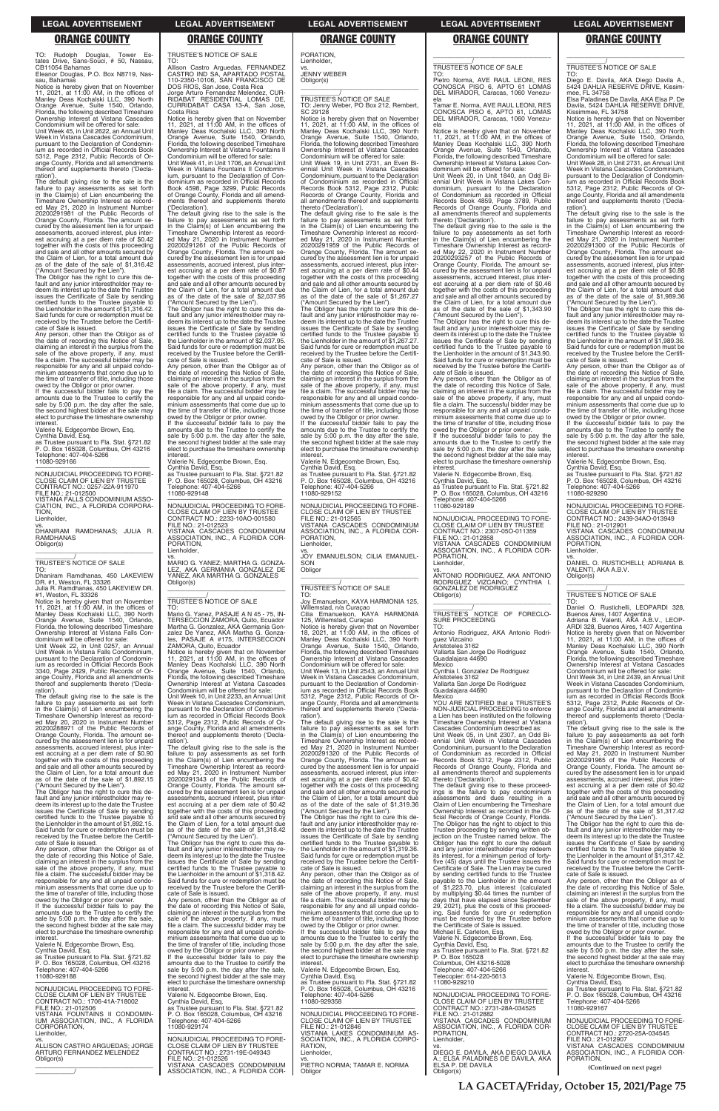TO: Rudolph Douglas, Tower Es-tates Drive, Sans-Souci, # 50, Nassau, CB11054 Bahamas Eleanor Douglas, P.O. Box N8719, Nas-

sau, Bahamas Notice is hereby given that on November 11, 2021, at 11:00 AM, in the offices of Manley Deas Kochalski LLC, 390 North

Orange Avenue, Suite 1540, Orlando, Florida, the following described Timeshare Ownership Interest at Vistana Cascades Condominium will be offered for sale: Unit Week 45, in Unit 2622, an Annual Unit

Week in Vistana Cascades Condominium, pursuant to the Declaration of Condomin-ium as recorded in Official Records Book 5312, Page 2312, Public Records of Orange County, Florida and all amendments thereof and supplements thereto ('Declaration').

The default giving rise to the sale is the failure to pay assessments as set forth<br>Timeshare Ownership Interest as record-<br>Ed May 21, 2020 in Instrument Number<br>ed May 21, 2020 in Instrument Number<br>20200291981 of the Public Records of Orange County, Florida. The amount se-cured by the assessment lien is for unpaid assessments, accrued interest, plus interest accruing at a per diem rate of \$0.42 together with the costs of this proceeding and sale and all other amounts secured by the Claim of Lien, for a total amount due as of the date of the sale of \$1,316.42 ("Amount Secured by the Lien").

If the successful bidder fails to pay the amounts due to the Trustee to certify the sale by 5:00 p.m. the day after the sale, the second highest bidder at the sale may elect to purchase the timeshare ownership **interest** 

vs. DHANIRAM RAMDHANAS; JULIA R. RAMDHANAS Obligor(s)  $\overline{\phantom{a}}$  ,  $\overline{\phantom{a}}$  ,  $\overline{\phantom{a}}$  ,  $\overline{\phantom{a}}$  ,  $\overline{\phantom{a}}$  ,  $\overline{\phantom{a}}$  ,  $\overline{\phantom{a}}$  ,  $\overline{\phantom{a}}$  ,  $\overline{\phantom{a}}$  ,  $\overline{\phantom{a}}$  ,  $\overline{\phantom{a}}$  ,  $\overline{\phantom{a}}$  ,  $\overline{\phantom{a}}$  ,  $\overline{\phantom{a}}$  ,  $\overline{\phantom{a}}$  ,  $\overline{\phantom{a}}$ 

The Obligor has the right to cure this default and any junior interestholder may redeem its interest up to the date the Trustee issues the Certificate of Sale by sending certified funds to the Trustee payable to the Lienholder in the amount of \$1,316.42. Said funds for cure or redemption must be received by the Trustee before the Certifi-cate of Sale is issued.

Any person, other than the Obligor as of the date of recording this Notice of Sale, claiming an interest in the surplus from the sale of the above property, if any, must file a claim. The successful bidder may be responsible for any and all unpaid condo-minium assessments that come due up to the time of transfer of title, including those owed by the Obligor or prior owner.

Valerie N. Edgecombe Brown, Esq. Cynthia David, Esq. as Trustee pursuant to Fla. Stat. §721.82 P. O. Box 165028, Columbus, OH 43216 Telephone: 407-404-5266 11080-929166

—————————————————— NONJUDICIAL PROCEEDING TO FORE-CLOSE CLAIM OF LIEN BY TRUSTEE CONTRACT NO.: 0257-22A-911970 FILE NO.: 21-012500 VISTANA FALLS CONDOMINIUM ASSO-CIATION, INC., A FLORIDA CORPORA-TION, Lienholder,

The Obligor has the right to cure this de fault and any junior interestholder may redeem its interest up to the date the Trustee issues the Certificate of Sale by sending certified funds to the Trustee the Lienholder in the amount of \$1,892.15. Said funds for cure or redemption must be received by the Trustee before the Certificate of Sale is issued. Any person, other than the Obligor as of the date of recording this Notice of Sale, claiming an interest in the surplus from the sale of the above property, if any, must file a claim. The successful bidder may be responsible for any and all unpaid condominium assessments that come due up to the time of transfer of title, including those owed by the Obligor or prior owner. If the successful bidder fails to pay the amounts due to the Trustee to certify the sale by 5:00 p.m. the day after the sale. the second highest bidder at the sale may elect to purchase the timeshare ownership interest. Valerie N. Edgecombe Brown, Esq. Cynthia David, Esq. as Trustee pursuant to Fla. Stat. §721.82 P. O. Box 165028, Columbus, OH 43216 Telephone: 407-404-5266 11080-929188

vs. ALLISON CASTRO ARGUEDAS; JORGE ARTURO FERNANDEZ MELENDEZ Obligor(s)  $\overline{\phantom{a}}$  ,  $\overline{\phantom{a}}$  ,  $\overline{\phantom{a}}$  ,  $\overline{\phantom{a}}$  ,  $\overline{\phantom{a}}$  ,  $\overline{\phantom{a}}$  ,  $\overline{\phantom{a}}$  ,  $\overline{\phantom{a}}$  ,  $\overline{\phantom{a}}$  ,  $\overline{\phantom{a}}$  ,  $\overline{\phantom{a}}$  ,  $\overline{\phantom{a}}$  ,  $\overline{\phantom{a}}$  ,  $\overline{\phantom{a}}$  ,  $\overline{\phantom{a}}$  ,  $\overline{\phantom{a}}$ 

 $\overline{\phantom{a}}$ 

\_\_\_\_\_\_\_\_\_\_\_/ TRUSTEE'S NOTICE OF SALE

TO: Dhaniram Ramdhanas, 450 LAKEVIEW DR. #1, Weston, FL 33326 Julia R. Ramdhanas, 450 LAKEVIEW DR. #1, Weston, FL 33326

Notice is hereby given that on November 11, 2021, at 11:00 AM, in the offices of Manley Deas Kochalski LLC, 390 North Orange Avenue, Suite 1540, Orlando, Florida, the following described Timeshare Ownership Interest at Vistana Falls Con-

dominium will be offered for sale: Unit Week 22, in Unit 0257, an Annual Unit Week in Vistana Falls Condominium, pursuant to the Declaration of Condomin-ium as recorded in Official Records Book 3340, Page 2429, Public Records of Orange County, Florida and all amendments thereof and supplements thereto ('Declaration').

The default giving rise to the sale is the failure to pay assessments as set forth in the Claim(s) of Lien encumbering the Timeshare Ownership Interest as record-ed May 20, 2020 in Instrument Number 20200288971 of the Public Records of Orange County, Florida. The amount se-cured by the assessment lien is for unpaid assessments, accrued interest, plus interest accruing at a per diem rate of \$0.90 together with the costs of this proceeding and sale and all other amounts secured by the Claim of Lien, for a total amount due as of the date of the sale of \$1,892.15 ("Amount Secured by the Lien").

PORATION, Lienholder, vs.<br>MARIO G. YANEZ; MARTHA G. GONZA-<br>LEZ, AKA GERMANIA GONZALEZ DE<br>YANEZ, AKA MARTHA G. GONZALES

les, PASAJE A #175, INTERSECCION<br>ZAMORA, Quito, Ecuador<br>Notice is hereby given that on November<br>11, 2021, at 11:00 AM, in the offices of<br>Manley Deas Kochalski LLC, 390 North<br>Orange Avenue, Suite 1540, Orlando, Florida, the following described Timeshare Ownership Interest at Vistana Cascades Condominium will be offered for sale:

Unit Week 10, in Unit 2233, an Annual Unit Week in Vistana Cascades Condominium, pursuant to the Declaration of Condominium as recorded in Official Records Book 5312, Page 2312, Public Records of Orange County, Florida and all amendments thereof and supplements thereto ('Declaration')

The Obligor has the right to cure this default and any junior interestholder may redeem its interest up to the date the Trustee issues the Certificate of Sale by sending certified funds to the Trustee payable to the Lienholder in the amount of \$1,318.42. Said funds for cure or redemption must be received by the Trustee before the Certificate of Sale is issued.

—————————————————— NONJUDICIAL PROCEEDING TO FORE-CLOSE CLAIM OF LIEN BY TRUSTEE CONTRACT NO.: 1706-41A-718002 FILE NO.: 21-012506 VISTANA FOUNTAINS II CONDOMIN-IUM ASSOCIATION, INC., A FLORIDA CORPORATION, Lienholder,

### TRUSTEE'S NOTICE OF SALE

TO: Allison Castro Arguedas, FERNANDEZ<br>CASTRO IND SA, APARTADO POSTAL<br>110-2350-10106, SAN FRANCISCO DE DOS RIOS, San Jose, Costa Rica Jorge Arturo Fernandez Melendez, CUR-RIDABAT RESIDENTIAL LOMAS DE, CURRIDABAT CASA 13-A, San Jose, Costa Rica

Notice is hereby given that on November 11, 2021, at 11:00 AM, in the offices of Manley Deas Kochalski LLC, 390 North Orange Avenue, Suite 1540, Orlando, Florida, the following described Timeshare Ownership Interest at Vistana Fountains II Condominium will be offered for sale:

Unit Week 41, in Unit 1706, an Annual Unit Week in Vistana Fountains II Condominium, pursuant to the Declaration of Condominium as recorded in Official Records Book 4598, Page 3299, Public Records of Orange County, Florida and all amendments thereof and supplements thereto ('Declaration').

> amounts due to the Trustee to certify the sale by 5:00 p.m. the day after the sale, the second highest bidder at the sale may elect to purchase the timeshare ownership interest

The default giving rise to the sale is the failure to pay assessments as set forth in the Claim(s) of Lien encumbering the Timeshare Ownership Interest as recorded May 21, 2020 in Instrument Number 20200291261 of the Public Records of Orange County, Florida. The amount secured by the assessment lien is for unpaid assessments, accrued interest, plus interest accruing at a per diem rate of \$0.87 together with the costs of this proceeding and sale and all other amounts secured by the Claim of Lien, for a total amount due as of the date of the sale of \$2,037.95 ("Amount Secured by the Lien").

The Obligor has the right to cure this de-fault and any junior interestholder may redeem its interest up to the date the Trustee issues the Certificate of Sale by sending certified funds to the Trustee payable to the Lienholder in the amount of \$2,037.95. Said funds for cure or redemption must be received by the Trustee before the Certificate of Sale is issued.

Any person, other than the Obligor as of the date of recording this Notice of Sale, claiming an interest in the surplus from the sale of the above property, if any, must file a claim. The successful bidder may be responsible for any and all unpaid condominium assessments that come due up to the time of transfer of title, including those owed by the Obligor or prior owner. If the successful bidder fails to pay the

> ("Amount Secured by the Lien"). Obligor has the right to cure this de-

amounts due to the Trustee to certify the sale by 5:00 p.m. the day after the sale, the second highest bidder at the sale may elect to purchase the timeshare ownership interest.

Valerie N. Edgecombe Brown, Esq.

Cynthia David, Esq. as Trustee pursuant to Fla. Stat. §721.82 P. O. Box 165028, Columbus, OH 43216 Telephone: 407-404-5266 11080-929148

—————————————————— NONJUDICIAL PROCEEDING TO FORE-CLOSE CLAIM OF LIEN BY TRUSTEE CONTRACT NO.: 2233-10AO-001580 FILE NO.: 21-012523 VISTANA CASCADES CONDOMINIUM ASSOCIATION, INC., A FLORIDA COR-

> vs. PIETRO NORMA; TAMAR E. NORMA **Obligor**

### $\overline{\phantom{a}}$  , and the set of the set of the set of the set of the set of the set of the set of the set of the set of the set of the set of the set of the set of the set of the set of the set of the set of the set of the s \_\_\_\_\_\_\_\_\_\_\_/ TRUSTEE'S NOTICE OF SALE

Obligor(s) \_\_\_\_\_\_\_\_\_\_\_\_\_\_\_\_\_\_\_\_\_\_\_\_\_\_\_\_\_\_\_\_\_

# \_\_\_\_\_\_\_\_\_\_\_/ TRUSTEE'S NOTICE OF SALE

TO: Mario G. Yanez, PASAJE A N 45 - 75, IN-TERSECCION ZAMORA, Quito, Ecuador Martha G. Gonzalez, AKA Germania Gon-zalez De Yanez, AKA Martha G. GonzaAny person, other than the Obligor as of the date of recording this Notice of Sale, claiming an interest in the surplus from the sale of the above property, if any, must file a claim. The successful bidder may be responsible for any and all unpaid condominium assessments that come due up to the time of transfer of title, including those

The default giving rise to the sale is the failure to pay assessments as set forth in the Claim(s) of Lien encumbering the Timeshare Ownership Interest as recorded May 21, 2020 in Instrument Number 20200291343 of the Public Records of Orange County, Florida. The amount secured by the assessment lien is for unpaid assessments, accrued interest, plus interest accruing at a per diem rate of \$0.42 together with the costs of this proceeding

and sale and all other amounts secured by the Claim of Lien, for a total amount due as of the date of the sale of \$1,318.42 ("Amount Secured by the Lien").

Any person, other than the Obligor as of the date of recording this Notice of Sale, claiming an interest in the surplus from the sale of the above property, if any, must file a claim. The successful bidder may be responsible for any and all unpaid condominium assessments that come due up to the time of transfer of title, including those owed by the Obligor or prior owner. If the successful bidder fails to pay the

amounts due to the Trustee to certify the sale by 5:00 p.m. the day after the sale, the second highest bidder at the sale may elect to purchase the timeshare ownership interest.

Valerie N. Edgecombe Brown, Esq. Cynthia David, Esq. as Trustee pursuant to Fla. Stat. §721.82 P. O. Box 165028, Columbus, OH 43216 Diego E. Davila, AKA Diego Davila A., 5424 DAHLIA RESERVE DRIVE, Kissi

Telephone: 407-404-5266 11080-929174

—————————————————— NONJUDICIAL PROCEEDING TO FORE-CLOSE CLAIM OF LIEN BY TRUSTEE CONTRACT NO.: 2731-19E-049343 FILE NO.: 21-012526 VISTANA CASCADES CONDOMINIUM ASSOCIATION, INC., A FLORIDA COR-

Notice is hereby given that on November<br>11, 2021, at 11:00 AM, in the offices of<br>Manley Deas Kochalski LLC, 390 North<br>Orange Avenue, Suite 1540, Orlando,<br>Florida, the following described Timeshare<br>Ownership Interest at Vis Condominium will be offered for sale:

PORATION,

Lienholder,

vs. JENNY WEBER Obligor(s)

\_\_\_\_\_\_\_\_\_\_\_\_\_\_\_\_\_\_\_\_\_\_\_\_\_\_\_\_\_\_\_\_\_ \_\_\_\_\_\_\_\_\_\_\_/ TRUSTEE'S NOTICE OF SALE

TO: Jenny Weber, PO Box 212, Rembert, SC 29128

Notice is hereby given that on November 11, 2021, at 11:00 AM, in the offices of Manley Deas Kochalski LLC, 390 North Orange Avenue, Suite 1540, Orlando, Florida, the following described Timeshare Ownership Interest at Vistana Cascades Condominium will be offered for sale:

Unit Week 19, in Unit 2731, an Even Bi-ennial Unit Week in Vistana Cascades Condominium, pursuant to the Declaration of Condominium as recorded in Official Records Book 5312, Page 2312, Public Records of Orange County, Florida and all amendments thereof and supplements thereto ('Declaration').

The default giving rise to the sale is the failure to pay assessments as set forth in the Claim(s) of Lien encumbering the Timeshare Ownership Interest as recorded May 21, 2020 in Instrument Number 20200291959 of the Public Records of Orange County, Florida. The amount secured by the assessment lien is for unpaid assessments, accrued interest, plus interest accruing at a per diem rate of \$0.44 together with the costs of this proceeding and sale and all other amounts secured by the Claim of Lien, for a total amount due as of the date of the sale of \$1,267.27 ("Amount Secured by the Lien").

The Obligor has the right to cure this de-fault and any junior interestholder may redeem its interest up to the date the Trustee issues the Certificate of Sale by sending certified funds to the Trustee payable to the Lienholder in the amount of \$1,267.27. Said funds for cure or redemption must be received by the Trustee before the Certificate of Sale is issued.

Any person, other than the Obligor as of the date of recording this Notice of Sale, claiming an interest in the surplus from the sale of the above property, if any, must file a claim. The successful bidder may be responsible for any and all unpaid condominium assessments that come due up to the time of transfer of title, including those owed by the Obligor or prior owner. If the successful bidder fails to pay the

Valerie N. Edgecombe Brown, Esq.

Cynthia David, Esq. as Trustee pursuant to Fla. Stat. §721.82 P. O. Box 165028, Columbus, OH 43216 Telephone: 407-404-5266 11080-929152

—————————————————— NONJUDICIAL PROCEEDING TO FORE-CLOSE CLAIM OF LIEN BY TRUSTEE FILE NO.: 21-012565

VISTANA CASCADES CONDOMINIUM ASSOCIATION, INC., A FLORIDA COR-PORATION, Lienholder,

vs. JOY EMANUELSON; CILIA EMANUEL-SON **Obligor** \_\_\_\_\_\_\_\_\_\_\_\_\_\_\_\_\_\_\_\_\_\_\_\_\_\_\_\_\_\_\_\_\_

\_\_\_\_\_\_\_\_\_\_\_/ TRUSTEE'S NOTICE OF SALE

TO: Joy Emanuelson, KAYA HARMONIA 125, Willemstad, n/a Curaçao Cilia Emanuelson, KAYA HARMONIA

125, Willemstad, Curaçao Notice is hereby given that on November 18, 2021, at 11:00 AM, in the offices of Manley Deas Kochalski LLC, 390 North Orange Avenue, Suite 1540, Orlando, Florida, the following described Timeshare Ownership Interest at Vistana Cascades Condominium will be offered for sale: Unit Week 13, in Unit 2543, an Annual Unit Week in Vistana Cascades Condominium, pursuant to the Declaration of Condominium as recorded in Official Records Book 5312, Page 2312, Public Records of Or-ange County, Florida and all amendments thereof and supplements thereto ('Decla-

ration'). The default giving rise to the sale is the failure to pay assessments as set forth in the Claim(s) of Lien encumbering the Timeshare Ownership Interest as record-ed May 21, 2020 in Instrument Number 20200291320 of the Public Records of Orange County, Florida. The amount secured by the assessment lien is for unpaid assessments, accrued interest, plus interest accruing at a per diem rate of \$0.42 together with the costs of this proceeding and sale and all other amounts secured by the Claim of Lien, for a total amount due as of the date of the sale of \$1,319.36

fault and any junior interestholder may redeem its interest up to the date the Trustee issues the Certificate of Sale by sending certified funds to the Trustee payable to the Lienholder in the amount of \$1,319.36. Said funds for cure or redemption must be received by the Trustee before the Certificate of Sale is issued. Any person, other than the Obligor as of the date of recording this Notice of Sale, claiming an interest in the surplus from the<br>sale of the above property, if any, must sale of the above property, if any, must file a claim. The successful bidder may be responsible for any and all unpaid condominium assessments that come due up to the time of transfer of title, including those owed by the Obligor or prior owner. If the successful bidder fails to pay the amounts due to the Trustee to certify the sale by 5:00 p.m. the day after the sale, the second highest bidder at the sale may elect to purchase the timeshare ownership interest. Valerie N. Edgecombe Brown, Esq. Cynthia David, Esq. as Trustee pursuant to Fla. Stat. §721.82 P. O. Box 165028, Columbus, OH 43216

Telephone: 407-404-5266 11080-929358

—————————————————— NONJUDICIAL PROCEEDING TO FORE-CLOSE CLAIM OF LIEN BY TRUSTEE FILE NO.: 21-012846 VISTANA LAKES CONDOMINIUM AS-SOCIATION, INC., A FLORIDA CORPO-RATION, Lienholder,

TO: Pietro Norma, AVE RAUL LEONI, RES CONOSCA PISO 6, APTO 61 LOMAS DEL MIRADOR, Caracas, 1060 Venezuela

Tamar E. Norma, AVE RAUL LEONI, RES CONOSCA PISO 6, APTO 61, LOMAS DEL MIRADOR, Caracas, 1060 Venezu-

ela Notice is hereby given that on November 11, 2021, at 11:00 AM, in the offices of Manley Deas Kochalski LLC, 390 North Orange Avenue, Suite 1540, Orlando, Florida, the following described Timeshare Ownership Interest at Vistana Lakes Con-dominium will be offered for sale:

Unit Week 20, in Unit 1840, an Odd Biennial Unit Week in Vistana Lakes Con-dominium, pursuant to the Declaration of Condominium as recorded in Official Records Book 4859, Page 3789, Public Records of Orange County, Florida and all amendments thereof and supplements thereto ('Declaration').

The default giving rise to the sale is the failure to pay assessments as set forth in the Claim(s) of Lien encumbering the Timeshare Ownership Interest as record-ed May 22, 2020 in Instrument Number 20200293257 of the Public Records of Orange County, Florida. The amount secured by the assessment lien is for unpaid assessments, accrued interest, plus interest accruing at a per diem rate of \$0.46 together with the costs of this proceeding and sale and all other amounts secured by the Claim of Lien, for a total amount due as of the date of the sale of \$1,343.90 ("Amount Secured by the Lien").

The Obligor has the right to cure this default and any junior interestholder may redeem its interest up to the date the Trustee issues the Certificate of Sale by sending certified funds to the Trustee payable to the Lienholder in the amount of \$1,343.90. Said funds for cure or redemption must be received by the Trustee before the Certificate of Sale is issued.

owed by the Obligor or prior owner. If the successful bidder fails to pay the amounts due to the Trustee to certify the sale by 5:00 p.m. the day after the sale the second highest bidder at the sale may elect to purchase the timeshare ownership

interest. Valerie N. Edgecombe Brown, Esq. Cynthia David, Esq.

as Trustee pursuant to Fla. Stat. §721.82 P. O. Box 165028, Columbus, OH 43216 Telephone: 407-404-5266 11080-929189

—————————————————— NONJUDICIAL PROCEEDING TO FORE-CLOSE CLAIM OF LIEN BY TRUSTEE CONTRACT NO.: 2307-05O-011359 FILE NO.: 21-012858 VISTANA CASCADES CONDOMINIUM ASSOCIATION, INC., A FLORIDA COR-PORATION,

Lienholder,

vs. ANTONIO RODRIGUEZ, AKA ANTONIO RODRIGUEZ VIZCAINO; CYNTHIA I. GONZALEZ DE RODRIGUEZ Obligor(s) \_\_\_\_\_\_\_\_\_\_\_\_\_\_\_\_\_\_\_\_\_\_\_\_\_\_\_\_\_\_\_\_\_

\_\_\_\_\_\_\_\_\_\_\_/ TRUSTEE'S NOTICE OF FORECLO-SURE PROCEEDING TO:

Antonio Rodriguez, AKA Antonio Rodriguez Vizcaino Aristoteles 3162

Vallarta San Jorge De Rodriguez Guadalajara 44690

Mexico Cynthia I. Gonzalez De Rodriguez

Aristoteles 3162 Vallarta San Jorge De Rodriguez Guadalajara 44690

Mexico YOU ARE NOTIFIED that a TRUSTEE'S NON-JUDICIAL PROCEEDING to enforce a Lien has been instituted on the following Timeshare Ownership Interest at Vistana Cascades Condominium described as: Unit Week 05, in Unit 2307, an Odd Bi-ennial Unit Week in Vistana Cascades

Condominium, pursuant to the Declaration of Condominium as recorded in Official Records Book 5312, Page 2312, Public Records of Orange County, Florida and all amendments thereof and supplements thereto ('Declaration').

The default giving rise to these proceedings is the failure to pay condominium assessments and dues resulting in a Claim of Lien encumbering the Timeshare Ownership Interest as recorded in the Official Records of Orange County, Florida. The Obligor has the right to object to this Trustee proceeding by serving written objection on the Trustee named below. The Obligor has the right to cure the default and any junior interestholder may redeem its interest, for a minimum period of fortyfive (45) days until the Trustee issues the Certificate of Sale. The Lien may be cured by sending certified funds to the Trustee payable to the Lienholder in the amount of \$1,223.70, plus interest (calculated by multiplying \$0.44 times the number of days that have elapsed since September 29, 2021), plus the costs of this proceed-ing. Said funds for cure or redemption must be received by the Trustee before the Certificate of Sale is issued. Michael E. Carleton, Esq. Valerie N. Edgecombe Brown, Esq. Cynthia David, Esq. as Trustee pursuant to Fla. Stat. §721.82 P. O. Box 165028 Columbus, OH 43216-5028 Telephone: 407-404-5266 Telecopier: 614-220-5613 11080-929210 —————————————————— NONJUDICIAL PROCEEDING TO FORE-CLOSE CLAIM OF LIEN BY TRUSTEE CONTRACT NO.: 2731-28A-034525 FILE NO.: 21-012882 VISTANA CASCADES CONDOMINIUM ASSOCIATION, INC., A FLORIDA COR-PORATION,

Lienholder,

vs. DIEGO E. DAVILA, AKA DIEGO DAVILA A.; ELSA PALADINES DE DAVILA, AKA ELSA P. DE DAVILA

Obligor(s)

# $\overline{\phantom{a}}$  ,  $\overline{\phantom{a}}$  ,  $\overline{\phantom{a}}$  ,  $\overline{\phantom{a}}$  ,  $\overline{\phantom{a}}$  ,  $\overline{\phantom{a}}$  ,  $\overline{\phantom{a}}$  ,  $\overline{\phantom{a}}$  ,  $\overline{\phantom{a}}$  ,  $\overline{\phantom{a}}$  ,  $\overline{\phantom{a}}$  ,  $\overline{\phantom{a}}$  ,  $\overline{\phantom{a}}$  ,  $\overline{\phantom{a}}$  ,  $\overline{\phantom{a}}$  ,  $\overline{\phantom{a}}$

\_\_\_\_\_\_\_\_\_\_\_/ TRUSTEE'S NOTICE OF SALE TO:

mee, FL 34758 Elsa Paladines De Davila, AKA Elsa P. De Davila, 5424 DAHLIA RESERVE DRIVE, Kissimmee, FL 34758

Unit Week 28, in Unit 2731, an Annual Unit Week in Vistana Cascades Condominium, pursuant to the Declaration of Condominium as recorded in Official Records Book 5312, Page 2312, Public Records of Orange County, Florida and all amendments thereof and supplements thereto ('Declaration'). The default giving rise to the sale is the

failure to pay assessments as set forth in the Claim(s) of Lien encumbering the Timeshare Ownership Interest as recorded May 21, 2020 in Instrument Number 20200291300 of the Public Records of Orange County, Florida. The amount secured by the assessment lien is for unpaid assessments, accrued interest, plus interest accruing at a per diem rate of \$0.88 together with the costs of this proceeding and sale and all other amounts secured by the Claim of Lien, for a total amount due as of the date of the sale of \$1,989.36 ("Amount Secured by the Lien").

The Obligor has the right to cure this de-fault and any junior interestholder may redeem its interest up to the date the Trustee issues the Certificate of Sale by sending certified funds to the Trustee payable to the Lienholder in the amount of \$1,989.36. Said funds for cure or redemption must be received by the Trustee before the Certificate of Sale is issued.

Any person, other than the Obligor as of the date of recording this Notice of Sale, claiming an interest in the surplus from the sale of the above property, if any, must file a claim. The successful bidder may be responsible for any and all unpaid condominium assessments that come due up to the time of transfer of title, including those

owed by the Obligor or prior owner. If the successful bidder fails to pay the amounts due to the Trustee to certify the sale by 5:00 p.m. the day after the sale, the second highest bidder at the sale may elect to purchase the timeshare ownership interest.

Valerie N. Edgecombe Brown, Esq.

Cynthia David, Esq. as Trustee pursuant to Fla. Stat. §721.82 P. O. Box 165028, Columbus, OH 43216 Telephone: 407-404-5266 11080-929290

—————————————————— NONJUDICIAL PROCEEDING TO FORE-CLOSE CLAIM OF LIEN BY TRUSTEE CONTRACT NO.: 2439-34AO-013949

FILE NO.: 21-012901 VISTANA CASCADES CONDOMINIUM ASSOCIATION, INC., A FLORIDA COR-

PORATION, Lienholder, vs.

DANIEL O. RUSTICHELLI; ADRIANA B. VALENTI, AKA A.B.V.

Obligor(s)

\_\_\_\_\_\_\_\_\_\_\_\_\_\_\_\_\_\_\_\_\_\_\_\_\_\_\_\_\_\_\_\_\_ \_\_\_\_\_\_\_\_\_\_\_/ TRUSTEE'S NOTICE OF SALE

TO:

Daniel O. Rustichelli, LEOPARDI 328,

Buenos Aires, 1407 Argentina<br>Adriana B. Valenti, AKA A.B.V., LEOP-<br>ARDI 328, Buenos Aires, 1407 Argentina<br>Notice is hereby given that on November<br>11, 2021, at 11:00 AM, in the offices of<br>Manley Deas Kochalski LLC, 390 Nort

Florida, the following described Timeshare Ownership Interest at Vistana Cascades Condominium will be offered for sale: Unit Week 34, in Unit 2439, an Annual Unit Week in Vistana Cascades Condominium, pursuant to the Declaration of Condominium as recorded in Official Records Book 5312, Page 2312, Public Records of Orange County, Florida and all amendments thereof and supplements thereto ('Decla-

ration').

The default giving rise to the sale is the failure to pay assessments as set forth in the Claim(s) of Lien encumbering the Timeshare Ownership Interest as record-ed May 21, 2020 in Instrument Number 20200291965 of the Public Records of Orange County, Florida. The amount se-cured by the assessment lien is for unpaid assessments, accrued interest, plus inter-est accruing at a per diem rate of \$0.42

together with the costs of this proceeding and sale and all other amounts secured by the Claim of Lien, for a total amount due as of the date of the sale of \$1,317.42 ("Amount Secured by the Lien"). The Obligor has the right to cure this de-fault and any junior interestholder may redeem its interest up to the date the Trustee issues the Certificate of Sale by sending certified funds to the Trustee payable to the Lienholder in the amount of \$1,317.42. Said funds for cure or redemption must be received by the Trustee before the Certifi-cate of Sale is issued. Any person, other than the Obligor as of the date of recording this Notice of Sale, claiming an interest in the surplus from the sale of the above property, if any, must file a claim. The successful bidder may be responsible for any and all unpaid condominium assessments that come due up to the time of transfer of title, including those owed by the Obligor or prior owner. If the successful bidder fails to pay the amounts due to the Trustee to certify the sale by 5:00 p.m. the day after the sale, the second highest bidder at the sale may elect to purchase the timeshare ownership interest. Valerie N. Edgecombe Brown, Esq. Cynthia David, Esq. as Trustee pursuant to Fla. Stat. §721.82 P. O. Box 165028, Columbus, OH 43216 Telephone: 407-404-5266 11080-929167

—————————————————— NONJUDICIAL PROCEEDING TO FORE-CLOSE CLAIM OF LIEN BY TRUSTEE CONTRACT NO.: 2720-25A-034545 FILE NO.: 21-012907 VISTANA CASCADES CONDOMINIUM ASSOCIATION, INC., A FLORIDA COR-PORATION,

### **LEGAL ADVERTISEMENT LEGAL ADVERTISEMENT LEGAL ADVERTISEMENT LEGAL ADVERTISEMENT LEGAL ADVERTISEMENT**

### **ORANGE COUNTY ORANGE COUNTY ORANGE COUNTY ORANGE COUNTY ORANGE COUNTY**

**LA GACETA/Friday, October 15, 2021/Page 75**

**(Continued on next page)**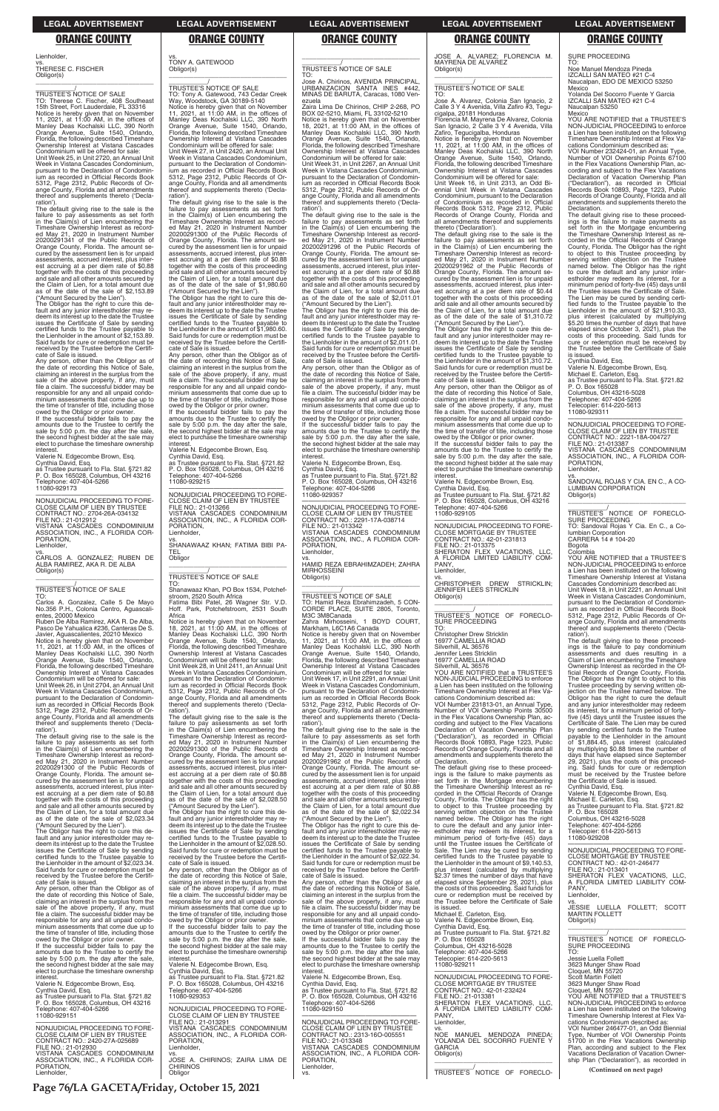Lienholder,

vs. THERESE C. FISCHER Obligor(s)

\_\_\_\_\_\_\_\_\_\_\_/ TRUSTEE'S NOTICE OF SALE Therese C. Fischer, 408 Southeast 15th Street, Fort Lauderdale, FL 33316 Notice is hereby given that on November 11, 2021, at 11:00 AM, in the offices of Manley Deas Kochalski LLC, 390 North Orange Avenue, Suite 1540, Orlando, Florida, the following described Timeshare Ownership Interest at Vistana Cascades Condominium will be offered for sale: Unit Week 25, in Unit 2720, an Annual Unit Week in Vistana Cascades Condominium, pursuant to the Declaration of Condomin-ium as recorded in Official Records Book 5312, Page 2312, Public Records of Orange County, Florida and all amendments thereof and supplements thereto ('Declaration')

\_\_\_\_\_\_\_\_\_\_\_\_\_\_\_\_\_\_\_\_\_\_\_\_\_\_\_\_\_\_\_\_\_

The default giving rise to the sale is the failure to pay assessments as set forth in the Claim(s) of Lien encumbering the Timeshare Ownership Interest as record-ed May 21, 2020 in Instrument Number 20200291341 of the Public Records of Orange County, Florida. The amount se-cured by the assessment lien is for unpaid assessments, accrued interest, plus interest accruing at a per diem rate of \$0.88 together with the costs of this proceeding and sale and all other amounts secured by the Claim of Lien, for a total amount due as of the date of the sale of \$2,153.89

("Amount Secured by the Lien"). The Obligor has the right to cure this de-fault and any junior interestholder may redeem its interest up to the date the Trustee issues the Certificate of Sale by sending certified funds to the Trustee payable to the Lienholder in the amount of \$2,153.89. Said funds for cure or redemption must be received by the Trustee before the Certificate of Sale is issued.

Notice is hereby given that on November<br>11, 2021, at 11:00 AM, in the offices of<br>Manley Deas Kochalski LLC, 390 North<br>Orange Avenue, Suite 1540, Orlando,<br>Florida, the following described Timeshare<br>Ownership Interest at Vis Condominium will be offered for sale:

Unit Week 26, in Unit 2704, an Annual Unit Week in Vistana Cascades Condominium, pursuant to the Declaration of Condomin-ium as recorded in Official Records Book 5312, Page 2312, Public Records of Orange County, Florida and all amendments thereof and supplements thereto ('Declaration')

Any person, other than the Obligor as of the date of recording this Notice of Sale, claiming an interest in the surplus from the sale of the above property, if any, must file a claim. The successful bidder may be responsible for any and all unpaid condo-minium assessments that come due up to the time of transfer of title, including those

owed by the Obligor or prior owner. If the successful bidder fails to pay the amounts due to the Trustee to certify the sale by 5:00 p.m. the day after the sale, the second highest bidder at the sale may elect to purchase the timeshare ownership interest.

The Obligor has the right to cure this default and any junior interestholder may redeem its interest up to the date the Trustee issues the Certificate of Sale by sending certified funds to the Trustee payable to the Lienholder in the amount of \$2,023.34. Said funds for cure or redemption must be received by the Trustee before the Certificate of Sale is issued.

Valerie N. Edgecombe Brown, Esq. Cynthia David, Esq. as Trustee pursuant to Fla. Stat. §721.82 P. O. Box 165028, Columbus, OH 43216 Telephone: 407-404-5266 11080-929173

If the successful bidder fails to pay the amounts due to the Trustee to certify the sale by 5:00 p.m. the day after the sale, the second highest bidder at the sale may elect to purchase the timeshare ownership

—————————————————— NONJUDICIAL PROCEEDING TO FORE-CLOSE CLAIM OF LIEN BY TRUSTEE CONTRACT NO.: 2704-26A-034132 FILE NO.: 21-012912 VISTANA CASCADES CONDOMINIUM ASSOCIATION, INC., A FLORIDA COR-PORATION,

Lienholder,

vs. CARLOS A. GONZALEZ; RUBEN DE ALBA RAMIREZ, AKA R. DE ALBA Obligor(s)

# \_\_\_\_\_\_\_\_\_\_\_/ TRUSTEE'S NOTICE OF SALE

TO: Carlos A. Gonzalez, Calle 5 De Mayo No.356 P.H., Colonia Centro, Aguascalientes, 20000 Mexico

Ruben De Alba Ramirez, AKA R. De Alba, Pasco De Yahualica #236, Canteras De S. Javier, Aguascalientes, 20210 Mexico

The default giving rise to the sale is the failure to pay assessments as set forth in the Claim(s) of Lien encumbering the Timeshare Ownership Interest as recorded May 21, 2020 in Instrument Number 20200291300 of the Public Records of Orange County, Florida. The amount secured by the assessment lien is for unpaid assessments, accrued interest, plus interest accruing at a per diem rate of \$0.88 together with the costs of this proceeding and sale and all other amounts secured by the Claim of Lien, for a total amount due

P. O. Box 165028, Columbus, OH 43216 phone: 407-404-5266

Shanawaaz Khan, PO Box 1534, Potchefstroom, 2520 South Africa Fatima Bibi Patel, 26 Wagner Str. V.D. Park, Potchefstroom, 2531 South

as of the date of the sale of \$2,023.34 ("Amount Secured by the Lien").

Any person, other than the Obligor as of the date of recording this Notice of Sale, claiming an interest in the surplus from the sale of the above property, if any, must file a claim. The successful bidder may be responsible for any and all unpaid condominium assessments that come due up to the time of transfer of title, including those owed by the Obligor or prior owner.

amounts due to the Trustee to certify the sale by 5:00 p.m. the day after the sale, the second highest bidder at the sale may elect to purchase the timeshare ownership nterest

interest. Valerie N. Edgecombe Brown, Esq. Cynthia David, Esq. as Trustee pursuant to Fla. Stat. §721.82 P. O. Box 165028, Columbus, OH 43216 Telephone: 407-404-5266 11080-929151

—————————————————— NONJUDICIAL PROCEEDING TO FORE-CLOSE CLAIM OF LIEN BY CONTRACT NO.: 2420-27A-025689 FILE NO.: 21-012930 VISTANA CASCADES CONDOMINIUM ASSOCIATION, INC., A FLORIDA COR-PORATION, Lienholder,

TO: Jose A. Chirinos, AVENIDA PRINCIPAL, URBANIZACION SANTA INES #442, MINAS DE BARUTA, Caracas, 1080 Venezuela

\_\_\_\_\_\_\_\_\_\_\_\_\_\_\_\_\_\_\_\_\_\_\_\_\_\_\_\_\_\_\_\_\_ 11080-929215 PORATION, Lienholder, vs. SHANAWAAZ KHAN; FATIMA BIBI PA-TEL Obligor \_\_\_\_\_\_\_\_\_\_\_\_\_\_\_\_\_\_\_\_\_\_\_\_\_\_\_\_\_\_\_\_\_ \_\_\_\_\_\_\_\_\_\_\_/ TRUSTEE'S NOTICE OF SALE TO:

### vs. TONY A. GATEWOOD Obligor(s)

Zaira Lima De Chirinos, CHIP 2-268, PO<br>BOX 02-5210, Miami, FL 33102-5210<br>Notice is hereby given that on November<br>18, 2021, at 11:00 AM, in the offices of Manley Deas Kochalski LLC, 390 North Orange Avenue, Suite 1540, Orlando, Florida, the following described Timeshare Ownership Interest at Vistana Cascades Condominium will be offered for sale: Unit Week 31, in Unit 2267, an Annual Unit

\_\_\_\_\_\_\_\_\_\_\_\_\_\_\_\_\_\_\_\_\_\_\_\_\_\_\_\_\_\_\_\_\_ \_\_\_\_\_\_\_\_\_\_\_/ TRUSTEE'S NOTICE OF SALE TO: Tony A. Gatewood, 743 Cedar Creek Way, Woodstock, GA 30189-5140 Notice is hereby given that on November<br>11, 2021, at 11:00 AM, in the offices of<br>Manley Deas Kochalski LLC, 390 North<br>Orange Avenue, Suite 1540, Orlando,<br>Florida, the following described Timeshare<br>Ownership Interest at Vis Condominium will be offered for sale: Unit Week 27, in Unit 2420, an Annual Unit Week in Vistana Cascades Condominium, pursuant to the Declaration of Condominium as recorded in Official Records Book 5312, Page 2312, Public Records of Or-

ange County, Florida and all amendments teof and supplements thereto ('Declaration'). The default giving rise to the sale is the failure to pay assessments as set forth in the Claim(s) of Lien encumbering the Timeshare Ownership Interest as recorded May 21, 2020 in Instrument Number 20200291300 of the Public Records of

> amounts due to the Trustee to certify the sale by 5:00 p.m. the day after the sale, the second highest bidder at the sale may elect to purchase the timeshare ownership interest

Orange County, Florida. The amount se-cured by the assessment lien is for unpaid assessments, accrued interest, plus interest accruing at a per diem rate of \$0.88 together with the costs of this proceeding and sale and all other amounts secured by the Claim of Lien, for a total amount due as of the date of the sale of \$1,980.60 ("Amount Secured by the Lien").

The Obligor has the right to cure this de-fault and any junior interestholder may re-deem its interest up to the date the Trustee issues the Certificate of Sale by sending certified funds to the Trustee payable to the Lienholder in the amount of \$1,980.60. Said funds for cure or redemption must be received by the Trustee before the Certifi-cate of Sale is issued.

Any person, other than the Obligor as of the date of recording this Notice of Sale, claiming an interest in the surplus from the sale of the above property, if any, must file a claim. The successful bidder may be responsible for any and all unpaid condominium assessments that come due up to the time of transfer of title, including those owed by the Obligor or prior owner.

If the successful bidder fails to pay the amounts due to the Trustee to certify the sale by 5:00 p.m. the day after the sale, the second highest bidder at the sale may elect to purchase the timeshare ownership

interest. Valerie N. Edgecombe Brown, Esq. Cynthia David, Esq. as Trustee pursuant to Fla. Stat. §721.82 —————————————————— NONJUDICIAL PROCEEDING TO FORE-

CLOSE CLAIM OF LIEN BY TRUSTEE FILE NO.: 21-013266 VISTANA CASCADES CONDOMINIUM ASSOCIATION, INC., A FLORIDA COR-

 $\overline{\phantom{a}}$  , and the set of the set of the set of the set of the set of the set of the set of the set of the set of the set of the set of the set of the set of the set of the set of the set of the set of the set of the s \_\_\_\_\_\_\_\_\_\_\_/ TRUSTEE'S NOTICE OF SALE

Jose A. Alvarez, Colonia San Ignacio, 2 Calle 3 Y 4 Avenida, Villa Zafiro #3, Tegucigalpa, 20181 Honduras Florencia M. Mayrena De Alvarez, Colonia San Ignacio, 2 Ćalle 3 Y 4 Avenida, Villa

Africa

Notice is hereby given that on November 18, 2021, at 11:00 AM, in the offices of Manley Deas Kochalski LLC, 390 North Orange Avenue, Suite 1540, Orlando, Florida, the following described Timeshare Ownership Interest at Vistana Cascades

Condominium will be offered for sale:

Unit Week 28, in Unit 2411, an Annual Unit Week in Vistana Cascades Condominium, pursuant to the Declaration of Condominium as recorded in Official Records Book 5312, Page 2312, Public Records of Orange County, Florida and all amendments thereof and supplements thereto ('Decla-

ration'). The default giving rise to the sale is the failure to pay assessments as set forth in the Claim(s) of Lien encumbering the ed May 21, 2020 in Instrument Number 20200291300 of the Public Records of Orange County, Florida. The amount se-cured by the assessment lien is for unpaid est accruing at a per diem rate of \$0.88 together with the costs of this proceeding and sale and all other amounts secured by as of the date of the sale of \$2,028.50 ("Amount Secured by the Lien").

Timeshare Ownership Interest as recordassessments, accrued interest, plus i the Claim of Lien, for a total amount due

# $\overline{\phantom{a}}$  , and the set of the set of the set of the set of the set of the set of the set of the set of the set of the set of the set of the set of the set of the set of the set of the set of the set of the set of the s

The Obligor has the right to cure this de-fault and any junior interestholder may re-

PANY, Lienholder

deem its interest up to the date the Trustee issues the Certificate of Sale by sending certified funds to the Trustee payable to the Lienholder in the amount of \$2,028.50. Said funds for cure or redemption must be received by the Trustee before the Certifi-cate of Sale is issued.

Any person, other than the Obligor as of the date of recording this Notice of Sale, claiming an interest in the surplus from the sale of the above property, if any, must file a claim. The successful bidder may be responsible for any and all unpaid condominium assessments that come due up to the time of transfer of title, including those owed by the Obligor or prior owner. If the successful bidder fails to pay the

- Valerie N. Edgecombe Brown, Esq. Cynthia David, Esq. as Trustee pursuant to Fla. Stat. §721.82 P. O. Box 165028, Columbus, OH 43216
- lephone: 407-404-5266 11080-929353

Noe Manuel Mendoza Pineda IZCALLI SAN MATEO #21 C Naucalpan, EDO DE MEXICO 53250 **Mexico** 

—————————————————— NONJUDICIAL PROCEEDING TO FORE-CLOSE CLAIM OF LIEN BY TRUSTEE FILE NO.: 21-013291 VISTANA CASCADES CONDOMINIUM ASSOCIATION, INC., A FLORIDA COR-PORATION, Lienholder, vs. JOSE A. CHIRINOS; ZAIRA LIMA DE CHIRINOS Obligor

# \_\_\_\_\_\_\_\_\_\_\_/ TRUSTEE'S NOTICE OF SALE

Week in Vistana Cascades Condominium, pursuant to the Declaration of Condominium as recorded in Official Records Book 5312, Page 2312, Public Records of Or-ange County, Florida and all amendments thereof and supplements thereto ('Declaration'). The default giving rise to the sale is the

failure to pay assessments as set forth in the Claim(s) of Lien encumbering the Timeshare Ownership Interest as recorded May 21, 2020 in Instrument Number 20200291296 of the Public Records of Orange County, Florida. The amount secured by the assessment lien is for unpaid assessments, accrued interest, plus inter-est accruing at a per diem rate of \$0.88 together with the costs of this proceeding and sale and all other amounts secured by the Claim of Lien, for a total amount due as of the date of the sale of \$2,011.01

> YOU ARE NOTIFIED that a TRUSTEE'S NON-JUDICIAL PROCEEDING to enforce a Lien has been instituted on the following Timeshare Ownership Interest at Vistana Cascades Condominium described as:

("Amount Secured by the Lien"). The Obligor has the right to cure this default and any junior interestholder may redeem its interest up to the date the Trustee issues the Certificate of Sale by sending certified funds to the Trustee payable to the Lienholder in the amount of \$2,011.01. Said funds for cure or redemption must be received by the Trustee before the Certifi-

cate of Sale is issued. Any person, other than the Obligor as of the date of recording this Notice of Sale,<br>claiming an interest in the surplus from the<br>sale of the above property, if any, must<br>file a claim. The successful bidder may be responsible for any and all unpaid condo-minium assessments that come due up to the time of transfer of title, including those owed by the Obligor or prior owner. If the successful bidder fails to pay the

Valerie N. Edgecombe Brown, Esq.

Cynthia David, Esq. as Trustee pursuant to Fla. Stat. §721.82 P. O. Box 165028, Columbus, OH 43216 Telephone: 407-404-5266 11080-929357

—————————————————— NONJUDICIAL PROCEEDING TO FORE-CLOSE CLAIM OF LIEN BY TRUSTEE CONTRACT NO.: 2291-17A-038714 FILE NO.: 21-013342 VISTANA CASCADES CONDOMINIUM ASSOCIATION, INC., A FLORIDA COR-PORATION, Lienholder,

vs. HAMID REZA EBRAHIMZADEH; ZAHRA MIRHOSSEINI Obligor(s) \_\_\_\_\_\_\_\_\_\_\_\_\_\_\_\_\_\_\_\_\_\_\_\_\_\_\_\_\_\_\_\_\_

# \_\_\_\_\_\_\_\_\_\_\_/ TRUSTEE'S NOTICE OF SALE

TO: Hamid Reza Ebrahimzadeh, 5 CON-CORDE PLACE, SUITE 2805, Toronto, M3C 3M8Canada<br>Zahra Mirhosseini, Zahra Mirhosseini, 1 BOYD COURT, Markham, L6C1A6 Canada Notice is hereby given that on November 11, 2021, at 11:00 AM, in the offices of Manley Deas Kochalski LLC, 390 North Orange Avenue, Suite 1540, Orlando, Florida, the following described Timeshare Ownership Interest at Vistana Cascades Condominium will be offered for sale: Unit Week 17, in Unit 2291, an Annual Unit Week in Vistana Cascades Condominium, pursuant to the Declaration of Condominium as recorded in Official Records Book

5312, Page 2312, Public Records of Or-ange County, Florida and all amendments thereof and supplements thereto ('Declaration' The default giving rise to the sale is the

failure to pay assessments as set forth in the Claim(s) of Lien encumbering the Timeshare Ownership Interest as recorded May 21, 2020 in Instrument Number 20200291962 of the Public Records of Orange County, Florida. The amount secured by the assessment lien is for unpaid assessments, accrued interest, plus inter-est accruing at a per diem rate of \$0.88 together with the costs of this proceeding and sale and all other amounts secured by the Claim of Lien, for a total amount due as of the date of the sale of \$2,022.34

("Amount Secured by the Lien"). The Obligor has the right to cure this default and any junior interestholder may redeem its interest up to the date the Trustee issues the Certificate of Sale by sending certified funds to the Trustee payable to the Lienholder in the amount of \$2,022.34. Said funds for cure or redemption must be received by the Trustee before the Certificate of Sale is issued. Any person, other than the Obligor as of the date of recording this Notice of Sale, claiming an interest in the surplus from the sale of the above property, if any, must file a claim. The successful bidder may be responsible for any and all unpaid condo-minium assessments that come due up to the time of transfer of title, including those owed by the Obligor or prior owner. If the successful bidder fails to pay the amounts due to the Trustee to certify the sale by 5:00 p.m. the day after the sale, the second highest bidder at the sale may elect to purchase the timeshare ownership **interest** Valerie N. Edgecombe Brown, Esq. Cynthia David, Esq. as Trustee pursuant to Fla. Stat. §721.82 P. O. Box 165028, Columbus, OH 43216 Telephone: 407-404-5266 11080-929150 —————————————————— NONJUDICIAL PROCEEDING TO FORE-CLOSE CLAIM OF LIEN BY TRUSTEE CONTRACT NO.: 2313-16O-005551

FILE NO.: 21-013348

VISTANA CASCADES CONDOMINIUM ASSOCIATION, INC., A FLORIDA COR-

PORATION, Lienholder, vs.

JOSE A. ALVAREZ; FLORENCIA M. MAYRENA DE ALVAREZ

Obligor(s)

TO:

interest

Zafiro, Tegucigalba, Honduras Notice is hereby given that on November 11, 2021, at 11:00 AM, in the offices of Manley Deas Kochalski LLC, 390 North Orange Avenue, Suite 1540, Orlando,

Florida, the following described Timeshare Ownership Interest at Vistana Cascades Condominium will be offered for sale: Unit Week 16, in Unit 2313, an Odd Biennial Unit Week in Vistana Cascades Condominium, pursuant to the Declaration of Condominium as recorded in Official Records Book 5312, Page 2312, Public Records of Orange County, Florida and all amendments thereof and supplements thereto ('Declaration'). The default giving rise to the sale is the failure to pay assessments as set forth in the Claim(s) of Lien encumbering the Timeshare Ownership Interest as record-

ed May 21, 2020 in Instrument Number 20200291962 of the Public Records of Orange County, Florida. The amount secured by the assessment lien is for unpaid assessments, accrued interest, plus inter-est accruing at a per diem rate of \$0.44 together with the costs of this proceeding and sale and all other amounts secured by the Claim of Lien, for a total amount due as of the date of the sale of \$1,310.72 ("Amount Secured by the Lien"). The Obligor has the right to cure this default and any junior interestholder may redeem its interest up to the date the Trustee issues the Certificate of Sale by sending certified funds to the Trustee payable to the Lienholder in the amount of \$1,310.72. Said funds for cure or redemption must be received by the Trustee before the Certificate of Sale is issued. Any person, other than the Obligor as of the date of recording this Notice of Sale, claiming an interest in the surplus from the sale of the above property, if any, must file a claim. The successful bidder may be responsible for any and all unpaid condo-minium assessments that come due up to the time of transfer of title, including those owed by the Obligor or prior owner. If the successful bidder fails to pay the amounts due to the Trustee to certify the sale by 5:00 p.m. the day after the sale, the second highest bidder at the sale may elect to purchase the timeshare ownership

Valerie N. Edgecombe Brown, Esq. Cynthia David, Esq. as Trustee pursuant to Fla. Stat. §721.82 P. O. Box 165028, Columbus, OH 43216

Telephone: 407-404-5266 11080-929105

—————————————————— NONJUDICIAL PROCEEDING TO FORE-

CLOSE MORTGAGE BY TRUSTEE<br>CONTRACT NO.: 42-01-231813<br>FILE NO.: 21-013375<br>SHERATON FLEX VACATIONS, LLC,<br>A FLORIDA LIMITED LIABILITY COM-

vs.<br>CHRISTOPHER DREW STRICKLIN;<br>JENNIFER LEES STRICKLIN

Obligor(s)

**Declaration** 

\_\_\_\_\_\_\_\_\_\_\_\_\_\_\_\_\_\_\_\_\_\_\_\_\_\_\_\_\_\_\_\_\_ \_\_\_\_\_\_\_\_\_\_\_/ TRUSTEE'S NOTICE OF FORECLO-

SURE PROCEEDING

TO:

Christopher Drew Stricklin 16977 CAMELLIA ROAD Silverhill, AL 36576 Jennifer Lees Stricklin 16977 CAMELLIA ROAD

Silverhill, AL 36576 YOU ARE NOTIFIED that a TRUSTEE'S NON-JUDICIAL PROCEEDING to enforce a Lien has been instituted on the following Timeshare Ownership Interest at Flex Vacations Condominium described as: VOI Number 231813-01, an Annual Type, Number of VOI Ownership Points 30500 in the Flex Vacations Ownership Plan, according and subject to the Flex Vacations Declaration of Vacation Ownership Plan ("Declaration"), as recorded in Official Records Book 10893, Page 1223, Public Records of Orange County, Florida and all amendments and supplements thereto the

The default giving rise to these proceed-

ings is the failure to make payments as set forth in the Mortgage encumbering the Timeshare Ownership Interest as recorded in the Official Records of Orange County, Florida. The Obligor has the right to object to this Trustee proceeding by

serving written objection on the Trustee named below. The Obligor has the right to cure the default and any junior interestholder may redeem its interest, for a minimum period of forty-five (45) days until the Trustee issues the Certificate of Sale. The Lien may be cured by sending certified funds to the Trustee payable to the Lienholder in the amount of \$9,140.53, plus interest (calculated by multiplying \$2.37 times the number of days that have elapsed since September 29, 2021), plus the costs of this proceeding. Said funds for cure or redemption must be received by the Trustee before the Certificate of Sale is issued. Michael E. Carleton, Esq. Valerie N. Edgecombe Brown, Esq. Cynthia David, Esq. as Trustee pursuant to Fla. Stat. §721.82 P. O. Box 165028 Columbus, OH 43216-5028 Telephone: 407-404-5266 Telecopier: 614-220-5613 11080-929211 —————————————————— NONJUDICIAL PROCEEDING TO FORE-CLOSE MORTGAGE BY TRUSTEE CONTRACT NO.: 42-01-232424 FILE NO.: 21-013381 SHERATON FLEX VACATIONS, LLC, A FLORIDA LIMITED LIABILITY COM-PANY, Lienholder, vs. NOE MANUEL MENDOZA PINEDA; YOLANDA DEL SOCORRO FUENTE Y GARCIA Obligor(s) \_\_\_\_\_\_\_\_\_\_\_\_\_\_\_\_\_\_\_\_\_\_\_\_\_\_\_\_\_\_\_\_\_ \_\_\_\_\_\_\_\_\_\_\_/ TRUSTEE'S NOTICE OF FORECLO-

SURE PROCEEDING TO:

Yolanda Del Socorro Fuente Y Garcia IZCALLI SAN MATEO #21 C-4 Naucalpan 53250

Mexico YOU ARE NOTIFIED that a TRUSTEE'S NON-JUDICIAL PROCEEDING to enforce a Lien has been instituted on the following Timeshare Ownership Interest at Flex Vacations Condominium described as:

VOI Number 232424-01, an Annual Type, Number of VOI Ownership Points 67100 in the Flex Vacations Ownership Plan, according and subject to the Flex Vacations Declaration of Vacation Ownership Plan ("Declaration"), as recorded in Official Records Book 10893, Page 1223, Public Records of Orange County, Florida and all amendments and supplements thereto the Declaration.

The default giving rise to these proceedings is the failure to make payments as set forth in the Mortgage encumbering the Timeshare Ownership Interest as re-corded in the Official Records of Orange County, Florida. The Obligor has the right to object to this Trustee proceeding by serving written objection on the Trustee named below. The Obligor has the right to cure the default and any junior interestholder may redeem its interest, for a minimum period of forty-five (45) days until the Trustee issues the Certificate of Sale. The Lien may be cured by sending certified funds to the Trustee payable to the Lienholder in the amount of \$21,910.33, plus interest (calculated by multiplying \$5.20 times the number of days that have elapsed since October 3, 2021), plus the costs of this proceeding. Said funds for cure or redemption must be received by the Trustee before the Certificate of Sale is issued.

Cynthia David, Esq. Valerie N. Edgecombe Brown, Esq. Michael E. Carleton, Esq. as Trustee pursuant to Fla. Stat. §721.82 P. O. Box 165028 Columbus, OH 43216-5028 Telephone: 407-404-5266 Telecopier: 614-220-5613 11080-929311

—————————————————— NONJUDICIAL PROCEEDING TO FORE-CLOSE CLAIM OF LIEN BY TRUSTEE<br>CONTRACT NO : 2221-18A-004727 CONTRACT NO.: 2221-18A-004727 FILE NO.: 21-013387 VISTANA CASCADES CONDOMINIUM ASSOCIATION, INC., A FLORIDA COR-PORATION, Lienholder,

vs. SANDOVAL ROJAS Y CIA. EN C., A CO-LUMBIAN CORPORATION Obligor(s) \_\_\_\_\_\_\_\_\_\_\_\_\_\_\_\_\_\_\_\_\_\_\_\_\_\_\_\_\_\_\_\_\_

\_\_\_\_\_\_\_\_\_\_\_/ TRUSTEE'S NOTICE OF FORECLO-SURE PROCEEDING TO: Sandoval Rojas Y Cia. En C., a Columbian Corporation CARRERA 14 # 104-20

Bogota Colombia

Unit Week 18, in Unit 2221, an Annual Unit Week in Vistana Cascades Condominium, pursuant to the Declaration of Condominium as recorded in Official Records Book 5312, Page 2312, Public Records of Orange County, Florida and all amendments thereof and supplements thereto ('Decla-

ration'). The default giving rise to these proceed-ings is the failure to pay condominium assessments and dues resulting in a Claim of Lien encumbering the Timeshare Ownership Interest as recorded in the Of-ficial Records of Orange County, Florida. The Obligor has the right to object to this Trustee proceeding by serving written ob-jection on the Trustee named below. The Obligor has the right to cure the default and any junior interestholder may redeem its interest, for a minimum period of fortyfive (45) days until the Trustee issues the Certificate of Sale. The Lien may be cured by sending certified funds to the Trustee payable to the Lienholder in the amount<br>of \$1,884.45 plus interests of of \$1,884.45, plus interest (calculated by multiplying \$0.88 times the number of days that have elapsed since September 29, 2021), plus the costs of this proceed-ing. Said funds for cure or redemption must be received by the Trustee before the Certificate of Sale is issued. Cynthia David, Esq.

Valerie N. Edgecombe Brown, Esq. Michael E. Carleton, Esq. as Trustee pursuant to Fla. Stat. §721.82

P. O. Box 165028<br>Columbus, OH 43216-5028

Columbus, OH 43216-5028 Telephone: 407-404-5266 Telecopier: 614-220-5613 11080-929208 —————————————————— NONJUDICIAL PROCEEDING TO FORE-CLOSE MORTGAGE BY TRUSTEE CONTRACT NO.: 42-01-246477 FILE NO.: 21-013401 SHERATON FLEX VACATIONS, LLC, A FLORIDA LIMITED LIABILITY COM-PANY, Lienholder vs. JESSIE LUELLA FOLLETT; SCOTT MARTIN FOLLETT Obligor(s) \_\_\_\_\_\_\_\_\_\_\_\_\_\_\_\_\_\_\_\_\_\_\_\_\_\_\_\_\_\_\_\_\_ \_\_\_\_\_\_\_\_\_\_\_/ TRUSTEE'S NOTICE OF FORECLO-SURE PROCEEDING TO: Jessie Luella Follett 3623 Munger Shaw Road Cloquet, MN 55720 Scott Martin Follett 3623 Munger Shaw Road Cloquet, MN 55720 YOU ARE NOTIFIED that a TRUSTEE'S NON-JUDICIAL PROCEEDING to enforce a Lien has been instituted on the following Timeshare Ownership Interest at Flex Vacations Condominium described as: VOI Number 246477-01, an Odd Biennial Type, Number of VOI Ownership Points 51700 in the Flex Vacations Ownership Plan, according and subject to the Flex Vacations Declaration of Vacation Ownership Plan ("Declaration"), as recorded in **(Continued on next page)**

### **LEGAL ADVERTISEMENT LEGAL ADVERTISEMENT LEGAL ADVERTISEMENT LEGAL ADVERTISEMENT LEGAL ADVERTISEMENT**

### **ORANGE COUNTY ORANGE COUNTY ORANGE COUNTY ORANGE COUNTY ORANGE COUNTY**

**Page 76/LA GACETA/Friday, October 15, 2021**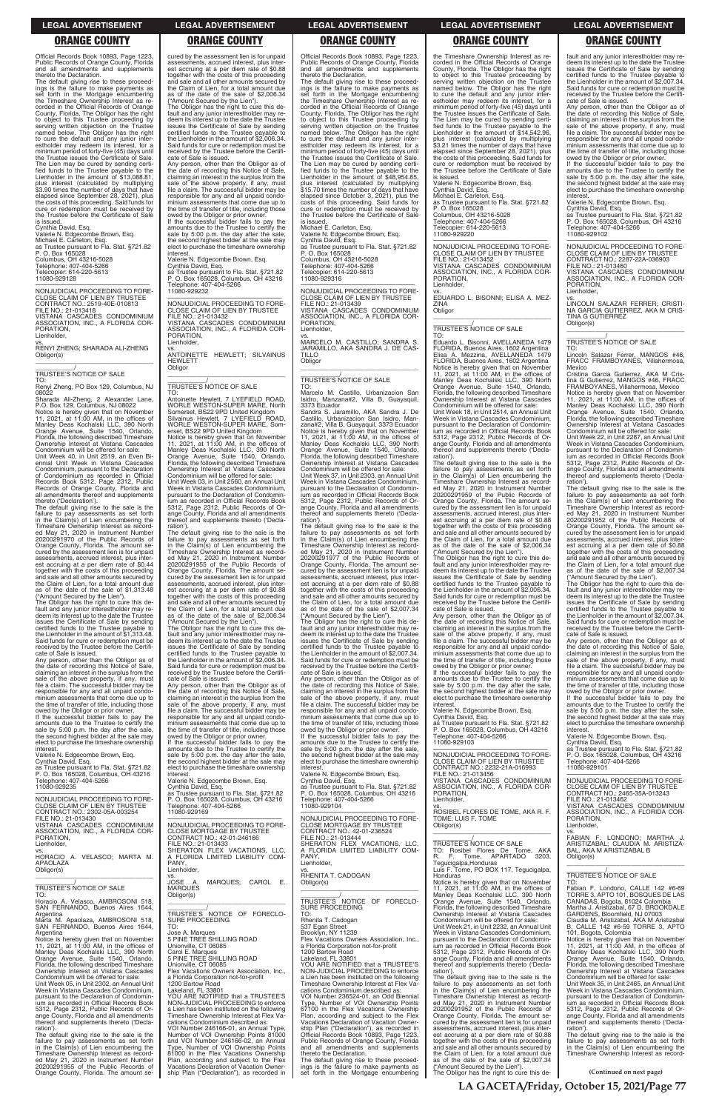Official Records Book 10893, Page 1223, Public Records of Orange County, Florida and all amendments and supplements thereto the Declaration.

The default giving rise to these proceedings is the failure to make payments as set forth in the Mortgage encumbering the Timeshare Ownership Interest as recorded in the Official Records of Orange County, Florida. The Obligor has the right to object to this Trustee proceeding by serving written objection on the Trustee named below. The Obligor has the right to cure the default and any junior interestholder may redeem its interest, for a minimum period of forty-five (45) days until the Trustee issues the Certificate of Sale. The Lien may be cured by sending certified funds to the Trustee payable to the Lienholder in the amount of \$13,088.81, plus interest (calculated by multiplying \$3.90 times the number of days that have elapsed since September 28, 2021), plus the costs of this proceeding. Said funds for cure or redemption must be received by the Trustee before the Certificate of Sale is issued.

vs. RENYI ZHENG; SHARADA ALI-ZHENG Obligor(s)  $\overline{\phantom{a}}$  ,  $\overline{\phantom{a}}$  ,  $\overline{\phantom{a}}$  ,  $\overline{\phantom{a}}$  ,  $\overline{\phantom{a}}$  ,  $\overline{\phantom{a}}$  ,  $\overline{\phantom{a}}$  ,  $\overline{\phantom{a}}$  ,  $\overline{\phantom{a}}$  ,  $\overline{\phantom{a}}$  ,  $\overline{\phantom{a}}$  ,  $\overline{\phantom{a}}$  ,  $\overline{\phantom{a}}$  ,  $\overline{\phantom{a}}$  ,  $\overline{\phantom{a}}$  ,  $\overline{\phantom{a}}$ 

# Cynthia David, Esq. Valerie N. Edgecombe Brown, Esq.

Michael E. Carleton, Esq. as Trustee pursuant to Fla. Stat. §721.82 P. O. Box 165028 Columbus, OH 43216-5028 Telephone: 407-404-5266 Telecopier: 614-220-5613 11080-929128

—————————————————— NONJUDICIAL PROCEEDING TO FORE-CLOSE CLAIM OF LIEN BY TRUSTEE CONTRACT NO.: 2519-40E-010813 FILE NO.: 21-013418

VISTANA CASCADES CONDOMINIUM ASSOCIATION, INC., A FLORIDA COR-PORATION, Lienholder,

# \_\_\_\_\_\_\_\_\_\_\_/ TRUSTEE'S NOTICE OF SALE

TO: Renyi Zheng, PO Box 129, Columbus, NJ

08022 Sharada Ali-Zheng, 2 Alexander Lane, P.O. Box 129, Columbus, NJ 08022 Notice is hereby given that on November 11, 2021, at 11:00 AM, in the offices of Manley Deas Kochalski LLC, 390 North Orange Avenue, Suite 1540, Orlando, Florida, the following described Timeshare Ownership Interest at Vistana Cascades Condominium will be offered for sale:

Unit Week 40, in Unit 2519, an Even Bi-ennial Unit Week in Vistana Cascades Condominium, pursuant to the Declaration of Condominium as recorded in Official Records Book 5312, Page 2312, Public Records of Orange County, Florida and all amendments thereof and supplements thereto ('Declaration').

The default giving rise to the sale is the failure to pay assessments as set forth in the Claim(s) of Lien encumbering the Timeshare Ownership Interest as record-ed May 21, 2020 in Instrument Number 20200291970 of the Public Records of Orange County, Florida. The amount se-cured by the assessment lien is for unpaid assessments, accrued interest, plus interest accruing at a per diem rate of \$0.44 together with the costs of this proceeding and sale and all other amounts secured by the Claim of Lien, for a total amount due as of the date of the sale of \$1,313.48 ("Amount Secured by the Lien").

The Obligor has the right to cure this de-fault and any junior interestholder may re-deem its interest up to the date the Trustee issues the Certificate of Sale by sending certified funds to the Trustee payable to the Lienholder in the amount of \$1,313.48. Said funds for cure or redemption must be received by the Trustee before the Certifi-cate of Sale is issued.

Any person, other than the Obligor as of the date of recording this Notice of Sale, claiming an interest in the surplus from the sale of the above property, if any, must file a claim. The successful bidder may be responsible for any and all unpaid condominium assessments that come due up to the time of transfer of title, including those owed by the Obligor or prior owner.

### NON IUDICIAL PROCEEDING TO FORE-NONJUDICIAL PROCEEDING TO FORE-CLOSE CLAIM OF LIEN BY TRUSTEE FILE NO.: 21-013432 VISTANA CASCADES CONDOMINIUM ASSOCIATION, INC., A FLORIDA COR-PORATION, Lienholder,

If the successful bidder fails to pay the amounts due to the Trustee to certify the sale by 5:00 p.m. the day after the sale, the second highest bidder at the sale may elect to purchase the timeshare ownership

Notice is hereby given that on November<br>11, 2021, at 11:00 AM, in the offices of<br>Manley Deas Kochalski LLC, 390 North<br>Orange Avenue, Suite 1540, Orlando,<br>Florida, the following described Timeshare Ownership Interest at Vistana Cascades

interest. Valerie N. Edgecombe Brown, Esq. Cynthia David, Esq. as Trustee pursuant to Fla. Stat. §721.82

P. O. Box 165028, Columbus, OH 43216 Telephone: 407-404-5266 11080-929235

—————————————————— NONJUDICIAL PROCEEDING TO FORE-CLOSE CLAIM OF LIEN BY TRUSTEE CONTRACT NO.: 2302-05A-003254

cured by the assessment lien is for unpaid assessments, accrued interest, plus interest accruing at a per diem rate of \$0.88 together with the costs of this proceeding and sale and all other amounts secured by the Claim of Lien, for a total amount due as of the date of the sale of \$2,006.34 ("Amount Secured by the Lien").

The Obligor has the right to cure this de-fault and any junior interestholder may re-deem its interest up to the date the Trustee issues the Certificate of Sale by sending certified funds to the Trustee payable to the Lienholder in the amount of \$2,006.34. Said funds for cure or redemption must be received by the Trustee before the Certificate of Sale is issued. Any person, other than the Obligor as of

> vs. MARCELO M. CASTILLO; SANDRA S. JARAMILLO, AKA SANDRA J. DE CAS-TILLO **Obligor**

> TO: Marcelo M. Castillo, Urbanizacion San Isidro, Manzana#2, Villa B, Guayaquil, Isidro, Manza<br>3373 Ecuador

the date of recording this Notice of Sale, claiming an interest in the surplus from the sale of the above property, if any, must file a claim. The successful bidder may be responsible for any and all unpaid condominium assessments that come due up to the time of transfer of title, including those owed by the Obligor or prior owner.

If the successful bidder fails to pay the amounts due to the Trustee to certify the sale by 5:00 p.m. the day after the sale, the second highest bidder at the sale may elect to purchase the timeshare ownership

interest. Valerie N. Edgecombe Brown, Esq. Cynthia David, Esq. as Trustee pursuant to Fla. Stat. §721.82 P. O. Box 165028, Columbus, OH 43216 Telephone: 407-404-5266 11080-929232

> The Obligor has the right to cure this default and any junior interestholder may re-deem its interest up to the date the Trustee issues the Certificate of Sale by sending certified funds to the Trustee payable to the Lienholder in the amount of \$2,007.34. Said funds for cure or redemption must be received by the Trustee before the Certifi-cate of Sale is issued.

vs. ANTOINETTE HEWLETT; SILVAINUS HEWLETT **Obligor** \_\_\_\_\_\_\_\_\_\_\_\_\_\_\_\_\_\_\_\_\_\_\_\_\_\_\_\_\_\_\_\_\_

# \_\_\_\_\_\_\_\_\_\_\_/ TRUSTEE'S NOTICE OF SALE

TO: Antoinette Hewlett, 7 LYEFIELD ROAD, WORLE WESTON-SUPER MARE, North Somerset, BS22 9PD United Kingdom Silvainus Hewlett, 7 LYEFIELD ROAD, WORLE WESTON-SUPER MARE, Somerset, BS22 9PD United Kingdom

Condominium will be offered for sale: Unit Week 03, in Unit 2560, an Annual Unit Week in Vistana Cascades Condominium, pursuant to the Declaration of Condomin-ium as recorded in Official Records Book 5312, Page 2312, Public Records of Orange County, Florida and all amendments thereof and supplements thereto ('Declaration').

The default giving rise to the sale is the failure to pay assessments as set forth in the Claim(s) of Lien encumbering the Timeshare Ownership Interest as record-ed May 21, 2020 in Instrument Number 20200291955 of the Public Records of Orange County, Florida. The amount se-cured by the assessment lien is for unpaid assessments, accrued interest, plus interest accruing at a per diem rate of \$0.88 together with the costs of this proceeding and sale and all other amounts secured by the Claim of Lien, for a total amount due as of the date of the sale of \$2,006.34

—————————————————— NONJUDICIAL PROCEEDING TO FORE-CLOSE CLAIM OF LIEN BY TRUSTEE FILE NO.: 21-013452 VISTANA CASCADES CONDOMINIUM ASSOCIATION, INC., A FLORIDA COR-PORATION, Lienholder.

vs. EDUARDO L. BISONNI; ELISA A. MEZ-ZINA **Obligor** 

("Amount Secured by the Lien"). The Obligor has the right to cure this de-fault and any junior interestholder may redeem its interest up to the date the Trustee issues the Certificate of Sale by sending certified funds to the Trustee payable to the Lienholder in the amount of \$2,006.34. Said funds for cure or redemption must be received by the Trustee before the Certificate of Sale is issued.

TO:<br>Eduardo L. Bisonni. AVELLANEDA 1479 Eduardo L. Bisonni, AVELLANEDA 1479<br>FLORIDA, Buenos Aires, 1602 Argentina<br>Elisa A. Mezzina, AVELLANEDA 1479<br>FLORIDA, Buenos Aires, 1602 Argentina<br>Notice is hereby given that on November<br>11, 2021, at 11:00 AM, in the office Florida, the following described Timeshare Ownership Interest at Vistana Cascades Condominium will be offered for sale:

Any person, other than the Obligor as of the date of recording this Notice of Sale, claiming an interest in the surplus from the sale of the above property, if any, must file a claim. The successful bidder may be responsible for any and all unpaid condominium assessments that come due up to the time of transfer of title, including those

owed by the Obligor or prior owner. If the successful bidder fails to pay the amounts due to the Trustee to certify the sale by 5:00 p.m. the day after the sale, the second highest bidder at the sale may elect to purchase the timeshare ownership interest.

Valerie N. Edgecombe Brown, Esq. Cynthia David, Esq.

as Trustee pursuant to Fla. Stat. §721.82 P. O. Box 165028, Columbus, OH 43216 Telephone: 407-404-5266 11080-929169

Official Records Book 10893, Page 1223, Public Records of Orange County, Florida and all amendments and supplements thereto the Declaration.

> If the successful bidder fails to pay the amounts due to the Trustee to certify the sale by 5:00 p.m. the day after the sale, the second highest bidder at the sale may elect to purchase the timeshare ownership nterest

The default giving rise to these proceedings is the failure to make payments as set forth in the Mortgage encumbering the Timeshare Ownership Interest as recorded in the Official Records of Orange County, Florida. The Obligor has the right to object to this Trustee proceeding by serving written objection on the Trustee named below. The Obligor has the right to cure the default and any junior interestholder may redeem its interest, for a minimum period of forty-five (45) days until the Trustee issues the Certificate of Sale. The Lien may be cured by sending certi-fied funds to the Trustee payable to the Lienholder in the amount of \$48,954.85, plus interest (calculated by multiplying \$15.70 times the number of days that have elapsed since October 3, 2021), plus the costs of this proceeding. Said funds for cure or redemption must be received by the Trustee before the Certificate of Sale

is issued. Michael E. Carleton, Esq. Valerie N. Edgecombe Brown, Esq. Cynthia David, Esq. as Trustee pursuant to Fla. Stat. §721.82 P. O. Box 165028 Columbus, OH 43216-5028 Telephone: 407-404-5266 Telecopier: 614-220-5613 11080-929316

—————————————————— NONJUDICIAL PROCEEDING TO FORE-CLOSE CLAIM OF LIEN BY TRUSTEE FILE NO.: 21-013439 VISTANA CASCADES CONDOMINIUM ASSOCIATION, INC., A FLORIDA COR-PORATION, Lienholder,

\_\_\_\_\_\_\_\_\_\_\_\_\_\_\_\_\_\_\_\_\_\_\_\_\_\_\_\_\_\_\_\_\_

# \_\_\_\_\_\_\_\_\_\_\_/ TRUSTEE'S NOTICE OF SALE

If the successful bidder fails to pay the amounts due to the Trustee to certify the sale by 5:00 p.m. the day after the sale, the second highest bidder at the sale may elect to purchase the timeshare ownership nterest.

Sandra S. Jaramillo, AKA Sandra J. De Castillo, Urbanizacion San Isidro, Man-zana#2, Villa B, Guayaquil, 3373 Ecuador Notice is hereby given that on November 11, 2021, at 11:00 AM, in the offices of Manley Deas Kochalski LLC, 390 North Orange Avenue, Suite 1540, Orlando, Florida, the following described Timeshare Ownership Interest at Vistana Cascades Condominium will be offered for sale:

Unit Week 37, in Unit 2303, an Annual Unit Week in Vistana Cascades Condominium, pursuant to the Declaration of Condominium as recorded in Official Records Book 5312, Page 2312, Public Records of Orange County, Florida and all amendments thereof and supplements thereto ('Decla-

ration'). The default giving rise to the sale is the failure to pay assessments as set forth in the Claim(s) of Lien encumbering the Timeshare Ownership Interest as recorded May 21, 2020 in Instrument Number 20200291977 of the Public Records of Orange County, Florida. The amount se-cured by the assessment lien is for unpaid assessments, accrued interest, plus interest accruing at a per diem rate of \$0.88 together with the costs of this proceeding and sale and all other amounts secured by the Claim of Lien, for a total amount due as of the date of the sale of \$2,007.34 ("Amount Secured by the Lien").

Any person, other than the Obligor as of the date of recording this Notice of Sale, claiming an interest in the surplus from the sale of the above property, if any, must file a claim. The successful bidder may be responsible for any and all unpaid condominium assessments that come due up to the time of transfer of title, including those owed by the Obligor or prior owner.

If the successful bidder fails to pay the amounts due to the Trustee to certify the sale by 5:00 p.m. the day after the sale, the second highest bidder at the sale may elect to purchase the timeshare ownership interest.

Valerie N. Edgecombe Brown, Esq. Cynthia David, Esq. as Trustee pursuant to Fla. Stat. §721.82

P. O. Box 165028, Columbus, OH 43216 Telephone: 407-404-5266 11080-929104

| CONTRACT NO.: 2302-05A-003254              | 11080-929169                                |                                             | ROSIBEL FLORES DE TOME, AKA R. F.          | ASSOCIATION, INC., A FLORIDA COR-          |
|--------------------------------------------|---------------------------------------------|---------------------------------------------|--------------------------------------------|--------------------------------------------|
| FILE NO.: 21-013430                        |                                             | NONJUDICIAL PROCEEDING TO FORE-             | TOME: LUIS F. TOME                         | PORATION.                                  |
| VISTANA CASCADES CONDOMINIUM               | NONJUDICIAL PROCEEDING TO FORE-             | CLOSE MORTGAGE BY TRUSTEE                   | Obligor(s)                                 | Lienholder,                                |
| ASSOCIATION, INC., A FLORIDA COR-          | <b>CLOSE MORTGAGE BY TRUSTEE</b>            | CONTRACT NO.: 42-01-236524                  |                                            | VS.                                        |
| PORATION.                                  | CONTRACT NO.: 42-01-246166                  | FILE NO.: 21-013444                         |                                            | FABIAN F. LONDONO: MARTHA J.               |
| Lienholder,                                | FILE NO.: 21-013433                         | SHERATON FLEX VACATIONS. LLC.               | TRUSTEE'S NOTICE OF SALE                   | ARISTIZABAL: CLAUDIA M. ARISTIZA-          |
| VS.                                        | SHERATON FLEX VACATIONS, LLC,               | A FLORIDA LIMITED LIABILITY COM-            | TO: Rosibel Flores De Tome, AKA            | <b>BAL, AKA M ARISTIZABAL B</b>            |
| HORACIO A. VELASCO; MARTA M.               | A FLORIDA LIMITED LIABILITY COM-            | PANY.                                       | R. F. Tome. APARTADO<br>3203.              | Obligor(s)                                 |
| <b>APAOLAZA</b>                            | PANY.                                       | Lienholder,                                 | Tequcigalpa, Honduras                      |                                            |
| Obligor(s)                                 | Lienholder,                                 | VS.                                         | Luis F. Tome, PO BOX 117, Tequcigalpa,     |                                            |
|                                            | VS.                                         | RHENITA T. CADOGAN                          | Honduras                                   | TRUSTEE'S NOTICE OF SALE                   |
|                                            | JOSE<br><b>MARQUES:</b><br>CAROL E.<br>A.   | Obligor(s)                                  | Notice is hereby given that on November    | TO:                                        |
| TRUSTEE'S NOTICE OF SALE                   | <b>MARQUES</b>                              |                                             | 11, 2021, at $11:00$ AM, in the offices of | Fabian F. Londono, CALLE 142 #6-69         |
| TO:                                        | Obligor(s)                                  |                                             | Manley Deas Kochalski LLC, 390 North       | TORRE 3. APTO 101. BOSQUES DE LAS          |
| Horacio A. Velasco, AMBROSONI 518,         |                                             | TRUSTEE'S NOTICE OF FORECLO-                | Orange Avenue, Suite 1540, Orlando,        | CANADAS, Bogota, 81024 Colombia            |
| SAN FERNANDO, Buenos Aires 1644,           |                                             | SURE PROCEEDING                             | Florida, the following described Timeshare | Martha J. Aristizabal, 67 D. BROOKDALE     |
| Argentina                                  | TRUSTEE'S NOTICE OF FORECLO-                | TO:                                         | Ownership Interest at Vistana Cascades     | GARDENS, Bloomfield, NJ 07003              |
| Marta M. Apaolaza, AMBROSONI 518,          | SURE PROCEEDING                             | Rhenita T. Cadogan                          | Condominium will be offered for sale:      | Claudia M. Aristizabal. AKA M Aristizabal  |
| SAN FERNANDO, Buenos Aires 1644,           | TO:                                         | 537 Egan Street                             | Unit Week 21, in Unit 2232, an Annual Unit | B. CALLE 142 #6-59 TORRE 3. APTO           |
| Argentina                                  | Jose A. Marques                             | Brooklyn, NY 11239                          | Week in Vistana Cascades Condominium.      | 101, Bogota, Colombia                      |
| Notice is hereby given that on November    | 5 PINE TREE SHILLING ROAD                   | Flex Vacations Owners Association. Inc      | pursuant to the Declaration of Condomin-   | Notice is hereby given that on November    |
| 11. 2021. at $11:00$ AM. in the offices of | Unionville, CT 06085                        | a Florida Corporation not-for-profit        | jum as recorded in Official Records Book   | 11, 2021, at $11:00$ AM, in the offices of |
| Manley Deas Kochalski LLC, 390 North       | Carol E. Marques                            | 1200 Bartow Road                            | 5312, Page 2312, Public Records of Or-     | Manley Deas Kochalski LLC, 390 North       |
| Orange Avenue, Suite 1540, Orlando,        | 5 PINE TREE SHILLING ROAD                   | Lakeland. FL 33801                          | ange County, Florida and all amendments    | Orange Avenue, Suite 1540, Orlando,        |
| Florida, the following described Timeshare | Unionville, CT 06085                        | YOU ARE NOTIFIED that a TRUSTEE'S           | thereof and supplements thereto ('Decla-   | Florida, the following described Timeshare |
| Ownership Interest at Vistana Cascades     | Flex Vacations Owners Association, Inc.,    | NON-JUDICIAL PROCEEDING to enforce          | ration').                                  | Ownership Interest at Vistana Cascades     |
| Condominium will be offered for sale:      | a Florida Corporation not-for-profit        | a Lien has been instituted on the following | The default giving rise to the sale is the | Condominium will be offered for sale:      |
| Unit Week 05, in Unit 2302, an Annual Unit | 1200 Bartow Road                            | Timeshare Ownership Interest at Flex Va-    | failure to pay assessments as set forth    | Unit Week 35, in Unit 2465, an Annual Unit |
| Week in Vistana Cascades Condominium.      | Lakeland. FL 33801                          | cations Condominium described as:           | in the Claim(s) of Lien encumbering the    | Week in Vistana Cascades Condominium.      |
| pursuant to the Declaration of Condomin-   | YOU ARE NOTIFIED that a TRUSTEE'S           | VOI Number 236524-01, an Odd Biennial       | Timeshare Ownership Interest as record-    | pursuant to the Declaration of Condomin-   |
| ium as recorded in Official Records Book   | NON-JUDICIAL PROCEEDING to enforce          | Type, Number of VOI Ownership Points        | ed May 21, 2020 in Instrument Number       | ium as recorded in Official Records Book   |
| 5312, Page 2312, Public Records of Or-     | a Lien has been instituted on the following | 67100 in the Flex Vacations Ownership       | 20200291952 of the Public Records of       | 5312, Page 2312, Public Records of Or-     |
| ange County, Florida and all amendments    | Timeshare Ownership Interest at Flex Va-    | Plan, according and subject to the Flex     | Orange County, Florida. The amount se-     | ange County, Florida and all amendments    |
| thereof and supplements thereto ('Decla-   | cations Condominium described as:           | Vacations Declaration of Vacation Owner-    | cured by the assessment lien is for unpaid | thereof and supplements thereto ('Decla-   |
| ration').                                  | VOI Number 246166-01, an Annual Type,       | ship Plan ("Declaration"), as recorded in   | assessments, accrued interest, plus inter- | ration').                                  |
| The default giving rise to the sale is the | Number of VOI Ownership Points 81000        | Official Records Book 10893, Page 1223,     | est accruing at a per diem rate of \$0.88  | The default giving rise to the sale is the |
| failure to pay assessments as set forth    | and VOI Number 246166-02, an Annual         | Public Records of Orange County, Florida    | together with the costs of this proceeding | failure to pay assessments as set forth    |
| in the Claim(s) of Lien encumbering the    | Type, Number of VOI Ownership Points        | and all amendments and supplements          | and sale and all other amounts secured by  | in the Claim(s) of Lien encumbering the    |
| Timeshare Ownership Interest as record-    | 81000 in the Flex Vacations Ownership       | thereto the Declaration.                    | the Claim of Lien, for a total amount due  | Timeshare Ownership Interest as record-    |
| ed May 21, 2020 in Instrument Number       | Plan, according and subject to the Flex     | The default giving rise to these proceed-   | as of the date of the sale of \$2,007.34   |                                            |
| 20200291955 of the Public Records of       | Vacations Declaration of Vacation Owner-    | ings is the failure to make payments as     | ("Amount Secured by the Lien").            | (Continued on next page)                   |
| Orange County, Florida. The amount se-     | ship Plan ("Declaration"), as recorded in   | set forth in the Mortgage encumbering       | The Obligor has the right to cure this de- |                                            |
|                                            |                                             |                                             |                                            |                                            |

the Timeshare Ownership Interest as re-corded in the Official Records of Orange County, Florida. The Obligor has the right to object to this Trustee proceeding by serving written objection on the Trustee named below. The Obligor has the right to cure the default and any junior inter-estholder may redeem its interest, for a minimum period of forty-five (45) days until the Trustee issues the Certificate of Sale. The Lien may be cured by sending certified funds to the Trustee payable to the Lienholder in the amount of \$14,542.96, plus interest (calculated by multiplying \$3.21 times the number of days that have elapsed since September 28, 2021), plus the costs of this proceeding. Said funds for cure or redemption must be received by the Trustee before the Certificate of Sale is issued.

Valerie N. Edgecombe Brown, Esq. Cynthia David, Esq. Michael E. Carleton, Esq. as Trustee pursuant to Fla. Stat. §721.82 P. O. Box 165028

Columbus, OH 43216-5028 Telephone: 407-404-5266 opier: 614-220-5613 11080-929220

### \_\_\_\_\_\_\_\_\_\_\_\_\_\_\_\_\_\_\_\_\_\_\_\_\_\_\_\_\_\_\_\_\_ \_\_\_\_\_\_\_\_\_\_\_/ TRUSTEE'S NOTICE OF SALE

Unit Week 18, in Unit 2514, an Annual Unit Week in Vistana Cascades Condominium, pursuant to the Declaration of Condominium as recorded in Official Records Book 5312, Page 2312, Public Records of Or-ange County, Florida and all amendments thereof and supplements thereto ('Declaration').

The default giving rise to the sale is the failure to pay assessments as set forth in the Claim(s) of Lien encumbering the Timeshare Ownership Interest as recorded May 21, 2020 in Instrument Number 20200291959 of the Public Records of Orange County, Florida. The amount secured by the assessment lien is for unpaid assessments, accrued interest, plus inter-est accruing at a per diem rate of \$0.88 together with the costs of this proceeding and sale and all other amounts secured by the Claim of Lien, for a total amount due as of the date of the sale of \$2,006.34

("Amount Secured by the Lien"). The Obligor has the right to cure this default and any junior interestholder may redeem its interest up to the date the Trustee issues the Certificate of Sale by sending certified funds to the Trustee payable to the Lienholder in the amount of \$2,006.34. Said funds for cure or redemption must be received by the Trustee before the Certifi-

cate of Sale is issued. Any person, other than the Obligor as of the date of recording this Notice of Sale, claiming an interest in the surplus from the sale of the above property, if any, must file a claim. The successful bidder may be responsible for any and all unpaid condo-minium assessments that come due up to the time of transfer of title, including those owed by the Obligor or prior owner. If the successful bidder fails to pay the

amounts due to the Trustee to certify the sale by 5:00 p.m. the day after the sale, the second highest bidder at the sale may elect to purchase the timeshare ownership interest.

Valerie N. Edgecombe Brown, Esq.

Cynthia David, Esq. as Trustee pursuant to Fla. Stat. §721.82 P. O. Box 165028, Columbus, OH 43216 Telephone: 407-404-5266 11080-929103

—————————————————— NONJUDICIAL PROCEEDING TO FORE-CLOSE CLAIM OF LIEN BY TRUSTEE CONTRACT NO.: 2232-21A-016993 FILE NO.: 21-013456 VISTANA CASCADES CONDOMINIUM ASSOCIATION, INC., A FLORIDA COR-

PORATION,

Lienholder, vs. ROSIBEL FLORES DE TOME, AKA R. F.

fault and any junior interestholder may re-deem its interest up to the date the Trustee issues the Certificate of Sale by sending certified funds to the Trustee payable to the Lienholder in the amount of \$2,007.34. Said funds for cure or redemption must be received by the Trustee before the Certifi-cate of Sale is issued.

Any person, other than the Obligor as of the date of recording this Notice of Sale, claiming an interest in the surplus from the sale of the above property, if any, must file a claim. The successful bidder may be responsible for any and all unpaid condominium assessments that come due up to the time of transfer of title, including those owed by the Obligor or prior owner.

Valerie N. Edgecombe Brown, Esq. Cynthia David, Esq. as Trustee pursuant to Fla. Stat. §721.82 P. O. Box 165028, Columbus, OH 43216 Telephone: 407-404-5266 11080-929102

—————————————————— NONJUDICIAL PROCEEDING TO FORE-CLOSE CLAIM OF LIEN BY TRUSTEE CONTRACT NO.: 2287-22A-036903 FILE NO.: 21-013460 VISTANA CASCADES CONDOMINIUM ASSOCIATION, INC., A FLORIDA COR-PORATION, Lienholder,

vs. LINCOLN SALAZAR FERRER; CRISTI-NA GARCIA GUTIERREZ, AKA M CRIS-TINA G GUTIERREZ Obligor(s) \_\_\_\_\_\_\_\_\_\_\_\_\_\_\_\_\_\_\_\_\_\_\_\_\_\_\_\_\_\_\_\_\_

# \_\_\_\_\_\_\_\_\_\_\_/ TRUSTEE'S NOTICE OF SALE

TO: Lincoln Salazar Ferrer, MANGOS #46, FRACC FRAMBOYANES, Villahermosa, Mexico

Cristina Garcia Gutierrez, AKA M Cris-tina G Gutierrez, MANGOS #46, FRACC FRAMBOYANES, Villahermosa, Mexico Notice is hereby given that on November 11, 2021, at 11:00 AM, in the offices of Manley Deas Kochalski LLC, 390 North Orange Avenue, Suite 1540, Orlando, Florida, the following described Timeshare Ownership Interest at Vistana Cascades

Condominium will be offered for sale: Unit Week 22, in Unit 2287, an Annual Unit Week in Vistana Cascades Condominium, pursuant to the Declaration of Condominium as recorded in Official Records Book 5312, Page 2312, Public Records of Orange County, Florida and all amendments thereof and supplements thereto ('Decla-

ration'). The default giving rise to the sale is the failure to pay assessments as set forth in the Claim(s) of Lien encumbering the Timeshare Ownership Interest as recorded May 21, 2020 in Instrument Number 20200291952 of the Public Records of Orange County, Florida. The amount se-cured by the assessment lien is for unpaid assessments, accrued interest, plus interest accruing at a per diem rate of \$0.88 together with the costs of this proceeding and sale and all other amounts secured by the Claim of Lien, for a total amount due as of the date of the sale of \$2,007.34 ("Amount Secured by the Lien").

The Obligor has the right to cure this de-fault and any junior interestholder may re-deem its interest up to the date the Trustee issues the Certificate of Sale by sending certified funds to the Trustee payable to the Lienholder in the amount of \$2,007.34. Said funds for cure or redemption must be received by the Trustee before the Certifi-cate of Sale is issued.

Any person, other than the Obligor as of the date of recording this Notice of Sale, claiming an interest in the surplus from the sale of the above property, if any, must file a claim. The successful bidder may be responsible for any and all unpaid condominium assessments that come due up to the time of transfer of title, including those owed by the Obligor or prior owner.

Valerie N. Edgecombe Brown, Esq. Cynthia David, Esq. as Trustee pursuant to Fla. Stat. §721.82 P. O. Box 165028, Columbus, OH 43216 Telephone: 407-404-5266 11080-929101

—————————————————— NONJUDICIAL PROCEEDING TO FORE-CLOSE CLAIM OF LIEN BY TRUSTEE CONTRACT NO.: 2465-35A-013243 FILE NO.: 21-013462 VISTANA CASCADES CONDOMINIUM

# **LEGAL ADVERTISEMENT LEGAL ADVERTISEMENT LEGAL ADVERTISEMENT LEGAL ADVERTISEMENT LEGAL ADVERTISEMENT**

# **ORANGE COUNTY ORANGE COUNTY ORANGE COUNTY ORANGE COUNTY ORANGE COUNTY**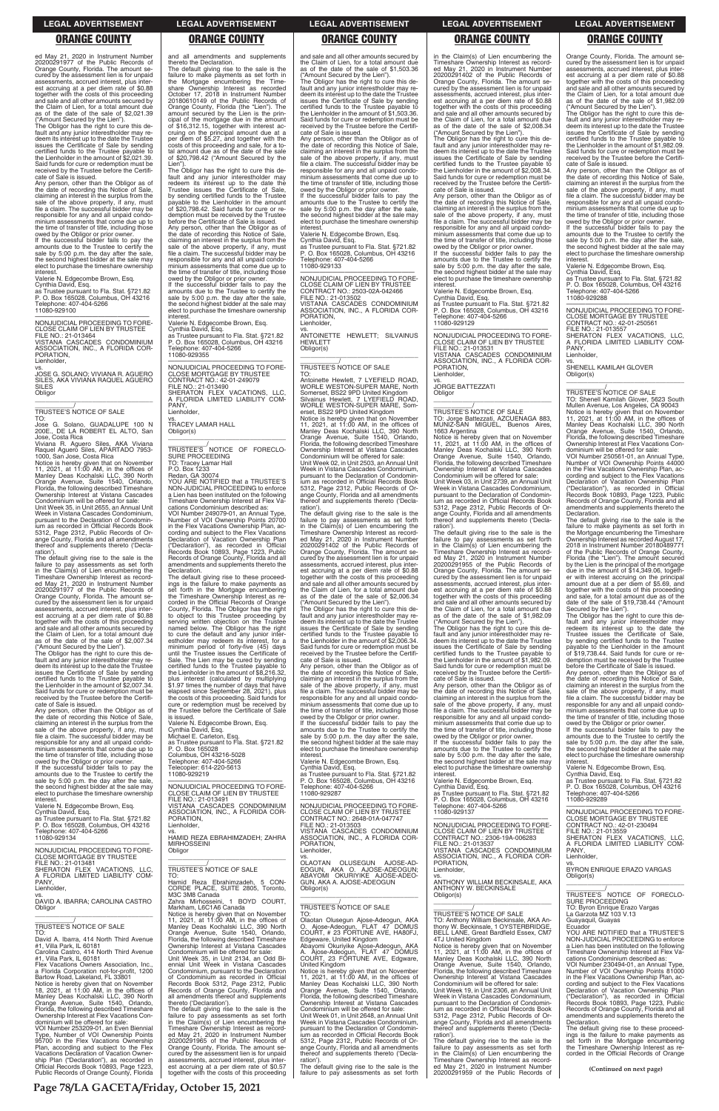ed May 21, 2020 in Instrument Number 20200291977 of the Public Records of Orange County, Florida. The amount seby the assessment lien is for unpaid assessments, accrued interest, plus in est accruing at a per diem rate of \$0.88 together with the costs of this proceeding and sale and all other amounts secured by the Claim of Lien, for a total amount due as of the date of the sale of \$2,021.39 ("Amount Secured by the Lien").

The Obligor has the right to cure this de-fault and any junior interestholder may re-deem its interest up to the date the Trustee issues the Certificate of Sale by sending certified funds to the Trustee payable to the Lienholder in the amount of \$2,021.39. Said funds for cure or redemption must be received by the Trustee before the Certifi-cate of Sale is issued.

vs. JOSE G. SOLANO; VIVIANA R. AGUERO SILES, AKA VIVIANA RAQUEL AGUERO SILES<sup></sup> **Obligor**  $\overline{\phantom{a}}$  , and the set of the set of the set of the set of the set of the set of the set of the set of the set of the set of the set of the set of the set of the set of the set of the set of the set of the set of the s

TO: Jose G. Solano, GUADALUPE 100 N<br>200E., DE LA ROBERT EL ALTO, San DE LA ROBERT EL ALTO, San

Any person, other than the Obligor as of the date of recording this Notice of Sale, claiming an interest in the surplus from the sale of the above property, if any, must file a claim. The successful bidder may be responsible for any and all unpaid condominium assessments that come due up to the time of transfer of title, including those owed by the Obligor or prior owner.

Jose, Costa Rica Viviana R. Aguero Siles, AKA Viviana Raquel Aguero Siles, APARTADO 7953-

If the successful bidder fails to pay the amounts due to the Trustee to certify the sale by 5:00 p.m. the day after the sale, the second highest bidder at the sale may elect to purchase the timeshare ownership

interest. Valerie N. Edgecombe Brown, Esq. Cynthia David, Esq. as Trustee pursuant to Fla. Stat. §721.82 P. O. Box 165028, Columbus, OH 43216 Telephone: 407-404-5266 11080-929100

—————————————————— NONJUDICIAL PROCEEDING TO FORE-CLOSE CLAIM OF LIEN BY TRUSTEE FILE NO.: 21-013464 VISTANA CASCADES CONDOMINIUM

ASSOCIATION, INC., A FLORIDA COR-PORATION, Lienholder,

# \_\_\_\_\_\_\_\_\_\_\_/ TRUSTEE'S NOTICE OF SALE

1000, San Jose, Costa Rica Notice is hereby given that on November 11, 2021, at 11:00 AM, in the offices of Manley Deas Kochalski LLC, 390 North Orange Avenue, Suite 1540, Orlando, Florida, the following described Timeshare Ownership Interest at Vistana Cascades Condominium will be offered for sale:

Unit Week 35, in Unit 2655, an Annual Unit Week in Vistana Cascades Condominium, pursuant to the Declaration of Condominium as recorded in Official Records Book 5312, Page 2312, Public Records of Or-ange County, Florida and all amendments thereof and supplements thereto ('Decla-

ration'). The default giving rise to the sale is the failure to pay assessments as set forth in the Claim(s) of Lien encumbering the Timeshare Ownership Interest as recorded May 21, 2020 in Instrument Number 20200291977 of the Public Records of Orange County, Florida. The amount secured by the assessment lien is for unpaid assessments, accrued interest, plus inter-est accruing at a per diem rate of \$0.88 together with the costs of this proceeding and sale and all other amounts secured by the Claim of Lien, for a total amount due as of the date of the sale of \$2,007.34

("Amount Secured by the Lien"). The Obligor has the right to cure this default and any junior interestholder may re-deem its interest up to the date the Trustee issues the Certificate of Sale by sending certified funds to the Trustee payable to the Lienholder in the amount of \$2,007.34. Said funds for cure or redemption must be received by the Trustee before the Certifi-

If the successful bidder fails to pay the amounts due to the Trustee to certify the sale by 5:00 p.m. the day after the sale, the second highest bidder at the sale may elect to purchase the timeshare ownership **interest** 

cate of Sale is issued. Any person, other than the Obligor as of the date of recording this Notice of Sale,<br>claiming an interest in the surplus from the<br>sale of the above property, if any, must<br>file a claim. The successful bidder may be responsible for any and all unpaid condo-minium assessments that come due up to the time of transfer of title, including those

 $\overline{\phantom{a}}$  , and the set of the set of the set of the set of the set of the set of the set of the set of the set of the set of the set of the set of the set of the set of the set of the set of the set of the set of the s TRUSTEE'S NOTICE OF FORECLO-SURE PROCEEDING TO: Tracey Lamar Hall P.O. Box 1233

VOI Number 249079-01, an Annual Type, Number of VOI Ownership Points 20700 in the Flex Vacations Ownership Plan, according and subject to the Flex Vacations Declaration of Vacation Ownership Plan ("Declaration"), as recorded in Official Records Book 10893, Page 1223, Public Records of Orange County, Florida and all amendments and supplements thereto the **Declaration** 

owed by the Obligor or prior owner. If the successful bidder fails to pay the amounts due to the Trustee to certify the sale by 5:00 p.m. the day after the sale, the second highest bidder at the sale may elect to purchase the timeshare ownership

interest. Valerie N. Edgecombe Brown, Esq. Cynthia David, Esq. as Trustee pursuant to Fla. Stat. §721.82

and all amendments and supplements thereto the Declaration.

The default giving rise to the sale is the failure to make payments as set forth in the Mortgage encumbering the Timeshare Ownership Interest as recorded October 17, 2018 in Instrument Number 20180610149 of the Public Records of Orange County, Florida (the "Lien"). The amount secured by the Lien is the prin-cipal of the mortgage due in the amount of \$16,312.15, together with interest ac-cruing on the principal amount due at a per diem of \$5.27, and together with the costs of this proceeding and sale, for a to-tal amount due as of the date of the sale of \$20,798.42 ("Amount Secured by the

the date of recording this Notice of Sale,<br>claiming an interest in the surplus from the<br>sale of the above property, if any, must<br>file a claim. The successful bidder may be responsible for any and all unpaid condo-minium assessments that come due up to the time of transfer of title, including those owed by the Obligor or prior owner. If the successful bidder fails to pay the

amounts due to the Trustee to certify the sale by 5:00 p.m. the day after the sale, the second highest bidder at the sale may elect to purchase the timeshare ownership interest

Lien"). The Obligor has the right to cure this de-fault and any junior interestholder may redeem its interest up to the date the Trustee issues the Certificate of Sale, by sending certified funds to the Trustee payable to the Lienholder in the amount of \$20,798.42. Said funds for cure or re-demption must be received by the Trustee

before the Certificate of Sale is issued. Any person, other than the Obligor as of the date of recording this Notice of Sale, claiming an interest in the surplus from the sale of the above property, if any, must file a claim. The successful bidder may be responsible for any and all unpaid condominium assessments that come due up to the time of transfer of title, including those owed by the Obligor or prior owner.

> ration') The default giving rise to the sale is the failure to pay assessments as set forth in the Claim(s) of Lien encumbering the Timeshare Ownership Interest as record-ed May 21, 2020 in Instrument Number 20200291402 of the Public Records of Orange County, Florida. The amount se-cured by the assessment lien is for unpaid assessments, accrued interest, plus interest accruing at a per diem rate of \$0.88 together with the costs of this proceeding and sale and all other amounts secured by the Claim of Lien, for a total amount due as of the date of the sale of \$2,006.34

Valerie N. Edgecombe Brown, Esq. Cynthia David, Esq.

as Trustee pursuant to Fla. Stat. §721.82 P. O. Box 165028, Columbus, OH 43216 Telephone: 407-404-5266 11080-929355

—————————————————— NONJUDICIAL PROCEEDING TO FORE-CLOSE MORTGAGE BY TRUSTEE CONTRACT NO.: 42-01-249079 FILE NO.: 21-013490 SHERATON FLEX VACATIONS, LLC, A FLORIDA LIMITED LIABILITY COM-PANY, Lienholder,

vs. TRACEY LAMAR HALL Obligor(s)

Redan, GA 30074 YOU ARE NOTIFIED that a TRUSTEE'S NON-JUDICIAL PROCEEDING to enforce a Lien has been instituted on the following Timeshare Ownership Interest at Flex Vacations Condominium described as:

The default giving rise to these proceedings is the failure to make payments as set forth in the Mortgage encumbering the Timeshare Ownership Interest as recorded in the Official Records of Orange County, Florida. The Obligor has the right to object to this Trustee proceeding by serving written objection on the Trustee named below. The Obligor has the right to cure the default and any junior interestholder may redeem its interest, for a minimum period of forty-five (45) days until the Trustee issues the Certificate of Sale. The Lien may be cured by sending certified funds to the Trustee payable to the Lienholder in the amount of \$8,216.32, plus interest (calculated by multiplying \$1.97 times the number of days that have elapsed since September 28, 2021), plus the costs of this proceeding. Said funds for cure or redemption must be received by the Trustee before the Certificate of Sale is issued.

vs. JORGE BATTEZZATI **Obligor** 

 $\overline{\phantom{a}}$  ,  $\overline{\phantom{a}}$  ,  $\overline{\phantom{a}}$  ,  $\overline{\phantom{a}}$  ,  $\overline{\phantom{a}}$  ,  $\overline{\phantom{a}}$  ,  $\overline{\phantom{a}}$  ,  $\overline{\phantom{a}}$  ,  $\overline{\phantom{a}}$  ,  $\overline{\phantom{a}}$  ,  $\overline{\phantom{a}}$  ,  $\overline{\phantom{a}}$  ,  $\overline{\phantom{a}}$  ,  $\overline{\phantom{a}}$  ,  $\overline{\phantom{a}}$  ,  $\overline{\phantom{a}}$ \_\_\_\_\_\_\_\_\_\_\_/ TRUSTEE'S NOTICE OF SALE

Valerie N. Edgecombe Brown, Esq. Cynthia David, Esq.

Michael E. Carleton, Esq. as Trustee pursuant to Fla. Stat. §721.82 P. O. Box 165028 Columbus, OH 43216-5028

Telephone: 407-404-5266 Telecopier: 614-220-5613 11080-929219

—————————————————— NONJUDICIAL PROCEEDING TO FORE-CLOSE CLAIM OF LIEN BY TRUSTEE FILE NO.: 21-013491 VISTANA CASCADES CONDOMINIUM ASSOCIATION, INC., A FLORIDA COR-PORATION,

and sale and all other amounts secured by the Claim of Lien, for a total amount due as of the date of the sale of \$1,503.36

("Amount Secured by the Lien"). The Obligor has the right to cure this default and any junior interestholder may redeem its interest up to the date the Trustee issues the Certificate of Sale by sending certified funds to the Trustee payable to the Lienholder in the amount of \$1,503.36. Said funds for cure or redemption must be received by the Trustee before the Certifi-cate of Sale is issued. Any person, other than the Obligor as of

> vs. SHENELL KAMILAH GLOVER Obligor(s)  $\overline{\phantom{a}}$  ,  $\overline{\phantom{a}}$  ,  $\overline{\phantom{a}}$  ,  $\overline{\phantom{a}}$  ,  $\overline{\phantom{a}}$  ,  $\overline{\phantom{a}}$  ,  $\overline{\phantom{a}}$  ,  $\overline{\phantom{a}}$  ,  $\overline{\phantom{a}}$  ,  $\overline{\phantom{a}}$  ,  $\overline{\phantom{a}}$  ,  $\overline{\phantom{a}}$  ,  $\overline{\phantom{a}}$  ,  $\overline{\phantom{a}}$  ,  $\overline{\phantom{a}}$  ,  $\overline{\phantom{a}}$

Valerie N. Edgecombe Brown, Esq.

VOI Number 250561-01, an Annual Type, Number of VOI Ownership Points 44000 in the Flex Vacations Ownership Plan, according and subject to the Flex Vacations Declaration of Vacation Ownership Plan ("Declaration"), as recorded in Official Records Book 10893, Page 1223, Public Records of Orange County, Florida and all amendments and supplements thereto the **Declaration** 

Cynthia David, Esq. as Trustee pursuant to Fla. Stat. §721.82 P. O. Box 165028, Columbus, OH 43216 Telephone: 407-404-5266 11080-929133

—————————————————— NONJUDICIAL PROCEEDING TO FORE-

CLOSE CLAIM OF LIEN BY TRUSTEE CONTRACT NO.: 2503-02A-042466 FILE NO.: 21-013502 VISTANA CASCADES CONDOMINIUM ASSOCIATION, INC., A FLORIDA COR-PORATION, Lienholder,

vs. ANTOINETTE HEWLETT; SILVAINUS **HEWLETT** Obligor(s)

\_\_\_\_\_\_\_\_\_\_\_\_\_\_\_\_\_\_\_\_\_\_\_\_\_\_\_\_\_\_\_\_\_

\_\_\_\_\_\_\_\_\_\_\_/ TRUSTEE'S NOTICE OF SALE

TO: Antoinette Hewlett, 7 LYEFIELD ROAD WORLE WESTON-SUPER MARE, North Somerset, BS22 9PD United Kingdom Silvainus Hewlett, 7 LYEFIELD ROAD, WORLE WESTON-SUPER MARE, Somerset, BS22 9PD United Kingdom Notice is hereby given that on November 11, 2021, at 11:00 AM, in the offices of Manley Deas Kochalski LLC, 390 North Orange Avenue, Suite 1540, Orlando, Florida, the following described Timeshare Ownership Interest at Vistana Cascades Condominium will be offered for sale: Unit Week 02, in Unit 2503, an Annual Unit Week in Vistana Cascades Condominium, pursuant to the Declaration of Condomin-ium as recorded in Official Records Book 5312, Page 2312, Public Records of Orange County, Florida and all amendments thereof and supplements thereto ('Decla-

("Amount Secured by the Lien"). The Obligor has the right to cure this de-fault and any junior interestholder may redeem its interest up to the date the Trustee issues the Certificate of Sale by sending certified funds to the Trustee payable to the Lienholder in the amount of \$2,006.34. Said funds for cure or redemption must be received by the Trustee before the Certificate of Sale is issued.

Any person, other than the Obligor as of the date of recording this Notice of Sale, claiming an interest in the surplus from the sale of the above property, if any, must file a claim. The successful bidder may be responsible for any and all unpaid condominium assessments that come due up to the time of transfer of title, including those

owed by the Obligor or prior owner. If the successful bidder fails to pay the amounts due to the Trustee to certify the sale by 5:00 p.m. the day after the sale, the second highest bidder at the sale may elect to purchase the timeshare ownership interest.

Valerie N. Edgecombe Brown, Esq. Cynthia David, Esq.

as Trustee pursuant to Fla. Stat. §721.82 P. O. Box 165028, Columbus, OH 43216 Telephone: 407-404-5266 11080-929287

—————————————————— NONJUDICIAL PROCEEDING TO FORE-CLOSE CLAIM OF LIEN BY TRUSTEE CONTRACT NO.: 2648-01A-047747

| as Trustee pursuant to Fla. Stat. §721.82<br>P. O. Box 165028, Columbus, OH 43216<br>Telephone: 407-404-5266<br>11080-929134<br>NONJUDICIAL PROCEEDING TO FORE-<br><b>CLOSE MORTGAGE BY TRUSTEE</b><br>FILE NO.: 21-013481<br>SHERATON FLEX VACATIONS. LLC.<br>A FLORIDA LIMITED LIABILITY COM-<br>PANY.                                                                                                                                                                                                                                                                                                                                                                                                                                                                                                                                           | PORATION.<br>Lienholder,<br>VS.<br>HAMID REZA EBRAHIMZADEH: ZAHRA<br><b>MIRHOSSEINI</b><br>Obligor<br>TRUSTEE'S NOTICE OF SALE<br>TO:<br>Hamid Reza Ebrahimzadeh, 5 CON-                                                                                                                                                                                                                                                                                                                                                                                                                                                                                                                                                                                                                                                                                                                                 | CONTRACT NO.: 2648-01A-047747<br>FILE NO.: 21-013503<br>VISTANA CASCADES CONDOMINIUM<br>ASSOCIATION, INC., A FLORIDA COR-<br>PORATION.<br>Lienholder,<br>VS.<br>OLUSEGUN AJOSE-AD-<br>OLAOTAN<br>EOGUN. AKA O. AJOSE-ADEOGUN:<br>ABAYOMI OKURIYIKE AJOSE-ADEO-<br>GUN, AKA A, AJOSE-ADEOGUN                                                                                                                                                                                                                                                                                                                                                                                                                                                                                                                                        | NONJUDICIAL PROCEEDING TO FORE-<br>CLOSE CLAIM OF LIEN BY TRUSTEE<br>CONTRACT NO.: 2306-19A-006283<br>FILE NO.: 21-013537<br>VISTANA CASCADES CONDOMINIUM<br>ASSOCIATION, INC., A FLORIDA COR-<br>PORATION.<br>Lienholder.<br>VS.<br>ANTHONY WILLIAM BECKINSALE, AKA                                                                                                                                                                                                                                                                                                                                                                                                                                                                                                                                                                                                           | <b>CLOSE MORTGAGE BY TRUSTEE</b><br>CONTRACT NO.: 42-01-230494<br>FILE NO.: 21-013559<br>SHERATON FLEX VACATIONS, LLC,<br>A FLORIDA LIMITED LIABILITY COM-<br>PANY.<br>Lienholder,<br>VS.<br>BYRON ENRIQUE ERAZO VARGAS<br>Obligor(s)                                                                                                                                                                                                                                                                                                                                                                                                                                                                                                                                                                                                            |
|----------------------------------------------------------------------------------------------------------------------------------------------------------------------------------------------------------------------------------------------------------------------------------------------------------------------------------------------------------------------------------------------------------------------------------------------------------------------------------------------------------------------------------------------------------------------------------------------------------------------------------------------------------------------------------------------------------------------------------------------------------------------------------------------------------------------------------------------------|----------------------------------------------------------------------------------------------------------------------------------------------------------------------------------------------------------------------------------------------------------------------------------------------------------------------------------------------------------------------------------------------------------------------------------------------------------------------------------------------------------------------------------------------------------------------------------------------------------------------------------------------------------------------------------------------------------------------------------------------------------------------------------------------------------------------------------------------------------------------------------------------------------|------------------------------------------------------------------------------------------------------------------------------------------------------------------------------------------------------------------------------------------------------------------------------------------------------------------------------------------------------------------------------------------------------------------------------------------------------------------------------------------------------------------------------------------------------------------------------------------------------------------------------------------------------------------------------------------------------------------------------------------------------------------------------------------------------------------------------------|--------------------------------------------------------------------------------------------------------------------------------------------------------------------------------------------------------------------------------------------------------------------------------------------------------------------------------------------------------------------------------------------------------------------------------------------------------------------------------------------------------------------------------------------------------------------------------------------------------------------------------------------------------------------------------------------------------------------------------------------------------------------------------------------------------------------------------------------------------------------------------|--------------------------------------------------------------------------------------------------------------------------------------------------------------------------------------------------------------------------------------------------------------------------------------------------------------------------------------------------------------------------------------------------------------------------------------------------------------------------------------------------------------------------------------------------------------------------------------------------------------------------------------------------------------------------------------------------------------------------------------------------------------------------------------------------------------------------------------------------|
| Lienholder,<br>VS.<br>DAVID A. IBARRA; CAROLINA CASTRO<br>Obligor<br><b>TRUSTEE'S NOTICE OF SALE</b>                                                                                                                                                                                                                                                                                                                                                                                                                                                                                                                                                                                                                                                                                                                                               | CORDE PLACE, SUITE 2805, Toronto,<br>M3C 3M8 Canada<br>Zahra Mirhosseini, 1 BOYD COURT,<br>Markham, L6C1A6 Canada<br>Notice is hereby given that on November<br>11, 2021, at 11:00 AM, in the offices of<br>Manley Deas Kochalski LLC, 390 North                                                                                                                                                                                                                                                                                                                                                                                                                                                                                                                                                                                                                                                         | Obligor(s)<br><b>TRUSTEE'S NOTICE OF SALE</b><br>TO:<br>Olaotan Olusegun Ajose-Adeogun, AKA<br>O. Ajose-Adeogun, FLAT 47 DOMUS                                                                                                                                                                                                                                                                                                                                                                                                                                                                                                                                                                                                                                                                                                     | <b>ANTHONY W. BECKINSALE</b><br>Obligor(s)<br>TRUSTEE'S NOTICE OF SALE<br>TO: Anthony William Beckinsale, AKA An-<br>thony W. Beckinsale, 1 OYSTERBRIDGE,                                                                                                                                                                                                                                                                                                                                                                                                                                                                                                                                                                                                                                                                                                                      | TRUSTEE'S NOTICE OF FORECLO-<br>SURE PROCEEDING<br>TO: Byron Enrique Erazo Vargas<br>La Garzota MZ 103 V.13<br>Guayaguil, Guayas<br>Ecuador                                                                                                                                                                                                                                                                                                                                                                                                                                                                                                                                                                                                                                                                                                      |
| TO:<br>David A. Ibarra, 414 North Third Avenue<br>#1, Villa Park, IL 60181<br>Carolina Castro, 414 North Third Avenue<br>#1. Villa Park. IL 60181<br>Flex Vacations Owners Association. Inc<br>a Florida Corporation not-for-profit, 1200<br>Bartow Road, Lakeland, FL 33801<br>Notice is hereby given that on November<br>18, 2021, at 11:00 AM, in the offices of<br>Manley Deas Kochalski LLC, 390 North<br>Orange Avenue, Suite 1540, Orlando,<br>Florida, the following described Timeshare<br>Ownership Interest at Flex Vacations Con-<br>dominium will be offered for sale:<br>VOI Number 253209-01, an Even Biennial<br>Type, Number of VOI Ownership Points<br>95700 in the Flex Vacations Ownership<br>Plan, according and subject to the Flex<br>Vacations Declaration of Vacation Owner-<br>ship Plan ("Declaration"), as recorded in | Orange Avenue, Suite 1540, Orlando,<br>Florida, the following described Timeshare<br>Ownership Interest at Vistana Cascades<br>Condominium will be offered for sale:<br>Unit Week 35, in Unit 2134, an Odd Bi-<br>ennial Unit Week in Vistana Cascades<br>Condominium, pursuant to the Declaration<br>of Condominium as recorded in Official<br>Records Book 5312, Page 2312, Public<br>Records of Orange County, Florida and<br>all amendments thereof and supplements<br>thereto ('Declaration').<br>The default giving rise to the sale is the<br>failure to pay assessments as set forth<br>in the Claim(s) of Lien encumbering the<br>Timeshare Ownership Interest as record-<br>ed May 21, 2020 in Instrument Number<br>20200291965 of the Public Records of<br>Orange County, Florida. The amount se-<br>cured by the assessment lien is for unpaid<br>assessments, accrued interest, plus inter- | COURT, # 23 FORTUNE AVE, HA80FJ,<br>Edgeware, United Kingdom<br>Abayomi Okuriyike Ajose-Adeogun, AKA<br>A. Ajose-Adeogun, FLAT 47 DOMUS<br>COURT, 23 FORTUNE AVE, Edgware,<br>United Kingdom<br>Notice is hereby given that on November<br>11. 2021. at $11:00$ AM. in the offices of<br>Manley Deas Kochalski LLC, 390 North<br>Orange Avenue, Suite 1540, Orlando,<br>Florida, the following described Timeshare<br>Ownership Interest at Vistana Cascades<br>Condominium will be offered for sale:<br>Unit Week 01. in Unit 2648, an Annual Unit<br>Week in Vistana Cascades Condominium,<br>pursuant to the Declaration of Condomin-<br>jum as recorded in Official Records Book<br>5312, Page 2312, Public Records of Or-<br>ange County, Florida and all amendments<br>thereof and supplements thereto ('Decla-<br>ration'). | BELL LANE, Great Bardfield Essex, CM7<br>4TJ United Kingdom<br>Notice is hereby given that on November<br>11, 2021, at 11:00 AM, in the offices of<br>Manley Deas Kochalski LLC, 390 North<br>Orange Avenue, Suite 1540, Orlando,<br>Florida, the following described Timeshare<br>Ownership Interest at Vistana Cascades<br>Condominium will be offered for sale:<br>Unit Week 19, in Unit 2306, an Annual Unit<br>Week in Vistana Cascades Condominium.<br>pursuant to the Declaration of Condomin-<br>jum as recorded in Official Records Book<br>5312. Page 2312. Public Records of Or-<br>ange County, Florida and all amendments<br>thereof and supplements thereto ('Decla-<br>ration').<br>The default giving rise to the sale is the<br>failure to pay assessments as set forth<br>in the Claim(s) of Lien encumbering the<br>Timeshare Ownership Interest as record- | YOU ARE NOTIFIED that a TRUSTEE'S<br>NON-JUDICIAL PROCEEDING to enforce<br>a Lien has been instituted on the following<br>Timeshare Ownership Interest at Flex Va-<br>cations Condominium described as:<br>VOI Number 230494-01, an Annual Type,<br>Number of VOI Ownership Points 81000<br>in the Flex Vacations Ownership Plan, ac-<br>cording and subject to the Flex Vacations<br>Declaration of Vacation Ownership Plan<br>("Declaration"), as recorded in Official<br>Records Book 10893, Page 1223, Public<br>Records of Orange County, Florida and all<br>amendments and supplements thereto the<br>Declaration.<br>The default giving rise to these proceed-<br>ings is the failure to make payments as<br>set forth in the Mortgage encumbering<br>the Timeshare Ownership Interest as re-<br>corded in the Official Records of Orange |
| Official Records Book 10893, Page 1223,<br>Public Records of Orange County, Florida                                                                                                                                                                                                                                                                                                                                                                                                                                                                                                                                                                                                                                                                                                                                                                | est accruing at a per diem rate of \$0.57<br>together with the costs of this proceeding                                                                                                                                                                                                                                                                                                                                                                                                                                                                                                                                                                                                                                                                                                                                                                                                                  | The default giving rise to the sale is the<br>failure to pay assessments as set forth                                                                                                                                                                                                                                                                                                                                                                                                                                                                                                                                                                                                                                                                                                                                              | ed May 21, 2020 in Instrument Number<br>20200291959 of the Public Records of                                                                                                                                                                                                                                                                                                                                                                                                                                                                                                                                                                                                                                                                                                                                                                                                   | (Continued on next page)                                                                                                                                                                                                                                                                                                                                                                                                                                                                                                                                                                                                                                                                                                                                                                                                                         |

in the Claim(s) of Lien encumbering the Timeshare Ownership Interest as recorded May 21, 2020 in Instrument Number 20200291402 of the Public Records of Orange County, Florida. The amount secured by the assessment lien is for unpaid assessments, accrued interest, plus inter-est accruing at a per diem rate of \$0.88 together with the costs of this proceeding and sale and all other amounts secured by the Claim of Lien, for a total amount due as of the date of the sale of \$2,008.34

("Amount Secured by the Lien"). The Obligor has the right to cure this default and any junior interestholder may re-deem its interest up to the date the Trustee issues the Certificate of Sale by sending certified funds to the Trustee payable to the Lienholder in the amount of \$2,008.34. Said funds for cure or redemption must be received by the Trustee before the Certifi-

cate of Sale is issued. Any person, other than the Obligor as of the date of recording this Notice of Sale, claiming an interest in the surplus from the sale of the above property, if any, must file a claim. The successful bidder may be responsible for any and all unpaid condo-minium assessments that come due up to the time of transfer of title, including those owed by the Obligor or prior owner. If the successful bidder fails to pay the

amounts due to the Trustee to certify the sale by 5:00 p.m. the day after the sale, the second highest bidder at the sale may elect to purchase the timeshare ownership interest.

Valerie N. Edgecombe Brown, Esq.

Cynthia David, Esq. as Trustee pursuant to Fla. Stat. §721.82 P. O. Box 165028, Columbus, OH 43216 Telephone: 407-404-5266

11080-929129

—————————————————— NONJUDICIAL PROCEEDING TO FORE-CLOSE CLAIM OF LIEN BY TRUSTEE FILE NO.: 21-013531 VISTANA CASCADES CONDOMINIUM ASSOCIATION, INC., A FLORIDA COR-PORATION, Lienholder,

TO: Jorge Battezzati, AZCUENAGA 883, MUNIZ-SAN MIGUEL, Buenos Aires, 1663 Argentina

Notice is hereby given that on November 11, 2021, at 11:00 AM, in the offices of Manley Deas Kochalski LLC, 390 North Orange Avenue, Suite 1540, Orlando, Florida, the following described Timeshare Ownership Interest at Vistana Cascades Condominium will be offered for sale: Unit Week 03, in Unit 2739, an Annual Unit

Week in Vistana Cascades Condominium, pursuant to the Declaration of Condominium as recorded in Official Records Book 5312, Page 2312, Public Records of Orange County, Florida and all amendments thereof and supplements thereto ('Declaration').

The default giving rise to the sale is the failure to pay assessments as set forth in the Claim(s) of Lien encumbering the Timeshare Ownership Interest as record-ed May 21, 2020 in Instrument Number 20200291955 of the Public Records of Orange County, Florida. The amount se-cured by the assessment lien is for unpaid assessments, accrued interest, plus interest accruing at a per diem rate of \$0.88 together with the costs of this proceeding and sale and all other amounts secured by the Claim of Lien, for a total amount due as of the date of the sale of \$1,982.09

("Amount Secured by the Lien"). The Obligor has the right to cure this de-fault and any junior interestholder may redeem its interest up to the date the Trustee issues the Certificate of Sale by sending certified funds to the Trustee payable to the Lienholder in the amount of \$1,982.09. Said funds for cure or redemption must be received by the Trustee before the Certificate of Sale is issued.

Any person, other than the Obligor as of the date of recording this Notice of Sale, claiming an interest in the surplus from the sale of the above property, if any, must file a claim. The successful bidder may be responsible for any and all unpaid condominium assessments that come due up to the time of transfer of title, including those

owed by the Obligor or prior owner. If the successful bidder fails to pay the amounts due to the Trustee to certify the sale by 5:00 p.m. the day after the sale, the second highest bidder at the sale may elect to purchase the timeshare ownership interest.

Valerie N. Edgecombe Brown, Esq. Cynthia David, Esq.

as Trustee pursuant to Fla. Stat. §721.82 P. O. Box 165028, Columbus, OH 43216 Telephone: 407-404-5266 11080-929137

Orange County, Florida. The amount se-cured by the assessment lien is for unpaid assessments, accrued interest, plus interest accruing at a per diem rate of \$0.88 together with the costs of this proceeding and sale and all other amounts secured by the Claim of Lien, for a total amount due as of the date of the sale of \$1,982.09

("Amount Secured by the Lien"). The Obligor has the right to cure this de-fault and any junior interestholder may redeem its interest up to the date the Trustee issues the Certificate of Sale by sending certified funds to the Trustee payable to the Lienholder in the amount of \$1,982.09. Said funds for cure or redemption must be received by the Trustee before the Certificate of Sale is issued.

Any person, other than the Obligor as of the date of recording this Notice of Sale, claiming an interest in the surplus from the sale of the above property, if any, must file a claim. The successful bidder may be responsible for any and all unpaid condo-minium assessments that come due up to the time of transfer of title, including those

owed by the Obligor or prior owner. If the successful bidder fails to pay the amounts due to the Trustee to certify the sale by 5:00 p.m. the day after the sale, the second highest bidder at the sale may elect to purchase the timeshare ownership interest.

Valerie N. Edgecombe Brown, Esq. Cynthia David, Esq.

as Trustee pursuant to Fla. Stat. §721.82 P. O. Box 165028, Columbus, OH 43216 Telephone: 407-404-5266 11080-929288

—————————————————— NONJUDICIAL PROCEEDING TO FORE-CLOSE MORTGAGE BY TRUSTEE

CONTRACT NO.: 42-01-250561 FILE NO.: 21-013557 SHERATON FLEX VACATIONS, LLC, A FLORIDA LIMITED LIABILITY COM-PANY,

Lienholder,

\_\_\_\_\_\_\_\_\_\_\_/ TRUSTEE'S NOTICE OF SALE

TO: Shenell Kamilah Glover, 5623 South Mullen Avenue, Los Angeles, CA 90043 Notice is hereby given that on November 11, 2021, at 11:00 AM, in the offices of Manley Deas Kochalski LLC, 390 North Orange Avenue, Suite 1540, Orlando, Florida, the following described Timeshare Ownership Interest at Flex Vacations Condominium will be offered for sale:

The default giving rise to the sale is the failure to make payments as set forth in the Mortgage encumbering the Timeshare Ownership Interest as recorded August 17, 2018 in Instrument Number 20180489771 of the Public Records of Orange County, Florida (the "Lien"). The amount secured by the Lien is the principal of the mortgage due in the amount of \$14,349.06, togeth-er with interest accruing on the principal amount due at a per diem of \$5.69, and together with the costs of this proceeding and sale, for a total amount due as of the date of the sale of \$19,738.44 ("Amount

Secured by the Lien"). The Obligor has the right to cure this default and any junior interestholder may redeem its interest up to the date the Trustee issues the Certificate of Sale, by sending certified funds to the Trustee payable to the Lienholder in the amount of \$19,738.44. Said funds for cure or redemption must be received by the Trustee before the Certificate of Sale is issued. Any person, other than the Obligor as of

the date of recording this Notice of Sale, claiming an interest in the surplus from the sale of the above property, if any, must file a claim. The successful bidder may be responsible for any and all unpaid condo-minium assessments that come due up to the time of transfer of title, including those owed by the Obligor or prior owner. If the successful bidder fails to pay the amounts due to the Trustee to certify the sale by 5:00 p.m. the day after the sale, the second highest bidder at the sale may elect to purchase the timeshare ownership

Valerie N. Edgecombe Brown, Esq. Cynthia David, Esq. as Trustee pursuant to Fla. Stat. §721.82 P. O. Box 165028, Columbus, OH 43216

Telephone: 407-404-5266

11080-929289

interes

—————————————————— NONJUDICIAL PROCEEDING TO FORE-

### **LEGAL ADVERTISEMENT LEGAL ADVERTISEMENT LEGAL ADVERTISEMENT LEGAL ADVERTISEMENT LEGAL ADVERTISEMENT**

# **ORANGE COUNTY ORANGE COUNTY ORANGE COUNTY ORANGE COUNTY ORANGE COUNTY**

**Page 78/LA GACETA/Friday, October 15, 2021**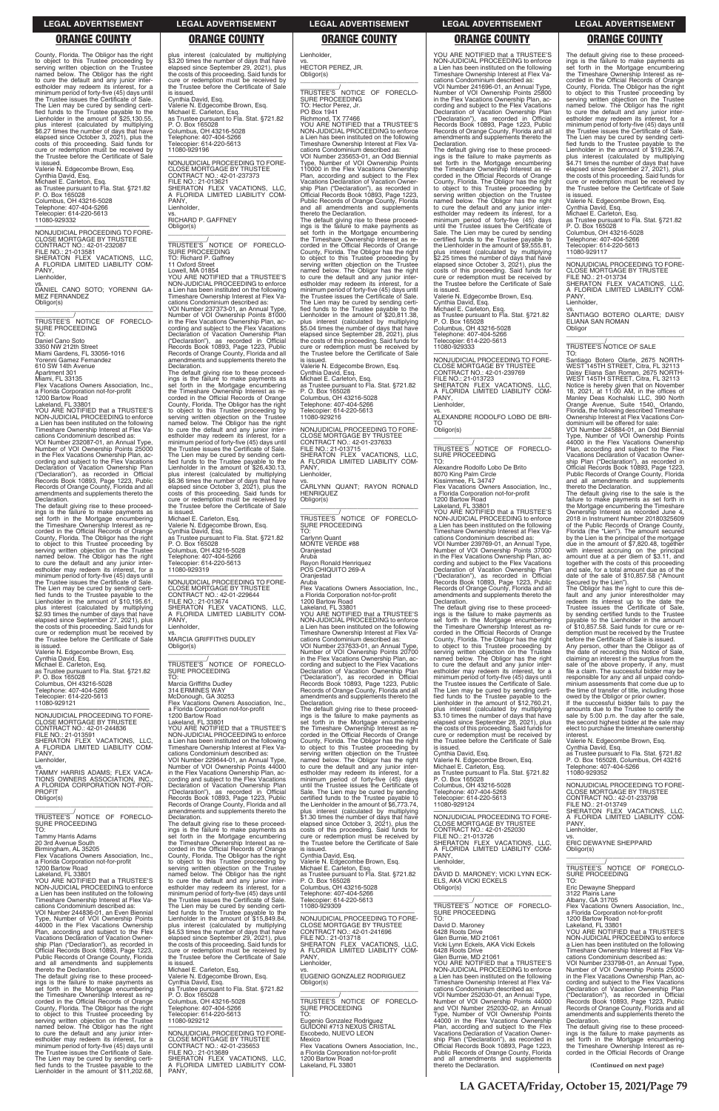County, Florida. The Obligor has the right to object to this Trustee proceeding by serving written objection on the Trustee named below. The Obligor has the right to cure the default and any junior inter-estholder may redeem its interest, for a minimum period of forty-five (45) days until the Trustee issues the Certificate of Sale. The Lien may be cured by sending certi-fied funds to the Trustee payable to the Lienholder in the amount of \$25,130.55, plus interest (calculated by multiplying \$6.27 times the number of days that have elapsed since October 3, 2021), plus the costs of this proceeding. Said funds for cure or redemption must be received by the Trustee before the Certificate of Sale is issued.

—————————————————— NONJUDICIAL PROCEEDING TO FORE-CLOSE MORTGAGE BY TRUSTEE CONTRACT NO.: 42-01-232087 FILE NO.: 21-013581 SHERATON FLEX VACATIONS, LLC,<br>A FLORIDA LIMITED LIABILITY COM-<br>PANY, Lienholder, vs. DANIEL CANO SOTO; YORENNI GA-MEZ FERNANDEZ Obligor(s) \_\_\_\_\_\_\_\_\_\_\_\_\_\_\_\_\_\_\_\_\_\_\_\_\_\_\_\_\_\_\_\_\_ \_\_\_\_\_\_\_\_\_\_\_\_/<br>TRUSTEE'S NOTICE OF FORECLO-<br>SURE PROCEEDING

Valerie N. Edgecombe Brown, Esq. Cynthia David, Esq. Michael E. Carleton, Esq. as Trustee pursuant to Fla. Stat. §721.82 P. O. Box 165028 Columbus, OH 43216-5028 Telephone: 407-404-5266 Telecopier: 614-220-5613 11080-929332

TO: Daniel Cano Soto 3350 NW 212th Street Miami Gardens, FL 33056-1016 Yorenni Gamez Fernandez 610 SW 14th Avenue Apartment 301 Miami, FL 33135 Flex Vacations Owners Association, Inc. a Florida Corporation not-for-profit 1200 Bartow Road Lakeland, FL 33801 YOU ARE NOTIFIED that a TRUSTEE'S NON-JUDICIAL PROCEEDING to enforce

a Lien has been instituted on the following Timeshare Ownership Interest at Flex Va-

cations Condominium described as: VOI Number 232087-01, an Annual Type, Number of VOI Ownership Points 25000 in the Flex Vacations Ownership Plan, according and subject to the Flex Vacations Declaration of Vacation Ownership Plan ("Declaration"), as recorded in Official Records Book 10893, Page 1223, Public Records of Orange County, Florida and all amendments and supplements thereto the Declaration.

The default giving rise to these proceed-ings is the failure to make payments as set forth in the Mortgage encumbering the Timeshare Ownership Interest as re-corded in the Official Records of Orange County, Florida. The Obligor has the right to object to this Trustee proceeding by serving written objection on the Trustee named below. The Obligor has the right to cure the default and any junior inter-estholder may redeem its interest, for a minimum period of forty-five (45) days until the Trustee issues the Certificate of Sale. The Lien may be cured by sending certi-fied funds to the Trustee payable to the Lienholder in the amount of \$10,195.61, plus interest (calculated by multiplying plus interest (calculated by multiplying \$2.93 times the number of days that have elapsed since September 27, 2021), plus the costs of this proceeding. Said funds for cure or redemption must be received by the Trustee before the Certificate of Sale

plus interest (calculated by multiplying \$3.20 times the number of days that have elapsed since September 29, 2021), plus the costs of this proceeding. Said funds for cure or redemption must be received by the Trustee before the Certificate of Sale is issued. Cynthia David, Esq. Valerie N. Edgecombe Brown, Esq. Michael E. Carleton, Esq. as Trustee pursuant to Fla. Stat. §721.82 P. O. Box 165028 Columbus, OH 43216-5028 Telephone: 407-404-5266

PANY Lienholder, vs.

\_\_\_\_\_\_\_\_\_\_\_\_\_\_\_\_\_\_\_\_\_\_\_\_\_\_\_\_\_\_\_\_\_ \_\_\_\_\_\_\_\_\_\_\_/<br>TRUSTEE'S NOTICE OF FORECLO-<br>SURE PROCEEDING

is issued. Valerie N. Edgecombe Brown, Esq. Cynthia David, Esq. Michael E. Carleton, Esq. as Trustee pursuant to Fla. Stat. §721.82

P. O. Box 165028 Columbus, OH 43216-5028 Telephone: 407-404-5266 Telecopier: 614-220-5613 11080-929121

—————————————————— NONJUDICIAL PROCEEDING TO FORE-CLOSE MORTGAGE BY TRUSTEE CONTRACT NO.: 42-01-244836 FILE NO.: 21-013591 SHERATON FLEX VACATIONS, LLC, A FLORIDA LIMITED LIABILITY COM-PANY Lienholder,

to cure the default and any junior inter-estholder may redeem its interest, for a minimum period of forty-five (45) days until the Trustee issues the Certificate of Sale. The Lien may be cured by sending certified funds to the Trustee payable to the Lienholder in the amount of \$26,430.13, plus interest (calculated by multiplying \$6.36 times the number of days that have elapsed since October 3, 2021), plus the costs of this proceeding. Said funds for cure or redemption must be received by the Trustee before the Certificate of Sale

vs.

TAMMY HARRIS ADAMS; FLEX VACA-TIONS OWNERS ASSOCIATION, INC., A FLORIDA CORPORATION NOT-FOR-PROFIT Obligor(s)

PANY Lienholder,

\_\_\_\_\_\_\_\_\_\_\_\_\_\_\_\_\_\_\_\_\_\_\_\_\_\_\_\_\_\_\_\_\_ \_\_\_\_\_\_\_\_\_\_\_/<br>TRUSTEE'S NOTICE OF FORECLO-<br>SURE PROCEEDING

Telecopier: 614-220-5613 11080-929196

—————————————————— NONJUDICIAL PROCEEDING TO FORE-CLOSE MORTGAGE BY TRUSTEE CONTRACT NO.: 42-01-237373

FILE NO.: 21-013621 SHERATON FLEX VACATIONS, LLC, A FLORIDA LIMITED LIABILITY COM-

RICHARD P. GAFFNEY

Obligor(s)

TO: Richard P. Gaffney 11 Oxford Street Lowell, MA 01854

> —————————————————— NONJUDICIAL PROCEEDING TO FORE-CLOSE MORTGAGE BY TRUSTEE CONTRACT NO.: 42-01-237633 FILE NO.: 21-013715 SHERATON FLEX VACATIONS, LLC, A FLORIDA LIMITED LIABILITY COM-PANY Lienholder,

YOU ARE NOTIFIED that a TRUSTEE'S NON-JUDICIAL PROCEEDING to enforce a Lien has been instituted on the following Timeshare Ownership Interest at Flex Vacations Condominium described as: VOI Number 237373-01, an Annual Type, Number of VOI Ownership Points 81000 in the Flex Vacations Ownership Plan, according and subject to the Flex Vacations

> \_\_\_\_\_\_\_\_\_\_\_/ TRUSTEE'S NOTICE OF FORECLO-SURE PROCEEDING TO: Carlynn Quant MONTE VERDE #88 **Oranjestad** Aruba Rayon Ronald Henriquez POS CHIQUITO 269-A **Oraniestad**

> Aruba Flex Vacations Owners Association, Inc., a Florida Corporation not-for-profit

cations Condominium described as: VOI Number 237633-01, an Annual Type, Number of VOI Ownership Points 20700 in the Flex Vacations Ownership Plan, according and subject to the Flex Vacations Declaration of Vacation Ownership Plan ("Declaration"), as recorded in Official Records Book 10893, Page 1223, Public Records of Orange County, Florida and all amendments and supplements thereto the **Declaration** 

Declaration of Vacation Ownership Plan ("Declaration"), as recorded in Official Records Book 10893, Page 1223, Public Records of Orange County, Florida and all amendments and supplements thereto the

Declaration.

The default giving rise to these proceed-ings is the failure to make payments as set forth in the Mortgage encumbering the Timeshare Ownership Interest as re-corded in the Official Records of Orange County, Florida. The Obligor has the right to object to this Trustee proceeding by serving written objection on the Trustee named below. The Obligor has the right

is issued. Michael E. Carleton, Esq.

Valerie N. Edgecombe Brown, Esq. Cynthia David, Esq. as Trustee pursuant to Fla. Stat. §721.82

P. O. Box 165028 Columbus, OH 43216-5028 Telephone: 407-404-5266 Telecopier: 614-220-5613 11080-929319

—————————————————— NONJUDICIAL PROCEEDING TO FORE-CLOSE MORTGAGE BY TRUSTEE CONTRACT NO.: 42-01-229644

FILE NO.: 21-013674 SHERATON FLEX VACATIONS, LLC, A FLORIDA LIMITED LIABILITY COM-

vs. MARCIA GRIFFITHS DUDLEY

Obligor(s)

TO:

Marcia Griffiths Dudley 314 ERMINES WAY

McDonough, GA 30253 Flex Vacations Owners Association, Inc., a Florida Corporation not-for-profit

The default giving rise to these proceedings is the failure to make payments as set forth in the Mortgage encumbering the Timeshare Ownership Interest as re-corded in the Official Records of Orange County, Florida. The Obligor has the right to object to this Trustee proceeding by serving written objection on the Trustee named below. The Obligor has the right<br>to cure the default and any junior inter-<br>estholder may redeem its interest, for a<br>minimum period of forty-five (45) days<br>until the Trustee issues the Certificate of Sale. The Lien may be cured by sending certified funds to the Trustee payable to the Lienholder in the amount of \$9,555.81, plus interest (calculated by multiplying \$2.25 times the number of days that have elapsed since October 3, 2021), plus the costs of this proceeding. Said funds for cure or redemption must be received by the Trustee before the Certificate of Sale is issued.

1200 Bartow Road Lakeland, FL 33801 YOU ARE NOTIFIED that a TRUSTEE'S NON-JUDICIAL PROCEEDING to enforce a Lien has been instituted on the following Timeshare Ownership Interest at Flex Va-

cations Condominium described as:<br>VOI Number 229644-01, an Annual Type,<br>Number of VOI Ownership Points 44000<br>in the Flex Vacations Ownership Plan, ac-<br>cording and subject to the Flex Vacations<br>Declaration of Vacation Owner

vs. ALEXANDRE RODOLFO LOBO DE BRI-TO Obligor(s)  $\overline{\phantom{a}}$  ,  $\overline{\phantom{a}}$  ,  $\overline{\phantom{a}}$  ,  $\overline{\phantom{a}}$  ,  $\overline{\phantom{a}}$  ,  $\overline{\phantom{a}}$  ,  $\overline{\phantom{a}}$  ,  $\overline{\phantom{a}}$  ,  $\overline{\phantom{a}}$  ,  $\overline{\phantom{a}}$  ,  $\overline{\phantom{a}}$  ,  $\overline{\phantom{a}}$  ,  $\overline{\phantom{a}}$  ,  $\overline{\phantom{a}}$  ,  $\overline{\phantom{a}}$  ,  $\overline{\phantom{a}}$ 

\_\_\_\_\_\_\_\_\_\_\_/<br>TRUSTEE'S NOTICE OF FORECLO-<br>SURE PROCEEDING

The default giving rise to these proceedings is the failure to make payments as set forth in the Mortgage encumbering the Timeshare Ownership Interest as re-corded in the Official Records of Orange County, Florida. The Obligor has the right<br>to object to this Trustee proceeding by<br>serving written objection on the Trustee<br>named below. The Obligor has the right<br>to cure the default and any junior inter-<br>estholder may red The Lien may be cured by sending certified funds to the Trustee payable to the<br>Lienholder in the amount of \$12,760.21, plus interest (calculated by multiplying \$3.10 times the number of days that have elapsed since September 28, 2021), plus the costs of this proceeding. Said funds for cure or redemption must be received by the Trustee before the Certificate of Sale is issued.

| <b>PROFIT</b>                                                                       | ("Declaration"), as recorded in Official                                             | Sale. The Lien may be cured by sending                         | Telephone: 407-404-5266                     | <b>CLOSE MORTGAGE BY TRUSTEE</b>                        |
|-------------------------------------------------------------------------------------|--------------------------------------------------------------------------------------|----------------------------------------------------------------|---------------------------------------------|---------------------------------------------------------|
| Obligor(s)                                                                          | Records Book 10893, Page 1223, Public                                                | certified funds to the Trustee payable to                      | Telecopier: 614-220-5613                    | CONTRACT NO.: 42-01-233798                              |
|                                                                                     | Records of Orange County, Florida and all                                            | the Lienholder in the amount of \$6,773.74.                    | 11080-929124                                | FILE NO.: 21-013749                                     |
|                                                                                     | amendments and supplements thereto the                                               | plus interest (calculated by multiplying                       |                                             | SHERATON FLEX VACATIONS. LLC.                           |
| TRUSTEE'S NOTICE OF FORECLO-                                                        | Declaration.                                                                         | \$1.30 times the number of days that have                      | NONJUDICIAL PROCEEDING TO FORE-             | A FLORIDA LIMITED LIABILITY COM-                        |
| <b>SURE PROCEEDING</b>                                                              | The default giving rise to these proceed-                                            | elapsed since October 3, 2021), plus the                       | <b>CLOSE MORTGAGE BY TRUSTEE</b>            | PANY.                                                   |
| TO:                                                                                 | ings is the failure to make payments as                                              | costs of this proceeding. Said funds for                       | CONTRACT NO.: 42-01-252030                  | Lienholder,                                             |
| <b>Tammy Harris Adams</b>                                                           | set forth in the Mortgage encumbering                                                | cure or redemption must be received by                         | FILE NO.: 21-013726                         | VS.                                                     |
| 20 3rd Avenue South                                                                 | the Timeshare Ownership Interest as re-                                              | the Trustee before the Certificate of Sale                     | SHERATON FLEX VACATIONS. LLC.               | <b>ERIC DEWAYNE SHEPPARD</b>                            |
| Birmingham, AL 35205                                                                | corded in the Official Records of Orange                                             | is issued.                                                     | A FLORIDA LIMITED LIABILITY COM-            | Obligor(s)                                              |
| Flex Vacations Owners Association, Inc.,                                            | County, Florida. The Obligor has the right                                           | Cynthia David, Esq.                                            | PANY.                                       |                                                         |
| a Florida Corporation not-for-profit                                                | to object to this Trustee proceeding by                                              | Valerie N. Edgecombe Brown, Esq.                               | Lienholder,                                 |                                                         |
| 1200 Bartow Road                                                                    | serving written objection on the Trustee                                             | Michael E. Carleton, Esq.                                      | VS.                                         | TRUSTEE'S NOTICE OF FORECLO-                            |
| Lakeland, FL 33801                                                                  | named below. The Obligor has the right                                               | as Trustee pursuant to Fla. Stat. §721.82                      | DAVID D. MARONEY; VICKI LYNN ECK-           | <b>SURE PROCEEDING</b>                                  |
| YOU ARE NOTIFIED that a TRUSTEE'S                                                   | to cure the default and any junior inter-                                            | P. O. Box 165028                                               | ELS, AKA VICKI ECKELS                       | TO:                                                     |
| NON-JUDICIAL PROCEEDING to enforce                                                  | estholder may redeem its interest, for a                                             | Columbus, OH 43216-5028                                        | Obligor(s)                                  | Eric Dewayne Sheppard                                   |
| a Lien has been instituted on the following                                         | minimum period of forty-five (45) days until                                         | Telephone: 407-404-5266                                        |                                             | 3122 Plains Lane                                        |
| Timeshare Ownership Interest at Flex Va-                                            | the Trustee issues the Certificate of Sale.                                          | Telecopier: 614-220-5613                                       | TRUSTEE'S NOTICE OF FORECLO-                | Albany, GA 31705                                        |
| cations Condominium described as:                                                   | The Lien may be cured by sending certi-                                              | 11080-929309                                                   |                                             | Flex Vacations Owners Association, Inc.,                |
| VOI Number 244836-01, an Even Biennial                                              | fied funds to the Trustee payable to the                                             |                                                                | SURE PROCEEDING<br>TO:                      | a Florida Corporation not-for-profit                    |
| Type, Number of VOI Ownership Points                                                | Lienholder in the amount of \$15,849.84.                                             | NONJUDICIAL PROCEEDING TO FORE-                                |                                             | 1200 Bartow Road                                        |
| 44000 in the Flex Vacations Ownership                                               | plus interest (calculated by multiplying                                             | <b>CLOSE MORTGAGE BY TRUSTEE</b><br>CONTRACT NO.: 42-01-241696 | David D. Maroney<br>6428 Roots Drive        | Lakeland, FL 33801<br>YOU ARE NOTIFIED that a TRUSTEE'S |
| Plan, according and subject to the Flex<br>Vacations Declaration of Vacation Owner- | \$4.53 times the number of days that have<br>elapsed since September 29, 2021), plus | FILE NO.: 21-013718                                            | Glen Burnie, MD 21061                       | NON-JUDICIAL PROCEEDING to enforce                      |
| ship Plan ("Declaration"), as recorded in                                           | the costs of this proceeding. Said funds for                                         | SHERATON FLEX VACATIONS. LLC.                                  | Vicki Lynn Eckels, AKA Vicki Eckels         | a Lien has been instituted on the following             |
| Official Records Book 10893, Page 1223,                                             | cure or redemption must be received by                                               | A FLORIDA LIMITED LIABILITY COM-                               | 6428 Roots Drive                            | Timeshare Ownership Interest at Flex Va-                |
| Public Records of Orange County, Florida                                            | the Trustee before the Certificate of Sale                                           | PANY.                                                          | Glen Burnie, MD 21061                       | cations Condominium described as:                       |
| and all amendments and supplements                                                  | is issued.                                                                           | Lienholder.                                                    | YOU ARE NOTIFIED that a TRUSTEE'S           | VOI Number 233798-01, an Annual Type,                   |
| thereto the Declaration.                                                            | Michael E. Carleton, Esq.                                                            | VS.                                                            | NON-JUDICIAL PROCEEDING to enforce          | Number of VOI Ownership Points 25000                    |
| The default giving rise to these proceed-                                           | Valerie N. Edgecombe Brown, Esq.                                                     | EUGENIO GONZALEZ RODRIGUEZ                                     | a Lien has been instituted on the following | in the Flex Vacations Ownership Plan, ac-               |
| ings is the failure to make payments as                                             | Cynthia David, Esq.                                                                  | Obligor(s)                                                     | Timeshare Ownership Interest at Flex Va-    | cording and subject to the Flex Vacations               |
| set forth in the Mortgage encumbering                                               | as Trustee pursuant to Fla. Stat. §721.82                                            |                                                                | cations Condominium described as:           | Declaration of Vacation Ownership Plan                  |
| the Timeshare Ownership Interest as re-                                             | P. O. Box 165028                                                                     |                                                                | VOI Number 252030-01, an Annual Type,       | ("Declaration"), as recorded in Official                |
| corded in the Official Records of Orange                                            | Columbus, OH 43216-5028                                                              | TRUSTEE'S NOTICE OF FORECLO-                                   | Number of VOI Ownership Points 44000        | Records Book 10893, Page 1223, Public                   |
| County, Florida. The Obligor has the right                                          | Telephone: 407-404-5266                                                              | <b>SURE PROCEEDING</b>                                         | and VOI Number 252030-02, an Annual         | Records of Orange County, Florida and all               |
| to object to this Trustee proceeding by                                             | Telecopier: 614-220-5613                                                             | TO:                                                            | Type, Number of VOI Ownership Points        | amendments and supplements thereto the                  |
| serving written objection on the Trustee                                            | 11080-929212                                                                         | Eugenio Gonzalez Rodriguez                                     | 44000 in the Flex Vacations Ownership       | Declaration.                                            |
| named below. The Obligor has the right                                              |                                                                                      | GUIDONI #713 NEXUS CRISTAL                                     | Plan, according and subject to the Flex     | The default giving rise to these proceed-               |
| to cure the default and any junior inter-                                           | NONJUDICIAL PROCEEDING TO FORE-                                                      | Escobedo, NUEVO LEON                                           | Vacations Declaration of Vacation Owner-    | ings is the failure to make payments as                 |
| estholder may redeem its interest, for a                                            | <b>CLOSE MORTGAGE BY TRUSTEE</b>                                                     | Mexico                                                         | ship Plan ("Declaration"), as recorded in   | set forth in the Mortgage encumbering                   |
| minimum period of forty-five (45) days until                                        | CONTRACT NO.: 42-01-235653                                                           | Flex Vacations Owners Association, Inc.,                       | Official Records Book 10893, Page 1223,     | the Timeshare Ownership Interest as re-                 |
| the Trustee issues the Certificate of Sale.                                         | FILE NO.: 21-013689                                                                  | a Florida Corporation not-for-profit                           | Public Records of Orange County, Florida    | corded in the Official Records of Orange                |
| The Lien may be cured by sending certi-                                             | SHERATON FLEX VACATIONS, LLC,                                                        | 1200 Bartow Road                                               | and all amendments and supplements          |                                                         |
| fied funds to the Trustee payable to the                                            | A FLORIDA LIMITED LIABILITY COM-                                                     | Lakeland, FL 33801                                             | thereto the Declaration.                    | (Continued on next page)                                |
| Lienholder in the amount of \$11,202.68.                                            | PANY.                                                                                |                                                                |                                             |                                                         |
|                                                                                     |                                                                                      |                                                                |                                             |                                                         |

# Lienholder,

vs. HECTOR PEREZ, JR. Obligor(s)

> FILE NO.: 21-013734 SHERATON FLEX VACATIONS, LLC, A FLORIDA LIMITED LIABILITY COM-PANY Lienholder,

\_\_\_\_\_\_\_\_\_\_\_\_\_\_\_\_\_\_\_\_\_\_\_\_\_\_\_\_\_\_\_\_\_ \_\_\_\_\_\_\_\_\_\_\_/<br>TRUSTEE'S NOTICE OF FORECLO-<br>SURE PROCEEDING TO: Hector Perez, Jr. PO Box 1941 Richmond, TX 77466 YOU ARE NOTIFIED that a TRUSTEE'S NON-JUDICIAL PROCEEDING to enforce a Lien has been instituted on the following Timeshare Ownership Interest at Flex Vacations Condominium described as: VOI Number 235653-01, an Odd Biennial Type, Number of VOI Ownership Points 110000 in the Flex Vacations Ownership Plan, according and subject to the Flex Vacations Declaration of Vacation Owner-ship Plan ("Declaration"), as recorded in Official Records Book 10893, Page 1223, Public Records of Orange County, Florida and all amendments and supplements thereto the Declaration. The default giving rise to these proceed-ings is the failure to make payments as set forth in the Mortgage encumbering the Timeshare Ownership Interest as re-corded in the Official Records of Orange County, Florida. The Obligor has the right to object to this Trustee proceeding by serving written objection on the Trustee named below. The Obligor has the right to cure the default and any junior interestholder may redeem its interest, for a minimum period of forty-five (45) days until the Trustee issues the Certificate of Sale. The Lien may be cured by sending certified funds to the Trustee payable to the<br>Lienholder in the amount of \$20,811.38, plus interest (calculated by multiplying \$5.04 times the number of days that have elapsed since September 28, 2021), plus the costs of this proceeding. Said funds for cure or redemption must be received by the Trustee before the Certificate of Sale is issued. Valerie N. Edgecombe Brown, Esq. Cynthia David, Esq. Michael E. Carleton, Esq. as Trustee pursuant to Fla. Stat. §721.82 P. O. Box 165028 Columbus, OH 43216-5028 Telephone: 407-404-5266

Telecopier: 614-220-5613 11080-929216

vs. CARLYNN QUANT; RAYON RONALD HENRIQUEZ Obligor(s)

\_\_\_\_\_\_\_\_\_\_\_\_\_\_\_\_\_\_\_\_\_\_\_\_\_\_\_\_\_\_\_\_\_

1200 Bartow Road Lakeland, FL 33801 YOU ARE NOTIFIED that a TRUSTEE'S NON-JUDICIAL PROCEEDING to enforce a Lien has been instituted on the following Timeshare Ownership Interest at Flex Va-

The default giving rise to these proceedings is the failure to make payments as set forth in the Mortgage encumbering the Timeshare Ownership Interest as recorded in the Official Records of Orange County, Florida. The Obligor has the right to object to this Trustee proceeding by serving written objection on the Trustee named below. The Obligor has the right to cure the default and any junior inter-estholder may redeem its interest, for a minimum period of forty-five (45) days until the Trustee issues the Certificate of Sale. The Lien may be cured by sending certified funds to the Trustee payable to the Lienholder in the amount of \$6,773.74, plus interest (calculated by multiplying \$1.30 times the number of days that have

YOU ARE NOTIFIED that a TRUSTEE'S NON-JUDICIAL PROCEEDING to enforce a Lien has been instituted on the following Timeshare Ownership Interest at Flex Vacations Condominium described as:

VOI Number 241696-01, an Annual Type, Number of VOI Ownership Points 25800 in the Flex Vacations Ownership Plan, ac-<br>cording and subject to the Flex Vacations<br>Declaration of Vacation Ownership Plan<br>("Declaration"), as recorded in Official<br>Records Book 10893, Page 1223, Public<br>Records of Orange Co amendments and supplements thereto the Declaration.

Valerie N. Edgecombe Brown, Esq. Cynthia David, Esq. Michael E. Carleton, Esq. as Trustee pursuant to Fla. Stat. §721.82 P. O. Box 165028 Columbus, OH 43216-5028 Telephone: 407-404-5266 Telecopier: 614-220-5613 11080-929333

—————————————————— NONJUDICIAL PROCEEDING TO FORE-CLOSE MORTGAGE BY TRUSTEE CONTRACT NO.: 42-01-239769 FILE NO.: 21-013723 SHERATON FLEX VACATIONS, LLC, A FLORIDA LIMITED LIABILITY COM-PANY, Lienholder,

TO: Alexandre Rodolfo Lobo De Brito 8070 King Palm Circle Kissimmee, FL 34747 Flex Vacations Owners Association, Inc. a Florida Corporation not-for-profit 1200 Bartow Road

Lakeland, FL 33801 YOU ARE NOTIFIED that a TRUSTEE'S NON-JUDICIAL PROCEEDING to enforce a Lien has been instituted on the following Timeshare Ownership Interest at Flex Vacations Condominium described as:

VOI Number 239769-01, an Annual Type, Number of VOI Ownership Points 37000 in the Flex Vacations Ownership Plan, according and subject to the Flex Vacations Declaration of Vacation Ownership Plan ("Declaration"), as recorded in Official Records Book 10893, Page 1223, Public Records of Orange County, Florida and all amendments and supplements thereto the Declaration.

Cynthia David, Esq. Valerie N. Edgecombe Brown, Esq. Michael E. Carleton, Esq.

as Trustee pursuant to Fla. Stat. §721.82 P. O. Box 165028 Columbus, OH 43216-5028 Telephone: 407-404-5266 Telecopier: 614-220-5613 11080-929124

The default giving rise to these proceed-ings is the failure to make payments as set forth in the Mortgage encumbering the Timeshare Ownership Interest as recorded in the Official Records of Orange County, Florida. The Obligor has the right to object to this Trustee proceeding by serving written objection on the Trustee named below. The Obligor has the right to cure the default and any junior inter-estholder may redeem its interest, for a minimum period of forty-five (45) days until the Trustee issues the Certificate of Sale. The Lien may be cured by sending certified funds to the Trustee payable to the<br>Lienholder in the amount of \$19,236.74, plus interest (calculated by multiplying \$4.71 times the number of days that have elapsed since September 27, 2021), plus the costs of this proceeding. Said funds for cure or redemption must be received by the Trustee before the Certificate of Sale is issued.

Valerie N. Edgecombe Brown, Esq. Cynthia David, Esq. Michael E. Carleton, Esq. as Trustee pursuant to Fla. Stat. §721.82 P. O. Box 165028 Columbus, OH 43216-5028

Telephone: 407-404-5266 Telecopier: 614-220-5613 11080-929117

—————————————————— NONJUDICIAL PROCEEDING TO FORE-CLOSE MORTGAGE BY TRUSTEE

vs. SANTIAGO BOTERO OLARTE; DAISY ELIANA SAN ROMAN **Obligor** \_\_\_\_\_\_\_\_\_\_\_\_\_\_\_\_\_\_\_\_\_\_\_\_\_\_\_\_\_\_\_\_\_

# \_\_\_\_\_\_\_\_\_\_\_/ TRUSTEE'S NOTICE OF SALE

TO: Santiago Botero Olarte, 2675 NORTH-<br>WEST 145TH STREET, Citra, FL 32113<br>Daisy Eliana San Roman, 2675 NORTH-<br>WEST 145TH STREET, Citra, FL 32113 Notice is hereby given that on November<br>18, 2021, at 11:00 AM, in the offices of<br>Manley Deas Kochalski LLC, 390 North<br>Orange Avenue, Suite 1540, Orlando,<br>Florida, the following described Timeshare<br>Ownership Interest at Fle dominium will be offered for sale:

VOI Number 245884-01, an Odd Biennial Type, Number of VOI Ownership Points 44000 in the Flex Vacations Ownership Plan, according and subject to the Flex Vacations Declaration of Vacation Ownership Plan ("Declaration"), as recorded in Official Records Book 10893, Page 1223, Public Records of Orange County, Florida and all amendments and supplements

thereto the Declaration. The default giving rise to the sale is the failure to make payments as set forth in the Mortgage encumbering the Timeshare Ownership Interest as recorded June 2018 in Instrument Number 20180325609 of the Public Records of Orange County, Florida (the "Lien"). The amount secured by the Lien is the principal of the mortgage due in the amount of \$7,820.48, together with interest accruing on the principal amount due at a per diem of \$3.11, and together with the costs of this proceeding and sale, for a total amount due as of the date of the sale of \$10,857.58 ("Amount

Secured by the Lien"). The Obligor has the right to cure this default and any junior interestholder may redeem its interest up to the date the Trustee issues the Certificate of Sale, by sending certified funds to the Trustee payable to the Lienholder in the amount of \$10,857.58. Said funds for cure or redemption must be received by the Trustee

before the Certificate of Sale is issued. Any person, other than the Obligor as of the date of recording this Notice of Sale, claiming an interest in the surplus from the sale of the above property, if any, must file a claim. The successful bidder may be responsible for any and all unpaid condominium assessments that come due up to the time of transfer of title, including those

owed by the Obligor or prior owner. If the successful bidder fails to pay the amounts due to the Trustee to certify the sale by 5:00 p.m. the day after the sale, the second highest bidder at the sale may elect to purchase the timeshare ownership

interest. Valerie N. Edgecombe Brown, Esq.

Cynthia David, Esq. as Trustee pursuant to Fla. Stat. §721.82 P. O. Box 165028, Columbus, OH 43216 Telephone: 407-404-5266 11080-929352

—————————————————— NONJUDICIAL PROCEEDING TO FORE-CLOSE MORTGAGE BY TRUSTEE CONTRACT NO.: 42-01-233798 FILE NO.: 21-013749

### **LEGAL ADVERTISEMENT LEGAL ADVERTISEMENT LEGAL ADVERTISEMENT LEGAL ADVERTISEMENT LEGAL ADVERTISEMENT**

# **ORANGE COUNTY ORANGE COUNTY ORANGE COUNTY ORANGE COUNTY ORANGE COUNTY**